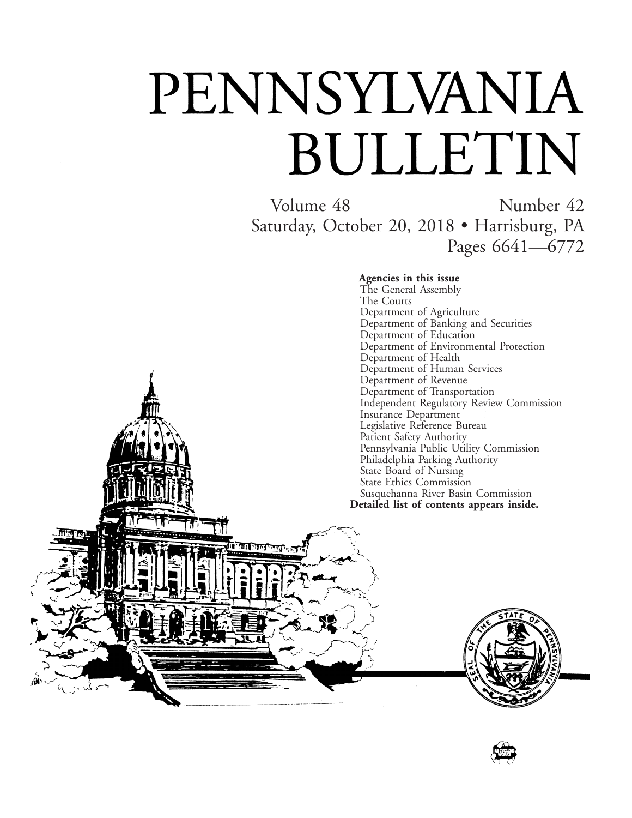# PENNSYLVANIA BULLETIN

गान

Volume 48 Number 42 Saturday, October 20, 2018 • Harrisburg, PA Pages 6641—6772

**Agencies in this issue**

The General Assembly The Courts Department of Agriculture Department of Banking and Securities Department of Education Department of Environmental Protection Department of Health Department of Human Services Department of Revenue Department of Transportation Independent Regulatory Review Commission Insurance Department Legislative Reference Bureau Patient Safety Authority Pennsylvania Public Utility Commission Philadelphia Parking Authority State Board of Nursing State Ethics Commission Susquehanna River Basin Commission **Detailed list of contents appears inside.**



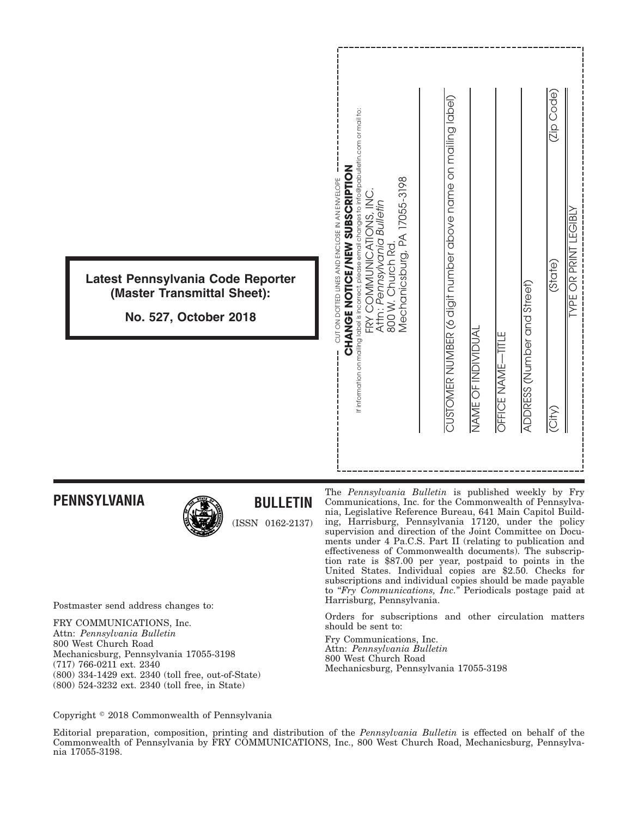# **PENNSYLVANIA**



# **BULLETIN**

(ISSN 0162-2137)

Postmaster send address changes to:

FRY COMMUNICATIONS, Inc. Attn: *Pennsylvania Bulletin* 800 West Church Road Mechanicsburg, Pennsylvania 17055-3198 (717) 766-0211 ext. 2340 (800) 334-1429 ext. 2340 (toll free, out-of-State) (800) 524-3232 ext. 2340 (toll free, in State)

The *Pennsylvania Bulletin* is published weekly by Fry Communications, Inc. for the Commonwealth of Pennsylvania, Legislative Reference Bureau, 641 Main Capitol Building, Harrisburg, Pennsylvania 17120, under the policy supervision and direction of the Joint Committee on Documents under 4 Pa.C.S. Part II (relating to publication and effectiveness of Commonwealth documents). The subscription rate is \$87.00 per year, postpaid to points in the United States. Individual copies are \$2.50. Checks for subscriptions and individual copies should be made payable to "*Fry Communications, Inc.*" Periodicals postage paid at Harrisburg, Pennsylvania.

Orders for subscriptions and other circulation matters should be sent to:

Fry Communications, Inc. Attn: *Pennsylvania Bulletin* 800 West Church Road Mechanicsburg, Pennsylvania 17055-3198

Copyright © 2018 Commonwealth of Pennsylvania

Editorial preparation, composition, printing and distribution of the *Pennsylvania Bulletin* is effected on behalf of the Commonwealth of Pennsylvania by FRY COMMUNICATIONS, Inc., 800 West Church Road, Mechanicsburg, Pennsylvania 17055-3198.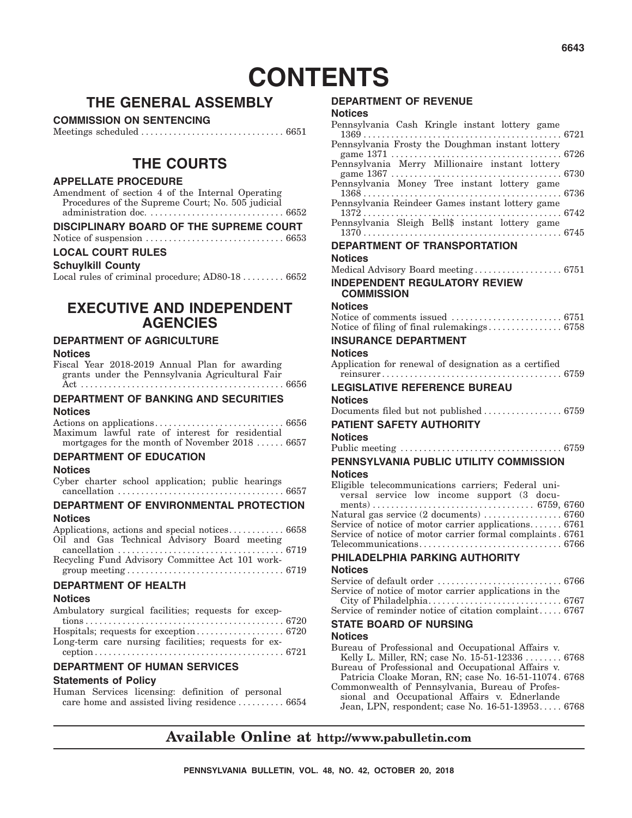# **CONTENTS**

# **THE GENERAL ASSEMBLY**

#### **COMMISSION ON SENTENCING**

Meetings scheduled ............................... 6651

# **THE COURTS**

#### **APPELLATE PROCEDURE**

Amendment of section 4 of the Internal Operating Procedures of the Supreme Court; No. 505 judicial administration doc. ............................. 6652

#### **DISCIPLINARY BOARD OF THE SUPREME COURT**

Notice of suspension .............................. 6653

#### **LOCAL COURT RULES**

#### **Schuylkill County**

Local rules of criminal procedure; AD80-18 .......... 6652

# **EXECUTIVE AND INDEPENDENT AGENCIES**

#### **DEPARTMENT OF AGRICULTURE**

#### **Notices**

Fiscal Year 2018-2019 Annual Plan for awarding grants under the Pennsylvania Agricultural Fair Act . . . . . . . . . . . . . . . . . . . . . . . . . . . . . . . . . . . . . . . . . . . . 6656

#### **DEPARTMENT OF BANKING AND SECURITIES Notices**

Actions on applications............................ 6656 Maximum lawful rate of interest for residential mortgages for the month of November 2018 ...... 6657

# **DEPARTMENT OF EDUCATION**

#### **Notices**

Cyber charter school application; public hearings cancellation .................................... 6657

# **DEPARTMENT OF ENVIRONMENTAL PROTECTION**

#### **Notices**

| Applications, actions and special notices 6658  |  |
|-------------------------------------------------|--|
| Oil and Gas Technical Advisory Board meeting    |  |
|                                                 |  |
| Recycling Fund Advisory Committee Act 101 work- |  |
|                                                 |  |
| <b>DEPARTMENT OF HEALTH</b>                     |  |

#### **Notices**

#### **DEPARTMENT OF HUMAN SERVICES**

#### **Statements of Policy**

Human Services licensing: definition of personal care home and assisted living residence .......... 6654

#### **DEPARTMENT OF REVENUE**

#### **Notices**

| Pennsylvania Cash Kringle instant lottery game                                                                                                                                                              |  |
|-------------------------------------------------------------------------------------------------------------------------------------------------------------------------------------------------------------|--|
|                                                                                                                                                                                                             |  |
|                                                                                                                                                                                                             |  |
|                                                                                                                                                                                                             |  |
| Pennsylvania Merry Millionaire instant lottery                                                                                                                                                              |  |
| $\begin{tabular}{c} game 1367 \end{tabular} \begin{tabular}{c} No new graph $\mathbb{R}^2$ & $6730$ \\ Pennsylvania \end{tabular} \begin{tabular}{c} No new graph $\mathbb{R}^2$ & $6730$ \\ \end{tabular}$ |  |
|                                                                                                                                                                                                             |  |
|                                                                                                                                                                                                             |  |
|                                                                                                                                                                                                             |  |
| Pennsylvania Sleigh Bell\$ instant lottery game                                                                                                                                                             |  |
|                                                                                                                                                                                                             |  |
| <b>DEPARTMENT OF TRANSPORTATION</b>                                                                                                                                                                         |  |
| <b>Notices</b>                                                                                                                                                                                              |  |
|                                                                                                                                                                                                             |  |
| <b>INDEPENDENT REGULATORY REVIEW</b>                                                                                                                                                                        |  |
| <b>COMMISSION</b>                                                                                                                                                                                           |  |
| <b>Notices</b>                                                                                                                                                                                              |  |
|                                                                                                                                                                                                             |  |
|                                                                                                                                                                                                             |  |
| <b>INSURANCE DEPARTMENT</b>                                                                                                                                                                                 |  |
|                                                                                                                                                                                                             |  |
| Notices                                                                                                                                                                                                     |  |
| Application for renewal of designation as a certified                                                                                                                                                       |  |
|                                                                                                                                                                                                             |  |
| <b>LEGISLATIVE REFERENCE BUREAU</b>                                                                                                                                                                         |  |
| <b>Notices</b>                                                                                                                                                                                              |  |
|                                                                                                                                                                                                             |  |
| PATIENT SAFETY AUTHORITY                                                                                                                                                                                    |  |
| <b>Notices</b>                                                                                                                                                                                              |  |
|                                                                                                                                                                                                             |  |
| PENNSYLVANIA PUBLIC UTILITY COMMISSION                                                                                                                                                                      |  |
| <b>Notices</b>                                                                                                                                                                                              |  |
| Eligible telecommunications carriers; Federal uni-                                                                                                                                                          |  |
| versal service low income support (3 docu-                                                                                                                                                                  |  |
|                                                                                                                                                                                                             |  |
|                                                                                                                                                                                                             |  |
| Natural gas service (2 documents)  6760                                                                                                                                                                     |  |
| Service of notice of motor carrier applications 6761                                                                                                                                                        |  |
| Service of notice of motor carrier formal complaints. 6761                                                                                                                                                  |  |
|                                                                                                                                                                                                             |  |
| PHILADELPHIA PARKING AUTHORITY                                                                                                                                                                              |  |
| <b>Notices</b>                                                                                                                                                                                              |  |
|                                                                                                                                                                                                             |  |
| Service of notice of motor carrier applications in the                                                                                                                                                      |  |
|                                                                                                                                                                                                             |  |
| Service of reminder notice of citation complaint 6767                                                                                                                                                       |  |
| <b>STATE BOARD OF NURSING</b>                                                                                                                                                                               |  |
| Notices                                                                                                                                                                                                     |  |
| Bureau of Professional and Occupational Affairs v.                                                                                                                                                          |  |
| Kelly L. Miller, RN; case No. 15-51-12336  6768<br>Bureau of Professional and Occupational Affairs v.                                                                                                       |  |

Commonwealth of Pennsylvania, Bureau of Professional and Occupational Affairs v. Ednerlande Jean, LPN, respondent; case No. 16-51-13953..... 6768

# **Available Online at http://www.pabulletin.com**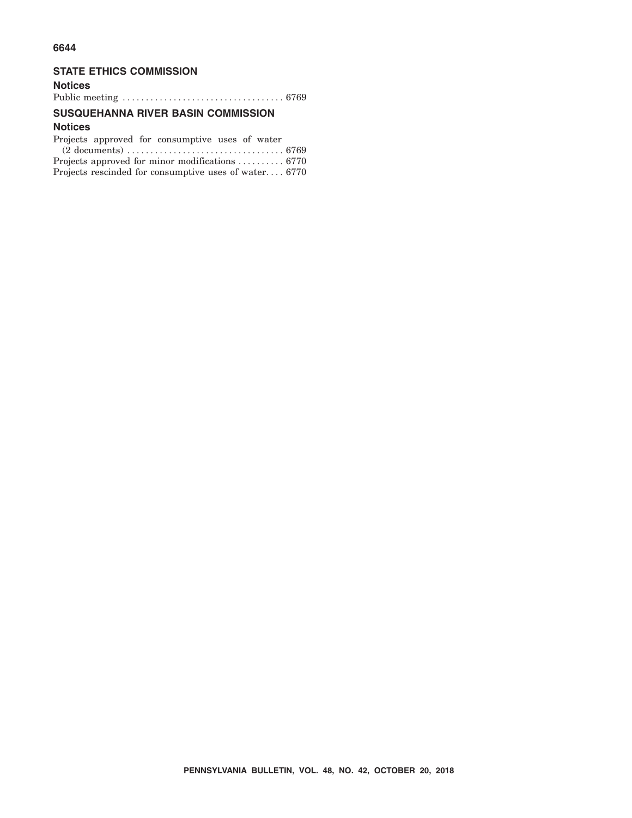#### **6644**

#### **STATE ETHICS COMMISSION**

## **Notices** Public meeting ................................... 6769

#### **SUSQUEHANNA RIVER BASIN COMMISSION**

## **Notices**

|  | Projects approved for consumptive uses of water |  |  |
|--|-------------------------------------------------|--|--|
|  |                                                 |  |  |

| Projects approved for minor modifications  6770       |  |
|-------------------------------------------------------|--|
| Projects rescinded for consumptive uses of water 6770 |  |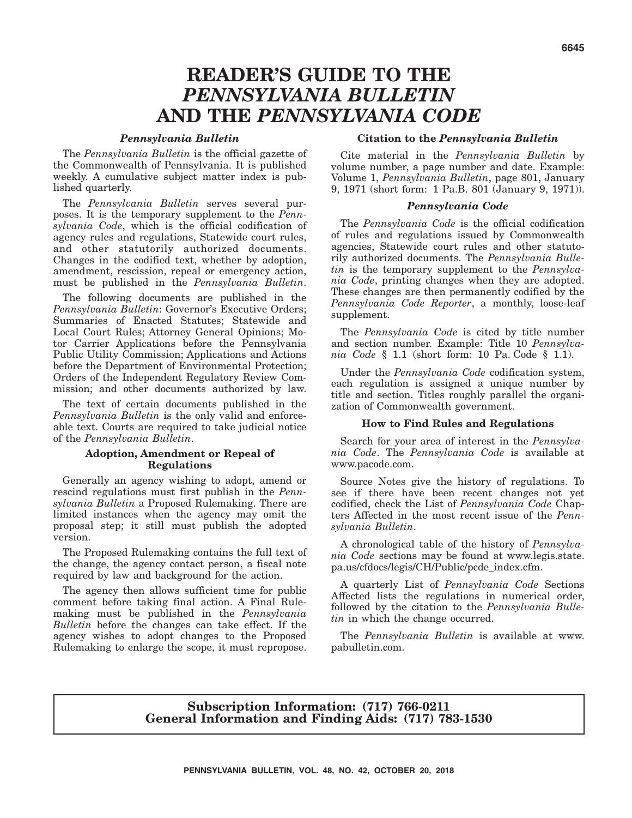# **READER'S GUIDE TO THE** *PENNSYLVANIA BULLETIN* **AND THE** *PENNSYLVANIA CODE*

#### *Pennsylvania Bulletin*

The *Pennsylvania Bulletin* is the official gazette of the Commonwealth of Pennsylvania. It is published weekly. A cumulative subject matter index is published quarterly.

The *Pennsylvania Bulletin* serves several purposes. It is the temporary supplement to the *Pennsylvania Code*, which is the official codification of agency rules and regulations, Statewide court rules, and other statutorily authorized documents. Changes in the codified text, whether by adoption, amendment, rescission, repeal or emergency action, must be published in the *Pennsylvania Bulletin*.

The following documents are published in the *Pennsylvania Bulletin*: Governor's Executive Orders; Summaries of Enacted Statutes; Statewide and Local Court Rules; Attorney General Opinions; Motor Carrier Applications before the Pennsylvania Public Utility Commission; Applications and Actions before the Department of Environmental Protection; Orders of the Independent Regulatory Review Commission; and other documents authorized by law.

The text of certain documents published in the *Pennsylvania Bulletin* is the only valid and enforceable text. Courts are required to take judicial notice of the *Pennsylvania Bulletin*.

#### **Adoption, Amendment or Repeal of Regulations**

Generally an agency wishing to adopt, amend or rescind regulations must first publish in the *Pennsylvania Bulletin* a Proposed Rulemaking. There are limited instances when the agency may omit the proposal step; it still must publish the adopted version.

The Proposed Rulemaking contains the full text of the change, the agency contact person, a fiscal note required by law and background for the action.

The agency then allows sufficient time for public comment before taking final action. A Final Rulemaking must be published in the *Pennsylvania Bulletin* before the changes can take effect. If the agency wishes to adopt changes to the Proposed Rulemaking to enlarge the scope, it must repropose.

#### **Citation to the** *Pennsylvania Bulletin*

Cite material in the *Pennsylvania Bulletin* by volume number, a page number and date. Example: Volume 1, *Pennsylvania Bulletin*, page 801, January 9, 1971 (short form: 1 Pa.B. 801 (January 9, 1971)).

#### *Pennsylvania Code*

The *Pennsylvania Code* is the official codification of rules and regulations issued by Commonwealth agencies, Statewide court rules and other statutorily authorized documents. The *Pennsylvania Bulletin* is the temporary supplement to the *Pennsylvania Code*, printing changes when they are adopted. These changes are then permanently codified by the *Pennsylvania Code Reporter*, a monthly, loose-leaf supplement.

The *Pennsylvania Code* is cited by title number and section number. Example: Title 10 *Pennsylvania Code* § 1.1 (short form: 10 Pa. Code § 1.1).

Under the *Pennsylvania Code* codification system, each regulation is assigned a unique number by title and section. Titles roughly parallel the organization of Commonwealth government.

#### **How to Find Rules and Regulations**

Search for your area of interest in the *Pennsylvania Code*. The *Pennsylvania Code* is available at www.pacode.com.

Source Notes give the history of regulations. To see if there have been recent changes not yet codified, check the List of *Pennsylvania Code* Chapters Affected in the most recent issue of the *Pennsylvania Bulletin*.

A chronological table of the history of *Pennsylvania Code* sections may be found at www.legis.state. pa.us/cfdocs/legis/CH/Public/pcde\_index.cfm.

A quarterly List of *Pennsylvania Code* Sections Affected lists the regulations in numerical order, followed by the citation to the *Pennsylvania Bulletin* in which the change occurred.

The *Pennsylvania Bulletin* is available at www. pabulletin.com.

#### **Subscription Information: (717) 766-0211 General Information and Finding Aids: (717) 783-1530**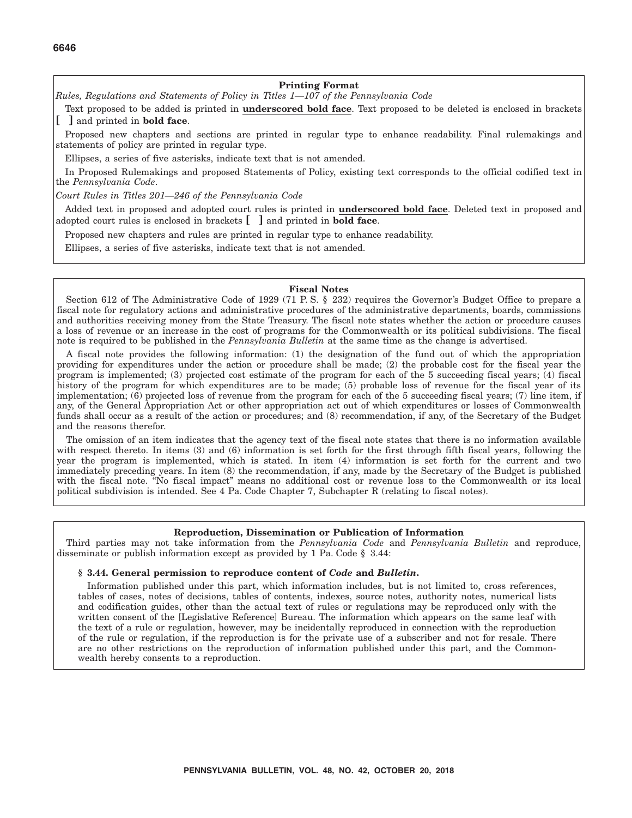#### **Printing Format**

*Rules, Regulations and Statements of Policy in Titles 1—107 of the Pennsylvania Code*

Text proposed to be added is printed in **underscored bold face**. Text proposed to be deleted is enclosed in brackets **[ ]** and printed in **bold face**.

Proposed new chapters and sections are printed in regular type to enhance readability. Final rulemakings and statements of policy are printed in regular type.

Ellipses, a series of five asterisks, indicate text that is not amended.

In Proposed Rulemakings and proposed Statements of Policy, existing text corresponds to the official codified text in the *Pennsylvania Code*.

*Court Rules in Titles 201—246 of the Pennsylvania Code*

Added text in proposed and adopted court rules is printed in **underscored bold face**. Deleted text in proposed and adopted court rules is enclosed in brackets **[ ]** and printed in **bold face**.

Proposed new chapters and rules are printed in regular type to enhance readability.

Ellipses, a series of five asterisks, indicate text that is not amended.

#### **Fiscal Notes**

Section 612 of The Administrative Code of 1929 (71 P.S. § 232) requires the Governor's Budget Office to prepare a fiscal note for regulatory actions and administrative procedures of the administrative departments, boards, commissions and authorities receiving money from the State Treasury. The fiscal note states whether the action or procedure causes a loss of revenue or an increase in the cost of programs for the Commonwealth or its political subdivisions. The fiscal note is required to be published in the *Pennsylvania Bulletin* at the same time as the change is advertised.

A fiscal note provides the following information: (1) the designation of the fund out of which the appropriation providing for expenditures under the action or procedure shall be made; (2) the probable cost for the fiscal year the program is implemented; (3) projected cost estimate of the program for each of the 5 succeeding fiscal years; (4) fiscal history of the program for which expenditures are to be made; (5) probable loss of revenue for the fiscal year of its implementation; (6) projected loss of revenue from the program for each of the 5 succeeding fiscal years; (7) line item, if any, of the General Appropriation Act or other appropriation act out of which expenditures or losses of Commonwealth funds shall occur as a result of the action or procedures; and (8) recommendation, if any, of the Secretary of the Budget and the reasons therefor.

The omission of an item indicates that the agency text of the fiscal note states that there is no information available with respect thereto. In items (3) and (6) information is set forth for the first through fifth fiscal years, following the year the program is implemented, which is stated. In item (4) information is set forth for the current and two immediately preceding years. In item (8) the recommendation, if any, made by the Secretary of the Budget is published with the fiscal note. "No fiscal impact" means no additional cost or revenue loss to the Commonwealth or its local political subdivision is intended. See 4 Pa. Code Chapter 7, Subchapter R (relating to fiscal notes).

#### **Reproduction, Dissemination or Publication of Information**

Third parties may not take information from the *Pennsylvania Code* and *Pennsylvania Bulletin* and reproduce, disseminate or publish information except as provided by 1 Pa. Code § 3.44:

#### **§ 3.44. General permission to reproduce content of** *Code* **and** *Bulletin***.**

Information published under this part, which information includes, but is not limited to, cross references, tables of cases, notes of decisions, tables of contents, indexes, source notes, authority notes, numerical lists and codification guides, other than the actual text of rules or regulations may be reproduced only with the written consent of the [Legislative Reference] Bureau. The information which appears on the same leaf with the text of a rule or regulation, however, may be incidentally reproduced in connection with the reproduction of the rule or regulation, if the reproduction is for the private use of a subscriber and not for resale. There are no other restrictions on the reproduction of information published under this part, and the Commonwealth hereby consents to a reproduction.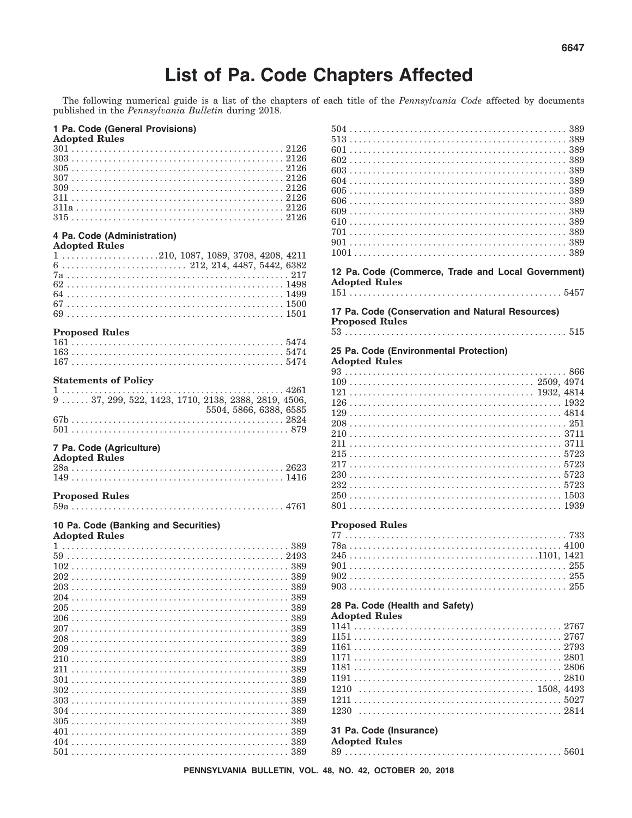# List of Pa. Code Chapters Affected

The following numerical guide is a list of the chapters of each title of the Pennsylvania Code affected by documents published in the Pennsylvania Bulletin during 2018.

#### 1 Pa. Code (General Provisions)

| <b>Adopted Rules</b>                                                                          |  |
|-----------------------------------------------------------------------------------------------|--|
|                                                                                               |  |
|                                                                                               |  |
|                                                                                               |  |
|                                                                                               |  |
|                                                                                               |  |
|                                                                                               |  |
|                                                                                               |  |
|                                                                                               |  |
|                                                                                               |  |
| 4 Pa. Code (Administration)                                                                   |  |
| <b>Adopted Rules</b>                                                                          |  |
| $1 \ldots \ldots \ldots \ldots \ldots \ldots 210, 1087, 1089, 3708, 4208, 4211$               |  |
| $6 \ldots \ldots \ldots \ldots \ldots \ldots \ldots \ldots \ldots 212, 214, 4487, 5442, 6382$ |  |
|                                                                                               |  |
|                                                                                               |  |
|                                                                                               |  |
|                                                                                               |  |
|                                                                                               |  |
|                                                                                               |  |
| <b>Proposed Rules</b>                                                                         |  |
|                                                                                               |  |
|                                                                                               |  |
|                                                                                               |  |
|                                                                                               |  |
| <b>Statements of Policy</b>                                                                   |  |
| 1                                                                                             |  |
| 9  37, 299, 522, 1423, 1710, 2138, 2388, 2819, 4506,                                          |  |
| 5504, 5866, 6388, 6585                                                                        |  |
|                                                                                               |  |
|                                                                                               |  |
|                                                                                               |  |
|                                                                                               |  |
| 7 Pa. Code (Agriculture)                                                                      |  |
| <b>Adopted Rules</b>                                                                          |  |
|                                                                                               |  |
|                                                                                               |  |
|                                                                                               |  |
| <b>Proposed Rules</b>                                                                         |  |
|                                                                                               |  |
|                                                                                               |  |
| 10 Pa. Code (Banking and Securities)                                                          |  |
| <b>Adopted Rules</b>                                                                          |  |
|                                                                                               |  |
|                                                                                               |  |
|                                                                                               |  |
|                                                                                               |  |
|                                                                                               |  |
|                                                                                               |  |
|                                                                                               |  |
|                                                                                               |  |
|                                                                                               |  |
|                                                                                               |  |
|                                                                                               |  |
|                                                                                               |  |
|                                                                                               |  |
|                                                                                               |  |
|                                                                                               |  |
|                                                                                               |  |
|                                                                                               |  |
|                                                                                               |  |
|                                                                                               |  |
|                                                                                               |  |
|                                                                                               |  |
|                                                                                               |  |

| 12 Pa. Code (Commerce, Trade and Local Government) |  |
|----------------------------------------------------|--|
| <b>Adopted Rules</b>                               |  |
|                                                    |  |
| 17 Pa. Code (Conservation and Natural Resources)   |  |
| <b>Proposed Rules</b>                              |  |
|                                                    |  |
|                                                    |  |
| 25 Pa. Code (Environmental Protection)             |  |
| <b>Adopted Rules</b>                               |  |
|                                                    |  |
|                                                    |  |
|                                                    |  |
|                                                    |  |
|                                                    |  |
|                                                    |  |
|                                                    |  |
|                                                    |  |
|                                                    |  |
|                                                    |  |
|                                                    |  |
|                                                    |  |
|                                                    |  |
|                                                    |  |
| <b>Proposed Rules</b>                              |  |
|                                                    |  |
|                                                    |  |
|                                                    |  |
|                                                    |  |
|                                                    |  |
|                                                    |  |
|                                                    |  |
| 28 Pa. Code (Health and Safety)                    |  |
| <b>Adopted Rules</b>                               |  |
|                                                    |  |
|                                                    |  |
|                                                    |  |
|                                                    |  |
|                                                    |  |
|                                                    |  |

# 31 Pa. Code (Insurance)

**Adopted Rules** 

####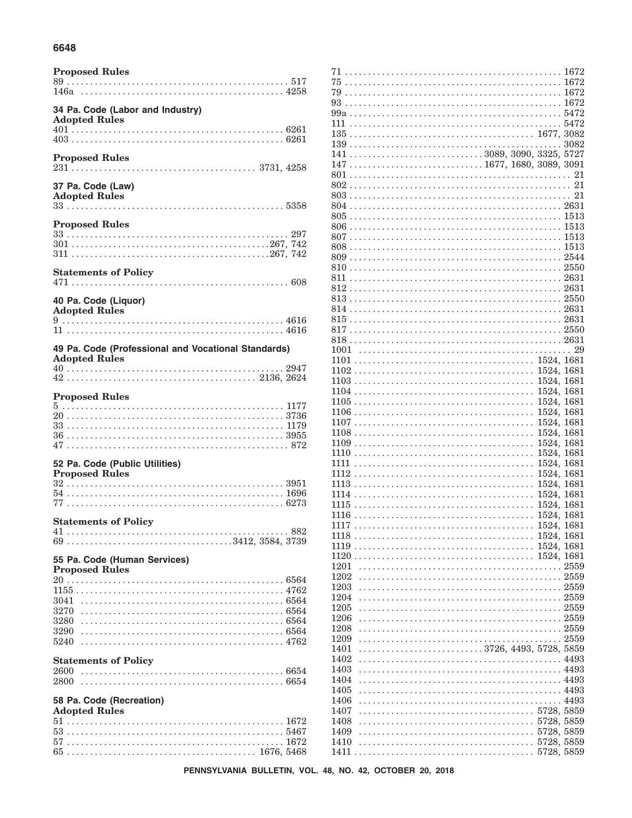#### 6648

| 34 Pa. Code (Labor and Industry)<br><b>Adopted Rules</b>                    |
|-----------------------------------------------------------------------------|
|                                                                             |
|                                                                             |
|                                                                             |
| <b>Proposed Rules</b>                                                       |
| 37 Pa. Code (Law)<br><b>Adopted Rules</b>                                   |
| <b>Proposed Rules</b>                                                       |
|                                                                             |
| <b>Statements of Policy</b>                                                 |
| 40 Pa. Code (Liquor)<br><b>Adopted Rules</b>                                |
|                                                                             |
| 49 Pa. Code (Professional and Vocational Standards)<br><b>Adopted Rules</b> |
|                                                                             |
| <b>Proposed Rules</b>                                                       |
|                                                                             |
|                                                                             |
|                                                                             |
| 52 Pa. Code (Public Utilities)                                              |
| <b>Proposed Rules</b>                                                       |
|                                                                             |
|                                                                             |
| <b>Statements of Policy</b>                                                 |
| .882                                                                        |
| 55 Pa. Code (Human Services)                                                |
| <b>Proposed Rules</b>                                                       |
|                                                                             |
| 3041                                                                        |
| 3270<br>3280                                                                |
| 3290                                                                        |
| 5240                                                                        |
| <b>Statements of Policy</b><br>2600                                         |
| 2800                                                                        |
| 58 Pa. Code (Recreation)<br><b>Adopted Rules</b>                            |
|                                                                             |
|                                                                             |
|                                                                             |

| $75\,\dots\dots\dots\dots\dots\dots\dots\dots\dots\dots\dots\dots\dots\dots\dots\dots\dots\,1672$            |  |
|--------------------------------------------------------------------------------------------------------------|--|
|                                                                                                              |  |
|                                                                                                              |  |
|                                                                                                              |  |
|                                                                                                              |  |
|                                                                                                              |  |
|                                                                                                              |  |
|                                                                                                              |  |
|                                                                                                              |  |
|                                                                                                              |  |
|                                                                                                              |  |
|                                                                                                              |  |
|                                                                                                              |  |
|                                                                                                              |  |
|                                                                                                              |  |
|                                                                                                              |  |
|                                                                                                              |  |
|                                                                                                              |  |
|                                                                                                              |  |
|                                                                                                              |  |
|                                                                                                              |  |
|                                                                                                              |  |
|                                                                                                              |  |
|                                                                                                              |  |
|                                                                                                              |  |
|                                                                                                              |  |
|                                                                                                              |  |
| $1101 \ldots \ldots \ldots \ldots \ldots \ldots \ldots \ldots \ldots \ldots \ldots \ldots \ldots 1524, 1681$ |  |
|                                                                                                              |  |
|                                                                                                              |  |
|                                                                                                              |  |
|                                                                                                              |  |
|                                                                                                              |  |
|                                                                                                              |  |
|                                                                                                              |  |
|                                                                                                              |  |
|                                                                                                              |  |
|                                                                                                              |  |
|                                                                                                              |  |
|                                                                                                              |  |
|                                                                                                              |  |
|                                                                                                              |  |
|                                                                                                              |  |
|                                                                                                              |  |
|                                                                                                              |  |
|                                                                                                              |  |
|                                                                                                              |  |
| 1201                                                                                                         |  |
| 1202                                                                                                         |  |
| 1203                                                                                                         |  |
| 1204                                                                                                         |  |
| 1205                                                                                                         |  |
| 1206                                                                                                         |  |
| 1208                                                                                                         |  |
| 1209                                                                                                         |  |
| 3726, 4493, 5728, 5859<br>1401                                                                               |  |
| 1402                                                                                                         |  |
| 1403                                                                                                         |  |
| 1404                                                                                                         |  |
| 1405                                                                                                         |  |
| 1406                                                                                                         |  |
| 1407<br>1408                                                                                                 |  |
| 1409                                                                                                         |  |
| 1410                                                                                                         |  |
|                                                                                                              |  |
|                                                                                                              |  |

PENNSYLVANIA BULLETIN, VOL. 48, NO. 42, OCTOBER 20, 2018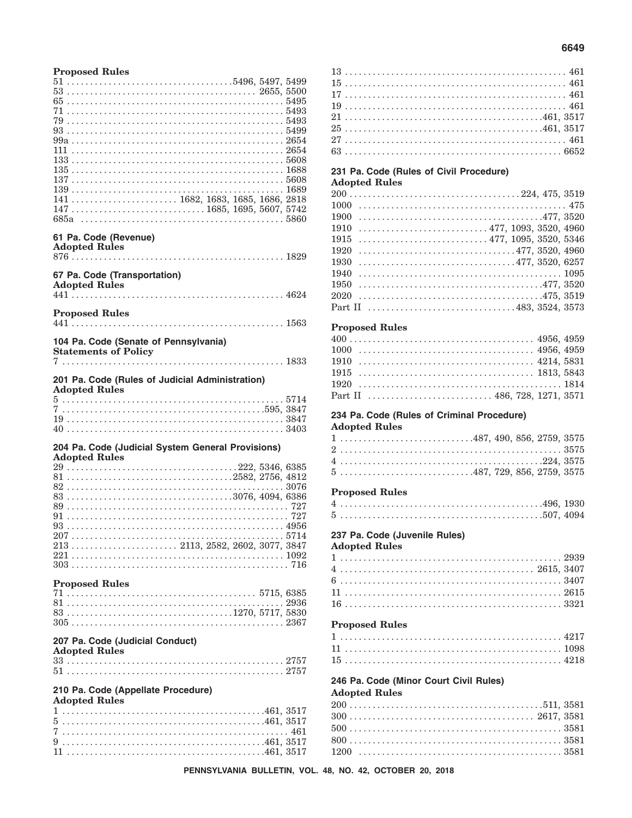| <b>Proposed Rules</b>                                                                              |  |
|----------------------------------------------------------------------------------------------------|--|
|                                                                                                    |  |
|                                                                                                    |  |
|                                                                                                    |  |
|                                                                                                    |  |
|                                                                                                    |  |
|                                                                                                    |  |
|                                                                                                    |  |
|                                                                                                    |  |
|                                                                                                    |  |
|                                                                                                    |  |
| $147 \ldots \ldots \ldots \ldots \ldots \ldots \ldots \ldots \ldots \ldots 1685, 1695, 5607, 5742$ |  |
|                                                                                                    |  |
| 61 Pa. Code (Revenue)                                                                              |  |
| <b>Adopted Rules</b>                                                                               |  |
|                                                                                                    |  |
| 67 Pa. Code (Transportation)<br><b>Adopted Rules</b>                                               |  |
|                                                                                                    |  |
| <b>Proposed Rules</b>                                                                              |  |
|                                                                                                    |  |
| 104 Pa. Code (Senate of Pennsylvania)                                                              |  |
| <b>Statements of Policy</b>                                                                        |  |
|                                                                                                    |  |
| 201 Pa. Code (Rules of Judicial Administration)                                                    |  |
| <b>Adopted Rules</b>                                                                               |  |
|                                                                                                    |  |
|                                                                                                    |  |
|                                                                                                    |  |
| 204 Pa. Code (Judicial System General Provisions)                                                  |  |
| <b>Adopted Rules</b>                                                                               |  |
|                                                                                                    |  |
|                                                                                                    |  |
|                                                                                                    |  |
|                                                                                                    |  |
|                                                                                                    |  |
|                                                                                                    |  |
|                                                                                                    |  |
|                                                                                                    |  |
|                                                                                                    |  |
|                                                                                                    |  |
| <b>Proposed Rules</b>                                                                              |  |
|                                                                                                    |  |
|                                                                                                    |  |
|                                                                                                    |  |
| 207 Pa. Code (Judicial Conduct)                                                                    |  |
| <b>Adopted Rules</b>                                                                               |  |
|                                                                                                    |  |
|                                                                                                    |  |
| 210 Pa. Code (Appellate Procedure)                                                                 |  |
| <b>Adopted Rules</b>                                                                               |  |
|                                                                                                    |  |
|                                                                                                    |  |

#### 

#### 231 Pa. Code (Rules of Civil Procedure) **Adopted Rules**

| $200 \ldots \ldots \ldots \ldots \ldots \ldots \ldots \ldots \ldots \ldots \ldots \ldots \ldots 224, 475, 3519$ |
|-----------------------------------------------------------------------------------------------------------------|
| 1000                                                                                                            |
| 1900                                                                                                            |
| $\ldots \ldots \ldots \ldots \ldots \ldots \ldots \ldots \ldots \ldots 477, 1093, 3520, 4960$<br>1910           |
| $\ldots \ldots \ldots \ldots \ldots \ldots \ldots \ldots \ldots 477, 1095, 3520, 5346$<br>1915                  |
| 1920                                                                                                            |
| 477, 3520, 6257<br>1930                                                                                         |
| 1940                                                                                                            |
| 1950                                                                                                            |
|                                                                                                                 |
|                                                                                                                 |

#### **Proposed Rules**

#### 234 Pa. Code (Rules of Criminal Procedure) **Adopted Rules**

#### **Proposed Rules**

#### 237 Pa. Code (Juvenile Rules)

#### **Adopted Rules**

#### **Proposed Rules**

#### 246 Pa. Code (Minor Court Civil Rules) Adopted Bules

|  |  |  |  |  |  |  | $\Lambda$ uvpicu riulco |  |  |  |  |  |  |  |  |  |  |  |  |
|--|--|--|--|--|--|--|-------------------------|--|--|--|--|--|--|--|--|--|--|--|--|

. Lista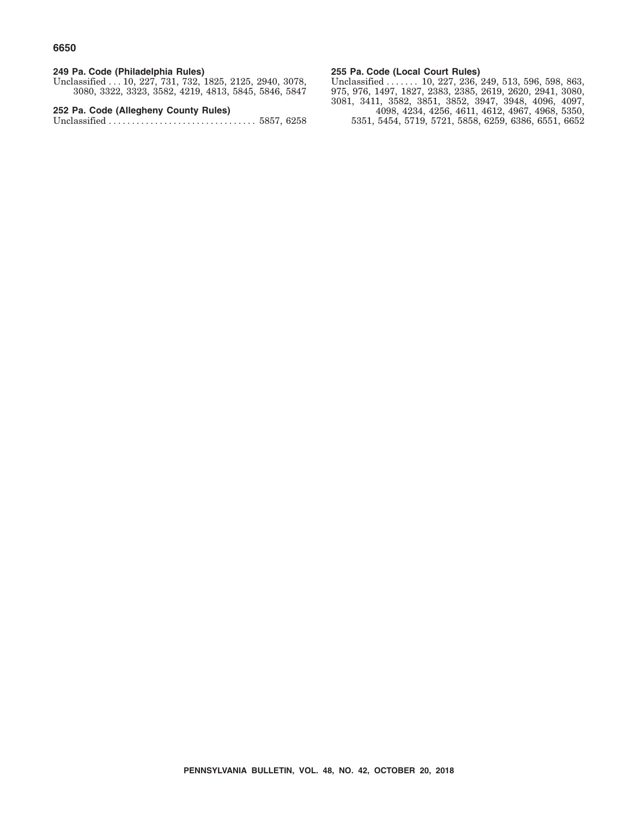### **249 Pa. Code (Philadelphia Rules)**

Unclassified . . . 10, 227, 731, 732, 1825, 2125, 2940, 3078, 3080, 3322, 3323, 3582, 4219, 4813, 5845, 5846, 5847

**252 Pa. Code (Allegheny County Rules)**

Unclassified ................................ 5857, 6258

#### **255 Pa. Code (Local Court Rules)**

Unclassified ...... 10, 227, 236, 249, 513, 596, 598, 863, 975, 976, 1497, 1827, 2383, 2385, 2619, 2620, 2941, 3080, 3081, 3411, 3582, 3851, 3852, 3947, 3948, 4096, 4097, 4098, 4234, 4256, 4611, 4612, 4967, 4968, 5350, 5351, 5454, 5719, 5721, 5858, 6259, 6386, 6551, 6652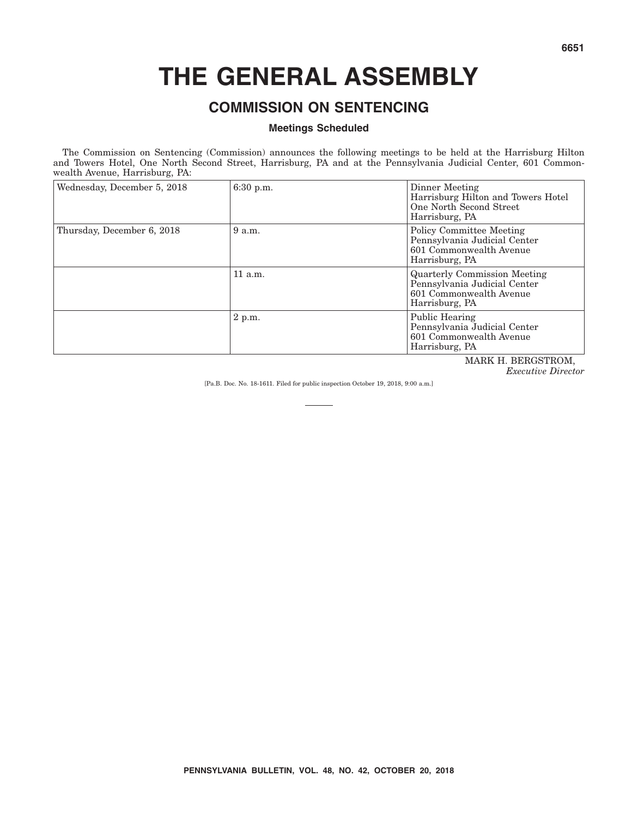# **THE GENERAL ASSEMBLY**

# **COMMISSION ON SENTENCING**

#### **Meetings Scheduled**

The Commission on Sentencing (Commission) announces the following meetings to be held at the Harrisburg Hilton and Towers Hotel, One North Second Street, Harrisburg, PA and at the Pennsylvania Judicial Center, 601 Commonwealth Avenue, Harrisburg, PA:

| Wednesday, December 5, 2018 | 6:30 p.m. | Dinner Meeting<br>Harrisburg Hilton and Towers Hotel<br>One North Second Street<br>Harrisburg, PA                |
|-----------------------------|-----------|------------------------------------------------------------------------------------------------------------------|
| Thursday, December 6, 2018  | 9a.m.     | <b>Policy Committee Meeting</b><br>Pennsylvania Judicial Center<br>601 Commonwealth Avenue<br>Harrisburg, PA     |
|                             | $11$ a.m. | <b>Quarterly Commission Meeting</b><br>Pennsylvania Judicial Center<br>601 Commonwealth Avenue<br>Harrisburg, PA |
|                             | $2$ p.m.  | Public Hearing<br>Pennsylvania Judicial Center<br>601 Commonwealth Avenue<br>Harrisburg, PA                      |
|                             |           | MADIZ H DEDCETDOM                                                                                                |

MARK H. BERGSTROM, *Executive Director*

[Pa.B. Doc. No. 18-1611. Filed for public inspection October 19, 2018, 9:00 a.m.]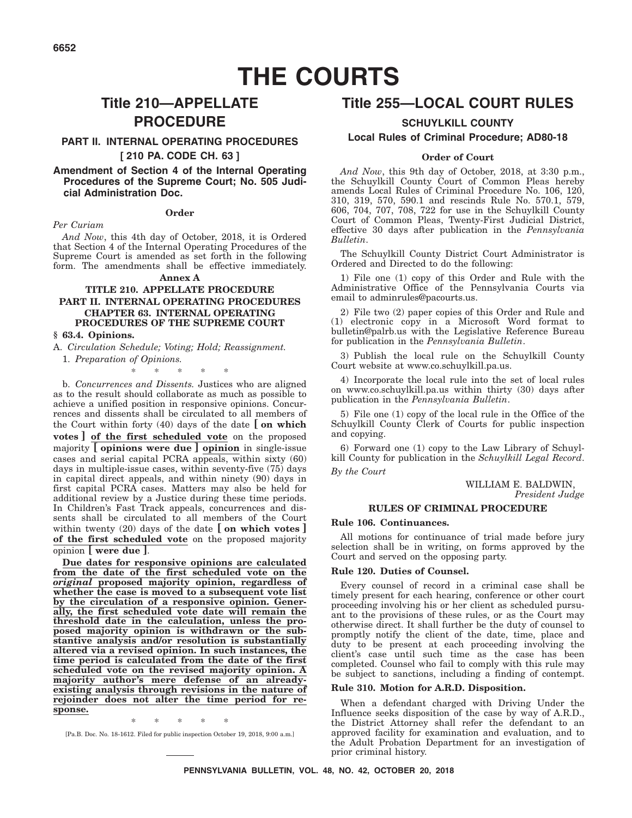# **THE COURTS**

# **Title 210—APPELLATE PROCEDURE**

#### **PART II. INTERNAL OPERATING PROCEDURES**

#### **[ 210 PA. CODE CH. 63 ]**

#### **Amendment of Section 4 of the Internal Operating Procedures of the Supreme Court; No. 505 Judicial Administration Doc.**

#### **Order**

*Per Curiam*

*And Now*, this 4th day of October, 2018, it is Ordered that Section 4 of the Internal Operating Procedures of the Supreme Court is amended as set forth in the following form. The amendments shall be effective immediately.

#### **Annex A**

#### **TITLE 210. APPELLATE PROCEDURE PART II. INTERNAL OPERATING PROCEDURES CHAPTER 63. INTERNAL OPERATING PROCEDURES OF THE SUPREME COURT**

**§ 63.4. Opinions.**

1. *Preparation of Opinions.*

A. *Circulation Schedule; Voting; Hold; Reassignment.*

\*\*\*\*\*

b. *Concurrences and Dissents.* Justices who are aligned as to the result should collaborate as much as possible to achieve a unified position in responsive opinions. Concurrences and dissents shall be circulated to all members of the Court within forty (40) days of the date **[ on which votes ] of the first scheduled vote** on the proposed majority **[ opinions were due ] opinion** in single-issue cases and serial capital PCRA appeals, within sixty (60) days in multiple-issue cases, within seventy-five (75) days in capital direct appeals, and within ninety (90) days in first capital PCRA cases. Matters may also be held for additional review by a Justice during these time periods. In Children's Fast Track appeals, concurrences and dissents shall be circulated to all members of the Court within twenty (20) days of the date **[ on which votes ] of the first scheduled vote** on the proposed majority opinion **[ were due ]**.

**Due dates for responsive opinions are calculated from the date of the first scheduled vote on the** *original* **proposed majority opinion, regardless of whether the case is moved to a subsequent vote list by the circulation of a responsive opinion. Generally, the first scheduled vote date will remain the threshold date in the calculation, unless the proposed majority opinion is withdrawn or the substantive analysis and/or resolution is substantially altered via a revised opinion. In such instances, the time period is calculated from the date of the first scheduled vote on the revised majority opinion. A majority author's mere defense of an alreadyexisting analysis through revisions in the nature of rejoinder does not alter the time period for response.**

\*\*\*\*\* [Pa.B. Doc. No. 18-1612. Filed for public inspection October 19, 2018, 9:00 a.m.]

# **Title 255—LOCAL COURT RULES**

#### **SCHUYLKILL COUNTY**

#### **Local Rules of Criminal Procedure; AD80-18**

#### **Order of Court**

*And Now*, this 9th day of October, 2018, at 3:30 p.m., the Schuylkill County Court of Common Pleas hereby amends Local Rules of Criminal Procedure No. 106, 120, 310, 319, 570, 590.1 and rescinds Rule No. 570.1, 579, 606, 704, 707, 708, 722 for use in the Schuylkill County Court of Common Pleas, Twenty-First Judicial District, effective 30 days after publication in the *Pennsylvania Bulletin*.

The Schuylkill County District Court Administrator is Ordered and Directed to do the following:

1) File one (1) copy of this Order and Rule with the Administrative Office of the Pennsylvania Courts via email to adminrules@pacourts.us.

2) File two (2) paper copies of this Order and Rule and (1) electronic copy in a Microsoft Word format to bulletin@palrb.us with the Legislative Reference Bureau for publication in the *Pennsylvania Bulletin*.

3) Publish the local rule on the Schuylkill County Court website at www.co.schuylkill.pa.us.

4) Incorporate the local rule into the set of local rules on www.co.schuylkill.pa.us within thirty (30) days after publication in the *Pennsylvania Bulletin*.

5) File one (1) copy of the local rule in the Office of the Schuylkill County Clerk of Courts for public inspection and copying.

6) Forward one (1) copy to the Law Library of Schuylkill County for publication in the *Schuylkill Legal Record*. *By the Court*

> WILLIAM E. BALDWIN, *President Judge*

#### **RULES OF CRIMINAL PROCEDURE**

#### **Rule 106. Continuances.**

All motions for continuance of trial made before jury selection shall be in writing, on forms approved by the Court and served on the opposing party.

#### **Rule 120. Duties of Counsel.**

Every counsel of record in a criminal case shall be timely present for each hearing, conference or other court proceeding involving his or her client as scheduled pursuant to the provisions of these rules, or as the Court may otherwise direct. It shall further be the duty of counsel to promptly notify the client of the date, time, place and duty to be present at each proceeding involving the client's case until such time as the case has been completed. Counsel who fail to comply with this rule may be subject to sanctions, including a finding of contempt.

#### **Rule 310. Motion for A.R.D. Disposition.**

When a defendant charged with Driving Under the Influence seeks disposition of the case by way of A.R.D., the District Attorney shall refer the defendant to an approved facility for examination and evaluation, and to the Adult Probation Department for an investigation of prior criminal history.

**PENNSYLVANIA BULLETIN, VOL. 48, NO. 42, OCTOBER 20, 2018**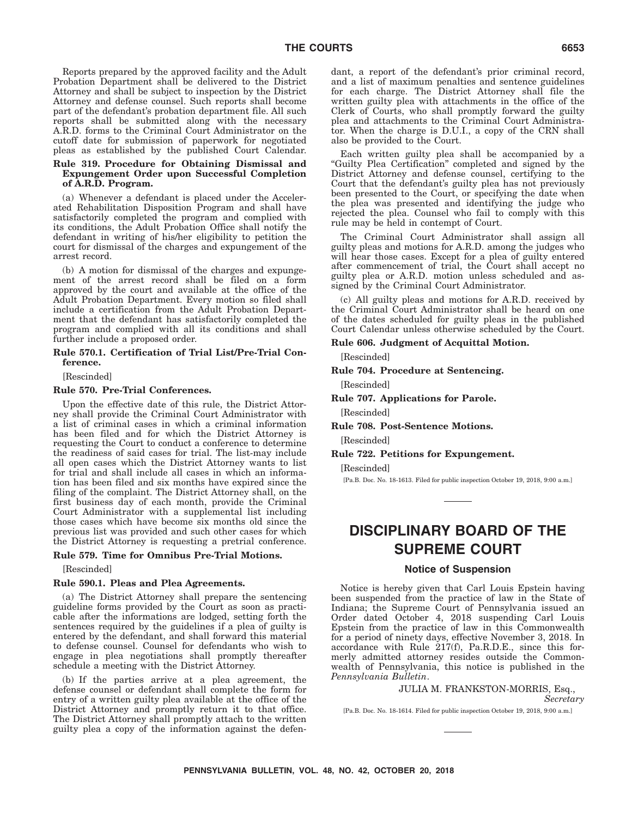Reports prepared by the approved facility and the Adult Probation Department shall be delivered to the District Attorney and shall be subject to inspection by the District Attorney and defense counsel. Such reports shall become part of the defendant's probation department file. All such reports shall be submitted along with the necessary A.R.D. forms to the Criminal Court Administrator on the cutoff date for submission of paperwork for negotiated pleas as established by the published Court Calendar.

#### **Rule 319. Procedure for Obtaining Dismissal and Expungement Order upon Successful Completion of A.R.D. Program.**

(a) Whenever a defendant is placed under the Accelerated Rehabilitation Disposition Program and shall have satisfactorily completed the program and complied with its conditions, the Adult Probation Office shall notify the defendant in writing of his/her eligibility to petition the court for dismissal of the charges and expungement of the arrest record.

(b) A motion for dismissal of the charges and expungement of the arrest record shall be filed on a form approved by the court and available at the office of the Adult Probation Department. Every motion so filed shall include a certification from the Adult Probation Department that the defendant has satisfactorily completed the program and complied with all its conditions and shall further include a proposed order.

#### **Rule 570.1. Certification of Trial List/Pre-Trial Conference.**

[Rescinded]

#### **Rule 570. Pre-Trial Conferences.**

Upon the effective date of this rule, the District Attorney shall provide the Criminal Court Administrator with a list of criminal cases in which a criminal information has been filed and for which the District Attorney is requesting the Court to conduct a conference to determine the readiness of said cases for trial. The list-may include all open cases which the District Attorney wants to list for trial and shall include all cases in which an information has been filed and six months have expired since the filing of the complaint. The District Attorney shall, on the first business day of each month, provide the Criminal Court Administrator with a supplemental list including those cases which have become six months old since the previous list was provided and such other cases for which the District Attorney is requesting a pretrial conference.

#### **Rule 579. Time for Omnibus Pre-Trial Motions.**

[Rescinded]

#### **Rule 590.1. Pleas and Plea Agreements.**

(a) The District Attorney shall prepare the sentencing guideline forms provided by the Court as soon as practicable after the informations are lodged, setting forth the sentences required by the guidelines if a plea of guilty is entered by the defendant, and shall forward this material to defense counsel. Counsel for defendants who wish to engage in plea negotiations shall promptly thereafter schedule a meeting with the District Attorney.

(b) If the parties arrive at a plea agreement, the defense counsel or defendant shall complete the form for entry of a written guilty plea available at the office of the District Attorney and promptly return it to that office. The District Attorney shall promptly attach to the written guilty plea a copy of the information against the defendant, a report of the defendant's prior criminal record, and a list of maximum penalties and sentence guidelines for each charge. The District Attorney shall file the written guilty plea with attachments in the office of the Clerk of Courts, who shall promptly forward the guilty plea and attachments to the Criminal Court Administrator. When the charge is D.U.I., a copy of the CRN shall also be provided to the Court.

Each written guilty plea shall be accompanied by a ''Guilty Plea Certification'' completed and signed by the District Attorney and defense counsel, certifying to the Court that the defendant's guilty plea has not previously been presented to the Court, or specifying the date when the plea was presented and identifying the judge who rejected the plea. Counsel who fail to comply with this rule may be held in contempt of Court.

The Criminal Court Administrator shall assign all guilty pleas and motions for A.R.D. among the judges who will hear those cases. Except for a plea of guilty entered after commencement of trial, the Court shall accept no guilty plea or A.R.D. motion unless scheduled and assigned by the Criminal Court Administrator.

(c) All guilty pleas and motions for A.R.D. received by the Criminal Court Administrator shall be heard on one of the dates scheduled for guilty pleas in the published Court Calendar unless otherwise scheduled by the Court.

#### **Rule 606. Judgment of Acquittal Motion.**

[Rescinded]

#### **Rule 704. Procedure at Sentencing.**

[Rescinded]

**Rule 707. Applications for Parole.**

[Rescinded]

- **Rule 708. Post-Sentence Motions.** [Rescinded]
- **Rule 722. Petitions for Expungement.**

[Rescinded]

[Pa.B. Doc. No. 18-1613. Filed for public inspection October 19, 2018, 9:00 a.m.]

# **DISCIPLINARY BOARD OF THE SUPREME COURT**

#### **Notice of Suspension**

Notice is hereby given that Carl Louis Epstein having been suspended from the practice of law in the State of Indiana; the Supreme Court of Pennsylvania issued an Order dated October 4, 2018 suspending Carl Louis Epstein from the practice of law in this Commonwealth for a period of ninety days, effective November 3, 2018. In accordance with Rule 217(f), Pa.R.D.E., since this formerly admitted attorney resides outside the Commonwealth of Pennsylvania, this notice is published in the *Pennsylvania Bulletin*.

#### JULIA M. FRANKSTON-MORRIS, Esq.,

*Secretary*

[Pa.B. Doc. No. 18-1614. Filed for public inspection October 19, 2018, 9:00 a.m.]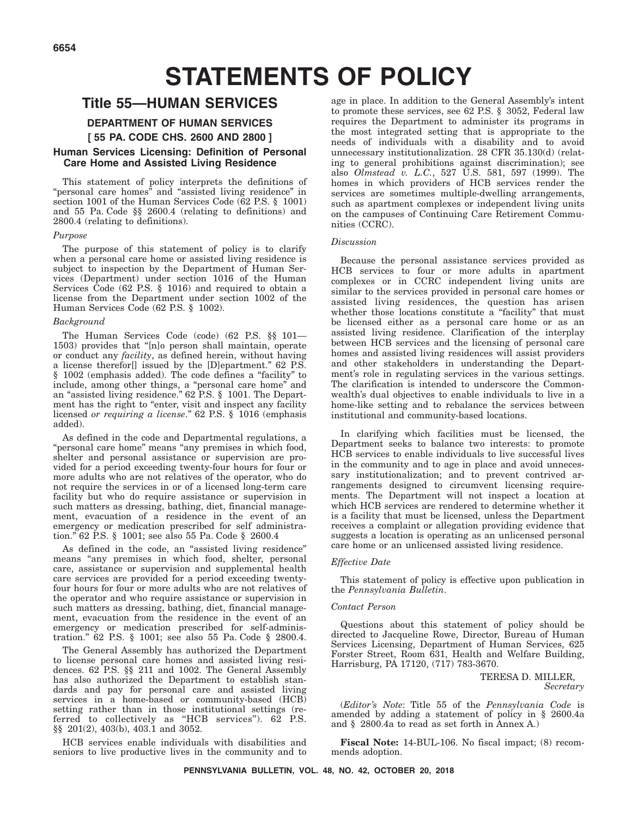# **STATEMENTS OF POLICY**

# **Title 55—HUMAN SERVICES**

### **DEPARTMENT OF HUMAN SERVICES**

#### **[ 55 PA. CODE CHS. 2600 AND 2800 ]**

#### **Human Services Licensing: Definition of Personal Care Home and Assisted Living Residence**

This statement of policy interprets the definitions of "personal care homes" and "assisted living residence" in section 1001 of the Human Services Code (62 P.S. § 1001) and 55 Pa. Code §§ 2600.4 (relating to definitions) and 2800.4 (relating to definitions).

#### *Purpose*

The purpose of this statement of policy is to clarify when a personal care home or assisted living residence is subject to inspection by the Department of Human Services (Department) under section 1016 of the Human Services Code (62 P.S. § 1016) and required to obtain a license from the Department under section 1002 of the Human Services Code (62 P.S. § 1002).

#### *Background*

The Human Services Code (code) (62 P.S. §§ 101— 1503) provides that ''[n]o person shall maintain, operate or conduct any *facility*, as defined herein, without having a license therefor[] issued by the [D]epartment.'' 62 P.S. § 1002 (emphasis added). The code defines a "facility" to include, among other things, a ''personal care home'' and an "assisted living residence." 62 P.S. § 1001. The Department has the right to "enter, visit and inspect any facility licensed *or requiring a license*.'' 62 P.S. § 1016 (emphasis added).

As defined in the code and Departmental regulations, a "personal care home" means "any premises in which food, shelter and personal assistance or supervision are provided for a period exceeding twenty-four hours for four or more adults who are not relatives of the operator, who do not require the services in or of a licensed long-term care facility but who do require assistance or supervision in such matters as dressing, bathing, diet, financial management, evacuation of a residence in the event of an emergency or medication prescribed for self administration.'' 62 P.S. § 1001; see also 55 Pa. Code § 2600.4

As defined in the code, an "assisted living residence" means ''any premises in which food, shelter, personal care, assistance or supervision and supplemental health care services are provided for a period exceeding twentyfour hours for four or more adults who are not relatives of the operator and who require assistance or supervision in such matters as dressing, bathing, diet, financial management, evacuation from the residence in the event of an emergency or medication prescribed for self-administration.'' 62 P.S. § 1001; see also 55 Pa. Code § 2800.4.

The General Assembly has authorized the Department to license personal care homes and assisted living residences. 62 P.S. §§ 211 and 1002. The General Assembly has also authorized the Department to establish standards and pay for personal care and assisted living services in a home-based or community-based (HCB) setting rather than in those institutional settings (referred to collectively as ''HCB services''). 62 P.S. §§ 201(2), 403(b), 403.1 and 3052.

HCB services enable individuals with disabilities and seniors to live productive lives in the community and to age in place. In addition to the General Assembly's intent to promote these services, see 62 P.S. § 3052, Federal law requires the Department to administer its programs in the most integrated setting that is appropriate to the needs of individuals with a disability and to avoid unnecessary institutionalization. 28 CFR 35.130(d) (relating to general prohibitions against discrimination); see also *Olmstead v. L.C.*, 527 U.S. 581, 597 (1999). The homes in which providers of HCB services render the services are sometimes multiple-dwelling arrangements, such as apartment complexes or independent living units on the campuses of Continuing Care Retirement Communities (CCRC).

#### *Discussion*

Because the personal assistance services provided as HCB services to four or more adults in apartment complexes or in CCRC independent living units are similar to the services provided in personal care homes or assisted living residences, the question has arisen whether those locations constitute a "facility" that must be licensed either as a personal care home or as an assisted living residence. Clarification of the interplay between HCB services and the licensing of personal care homes and assisted living residences will assist providers and other stakeholders in understanding the Department's role in regulating services in the various settings. The clarification is intended to underscore the Commonwealth's dual objectives to enable individuals to live in a home-like setting and to rebalance the services between institutional and community-based locations.

In clarifying which facilities must be licensed, the Department seeks to balance two interests: to promote HCB services to enable individuals to live successful lives in the community and to age in place and avoid unnecessary institutionalization; and to prevent contrived arrangements designed to circumvent licensing requirements. The Department will not inspect a location at which HCB services are rendered to determine whether it is a facility that must be licensed, unless the Department receives a complaint or allegation providing evidence that suggests a location is operating as an unlicensed personal care home or an unlicensed assisted living residence.

#### *Effective Date*

This statement of policy is effective upon publication in the *Pennsylvania Bulletin*.

#### *Contact Person*

Questions about this statement of policy should be directed to Jacqueline Rowe, Director, Bureau of Human Services Licensing, Department of Human Services, 625 Forster Street, Room 631, Health and Welfare Building, Harrisburg, PA 17120, (717) 783-3670.

> TERESA D. MILLER, *Secretary*

(*Editor's Note*: Title 55 of the *Pennsylvania Code* is amended by adding a statement of policy in § 2600.4a and § 2800.4a to read as set forth in Annex A.)

**Fiscal Note:** 14-BUL-106. No fiscal impact; (8) recommends adoption.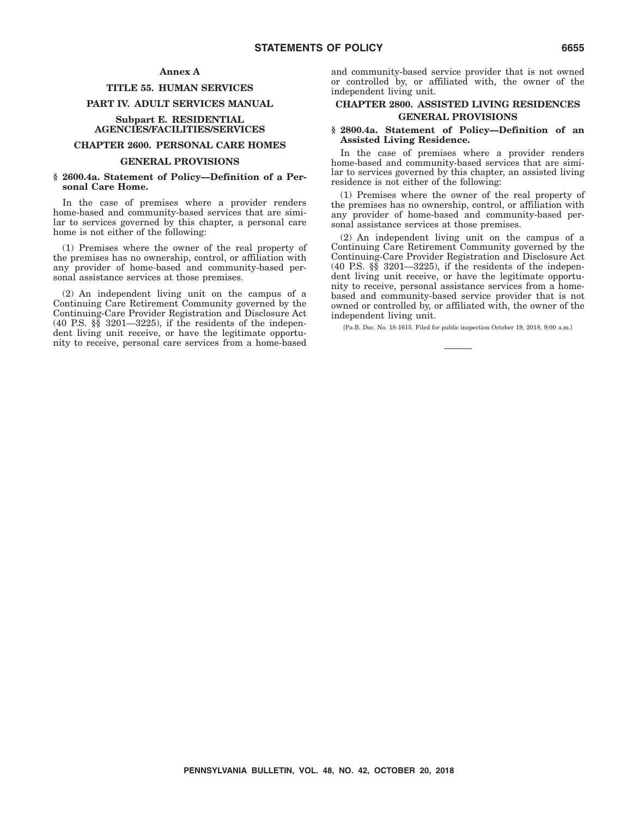#### **Annex A**

#### **TITLE 55. HUMAN SERVICES**

#### **PART IV. ADULT SERVICES MANUAL**

#### **Subpart E. RESIDENTIAL AGENCIES/FACILITIES/SERVICES**

#### **CHAPTER 2600. PERSONAL CARE HOMES**

#### **GENERAL PROVISIONS**

#### **§ 2600.4a. Statement of Policy—Definition of a Personal Care Home.**

In the case of premises where a provider renders home-based and community-based services that are similar to services governed by this chapter, a personal care home is not either of the following:

(1) Premises where the owner of the real property of the premises has no ownership, control, or affiliation with any provider of home-based and community-based personal assistance services at those premises.

(2) An independent living unit on the campus of a Continuing Care Retirement Community governed by the Continuing-Care Provider Registration and Disclosure Act (40 P.S. §§ 3201—3225), if the residents of the independent living unit receive, or have the legitimate opportunity to receive, personal care services from a home-based and community-based service provider that is not owned or controlled by, or affiliated with, the owner of the independent living unit.

#### **CHAPTER 2800. ASSISTED LIVING RESIDENCES GENERAL PROVISIONS**

#### **§ 2800.4a. Statement of Policy—Definition of an Assisted Living Residence.**

In the case of premises where a provider renders home-based and community-based services that are similar to services governed by this chapter, an assisted living residence is not either of the following:

(1) Premises where the owner of the real property of the premises has no ownership, control, or affiliation with any provider of home-based and community-based personal assistance services at those premises.

(2) An independent living unit on the campus of a Continuing Care Retirement Community governed by the Continuing-Care Provider Registration and Disclosure Act  $(40 \text{ P.S. } \S_{\text{S}} \S_{\text{201}} - 3225)$ , if the residents of the independent living unit receive, or have the legitimate opportunity to receive, personal assistance services from a homebased and community-based service provider that is not owned or controlled by, or affiliated with, the owner of the independent living unit.

[Pa.B. Doc. No. 18-1615. Filed for public inspection October 19, 2018, 9:00 a.m.]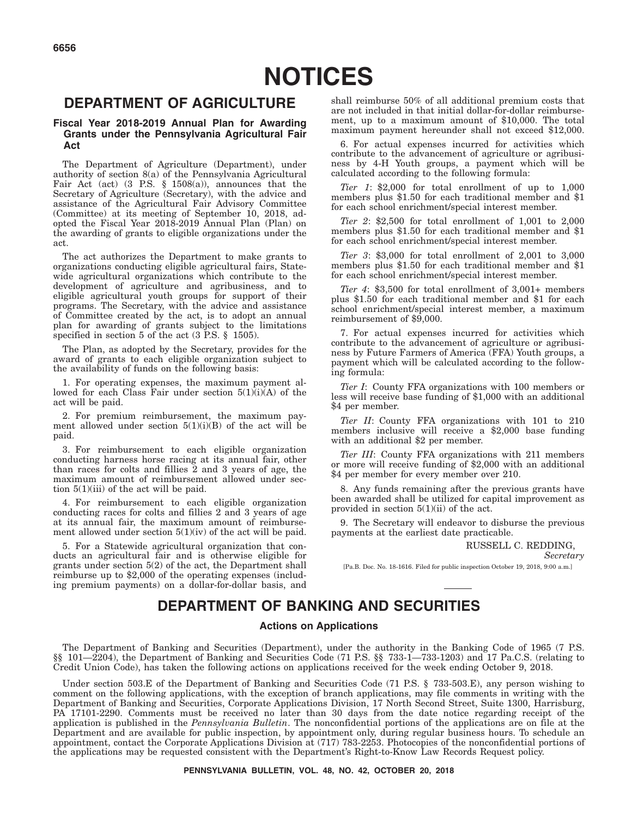# **DEPARTMENT OF AGRICULTURE**

#### **Fiscal Year 2018-2019 Annual Plan for Awarding Grants under the Pennsylvania Agricultural Fair Act**

The Department of Agriculture (Department), under authority of section 8(a) of the Pennsylvania Agricultural Fair Act (act)  $(3 \text{ P.S. } \S 1508(a))$ , announces that the Secretary of Agriculture (Secretary), with the advice and assistance of the Agricultural Fair Advisory Committee (Committee) at its meeting of September 10, 2018, adopted the Fiscal Year 2018-2019 Annual Plan (Plan) on the awarding of grants to eligible organizations under the act.

The act authorizes the Department to make grants to organizations conducting eligible agricultural fairs, Statewide agricultural organizations which contribute to the development of agriculture and agribusiness, and to eligible agricultural youth groups for support of their programs. The Secretary, with the advice and assistance of Committee created by the act, is to adopt an annual plan for awarding of grants subject to the limitations specified in section 5 of the act (3 P.S. § 1505).

The Plan, as adopted by the Secretary, provides for the award of grants to each eligible organization subject to the availability of funds on the following basis:

1. For operating expenses, the maximum payment allowed for each Class Fair under section 5(1)(i)(A) of the act will be paid.

2. For premium reimbursement, the maximum payment allowed under section  $5(1)(i)(B)$  of the act will be paid.

3. For reimbursement to each eligible organization conducting harness horse racing at its annual fair, other than races for colts and fillies 2 and 3 years of age, the maximum amount of reimbursement allowed under section 5(1)(iii) of the act will be paid.

4. For reimbursement to each eligible organization conducting races for colts and fillies 2 and 3 years of age at its annual fair, the maximum amount of reimbursement allowed under section  $5(1)(iv)$  of the act will be paid.

5. For a Statewide agricultural organization that conducts an agricultural fair and is otherwise eligible for grants under section 5(2) of the act, the Department shall reimburse up to \$2,000 of the operating expenses (including premium payments) on a dollar-for-dollar basis, and shall reimburse 50% of all additional premium costs that are not included in that initial dollar-for-dollar reimbursement, up to a maximum amount of \$10,000. The total maximum payment hereunder shall not exceed \$12,000.

6. For actual expenses incurred for activities which contribute to the advancement of agriculture or agribusiness by 4-H Youth groups, a payment which will be calculated according to the following formula:

*Tier 1*: \$2,000 for total enrollment of up to 1,000 members plus \$1.50 for each traditional member and \$1 for each school enrichment/special interest member.

*Tier 2*: \$2,500 for total enrollment of 1,001 to 2,000 members plus \$1.50 for each traditional member and \$1 for each school enrichment/special interest member.

*Tier 3*: \$3,000 for total enrollment of 2,001 to 3,000 members plus \$1.50 for each traditional member and \$1 for each school enrichment/special interest member.

*Tier 4*: \$3,500 for total enrollment of 3,001+ members plus \$1.50 for each traditional member and \$1 for each school enrichment/special interest member, a maximum reimbursement of \$9,000.

7. For actual expenses incurred for activities which contribute to the advancement of agriculture or agribusiness by Future Farmers of America (FFA) Youth groups, a payment which will be calculated according to the following formula:

*Tier I*: County FFA organizations with 100 members or less will receive base funding of \$1,000 with an additional \$4 per member.

*Tier II*: County FFA organizations with 101 to 210 members inclusive will receive a \$2,000 base funding with an additional \$2 per member.

*Tier III*: County FFA organizations with 211 members or more will receive funding of \$2,000 with an additional \$4 per member for every member over 210.

8. Any funds remaining after the previous grants have been awarded shall be utilized for capital improvement as provided in section  $5(1)(ii)$  of the act.

9. The Secretary will endeavor to disburse the previous payments at the earliest date practicable.

RUSSELL C. REDDING,

*Secretary*

[Pa.B. Doc. No. 18-1616. Filed for public inspection October 19, 2018, 9:00 a.m.]

# **DEPARTMENT OF BANKING AND SECURITIES**

#### **Actions on Applications**

The Department of Banking and Securities (Department), under the authority in the Banking Code of 1965 (7 P.S. §§ 101—2204), the Department of Banking and Securities Code (71 P.S. §§ 733-1—733-1203) and 17 Pa.C.S. (relating to Credit Union Code), has taken the following actions on applications received for the week ending October 9, 2018.

Under section 503.E of the Department of Banking and Securities Code (71 P.S. § 733-503.E), any person wishing to comment on the following applications, with the exception of branch applications, may file comments in writing with the Department of Banking and Securities, Corporate Applications Division, 17 North Second Street, Suite 1300, Harrisburg, PA 17101-2290. Comments must be received no later than 30 days from the date notice regarding receipt of the application is published in the *Pennsylvania Bulletin*. The nonconfidential portions of the applications are on file at the Department and are available for public inspection, by appointment only, during regular business hours. To schedule an appointment, contact the Corporate Applications Division at (717) 783-2253. Photocopies of the nonconfidential portions of the applications may be requested consistent with the Department's Right-to-Know Law Records Request policy.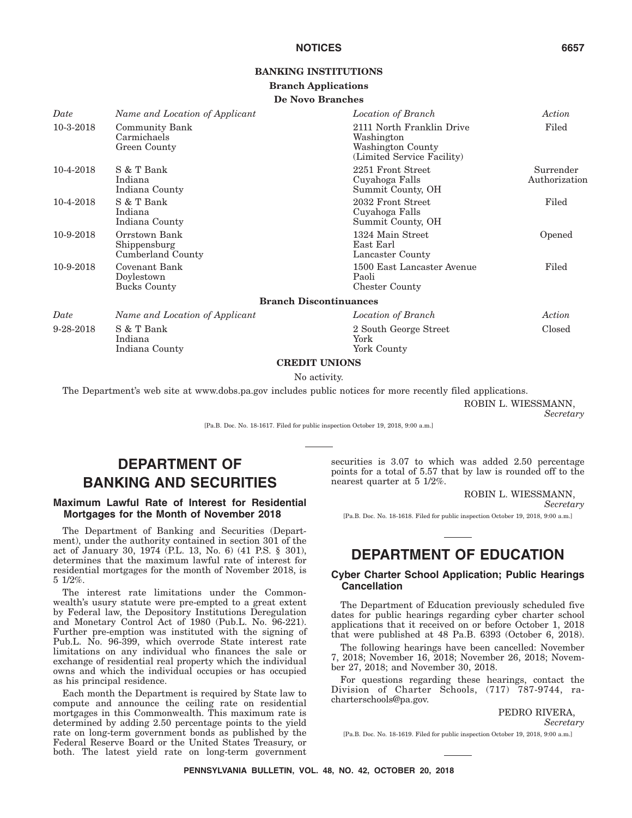#### **BANKING INSTITUTIONS**

#### **Branch Applications**

#### **De Novo Branches**

| Date      | Name and Location of Applicant                       | Location of Branch                                                                         | Action                     |
|-----------|------------------------------------------------------|--------------------------------------------------------------------------------------------|----------------------------|
| 10-3-2018 | <b>Community Bank</b><br>Carmichaels<br>Green County | 2111 North Franklin Drive<br>Washington<br>Washington County<br>(Limited Service Facility) | Filed                      |
| 10-4-2018 | S & T Bank<br>Indiana<br>Indiana County              | 2251 Front Street<br>Cuyahoga Falls<br>Summit County, OH                                   | Surrender<br>Authorization |
| 10-4-2018 | S & T Bank<br>Indiana<br>Indiana County              | 2032 Front Street<br>Cuyahoga Falls<br>Summit County, OH                                   | Filed                      |
| 10-9-2018 | Orrstown Bank<br>Shippensburg<br>Cumberland County   | 1324 Main Street<br>East Earl<br>Lancaster County                                          | Opened                     |
| 10-9-2018 | Covenant Bank<br>Doylestown<br><b>Bucks County</b>   | 1500 East Lancaster Avenue<br>Paoli<br><b>Chester County</b>                               | Filed                      |
|           |                                                      | <b>Branch Discontinuances</b>                                                              |                            |
| Date      | Name and Location of Applicant                       | Location of Branch                                                                         | Action                     |
| 9-28-2018 | S & T Bank<br>Indiana<br>Indiana County              | 2 South George Street<br>York<br>York County                                               | Closed                     |

#### **CREDIT UNIONS**

#### No activity.

The Department's web site at www.dobs.pa.gov includes public notices for more recently filed applications.

ROBIN L. WIESSMANN,

*Secretary*

[Pa.B. Doc. No. 18-1617. Filed for public inspection October 19, 2018, 9:00 a.m.]

# **DEPARTMENT OF BANKING AND SECURITIES**

#### **Maximum Lawful Rate of Interest for Residential Mortgages for the Month of November 2018**

The Department of Banking and Securities (Department), under the authority contained in section 301 of the act of January 30, 1974 (P.L. 13, No. 6) (41 P.S. § 301), determines that the maximum lawful rate of interest for residential mortgages for the month of November 2018, is 5 1/2%.

The interest rate limitations under the Commonwealth's usury statute were pre-empted to a great extent by Federal law, the Depository Institutions Deregulation and Monetary Control Act of 1980 (Pub.L. No. 96-221). Further pre-emption was instituted with the signing of Pub.L. No. 96-399, which overrode State interest rate limitations on any individual who finances the sale or exchange of residential real property which the individual owns and which the individual occupies or has occupied as his principal residence.

Each month the Department is required by State law to compute and announce the ceiling rate on residential mortgages in this Commonwealth. This maximum rate is determined by adding 2.50 percentage points to the yield rate on long-term government bonds as published by the Federal Reserve Board or the United States Treasury, or both. The latest yield rate on long-term government securities is 3.07 to which was added 2.50 percentage points for a total of 5.57 that by law is rounded off to the nearest quarter at 5 1/2%.

ROBIN L. WIESSMANN,

*Secretary*

[Pa.B. Doc. No. 18-1618. Filed for public inspection October 19, 2018, 9:00 a.m.]

# **DEPARTMENT OF EDUCATION**

#### **Cyber Charter School Application; Public Hearings Cancellation**

The Department of Education previously scheduled five dates for public hearings regarding cyber charter school applications that it received on or before October 1, 2018 that were published at 48 Pa.B. 6393 (October 6, 2018).

The following hearings have been cancelled: November 7, 2018; November 16, 2018; November 26, 2018; November 27, 2018; and November 30, 2018.

For questions regarding these hearings, contact the Division of Charter Schools, (717) 787-9744, racharterschools@pa.gov.

PEDRO RIVERA,

*Secretary*

[Pa.B. Doc. No. 18-1619. Filed for public inspection October 19, 2018, 9:00 a.m.]

**PENNSYLVANIA BULLETIN, VOL. 48, NO. 42, OCTOBER 20, 2018**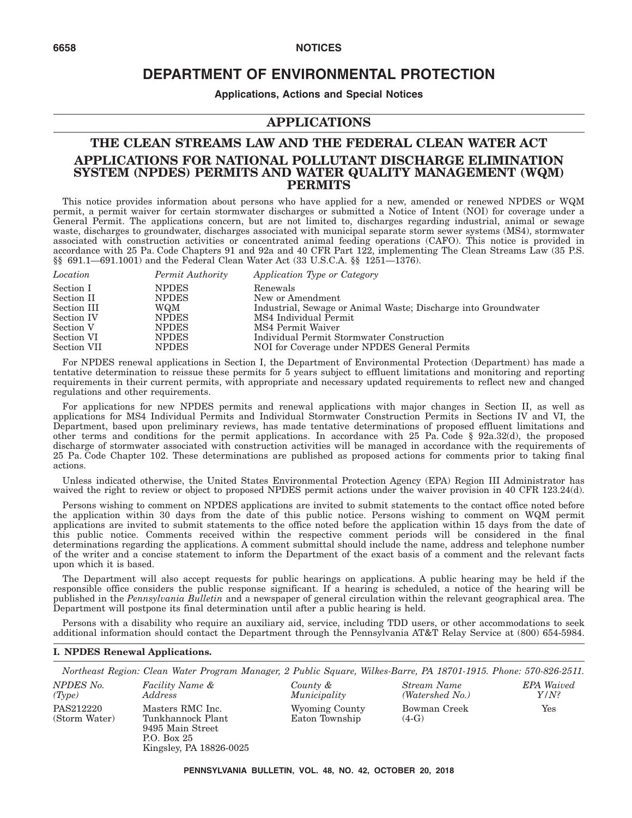# **DEPARTMENT OF ENVIRONMENTAL PROTECTION**

**Applications, Actions and Special Notices**

# **APPLICATIONS**

# **THE CLEAN STREAMS LAW AND THE FEDERAL CLEAN WATER ACT APPLICATIONS FOR NATIONAL POLLUTANT DISCHARGE ELIMINATION SYSTEM (NPDES) PERMITS AND WATER QUALITY MANAGEMENT (WQM) PERMITS**

This notice provides information about persons who have applied for a new, amended or renewed NPDES or WQM permit, a permit waiver for certain stormwater discharges or submitted a Notice of Intent (NOI) for coverage under a General Permit. The applications concern, but are not limited to, discharges regarding industrial, animal or sewage waste, discharges to groundwater, discharges associated with municipal separate storm sewer systems (MS4), stormwater associated with construction activities or concentrated animal feeding operations (CAFO). This notice is provided in accordance with 25 Pa. Code Chapters 91 and 92a and 40 CFR Part 122, implementing The Clean Streams Law (35 P.S. §§ 691.1—691.1001) and the Federal Clean Water Act (33 U.S.C.A. §§ 1251—1376).

| Location    | Permit Authority | Application Type or Category                                   |
|-------------|------------------|----------------------------------------------------------------|
| Section I   | <b>NPDES</b>     | Renewals                                                       |
| Section II  | <b>NPDES</b>     | New or Amendment                                               |
| Section III | WQM              | Industrial, Sewage or Animal Waste; Discharge into Groundwater |
| Section IV  | <b>NPDES</b>     | MS4 Individual Permit                                          |
| Section V   | <b>NPDES</b>     | MS4 Permit Waiver                                              |
| Section VI  | <b>NPDES</b>     | Individual Permit Stormwater Construction                      |
| Section VII | <b>NPDES</b>     | NOI for Coverage under NPDES General Permits                   |

For NPDES renewal applications in Section I, the Department of Environmental Protection (Department) has made a tentative determination to reissue these permits for 5 years subject to effluent limitations and monitoring and reporting requirements in their current permits, with appropriate and necessary updated requirements to reflect new and changed regulations and other requirements.

For applications for new NPDES permits and renewal applications with major changes in Section II, as well as applications for MS4 Individual Permits and Individual Stormwater Construction Permits in Sections IV and VI, the Department, based upon preliminary reviews, has made tentative determinations of proposed effluent limitations and other terms and conditions for the permit applications. In accordance with 25 Pa. Code § 92a.32(d), the proposed discharge of stormwater associated with construction activities will be managed in accordance with the requirements of 25 Pa. Code Chapter 102. These determinations are published as proposed actions for comments prior to taking final actions.

Unless indicated otherwise, the United States Environmental Protection Agency (EPA) Region III Administrator has waived the right to review or object to proposed NPDES permit actions under the waiver provision in 40 CFR 123.24(d).

Persons wishing to comment on NPDES applications are invited to submit statements to the contact office noted before the application within 30 days from the date of this public notice. Persons wishing to comment on WQM permit applications are invited to submit statements to the office noted before the application within 15 days from the date of this public notice. Comments received within the respective comment periods will be considered in the final determinations regarding the applications. A comment submittal should include the name, address and telephone number of the writer and a concise statement to inform the Department of the exact basis of a comment and the relevant facts upon which it is based.

The Department will also accept requests for public hearings on applications. A public hearing may be held if the responsible office considers the public response significant. If a hearing is scheduled, a notice of the hearing will be published in the *Pennsylvania Bulletin* and a newspaper of general circulation within the relevant geographical area. The Department will postpone its final determination until after a public hearing is held.

Persons with a disability who require an auxiliary aid, service, including TDD users, or other accommodations to seek additional information should contact the Department through the Pennsylvania AT&T Relay Service at (800) 654-5984.

#### **I. NPDES Renewal Applications.**

*Northeast Region: Clean Water Program Manager, 2 Public Square, Wilkes-Barre, PA 18701-1915. Phone: 570-826-2511. NPDES No. (Type) Facility Name & Address County & Municipality Stream Name (Watershed No.) EPA Waived Y/N?* PAS212220 (Storm Water) Masters RMC Inc. Tunkhannock Plant 9495 Main Street P.O. Box 25 Kingsley, PA 18826-0025 Wyoming County Eaton Township Bowman Creek  $(4-G)$ Yes

**PENNSYLVANIA BULLETIN, VOL. 48, NO. 42, OCTOBER 20, 2018**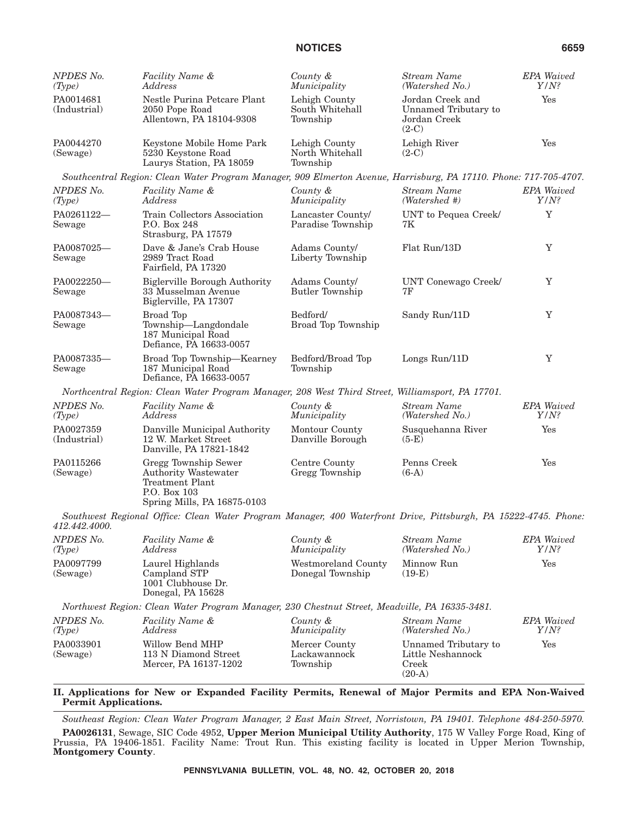| <b>NPDES No.</b><br>(Type) | Facility Name &<br>Address                                                                                            | County &<br>Municipality                     | <b>Stream Name</b><br>(Watershed No.)                               | <b>EPA</b> Waived<br>$Y/N$ ? |
|----------------------------|-----------------------------------------------------------------------------------------------------------------------|----------------------------------------------|---------------------------------------------------------------------|------------------------------|
| PA0014681<br>(Industrial)  | Nestle Purina Petcare Plant<br>2050 Pope Road<br>Allentown, PA 18104-9308                                             | Lehigh County<br>South Whitehall<br>Township | Jordan Creek and<br>Unnamed Tributary to<br>Jordan Creek<br>$(2-C)$ | Yes                          |
| PA0044270<br>(Sewage)      | Keystone Mobile Home Park<br>5230 Keystone Road<br>Laurys Station, PA 18059                                           | Lehigh County<br>North Whitehall<br>Township | Lehigh River<br>$(2-C)$                                             | Yes                          |
|                            | Southcentral Region: Clean Water Program Manager, 909 Elmerton Avenue, Harrisburg, PA 17110. Phone: 717-705-4707.     |                                              |                                                                     |                              |
| NPDES No.<br>(Type)        | Facility Name &<br>Address                                                                                            | County &<br>Municipality                     | <b>Stream Name</b><br>$(Watershed\#)$                               | <b>EPA</b> Waived<br>$Y/N$ ? |
| PA0261122-<br>Sewage       | Train Collectors Association<br>P.O. Box 248<br>Strasburg, PA 17579                                                   | Lancaster County/<br>Paradise Township       | UNT to Pequea Creek/<br>7K                                          | Y                            |
| PA0087025-<br>Sewage       | Dave & Jane's Crab House<br>2989 Tract Road<br>Fairfield, PA 17320                                                    | Adams County/<br>Liberty Township            | Flat Run/13D                                                        | Y                            |
| PA0022250-<br>Sewage       | <b>Biglerville Borough Authority</b><br>33 Musselman Avenue<br>Biglerville, PA 17307                                  | Adams County/<br><b>Butler Township</b>      | UNT Conewago Creek/<br>7F                                           | Y                            |
| PA0087343-<br>Sewage       | Broad Top<br>Township-Langdondale<br>187 Municipal Road<br>Defiance, PA 16633-0057                                    | Bedford/<br>Broad Top Township               | Sandy Run/11D                                                       | Y                            |
| PA0087335-<br>Sewage       | Broad Top Township-Kearney<br>187 Municipal Road<br>Defiance, PA 16633-0057                                           | Bedford/Broad Top<br>Township                | Longs Run/11D                                                       | Y                            |
|                            | Northcentral Region: Clean Water Program Manager, 208 West Third Street, Williamsport, PA 17701.                      |                                              |                                                                     |                              |
| NPDES No.<br>(Type)        | Facility Name &<br>Address                                                                                            | County &<br>Municipality                     | <b>Stream Name</b><br>(Watershed No.)                               | <b>EPA</b> Waived<br>$Y/N$ ? |
| PA0027359<br>(Industrial)  | Danville Municipal Authority<br>12 W. Market Street<br>Danville, PA 17821-1842                                        | Montour County<br>Danville Borough           | Susquehanna River<br>$(5-E)$                                        | Yes                          |
| PA0115266<br>(Sewage)      | Gregg Township Sewer<br>Authority Wastewater<br><b>Treatment Plant</b><br>P.O. Box 103<br>Spring Mills, PA 16875-0103 | Centre County<br>Gregg Township              | Penns Creek<br>$(6-A)$                                              | Yes                          |
| 412.442.4000.              | Southwest Regional Office: Clean Water Program Manager, 400 Waterfront Drive, Pittsburgh, PA 15222-4745. Phone:       |                                              |                                                                     |                              |
| NPDES No.<br>(Type)        | Facility Name &<br>Address                                                                                            | County &<br>Municipality                     | <b>Stream Name</b><br>(Watershed No.)                               | <b>EPA</b> Waived<br>$Y/N$ ? |
| PA0097799<br>(Sewage)      | Laurel Highlands<br>Campland STP<br>1001 Clubhouse Dr.<br>Donegal, PA 15628                                           | Westmoreland County<br>Donegal Township      | Minnow Run<br>$(19-E)$                                              | Yes                          |
|                            | Northwest Region: Clean Water Program Manager, 230 Chestnut Street, Meadville, PA 16335-3481.                         |                                              |                                                                     |                              |
| NPDES No.<br>(Type)        | <i>Facility Name &amp;</i><br>Address                                                                                 | County &<br>Municipality                     | <b>Stream Name</b><br>(Watershed No.)                               | <b>EPA</b> Waived<br>$Y/N$ ? |
| PA0033901<br>(Sewage)      | Willow Bend MHP<br>113 N Diamond Street<br>Mercer, PA 16137-1202                                                      | Mercer County<br>Lackawannock<br>Township    | Unnamed Tributary to<br>Little Neshannock<br>Creek                  | Yes                          |

#### **II. Applications for New or Expanded Facility Permits, Renewal of Major Permits and EPA Non-Waived Permit Applications.**

*Southeast Region: Clean Water Program Manager, 2 East Main Street, Norristown, PA 19401. Telephone 484-250-5970.*

(20-A)

**PA0026131**, Sewage, SIC Code 4952, **Upper Merion Municipal Utility Authority**, 175 W Valley Forge Road, King of Prussia, PA 19406-1851. Facility Name: Trout Run. This existing facility is located in Upper Merion Township, **Montgomery County**.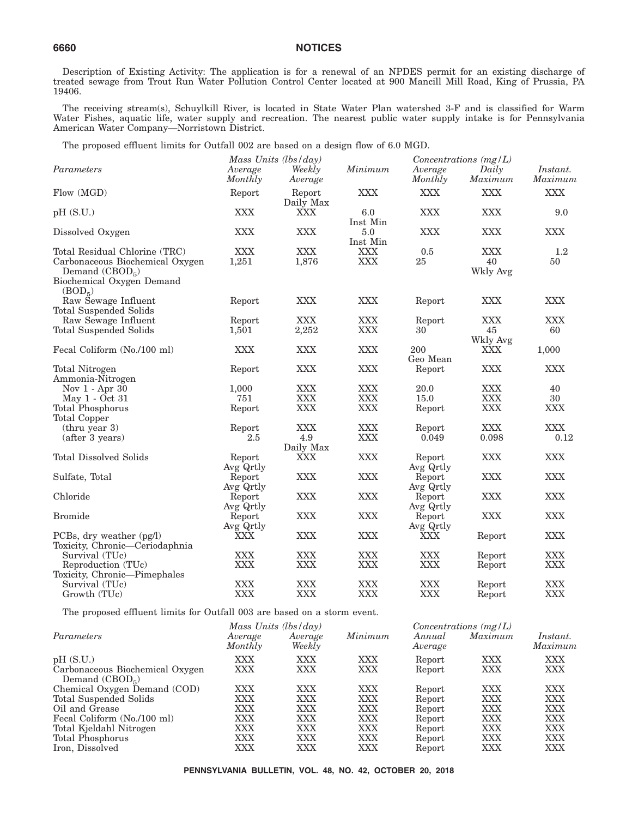Description of Existing Activity: The application is for a renewal of an NPDES permit for an existing discharge of treated sewage from Trout Run Water Pollution Control Center located at 900 Mancill Mill Road, King of Prussia, PA 19406.

The receiving stream(s), Schuylkill River, is located in State Water Plan watershed 3-F and is classified for Warm Water Fishes, aquatic life, water supply and recreation. The nearest public water supply intake is for Pennsylvania American Water Company—Norristown District.

The proposed effluent limits for Outfall 002 are based on a design flow of 6.0 MGD.

|                                                                                                                                          |                     | Mass Units $(lbs/day)$ |                          |                     | Concentrations $(mg/L)$      |                     |
|------------------------------------------------------------------------------------------------------------------------------------------|---------------------|------------------------|--------------------------|---------------------|------------------------------|---------------------|
| Parameters                                                                                                                               | Average<br>Monthly  | Weekly<br>Average      | Minimum                  | Average<br>Monthly  | Daily<br>Maximum             | Instant.<br>Maximum |
| Flow (MGD)                                                                                                                               | Report              | Report<br>Daily Max    | <b>XXX</b>               | <b>XXX</b>          | <b>XXX</b>                   | <b>XXX</b>          |
| pH (S.U.)                                                                                                                                | <b>XXX</b>          | <b>XXX</b>             | 6.0<br>Inst Min          | <b>XXX</b>          | <b>XXX</b>                   | 9.0                 |
| Dissolved Oxygen                                                                                                                         | <b>XXX</b>          | <b>XXX</b>             | 5.0<br>Inst Min          | <b>XXX</b>          | <b>XXX</b>                   | <b>XXX</b>          |
| Total Residual Chlorine (TRC)<br>Carbonaceous Biochemical Oxygen<br>Demand $(CBOD5)$<br>Biochemical Oxygen Demand<br>(BOD <sub>5</sub> ) | <b>XXX</b><br>1,251 | <b>XXX</b><br>1,876    | <b>XXX</b><br><b>XXX</b> | 0.5<br>25           | <b>XXX</b><br>40<br>Wkly Avg | 1.2<br>50           |
| Raw Sewage Influent<br>Total Suspended Solids                                                                                            | Report              | <b>XXX</b>             | <b>XXX</b>               | Report              | <b>XXX</b>                   | <b>XXX</b>          |
| Raw Sewage Influent<br>Total Suspended Solids                                                                                            | Report<br>1,501     | <b>XXX</b><br>2,252    | <b>XXX</b><br><b>XXX</b> | Report<br>30        | <b>XXX</b><br>45<br>Wkly Avg | <b>XXX</b><br>60    |
| Fecal Coliform (No./100 ml)                                                                                                              | <b>XXX</b>          | <b>XXX</b>             | <b>XXX</b>               | 200<br>Geo Mean     | <b>XXX</b>                   | 1,000               |
| <b>Total Nitrogen</b><br>Ammonia-Nitrogen                                                                                                | Report              | <b>XXX</b>             | <b>XXX</b>               | Report              | <b>XXX</b>                   | <b>XXX</b>          |
| Nov $1 -$ Apr 30                                                                                                                         | 1,000               | <b>XXX</b>             | <b>XXX</b>               | 20.0                | XXX                          | 40                  |
| May 1 - Oct 31                                                                                                                           | 751                 | <b>XXX</b>             | XXX                      | 15.0                | <b>XXX</b>                   | 30                  |
| <b>Total Phosphorus</b><br>Total Copper                                                                                                  | Report              | <b>XXX</b>             | <b>XXX</b>               | Report              | <b>XXX</b>                   | <b>XXX</b>          |
| (thru year 3)                                                                                                                            | Report              | <b>XXX</b>             | <b>XXX</b>               | Report              | <b>XXX</b>                   | <b>XXX</b>          |
| (after 3 years)                                                                                                                          | 2.5                 | 4.9<br>Daily Max       | <b>XXX</b>               | 0.049               | 0.098                        | 0.12                |
| <b>Total Dissolved Solids</b>                                                                                                            | Report<br>Avg Qrtly | <b>XXX</b>             | <b>XXX</b>               | Report<br>Avg Qrtly | <b>XXX</b>                   | <b>XXX</b>          |
| Sulfate, Total                                                                                                                           | Report<br>Avg Qrtly | <b>XXX</b>             | <b>XXX</b>               | Report<br>Avg Qrtly | <b>XXX</b>                   | <b>XXX</b>          |
| Chloride                                                                                                                                 | Report<br>Avg Qrtly | <b>XXX</b>             | <b>XXX</b>               | Report<br>Avg Qrtly | <b>XXX</b>                   | <b>XXX</b>          |
| <b>Bromide</b>                                                                                                                           | Report<br>Avg Qrtly | <b>XXX</b>             | <b>XXX</b>               | Report<br>Avg Qrtly | <b>XXX</b>                   | <b>XXX</b>          |
| PCBs, dry weather $(pg/l)$<br>Toxicity, Chronic—Ceriodaphnia                                                                             | XXX                 | <b>XXX</b>             | <b>XXX</b>               | XXX                 | Report                       | <b>XXX</b>          |
| Survival (TUc)                                                                                                                           | <b>XXX</b>          | <b>XXX</b>             | <b>XXX</b>               | <b>XXX</b>          | Report                       | <b>XXX</b>          |
| Reproduction (TUc)<br>Toxicity, Chronic—Pimephales                                                                                       | <b>XXX</b>          | <b>XXX</b>             | <b>XXX</b>               | <b>XXX</b>          | Report                       | <b>XXX</b>          |
| Survival (TUc)                                                                                                                           | <b>XXX</b>          | <b>XXX</b>             | <b>XXX</b>               | <b>XXX</b>          | Report                       | <b>XXX</b>          |
| Growth (TUc)                                                                                                                             | <b>XXX</b>          | <b>XXX</b>             | <b>XXX</b>               | <b>XXX</b>          | Report                       | <b>XXX</b>          |

The proposed effluent limits for Outfall 003 are based on a storm event.

| Average<br>Monthly | Average<br>Weekly | Minimum                | Annual<br>Average | Maximum | Instant.<br>Maximum     |
|--------------------|-------------------|------------------------|-------------------|---------|-------------------------|
| XXX                | XXX               | XXX                    | Report            | XXX     | XXX                     |
| XXX                | XXX               | XXX                    | Report            | XXX     | XXX                     |
| <b>XXX</b>         | XXX               | <b>XXX</b>             | Report            | XXX     | XXX                     |
| XXX                | XXX               | XXX                    | Report            | XXX     | XXX                     |
| XXX                | XXX               | XXX                    | Report            | XXX     | XXX                     |
| <b>XXX</b>         | XXX               | <b>XXX</b>             | Report            | XXX     | XXX                     |
| <b>XXX</b>         | XXX               | XXX                    | Report            | XXX     | XXX                     |
| <b>XXX</b>         | XXX               | XXX                    | Report            | XXX     | XXX                     |
| XXX                | XXX               | XXX                    | Report            | XXX     | XXX                     |
|                    |                   | Mass Units $(lbs/day)$ |                   |         | Concentrations $(mg/L)$ |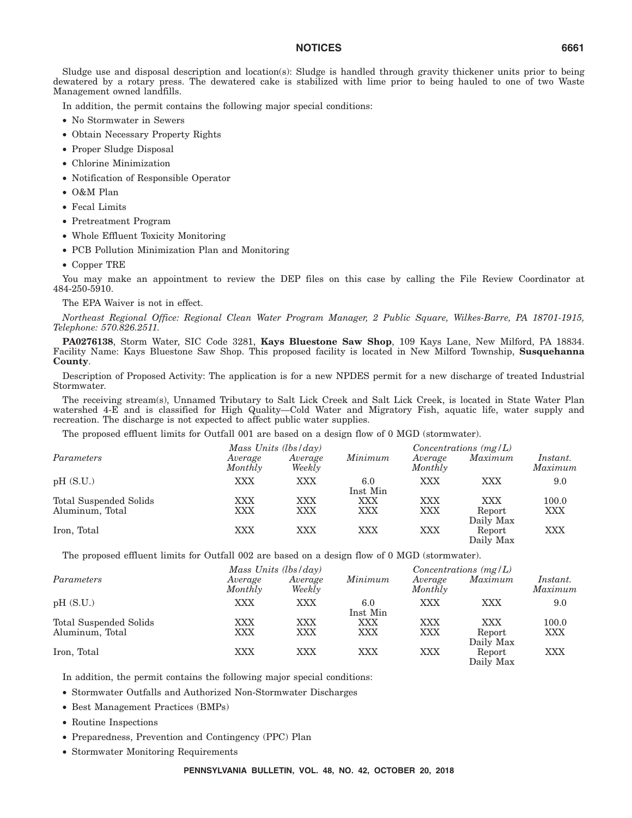Sludge use and disposal description and location(s): Sludge is handled through gravity thickener units prior to being dewatered by a rotary press. The dewatered cake is stabilized with lime prior to being hauled to one of two Waste Management owned landfills.

In addition, the permit contains the following major special conditions:

- No Stormwater in Sewers
- Obtain Necessary Property Rights
- Proper Sludge Disposal
- Chlorine Minimization
- Notification of Responsible Operator
- O&M Plan
- Fecal Limits
- Pretreatment Program
- Whole Effluent Toxicity Monitoring
- PCB Pollution Minimization Plan and Monitoring
- Copper TRE

You may make an appointment to review the DEP files on this case by calling the File Review Coordinator at 484-250-5910.

The EPA Waiver is not in effect.

*Northeast Regional Office: Regional Clean Water Program Manager, 2 Public Square, Wilkes-Barre, PA 18701-1915, Telephone: 570.826.2511.*

**PA0276138**, Storm Water, SIC Code 3281, **Kays Bluestone Saw Shop**, 109 Kays Lane, New Milford, PA 18834. Facility Name: Kays Bluestone Saw Shop. This proposed facility is located in New Milford Township, **Susquehanna County**.

Description of Proposed Activity: The application is for a new NPDES permit for a new discharge of treated Industrial Stormwater.

The receiving stream(s), Unnamed Tributary to Salt Lick Creek and Salt Lick Creek, is located in State Water Plan watershed 4-E and is classified for High Quality—Cold Water and Migratory Fish, aquatic life, water supply and recreation. The discharge is not expected to affect public water supplies.

The proposed effluent limits for Outfall 001 are based on a design flow of 0 MGD (stormwater).

|                        |                    | Mass Units $(lbs/day)$ |                 |                    | Concentrations $(mg/L)$ |                     |  |
|------------------------|--------------------|------------------------|-----------------|--------------------|-------------------------|---------------------|--|
| Parameters             | Average<br>Monthly | Average<br>Weekly      | Minimum         | Average<br>Monthly | Maximum                 | Instant.<br>Maximum |  |
| pH(S.U.)               | <b>XXX</b>         | XXX                    | 6.0<br>Inst Min | <b>XXX</b>         | XXX                     | 9.0                 |  |
| Total Suspended Solids | XXX                | XXX                    | XXX             | XXX                | XXX                     | 100.0               |  |
| Aluminum, Total        | XXX                | XXX                    | XXX             | XXX                | Report<br>Daily Max     | XXX                 |  |
| Iron, Total            | XXX                | XXX                    | XXX             | XXX                | Report<br>Daily Max     | XXX                 |  |

The proposed effluent limits for Outfall 002 are based on a design flow of 0 MGD (stormwater).

|                        |                    | Mass Units $(lbs/day)$ |                 |                    | Concentrations $(mg/L)$ |                            |  |
|------------------------|--------------------|------------------------|-----------------|--------------------|-------------------------|----------------------------|--|
| Parameters             | Average<br>Monthly | Average<br>Weekly      | Minimum         | Average<br>Monthly | Maximum                 | <i>Instant.</i><br>Maximum |  |
| pH(S.U.)               | <b>XXX</b>         | XXX                    | 6.0<br>Inst Min | <b>XXX</b>         | XXX                     | 9.0                        |  |
| Total Suspended Solids | XXX                | XXX                    | XXX             | <b>XXX</b>         | <b>XXX</b>              | 100.0                      |  |
| Aluminum, Total        | XXX                | XXX                    | XXX             | XXX                | Report<br>Daily Max     | XXX                        |  |
| Iron, Total            | <b>XXX</b>         | XXX                    | <b>XXX</b>      | XXX                | Report<br>Daily Max     | XXX                        |  |

In addition, the permit contains the following major special conditions:

- Stormwater Outfalls and Authorized Non-Stormwater Discharges
- Best Management Practices (BMPs)
- Routine Inspections
- Preparedness, Prevention and Contingency (PPC) Plan
- Stormwater Monitoring Requirements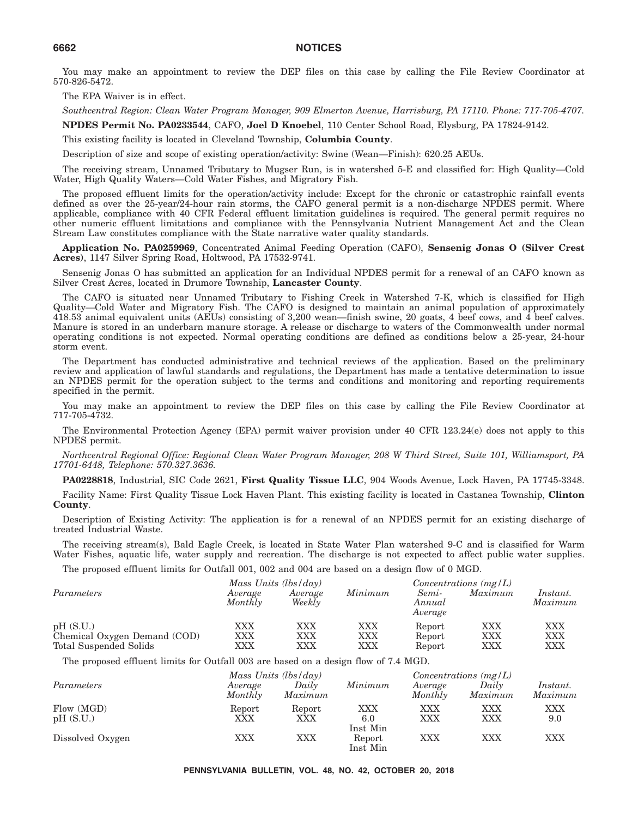You may make an appointment to review the DEP files on this case by calling the File Review Coordinator at 570-826-5472.

The EPA Waiver is in effect.

*Southcentral Region: Clean Water Program Manager, 909 Elmerton Avenue, Harrisburg, PA 17110. Phone: 717-705-4707.*

**NPDES Permit No. PA0233544**, CAFO, **Joel D Knoebel**, 110 Center School Road, Elysburg, PA 17824-9142.

This existing facility is located in Cleveland Township, **Columbia County**.

Description of size and scope of existing operation/activity: Swine (Wean—Finish): 620.25 AEUs.

The receiving stream, Unnamed Tributary to Mugser Run, is in watershed 5-E and classified for: High Quality—Cold Water, High Quality Waters—Cold Water Fishes, and Migratory Fish.

The proposed effluent limits for the operation/activity include: Except for the chronic or catastrophic rainfall events defined as over the 25-year/24-hour rain storms, the CAFO general permit is a non-discharge NPDES permit. Where applicable, compliance with 40 CFR Federal effluent limitation guidelines is required. The general permit requires no other numeric effluent limitations and compliance with the Pennsylvania Nutrient Management Act and the Clean Stream Law constitutes compliance with the State narrative water quality standards.

**Application No. PA0259969**, Concentrated Animal Feeding Operation (CAFO), **Sensenig Jonas O (Silver Crest Acres)**, 1147 Silver Spring Road, Holtwood, PA 17532-9741.

Sensenig Jonas O has submitted an application for an Individual NPDES permit for a renewal of an CAFO known as Silver Crest Acres, located in Drumore Township, **Lancaster County**.

The CAFO is situated near Unnamed Tributary to Fishing Creek in Watershed 7-K, which is classified for High Quality—Cold Water and Migratory Fish. The CAFO is designed to maintain an animal population of approximately 418.53 animal equivalent units (AEUs) consisting of 3,200 wean—finish swine, 20 goats, 4 beef cows, and 4 beef calves. Manure is stored in an underbarn manure storage. A release or discharge to waters of the Commonwealth under normal operating conditions is not expected. Normal operating conditions are defined as conditions below a 25-year, 24-hour storm event.

The Department has conducted administrative and technical reviews of the application. Based on the preliminary review and application of lawful standards and regulations, the Department has made a tentative determination to issue an NPDES permit for the operation subject to the terms and conditions and monitoring and reporting requirements specified in the permit.

You may make an appointment to review the DEP files on this case by calling the File Review Coordinator at 717-705-4732.

The Environmental Protection Agency (EPA) permit waiver provision under 40 CFR 123.24(e) does not apply to this NPDES permit.

*Northcentral Regional Office: Regional Clean Water Program Manager, 208 W Third Street, Suite 101, Williamsport, PA 17701-6448, Telephone: 570.327.3636.*

**PA0228818**, Industrial, SIC Code 2621, **First Quality Tissue LLC**, 904 Woods Avenue, Lock Haven, PA 17745-3348.

Facility Name: First Quality Tissue Lock Haven Plant. This existing facility is located in Castanea Township, **Clinton County**.

Description of Existing Activity: The application is for a renewal of an NPDES permit for an existing discharge of treated Industrial Waste.

The receiving stream(s), Bald Eagle Creek, is located in State Water Plan watershed 9-C and is classified for Warm Water Fishes, aquatic life, water supply and recreation. The discharge is not expected to affect public water supplies.

The proposed effluent limits for Outfall 001, 002 and 004 are based on a design flow of 0 MGD.

|                                                        | Mass Units (lbs/day) |                   |            | Concentrations $(mg/L)$    |            |                     |
|--------------------------------------------------------|----------------------|-------------------|------------|----------------------------|------------|---------------------|
| Parameters                                             | Average<br>Monthly   | Average<br>Weekly | Minimum    | Semi-<br>Annual<br>Average | Maximum    | Instant.<br>Maximum |
| pH(S.U.)                                               | XXX                  | XXX               | <b>XXX</b> | Report                     | XXX        | XXX                 |
| Chemical Oxygen Demand (COD)<br>Total Suspended Solids | $\rm XXX$<br>XXX     | XXX<br>XXX        | XXX<br>XXX | Report<br>Report           | XXX<br>XXX | XXX<br>XXX          |

The proposed effluent limits for Outfall 003 are based on a design flow of 7.4 MGD.

|                        |                    | Mass Units $(lbs/day)$ |                                |                    | Concentrations $(mg/L)$  |                     |  |
|------------------------|--------------------|------------------------|--------------------------------|--------------------|--------------------------|---------------------|--|
| Parameters             | Average<br>Monthly | Daily<br>Maximum       | Minimum                        | Average<br>Monthly | Daily<br>Maximum         | Instant.<br>Maximum |  |
| Flow (MGD)<br>pH(S.U.) | Report<br>XXX      | Report<br>XXX          | <b>XXX</b><br>6.0              | XXX<br>XXX         | <b>XXX</b><br><b>XXX</b> | XXX<br>9.0          |  |
| Dissolved Oxygen       | XXX                | XXX                    | Inst Min<br>Report<br>Inst Min | XXX                | XXX                      | XXX                 |  |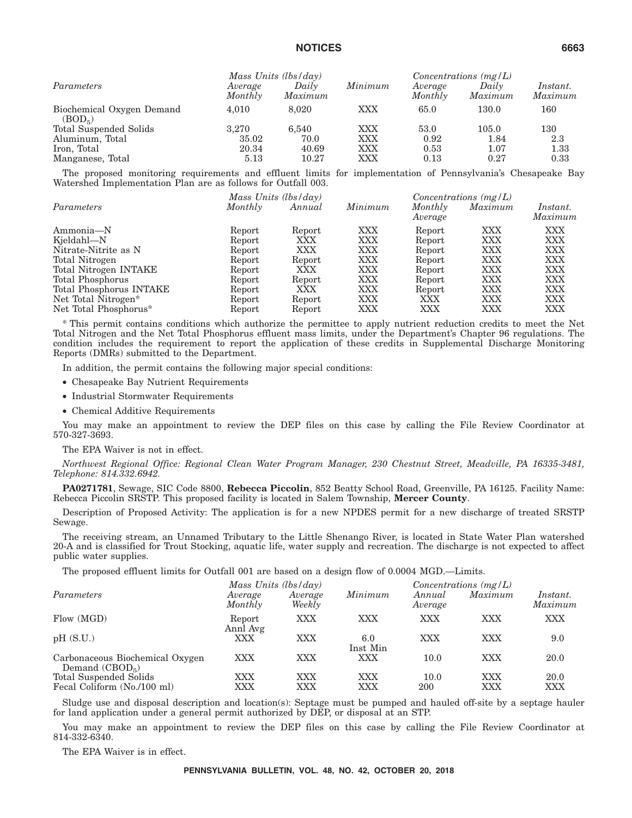|                                               | Mass Units (lbs/day) |                  |         | Concentrations $(mg/L)$ |                  |                     |
|-----------------------------------------------|----------------------|------------------|---------|-------------------------|------------------|---------------------|
| Parameters                                    | Average<br>Monthly   | Daily<br>Maximum | Minimum | Average<br>Monthly      | Daily<br>Maximum | Instant.<br>Maximum |
| Biochemical Oxygen Demand<br>$(BOD_{\kappa})$ | 4.010                | 8.020            | XXX     | 65.0                    | 130.0            | 160                 |
| Total Suspended Solids                        | 3.270                | 6.540            | XXX     | 53.0                    | 105.0            | 130                 |
| Aluminum, Total                               | 35.02                | 70.0             | XXX     | 0.92                    | 1.84             | 2.3                 |
| Iron, Total                                   | 20.34                | 40.69            | XXX     | 0.53                    | 1.07             | 1.33                |
| Manganese, Total                              | 5.13                 | 10.27            | XXX     | 0.13                    | 0.27             | 0.33                |

The proposed monitoring requirements and effluent limits for implementation of Pennsylvania's Chesapeake Bay Watershed Implementation Plan are as follows for Outfall 003.

|                         | Mass Units (lbs/day) |        |            | Concentrations $(mg/L)$ |            |                 |
|-------------------------|----------------------|--------|------------|-------------------------|------------|-----------------|
| Parameters              | Monthly              | Annual | Minimum    | Monthly                 | Maximum    | <i>Instant.</i> |
|                         |                      |        |            | Average                 |            | Maximum         |
| Ammonia-N               | Report               | Report | XXX        | Report                  | XXX        | XXX             |
| Kjeldahl-N              | Report               | XXX    | XXX        | Report                  | <b>XXX</b> | <b>XXX</b>      |
| Nitrate-Nitrite as N    | Report               | XXX    | XXX        | Report                  | <b>XXX</b> | <b>XXX</b>      |
| Total Nitrogen          | Report               | Report | XXX        | Report                  | <b>XXX</b> | <b>XXX</b>      |
| Total Nitrogen INTAKE   | Report               | XXX    | XXX        | Report                  | <b>XXX</b> | <b>XXX</b>      |
| Total Phosphorus        | Report               | Report | XXX        | Report                  | <b>XXX</b> | <b>XXX</b>      |
| Total Phosphorus INTAKE | Report               | XXX    | XXX        | Report                  | <b>XXX</b> | <b>XXX</b>      |
| Net Total Nitrogen*     | Report               | Report | <b>XXX</b> | XXX                     | XXX        | <b>XXX</b>      |
| Net Total Phosphorus*   | Report               | Report | XXX        | XXX                     | XXX        | XXX             |

\* This permit contains conditions which authorize the permittee to apply nutrient reduction credits to meet the Net Total Nitrogen and the Net Total Phosphorus effluent mass limits, under the Department's Chapter 96 regulations. The condition includes the requirement to report the application of these credits in Supplemental Discharge Monitoring Reports (DMRs) submitted to the Department.

In addition, the permit contains the following major special conditions:

- Chesapeake Bay Nutrient Requirements
- Industrial Stormwater Requirements
- Chemical Additive Requirements

You may make an appointment to review the DEP files on this case by calling the File Review Coordinator at 570-327-3693.

The EPA Waiver is not in effect.

*Northwest Regional Office: Regional Clean Water Program Manager, 230 Chestnut Street, Meadville, PA 16335-3481, Telephone: 814.332.6942.*

**PA0271781**, Sewage, SIC Code 8800, **Rebecca Piccolin**, 852 Beatty School Road, Greenville, PA 16125. Facility Name: Rebecca Piccolin SRSTP. This proposed facility is located in Salem Township, **Mercer County**.

Description of Proposed Activity: The application is for a new NPDES permit for a new discharge of treated SRSTP Sewage.

The receiving stream, an Unnamed Tributary to the Little Shenango River, is located in State Water Plan watershed 20-A and is classified for Trout Stocking, aquatic life, water supply and recreation. The discharge is not expected to affect public water supplies.

The proposed effluent limits for Outfall 001 are based on a design flow of 0.0004 MGD.—Limits.

|                                                     |                    | Mass Units $(lbs/day)$ |                 |                   | Concentrations $(mg/L)$ |                     |  |  |
|-----------------------------------------------------|--------------------|------------------------|-----------------|-------------------|-------------------------|---------------------|--|--|
| Parameters                                          | Average<br>Monthly | Average<br>Weekly      | Minimum         | Annual<br>Average | Maximum                 | Instant.<br>Maximum |  |  |
| Flow (MGD)                                          | Report<br>Annl Avg | XXX                    | XXX             | XXX               | XXX                     | XXX                 |  |  |
| pH(S.U.)                                            | XXX                | XXX                    | 6.0<br>Inst Min | XXX               | XXX                     | 9.0                 |  |  |
| Carbonaceous Biochemical Oxygen<br>Demand $(CBOD5)$ | XXX                | XXX                    | XXX             | 10.0              | XXX                     | 20.0                |  |  |
| Total Suspended Solids                              | XXX                | XXX                    | <b>XXX</b>      | 10.0              | XXX                     | 20.0                |  |  |
| Fecal Coliform (No./100 ml)                         | XXX                | XXX                    | XXX             | 200               | XXX                     | XXX                 |  |  |

Sludge use and disposal description and location(s): Septage must be pumped and hauled off-site by a septage hauler for land application under a general permit authorized by DEP, or disposal at an STP.

You may make an appointment to review the DEP files on this case by calling the File Review Coordinator at 814-332-6340.

The EPA Waiver is in effect.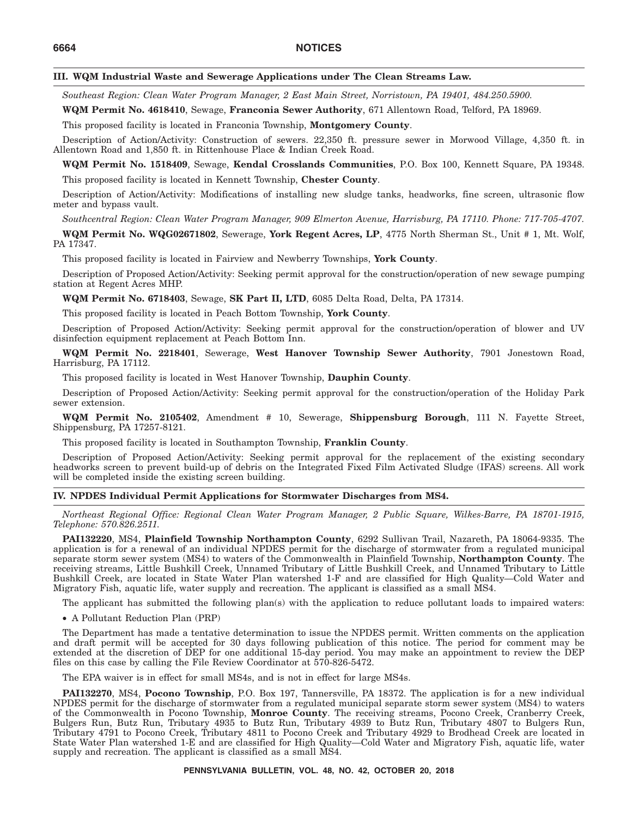#### **III. WQM Industrial Waste and Sewerage Applications under The Clean Streams Law.**

*Southeast Region: Clean Water Program Manager, 2 East Main Street, Norristown, PA 19401, 484.250.5900.*

**WQM Permit No. 4618410**, Sewage, **Franconia Sewer Authority**, 671 Allentown Road, Telford, PA 18969.

This proposed facility is located in Franconia Township, **Montgomery County**.

Description of Action/Activity: Construction of sewers. 22,350 ft. pressure sewer in Morwood Village, 4,350 ft. in Allentown Road and 1,850 ft. in Rittenhouse Place & Indian Creek Road.

**WQM Permit No. 1518409**, Sewage, **Kendal Crosslands Communities**, P.O. Box 100, Kennett Square, PA 19348. This proposed facility is located in Kennett Township, **Chester County**.

Description of Action/Activity: Modifications of installing new sludge tanks, headworks, fine screen, ultrasonic flow meter and bypass vault.

*Southcentral Region: Clean Water Program Manager, 909 Elmerton Avenue, Harrisburg, PA 17110. Phone: 717-705-4707.*

**WQM Permit No. WQG02671802**, Sewerage, **York Regent Acres, LP**, 4775 North Sherman St., Unit # 1, Mt. Wolf, PA 17347.

This proposed facility is located in Fairview and Newberry Townships, **York County**.

Description of Proposed Action/Activity: Seeking permit approval for the construction/operation of new sewage pumping station at Regent Acres MHP.

**WQM Permit No. 6718403**, Sewage, **SK Part II, LTD**, 6085 Delta Road, Delta, PA 17314.

This proposed facility is located in Peach Bottom Township, **York County**.

Description of Proposed Action/Activity: Seeking permit approval for the construction/operation of blower and UV disinfection equipment replacement at Peach Bottom Inn.

**WQM Permit No. 2218401**, Sewerage, **West Hanover Township Sewer Authority**, 7901 Jonestown Road, Harrisburg, PA 17112.

This proposed facility is located in West Hanover Township, **Dauphin County**.

Description of Proposed Action/Activity: Seeking permit approval for the construction/operation of the Holiday Park sewer extension.

**WQM Permit No. 2105402**, Amendment # 10, Sewerage, **Shippensburg Borough**, 111 N. Fayette Street, Shippensburg, PA 17257-8121.

This proposed facility is located in Southampton Township, **Franklin County**.

Description of Proposed Action/Activity: Seeking permit approval for the replacement of the existing secondary headworks screen to prevent build-up of debris on the Integrated Fixed Film Activated Sludge (IFAS) screens. All work will be completed inside the existing screen building.

#### **IV. NPDES Individual Permit Applications for Stormwater Discharges from MS4.**

*Northeast Regional Office: Regional Clean Water Program Manager, 2 Public Square, Wilkes-Barre, PA 18701-1915, Telephone: 570.826.2511.*

**PAI132220**, MS4, **Plainfield Township Northampton County**, 6292 Sullivan Trail, Nazareth, PA 18064-9335. The application is for a renewal of an individual NPDES permit for the discharge of stormwater from a regulated municipal separate storm sewer system (MS4) to waters of the Commonwealth in Plainfield Township, **Northampton County**. The receiving streams, Little Bushkill Creek, Unnamed Tributary of Little Bushkill Creek, and Unnamed Tributary to Little Bushkill Creek, are located in State Water Plan watershed 1-F and are classified for High Quality—Cold Water and Migratory Fish, aquatic life, water supply and recreation. The applicant is classified as a small MS4.

The applicant has submitted the following plan(s) with the application to reduce pollutant loads to impaired waters:

• A Pollutant Reduction Plan (PRP)

The Department has made a tentative determination to issue the NPDES permit. Written comments on the application and draft permit will be accepted for 30 days following publication of this notice. The period for comment may be extended at the discretion of DEP for one additional 15-day period. You may make an appointment to review the DEP files on this case by calling the File Review Coordinator at 570-826-5472.

The EPA waiver is in effect for small MS4s, and is not in effect for large MS4s.

**PAI132270**, MS4, **Pocono Township**, P.O. Box 197, Tannersville, PA 18372. The application is for a new individual NPDES permit for the discharge of stormwater from a regulated municipal separate storm sewer system (MS4) to waters of the Commonwealth in Pocono Township, **Monroe County**. The receiving streams, Pocono Creek, Cranberry Creek, Bulgers Run, Butz Run, Tributary 4935 to Butz Run, Tributary 4939 to Butz Run, Tributary 4807 to Bulgers Run, Tributary 4791 to Pocono Creek, Tributary 4811 to Pocono Creek and Tributary 4929 to Brodhead Creek are located in State Water Plan watershed 1-E and are classified for High Quality—Cold Water and Migratory Fish, aquatic life, water supply and recreation. The applicant is classified as a small MS4.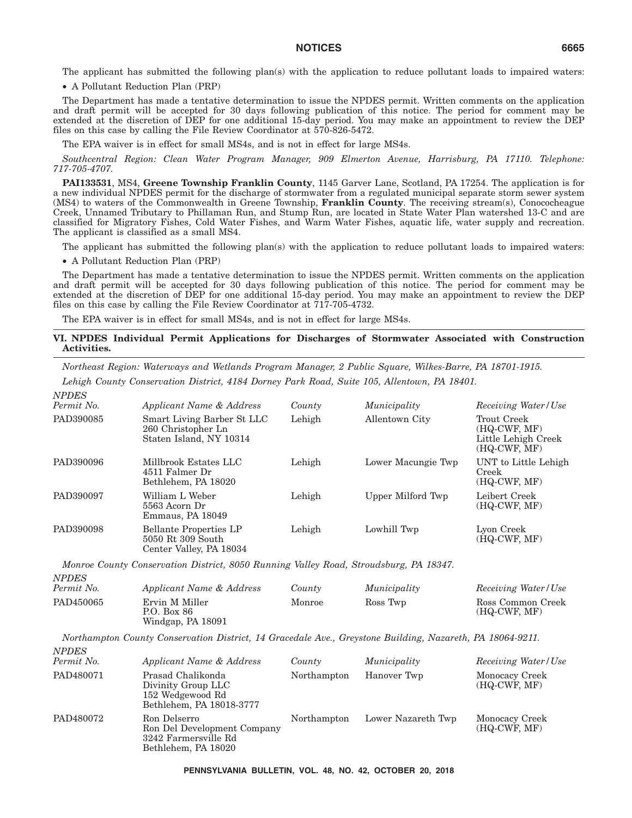• A Pollutant Reduction Plan (PRP)

The Department has made a tentative determination to issue the NPDES permit. Written comments on the application and draft permit will be accepted for 30 days following publication of this notice. The period for comment may be extended at the discretion of DEP for one additional 15-day period. You may make an appointment to review the DEP files on this case by calling the File Review Coordinator at 570-826-5472.

The EPA waiver is in effect for small MS4s, and is not in effect for large MS4s.

*Southcentral Region: Clean Water Program Manager, 909 Elmerton Avenue, Harrisburg, PA 17110. Telephone: 717-705-4707.*

**PAI133531**, MS4, **Greene Township Franklin County**, 1145 Garver Lane, Scotland, PA 17254. The application is for a new individual NPDES permit for the discharge of stormwater from a regulated municipal separate storm sewer system (MS4) to waters of the Commonwealth in Greene Township, **Franklin County**. The receiving stream(s), Conococheague Creek, Unnamed Tributary to Phillaman Run, and Stump Run, are located in State Water Plan watershed 13-C and are classified for Migratory Fishes, Cold Water Fishes, and Warm Water Fishes, aquatic life, water supply and recreation. The applicant is classified as a small MS4.

The applicant has submitted the following plan(s) with the application to reduce pollutant loads to impaired waters:

• A Pollutant Reduction Plan (PRP)

*NPDES*

The Department has made a tentative determination to issue the NPDES permit. Written comments on the application and draft permit will be accepted for 30 days following publication of this notice. The period for comment may be extended at the discretion of DEP for one additional 15-day period. You may make an appointment to review the DEP files on this case by calling the File Review Coordinator at 717-705-4732.

The EPA waiver is in effect for small MS4s, and is not in effect for large MS4s.

#### **VI. NPDES Individual Permit Applications for Discharges of Stormwater Associated with Construction Activities.**

*Northeast Region: Waterways and Wetlands Program Manager, 2 Public Square, Wilkes-Barre, PA 18701-1915.*

*Lehigh County Conservation District, 4184 Dorney Park Road, Suite 105, Allentown, PA 18401.*

| <i>NPDES</i><br>Permit No. | Applicant Name & Address                                                      | County | Municipality       | Receiving Water/Use                                                    |
|----------------------------|-------------------------------------------------------------------------------|--------|--------------------|------------------------------------------------------------------------|
| PAD390085                  | Smart Living Barber St LLC<br>260 Christopher Ln<br>Staten Island, NY 10314   | Lehigh | Allentown City     | Trout Creek<br>$(HQ-CWF, MF)$<br>Little Lehigh Creek<br>$(HQ-CWF, MF)$ |
| PAD390096                  | Millbrook Estates LLC<br>4511 Falmer Dr<br>Bethlehem, PA 18020                | Lehigh | Lower Macungie Twp | UNT to Little Lehigh<br>Creek<br>$(HQ-CWF, MF)$                        |
| PAD390097                  | William L Weber<br>5563 Acorn Dr<br>Emmaus, PA 18049                          | Lehigh | Upper Milford Twp  | Leibert Creek<br>$(HQ-CWF, MF)$                                        |
| PAD390098                  | <b>Bellante Properties LP</b><br>5050 Rt 309 South<br>Center Valley, PA 18034 | Lehigh | Lowhill Twp        | Lyon Creek<br>$(HQ-CWF, MF)$                                           |

*Monroe County Conservation District, 8050 Running Valley Road, Stroudsburg, PA 18347.*

| <b>NPDES</b><br>Permit No. | Applicant Name & Address                           | County | Municipality | Receiving Water/Use                 |
|----------------------------|----------------------------------------------------|--------|--------------|-------------------------------------|
| PAD450065                  | Ervin M Miller<br>P.O. Box 86<br>Windgap, PA 18091 | Monroe | Ross Twp     | Ross Common Creek<br>$(HQ-CWF, MF)$ |

*Northampton County Conservation District, 14 Gracedale Ave., Greystone Building, Nazareth, PA 18064-9211.*

| 111 D D D<br>Permit No. | Applicant Name & Address                                                                   | County      | Municipality       | Receiving Water/Use              |
|-------------------------|--------------------------------------------------------------------------------------------|-------------|--------------------|----------------------------------|
| PAD480071               | Prasad Chalikonda<br>Divinity Group LLC<br>152 Wedgewood Rd<br>Bethlehem, PA 18018-3777    | Northampton | Hanover Twp        | Monocacy Creek<br>$(HQ-CWF, MF)$ |
| PAD480072               | Ron Delserro<br>Ron Del Development Company<br>3242 Farmersville Rd<br>Bethlehem, PA 18020 | Northampton | Lower Nazareth Twp | Monocacy Creek<br>(HQ-CWF, MF)   |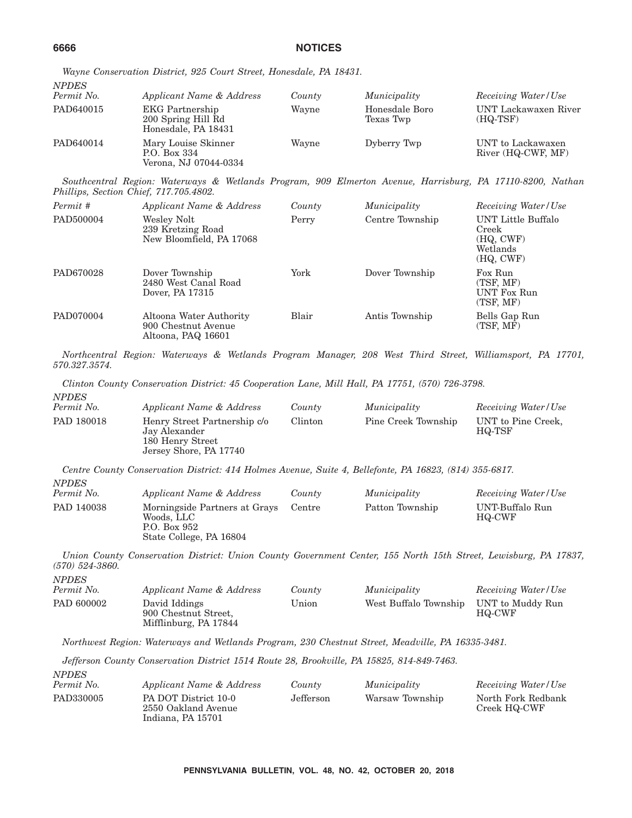| <b>NPDES</b><br>Permit No. | Applicant Name & Address                                            | County | Municipality                | Receiving Water/Use                     |
|----------------------------|---------------------------------------------------------------------|--------|-----------------------------|-----------------------------------------|
| PAD640015                  | <b>EKG</b> Partnership<br>200 Spring Hill Rd<br>Honesdale, PA 18431 | Wayne  | Honesdale Boro<br>Texas Twp | UNT Lackawaxen River<br>$(HQ-TSF)$      |
| PAD640014                  | Mary Louise Skinner<br>P.O. Box 334<br>Verona, NJ 07044-0334        | Wayne  | Dyberry Twp                 | UNT to Lackawaxen<br>River (HQ-CWF, MF) |

*Wayne Conservation District, 925 Court Street, Honesdale, PA 18431.*

*Southcentral Region: Waterways & Wetlands Program, 909 Elmerton Avenue, Harrisburg, PA 17110-8200, Nathan Phillips, Section Chief, 717.705.4802.*

| Permit #  | Applicant Name & Address                                             | County | Municipality    | Receiving Water/Use                                               |
|-----------|----------------------------------------------------------------------|--------|-----------------|-------------------------------------------------------------------|
| PAD500004 | Wesley Nolt<br>239 Kretzing Road<br>New Bloomfield, PA 17068         | Perry  | Centre Township | UNT Little Buffalo<br>Creek<br>(HQ, CWF)<br>Wetlands<br>(HQ, CWF) |
| PAD670028 | Dover Township<br>2480 West Canal Road<br>Dover, PA 17315            | York   | Dover Township  | Fox Run<br>(TSF, MF)<br><b>UNT Fox Run</b><br>(TSF, MF)           |
| PAD070004 | Altoona Water Authority<br>900 Chestnut Avenue<br>Altoona, PAQ 16601 | Blair  | Antis Township  | Bells Gap Run<br>(TSF, MF)                                        |

*Northcentral Region: Waterways & Wetlands Program Manager, 208 West Third Street, Williamsport, PA 17701, 570.327.3574.*

*Clinton County Conservation District: 45 Cooperation Lane, Mill Hall, PA 17751, (570) 726-3798.*

*NPDES Applicant Name & Address County Municipality Receiving Water/Use* PAD 180018 Henry Street Partnership c/o Jay Alexander 180 Henry Street Jersey Shore, PA 17740 Clinton Pine Creek Township UNT to Pine Creek, HQ-TSF

*Centre County Conservation District: 414 Holmes Avenue, Suite 4, Bellefonte, PA 16823, (814) 355-6817. NPDES Permit No. Applicant Name & Address County Municipality Receiving Water/Use*

| $1$ et $11111$ ive. | <i>Applicant Ivante &amp; Address</i>                                                  | COUILLY | <u>INULLULUULUV</u> | <b>ILECETUTIE WALLET I USE</b> |
|---------------------|----------------------------------------------------------------------------------------|---------|---------------------|--------------------------------|
| PAD 140038          | Morningside Partners at Grays<br>Woods. LLC<br>P.O. Box 952<br>State College, PA 16804 | Centre  | Patton Township     | UNT-Buffalo Run<br>HQ-CWF      |
|                     |                                                                                        |         |                     |                                |

*Union County Conservation District: Union County Government Center, 155 North 15th Street, Lewisburg, PA 17837, (570) 524-3860. NPDES*

| <i>INPLES</i><br>Permit No. | Applicant Name & Address                                       | County | Municipality          | Receiving Water/Use        |
|-----------------------------|----------------------------------------------------------------|--------|-----------------------|----------------------------|
| PAD 600002                  | David Iddings<br>900 Chestnut Street.<br>Mifflinburg, PA 17844 | Union  | West Buffalo Township | UNT to Muddy Run<br>HQ-CWF |

*Northwest Region: Waterways and Wetlands Program, 230 Chestnut Street, Meadville, PA 16335-3481.*

*Jefferson County Conservation District 1514 Route 28, Brookville, PA 15825, 814-849-7463. NPDES*

| 111 D D D<br>Permit No. | Applicant Name & Address                                         | County    | Municipality    | Receiving Water/Use                |
|-------------------------|------------------------------------------------------------------|-----------|-----------------|------------------------------------|
| PAD330005               | PA DOT District 10-0<br>2550 Oakland Avenue<br>Indiana. PA 15701 | Jefferson | Warsaw Township | North Fork Redbank<br>Creek HQ-CWF |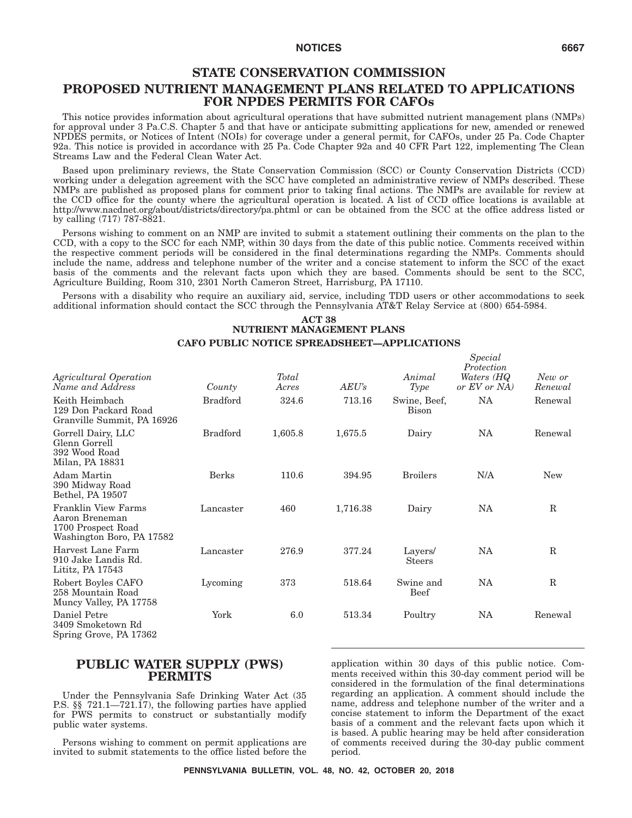#### **STATE CONSERVATION COMMISSION**

#### **PROPOSED NUTRIENT MANAGEMENT PLANS RELATED TO APPLICATIONS FOR NPDES PERMITS FOR CAFOs**

This notice provides information about agricultural operations that have submitted nutrient management plans (NMPs) for approval under 3 Pa.C.S. Chapter 5 and that have or anticipate submitting applications for new, amended or renewed NPDES permits, or Notices of Intent (NOIs) for coverage under a general permit, for CAFOs, under 25 Pa. Code Chapter 92a. This notice is provided in accordance with 25 Pa. Code Chapter 92a and 40 CFR Part 122, implementing The Clean Streams Law and the Federal Clean Water Act.

Based upon preliminary reviews, the State Conservation Commission (SCC) or County Conservation Districts (CCD) working under a delegation agreement with the SCC have completed an administrative review of NMPs described. These NMPs are published as proposed plans for comment prior to taking final actions. The NMPs are available for review at the CCD office for the county where the agricultural operation is located. A list of CCD office locations is available at http://www.nacdnet.org/about/districts/directory/pa.phtml or can be obtained from the SCC at the office address listed or by calling (717) 787-8821.

Persons wishing to comment on an NMP are invited to submit a statement outlining their comments on the plan to the CCD, with a copy to the SCC for each NMP, within 30 days from the date of this public notice. Comments received within the respective comment periods will be considered in the final determinations regarding the NMPs. Comments should include the name, address and telephone number of the writer and a concise statement to inform the SCC of the exact basis of the comments and the relevant facts upon which they are based. Comments should be sent to the SCC, Agriculture Building, Room 310, 2301 North Cameron Street, Harrisburg, PA 17110.

Persons with a disability who require an auxiliary aid, service, including TDD users or other accommodations to seek additional information should contact the SCC through the Pennsylvania AT&T Relay Service at (800) 654-5984.

#### **ACT 38 NUTRIENT MANAGEMENT PLANS CAFO PUBLIC NOTICE SPREADSHEET—APPLICATIONS**

| Agricultural Operation<br>Name and Address                                               | County          | Total<br>Acres | AEU's    | Animal<br><b>Type</b>    | Special<br>Protection<br>Waters (HQ<br>or EV or NA) | New or<br>Renewal |
|------------------------------------------------------------------------------------------|-----------------|----------------|----------|--------------------------|-----------------------------------------------------|-------------------|
| Keith Heimbach<br>129 Don Packard Road<br>Granville Summit, PA 16926                     | <b>Bradford</b> | 324.6          | 713.16   | Swine, Beef,<br>Bison    | <b>NA</b>                                           | Renewal           |
| Gorrell Dairy, LLC<br>Glenn Gorrell<br>392 Wood Road<br>Milan, PA 18831                  | <b>Bradford</b> | 1,605.8        | 1,675.5  | Dairy                    | NA                                                  | Renewal           |
| Adam Martin<br>390 Midway Road<br>Bethel, PA 19507                                       | Berks           | 110.6          | 394.95   | <b>Broilers</b>          | N/A                                                 | <b>New</b>        |
| Franklin View Farms<br>Aaron Breneman<br>1700 Prospect Road<br>Washington Boro, PA 17582 | Lancaster       | 460            | 1,716.38 | Dairy                    | <b>NA</b>                                           | $\mathbb{R}$      |
| Harvest Lane Farm<br>910 Jake Landis Rd.<br>Lititz, PA 17543                             | Lancaster       | 276.9          | 377.24   | Layers/<br><b>Steers</b> | <b>NA</b>                                           | $\mathbb{R}$      |
| Robert Boyles CAFO<br>258 Mountain Road<br>Muncy Valley, PA 17758                        | Lycoming        | 373            | 518.64   | Swine and<br><b>Beef</b> | <b>NA</b>                                           | $\mathbb R$       |
| Daniel Petre<br>3409 Smoketown Rd<br>Spring Grove, PA 17362                              | York            | 6.0            | 513.34   | Poultry                  | NA                                                  | Renewal           |

#### **PUBLIC WATER SUPPLY (PWS) PERMITS**

Under the Pennsylvania Safe Drinking Water Act (35 P.S. §§ 721.1—721.17), the following parties have applied for PWS permits to construct or substantially modify public water systems.

Persons wishing to comment on permit applications are invited to submit statements to the office listed before the application within 30 days of this public notice. Comments received within this 30-day comment period will be considered in the formulation of the final determinations regarding an application. A comment should include the name, address and telephone number of the writer and a concise statement to inform the Department of the exact basis of a comment and the relevant facts upon which it is based. A public hearing may be held after consideration of comments received during the 30-day public comment period.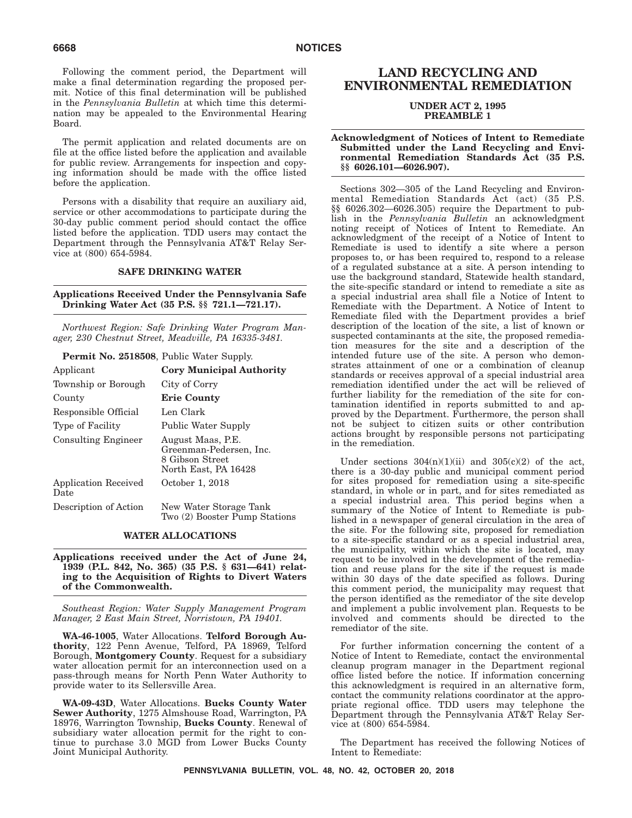Following the comment period, the Department will make a final determination regarding the proposed permit. Notice of this final determination will be published in the *Pennsylvania Bulletin* at which time this determination may be appealed to the Environmental Hearing Board.

The permit application and related documents are on file at the office listed before the application and available for public review. Arrangements for inspection and copying information should be made with the office listed before the application.

Persons with a disability that require an auxiliary aid, service or other accommodations to participate during the 30-day public comment period should contact the office listed before the application. TDD users may contact the Department through the Pennsylvania AT&T Relay Service at (800) 654-5984.

#### **SAFE DRINKING WATER**

#### **Applications Received Under the Pennsylvania Safe Drinking Water Act (35 P.S. §§ 721.1—721.17).**

*Northwest Region: Safe Drinking Water Program Manager, 230 Chestnut Street, Meadville, PA 16335-3481.*

| <b>Permit No. 2518508</b> , Public Water Supply. |                                                                                         |
|--------------------------------------------------|-----------------------------------------------------------------------------------------|
| Applicant                                        | <b>Cory Municipal Authority</b>                                                         |
| Township or Borough                              | City of Corry                                                                           |
| County                                           | <b>Erie County</b>                                                                      |
| Responsible Official                             | Len Clark                                                                               |
| Type of Facility                                 | Public Water Supply                                                                     |
| <b>Consulting Engineer</b>                       | August Maas, P.E.<br>Greenman-Pedersen, Inc.<br>8 Gibson Street<br>North East, PA 16428 |
| Application Received<br>Date                     | October 1, 2018                                                                         |
| Description of Action                            | New Water Storage Tank<br>Two (2) Booster Pump Stations                                 |

#### **WATER ALLOCATIONS**

**Applications received under the Act of June 24, 1939 (P.L. 842, No. 365) (35 P.S. § 631—641) relating to the Acquisition of Rights to Divert Waters of the Commonwealth.**

*Southeast Region: Water Supply Management Program Manager, 2 East Main Street, Norristown, PA 19401.*

**WA-46-1005**, Water Allocations. **Telford Borough Authority**, 122 Penn Avenue, Telford, PA 18969, Telford Borough, **Montgomery County**. Request for a subsidiary water allocation permit for an interconnection used on a pass-through means for North Penn Water Authority to provide water to its Sellersville Area.

**WA-09-43D**, Water Allocations. **Bucks County Water Sewer Authority**, 1275 Almshouse Road, Warrington, PA 18976, Warrington Township, **Bucks County**. Renewal of subsidiary water allocation permit for the right to continue to purchase 3.0 MGD from Lower Bucks County Joint Municipal Authority.

#### **LAND RECYCLING AND ENVIRONMENTAL REMEDIATION**

#### **UNDER ACT 2, 1995 PREAMBLE 1**

#### **Acknowledgment of Notices of Intent to Remediate Submitted under the Land Recycling and Environmental Remediation Standards Act (35 P.S. §§ 6026.101—6026.907).**

Sections 302—305 of the Land Recycling and Environmental Remediation Standards Act (act) (35 P.S. §§ 6026.302—6026.305) require the Department to publish in the *Pennsylvania Bulletin* an acknowledgment noting receipt of Notices of Intent to Remediate. An acknowledgment of the receipt of a Notice of Intent to Remediate is used to identify a site where a person proposes to, or has been required to, respond to a release of a regulated substance at a site. A person intending to use the background standard, Statewide health standard, the site-specific standard or intend to remediate a site as a special industrial area shall file a Notice of Intent to Remediate with the Department. A Notice of Intent to Remediate filed with the Department provides a brief description of the location of the site, a list of known or suspected contaminants at the site, the proposed remediation measures for the site and a description of the intended future use of the site. A person who demonstrates attainment of one or a combination of cleanup standards or receives approval of a special industrial area remediation identified under the act will be relieved of further liability for the remediation of the site for contamination identified in reports submitted to and approved by the Department. Furthermore, the person shall not be subject to citizen suits or other contribution actions brought by responsible persons not participating in the remediation.

Under sections  $304(n)(1)(ii)$  and  $305(c)(2)$  of the act, there is a 30-day public and municipal comment period for sites proposed for remediation using a site-specific standard, in whole or in part, and for sites remediated as a special industrial area. This period begins when a summary of the Notice of Intent to Remediate is published in a newspaper of general circulation in the area of the site. For the following site, proposed for remediation to a site-specific standard or as a special industrial area, the municipality, within which the site is located, may request to be involved in the development of the remediation and reuse plans for the site if the request is made within 30 days of the date specified as follows. During this comment period, the municipality may request that the person identified as the remediator of the site develop and implement a public involvement plan. Requests to be involved and comments should be directed to the remediator of the site.

For further information concerning the content of a Notice of Intent to Remediate, contact the environmental cleanup program manager in the Department regional office listed before the notice. If information concerning this acknowledgment is required in an alternative form, contact the community relations coordinator at the appropriate regional office. TDD users may telephone the Department through the Pennsylvania AT&T Relay Service at (800) 654-5984.

The Department has received the following Notices of Intent to Remediate: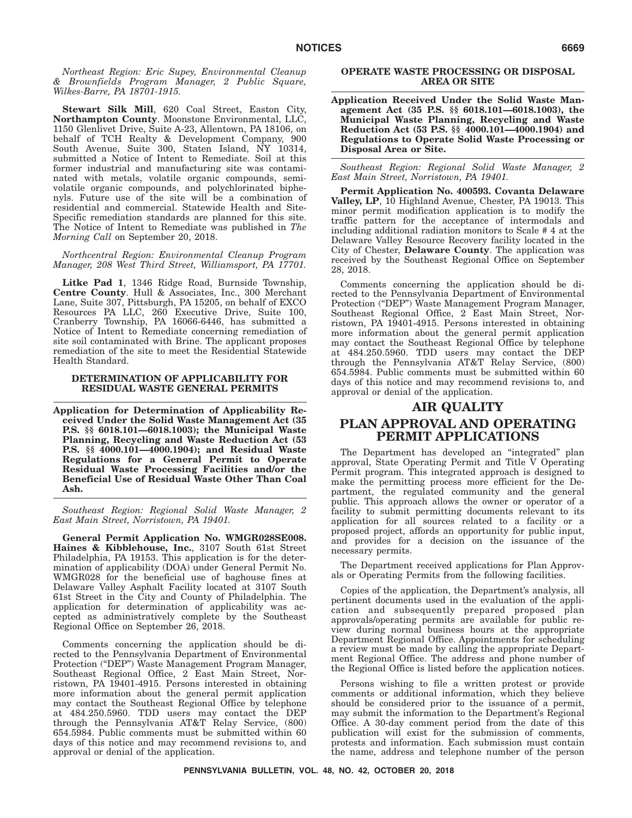*Northeast Region: Eric Supey, Environmental Cleanup & Brownfields Program Manager, 2 Public Square, Wilkes-Barre, PA 18701-1915.*

**Stewart Silk Mill**, 620 Coal Street, Easton City, **Northampton County**. Moonstone Environmental, LLC, 1150 Glenlivet Drive, Suite A-23, Allentown, PA 18106, on behalf of TCH Realty & Development Company, 900 South Avenue, Suite 300, Staten Island, NY 10314, submitted a Notice of Intent to Remediate. Soil at this former industrial and manufacturing site was contaminated with metals, volatile organic compounds, semivolatile organic compounds, and polychlorinated biphenyls. Future use of the site will be a combination of residential and commercial. Statewide Health and Site-Specific remediation standards are planned for this site. The Notice of Intent to Remediate was published in *The Morning Call* on September 20, 2018.

*Northcentral Region: Environmental Cleanup Program Manager, 208 West Third Street, Williamsport, PA 17701.*

**Litke Pad 1**, 1346 Ridge Road, Burnside Township, **Centre County**. Hull & Associates, Inc., 300 Merchant Lane, Suite 307, Pittsburgh, PA 15205, on behalf of EXCO Resources PA LLC, 260 Executive Drive, Suite 100, Cranberry Township, PA 16066-6446, has submitted a Notice of Intent to Remediate concerning remediation of site soil contaminated with Brine. The applicant proposes remediation of the site to meet the Residential Statewide Health Standard.

#### **DETERMINATION OF APPLICABILITY FOR RESIDUAL WASTE GENERAL PERMITS**

**Application for Determination of Applicability Received Under the Solid Waste Management Act (35 P.S. §§ 6018.101—6018.1003); the Municipal Waste Planning, Recycling and Waste Reduction Act (53 P.S. §§ 4000.101—4000.1904); and Residual Waste Regulations for a General Permit to Operate Residual Waste Processing Facilities and/or the Beneficial Use of Residual Waste Other Than Coal Ash.**

*Southeast Region: Regional Solid Waste Manager, 2 East Main Street, Norristown, PA 19401.*

**General Permit Application No. WMGR028SE008. Haines & Kibblehouse, Inc.**, 3107 South 61st Street Philadelphia, PA 19153. This application is for the determination of applicability (DOA) under General Permit No. WMGR028 for the beneficial use of baghouse fines at Delaware Valley Asphalt Facility located at 3107 South 61st Street in the City and County of Philadelphia. The application for determination of applicability was accepted as administratively complete by the Southeast Regional Office on September 26, 2018.

Comments concerning the application should be directed to the Pennsylvania Department of Environmental Protection ("DEP") Waste Management Program Manager, Southeast Regional Office, 2 East Main Street, Norristown, PA 19401-4915. Persons interested in obtaining more information about the general permit application may contact the Southeast Regional Office by telephone at 484.250.5960. TDD users may contact the DEP through the Pennsylvania AT&T Relay Service, (800) 654.5984. Public comments must be submitted within 60 days of this notice and may recommend revisions to, and approval or denial of the application.

#### **OPERATE WASTE PROCESSING OR DISPOSAL AREA OR SITE**

**Application Received Under the Solid Waste Management Act (35 P.S. §§ 6018.101—6018.1003), the Municipal Waste Planning, Recycling and Waste Reduction Act (53 P.S. §§ 4000.101—4000.1904) and Regulations to Operate Solid Waste Processing or Disposal Area or Site.**

*Southeast Region: Regional Solid Waste Manager, 2 East Main Street, Norristown, PA 19401.*

**Permit Application No. 400593. Covanta Delaware Valley, LP**, 10 Highland Avenue, Chester, PA 19013. This minor permit modification application is to modify the traffic pattern for the acceptance of intermodals and including additional radiation monitors to Scale # 4 at the Delaware Valley Resource Recovery facility located in the City of Chester, **Delaware County**. The application was received by the Southeast Regional Office on September 28, 2018.

Comments concerning the application should be directed to the Pennsylvania Department of Environmental Protection (''DEP'') Waste Management Program Manager, Southeast Regional Office, 2 East Main Street, Norristown, PA 19401-4915. Persons interested in obtaining more information about the general permit application may contact the Southeast Regional Office by telephone at 484.250.5960. TDD users may contact the DEP through the Pennsylvania AT&T Relay Service, (800) 654.5984. Public comments must be submitted within 60 days of this notice and may recommend revisions to, and approval or denial of the application.

#### **AIR QUALITY**

### **PLAN APPROVAL AND OPERATING PERMIT APPLICATIONS**

The Department has developed an ''integrated'' plan approval, State Operating Permit and Title V Operating Permit program. This integrated approach is designed to make the permitting process more efficient for the Department, the regulated community and the general public. This approach allows the owner or operator of a facility to submit permitting documents relevant to its application for all sources related to a facility or a proposed project, affords an opportunity for public input, and provides for a decision on the issuance of the necessary permits.

The Department received applications for Plan Approvals or Operating Permits from the following facilities.

Copies of the application, the Department's analysis, all pertinent documents used in the evaluation of the application and subsequently prepared proposed plan approvals/operating permits are available for public review during normal business hours at the appropriate Department Regional Office. Appointments for scheduling a review must be made by calling the appropriate Department Regional Office. The address and phone number of the Regional Office is listed before the application notices.

Persons wishing to file a written protest or provide comments or additional information, which they believe should be considered prior to the issuance of a permit, may submit the information to the Department's Regional Office. A 30-day comment period from the date of this publication will exist for the submission of comments, protests and information. Each submission must contain the name, address and telephone number of the person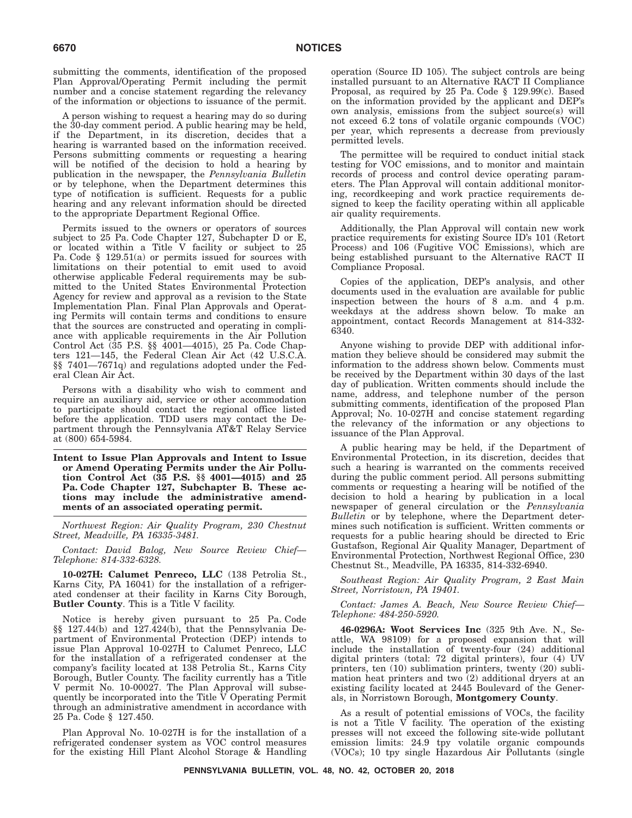submitting the comments, identification of the proposed Plan Approval/Operating Permit including the permit number and a concise statement regarding the relevancy of the information or objections to issuance of the permit.

A person wishing to request a hearing may do so during the 30-day comment period. A public hearing may be held, if the Department, in its discretion, decides that a hearing is warranted based on the information received. Persons submitting comments or requesting a hearing will be notified of the decision to hold a hearing by publication in the newspaper, the *Pennsylvania Bulletin* or by telephone, when the Department determines this type of notification is sufficient. Requests for a public hearing and any relevant information should be directed to the appropriate Department Regional Office.

Permits issued to the owners or operators of sources subject to 25 Pa. Code Chapter 127, Subchapter D or E, or located within a Title V facility or subject to 25 Pa. Code § 129.51(a) or permits issued for sources with limitations on their potential to emit used to avoid otherwise applicable Federal requirements may be submitted to the United States Environmental Protection Agency for review and approval as a revision to the State Implementation Plan. Final Plan Approvals and Operating Permits will contain terms and conditions to ensure that the sources are constructed and operating in compliance with applicable requirements in the Air Pollution Control Act (35 P.S. §§ 4001—4015), 25 Pa. Code Chapters 121—145, the Federal Clean Air Act (42 U.S.C.A. §§ 7401—7671q) and regulations adopted under the Federal Clean Air Act.

Persons with a disability who wish to comment and require an auxiliary aid, service or other accommodation to participate should contact the regional office listed before the application. TDD users may contact the Department through the Pennsylvania AT&T Relay Service at (800) 654-5984.

**Intent to Issue Plan Approvals and Intent to Issue or Amend Operating Permits under the Air Pollution Control Act (35 P.S. §§ 4001—4015) and 25 Pa. Code Chapter 127, Subchapter B. These actions may include the administrative amendments of an associated operating permit.**

*Northwest Region: Air Quality Program, 230 Chestnut Street, Meadville, PA 16335-3481.*

*Contact: David Balog, New Source Review Chief— Telephone: 814-332-6328.*

**10-027H: Calumet Penreco, LLC** (138 Petrolia St., Karns City, PA 16041) for the installation of a refrigerated condenser at their facility in Karns City Borough, **Butler County**. This is a Title V facility.

Notice is hereby given pursuant to 25 Pa. Code §§ 127.44(b) and 127.424(b), that the Pennsylvania Department of Environmental Protection (DEP) intends to issue Plan Approval 10-027H to Calumet Penreco, LLC for the installation of a refrigerated condenser at the company's facility located at 138 Petrolia St., Karns City Borough, Butler County. The facility currently has a Title V permit No. 10-00027. The Plan Approval will subsequently be incorporated into the Title  $\bar{V}$  Operating Permit through an administrative amendment in accordance with 25 Pa. Code § 127.450.

Plan Approval No. 10-027H is for the installation of a refrigerated condenser system as VOC control measures for the existing Hill Plant Alcohol Storage & Handling operation (Source ID 105). The subject controls are being installed pursuant to an Alternative RACT II Compliance Proposal, as required by 25 Pa. Code § 129.99(c). Based on the information provided by the applicant and DEP's own analysis, emissions from the subject source(s) will not exceed 6.2 tons of volatile organic compounds (VOC) per year, which represents a decrease from previously permitted levels.

The permittee will be required to conduct initial stack testing for VOC emissions, and to monitor and maintain records of process and control device operating parameters. The Plan Approval will contain additional monitoring, recordkeeping and work practice requirements designed to keep the facility operating within all applicable air quality requirements.

Additionally, the Plan Approval will contain new work practice requirements for existing Source ID's 101 (Retort Process) and 106 (Fugitive VOC Emissions), which are being established pursuant to the Alternative RACT II Compliance Proposal.

Copies of the application, DEP's analysis, and other documents used in the evaluation are available for public inspection between the hours of 8 a.m. and 4 p.m. weekdays at the address shown below. To make an appointment, contact Records Management at 814-332- 6340.

Anyone wishing to provide DEP with additional information they believe should be considered may submit the information to the address shown below. Comments must be received by the Department within 30 days of the last day of publication. Written comments should include the name, address, and telephone number of the person submitting comments, identification of the proposed Plan Approval; No. 10-027H and concise statement regarding the relevancy of the information or any objections to issuance of the Plan Approval.

A public hearing may be held, if the Department of Environmental Protection, in its discretion, decides that such a hearing is warranted on the comments received during the public comment period. All persons submitting comments or requesting a hearing will be notified of the decision to hold a hearing by publication in a local newspaper of general circulation or the *Pennsylvania Bulletin* or by telephone, where the Department determines such notification is sufficient. Written comments or requests for a public hearing should be directed to Eric Gustafson, Regional Air Quality Manager, Department of Environmental Protection, Northwest Regional Office, 230 Chestnut St., Meadville, PA 16335, 814-332-6940.

*Southeast Region: Air Quality Program, 2 East Main Street, Norristown, PA 19401.*

*Contact: James A. Beach, New Source Review Chief— Telephone: 484-250-5920.*

**46-0296A: Woot Services Inc** (325 9th Ave. N., Seattle, WA 98109) for a proposed expansion that will include the installation of twenty-four (24) additional digital printers (total: 72 digital printers), four (4) UV printers, ten (10) sublimation printers, twenty (20) sublimation heat printers and two (2) additional dryers at an existing facility located at 2445 Boulevard of the Generals, in Norristown Borough, **Montgomery County**.

As a result of potential emissions of VOCs, the facility is not a Title  $\vec{V}$  facility. The operation of the existing presses will not exceed the following site-wide pollutant emission limits: 24.9 tpy volatile organic compounds (VOCs); 10 tpy single Hazardous Air Pollutants (single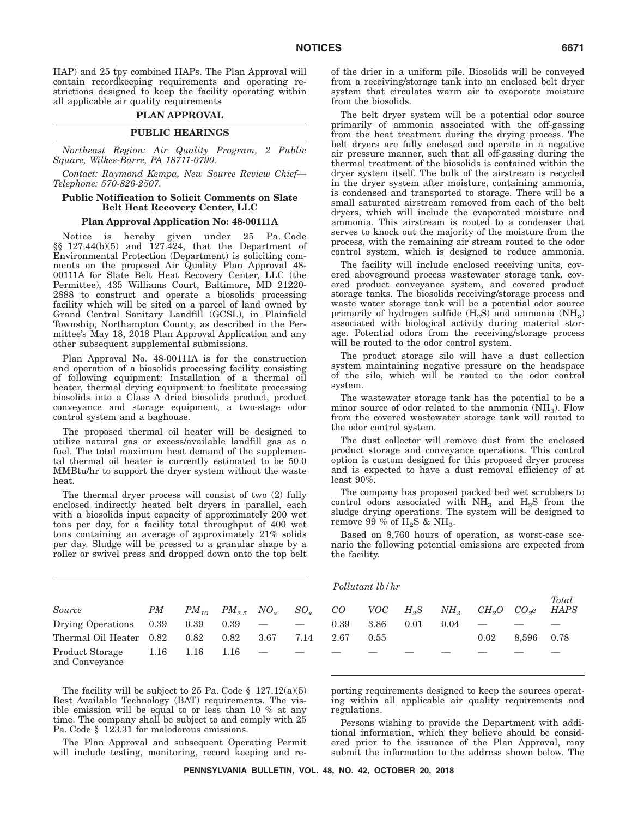HAP) and 25 tpy combined HAPs. The Plan Approval will contain recordkeeping requirements and operating restrictions designed to keep the facility operating within all applicable air quality requirements

#### **PLAN APPROVAL**

#### **PUBLIC HEARINGS**

*Northeast Region: Air Quality Program, 2 Public Square, Wilkes-Barre, PA 18711-0790.*

*Contact: Raymond Kempa, New Source Review Chief— Telephone: 570-826-2507.*

#### **Public Notification to Solicit Comments on Slate Belt Heat Recovery Center, LLC**

#### **Plan Approval Application No: 48-00111A**

Notice is hereby given under 25 Pa. Code §§ 127.44(b)(5) and 127.424, that the Department of Environmental Protection (Department) is soliciting comments on the proposed Air Quality Plan Approval 48- 00111A for Slate Belt Heat Recovery Center, LLC (the Permittee), 435 Williams Court, Baltimore, MD 21220- 2888 to construct and operate a biosolids processing facility which will be sited on a parcel of land owned by Grand Central Sanitary Landfill (GCSL), in Plainfield Township, Northampton County, as described in the Permittee's May 18, 2018 Plan Approval Application and any other subsequent supplemental submissions.

Plan Approval No. 48-00111A is for the construction and operation of a biosolids processing facility consisting of following equipment: Installation of a thermal oil heater, thermal drying equipment to facilitate processing biosolids into a Class A dried biosolids product, product conveyance and storage equipment, a two-stage odor control system and a baghouse.

The proposed thermal oil heater will be designed to utilize natural gas or excess/available landfill gas as a fuel. The total maximum heat demand of the supplemental thermal oil heater is currently estimated to be 50.0 MMBtu/hr to support the dryer system without the waste heat.

The thermal dryer process will consist of two (2) fully enclosed indirectly heated belt dryers in parallel, each with a biosolids input capacity of approximately 200 wet tons per day, for a facility total throughput of 400 wet tons containing an average of approximately 21% solids per day. Sludge will be pressed to a granular shape by a roller or swivel press and dropped down onto the top belt

|                                   |           |           |                   |      |          |      | 1 OUUWUUU UO I IUI |              |          |                   |                   |             |
|-----------------------------------|-----------|-----------|-------------------|------|----------|------|--------------------|--------------|----------|-------------------|-------------------|-------------|
| Source                            | $\it{PM}$ | $PM_{10}$ | $PM_{2.5}$ $NO_r$ |      | $SO_{x}$ | CO   | VOC                | $H_{\rm 2}S$ | $NH_{3}$ | CH <sub>2</sub> O | CO <sub>2</sub> e | Tota<br>HAI |
| Drying Operations                 | 0.39      | 0.39      | 0.39              |      |          | 0.39 | 3.86               | 0.01         | 0.04     |                   |                   |             |
| Thermal Oil Heater                | 0.82      | 0.82      | 0.82              | 3.67 | 7.14     | 2.67 | 0.55               |              |          | 0.02              | 8.596             | 0.78        |
| Product Storage<br>and Conveyance | 1.16      | $1.16\,$  | 1.16              |      |          |      |                    |              |          |                   |                   |             |

The facility will be subject to 25 Pa. Code  $\S$  127.12(a)(5) Best Available Technology (BAT) requirements. The visible emission will be equal to or less than 10 % at any time. The company shall be subject to and comply with 25 Pa. Code § 123.31 for malodorous emissions.

The Plan Approval and subsequent Operating Permit will include testing, monitoring, record keeping and reof the drier in a uniform pile. Biosolids will be conveyed from a receiving/storage tank into an enclosed belt dryer system that circulates warm air to evaporate moisture from the biosolids.

The belt dryer system will be a potential odor source primarily of ammonia associated with the off-gassing from the heat treatment during the drying process. The belt dryers are fully enclosed and operate in a negative air pressure manner, such that all off-gassing during the thermal treatment of the biosolids is contained within the dryer system itself. The bulk of the airstream is recycled in the dryer system after moisture, containing ammonia, is condensed and transported to storage. There will be a small saturated airstream removed from each of the belt dryers, which will include the evaporated moisture and ammonia. This airstream is routed to a condenser that serves to knock out the majority of the moisture from the process, with the remaining air stream routed to the odor control system, which is designed to reduce ammonia.

The facility will include enclosed receiving units, covered aboveground process wastewater storage tank, covered product conveyance system, and covered product storage tanks. The biosolids receiving/storage process and waste water storage tank will be a potential odor source primarily of hydrogen sulfide  $(H_2S)$  and ammonia  $(NH_3)$ associated with biological activity during material storage. Potential odors from the receiving/storage process will be routed to the odor control system.

The product storage silo will have a dust collection system maintaining negative pressure on the headspace of the silo, which will be routed to the odor control system.

The wastewater storage tank has the potential to be a minor source of odor related to the ammonia  $(NH<sub>3</sub>)$ . Flow from the covered wastewater storage tank will routed to the odor control system.

The dust collector will remove dust from the enclosed product storage and conveyance operations. This control option is custom designed for this proposed dryer process and is expected to have a dust removal efficiency of at least 90%.

The company has proposed packed bed wet scrubbers to control odors associated with  $NH<sub>3</sub>$  and  $H<sub>2</sub>S$  from the sludge drying operations. The system will be designed to remove 99 % of  $H_2S$  & NH<sub>3</sub>.

Based on 8,760 hours of operation, as worst-case scenario the following potential emissions are expected from the facility.

*Pollutant lb/hr*

|  |                                                  |  |  | $PM$ $PM_{10}$ $PM_{2.5}$ $NO_x$ $SO_x$ $CO$ $VOC$ $H_2S$ $NH_3$ $CH_2O$ $CO_2e$ HAPS            |                       | Total |
|--|--------------------------------------------------|--|--|--------------------------------------------------------------------------------------------------|-----------------------|-------|
|  |                                                  |  |  | $\begin{matrix} 0.39 & 0.39 & 0.39 & - & - & 0.39 & 3.86 & 0.01 & 0.04 & - & - & - \end{matrix}$ |                       |       |
|  | $0.82$ $0.82$ $0.82$ $3.67$ $7.14$ $2.67$ $0.55$ |  |  |                                                                                                  | $0.02$ $8.596$ $0.78$ |       |
|  | $1.16$ $1.16$ $1.16$ $   -$                      |  |  |                                                                                                  |                       |       |
|  |                                                  |  |  |                                                                                                  |                       |       |

porting requirements designed to keep the sources operating within all applicable air quality requirements and regulations.

Persons wishing to provide the Department with additional information, which they believe should be considered prior to the issuance of the Plan Approval, may submit the information to the address shown below. The

**PENNSYLVANIA BULLETIN, VOL. 48, NO. 42, OCTOBER 20, 2018**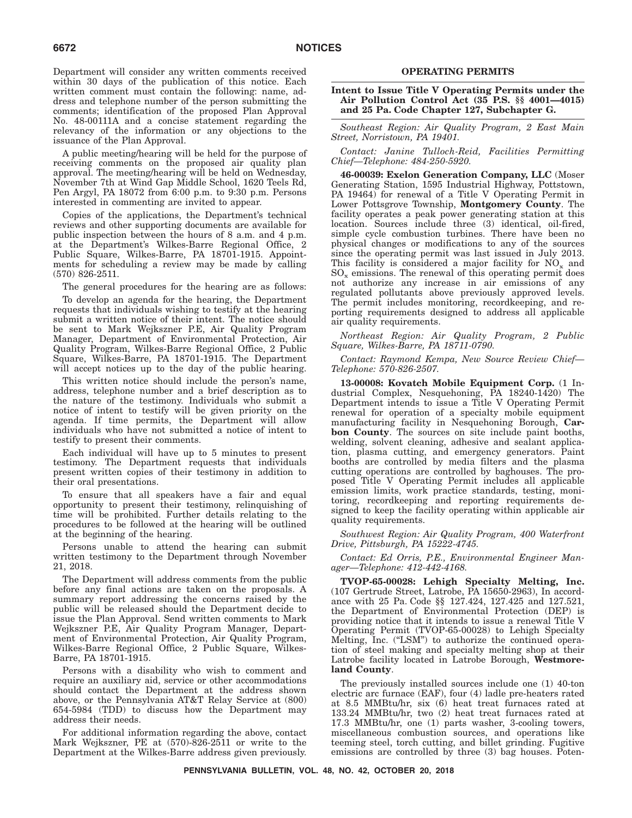Department will consider any written comments received within 30 days of the publication of this notice. Each written comment must contain the following: name, address and telephone number of the person submitting the comments; identification of the proposed Plan Approval No. 48-00111A and a concise statement regarding the relevancy of the information or any objections to the issuance of the Plan Approval.

A public meeting/hearing will be held for the purpose of receiving comments on the proposed air quality plan approval. The meeting/hearing will be held on Wednesday, November 7th at Wind Gap Middle School, 1620 Teels Rd, Pen Argyl, PA 18072 from 6:00 p.m. to 9:30 p.m. Persons interested in commenting are invited to appear.

Copies of the applications, the Department's technical reviews and other supporting documents are available for public inspection between the hours of 8 a.m. and 4 p.m. at the Department's Wilkes-Barre Regional Office, 2 Public Square, Wilkes-Barre, PA 18701-1915. Appointments for scheduling a review may be made by calling (570) 826-2511.

The general procedures for the hearing are as follows:

To develop an agenda for the hearing, the Department requests that individuals wishing to testify at the hearing submit a written notice of their intent. The notice should be sent to Mark Wejkszner P.E, Air Quality Program Manager, Department of Environmental Protection, Air Quality Program, Wilkes-Barre Regional Office, 2 Public Square, Wilkes-Barre, PA 18701-1915. The Department will accept notices up to the day of the public hearing.

This written notice should include the person's name, address, telephone number and a brief description as to the nature of the testimony. Individuals who submit a notice of intent to testify will be given priority on the agenda. If time permits, the Department will allow individuals who have not submitted a notice of intent to testify to present their comments.

Each individual will have up to 5 minutes to present testimony. The Department requests that individuals present written copies of their testimony in addition to their oral presentations.

To ensure that all speakers have a fair and equal opportunity to present their testimony, relinquishing of time will be prohibited. Further details relating to the procedures to be followed at the hearing will be outlined at the beginning of the hearing.

Persons unable to attend the hearing can submit written testimony to the Department through November 21, 2018.

The Department will address comments from the public before any final actions are taken on the proposals. A summary report addressing the concerns raised by the public will be released should the Department decide to issue the Plan Approval. Send written comments to Mark Wejkszner P.E, Air Quality Program Manager, Department of Environmental Protection, Air Quality Program, Wilkes-Barre Regional Office, 2 Public Square, Wilkes-Barre, PA 18701-1915.

Persons with a disability who wish to comment and require an auxiliary aid, service or other accommodations should contact the Department at the address shown above, or the Pennsylvania AT&T Relay Service at (800) 654-5984 (TDD) to discuss how the Department may address their needs.

For additional information regarding the above, contact Mark Wejkszner, PE at (570)-826-2511 or write to the Department at the Wilkes-Barre address given previously.

#### **OPERATING PERMITS**

#### **Intent to Issue Title V Operating Permits under the Air Pollution Control Act (35 P.S. §§ 4001—4015) and 25 Pa. Code Chapter 127, Subchapter G.**

*Southeast Region: Air Quality Program, 2 East Main Street, Norristown, PA 19401.*

*Contact: Janine Tulloch-Reid, Facilities Permitting Chief—Telephone: 484-250-5920.*

**46-00039: Exelon Generation Company, LLC** (Moser Generating Station, 1595 Industrial Highway, Pottstown, PA 19464) for renewal of a Title V Operating Permit in Lower Pottsgrove Township, **Montgomery County**. The facility operates a peak power generating station at this location. Sources include three (3) identical, oil-fired, simple cycle combustion turbines. There have been no physical changes or modifications to any of the sources since the operating permit was last issued in July 2013. This facility is considered a major facility for  $NO<sub>x</sub>$  and  $SO_x$  emissions. The renewal of this operating permit does not authorize any increase in air emissions of any regulated pollutants above previously approved levels. The permit includes monitoring, recordkeeping, and reporting requirements designed to address all applicable air quality requirements.

*Northeast Region: Air Quality Program, 2 Public Square, Wilkes-Barre, PA 18711-0790.*

*Contact: Raymond Kempa, New Source Review Chief— Telephone: 570-826-2507.*

**13-00008: Kovatch Mobile Equipment Corp.** (1 Industrial Complex, Nesquehoning, PA 18240-1420) The Department intends to issue a Title V Operating Permit renewal for operation of a specialty mobile equipment manufacturing facility in Nesquehoning Borough, **Carbon County**. The sources on site include paint booths, welding, solvent cleaning, adhesive and sealant application, plasma cutting, and emergency generators. Paint booths are controlled by media filters and the plasma cutting operations are controlled by baghouses. The proposed Title V Operating Permit includes all applicable emission limits, work practice standards, testing, monitoring, recordkeeping and reporting requirements designed to keep the facility operating within applicable air quality requirements.

*Southwest Region: Air Quality Program, 400 Waterfront Drive, Pittsburgh, PA 15222-4745.*

*Contact: Ed Orris, P.E., Environmental Engineer Manager—Telephone: 412-442-4168.*

**TVOP-65-00028: Lehigh Specialty Melting, Inc.** (107 Gertrude Street, Latrobe, PA 15650-2963), In accordance with 25 Pa. Code §§ 127.424, 127.425 and 127.521, the Department of Environmental Protection (DEP) is providing notice that it intends to issue a renewal Title V Operating Permit (TVOP-65-00028) to Lehigh Specialty Melting, Inc. ("LSM") to authorize the continued operation of steel making and specialty melting shop at their Latrobe facility located in Latrobe Borough, **Westmoreland County**.

The previously installed sources include one (1) 40-ton electric arc furnace (EAF), four (4) ladle pre-heaters rated at 8.5 MMBtu/hr, six (6) heat treat furnaces rated at 133.24 MMBtu/hr, two (2) heat treat furnaces rated at 17.3 MMBtu/hr, one (1) parts washer, 3-cooling towers, miscellaneous combustion sources, and operations like teeming steel, torch cutting, and billet grinding. Fugitive emissions are controlled by three (3) bag houses. Poten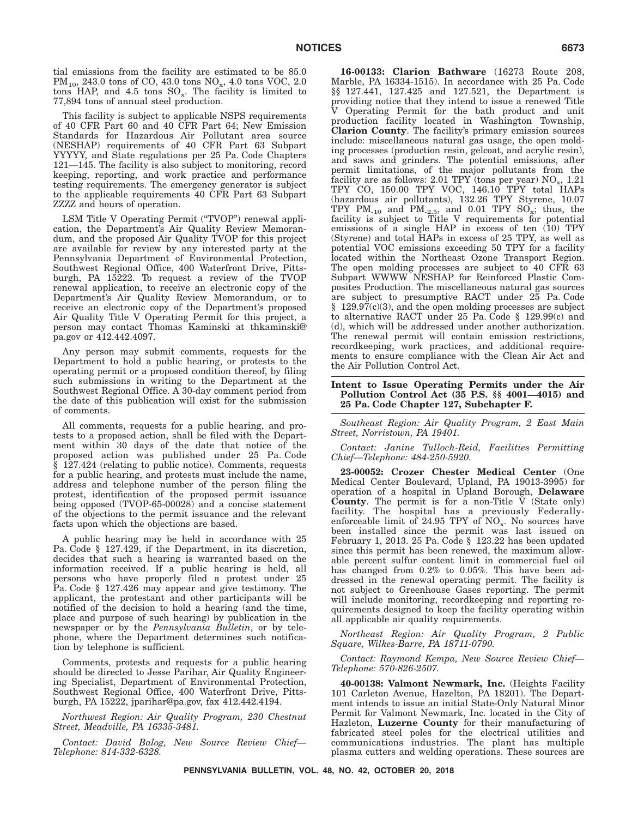tial emissions from the facility are estimated to be 85.0  $PM_{10}$ , 243.0 tons of CO, 43.0 tons NO<sub>x</sub>, 4.0 tons VOC, 2.0 tons HAP, and  $4.5$  tons  $SO_x$ . The facility is limited to 77,894 tons of annual steel production.

This facility is subject to applicable NSPS requirements of 40 CFR Part 60 and 40 CFR Part 64; New Emission Standards for Hazardous Air Pollutant area source (NESHAP) requirements of 40 CFR Part 63 Subpart YYYYY, and State regulations per 25 Pa. Code Chapters 121—145. The facility is also subject to monitoring, record keeping, reporting, and work practice and performance testing requirements. The emergency generator is subject to the applicable requirements 40 CFR Part 63 Subpart ZZZZ and hours of operation.

LSM Title V Operating Permit ("TVOP") renewal application, the Department's Air Quality Review Memorandum, and the proposed Air Quality TVOP for this project are available for review by any interested party at the Pennsylvania Department of Environmental Protection, Southwest Regional Office, 400 Waterfront Drive, Pittsburgh, PA 15222. To request a review of the TVOP renewal application, to receive an electronic copy of the Department's Air Quality Review Memorandum, or to receive an electronic copy of the Department's proposed Air Quality Title V Operating Permit for this project, a person may contact Thomas Kaminski at thkaminski@ pa.gov or 412.442.4097.

Any person may submit comments, requests for the Department to hold a public hearing, or protests to the operating permit or a proposed condition thereof, by filing such submissions in writing to the Department at the Southwest Regional Office. A 30-day comment period from the date of this publication will exist for the submission of comments.

All comments, requests for a public hearing, and protests to a proposed action, shall be filed with the Department within 30 days of the date that notice of the proposed action was published under 25 Pa. Code § 127.424 (relating to public notice). Comments, requests for a public hearing, and protests must include the name, address and telephone number of the person filing the protest, identification of the proposed permit issuance being opposed (TVOP-65-00028) and a concise statement of the objections to the permit issuance and the relevant facts upon which the objections are based.

A public hearing may be held in accordance with 25 Pa. Code § 127.429, if the Department, in its discretion, decides that such a hearing is warranted based on the information received. If a public hearing is held, all persons who have properly filed a protest under 25 Pa. Code § 127.426 may appear and give testimony. The applicant, the protestant and other participants will be notified of the decision to hold a hearing (and the time, place and purpose of such hearing) by publication in the newspaper or by the *Pennsylvania Bulletin*, or by telephone, where the Department determines such notification by telephone is sufficient.

Comments, protests and requests for a public hearing should be directed to Jesse Parihar, Air Quality Engineering Specialist, Department of Environmental Protection, Southwest Regional Office, 400 Waterfront Drive, Pittsburgh, PA 15222, jparihar@pa.gov, fax 412.442.4194.

*Northwest Region: Air Quality Program, 230 Chestnut Street, Meadville, PA 16335-3481.*

*Contact: David Balog, New Source Review Chief— Telephone: 814-332-6328.*

**16-00133: Clarion Bathware** (16273 Route 208, Marble, PA 16334-1515). In accordance with 25 Pa. Code §§ 127.441, 127.425 and 127.521, the Department is providing notice that they intend to issue a renewed Title V Operating Permit for the bath product and unit production facility located in Washington Township, **Clarion County**. The facility's primary emission sources include: miscellaneous natural gas usage, the open molding processes (production resin, gelcoat, and acrylic resin), and saws and grinders. The potential emissions, after permit limitations, of the major pollutants from the facility are as follows: 2.01 TPY (tons per year) NO<sub>x</sub>, 1.21<br>TPY CO, 150.00 TPY VOC, 146.10 TPY total HAPs (hazardous air pollutants), 132.26 TPY Styrene, 10.07 TPY  $PM_{10}$  and  $PM_{25}$ , and 0.01 TPY  $SO_{x}$ ; thus, the facility is subject to Title V requirements for potential emissions of a single HAP in excess of ten (10) TPY (Styrene) and total HAPs in excess of 25 TPY, as well as potential VOC emissions exceeding 50 TPY for a facility located within the Northeast Ozone Transport Region. The open molding processes are subject to 40 CFR 63 Subpart WWWW NESHAP for Reinforced Plastic Composites Production. The miscellaneous natural gas sources are subject to presumptive RACT under 25 Pa. Code § 129.97(c)(3), and the open molding processes are subject to alternative RACT under 25 Pa. Code § 129.99(c) and (d), which will be addressed under another authorization. The renewal permit will contain emission restrictions, recordkeeping, work practices, and additional requirements to ensure compliance with the Clean Air Act and the Air Pollution Control Act.

#### **Intent to Issue Operating Permits under the Air Pollution Control Act (35 P.S. §§ 4001—4015) and 25 Pa. Code Chapter 127, Subchapter F.**

*Southeast Region: Air Quality Program, 2 East Main Street, Norristown, PA 19401.*

*Contact: Janine Tulloch-Reid, Facilities Permitting Chief—Telephone: 484-250-5920.*

**23-00052: Crozer Chester Medical Center** (One Medical Center Boulevard, Upland, PA 19013-3995) for operation of a hospital in Upland Borough, **Delaware County**. The permit is for a non-Title V (State only) facility. The hospital has a previously Federallyenforceable limit of  $24.95$  TPY of  $NO_x$ . No sources have been installed since the permit was last issued on February 1, 2013. 25 Pa. Code § 123.22 has been updated since this permit has been renewed, the maximum allowable percent sulfur content limit in commercial fuel oil has changed from  $0.2\%$  to  $0.05\%$ . This have been addressed in the renewal operating permit. The facility is not subject to Greenhouse Gases reporting. The permit will include monitoring, recordkeeping and reporting requirements designed to keep the facility operating within all applicable air quality requirements.

*Northeast Region: Air Quality Program, 2 Public Square, Wilkes-Barre, PA 18711-0790.*

*Contact: Raymond Kempa, New Source Review Chief— Telephone: 570-826-2507.*

**40-00138: Valmont Newmark, Inc.** (Heights Facility 101 Carleton Avenue, Hazelton, PA 18201). The Department intends to issue an initial State-Only Natural Minor Permit for Valmont Newmark, Inc. located in the City of Hazleton, **Luzerne County** for their manufacturing of fabricated steel poles for the electrical utilities and communications industries. The plant has multiple plasma cutters and welding operations. These sources are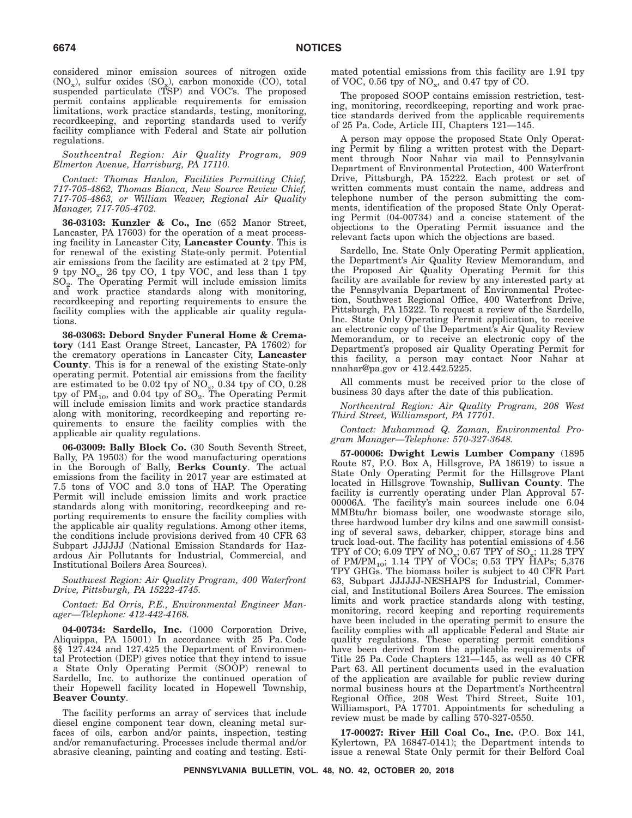considered minor emission sources of nitrogen oxide  $(NO_x)$ , sulfur oxides  $(SO_x)$ , carbon monoxide  $(CO)$ , total suspended particulate (TSP) and VOC's. The proposed permit contains applicable requirements for emission limitations, work practice standards, testing, monitoring, recordkeeping, and reporting standards used to verify facility compliance with Federal and State air pollution regulations.

*Southcentral Region: Air Quality Program, 909 Elmerton Avenue, Harrisburg, PA 17110.*

*Contact: Thomas Hanlon, Facilities Permitting Chief, 717-705-4862, Thomas Bianca, New Source Review Chief, 717-705-4863, or William Weaver, Regional Air Quality Manager, 717-705-4702.*

**36-03103: Kunzler & Co., Inc** (652 Manor Street, Lancaster, PA 17603) for the operation of a meat processing facility in Lancaster City, **Lancaster County**. This is for renewal of the existing State-only permit. Potential air emissions from the facility are estimated at 2 tpy PM, 9 tpy  $NO_x$ , 26 tpy  $CO$ , 1 tpy  $VOC$ , and less than 1 tpy  $SO<sub>2</sub>$ . The Operating Permit will include emission limits and work practice standards along with monitoring, recordkeeping and reporting requirements to ensure the facility complies with the applicable air quality regulations.

**36-03063: Debord Snyder Funeral Home & Crematory** (141 East Orange Street, Lancaster, PA 17602) for the crematory operations in Lancaster City, **Lancaster County**. This is for a renewal of the existing State-only operating permit. Potential air emissions from the facility are estimated to be 0.02 tpy of  $NO_x$ , 0.34 tpy of CO, 0.28 tpy of  $\text{PM}_{10}$ , and 0.04 tpy of  $\text{SO}_2$ . The Operating Permit will include emission limits and work practice standards along with monitoring, recordkeeping and reporting requirements to ensure the facility complies with the applicable air quality regulations.

**06-03009: Bally Block Co.** (30 South Seventh Street, Bally, PA 19503) for the wood manufacturing operations in the Borough of Bally, **Berks County**. The actual emissions from the facility in 2017 year are estimated at 7.5 tons of VOC and 3.0 tons of HAP. The Operating Permit will include emission limits and work practice standards along with monitoring, recordkeeping and reporting requirements to ensure the facility complies with the applicable air quality regulations. Among other items, the conditions include provisions derived from 40 CFR 63 Subpart JJJJJJ (National Emission Standards for Hazardous Air Pollutants for Industrial, Commercial, and Institutional Boilers Area Sources).

*Southwest Region: Air Quality Program, 400 Waterfront Drive, Pittsburgh, PA 15222-4745.*

*Contact: Ed Orris, P.E., Environmental Engineer Manager—Telephone: 412-442-4168.*

**04-00734: Sardello, Inc.** (1000 Corporation Drive, Aliquippa, PA 15001) In accordance with 25 Pa. Code §§ 127.424 and 127.425 the Department of Environmental Protection (DEP) gives notice that they intend to issue a State Only Operating Permit (SOOP) renewal to Sardello, Inc. to authorize the continued operation of their Hopewell facility located in Hopewell Township, **Beaver County**.

The facility performs an array of services that include diesel engine component tear down, cleaning metal surfaces of oils, carbon and/or paints, inspection, testing and/or remanufacturing. Processes include thermal and/or abrasive cleaning, painting and coating and testing. Estimated potential emissions from this facility are 1.91 tpy of VOC, 0.56 tpy of  $NO_x$ , and 0.47 tpy of CO.

The proposed SOOP contains emission restriction, testing, monitoring, recordkeeping, reporting and work practice standards derived from the applicable requirements of 25 Pa. Code, Article III, Chapters 121—145.

A person may oppose the proposed State Only Operating Permit by filing a written protest with the Department through Noor Nahar via mail to Pennsylvania Department of Environmental Protection, 400 Waterfront Drive, Pittsburgh, PA 15222. Each protest or set of written comments must contain the name, address and telephone number of the person submitting the comments, identification of the proposed State Only Operating Permit (04-00734) and a concise statement of the objections to the Operating Permit issuance and the relevant facts upon which the objections are based.

Sardello, Inc. State Only Operating Permit application, the Department's Air Quality Review Memorandum, and the Proposed Air Quality Operating Permit for this facility are available for review by any interested party at the Pennsylvania Department of Environmental Protection, Southwest Regional Office, 400 Waterfront Drive, Pittsburgh, PA 15222. To request a review of the Sardello, Inc. State Only Operating Permit application, to receive an electronic copy of the Department's Air Quality Review Memorandum, or to receive an electronic copy of the Department's proposed air Quality Operating Permit for this facility, a person may contact Noor Nahar at nnahar@pa.gov or 412.442.5225.

All comments must be received prior to the close of business 30 days after the date of this publication.

*Northcentral Region: Air Quality Program, 208 West Third Street, Williamsport, PA 17701.*

*Contact: Muhammad Q. Zaman, Environmental Program Manager—Telephone: 570-327-3648.*

**57-00006: Dwight Lewis Lumber Company** (1895 Route 87, P.O. Box A, Hillsgrove, PA 18619) to issue a State Only Operating Permit for the Hillsgrove Plant located in Hillsgrove Township, **Sullivan County**. The facility is currently operating under Plan Approval 57- 00006A. The facility's main sources include one 6.04 MMBtu/hr biomass boiler, one woodwaste storage silo, three hardwood lumber dry kilns and one sawmill consisting of several saws, debarker, chipper, storage bins and truck load-out. The facility has potential emissions of 4.56 TPY of CO; 6.09 TPY of  $NO_x$ ; 0.67 TPY of SO<sub>x</sub>; 11.28 TPY of PM/PM<sub>10</sub>; 1.14 TPY of VOCs; 0.53 TPY HAPs; 5,376<br>TPY GHGs. The biomass boiler is subject to 40 CFR Part 63, Subpart JJJJJJ-NESHAPS for Industrial, Commercial, and Institutional Boilers Area Sources. The emission limits and work practice standards along with testing, monitoring, record keeping and reporting requirements have been included in the operating permit to ensure the facility complies with all applicable Federal and State air quality regulations. These operating permit conditions have been derived from the applicable requirements of Title 25 Pa. Code Chapters 121—145, as well as 40 CFR Part 63. All pertinent documents used in the evaluation of the application are available for public review during normal business hours at the Department's Northcentral Regional Office, 208 West Third Street, Suite 101, Williamsport, PA 17701. Appointments for scheduling a review must be made by calling 570-327-0550.

**17-00027: River Hill Coal Co., Inc.** (P.O. Box 141, Kylertown, PA 16847-0141); the Department intends to issue a renewal State Only permit for their Belford Coal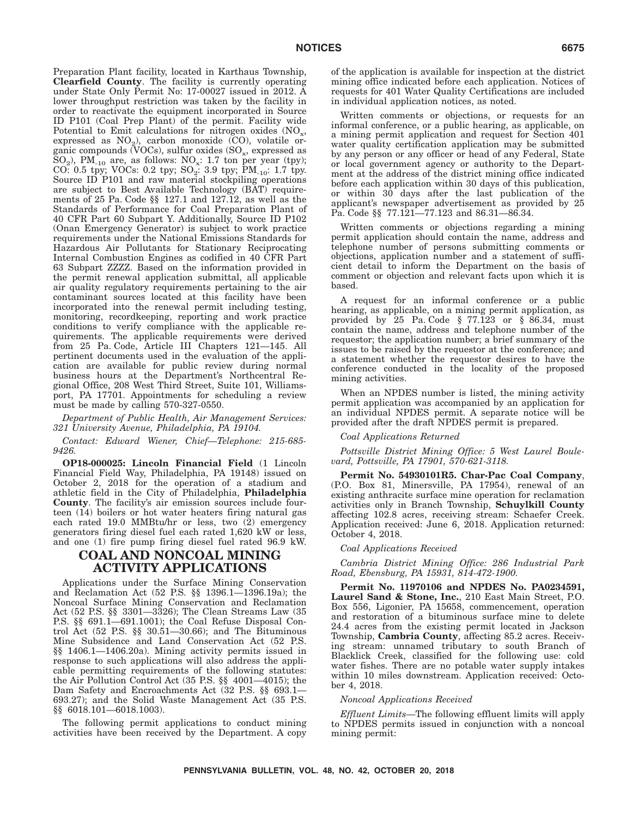Preparation Plant facility, located in Karthaus Township, **Clearfield County**. The facility is currently operating under State Only Permit No: 17-00027 issued in 2012. A lower throughput restriction was taken by the facility in order to reactivate the equipment incorporated in Source ID P101 (Coal Prep Plant) of the permit. Facility wide Potential to Emit calculations for nitrogen oxides  $(NO<sub>x</sub>,$ expressed as  $NO<sub>2</sub>$ ), carbon monoxide (CO), volatile organic compounds (VOCs), sulfur oxides  $(SO_x)$ , expressed as  $SO_2$ ), PM<sub>-10</sub> are, as follows:  $NO_x$ : 1.7 ton per year (tpy); CO: 0.5 tpy; VOCs: 0.2 tpy;  $SO_2$ : 3.9 tpy;  $PM_{10}$ : 1.7 tpy. Source ID P101 and raw material stockpiling operations are subject to Best Available Technology (BAT) requirements of 25 Pa. Code §§ 127.1 and 127.12, as well as the Standards of Performance for Coal Preparation Plant of 40 CFR Part 60 Subpart Y. Additionally, Source ID P102 (Onan Emergency Generator) is subject to work practice requirements under the National Emissions Standards for Hazardous Air Pollutants for Stationary Reciprocating Internal Combustion Engines as codified in 40 CFR Part 63 Subpart ZZZZ. Based on the information provided in the permit renewal application submittal, all applicable air quality regulatory requirements pertaining to the air contaminant sources located at this facility have been incorporated into the renewal permit including testing, monitoring, recordkeeping, reporting and work practice conditions to verify compliance with the applicable requirements. The applicable requirements were derived from 25 Pa. Code, Article III Chapters 121—145. All pertinent documents used in the evaluation of the application are available for public review during normal business hours at the Department's Northcentral Regional Office, 208 West Third Street, Suite 101, Williamsport, PA 17701. Appointments for scheduling a review must be made by calling 570-327-0550.

*Department of Public Health, Air Management Services: 321 University Avenue, Philadelphia, PA 19104.*

*Contact: Edward Wiener, Chief—Telephone: 215-685- 9426.*

**OP18-000025: Lincoln Financial Field** (1 Lincoln Financial Field Way, Philadelphia, PA 19148) issued on October 2, 2018 for the operation of a stadium and athletic field in the City of Philadelphia, **Philadelphia County**. The facility's air emission sources include fourteen (14) boilers or hot water heaters firing natural gas each rated 19.0 MMBtu/hr or less, two (2) emergency generators firing diesel fuel each rated 1,620 kW or less, and one (1) fire pump firing diesel fuel rated 96.9 kW.

# **COAL AND NONCOAL MINING ACTIVITY APPLICATIONS**

Applications under the Surface Mining Conservation and Reclamation Act (52 P.S. §§ 1396.1—1396.19a); the Noncoal Surface Mining Conservation and Reclamation Act (52 P.S. §§ 3301—3326); The Clean Streams Law (35 P.S. §§ 691.1—691.1001); the Coal Refuse Disposal Control Act  $(52 \text{ P.S. }$   $\S$  $\S$   $30.51-30.66)$ ; and The Bituminous Mine Subsidence and Land Conservation Act (52 P.S. §§ 1406.1—1406.20a). Mining activity permits issued in response to such applications will also address the applicable permitting requirements of the following statutes: the Air Pollution Control Act (35 P.S. §§ 4001—4015); the Dam Safety and Encroachments Act (32 P.S. §§ 693.1— 693.27); and the Solid Waste Management Act (35 P.S. §§ 6018.101—6018.1003).

The following permit applications to conduct mining activities have been received by the Department. A copy of the application is available for inspection at the district mining office indicated before each application. Notices of requests for 401 Water Quality Certifications are included in individual application notices, as noted.

Written comments or objections, or requests for an informal conference, or a public hearing, as applicable, on a mining permit application and request for Section 401 water quality certification application may be submitted by any person or any officer or head of any Federal, State or local government agency or authority to the Department at the address of the district mining office indicated before each application within 30 days of this publication, or within 30 days after the last publication of the applicant's newspaper advertisement as provided by 25 Pa. Code §§ 77.121—77.123 and 86.31—86.34.

Written comments or objections regarding a mining permit application should contain the name, address and telephone number of persons submitting comments or objections, application number and a statement of sufficient detail to inform the Department on the basis of comment or objection and relevant facts upon which it is based.

A request for an informal conference or a public hearing, as applicable, on a mining permit application, as provided by  $25$  Pa. Code  $\S$  77.123 or  $\S$   $86.34$ , must contain the name, address and telephone number of the requestor; the application number; a brief summary of the issues to be raised by the requestor at the conference; and a statement whether the requestor desires to have the conference conducted in the locality of the proposed mining activities.

When an NPDES number is listed, the mining activity permit application was accompanied by an application for an individual NPDES permit. A separate notice will be provided after the draft NPDES permit is prepared.

#### *Coal Applications Returned*

*Pottsville District Mining Office: 5 West Laurel Boulevard, Pottsville, PA 17901, 570-621-3118.*

**Permit No. 54930101R5. Char-Pac Coal Company**, (P.O. Box 81, Minersville, PA 17954), renewal of an existing anthracite surface mine operation for reclamation activities only in Branch Township, **Schuylkill County** affecting 102.8 acres, receiving stream: Schaefer Creek. Application received: June 6, 2018. Application returned: October 4, 2018.

#### *Coal Applications Received*

*Cambria District Mining Office: 286 Industrial Park Road, Ebensburg, PA 15931, 814-472-1900.*

**Permit No. 11970106 and NPDES No. PA0234591, Laurel Sand & Stone, Inc.**, 210 East Main Street, P.O. Box 556, Ligonier, PA 15658, commencement, operation and restoration of a bituminous surface mine to delete 24.4 acres from the existing permit located in Jackson Township, **Cambria County**, affecting 85.2 acres. Receiving stream: unnamed tributary to south Branch of Blacklick Creek, classified for the following use: cold water fishes. There are no potable water supply intakes within 10 miles downstream. Application received: October 4, 2018.

#### *Noncoal Applications Received*

*Effluent Limits*—The following effluent limits will apply to NPDES permits issued in conjunction with a noncoal mining permit: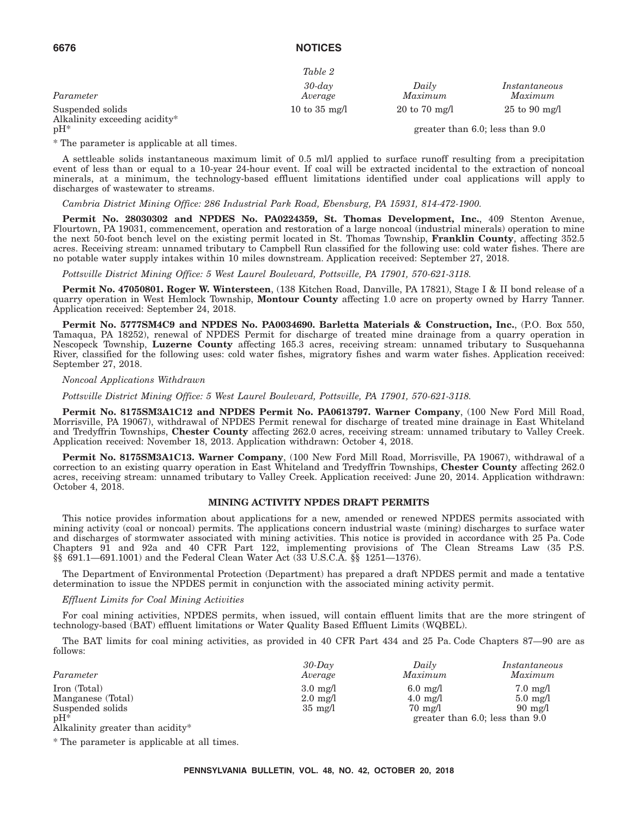|                                                   | Table 2                 |                                  |                                      |
|---------------------------------------------------|-------------------------|----------------------------------|--------------------------------------|
| Parameter                                         | $30$ -day<br>Average    | Daily<br>Maximum                 | Instantaneous<br>Maximum             |
| Suspended solids<br>Alkalinity exceeding acidity* | 10 to $35 \text{ mg/l}$ | $20 \text{ to } 70 \text{ mg/l}$ | $25 \text{ to } 90 \text{ mg/l}$     |
| $pH^*$                                            |                         |                                  | greater than $6.0$ ; less than $9.0$ |

\* The parameter is applicable at all times.

A settleable solids instantaneous maximum limit of 0.5 ml/l applied to surface runoff resulting from a precipitation event of less than or equal to a 10-year 24-hour event. If coal will be extracted incidental to the extraction of noncoal minerals, at a minimum, the technology-based effluent limitations identified under coal applications will apply to discharges of wastewater to streams.

*Cambria District Mining Office: 286 Industrial Park Road, Ebensburg, PA 15931, 814-472-1900.*

**Permit No. 28030302 and NPDES No. PA0224359, St. Thomas Development, Inc.**, 409 Stenton Avenue, Flourtown, PA 19031, commencement, operation and restoration of a large noncoal (industrial minerals) operation to mine the next 50-foot bench level on the existing permit located in St. Thomas Township, **Franklin County**, affecting 352.5 acres. Receiving stream: unnamed tributary to Campbell Run classified for the following use: cold water fishes. There are no potable water supply intakes within 10 miles downstream. Application received: September 27, 2018.

*Pottsville District Mining Office: 5 West Laurel Boulevard, Pottsville, PA 17901, 570-621-3118.*

**Permit No. 47050801. Roger W. Wintersteen**, (138 Kitchen Road, Danville, PA 17821), Stage I & II bond release of a quarry operation in West Hemlock Township, **Montour County** affecting 1.0 acre on property owned by Harry Tanner. Application received: September 24, 2018.

**Permit No. 5777SM4C9 and NPDES No. PA0034690. Barletta Materials & Construction, Inc.**, (P.O. Box 550, Tamaqua, PA 18252), renewal of NPDES Permit for discharge of treated mine drainage from a quarry operation in Nescopeck Township, **Luzerne County** affecting 165.3 acres, receiving stream: unnamed tributary to Susquehanna River, classified for the following uses: cold water fishes, migratory fishes and warm water fishes. Application received: September 27, 2018.

#### *Noncoal Applications Withdrawn*

*Pottsville District Mining Office: 5 West Laurel Boulevard, Pottsville, PA 17901, 570-621-3118.*

**Permit No. 8175SM3A1C12 and NPDES Permit No. PA0613797. Warner Company**, (100 New Ford Mill Road, Morrisville, PA 19067), withdrawal of NPDES Permit renewal for discharge of treated mine drainage in East Whiteland and Tredyffrin Townships, **Chester County** affecting 262.0 acres, receiving stream: unnamed tributary to Valley Creek. Application received: November 18, 2013. Application withdrawn: October 4, 2018.

**Permit No. 8175SM3A1C13. Warner Company**, (100 New Ford Mill Road, Morrisville, PA 19067), withdrawal of a correction to an existing quarry operation in East Whiteland and Tredyffrin Townships, **Chester County** affecting 262.0 acres, receiving stream: unnamed tributary to Valley Creek. Application received: June 20, 2014. Application withdrawn: October 4, 2018.

#### **MINING ACTIVITY NPDES DRAFT PERMITS**

This notice provides information about applications for a new, amended or renewed NPDES permits associated with mining activity (coal or noncoal) permits. The applications concern industrial waste (mining) discharges to surface water and discharges of stormwater associated with mining activities. This notice is provided in accordance with 25 Pa. Code Chapters 91 and 92a and 40 CFR Part 122, implementing provisions of The Clean Streams Law (35 P.S. §§ 691.1—691.1001) and the Federal Clean Water Act (33 U.S.C.A. §§ 1251—1376).

The Department of Environmental Protection (Department) has prepared a draft NPDES permit and made a tentative determination to issue the NPDES permit in conjunction with the associated mining activity permit.

#### *Effluent Limits for Coal Mining Activities*

For coal mining activities, NPDES permits, when issued, will contain effluent limits that are the more stringent of technology-based (BAT) effluent limitations or Water Quality Based Effluent Limits (WQBEL).

The BAT limits for coal mining activities, as provided in 40 CFR Part 434 and 25 Pa. Code Chapters 87—90 are as follows:

|                                               | $30$ -Day          | Daily              | Instantaneous                        |
|-----------------------------------------------|--------------------|--------------------|--------------------------------------|
| Parameter                                     | Average            | Maximum            | Maximum                              |
| Iron (Total)                                  | $3.0 \text{ mg}/1$ | $6.0 \text{ mg}/1$ | $7.0 \text{ mg}/1$                   |
| Manganese (Total)                             | $2.0 \text{ mg}/1$ | $4.0 \text{ mg}/l$ | $5.0 \text{ mg}/l$                   |
| Suspended solids                              | $35 \text{ mg}/1$  | $70 \text{ mg}/1$  | $90 \text{ mg}/1$                    |
| $pH^*$                                        |                    |                    | greater than $6.0$ ; less than $9.0$ |
| $\lambda$ 11 12 $\lambda$<br>$1.111 \pm 0.02$ |                    |                    |                                      |

Alkalinity greater than acidity\*

\* The parameter is applicable at all times.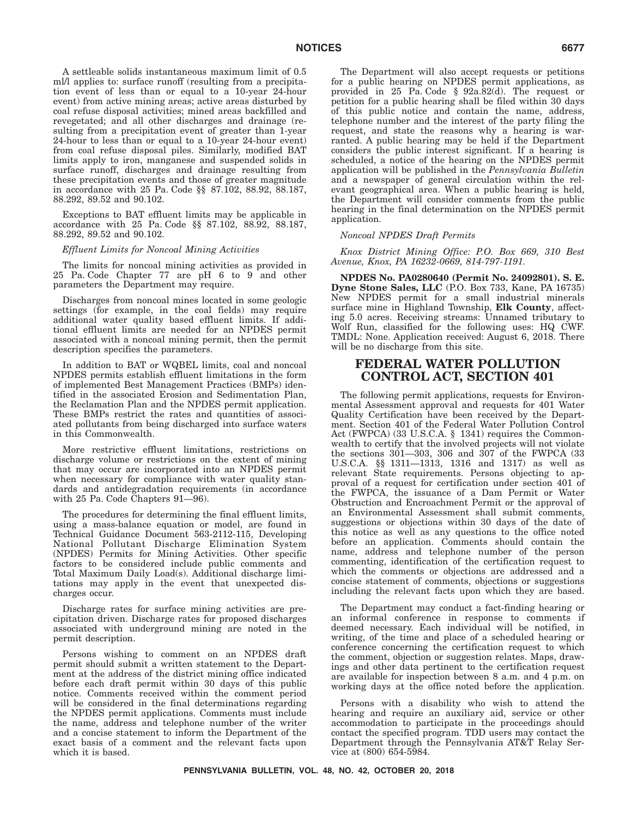A settleable solids instantaneous maximum limit of 0.5 ml/l applies to: surface runoff (resulting from a precipitation event of less than or equal to a 10-year 24-hour event) from active mining areas; active areas disturbed by coal refuse disposal activities; mined areas backfilled and revegetated; and all other discharges and drainage (resulting from a precipitation event of greater than 1-year 24-hour to less than or equal to a 10-year 24-hour event) from coal refuse disposal piles. Similarly, modified BAT limits apply to iron, manganese and suspended solids in surface runoff, discharges and drainage resulting from these precipitation events and those of greater magnitude in accordance with 25 Pa. Code §§ 87.102, 88.92, 88.187, 88.292, 89.52 and 90.102.

Exceptions to BAT effluent limits may be applicable in accordance with 25 Pa. Code §§ 87.102, 88.92, 88.187, 88.292, 89.52 and 90.102.

#### *Effluent Limits for Noncoal Mining Activities*

The limits for noncoal mining activities as provided in 25 Pa. Code Chapter 77 are pH 6 to 9 and other parameters the Department may require.

Discharges from noncoal mines located in some geologic settings (for example, in the coal fields) may require additional water quality based effluent limits. If additional effluent limits are needed for an NPDES permit associated with a noncoal mining permit, then the permit description specifies the parameters.

In addition to BAT or WQBEL limits, coal and noncoal NPDES permits establish effluent limitations in the form of implemented Best Management Practices (BMPs) identified in the associated Erosion and Sedimentation Plan, the Reclamation Plan and the NPDES permit application. These BMPs restrict the rates and quantities of associated pollutants from being discharged into surface waters in this Commonwealth.

More restrictive effluent limitations, restrictions on discharge volume or restrictions on the extent of mining that may occur are incorporated into an NPDES permit when necessary for compliance with water quality standards and antidegradation requirements (in accordance with 25 Pa. Code Chapters 91—96).

The procedures for determining the final effluent limits, using a mass-balance equation or model, are found in Technical Guidance Document 563-2112-115, Developing National Pollutant Discharge Elimination System (NPDES) Permits for Mining Activities. Other specific factors to be considered include public comments and Total Maximum Daily Load(s). Additional discharge limitations may apply in the event that unexpected discharges occur.

Discharge rates for surface mining activities are precipitation driven. Discharge rates for proposed discharges associated with underground mining are noted in the permit description.

Persons wishing to comment on an NPDES draft permit should submit a written statement to the Department at the address of the district mining office indicated before each draft permit within 30 days of this public notice. Comments received within the comment period will be considered in the final determinations regarding the NPDES permit applications. Comments must include the name, address and telephone number of the writer and a concise statement to inform the Department of the exact basis of a comment and the relevant facts upon which it is based.

The Department will also accept requests or petitions for a public hearing on NPDES permit applications, as provided in 25 Pa. Code § 92a.82(d). The request or petition for a public hearing shall be filed within 30 days of this public notice and contain the name, address, telephone number and the interest of the party filing the request, and state the reasons why a hearing is warranted. A public hearing may be held if the Department considers the public interest significant. If a hearing is scheduled, a notice of the hearing on the NPDES permit application will be published in the *Pennsylvania Bulletin* and a newspaper of general circulation within the relevant geographical area. When a public hearing is held, the Department will consider comments from the public hearing in the final determination on the NPDES permit application.

#### *Noncoal NPDES Draft Permits*

*Knox District Mining Office: P.O. Box 669, 310 Best Avenue, Knox, PA 16232-0669, 814-797-1191.*

**NPDES No. PA0280640 (Permit No. 24092801). S. E. Dyne Stone Sales, LLC** (P.O. Box 733, Kane, PA 16735) New NPDES permit for a small industrial minerals surface mine in Highland Township, **Elk County**, affecting 5.0 acres. Receiving streams: Unnamed tributary to Wolf Run, classified for the following uses: HQ CWF. TMDL: None. Application received: August 6, 2018. There will be no discharge from this site.

## **FEDERAL WATER POLLUTION CONTROL ACT, SECTION 401**

The following permit applications, requests for Environmental Assessment approval and requests for 401 Water Quality Certification have been received by the Department. Section 401 of the Federal Water Pollution Control Act (FWPCA) (33 U.S.C.A. § 1341) requires the Commonwealth to certify that the involved projects will not violate the sections 301—303, 306 and 307 of the FWPCA (33 U.S.C.A. §§ 1311—1313, 1316 and 1317) as well as relevant State requirements. Persons objecting to approval of a request for certification under section 401 of the FWPCA, the issuance of a Dam Permit or Water Obstruction and Encroachment Permit or the approval of an Environmental Assessment shall submit comments, suggestions or objections within 30 days of the date of this notice as well as any questions to the office noted before an application. Comments should contain the name, address and telephone number of the person commenting, identification of the certification request to which the comments or objections are addressed and a concise statement of comments, objections or suggestions including the relevant facts upon which they are based.

The Department may conduct a fact-finding hearing or an informal conference in response to comments if deemed necessary. Each individual will be notified, in writing, of the time and place of a scheduled hearing or conference concerning the certification request to which the comment, objection or suggestion relates. Maps, drawings and other data pertinent to the certification request are available for inspection between 8 a.m. and 4 p.m. on working days at the office noted before the application.

Persons with a disability who wish to attend the hearing and require an auxiliary aid, service or other accommodation to participate in the proceedings should contact the specified program. TDD users may contact the Department through the Pennsylvania AT&T Relay Service at (800) 654-5984.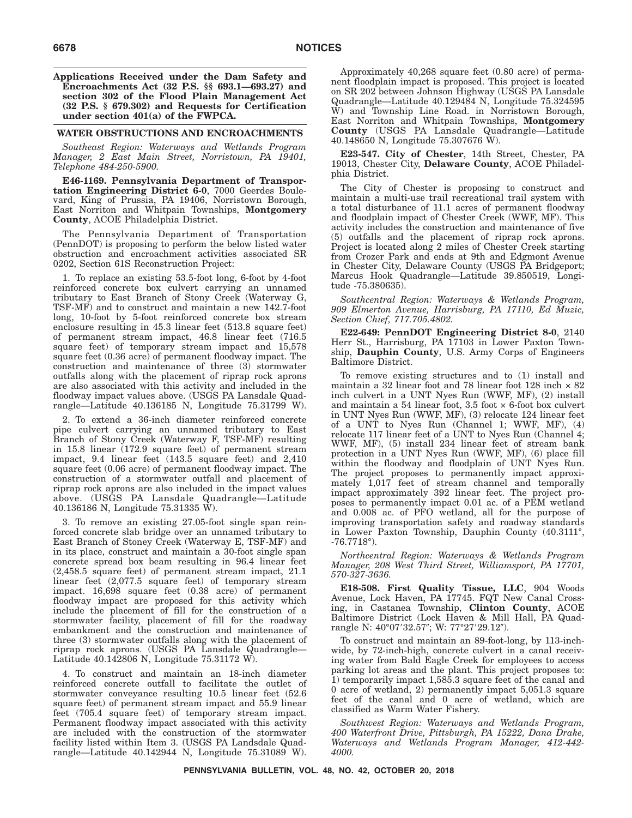**Applications Received under the Dam Safety and Encroachments Act (32 P.S. §§ 693.1—693.27) and section 302 of the Flood Plain Management Act (32 P.S. § 679.302) and Requests for Certification under section 401(a) of the FWPCA.**

#### **WATER OBSTRUCTIONS AND ENCROACHMENTS**

*Southeast Region: Waterways and Wetlands Program Manager, 2 East Main Street, Norristown, PA 19401, Telephone 484-250-5900.*

**E46-1169. Pennsylvania Department of Transportation Engineering District 6-0**, 7000 Geerdes Boulevard, King of Prussia, PA 19406, Norristown Borough, East Norriton and Whitpain Townships, **Montgomery County**, ACOE Philadelphia District.

The Pennsylvania Department of Transportation (PennDOT) is proposing to perform the below listed water obstruction and encroachment activities associated SR 0202, Section 61S Reconstruction Project:

1. To replace an existing 53.5-foot long, 6-foot by 4-foot reinforced concrete box culvert carrying an unnamed tributary to East Branch of Stony Creek (Waterway G, TSF-MF) and to construct and maintain a new 142.7-foot long, 10-foot by 5-foot reinforced concrete box stream enclosure resulting in 45.3 linear feet (513.8 square feet) of permanent stream impact, 46.8 linear feet (716.5 square feet) of temporary stream impact and 15,578 square feet (0.36 acre) of permanent floodway impact. The construction and maintenance of three (3) stormwater outfalls along with the placement of riprap rock aprons are also associated with this activity and included in the floodway impact values above. (USGS PA Lansdale Quadrangle—Latitude 40.136185 N, Longitude 75.31799 W).

2. To extend a 36-inch diameter reinforced concrete pipe culvert carrying an unnamed tributary to East Branch of Stony Creek (Waterway F, TSF-MF) resulting in 15.8 linear (172.9 square feet) of permanent stream impact, 9.4 linear feet (143.5 square feet) and 2,410 square feet (0.06 acre) of permanent floodway impact. The construction of a stormwater outfall and placement of riprap rock aprons are also included in the impact values above. (USGS PA Lansdale Quadrangle—Latitude 40.136186 N, Longitude 75.31335 W).

3. To remove an existing 27.05-foot single span reinforced concrete slab bridge over an unnamed tributary to East Branch of Stoney Creek (Waterway E, TSF-MF) and in its place, construct and maintain a 30-foot single span concrete spread box beam resulting in 96.4 linear feet (2,458.5 square feet) of permanent stream impact, 21.1 linear feet (2,077.5 square feet) of temporary stream impact. 16,698 square feet (0.38 acre) of permanent floodway impact are proposed for this activity which include the placement of fill for the construction of a stormwater facility, placement of fill for the roadway embankment and the construction and maintenance of three (3) stormwater outfalls along with the placement of riprap rock aprons. (USGS PA Lansdale Quadrangle— Latitude 40.142806 N, Longitude 75.31172 W).

4. To construct and maintain an 18-inch diameter reinforced concrete outfall to facilitate the outlet of stormwater conveyance resulting 10.5 linear feet (52.6 square feet) of permanent stream impact and 55.9 linear feet (705.4 square feet) of temporary stream impact. Permanent floodway impact associated with this activity are included with the construction of the stormwater facility listed within Item 3. (USGS PA Landsdale Quadrangle—Latitude 40.142944 N, Longitude 75.31089 W).

Approximately 40,268 square feet (0.80 acre) of permanent floodplain impact is proposed. This project is located on SR 202 between Johnson Highway (USGS PA Lansdale Quadrangle—Latitude 40.129484 N, Longitude 75.324595 W) and Township Line Road. in Norristown Borough, East Norriton and Whitpain Townships, **Montgomery County** (USGS PA Lansdale Quadrangle—Latitude 40.148650 N, Longitude 75.307676 W).

**E23-547. City of Chester**, 14th Street, Chester, PA 19013, Chester City, **Delaware County**, ACOE Philadelphia District.

The City of Chester is proposing to construct and maintain a multi-use trail recreational trail system with a total disturbance of 11.1 acres of permanent floodway and floodplain impact of Chester Creek (WWF, MF). This activity includes the construction and maintenance of five (5) outfalls and the placement of riprap rock aprons. Project is located along 2 miles of Chester Creek starting from Crozer Park and ends at 9th and Edgmont Avenue in Chester City, Delaware County (USGS PA Bridgeport; Marcus Hook Quadrangle—Latitude 39.850519, Longitude -75.380635).

*Southcentral Region: Waterways & Wetlands Program, 909 Elmerton Avenue, Harrisburg, PA 17110, Ed Muzic, Section Chief, 717.705.4802.*

**E22-649: PennDOT Engineering District 8-0**, 2140 Herr St., Harrisburg, PA 17103 in Lower Paxton Township, **Dauphin County**, U.S. Army Corps of Engineers Baltimore District.

To remove existing structures and to (1) install and maintain a 32 linear foot and 78 linear foot 128 inch × 82 inch culvert in a UNT Nyes Run (WWF, MF), (2) install and maintain a  $54$  linear foot,  $3.5$  foot  $\times$  6-foot box culvert in UNT Nyes Run (WWF, MF), (3) relocate 124 linear feet of a UNT to Nyes Run (Channel 1; WWF, MF), (4) relocate 117 linear feet of a UNT to Nyes Run (Channel 4; WWF, MF), (5) install 234 linear feet of stream bank protection in a UNT Nyes Run (WWF, MF), (6) place fill within the floodway and floodplain of UNT Nyes Run. The project proposes to permanently impact approximately 1,017 feet of stream channel and temporally impact approximately 392 linear feet. The project proposes to permanently impact 0.01 ac. of a PEM wetland and 0.008 ac. of PFO wetland, all for the purpose of improving transportation safety and roadway standards in Lower Paxton Township, Dauphin County (40.3111°, -76.7718°).

*Northcentral Region: Waterways & Wetlands Program Manager, 208 West Third Street, Williamsport, PA 17701, 570-327-3636.*

**E18-508. First Quality Tissue, LLC**, 904 Woods Avenue, Lock Haven, PA 17745. FQT New Canal Crossing, in Castanea Township, **Clinton County**, ACOE Baltimore District (Lock Haven & Mill Hall, PA Quadrangle N: 40°07′32.57″; W: 77°27′29.12″).

To construct and maintain an 89-foot-long, by 113-inchwide, by 72-inch-high, concrete culvert in a canal receiving water from Bald Eagle Creek for employees to access parking lot areas and the plant. This project proposes to: 1) temporarily impact 1,585.3 square feet of the canal and 0 acre of wetland, 2) permanently impact 5,051.3 square feet of the canal and 0 acre of wetland, which are classified as Warm Water Fishery.

*Southwest Region: Waterways and Wetlands Program, 400 Waterfront Drive, Pittsburgh, PA 15222, Dana Drake, Waterways and Wetlands Program Manager, 412-442- 4000.*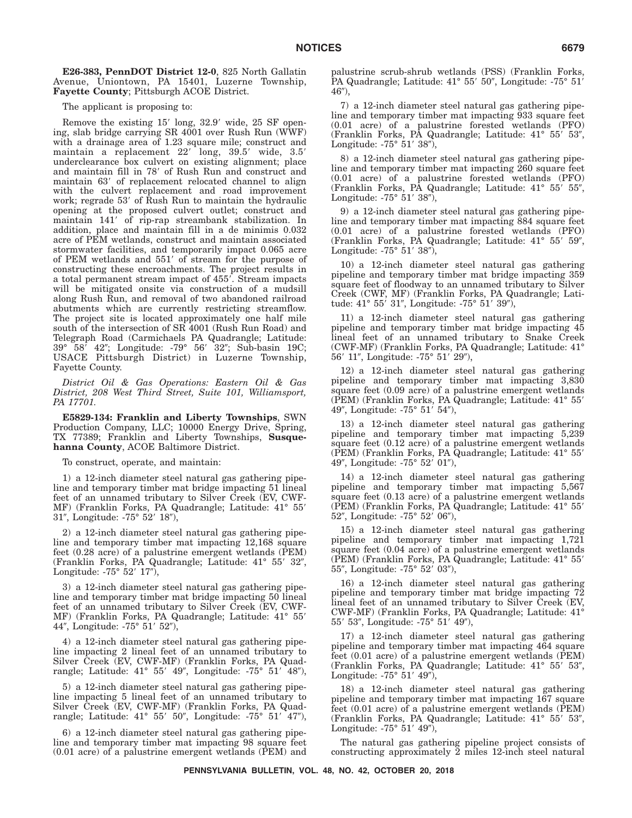**E26-383, PennDOT District 12-0**, 825 North Gallatin Avenue, Uniontown, PA 15401, Luzerne Township, **Fayette County**; Pittsburgh ACOE District.

The applicant is proposing to:

Remove the existing 15' long, 32.9' wide, 25 SF opening, slab bridge carrying SR 4001 over Rush Run (WWF) with a drainage area of 1.23 square mile; construct and maintain a replacement 22' long, 39.5' wide, 3.5' underclearance box culvert on existing alignment; place and maintain fill in 78' of Rush Run and construct and maintain 63' of replacement relocated channel to align with the culvert replacement and road improvement work; regrade 53' of Rush Run to maintain the hydraulic opening at the proposed culvert outlet; construct and maintain 141' of rip-rap streambank stabilization. In addition, place and maintain fill in a de minimis 0.032 acre of PEM wetlands, construct and maintain associated stormwater facilities, and temporarily impact 0.065 acre of PEM wetlands and 551' of stream for the purpose of constructing these encroachments. The project results in a total permanent stream impact of 455'. Stream impacts will be mitigated onsite via construction of a mudsill along Rush Run, and removal of two abandoned railroad abutments which are currently restricting streamflow. The project site is located approximately one half mile south of the intersection of SR 4001 (Rush Run Road) and Telegraph Road (Carmichaels PA Quadrangle; Latitude: 39° 58′ 42″; Longitude: -79° 56′ 32″; Sub-basin 19C; USACE Pittsburgh District) in Luzerne Township, Fayette County.

*District Oil & Gas Operations: Eastern Oil & Gas District, 208 West Third Street, Suite 101, Williamsport, PA 17701.*

**E5829-134: Franklin and Liberty Townships**, SWN Production Company, LLC; 10000 Energy Drive, Spring, TX 77389; Franklin and Liberty Townships, **Susquehanna County**, ACOE Baltimore District.

To construct, operate, and maintain:

1) a 12-inch diameter steel natural gas gathering pipeline and temporary timber mat bridge impacting 51 lineal feet of an unnamed tributary to Silver Creek (EV, CWF-MF) (Franklin Forks, PA Quadrangle; Latitude: 41° 55'  $31''$ , Longitude:  $-75^{\circ}$   $52'$   $18'$ ),

2) a 12-inch diameter steel natural gas gathering pipeline and temporary timber mat impacting 12,168 square feet (0.28 acre) of a palustrine emergent wetlands (PEM) (Franklin Forks, PA Quadrangle; Latitude: 41° 55′ 32", Longitude: -75° 52′ 17″),

3) a 12-inch diameter steel natural gas gathering pipeline and temporary timber mat bridge impacting 50 lineal feet of an unnamed tributary to Silver Creek (EV, CWF-MF) (Franklin Forks, PA Quadrangle; Latitude: 41° 55' 44″, Longitude: -75°  $51'$   $52'$ ),

4) a 12-inch diameter steel natural gas gathering pipeline impacting 2 lineal feet of an unnamed tributary to Silver Creek (EV, CWF-MF) (Franklin Forks, PA Quadrangle; Latitude: 41° 55′ 49″, Longitude: -75° 51′ 48″),

5) a 12-inch diameter steel natural gas gathering pipeline impacting 5 lineal feet of an unnamed tributary to Silver Creek (EV, CWF-MF) (Franklin Forks, PA Quadrangle; Latitude: 41° 55′ 50″, Longitude: -75° 51′ 47″),

6) a 12-inch diameter steel natural gas gathering pipeline and temporary timber mat impacting 98 square feet (0.01 acre) of a palustrine emergent wetlands (PEM) and

palustrine scrub-shrub wetlands (PSS) (Franklin Forks, PA Quadrangle; Latitude: 41° 55' 50", Longitude: -75° 51'  $46$ "),

7) a 12-inch diameter steel natural gas gathering pipeline and temporary timber mat impacting 933 square feet (0.01 acre) of a palustrine forested wetlands (PFO) (Franklin Forks, PA Quadrangle; Latitude: 41° 55' 53", Longitude:  $-75^{\circ}$   $51'$   $38'$ ),

8) a 12-inch diameter steel natural gas gathering pipeline and temporary timber mat impacting 260 square feet (0.01 acre) of a palustrine forested wetlands (PFO) (Franklin Forks, PA Quadrangle; Latitude: 41° 55' 55", Longitude:  $-75^{\circ}$  51' 38"),

9) a 12-inch diameter steel natural gas gathering pipeline and temporary timber mat impacting 884 square feet (0.01 acre) of a palustrine forested wetlands (PFO) (Franklin Forks, PA Quadrangle; Latitude: 41° 55' 59", Longitude: -75° 51' 38"),

10) a 12-inch diameter steel natural gas gathering pipeline and temporary timber mat bridge impacting 359 square feet of floodway to an unnamed tributary to Silver Creek (CWF, MF) (Franklin Forks, PA Quadrangle; Latitude: 41° 55' 31", Longitude: -75° 51' 39"),

11) a 12-inch diameter steel natural gas gathering pipeline and temporary timber mat bridge impacting 45 lineal feet of an unnamed tributary to Snake Creek (CWF-MF) (Franklin Forks, PA Quadrangle; Latitude: 41° 56' 11", Longitude: -75° 51' 29"),

12) a 12-inch diameter steel natural gas gathering pipeline and temporary timber mat impacting 3,830 square feet (0.09 acre) of a palustrine emergent wetlands (PEM) (Franklin Forks, PA Quadrangle; Latitude: 41° 55- 49", Longitude: -75° 51' 54"),

13) a 12-inch diameter steel natural gas gathering pipeline and temporary timber mat impacting 5,239 square feet (0.12 acre) of a palustrine emergent wetlands (PEM) (Franklin Forks, PA Quadrangle; Latitude: 41° 55- 49", Longitude: -75° 52' 01"),

14) a 12-inch diameter steel natural gas gathering pipeline and temporary timber mat impacting 5,567 square feet (0.13 acre) of a palustrine emergent wetlands (PEM) (Franklin Forks, PA Quadrangle; Latitude: 41° 55- 52", Longitude: -75° 52' 06"),

15) a 12-inch diameter steel natural gas gathering pipeline and temporary timber mat impacting 1,721 square feet (0.04 acre) of a palustrine emergent wetlands (PEM) (Franklin Forks, PA Quadrangle; Latitude: 41° 55- 55", Longitude: -75° 52' 03"),

16) a 12-inch diameter steel natural gas gathering pipeline and temporary timber mat bridge impacting 72 lineal feet of an unnamed tributary to Silver Creek (EV, CWF-MF) (Franklin Forks, PA Quadrangle; Latitude: 41° 55′ 53″, Longitude: -75° 51′ 49″),

17) a 12-inch diameter steel natural gas gathering pipeline and temporary timber mat impacting 464 square feet (0.01 acre) of a palustrine emergent wetlands (PEM) (Franklin Forks, PA Quadrangle; Latitude: 41° 55' 53", Longitude:  $-75^{\circ}$   $51'$   $49'$ ),

18) a 12-inch diameter steel natural gas gathering pipeline and temporary timber mat impacting 167 square feet (0.01 acre) of a palustrine emergent wetlands (PEM) (Franklin Forks, PA Quadrangle; Latitude: 41° 55' 53", Longitude:  $-75^{\circ}$   $51'$   $49'$ ),

The natural gas gathering pipeline project consists of constructing approximately 2 miles 12-inch steel natural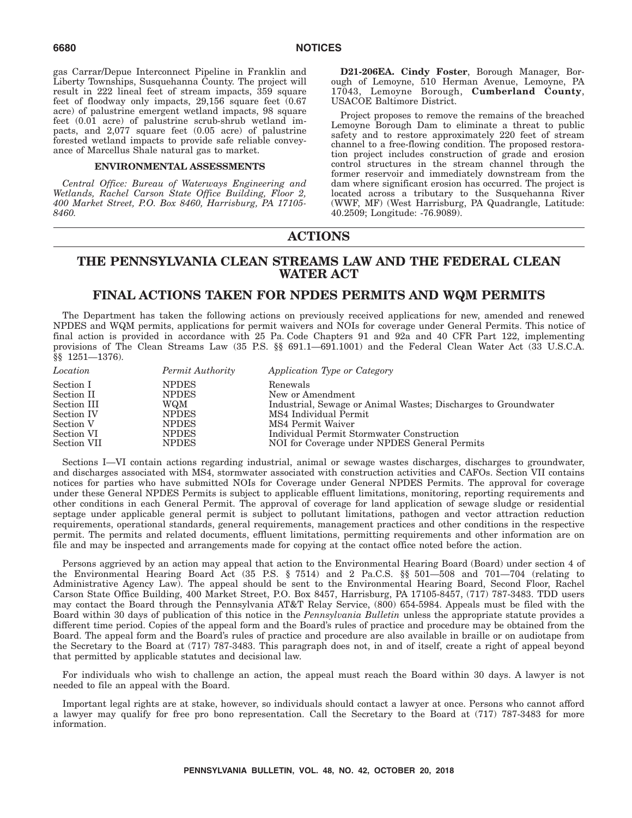gas Carrar/Depue Interconnect Pipeline in Franklin and Liberty Townships, Susquehanna County. The project will result in 222 lineal feet of stream impacts, 359 square feet of floodway only impacts, 29,156 square feet (0.67 acre) of palustrine emergent wetland impacts, 98 square feet (0.01 acre) of palustrine scrub-shrub wetland impacts, and 2,077 square feet (0.05 acre) of palustrine forested wetland impacts to provide safe reliable conveyance of Marcellus Shale natural gas to market.

#### **ENVIRONMENTAL ASSESSMENTS**

*Central Office: Bureau of Waterways Engineering and Wetlands, Rachel Carson State Office Building, Floor 2, 400 Market Street, P.O. Box 8460, Harrisburg, PA 17105- 8460.*

**D21-206EA. Cindy Foster**, Borough Manager, Borough of Lemoyne, 510 Herman Avenue, Lemoyne, PA 17043, Lemoyne Borough, **Cumberland County**, USACOE Baltimore District.

Project proposes to remove the remains of the breached Lemoyne Borough Dam to eliminate a threat to public safety and to restore approximately 220 feet of stream channel to a free-flowing condition. The proposed restoration project includes construction of grade and erosion control structures in the stream channel through the former reservoir and immediately downstream from the dam where significant erosion has occurred. The project is located across a tributary to the Susquehanna River (WWF, MF) (West Harrisburg, PA Quadrangle, Latitude: 40.2509; Longitude: -76.9089).

# **ACTIONS**

# **THE PENNSYLVANIA CLEAN STREAMS LAW AND THE FEDERAL CLEAN WATER ACT**

# **FINAL ACTIONS TAKEN FOR NPDES PERMITS AND WQM PERMITS**

The Department has taken the following actions on previously received applications for new, amended and renewed NPDES and WQM permits, applications for permit waivers and NOIs for coverage under General Permits. This notice of final action is provided in accordance with 25 Pa. Code Chapters 91 and 92a and 40 CFR Part 122, implementing provisions of The Clean Streams Law (35 P.S. §§ 691.1—691.1001) and the Federal Clean Water Act (33 U.S.C.A. §§ 1251—1376).

| Location    | Permit Authority | Application Type or Category                                   |
|-------------|------------------|----------------------------------------------------------------|
| Section I   | <b>NPDES</b>     | Renewals                                                       |
| Section II  | <b>NPDES</b>     | New or Amendment                                               |
| Section III | WQM              | Industrial, Sewage or Animal Wastes; Discharges to Groundwater |
| Section IV  | <b>NPDES</b>     | MS4 Individual Permit                                          |
| Section V   | <b>NPDES</b>     | MS4 Permit Waiver                                              |
| Section VI  | <b>NPDES</b>     | Individual Permit Stormwater Construction                      |
| Section VII | <b>NPDES</b>     | NOI for Coverage under NPDES General Permits                   |

Sections I—VI contain actions regarding industrial, animal or sewage wastes discharges, discharges to groundwater, and discharges associated with MS4, stormwater associated with construction activities and CAFOs. Section VII contains notices for parties who have submitted NOIs for Coverage under General NPDES Permits. The approval for coverage under these General NPDES Permits is subject to applicable effluent limitations, monitoring, reporting requirements and other conditions in each General Permit. The approval of coverage for land application of sewage sludge or residential septage under applicable general permit is subject to pollutant limitations, pathogen and vector attraction reduction requirements, operational standards, general requirements, management practices and other conditions in the respective permit. The permits and related documents, effluent limitations, permitting requirements and other information are on file and may be inspected and arrangements made for copying at the contact office noted before the action.

Persons aggrieved by an action may appeal that action to the Environmental Hearing Board (Board) under section 4 of the Environmental Hearing Board Act (35 P.S. § 7514) and 2 Pa.C.S. §§ 501—508 and 701—704 (relating to Administrative Agency Law). The appeal should be sent to the Environmental Hearing Board, Second Floor, Rachel Carson State Office Building, 400 Market Street, P.O. Box 8457, Harrisburg, PA 17105-8457, (717) 787-3483. TDD users may contact the Board through the Pennsylvania AT&T Relay Service, (800) 654-5984. Appeals must be filed with the Board within 30 days of publication of this notice in the *Pennsylvania Bulletin* unless the appropriate statute provides a different time period. Copies of the appeal form and the Board's rules of practice and procedure may be obtained from the Board. The appeal form and the Board's rules of practice and procedure are also available in braille or on audiotape from the Secretary to the Board at (717) 787-3483. This paragraph does not, in and of itself, create a right of appeal beyond that permitted by applicable statutes and decisional law.

For individuals who wish to challenge an action, the appeal must reach the Board within 30 days. A lawyer is not needed to file an appeal with the Board.

Important legal rights are at stake, however, so individuals should contact a lawyer at once. Persons who cannot afford a lawyer may qualify for free pro bono representation. Call the Secretary to the Board at (717) 787-3483 for more information.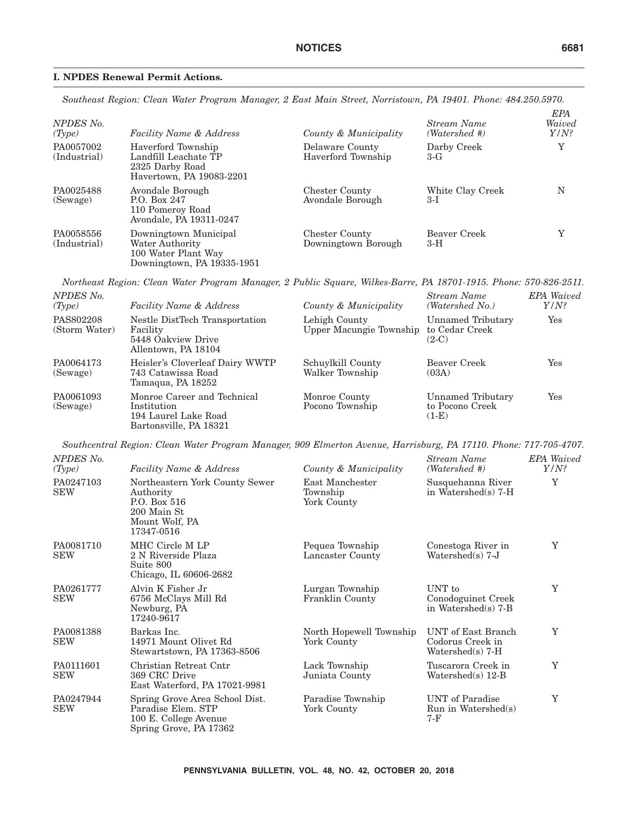## **I. NPDES Renewal Permit Actions.**

*Southeast Region: Clean Water Program Manager, 2 East Main Street, Norristown, PA 19401. Phone: 484.250.5970.*

| NPDES No.<br>(Type)       | <b>Facility Name &amp; Address</b>                                                            | County & Municipality                        | Stream Name<br>(Watershed #) | EPA<br>Waived<br>$Y/N$ ? |
|---------------------------|-----------------------------------------------------------------------------------------------|----------------------------------------------|------------------------------|--------------------------|
| PA0057002<br>(Industrial) | Haverford Township<br>Landfill Leachate TP<br>2325 Darby Road<br>Havertown, PA 19083-2201     | Delaware County<br>Haverford Township        | Darby Creek<br>3-G           | Y                        |
| PA0025488<br>(Sewage)     | Avondale Borough<br>P.O. Box 247<br>110 Pomeroy Road<br>Avondale, PA 19311-0247               | <b>Chester County</b><br>Avondale Borough    | White Clay Creek<br>3-I      | N                        |
| PA0058556<br>(Industrial) | Downingtown Municipal<br>Water Authority<br>100 Water Plant Way<br>Downingtown, PA 19335-1951 | <b>Chester County</b><br>Downingtown Borough | Beaver Creek<br>$3-H$        | Y                        |

*Northeast Region: Clean Water Program Manager, 2 Public Square, Wilkes-Barre, PA 18701-1915. Phone: 570-826-2511.*

| NPDES No.<br>(Type)        | <b>Facility Name &amp; Address</b>                                                           | County & Municipality                    | Stream Name<br>(Watershed No.)                  | <b>EPA</b> Waived<br>$Y/N$ ? |
|----------------------------|----------------------------------------------------------------------------------------------|------------------------------------------|-------------------------------------------------|------------------------------|
| PAS802208<br>(Storm Water) | Nestle DistTech Transportation<br>Facility<br>5448 Oakview Drive<br>Allentown, PA 18104      | Lehigh County<br>Upper Macungie Township | Unnamed Tributary<br>to Cedar Creek<br>$(2-C)$  | $\operatorname{Yes}$         |
| PA0064173<br>(Sewage)      | Heisler's Cloverleaf Dairy WWTP<br>743 Catawissa Road<br>Tamaqua, PA 18252                   | Schuylkill County<br>Walker Township     | Beaver Creek<br>(03A)                           | $\operatorname{Yes}$         |
| PA0061093<br>(Sewage)      | Monroe Career and Technical<br>Institution<br>194 Laurel Lake Road<br>Bartonsville, PA 18321 | Monroe County<br>Pocono Township         | Unnamed Tributary<br>to Pocono Creek<br>$(1-E)$ | $\operatorname{Yes}$         |

*Southcentral Region: Clean Water Program Manager, 909 Elmerton Avenue, Harrisburg, PA 17110. Phone: 717-705-4707.*

| NPDES No.<br>(Type)     | <b>Facility Name &amp; Address</b>                                                                         | County & Municipality                      | Stream Name<br>(Watershed #)                                 | <b>EPA</b> Waived<br>$Y/N$ ? |
|-------------------------|------------------------------------------------------------------------------------------------------------|--------------------------------------------|--------------------------------------------------------------|------------------------------|
| PA0247103<br><b>SEW</b> | Northeastern York County Sewer<br>Authority<br>P.O. Box 516<br>200 Main St<br>Mount Wolf, PA<br>17347-0516 | East Manchester<br>Township<br>York County | Susquehanna River<br>in Watershed(s) $7-H$                   | Y                            |
| PA0081710<br><b>SEW</b> | MHC Circle M LP<br>2 N Riverside Plaza<br>Suite 800<br>Chicago, IL 60606-2682                              | Pequea Township<br>Lancaster County        | Conestoga River in<br>Watershed $(s)$ 7-J                    | Y                            |
| PA0261777<br><b>SEW</b> | Alvin K Fisher Jr<br>6756 McClays Mill Rd<br>Newburg, PA<br>17240-9617                                     | Lurgan Township<br>Franklin County         | UNT to<br>Conodoguinet Creek<br>in Watershed(s) $7-B$        | Y                            |
| PA0081388<br><b>SEW</b> | Barkas Inc.<br>14971 Mount Olivet Rd<br>Stewartstown, PA 17363-8506                                        | North Hopewell Township<br>York County     | UNT of East Branch<br>Codorus Creek in<br>$Watershed(s)$ 7-H | Y                            |
| PA0111601<br><b>SEW</b> | Christian Retreat Cntr<br>369 CRC Drive<br>East Waterford, PA 17021-9981                                   | Lack Township<br>Juniata County            | Tuscarora Creek in<br>$Watershed(s)$ 12-B                    | Y                            |
| PA0247944<br><b>SEW</b> | Spring Grove Area School Dist.<br>Paradise Elem. STP<br>100 E. College Avenue<br>Spring Grove, PA 17362    | Paradise Township<br>York County           | UNT of Paradise<br>$Run$ in Watershed(s)<br>7-F              | Y                            |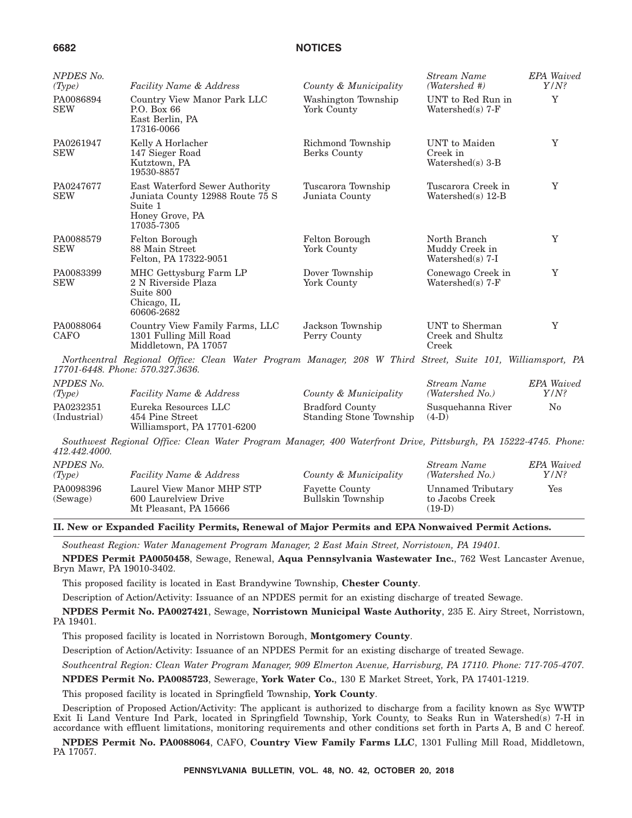(Industrial)

454 Pine Street

Williamsport, PA 17701-6200

#### **6682 NOTICES**

| NPDES No.                |                                                                                                                                                |                                      | Stream Name                                        | <b>EPA</b> Waived            |
|--------------------------|------------------------------------------------------------------------------------------------------------------------------------------------|--------------------------------------|----------------------------------------------------|------------------------------|
| (Type)                   | <b>Facility Name &amp; Address</b>                                                                                                             | County & Municipality                | (Watershed #)                                      | $Y/N$ ?                      |
| PA0086894<br><b>SEW</b>  | Country View Manor Park LLC<br>P.O. Box 66<br>East Berlin, PA<br>17316-0066                                                                    | Washington Township<br>York County   | UNT to Red Run in<br>Watershed $(s)$ 7-F           | Y                            |
| PA0261947<br><b>SEW</b>  | Kelly A Horlacher<br>147 Sieger Road<br>Kutztown, PA<br>19530-8857                                                                             | Richmond Township<br>Berks County    | UNT to Maiden<br>Creek in<br>Watershed(s) $3-B$    | Y                            |
| PA0247677<br><b>SEW</b>  | East Waterford Sewer Authority<br>Juniata County 12988 Route 75 S<br>Suite 1<br>Honey Grove, PA<br>17035-7305                                  | Tuscarora Township<br>Juniata County | Tuscarora Creek in<br>Watershed(s) 12-B            | Y                            |
| PA0088579<br><b>SEW</b>  | Felton Borough<br>88 Main Street<br>Felton, PA 17322-9051                                                                                      | Felton Borough<br>York County        | North Branch<br>Muddy Creek in<br>Watershed(s) 7-I | Y                            |
| PA0083399<br><b>SEW</b>  | MHC Gettysburg Farm LP<br>2 N Riverside Plaza<br>Suite 800<br>Chicago, IL<br>60606-2682                                                        | Dover Township<br>York County        | Conewago Creek in<br>Watershed $(s)$ 7-F           | Y                            |
| PA0088064<br><b>CAFO</b> | Country View Family Farms, LLC<br>1301 Fulling Mill Road<br>Middletown, PA 17057                                                               | Jackson Township<br>Perry County     | UNT to Sherman<br>Creek and Shultz<br>Creek        | Y                            |
|                          | Northcentral Regional Office: Clean Water Program Manager, 208 W Third Street, Suite 101, Williamsport, PA<br>17701-6448. Phone: 570.327.3636. |                                      |                                                    |                              |
| NPDES No.<br>(Type)      | <b>Facility Name &amp; Address</b>                                                                                                             | County & Municipality                | Stream Name<br>(Watershed No.)                     | <b>EPA</b> Waived<br>$Y/N$ ? |
| PA0232351                | Eureka Resources LLC                                                                                                                           | <b>Bradford County</b>               | Susquehanna River                                  | $\rm No$                     |

*Southwest Regional Office: Clean Water Program Manager, 400 Waterfront Drive, Pittsburgh, PA 15222-4745. Phone: 412.442.4000.*

Standing Stone Township

 $(4-D)$ 

| NPDES No.<br>(Tvpe)   | <b>Facility Name &amp; Address</b>                                         | County & Municipality                      | Stream Name<br>(Watershed No.)                   | <b>EPA</b> Waived<br>$Y/N$ ? |
|-----------------------|----------------------------------------------------------------------------|--------------------------------------------|--------------------------------------------------|------------------------------|
| PA0098396<br>(Sewage) | Laurel View Manor MHP STP<br>600 Laurelview Drive<br>Mt Pleasant, PA 15666 | <b>Fayette County</b><br>Bullskin Township | Unnamed Tributary<br>to Jacobs Creek<br>$(19-D)$ | Yes                          |

**II. New or Expanded Facility Permits, Renewal of Major Permits and EPA Nonwaived Permit Actions.**

*Southeast Region: Water Management Program Manager, 2 East Main Street, Norristown, PA 19401.*

**NPDES Permit PA0050458**, Sewage, Renewal, **Aqua Pennsylvania Wastewater Inc.**, 762 West Lancaster Avenue, Bryn Mawr, PA 19010-3402.

This proposed facility is located in East Brandywine Township, **Chester County**.

Description of Action/Activity: Issuance of an NPDES permit for an existing discharge of treated Sewage.

**NPDES Permit No. PA0027421**, Sewage, **Norristown Municipal Waste Authority**, 235 E. Airy Street, Norristown, PA 19401.

This proposed facility is located in Norristown Borough, **Montgomery County**.

Description of Action/Activity: Issuance of an NPDES Permit for an existing discharge of treated Sewage.

*Southcentral Region: Clean Water Program Manager, 909 Elmerton Avenue, Harrisburg, PA 17110. Phone: 717-705-4707.*

**NPDES Permit No. PA0085723**, Sewerage, **York Water Co.**, 130 E Market Street, York, PA 17401-1219.

This proposed facility is located in Springfield Township, **York County**.

Description of Proposed Action/Activity: The applicant is authorized to discharge from a facility known as Syc WWTP Exit Ii Land Venture Ind Park, located in Springfield Township, York County, to Seaks Run in Watershed(s) 7-H in accordance with effluent limitations, monitoring requirements and other conditions set forth in Parts A, B and C hereof.

**NPDES Permit No. PA0088064**, CAFO, **Country View Family Farms LLC**, 1301 Fulling Mill Road, Middletown, PA 17057.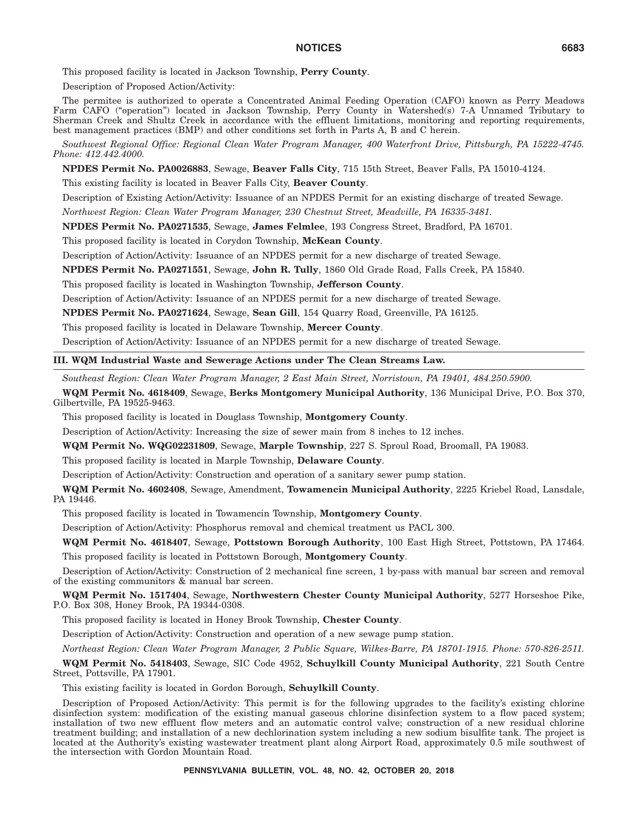This proposed facility is located in Jackson Township, **Perry County**.

Description of Proposed Action/Activity:

The permitee is authorized to operate a Concentrated Animal Feeding Operation (CAFO) known as Perry Meadows Farm CAFO (''operation'') located in Jackson Township, Perry County in Watershed(s) 7-A Unnamed Tributary to Sherman Creek and Shultz Creek in accordance with the effluent limitations, monitoring and reporting requirements, best management practices (BMP) and other conditions set forth in Parts A, B and C herein.

*Southwest Regional Office: Regional Clean Water Program Manager, 400 Waterfront Drive, Pittsburgh, PA 15222-4745. Phone: 412.442.4000.*

**NPDES Permit No. PA0026883**, Sewage, **Beaver Falls City**, 715 15th Street, Beaver Falls, PA 15010-4124.

This existing facility is located in Beaver Falls City, **Beaver County**.

Description of Existing Action/Activity: Issuance of an NPDES Permit for an existing discharge of treated Sewage.

*Northwest Region: Clean Water Program Manager, 230 Chestnut Street, Meadville, PA 16335-3481.*

**NPDES Permit No. PA0271535**, Sewage, **James Felmlee**, 193 Congress Street, Bradford, PA 16701.

This proposed facility is located in Corydon Township, **McKean County**.

Description of Action/Activity: Issuance of an NPDES permit for a new discharge of treated Sewage.

**NPDES Permit No. PA0271551**, Sewage, **John R. Tully**, 1860 Old Grade Road, Falls Creek, PA 15840.

This proposed facility is located in Washington Township, **Jefferson County**.

Description of Action/Activity: Issuance of an NPDES permit for a new discharge of treated Sewage.

**NPDES Permit No. PA0271624**, Sewage, **Sean Gill**, 154 Quarry Road, Greenville, PA 16125.

This proposed facility is located in Delaware Township, **Mercer County**.

Description of Action/Activity: Issuance of an NPDES permit for a new discharge of treated Sewage.

## **III. WQM Industrial Waste and Sewerage Actions under The Clean Streams Law.**

*Southeast Region: Clean Water Program Manager, 2 East Main Street, Norristown, PA 19401, 484.250.5900.*

**WQM Permit No. 4618409**, Sewage, **Berks Montgomery Municipal Authority**, 136 Municipal Drive, P.O. Box 370, Gilbertville, PA 19525-9463.

This proposed facility is located in Douglass Township, **Montgomery County**.

Description of Action/Activity: Increasing the size of sewer main from 8 inches to 12 inches.

**WQM Permit No. WQG02231809**, Sewage, **Marple Township**, 227 S. Sproul Road, Broomall, PA 19083.

This proposed facility is located in Marple Township, **Delaware County**.

Description of Action/Activity: Construction and operation of a sanitary sewer pump station.

**WQM Permit No. 4602408**, Sewage, Amendment, **Towamencin Municipal Authority**, 2225 Kriebel Road, Lansdale, PA 19446.

This proposed facility is located in Towamencin Township, **Montgomery County**.

Description of Action/Activity: Phosphorus removal and chemical treatment us PACL 300.

**WQM Permit No. 4618407**, Sewage, **Pottstown Borough Authority**, 100 East High Street, Pottstown, PA 17464. This proposed facility is located in Pottstown Borough, **Montgomery County**.

Description of Action/Activity: Construction of 2 mechanical fine screen, 1 by-pass with manual bar screen and removal of the existing communitors & manual bar screen.

**WQM Permit No. 1517404**, Sewage, **Northwestern Chester County Municipal Authority**, 5277 Horseshoe Pike, P.O. Box 308, Honey Brook, PA 19344-0308.

This proposed facility is located in Honey Brook Township, **Chester County**.

Description of Action/Activity: Construction and operation of a new sewage pump station.

*Northeast Region: Clean Water Program Manager, 2 Public Square, Wilkes-Barre, PA 18701-1915. Phone: 570-826-2511.*

**WQM Permit No. 5418403**, Sewage, SIC Code 4952, **Schuylkill County Municipal Authority**, 221 South Centre Street, Pottsville, PA 17901.

This existing facility is located in Gordon Borough, **Schuylkill County**.

Description of Proposed Action/Activity: This permit is for the following upgrades to the facility's existing chlorine disinfection system: modification of the existing manual gaseous chlorine disinfection system to a flow paced system; installation of two new effluent flow meters and an automatic control valve; construction of a new residual chlorine treatment building; and installation of a new dechlorination system including a new sodium bisulfite tank. The project is located at the Authority's existing wastewater treatment plant along Airport Road, approximately 0.5 mile southwest of the intersection with Gordon Mountain Road.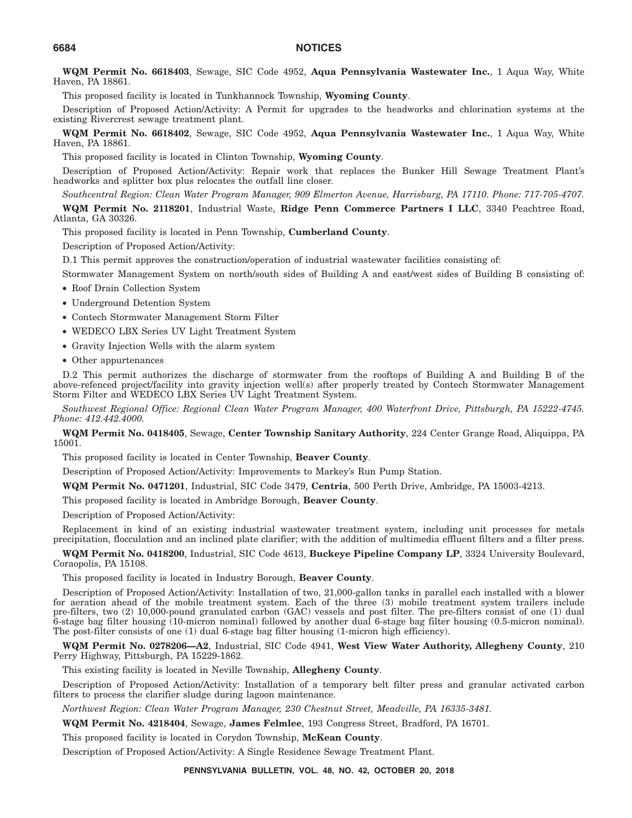**WQM Permit No. 6618403**, Sewage, SIC Code 4952, **Aqua Pennsylvania Wastewater Inc.**, 1 Aqua Way, White Haven, PA 18861.

This proposed facility is located in Tunkhannock Township, **Wyoming County**.

Description of Proposed Action/Activity: A Permit for upgrades to the headworks and chlorination systems at the existing Rivercrest sewage treatment plant.

**WQM Permit No. 6618402**, Sewage, SIC Code 4952, **Aqua Pennsylvania Wastewater Inc.**, 1 Aqua Way, White Haven, PA 18861.

This proposed facility is located in Clinton Township, **Wyoming County**.

Description of Proposed Action/Activity: Repair work that replaces the Bunker Hill Sewage Treatment Plant's headworks and splitter box plus relocates the outfall line closer.

*Southcentral Region: Clean Water Program Manager, 909 Elmerton Avenue, Harrisburg, PA 17110. Phone: 717-705-4707.*

**WQM Permit No. 2118201**, Industrial Waste, **Ridge Penn Commerce Partners I LLC**, 3340 Peachtree Road, Atlanta, GA 30326.

This proposed facility is located in Penn Township, **Cumberland County**.

Description of Proposed Action/Activity:

D.1 This permit approves the construction/operation of industrial wastewater facilities consisting of:

Stormwater Management System on north/south sides of Building A and east/west sides of Building B consisting of:

- Roof Drain Collection System
- Underground Detention System
- Contech Stormwater Management Storm Filter
- WEDECO LBX Series UV Light Treatment System
- Gravity Injection Wells with the alarm system
- Other appurtenances

D.2 This permit authorizes the discharge of stormwater from the rooftops of Building A and Building B of the above-refenced project/facility into gravity injection well(s) after properly treated by Contech Stormwater Management Storm Filter and WEDECO LBX Series UV Light Treatment System.

*Southwest Regional Office: Regional Clean Water Program Manager, 400 Waterfront Drive, Pittsburgh, PA 15222-4745. Phone: 412.442.4000.*

**WQM Permit No. 0418405**, Sewage, **Center Township Sanitary Authority**, 224 Center Grange Road, Aliquippa, PA 15001.

This proposed facility is located in Center Township, **Beaver County**.

Description of Proposed Action/Activity: Improvements to Markey's Run Pump Station.

**WQM Permit No. 0471201**, Industrial, SIC Code 3479, **Centria**, 500 Perth Drive, Ambridge, PA 15003-4213.

This proposed facility is located in Ambridge Borough, **Beaver County**.

Description of Proposed Action/Activity:

Replacement in kind of an existing industrial wastewater treatment system, including unit processes for metals precipitation, flocculation and an inclined plate clarifier; with the addition of multimedia effluent filters and a filter press.

**WQM Permit No. 0418200**, Industrial, SIC Code 4613, **Buckeye Pipeline Company LP**, 3324 University Boulevard, Coraopolis, PA 15108.

This proposed facility is located in Industry Borough, **Beaver County**.

Description of Proposed Action/Activity: Installation of two, 21,000-gallon tanks in parallel each installed with a blower for aeration ahead of the mobile treatment system. Each of the three (3) mobile treatment system trailers include pre-filters, two (2) 10,000-pound granulated carbon (GAC) vessels and post filter. The pre-filters consist of one (1) dual 6-stage bag filter housing (10-micron nominal) followed by another dual 6-stage bag filter housing (0.5-micron nominal). The post-filter consists of one (1) dual 6-stage bag filter housing (1-micron high efficiency).

**WQM Permit No. 0278206—A2**, Industrial, SIC Code 4941, **West View Water Authority, Allegheny County**, 210 Perry Highway, Pittsburgh, PA 15229-1862.

This existing facility is located in Neville Township, **Allegheny County**.

Description of Proposed Action/Activity: Installation of a temporary belt filter press and granular activated carbon filters to process the clarifier sludge during lagoon maintenance.

*Northwest Region: Clean Water Program Manager, 230 Chestnut Street, Meadville, PA 16335-3481.*

**WQM Permit No. 4218404**, Sewage, **James Felmlee**, 193 Congress Street, Bradford, PA 16701.

This proposed facility is located in Corydon Township, **McKean County**.

Description of Proposed Action/Activity: A Single Residence Sewage Treatment Plant.

**PENNSYLVANIA BULLETIN, VOL. 48, NO. 42, OCTOBER 20, 2018**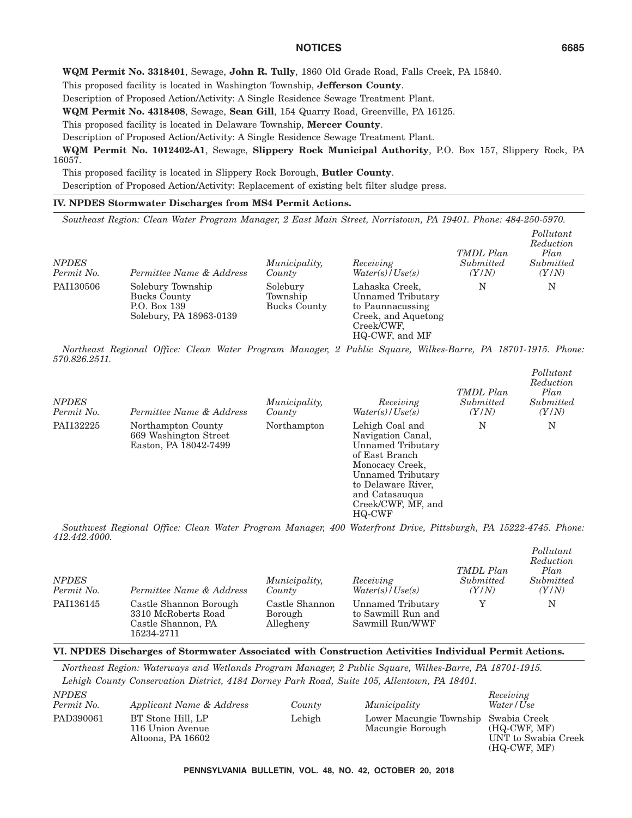*Pollutant*

**WQM Permit No. 3318401**, Sewage, **John R. Tully**, 1860 Old Grade Road, Falls Creek, PA 15840.

This proposed facility is located in Washington Township, **Jefferson County**.

Description of Proposed Action/Activity: A Single Residence Sewage Treatment Plant.

**WQM Permit No. 4318408**, Sewage, **Sean Gill**, 154 Quarry Road, Greenville, PA 16125.

This proposed facility is located in Delaware Township, **Mercer County**.

Description of Proposed Action/Activity: A Single Residence Sewage Treatment Plant.

**WQM Permit No. 1012402-A1**, Sewage, **Slippery Rock Municipal Authority**, P.O. Box 157, Slippery Rock, PA 16057.

This proposed facility is located in Slippery Rock Borough, **Butler County**.

Description of Proposed Action/Activity: Replacement of existing belt filter sludge press.

## **IV. NPDES Stormwater Discharges from MS4 Permit Actions.**

*Southeast Region: Clean Water Program Manager, 2 East Main Street, Norristown, PA 19401. Phone: 484-250-5970.*

| <b>NPDES</b><br>Permit No. | Permittee Name & Address                                                            | Municipality,<br>County              | Receiving<br>Water(s) / Use(s)                                                                                 | TMDL Plan<br>Submitted<br>(Y/N) | Pollutant<br>Reduction<br>Plan<br>Submitted<br>(Y/N) |
|----------------------------|-------------------------------------------------------------------------------------|--------------------------------------|----------------------------------------------------------------------------------------------------------------|---------------------------------|------------------------------------------------------|
| PAI130506                  | Solebury Township<br><b>Bucks County</b><br>P.O. Box 139<br>Solebury, PA 18963-0139 | Solebury<br>Township<br>Bucks County | Lahaska Creek,<br>Unnamed Tributary<br>to Paunnacussing<br>Creek, and Aquetong<br>Creek/CWF.<br>HQ-CWF, and MF | N                               | N                                                    |

*Northeast Regional Office: Clean Water Program Manager, 2 Public Square, Wilkes-Barre, PA 18701-1915. Phone: 570.826.2511.*

| <b>NPDES</b><br>Permit No. | Permittee Name & Address                                             | <i>Municipality,</i><br>County | Receiving<br>Water(s)/Use(s)                                                                                                                                                                | TMDL Plan<br>Submitted<br>(Y/N) | Pollutant<br>Reduction<br>Plan<br>Submitted<br>(Y/N) |
|----------------------------|----------------------------------------------------------------------|--------------------------------|---------------------------------------------------------------------------------------------------------------------------------------------------------------------------------------------|---------------------------------|------------------------------------------------------|
| PAI132225                  | Northampton County<br>669 Washington Street<br>Easton, PA 18042-7499 | Northampton                    | Lehigh Coal and<br>Navigation Canal,<br>Unnamed Tributary<br>of East Branch<br>Monocacy Creek,<br>Unnamed Tributary<br>to Delaware River.<br>and Catasauqua<br>Creek/CWF, MF, and<br>HQ-CWF | N                               | N                                                    |

*Southwest Regional Office: Clean Water Program Manager, 400 Waterfront Drive, Pittsburgh, PA 15222-4745. Phone: 412.442.4000.*

| <b>NPDES</b><br>Permit No. | Permittee Name & Address                                                          | <i>Municipality,</i><br>County         | Receiving<br>Water(s)/Use(s)                               | TMDL Plan<br>Submitted<br>(Y/N) | 1 ouwww<br>Reduction<br>Plan<br>Submitted<br>(Y/N) |
|----------------------------|-----------------------------------------------------------------------------------|----------------------------------------|------------------------------------------------------------|---------------------------------|----------------------------------------------------|
| PAI136145                  | Castle Shannon Borough<br>3310 McRoberts Road<br>Castle Shannon, PA<br>15234-2711 | Castle Shannon<br>Borough<br>Allegheny | Unnamed Tributary<br>to Sawmill Run and<br>Sawmill Run/WWF |                                 | N                                                  |

#### **VI. NPDES Discharges of Stormwater Associated with Construction Activities Individual Permit Actions.**

*Northeast Region: Waterways and Wetlands Program Manager, 2 Public Square, Wilkes-Barre, PA 18701-1915. Lehigh County Conservation District, 4184 Dorney Park Road, Suite 105, Allentown, PA 18401. NPDES Receiving*

| IVIDED<br>Permit No. | Applicant Name & Address                                   | County | Municipality                                             | Treceiving<br>Water / Use                               |
|----------------------|------------------------------------------------------------|--------|----------------------------------------------------------|---------------------------------------------------------|
| PAD390061            | BT Stone Hill, LP<br>116 Union Avenue<br>Altoona, PA 16602 | Lehigh | Lower Macungie Township Swabia Creek<br>Macungie Borough | $(HQ-CWF, MF)$<br>UNT to Swabia Creek<br>$(HQ-CWF, MF)$ |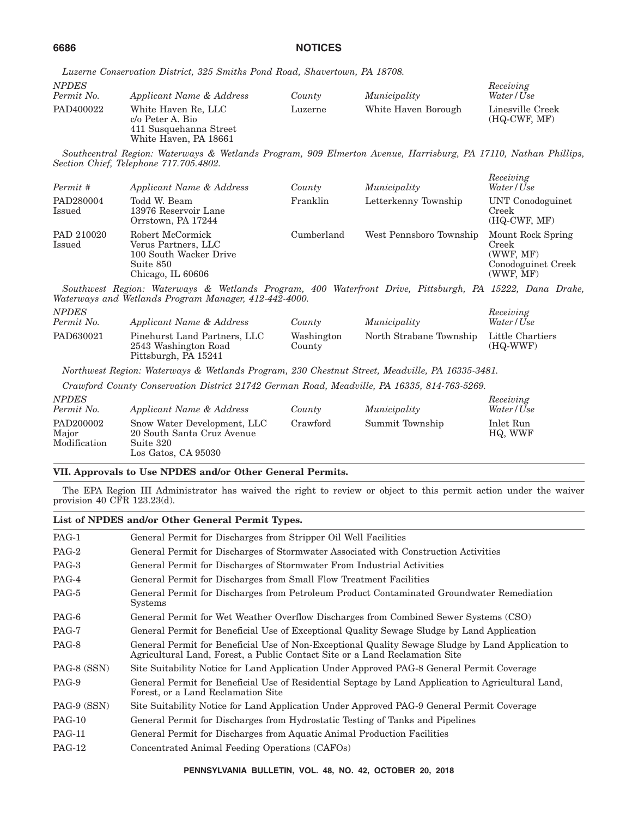|  | Luzerne Conservation District, 325 Smiths Pond Road, Shavertown, PA 18708. |  |  |  |  |  |
|--|----------------------------------------------------------------------------|--|--|--|--|--|
|--|----------------------------------------------------------------------------|--|--|--|--|--|

| <b>NPDES</b><br>Permit No. | Applicant Name & Address                                                                   | County  | Municipality        | Receiving<br>Water/Use             |
|----------------------------|--------------------------------------------------------------------------------------------|---------|---------------------|------------------------------------|
| PAD400022                  | White Haven Re, LLC<br>c/o Peter A. Bio<br>411 Susquehanna Street<br>White Haven, PA 18661 | Luzerne | White Haven Borough | Linesville Creek<br>$(HQ-CWF, MF)$ |

*Southcentral Region: Waterways & Wetlands Program, 909 Elmerton Avenue, Harrisburg, PA 17110, Nathan Phillips, Section Chief, Telephone 717.705.4802.*

*Receiving*

| Permit #             | Applicant Name & Address                                                                            | County     | Municipality            | TUCLEVING<br>Water/Use                                                     |
|----------------------|-----------------------------------------------------------------------------------------------------|------------|-------------------------|----------------------------------------------------------------------------|
| PAD280004<br>Issued  | Todd W. Beam<br>13976 Reservoir Lane<br>Orrstown, PA 17244                                          | Franklin   | Letterkenny Township    | UNT Conodoguinet<br>Creek<br>$(HQ-CWF, MF)$                                |
| PAD 210020<br>Issued | Robert McCormick<br>Verus Partners, LLC<br>100 South Wacker Drive<br>Suite 850<br>Chicago, IL 60606 | Cumberland | West Pennsboro Township | Mount Rock Spring<br>Creek<br>(WWF, MF)<br>Conodoguinet Creek<br>(WWF, MF) |

*Southwest Region: Waterways & Wetlands Program, 400 Waterfront Drive, Pittsburgh, PA 15222, Dana Drake, Waterways and Wetlands Program Manager, 412-442-4000.*

| <i>NPDES</i><br>Permit No. | Applicant Name & Address                                                     | County               | Municipality            | Receiving<br>Water/Use         |
|----------------------------|------------------------------------------------------------------------------|----------------------|-------------------------|--------------------------------|
| PAD630021                  | Pinehurst Land Partners, LLC<br>2543 Washington Road<br>Pittsburgh, PA 15241 | Washington<br>County | North Strabane Township | Little Chartiers<br>$(HQ-WWF)$ |

*Northwest Region: Waterways & Wetlands Program, 230 Chestnut Street, Meadville, PA 16335-3481.*

*Crawford County Conservation District 21742 German Road, Meadville, PA 16335, 814-763-5269.*

| <b>NPDES</b><br>Permit No.         | Applicant Name & Address                                                                      | County   | Municipality    | Receiving<br>Water/Use |
|------------------------------------|-----------------------------------------------------------------------------------------------|----------|-----------------|------------------------|
| PAD200002<br>Major<br>Modification | Snow Water Development, LLC<br>20 South Santa Cruz Avenue<br>Suite 320<br>Los Gatos, CA 95030 | Crawford | Summit Township | Inlet Run<br>HQ, WWF   |

#### **VII. Approvals to Use NPDES and/or Other General Permits.**

The EPA Region III Administrator has waived the right to review or object to this permit action under the waiver provision 40 CFR 123.23(d).

#### **List of NPDES and/or Other General Permit Types.**

| PAG-1         | General Permit for Discharges from Stripper Oil Well Facilities                                                                                                                  |
|---------------|----------------------------------------------------------------------------------------------------------------------------------------------------------------------------------|
| PAG-2         | General Permit for Discharges of Stormwater Associated with Construction Activities                                                                                              |
| PAG-3         | General Permit for Discharges of Stormwater From Industrial Activities                                                                                                           |
| PAG-4         | General Permit for Discharges from Small Flow Treatment Facilities                                                                                                               |
| PAG-5         | General Permit for Discharges from Petroleum Product Contaminated Groundwater Remediation<br><b>Systems</b>                                                                      |
| PAG-6         | General Permit for Wet Weather Overflow Discharges from Combined Sewer Systems (CSO)                                                                                             |
| PAG-7         | General Permit for Beneficial Use of Exceptional Quality Sewage Sludge by Land Application                                                                                       |
| PAG-8         | General Permit for Beneficial Use of Non-Exceptional Quality Sewage Sludge by Land Application to<br>Agricultural Land, Forest, a Public Contact Site or a Land Reclamation Site |
| PAG-8 (SSN)   | Site Suitability Notice for Land Application Under Approved PAG-8 General Permit Coverage                                                                                        |
| PAG-9         | General Permit for Beneficial Use of Residential Septage by Land Application to Agricultural Land,<br>Forest, or a Land Reclamation Site                                         |
| PAG-9 (SSN)   | Site Suitability Notice for Land Application Under Approved PAG-9 General Permit Coverage                                                                                        |
| <b>PAG-10</b> | General Permit for Discharges from Hydrostatic Testing of Tanks and Pipelines                                                                                                    |
| <b>PAG-11</b> | General Permit for Discharges from Aquatic Animal Production Facilities                                                                                                          |
| <b>PAG-12</b> | Concentrated Animal Feeding Operations (CAFOs)                                                                                                                                   |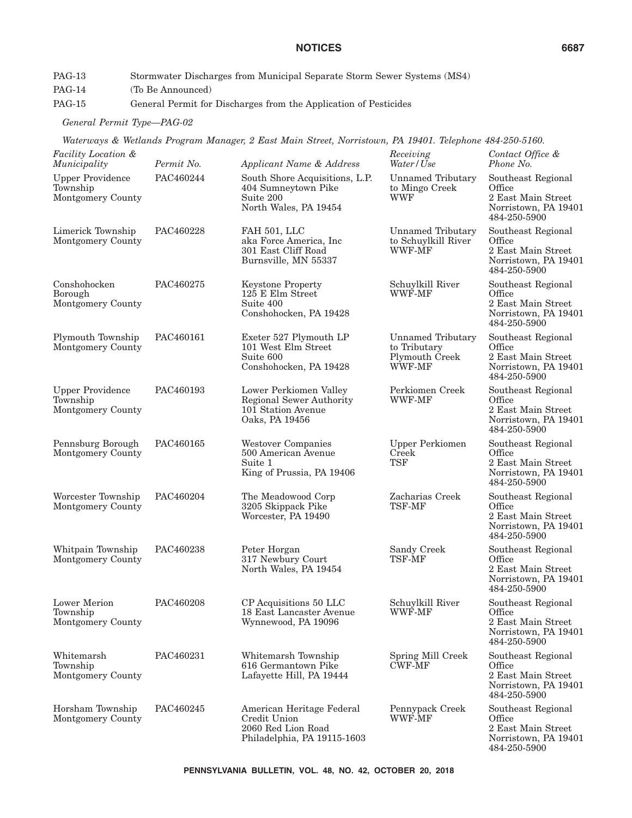- PAG-13 Stormwater Discharges from Municipal Separate Storm Sewer Systems (MS4)
- PAG-14 (To Be Announced)
- PAG-15 General Permit for Discharges from the Application of Pesticides

*General Permit Type—PAG-02*

*Waterways & Wetlands Program Manager, 2 East Main Street, Norristown, PA 19401. Telephone 484-250-5160.*

| Facility Location &<br>Municipality                      | Permit No. | Applicant Name & Address                                                                       | Receiving<br>Water/Use                                               | Contact Office &<br>Phone No.                                                              |
|----------------------------------------------------------|------------|------------------------------------------------------------------------------------------------|----------------------------------------------------------------------|--------------------------------------------------------------------------------------------|
| <b>Upper Providence</b><br>Township<br>Montgomery County | PAC460244  | South Shore Acquisitions, L.P.<br>404 Sumneytown Pike<br>Suite 200<br>North Wales, PA 19454    | <b>Unnamed Tributary</b><br>to Mingo Creek<br><b>WWF</b>             | Southeast Regional<br>Office<br>2 East Main Street<br>Norristown, PA 19401<br>484-250-5900 |
| Limerick Township<br>Montgomery County                   | PAC460228  | FAH 501, LLC<br>aka Force America, Inc.<br>301 East Cliff Road<br>Burnsville, MN 55337         | <b>Unnamed Tributary</b><br>to Schuylkill River<br>WWF-MF            | Southeast Regional<br>Office<br>2 East Main Street<br>Norristown, PA 19401<br>484-250-5900 |
| Conshohocken<br>Borough<br>Montgomery County             | PAC460275  | <b>Keystone Property</b><br>125 E Elm Street<br>Suite 400<br>Conshohocken, PA 19428            | Schuylkill River<br><b>WWF-MF</b>                                    | Southeast Regional<br>Office<br>2 East Main Street<br>Norristown, PA 19401<br>484-250-5900 |
| Plymouth Township<br>Montgomery County                   | PAC460161  | Exeter 527 Plymouth LP<br>101 West Elm Street<br>Suite 600<br>Conshohocken, PA 19428           | <b>Unnamed Tributary</b><br>to Tributary<br>Plymouth Creek<br>WWF-MF | Southeast Regional<br>Office<br>2 East Main Street<br>Norristown, PA 19401<br>484-250-5900 |
| <b>Upper Providence</b><br>Township<br>Montgomery County | PAC460193  | Lower Perkiomen Valley<br>Regional Sewer Authority<br>101 Station Avenue<br>Oaks, PA 19456     | Perkiomen Creek<br>WWF-MF                                            | Southeast Regional<br>Office<br>2 East Main Street<br>Norristown, PA 19401<br>484-250-5900 |
| Pennsburg Borough<br>Montgomery County                   | PAC460165  | <b>Westover Companies</b><br>500 American Avenue<br>Suite 1<br>King of Prussia, PA 19406       | <b>Upper Perkiomen</b><br>Creek<br><b>TSF</b>                        | Southeast Regional<br>Office<br>2 East Main Street<br>Norristown, PA 19401<br>484-250-5900 |
| Worcester Township<br>Montgomery County                  | PAC460204  | The Meadowood Corp<br>3205 Skippack Pike<br>Worcester, PA 19490                                | Zacharias Creek<br>TSF-MF                                            | Southeast Regional<br>Office<br>2 East Main Street<br>Norristown, PA 19401<br>484-250-5900 |
| Whitpain Township<br>Montgomery County                   | PAC460238  | Peter Horgan<br>317 Newbury Court<br>North Wales, PA 19454                                     | Sandy Creek<br>TSF-MF                                                | Southeast Regional<br>Office<br>2 East Main Street<br>Norristown, PA 19401<br>484-250-5900 |
| <b>Lower Merion</b><br>Township<br>Montgomery County     | PAC460208  | CP Acquisitions 50 LLC<br>18 East Lancaster Avenue<br>Wynnewood, PA 19096                      | Schuylkill River<br>WWF-MF                                           | Southeast Regional<br>Office<br>2 East Main Street<br>Norristown, PA 19401<br>484-250-5900 |
| Whitemarsh<br>Township<br>Montgomery County              | PAC460231  | Whitemarsh Township<br>616 Germantown Pike<br>Lafayette Hill, PA 19444                         | Spring Mill Creek<br><b>CWF-MF</b>                                   | Southeast Regional<br>Office<br>2 East Main Street<br>Norristown, PA 19401<br>484-250-5900 |
| Horsham Township<br>Montgomery County                    | PAC460245  | American Heritage Federal<br>Credit Union<br>2060 Red Lion Road<br>Philadelphia, PA 19115-1603 | Pennypack Creek<br><b>WWF-MF</b>                                     | Southeast Regional<br>Office<br>2 East Main Street<br>Norristown, PA 19401<br>484-250-5900 |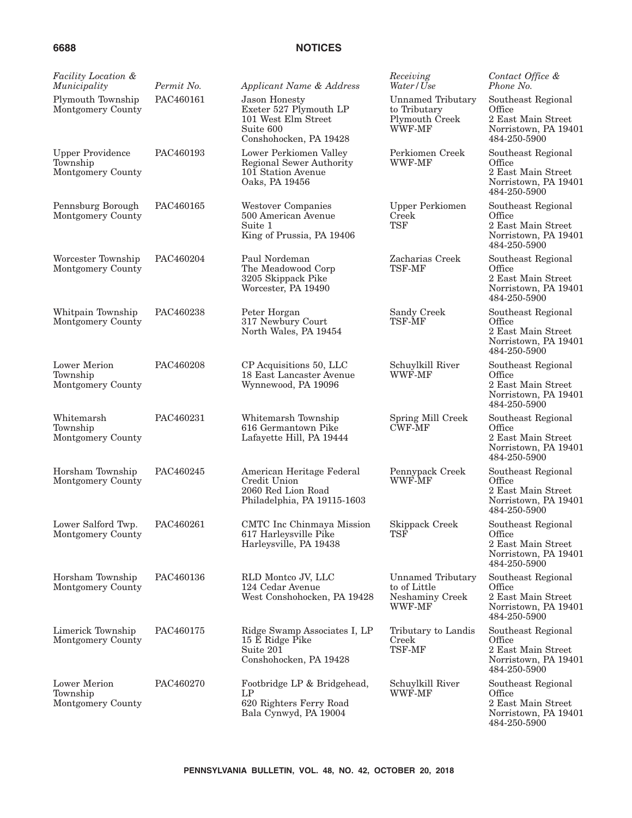| <i>Facility Location &amp;</i><br>Municipality           | Permit No. | Applicant Name & Address                                                                                     | Receiving<br>Water/Use                                               | Contact Office &<br>Phone No.                                                              |
|----------------------------------------------------------|------------|--------------------------------------------------------------------------------------------------------------|----------------------------------------------------------------------|--------------------------------------------------------------------------------------------|
| Plymouth Township<br>Montgomery County                   | PAC460161  | <b>Jason Honesty</b><br>Exeter 527 Plymouth LP<br>101 West Elm Street<br>Suite 600<br>Conshohocken, PA 19428 | <b>Unnamed Tributary</b><br>to Tributary<br>Plymouth Creek<br>WWF-MF | Southeast Regional<br>Office<br>2 East Main Street<br>Norristown, PA 19401<br>484-250-5900 |
| <b>Upper Providence</b><br>Township<br>Montgomery County | PAC460193  | Lower Perkiomen Valley<br>Regional Sewer Authority<br>101 Station Avenue<br>Oaks, PA 19456                   | Perkiomen Creek<br>WWF-MF                                            | Southeast Regional<br>Office<br>2 East Main Street<br>Norristown, PA 19401<br>484-250-5900 |
| Pennsburg Borough<br>Montgomery County                   | PAC460165  | Westover Companies<br>500 American Avenue<br>Suite 1<br>King of Prussia, PA 19406                            | <b>Upper Perkiomen</b><br>Creek<br><b>TSF</b>                        | Southeast Regional<br>Office<br>2 East Main Street<br>Norristown, PA 19401<br>484-250-5900 |
| Worcester Township<br>Montgomery County                  | PAC460204  | Paul Nordeman<br>The Meadowood Corp<br>3205 Skippack Pike<br>Worcester, PA 19490                             | Zacharias Creek<br>TSF-MF                                            | Southeast Regional<br>Office<br>2 East Main Street<br>Norristown, PA 19401<br>484-250-5900 |
| Whitpain Township<br>Montgomery County                   | PAC460238  | Peter Horgan<br>317 Newbury Court<br>North Wales, PA 19454                                                   | Sandy Creek<br>TSF-MF                                                | Southeast Regional<br>Office<br>2 East Main Street<br>Norristown, PA 19401<br>484-250-5900 |
| Lower Merion<br>Township<br>Montgomery County            | PAC460208  | CP Acquisitions 50, LLC<br>18 East Lancaster Avenue<br>Wynnewood, PA 19096                                   | Schuylkill River<br>WWF-MF                                           | Southeast Regional<br>Office<br>2 East Main Street<br>Norristown, PA 19401<br>484-250-5900 |
| Whitemarsh<br>Township<br>Montgomery County              | PAC460231  | Whitemarsh Township<br>616 Germantown Pike<br>Lafayette Hill, PA 19444                                       | Spring Mill Creek<br>CWF-MF                                          | Southeast Regional<br>Office<br>2 East Main Street<br>Norristown, PA 19401<br>484-250-5900 |
| Horsham Township<br>Montgomery County                    | PAC460245  | American Heritage Federal<br>Credit Union<br>2060 Red Lion Road<br>Philadelphia, PA 19115-1603               | Pennypack Creek<br><b>WWF-MF</b>                                     | Southeast Regional<br>Office<br>2 East Main Street<br>Norristown, PA 19401<br>484-250-5900 |
| Lower Salford Twp.<br>Montgomery County                  | PAC460261  | CMTC Inc Chinmaya Mission<br>617 Harleysville Pike<br>Harleysville, PA 19438                                 | Skippack Creek<br><b>TSF</b>                                         | Southeast Regional<br>Office<br>2 East Main Street<br>Norristown, PA 19401<br>484-250-5900 |
| Horsham Township<br>Montgomery County                    | PAC460136  | RLD Montco JV, LLC<br>124 Cedar Avenue<br>West Conshohocken, PA 19428                                        | Unnamed Tributary<br>to of Little<br>Neshaminy Creek<br>WWF-MF       | Southeast Regional<br>Office<br>2 East Main Street<br>Norristown, PA 19401<br>484-250-5900 |
| Limerick Township<br>Montgomery County                   | PAC460175  | Ridge Swamp Associates I, LP<br>15 E Ridge Pike<br>Suite 201<br>Conshohocken, PA 19428                       | Tributary to Landis<br>Creek<br>TSF-MF                               | Southeast Regional<br>Office<br>2 East Main Street<br>Norristown, PA 19401<br>484-250-5900 |
| Lower Merion<br>Township<br>Montgomery County            | PAC460270  | Footbridge LP & Bridgehead,<br>LP<br>620 Righters Ferry Road<br>Bala Cynwyd, PA 19004                        | Schuylkill River<br><b>WWF-MF</b>                                    | Southeast Regional<br>Office<br>2 East Main Street<br>Norristown, PA 19401<br>484-250-5900 |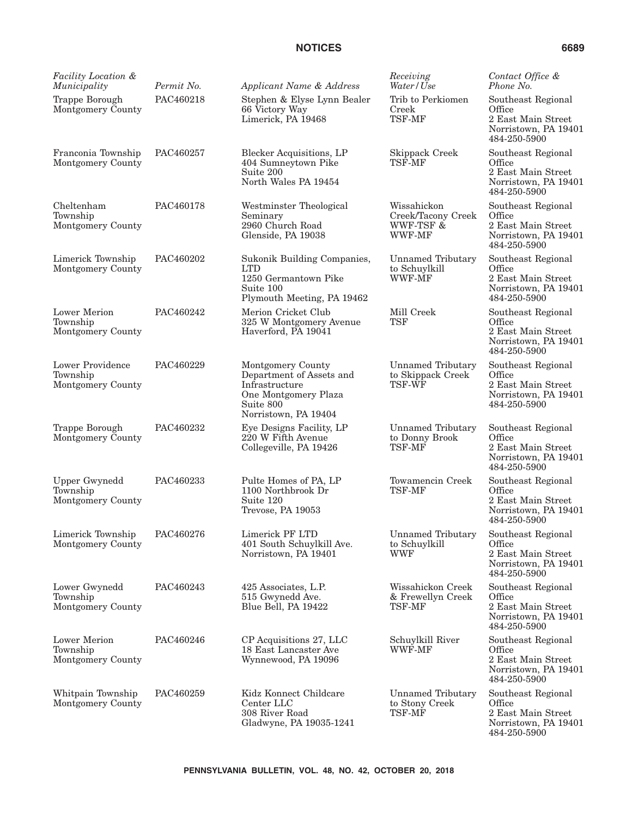| <b>Facility Location &amp;</b><br>Municipality        | Permit No. | Applicant Name & Address                                                                                                     | Receiving<br>Water/Use                                         | Contact Office &<br>Phone No.                                                              |
|-------------------------------------------------------|------------|------------------------------------------------------------------------------------------------------------------------------|----------------------------------------------------------------|--------------------------------------------------------------------------------------------|
| Trappe Borough<br>Montgomery County                   | PAC460218  | Stephen & Elyse Lynn Bealer<br>66 Victory Way<br>Limerick, PA 19468                                                          | Trib to Perkiomen<br>Creek<br>TSF-MF                           | Southeast Regional<br>Office<br>2 East Main Street<br>Norristown, PA 19401<br>484-250-5900 |
| Franconia Township<br>Montgomery County               | PAC460257  | <b>Blecker Acquisitions, LP</b><br>404 Sumneytown Pike<br>Suite 200<br>North Wales PA 19454                                  | Skippack Creek<br>TSF-MF                                       | Southeast Regional<br>Office<br>2 East Main Street<br>Norristown, PA 19401<br>484-250-5900 |
| Cheltenham<br>Township<br>Montgomery County           | PAC460178  | Westminster Theological<br>Seminary<br>2960 Church Road<br>Glenside, PA 19038                                                | Wissahickon<br>Creek/Tacony Creek<br>WWF-TSF &<br>WWF-MF       | Southeast Regional<br>Office<br>2 East Main Street<br>Norristown, PA 19401<br>484-250-5900 |
| Limerick Township<br>Montgomery County                | PAC460202  | Sukonik Building Companies,<br><b>LTD</b><br>1250 Germantown Pike<br>Suite 100<br>Plymouth Meeting, PA 19462                 | <b>Unnamed Tributary</b><br>to Schuylkill<br>WWF-MF            | Southeast Regional<br>Office<br>2 East Main Street<br>Norristown, PA 19401<br>484-250-5900 |
| <b>Lower Merion</b><br>Township<br>Montgomery County  | PAC460242  | Merion Cricket Club<br>325 W Montgomery Avenue<br>Haverford, PA 19041                                                        | Mill Creek<br><b>TSF</b>                                       | Southeast Regional<br>Office<br>2 East Main Street<br>Norristown, PA 19401<br>484-250-5900 |
| Lower Providence<br>Township<br>Montgomery County     | PAC460229  | Montgomery County<br>Department of Assets and<br>Infrastructure<br>One Montgomery Plaza<br>Suite 800<br>Norristown, PA 19404 | <b>Unnamed Tributary</b><br>to Skippack Creek<br><b>TSF-WF</b> | Southeast Regional<br>Office<br>2 East Main Street<br>Norristown, PA 19401<br>484-250-5900 |
| Trappe Borough<br>Montgomery County                   | PAC460232  | Eye Designs Facility, LP<br>220 W Fifth Avenue<br>Collegeville, PA 19426                                                     | <b>Unnamed Tributary</b><br>to Donny Brook<br>TSF-MF           | Southeast Regional<br>Office<br>2 East Main Street<br>Norristown, PA 19401<br>484-250-5900 |
| <b>Upper Gwynedd</b><br>Township<br>Montgomery County | PAC460233  | Pulte Homes of PA, LP<br>1100 Northbrook Dr<br>Suite 120<br>Trevose, PA 19053                                                | Towamencin Creek<br><b>TSF-MF</b>                              | Southeast Regional<br>Office<br>2 East Main Street<br>Norristown, PA 19401<br>484-250-5900 |
| Limerick Township<br>Montgomery County                | PAC460276  | Limerick PF LTD<br>401 South Schuylkill Ave.<br>Norristown, PA 19401                                                         | <b>Unnamed Tributary</b><br>to Schuylkill<br><b>WWF</b>        | Southeast Regional<br>Office<br>2 East Main Street<br>Norristown, PA 19401<br>484-250-5900 |
| Lower Gwynedd<br>Township<br>Montgomery County        | PAC460243  | 425 Associates, L.P.<br>515 Gwynedd Ave.<br>Blue Bell, PA 19422                                                              | Wissahickon Creek<br>& Frewellyn Creek<br>TSF-MF               | Southeast Regional<br>Office<br>2 East Main Street<br>Norristown, PA 19401<br>484-250-5900 |
| Lower Merion<br>Township<br>Montgomery County         | PAC460246  | CP Acquisitions 27, LLC<br>18 East Lancaster Ave<br>Wynnewood, PA 19096                                                      | Schuylkill River<br>WWF-MF                                     | Southeast Regional<br>Office<br>2 East Main Street<br>Norristown, PA 19401<br>484-250-5900 |
| Whitpain Township<br>Montgomery County                | PAC460259  | Kidz Konnect Childcare<br>Center LLC<br>308 River Road<br>Gladwyne, PA 19035-1241                                            | <b>Unnamed Tributary</b><br>to Stony Creek<br>TSF-MF           | Southeast Regional<br>Office<br>2 East Main Street<br>Norristown, PA 19401<br>484-250-5900 |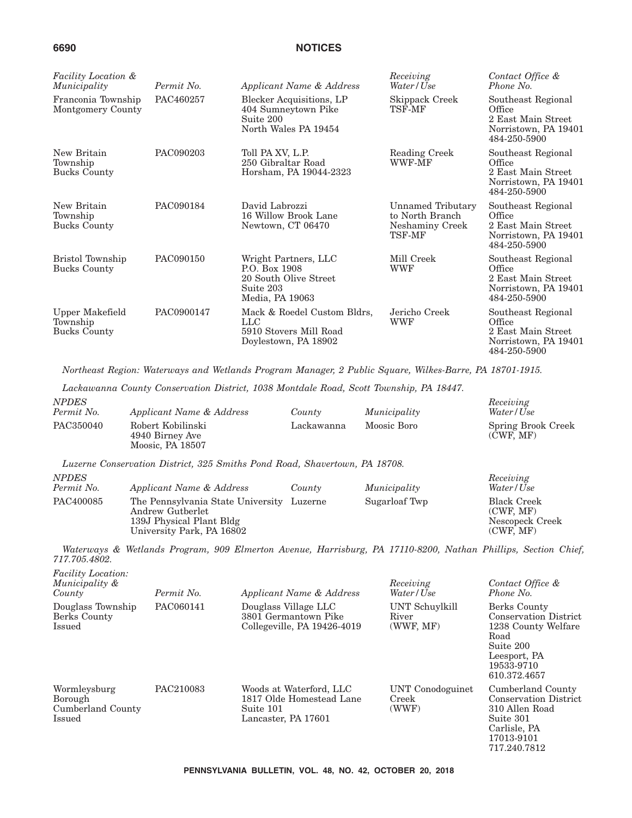| <i>Facility Location &amp;</i><br>Municipality     | Permit No. | Applicant Name & Address                                                                       | Receiving<br>Water/Use                                            | Contact Office &<br>Phone No.                                                              |
|----------------------------------------------------|------------|------------------------------------------------------------------------------------------------|-------------------------------------------------------------------|--------------------------------------------------------------------------------------------|
| Franconia Township<br>Montgomery County            | PAC460257  | <b>Blecker Acquisitions, LP</b><br>404 Sumneytown Pike<br>Suite 200<br>North Wales PA 19454    | Skippack Creek<br>TSF-MF                                          | Southeast Regional<br>Office<br>2 East Main Street<br>Norristown, PA 19401<br>484-250-5900 |
| New Britain<br>Township<br><b>Bucks County</b>     | PAC090203  | Toll PA XV, L.P.<br>250 Gibraltar Road<br>Horsham, PA 19044-2323                               | Reading Creek<br><b>WWF-MF</b>                                    | Southeast Regional<br>Office<br>2 East Main Street<br>Norristown, PA 19401<br>484-250-5900 |
| New Britain<br>Township<br><b>Bucks County</b>     | PAC090184  | David Labrozzi<br>16 Willow Brook Lane<br>Newtown, CT 06470                                    | Unnamed Tributary<br>to North Branch<br>Neshaminy Creek<br>TSF-MF | Southeast Regional<br>Office<br>2 East Main Street<br>Norristown, PA 19401<br>484-250-5900 |
| Bristol Township<br><b>Bucks County</b>            | PAC090150  | Wright Partners, LLC<br>P.O. Box 1908<br>20 South Olive Street<br>Suite 203<br>Media, PA 19063 | Mill Creek<br><b>WWF</b>                                          | Southeast Regional<br>Office<br>2 East Main Street<br>Norristown, PA 19401<br>484-250-5900 |
| Upper Makefield<br>Township<br><b>Bucks County</b> | PAC0900147 | Mack & Roedel Custom Bldrs,<br>$_{\rm LLC}$<br>5910 Stovers Mill Road<br>Doylestown, PA 18902  | Jericho Creek<br><b>WWF</b>                                       | Southeast Regional<br>Office<br>2 East Main Street<br>Norristown, PA 19401<br>484-250-5900 |

*Northeast Region: Waterways and Wetlands Program Manager, 2 Public Square, Wilkes-Barre, PA 18701-1915.*

*Lackawanna County Conservation District, 1038 Montdale Road, Scott Township, PA 18447. NPDES Permit No. Applicant Name & Address County Municipality*

|                                                                                                                 | Water/Use          |
|-----------------------------------------------------------------------------------------------------------------|--------------------|
| PAC350040<br>Robert Kobilinski<br>Moosic Boro<br>Lackawanna<br>(CWF, MF)<br>4940 Birney Ave<br>Moosic. PA 18507 | Spring Brook Creek |

*Receiving*

717.240.7812

*Luzerne Conservation District, 325 Smiths Pond Road, Shavertown, PA 18708. NPDES*

| <b>NPDES</b><br>Permit No. | Applicant Name & Address                                                                                               | County | Municipality  | Receiving<br>Water/Use                                          |
|----------------------------|------------------------------------------------------------------------------------------------------------------------|--------|---------------|-----------------------------------------------------------------|
| PAC400085                  | The Pennsylvania State University Luzerne<br>Andrew Gutberlet<br>139J Physical Plant Bldg<br>University Park, PA 16802 |        | Sugarloaf Twp | <b>Black Creek</b><br>(CWF, MF)<br>Nescopeck Creek<br>(CWF, MF) |

*Waterways & Wetlands Program, 909 Elmerton Avenue, Harrisburg, PA 17110-8200, Nathan Phillips, Section Chief, 717.705.4802. Facility Location:*

| Pacific Location.<br>Municipality &<br>County          | Permit No. | Applicant Name & Address                                                                | Receiving<br>Water/Use               | Contact Office &<br>Phone No.                                                                                                          |
|--------------------------------------------------------|------------|-----------------------------------------------------------------------------------------|--------------------------------------|----------------------------------------------------------------------------------------------------------------------------------------|
| Douglass Township<br>Berks County<br>Issued            | PAC060141  | Douglass Village LLC<br>3801 Germantown Pike<br>Collegeville, PA 19426-4019             | UNT Schuylkill<br>River<br>(WWF, MF) | Berks County<br><b>Conservation District</b><br>1238 County Welfare<br>Road<br>Suite 200<br>Leesport, PA<br>19533-9710<br>610.372.4657 |
| Wormleysburg<br>Borough<br>Cumberland County<br>Issued | PAC210083  | Woods at Waterford, LLC<br>1817 Olde Homestead Lane<br>Suite 101<br>Lancaster, PA 17601 | UNT Conodoguinet<br>Creek<br>(WWF)   | Cumberland County<br><b>Conservation District</b><br>310 Allen Road<br>Suite 301<br>Carlisle, PA<br>17013-9101                         |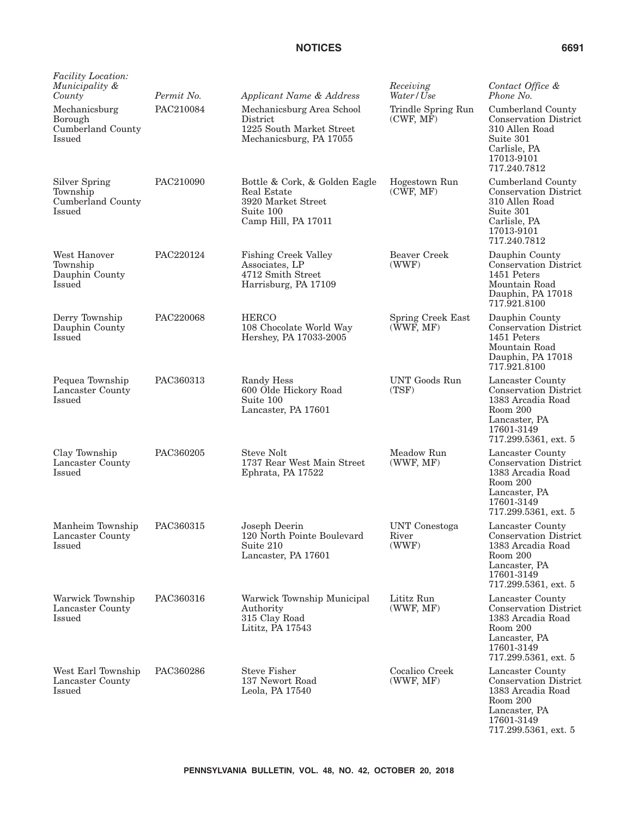| Facility Location:<br>Municipality &<br>County                  | Permit No. | Applicant Name & Address                                                                               | Receiving<br>Water/Use                 | Contact Office &<br>Phone No.                                                                                                            |
|-----------------------------------------------------------------|------------|--------------------------------------------------------------------------------------------------------|----------------------------------------|------------------------------------------------------------------------------------------------------------------------------------------|
| Mechanicsburg<br>Borough<br>Cumberland County<br><b>Issued</b>  | PAC210084  | Mechanicsburg Area School<br>District<br>1225 South Market Street<br>Mechanicsburg, PA 17055           | Trindle Spring Run<br>(CWF, MF)        | Cumberland County<br><b>Conservation District</b><br>310 Allen Road<br>Suite 301<br>Carlisle, PA<br>17013-9101<br>717.240.7812           |
| <b>Silver Spring</b><br>Township<br>Cumberland County<br>Issued | PAC210090  | Bottle & Cork, & Golden Eagle<br>Real Estate<br>3920 Market Street<br>Suite 100<br>Camp Hill, PA 17011 | Hogestown Run<br>(CWF, MF)             | Cumberland County<br><b>Conservation District</b><br>310 Allen Road<br>Suite 301<br>Carlisle, PA<br>17013-9101<br>717.240.7812           |
| West Hanover<br>Township<br>Dauphin County<br><b>Issued</b>     | PAC220124  | <b>Fishing Creek Valley</b><br>Associates, LP<br>4712 Smith Street<br>Harrisburg, PA 17109             | Beaver Creek<br>(WWF)                  | Dauphin County<br><b>Conservation District</b><br>1451 Peters<br>Mountain Road<br>Dauphin, PA 17018<br>717.921.8100                      |
| Derry Township<br>Dauphin County<br><b>Issued</b>               | PAC220068  | <b>HERCO</b><br>108 Chocolate World Way<br>Hershey, PA 17033-2005                                      | Spring Creek East<br>(WWF, MF)         | Dauphin County<br><b>Conservation District</b><br>1451 Peters<br>Mountain Road<br>Dauphin, PA 17018<br>717.921.8100                      |
| Pequea Township<br>Lancaster County<br>Issued                   | PAC360313  | Randy Hess<br>600 Olde Hickory Road<br>Suite 100<br>Lancaster, PA 17601                                | UNT Goods Run<br>(TSF)                 | Lancaster County<br><b>Conservation District</b><br>1383 Arcadia Road<br>Room 200<br>Lancaster, PA<br>17601-3149<br>717.299.5361, ext. 5 |
| Clay Township<br>Lancaster County<br>Issued                     | PAC360205  | <b>Steve Nolt</b><br>1737 Rear West Main Street<br>Ephrata, PA 17522                                   | Meadow Run<br>(WWF, MF)                | Lancaster County<br><b>Conservation District</b><br>1383 Arcadia Road<br>Room 200<br>Lancaster, PA<br>17601-3149<br>717.299.5361, ext. 5 |
| Manheim Township<br>Lancaster County<br>Issued                  | PAC360315  | Joseph Deerin<br>120 North Pointe Boulevard<br>Suite 210<br>Lancaster, PA 17601                        | <b>UNT</b> Conestoga<br>River<br>(WWF) | Lancaster County<br><b>Conservation District</b><br>1383 Arcadia Road<br>Room 200<br>Lancaster, PA<br>17601-3149<br>717.299.5361, ext. 5 |
| Warwick Township<br>Lancaster County<br>Issued                  | PAC360316  | Warwick Township Municipal<br>Authority<br>315 Clay Road<br>Lititz, PA 17543                           | Lititz Run<br>(WWF, MF)                | Lancaster County<br><b>Conservation District</b><br>1383 Arcadia Road<br>Room 200<br>Lancaster, PA<br>17601-3149<br>717.299.5361, ext. 5 |
| West Earl Township<br>Lancaster County<br>Issued                | PAC360286  | <b>Steve Fisher</b><br>137 Newort Road<br>Leola, PA 17540                                              | Cocalico Creek<br>(WWF, MF)            | Lancaster County<br><b>Conservation District</b><br>1383 Arcadia Road<br>Room 200<br>Lancaster, PA<br>17601-3149                         |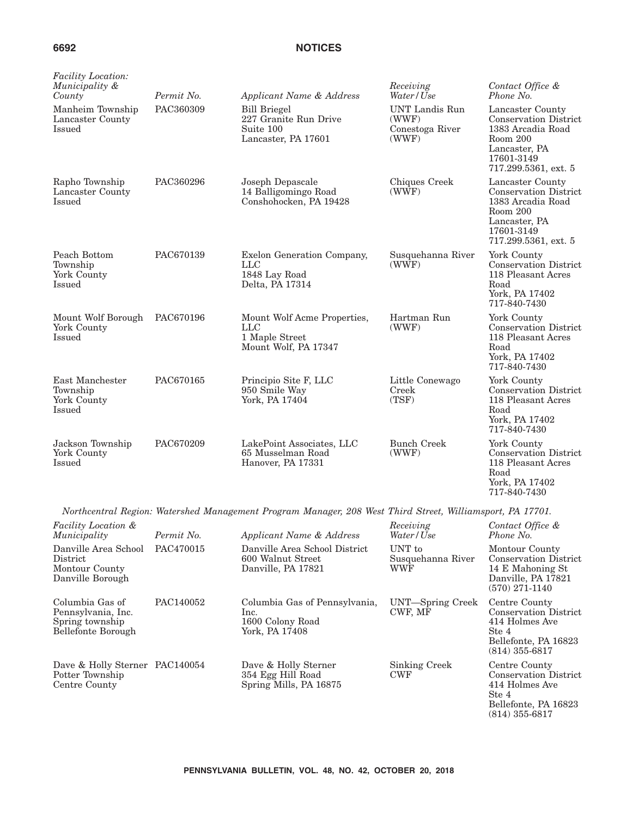| <b>Facility Location:</b><br>Municipality &<br>County | Permit No. | Applicant Name & Address                                                              | Receiving<br>Water/Use                                     | Contact Office &<br>Phone No.                                                                                                            |
|-------------------------------------------------------|------------|---------------------------------------------------------------------------------------|------------------------------------------------------------|------------------------------------------------------------------------------------------------------------------------------------------|
| Manheim Township<br>Lancaster County<br><b>Issued</b> | PAC360309  | <b>Bill Briegel</b><br>227 Granite Run Drive<br>Suite 100<br>Lancaster, PA 17601      | <b>UNT</b> Landis Run<br>(WWF)<br>Conestoga River<br>(WWF) | Lancaster County<br><b>Conservation District</b><br>1383 Arcadia Road<br>Room 200<br>Lancaster, PA<br>17601-3149<br>717.299.5361, ext. 5 |
| Rapho Township<br>Lancaster County<br>Issued          | PAC360296  | Joseph Depascale<br>14 Balligomingo Road<br>Conshohocken, PA 19428                    | Chiques Creek<br>(WWF)                                     | Lancaster County<br><b>Conservation District</b><br>1383 Arcadia Road<br>Room 200<br>Lancaster, PA<br>17601-3149<br>717.299.5361, ext. 5 |
| Peach Bottom<br>Township<br>York County<br>Issued     | PAC670139  | Exelon Generation Company,<br>$_{\rm LLC}$<br>1848 Lay Road<br>Delta, PA 17314        | Susquehanna River<br>(WWF)                                 | York County<br><b>Conservation District</b><br>118 Pleasant Acres<br>Road<br>York, PA 17402<br>717-840-7430                              |
| Mount Wolf Borough<br>York County<br>Issued           | PAC670196  | Mount Wolf Acme Properties,<br>$_{\rm LLC}$<br>1 Maple Street<br>Mount Wolf, PA 17347 | Hartman Run<br>(WWF)                                       | York County<br><b>Conservation District</b><br>118 Pleasant Acres<br>Road<br>York, PA 17402<br>717-840-7430                              |
| East Manchester<br>Township<br>York County<br>Issued  | PAC670165  | Principio Site F, LLC<br>950 Smile Way<br>York, PA 17404                              | Little Conewago<br>Creek<br>(TSF)                          | York County<br><b>Conservation District</b><br>118 Pleasant Acres<br>Road<br>York, PA 17402<br>717-840-7430                              |
| Jackson Township<br>York County<br>Issued             | PAC670209  | LakePoint Associates, LLC<br>65 Musselman Road<br>Hanover, PA 17331                   | <b>Bunch Creek</b><br>(WWF)                                | York County<br><b>Conservation District</b><br>118 Pleasant Acres<br>Road<br>York, PA 17402                                              |

*Northcentral Region: Watershed Management Program Manager, 208 West Third Street, Williamsport, PA 17701.*

717-840-7430

| Facility Location &<br>Municipality                                            | Permit No. | Applicant Name & Address                                                    | Receiving<br>Water/Use                    | Contact Office &<br>Phone No.                                                                                         |
|--------------------------------------------------------------------------------|------------|-----------------------------------------------------------------------------|-------------------------------------------|-----------------------------------------------------------------------------------------------------------------------|
| Danville Area School<br>District<br>Montour County<br>Danville Borough         | PAC470015  | Danville Area School District<br>600 Walnut Street<br>Danville, PA 17821    | UNT to<br>Susquehanna River<br><b>WWF</b> | Montour County<br><b>Conservation District</b><br>14 E Mahoning St<br>Danville, PA 17821<br>$(570)$ 271-1140          |
| Columbia Gas of<br>Pennsylvania, Inc.<br>Spring township<br>Bellefonte Borough | PAC140052  | Columbia Gas of Pennsylvania,<br>lnc.<br>1600 Colony Road<br>York, PA 17408 | UNT—Spring Creek<br>CWF, MF               | Centre County<br><b>Conservation District</b><br>414 Holmes Ave<br>Ste 4<br>Bellefonte, PA 16823<br>$(814)$ 355-6817  |
| Dave & Holly Sterner PAC140054<br>Potter Township<br>Centre County             |            | Dave & Holly Sterner<br>354 Egg Hill Road<br>Spring Mills, PA 16875         | <b>Sinking Creek</b><br><b>CWF</b>        | Centre County<br><b>Conservation District</b><br>414 Holmes Ave<br>Ste 4<br>Bellefonte, PA 16823<br>$(814)~355$ -6817 |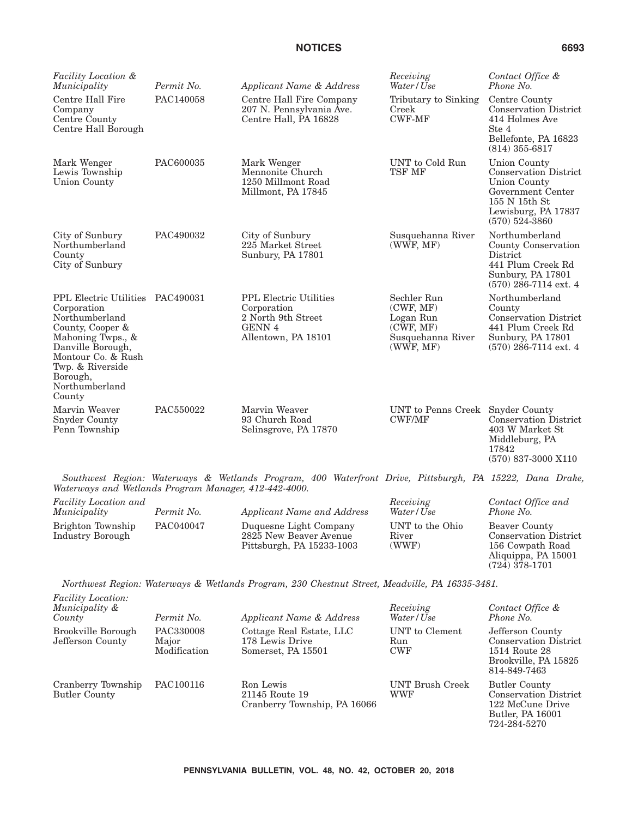| <b>Facility Location &amp;</b><br>Municipality                                                                                                                                                                 | Permit No. | Applicant Name & Address                                                                                   | Receiving<br>Water/Use                                                               | Contact Office &<br>Phone No.                                                                                                                        |
|----------------------------------------------------------------------------------------------------------------------------------------------------------------------------------------------------------------|------------|------------------------------------------------------------------------------------------------------------|--------------------------------------------------------------------------------------|------------------------------------------------------------------------------------------------------------------------------------------------------|
| Centre Hall Fire<br>Company<br>Centre County<br>Centre Hall Borough                                                                                                                                            | PAC140058  | Centre Hall Fire Company<br>207 N. Pennsylvania Ave.<br>Centre Hall, PA 16828                              | Tributary to Sinking<br>Creek<br><b>CWF-MF</b>                                       | Centre County<br><b>Conservation District</b><br>414 Holmes Ave<br>Ste 4<br>Bellefonte, PA 16823<br>$(814)$ 355-6817                                 |
| Mark Wenger<br>Lewis Township<br>Union County                                                                                                                                                                  | PAC600035  | Mark Wenger<br>Mennonite Church<br>1250 Millmont Road<br>Millmont, PA 17845                                | UNT to Cold Run<br>TSF MF                                                            | <b>Union County</b><br><b>Conservation District</b><br>Union County<br>Government Center<br>155 N 15th St<br>Lewisburg, PA 17837<br>$(570)$ 524-3860 |
| City of Sunbury<br>Northumberland<br>County<br>City of Sunbury                                                                                                                                                 | PAC490032  | City of Sunbury<br>225 Market Street<br>Sunbury, PA 17801                                                  | Susquehanna River<br>(WWF, MF)                                                       | Northumberland<br>County Conservation<br>District<br>441 Plum Creek Rd<br>Sunbury, PA 17801<br>$(570)$ 286-7114 ext. 4                               |
| <b>PPL Electric Utilities</b><br>Corporation<br>Northumberland<br>County, Cooper &<br>Mahoning Twps., &<br>Danville Borough,<br>Montour Co. & Rush<br>Twp. & Riverside<br>Borough,<br>Northumberland<br>County | PAC490031  | <b>PPL Electric Utilities</b><br>Corporation<br>2 North 9th Street<br><b>GENN 4</b><br>Allentown, PA 18101 | Sechler Run<br>(CWF, MF)<br>Logan Run<br>(CWF, MF)<br>Susquehanna River<br>(WWF, MF) | Northumberland<br>County<br><b>Conservation District</b><br>441 Plum Creek Rd<br>Sunbury, PA 17801<br>$(570)$ 286-7114 ext. 4                        |
| Marvin Weaver<br><b>Snyder County</b><br>Penn Township                                                                                                                                                         | PAC550022  | Marvin Weaver<br>93 Church Road<br>Selinsgrove, PA 17870                                                   | UNT to Penns Creek<br><b>CWF/MF</b>                                                  | <b>Snyder County</b><br><b>Conservation District</b><br>403 W Market St<br>Middleburg, PA<br>17842                                                   |

*Southwest Region: Waterways & Wetlands Program, 400 Waterfront Drive, Pittsburgh, PA 15222, Dana Drake, Waterways and Wetlands Program Manager, 412-442-4000.*

| Facility Location and<br>Municipality | Permit No. | Applicant Name and Address                                                    | Receiving<br>Water/Use            | Contact Office and<br>Phone No.                                                          |
|---------------------------------------|------------|-------------------------------------------------------------------------------|-----------------------------------|------------------------------------------------------------------------------------------|
| Brighton Township<br>Industry Borough | PAC040047  | Duquesne Light Company<br>2825 New Beaver Avenue<br>Pittsburgh, PA 15233-1003 | UNT to the Ohio<br>River<br>(WWF) | Beaver County<br><b>Conservation District</b><br>156 Cowpath Road<br>Aliquippa, PA 15001 |

*Northwest Region: Waterways & Wetlands Program, 230 Chestnut Street, Meadville, PA 16335-3481.*

*Facility Location:*

| Municipality &<br>County                   | Permit No.                         | Applicant Name & Address                                          | Receiving<br>Water/Use              | Contact Office &<br>Phone No.                                                                             |
|--------------------------------------------|------------------------------------|-------------------------------------------------------------------|-------------------------------------|-----------------------------------------------------------------------------------------------------------|
| Brookville Borough<br>Jefferson County     | PAC330008<br>Major<br>Modification | Cottage Real Estate, LLC<br>178 Lewis Drive<br>Somerset, PA 15501 | UNT to Clement<br>Run<br><b>CWF</b> | Jefferson County<br><b>Conservation District</b><br>1514 Route 28<br>Brookville, PA 15825<br>814-849-7463 |
| Cranberry Township<br><b>Butler County</b> | PAC100116                          | Ron Lewis<br>21145 Route 19<br>Cranberry Township, PA 16066       | UNT Brush Creek<br>WWF              | Butler County<br><b>Conservation District</b><br>122 McCune Drive<br>Butler, PA 16001<br>724-284-5270     |

(570) 837-3000 X110

 $(724)$   $378-1701$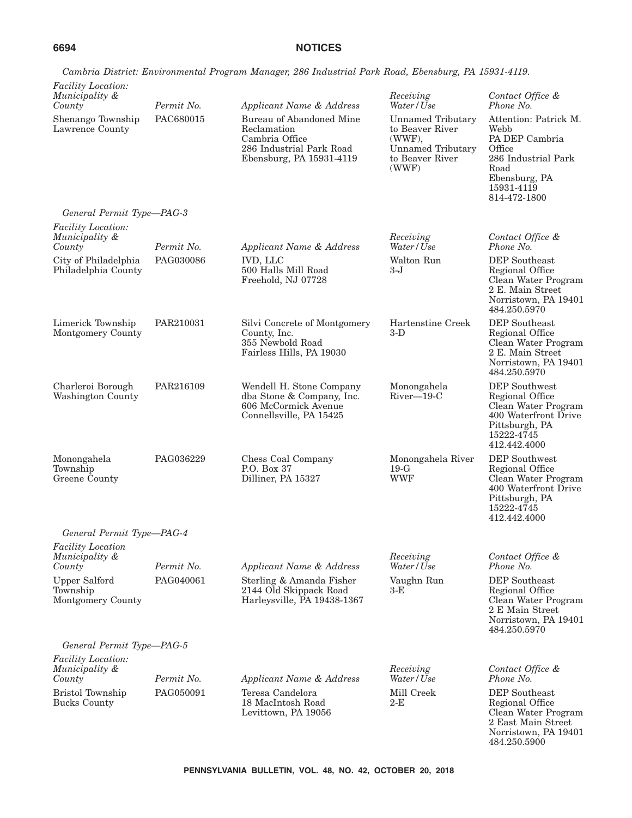|                                                                   |                         | Cambria District: Environmental Program Manager, 286 Industrial Park Road, Ebensburg, PA 15931-4119.              |                                                                                                               |                                                                                                                                         |
|-------------------------------------------------------------------|-------------------------|-------------------------------------------------------------------------------------------------------------------|---------------------------------------------------------------------------------------------------------------|-----------------------------------------------------------------------------------------------------------------------------------------|
| <b>Facility Location:</b>                                         |                         |                                                                                                                   |                                                                                                               |                                                                                                                                         |
| Municipality &<br>County                                          | Permit No.              | Applicant Name & Address                                                                                          | Receiving<br>Water/Use                                                                                        | Contact Office &<br>Phone No.                                                                                                           |
| Shenango Township<br>Lawrence County<br>General Permit Type-PAG-3 | PAC680015               | Bureau of Abandoned Mine<br>Reclamation<br>Cambria Office<br>286 Industrial Park Road<br>Ebensburg, PA 15931-4119 | <b>Unnamed Tributary</b><br>to Beaver River<br>(WWF),<br><b>Unnamed Tributary</b><br>to Beaver River<br>(WWF) | Attention: Patrick M.<br>Webb<br>PA DEP Cambria<br>Office<br>286 Industrial Park<br>Road<br>Ebensburg, PA<br>15931-4119<br>814-472-1800 |
| Facility Location:                                                |                         |                                                                                                                   |                                                                                                               |                                                                                                                                         |
| Municipality &<br>County                                          | Permit No.              | Applicant Name & Address                                                                                          | Receiving<br>Water/Use                                                                                        | Contact Office &<br>Phone No.                                                                                                           |
| City of Philadelphia<br>Philadelphia County                       | PAG030086               | <b>IVD, LLC</b><br>500 Halls Mill Road<br>Freehold, NJ 07728                                                      | Walton Run<br>3-J                                                                                             | DEP Southeast<br>Regional Office<br>Clean Water Program<br>2 E. Main Street<br>Norristown, PA 19401<br>484.250.5970                     |
| Limerick Township<br>Montgomery County                            | PAR210031               | Silvi Concrete of Montgomery<br>County, Inc.<br>355 Newbold Road<br>Fairless Hills, PA 19030                      | Hartenstine Creek<br>$3-D$                                                                                    | DEP Southeast<br>Regional Office<br>Clean Water Program<br>2 E. Main Street<br>Norristown, PA 19401<br>484.250.5970                     |
| Charleroi Borough<br>Washington County                            | PAR216109               | Wendell H. Stone Company<br>dba Stone & Company, Inc.<br>606 McCormick Avenue<br>Connellsville, PA 15425          | Monongahela<br>$River-19-C$                                                                                   | DEP Southwest<br>Regional Office<br>Clean Water Program<br>400 Waterfront Drive<br>Pittsburgh, PA<br>15222-4745<br>412.442.4000         |
| Monongahela<br>Township<br>Greene County                          | PAG036229               | Chess Coal Company<br>P.O. Box 37<br>Dilliner, PA 15327                                                           | Monongahela River<br>$19-G$<br><b>WWF</b>                                                                     | DEP Southwest<br>Regional Office<br>Clean Water Program<br>400 Waterfront Drive<br>Pittsburgh, PA<br>15222-4745<br>412.442.4000         |
| General Permit Type-PAG-4                                         |                         |                                                                                                                   |                                                                                                               |                                                                                                                                         |
| <b>Facility Location</b><br>Municipality &<br>County              | Permit No.              | Applicant Name & Address                                                                                          | Receiving<br>Water/Use                                                                                        | Contact Office &<br>Phone No.                                                                                                           |
| <b>Upper Salford</b><br>Township<br>Montgomery County             | PAG040061               | Sterling & Amanda Fisher<br>2144 Old Skippack Road<br>Harleysville, PA 19438-1367                                 | Vaughn Run<br>$3-E$                                                                                           | DEP Southeast<br>Regional Office<br>Clean Water Program<br>2 E Main Street<br>Norristown, PA 19401<br>484.250.5970                      |
| General Permit Type-PAG-5                                         |                         |                                                                                                                   |                                                                                                               |                                                                                                                                         |
| <b>Facility Location:</b><br>Municipality &                       |                         |                                                                                                                   | Receiving                                                                                                     | Contact Office &                                                                                                                        |
| County<br>Bristol Township<br><b>Bucks County</b>                 | Permit No.<br>PAG050091 | Applicant Name & Address<br>Teresa Candelora<br>18 MacIntosh Road<br>Levittown, PA 19056                          | Water/Use<br>Mill Creek<br>2-E                                                                                | Phone No.<br>DEP Southeast<br>Regional Office<br>Clean Water Program<br>2 East Main Street<br>Norristown, PA 19401                      |

*Cambria District: Environmental Program Manager, 286 Industrial Park Road, Ebensburg, PA 15931-4119.*

484.250.5900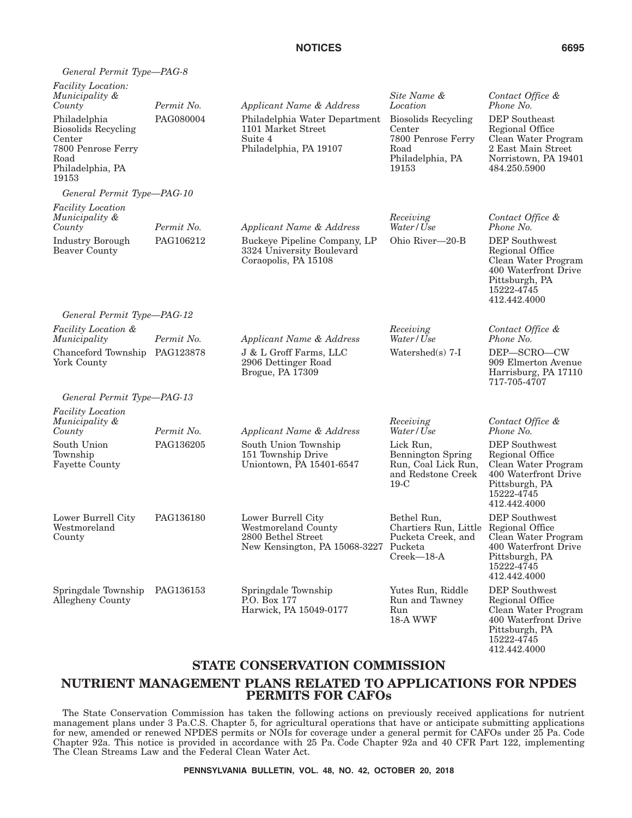| General Permit Type-PAG-8                                                                                       |            |                                                                                                    |                                                                                                       |                                                                                                                                        |
|-----------------------------------------------------------------------------------------------------------------|------------|----------------------------------------------------------------------------------------------------|-------------------------------------------------------------------------------------------------------|----------------------------------------------------------------------------------------------------------------------------------------|
| <i>Facility Location:</i><br>Municipality &<br>County                                                           | Permit No. | Applicant Name & Address                                                                           | Site Name &<br>Location                                                                               | Contact Office &<br>Phone No.                                                                                                          |
| Philadelphia<br><b>Biosolids Recycling</b><br>Center<br>7800 Penrose Ferry<br>Road<br>Philadelphia, PA<br>19153 | PAG080004  | Philadelphia Water Department<br>1101 Market Street<br>Suite 4<br>Philadelphia, PA 19107           | <b>Biosolids Recycling</b><br>Center<br>7800 Penrose Ferry<br>Road<br>Philadelphia, PA<br>19153       | DEP Southeast<br>Regional Office<br>Clean Water Program<br>2 East Main Street<br>Norristown, PA 19401<br>484.250.5900                  |
| General Permit Type-PAG-10                                                                                      |            |                                                                                                    |                                                                                                       |                                                                                                                                        |
| <b>Facility Location</b><br>Municipality &<br>County                                                            | Permit No. | Applicant Name & Address                                                                           | Receiving<br>Water/Use                                                                                | Contact Office &<br>Phone No.                                                                                                          |
| Industry Borough<br><b>Beaver County</b>                                                                        | PAG106212  | Buckeye Pipeline Company, LP<br>3324 University Boulevard<br>Coraopolis, PA 15108                  | Ohio River-20-B                                                                                       | <b>DEP</b> Southwest<br>Regional Office<br>Clean Water Program<br>400 Waterfront Drive<br>Pittsburgh, PA<br>15222-4745<br>412.442.4000 |
| General Permit Type-PAG-12                                                                                      |            |                                                                                                    |                                                                                                       |                                                                                                                                        |
| <i>Facility Location &amp;</i><br>Municipality                                                                  | Permit No. | Applicant Name & Address                                                                           | Receiving<br>Water/Use                                                                                | Contact Office &<br>Phone No.                                                                                                          |
| Chanceford Township PAG123878<br>York County                                                                    |            | J & L Groff Farms, LLC<br>2906 Dettinger Road<br>Brogue, PA 17309                                  | Watershed $(s)$ 7-I                                                                                   | DEP-SCRO-CW<br>909 Elmerton Avenue<br>Harrisburg, PA 17110<br>717-705-4707                                                             |
| General Permit Type-PAG-13                                                                                      |            |                                                                                                    |                                                                                                       |                                                                                                                                        |
| Facility Location<br>Municipality &                                                                             | Permit No. |                                                                                                    | Receiving<br>Water/Use                                                                                | Contact Office &<br>Phone No.                                                                                                          |
| County<br>South Union<br>Township<br><b>Fayette County</b>                                                      | PAG136205  | Applicant Name & Address<br>South Union Township<br>151 Township Drive<br>Uniontown, PA 15401-6547 | Lick Run,<br><b>Bennington Spring</b><br>Run, Coal Lick Run,<br>and Redstone Creek<br>$19-C$          | <b>DEP</b> Southwest<br>Regional Office<br>Clean Water Program<br>400 Waterfront Drive<br>Pittsburgh, PA<br>15222-4745<br>412.442.4000 |
| Lower Burrell City<br>Westmoreland<br>County                                                                    | PAG136180  | Lower Burrell City<br>Westmoreland County<br>2800 Bethel Street<br>New Kensington, PA 15068-3227   | Bethel Run,<br>Chartiers Run, Little Regional Office<br>Pucketa Creek, and<br>Pucketa<br>$Creek-18-A$ | <b>DEP</b> Southwest<br>Clean Water Program<br>400 Waterfront Drive<br>Pittsburgh, PA<br>15222-4745<br>412.442.4000                    |
| Springdale Township<br>Allegheny County                                                                         | PAG136153  | Springdale Township<br>P.O. Box 177<br>Harwick, PA 15049-0177                                      | Yutes Run, Riddle<br>Run and Tawney<br>Run<br>18-A WWF                                                | DEP Southwest<br>Regional Office<br>Clean Water Program<br>400 Waterfront Drive<br>Pittsburgh, PA<br>15222-4745                        |

# **STATE CONSERVATION COMMISSION NUTRIENT MANAGEMENT PLANS RELATED TO APPLICATIONS FOR NPDES PERMITS FOR CAFOs**

The State Conservation Commission has taken the following actions on previously received applications for nutrient management plans under 3 Pa.C.S. Chapter 5, for agricultural operations that have or anticipate submitting applications for new, amended or renewed NPDES permits or NOIs for coverage under a general permit for CAFOs under 25 Pa. Code Chapter 92a. This notice is provided in accordance with 25 Pa. Code Chapter 92a and 40 CFR Part 122, implementing The Clean Streams Law and the Federal Clean Water Act.

412.442.4000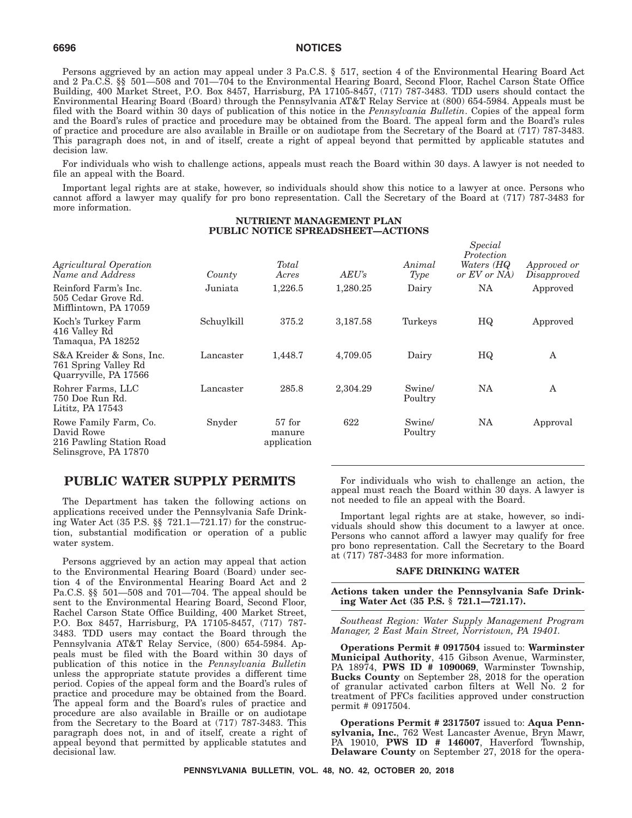Persons aggrieved by an action may appeal under 3 Pa.C.S. § 517, section 4 of the Environmental Hearing Board Act and 2 Pa.C.S. §§ 501—508 and 701—704 to the Environmental Hearing Board, Second Floor, Rachel Carson State Office Building, 400 Market Street, P.O. Box 8457, Harrisburg, PA 17105-8457, (717) 787-3483. TDD users should contact the Environmental Hearing Board (Board) through the Pennsylvania AT&T Relay Service at (800) 654-5984. Appeals must be filed with the Board within 30 days of publication of this notice in the *Pennsylvania Bulletin*. Copies of the appeal form and the Board's rules of practice and procedure may be obtained from the Board. The appeal form and the Board's rules of practice and procedure are also available in Braille or on audiotape from the Secretary of the Board at (717) 787-3483. This paragraph does not, in and of itself, create a right of appeal beyond that permitted by applicable statutes and decision law.

For individuals who wish to challenge actions, appeals must reach the Board within 30 days. A lawyer is not needed to file an appeal with the Board.

Important legal rights are at stake, however, so individuals should show this notice to a lawyer at once. Persons who cannot afford a lawyer may qualify for pro bono representation. Call the Secretary of the Board at (717) 787-3483 for more information.

### **NUTRIENT MANAGEMENT PLAN PUBLIC NOTICE SPREADSHEET—ACTIONS**

| Agricultural Operation<br>Name and Address                                               | County     | Total<br>Acres                    | AEU's    | Animal<br>Type    | wpccw<br>Protection<br>Waters (HQ<br>or $EV$ or $NA$ ) | Approved or<br>Disapproved |
|------------------------------------------------------------------------------------------|------------|-----------------------------------|----------|-------------------|--------------------------------------------------------|----------------------------|
| Reinford Farm's Inc.<br>505 Cedar Grove Rd.<br>Mifflintown, PA 17059                     | Juniata    | 1,226.5                           | 1,280.25 | Dairy             | <b>NA</b>                                              | Approved                   |
| Koch's Turkey Farm<br>416 Valley Rd<br>Tamaqua, PA 18252                                 | Schuylkill | 375.2                             | 3,187.58 | Turkeys           | HQ                                                     | Approved                   |
| S&A Kreider & Sons, Inc.<br>761 Spring Valley Rd<br>Quarryville, PA 17566                | Lancaster  | 1,448.7                           | 4,709.05 | Dairy             | HQ                                                     | A                          |
| Rohrer Farms, LLC<br>750 Doe Run Rd.<br>Lititz, PA 17543                                 | Lancaster  | 285.8                             | 2,304.29 | Swine/<br>Poultry | NA                                                     | A                          |
| Rowe Family Farm, Co.<br>David Rowe<br>216 Pawling Station Road<br>Selinsgrove, PA 17870 | Snyder     | $57$ for<br>manure<br>application | 622      | Swine/<br>Poultry | NA                                                     | Approval                   |

## **PUBLIC WATER SUPPLY PERMITS**

The Department has taken the following actions on applications received under the Pennsylvania Safe Drinking Water Act (35 P.S. §§ 721.1—721.17) for the construction, substantial modification or operation of a public water system.

Persons aggrieved by an action may appeal that action to the Environmental Hearing Board (Board) under section 4 of the Environmental Hearing Board Act and 2 Pa.C.S. §§ 501—508 and 701—704. The appeal should be sent to the Environmental Hearing Board, Second Floor, Rachel Carson State Office Building, 400 Market Street, P.O. Box 8457, Harrisburg, PA 17105-8457, (717) 787- 3483. TDD users may contact the Board through the Pennsylvania AT&T Relay Service, (800) 654-5984. Appeals must be filed with the Board within 30 days of publication of this notice in the *Pennsylvania Bulletin* unless the appropriate statute provides a different time period. Copies of the appeal form and the Board's rules of practice and procedure may be obtained from the Board. The appeal form and the Board's rules of practice and procedure are also available in Braille or on audiotape from the Secretary to the Board at (717) 787-3483. This paragraph does not, in and of itself, create a right of appeal beyond that permitted by applicable statutes and decisional law.

For individuals who wish to challenge an action, the appeal must reach the Board within 30 days. A lawyer is not needed to file an appeal with the Board.

*Special*

Important legal rights are at stake, however, so individuals should show this document to a lawyer at once. Persons who cannot afford a lawyer may qualify for free pro bono representation. Call the Secretary to the Board at (717) 787-3483 for more information.

#### **SAFE DRINKING WATER**

#### **Actions taken under the Pennsylvania Safe Drinking Water Act (35 P.S. § 721.1—721.17).**

*Southeast Region: Water Supply Management Program Manager, 2 East Main Street, Norristown, PA 19401.*

**Operations Permit # 0917504** issued to: **Warminster Municipal Authority**, 415 Gibson Avenue, Warminster, PA 18974, **PWS ID # 1090069**, Warminster Township, **Bucks County** on September 28, 2018 for the operation of granular activated carbon filters at Well No. 2 for treatment of PFCs facilities approved under construction permit # 0917504.

**Operations Permit # 2317507** issued to: **Aqua Pennsylvania, Inc.**, 762 West Lancaster Avenue, Bryn Mawr, PA 19010, **PWS ID # 146007**, Haverford Township, **Delaware County** on September 27, 2018 for the opera-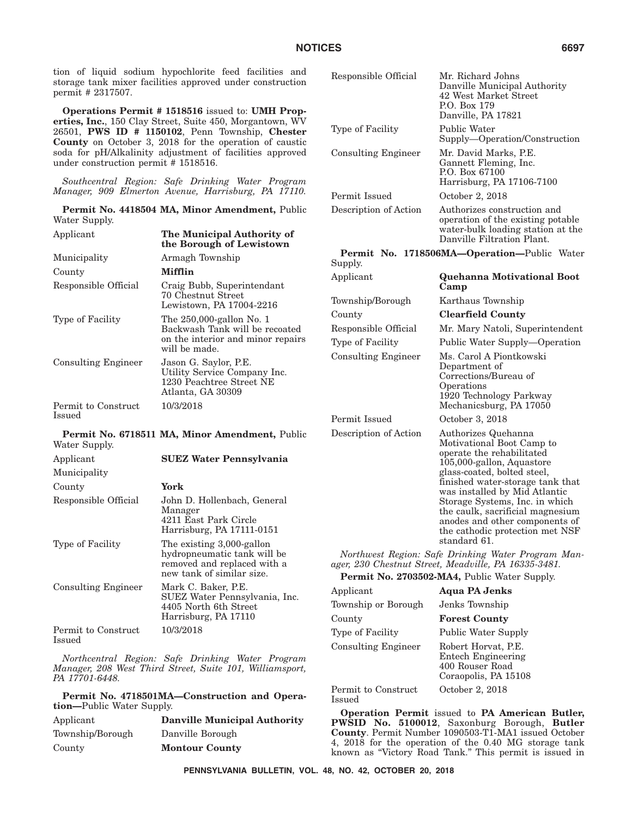tion of liquid sodium hypochlorite feed facilities and storage tank mixer facilities approved under construction permit # 2317507.

**Operations Permit # 1518516** issued to: **UMH Properties, Inc.**, 150 Clay Street, Suite 450, Morgantown, WV 26501, **PWS ID # 1150102**, Penn Township, **Chester County** on October 3, 2018 for the operation of caustic soda for pH/Alkalinity adjustment of facilities approved under construction permit # 1518516.

*Southcentral Region: Safe Drinking Water Program Manager, 909 Elmerton Avenue, Harrisburg, PA 17110.*

**Permit No. 4418504 MA, Minor Amendment,** Public Water Supply.

| Applicant                     | The Municipal Authority of<br>the Borough of Lewistown                                                           |
|-------------------------------|------------------------------------------------------------------------------------------------------------------|
| Municipality                  | Armagh Township                                                                                                  |
| County                        | Mifflin                                                                                                          |
| Responsible Official          | Craig Bubb, Superintendant<br>70 Chestnut Street<br>Lewistown, PA 17004-2216                                     |
| Type of Facility              | The 250,000-gallon No. 1<br>Backwash Tank will be recoated<br>on the interior and minor repairs<br>will be made. |
| <b>Consulting Engineer</b>    | Jason G. Saylor, P.E.<br>Utility Service Company Inc.<br>1230 Peachtree Street NE<br>Atlanta, GA 30309           |
| Permit to Construct<br>Issued | 10/3/2018                                                                                                        |
| Water Supply.                 | Permit No. 6718511 MA, Minor Amendment, Public                                                                   |
| Applicant                     | <b>SUEZ Water Pennsylvania</b>                                                                                   |
| Municipality                  |                                                                                                                  |
| County                        | York                                                                                                             |
| Responsible Official          | John D. Hollenbach, General<br>Manager<br>4211 East Park Circle<br>Harrisburg, PA 17111-0151                     |
| Type of Facility              | The existing 3,000-gallon<br>hydropneumatic tank will be<br>removed and replaced with a                          |

new tank of similar size. Consulting Engineer Mark C. Baker, P.E. SUEZ Water Pennsylvania, Inc. 4405 North 6th Street Harrisburg, PA 17110 Permit to Construct Issued 10/3/2018

*Northcentral Region: Safe Drinking Water Program Manager, 208 West Third Street, Suite 101, Williamsport, PA 17701-6448.*

**Permit No. 4718501MA—Construction and Operation—**Public Water Supply.

| Applicant        | <b>Danville Municipal Authority</b> |
|------------------|-------------------------------------|
| Township/Borough | Danville Borough                    |
| County           | <b>Montour County</b>               |

| Responsible Official       | Mr. Richard Johns<br>Danville Municipal Authority<br>42 West Market Street<br>P.O. Box 179<br>Danville, PA 17821                                                                                                                                                                                                                                                          |
|----------------------------|---------------------------------------------------------------------------------------------------------------------------------------------------------------------------------------------------------------------------------------------------------------------------------------------------------------------------------------------------------------------------|
| Type of Facility           | Public Water<br>Supply—Operation/Construction                                                                                                                                                                                                                                                                                                                             |
| <b>Consulting Engineer</b> | Mr. David Marks, P.E.<br>Gannett Fleming, Inc.<br>P.O. Box 67100<br>Harrisburg, PA 17106-7100                                                                                                                                                                                                                                                                             |
| Permit Issued              | October 2, 2018                                                                                                                                                                                                                                                                                                                                                           |
| Description of Action      | Authorizes construction and<br>operation of the existing potable<br>water-bulk loading station at the<br>Danville Filtration Plant.                                                                                                                                                                                                                                       |
| Supply.                    | Permit No. 1718506MA-Operation-Public Water                                                                                                                                                                                                                                                                                                                               |
| Applicant                  | <b>Quehanna Motivational Boot</b><br>Camp                                                                                                                                                                                                                                                                                                                                 |
| Township/Borough           | Karthaus Township                                                                                                                                                                                                                                                                                                                                                         |
| County                     | <b>Clearfield County</b>                                                                                                                                                                                                                                                                                                                                                  |
| Responsible Official       | Mr. Mary Natoli, Superintendent                                                                                                                                                                                                                                                                                                                                           |
| Type of Facility           | Public Water Supply—Operation                                                                                                                                                                                                                                                                                                                                             |
| <b>Consulting Engineer</b> | Ms. Carol A Piontkowski<br>Department of<br>Corrections/Bureau of<br>Operations<br>1920 Technology Parkway<br>Mechanicsburg, PA 17050                                                                                                                                                                                                                                     |
| Permit Issued              | October 3, 2018                                                                                                                                                                                                                                                                                                                                                           |
| Description of Action      | Authorizes Quehanna<br>Motivational Boot Camp to<br>operate the rehabilitated<br>105,000-gallon, Aquastore<br>glass-coated, bolted steel,<br>finished water-storage tank that<br>was installed by Mid Atlantic<br>Storage Systems, Inc. in which<br>the caulk, sacrificial magnesium<br>anodes and other components of<br>the cathodic protection met NSF<br>standard 61. |
|                            | Northwest Region: Safe Drinking Water Program Man-<br>ager, 230 Chestnut Street, Meadville, PA 16335-3481.                                                                                                                                                                                                                                                                |
|                            | <b>Permit No. 2703502-MA4, Public Water Supply.</b>                                                                                                                                                                                                                                                                                                                       |
| Applicant                  | <b>Aqua PA Jenks</b>                                                                                                                                                                                                                                                                                                                                                      |
| Township or Borough        | Jenks Township                                                                                                                                                                                                                                                                                                                                                            |
| County                     | <b>Forest County</b>                                                                                                                                                                                                                                                                                                                                                      |
| Type of Facility           | <b>Public Water Supply</b>                                                                                                                                                                                                                                                                                                                                                |
| <b>Consulting Engineer</b> | Robert Horvat, P.E.<br><b>Entech Engineering</b>                                                                                                                                                                                                                                                                                                                          |

Permit to Construct Issued

**Operation Permit** issued to **PA American Butler, PWSID No. 5100012**, Saxonburg Borough, **Butler County**. Permit Number 1090503-T1-MA1 issued October 4, 2018 for the operation of the 0.40 MG storage tank known as ''Victory Road Tank.'' This permit is issued in

400 Rouser Road Coraopolis, PA 15108

October 2, 2018

**PENNSYLVANIA BULLETIN, VOL. 48, NO. 42, OCTOBER 20, 2018**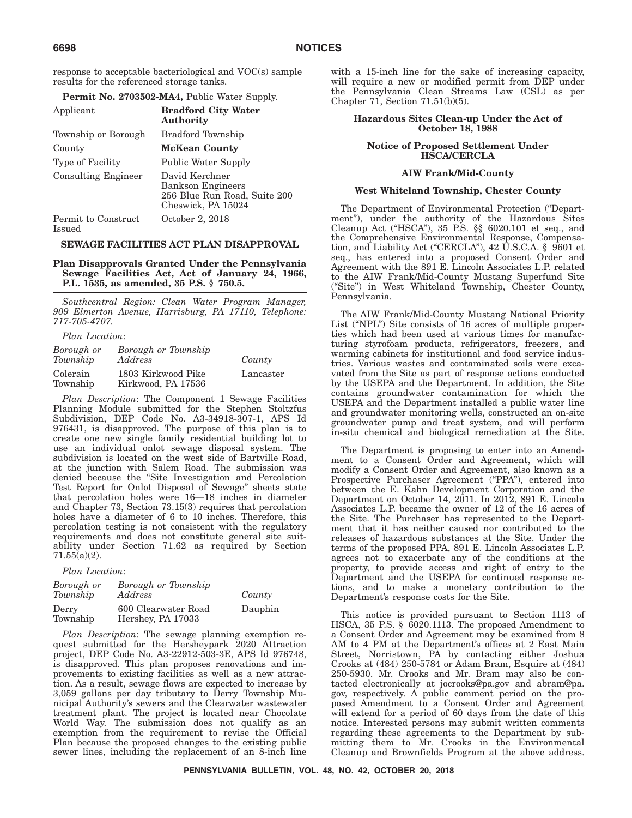response to acceptable bacteriological and VOC(s) sample results for the referenced storage tanks.

| Applicant                     | <b>Bradford City Water</b><br>Authority                                                          |
|-------------------------------|--------------------------------------------------------------------------------------------------|
| Township or Borough           | Bradford Township                                                                                |
| County                        | <b>McKean County</b>                                                                             |
| <b>Type of Facility</b>       | Public Water Supply                                                                              |
| Consulting Engineer           | David Kerchner<br><b>Bankson Engineers</b><br>256 Blue Run Road, Suite 200<br>Cheswick, PA 15024 |
| Permit to Construct<br>Issued | October 2, 2018                                                                                  |

#### **SEWAGE FACILITIES ACT PLAN DISAPPROVAL**

**Plan Disapprovals Granted Under the Pennsylvania Sewage Facilities Act, Act of January 24, 1966, P.L. 1535, as amended, 35 P.S. § 750.5.**

*Southcentral Region: Clean Water Program Manager, 909 Elmerton Avenue, Harrisburg, PA 17110, Telephone: 717-705-4707.*

*Plan Location*:

| Borough or<br>Township | Borough or Township<br>Address           | County    |
|------------------------|------------------------------------------|-----------|
| Colerain<br>Township   | 1803 Kirkwood Pike<br>Kirkwood, PA 17536 | Lancaster |

*Plan Description*: The Component 1 Sewage Facilities Planning Module submitted for the Stephen Stoltzfus Subdivision, DEP Code No. A3-34918-307-1, APS Id 976431, is disapproved. The purpose of this plan is to create one new single family residential building lot to use an individual onlot sewage disposal system. The subdivision is located on the west side of Bartville Road, at the junction with Salem Road. The submission was denied because the ''Site Investigation and Percolation Test Report for Onlot Disposal of Sewage'' sheets state that percolation holes were 16—18 inches in diameter and Chapter 73, Section 73.15(3) requires that percolation holes have a diameter of 6 to 10 inches. Therefore, this percolation testing is not consistent with the regulatory requirements and does not constitute general site suitability under Section 71.62 as required by Section 71.55(a)(2).

*Plan Location*:

| Borough or<br>Township | Borough or Township<br>Address           | County  |
|------------------------|------------------------------------------|---------|
| Derry<br>Township      | 600 Clearwater Road<br>Hershey, PA 17033 | Dauphin |

*Plan Description*: The sewage planning exemption request submitted for the Hersheypark 2020 Attraction project, DEP Code No. A3-22912-503-3E, APS Id 976748, is disapproved. This plan proposes renovations and improvements to existing facilities as well as a new attraction. As a result, sewage flows are expected to increase by 3,059 gallons per day tributary to Derry Township Municipal Authority's sewers and the Clearwater wastewater treatment plant. The project is located near Chocolate World Way. The submission does not qualify as an exemption from the requirement to revise the Official Plan because the proposed changes to the existing public sewer lines, including the replacement of an 8-inch line

with a 15-inch line for the sake of increasing capacity, will require a new or modified permit from DEP under the Pennsylvania Clean Streams Law (CSL) as per Chapter 71, Section 71.51(b)(5).

#### **Hazardous Sites Clean-up Under the Act of October 18, 1988**

#### **Notice of Proposed Settlement Under HSCA/CERCLA**

#### **AIW Frank/Mid-County**

#### **West Whiteland Township, Chester County**

The Department of Environmental Protection (''Department''), under the authority of the Hazardous Sites Cleanup Act (''HSCA''), 35 P.S. §§ 6020.101 et seq., and the Comprehensive Environmental Response, Compensation, and Liability Act (''CERCLA''), 42 U.S.C.A. § 9601 et seq., has entered into a proposed Consent Order and Agreement with the 891 E. Lincoln Associates L.P. related to the AIW Frank/Mid-County Mustang Superfund Site (''Site'') in West Whiteland Township, Chester County, Pennsylvania.

The AIW Frank/Mid-County Mustang National Priority List ("NPL") Site consists of 16 acres of multiple properties which had been used at various times for manufacturing styrofoam products, refrigerators, freezers, and warming cabinets for institutional and food service industries. Various wastes and contaminated soils were excavated from the Site as part of response actions conducted by the USEPA and the Department. In addition, the Site contains groundwater contamination for which the USEPA and the Department installed a public water line and groundwater monitoring wells, constructed an on-site groundwater pump and treat system, and will perform in-situ chemical and biological remediation at the Site.

The Department is proposing to enter into an Amendment to a Consent Order and Agreement, which will modify a Consent Order and Agreement, also known as a Prospective Purchaser Agreement ("PPA"), entered into between the E. Kahn Development Corporation and the Department on October 14, 2011. In 2012, 891 E. Lincoln Associates L.P. became the owner of 12 of the 16 acres of the Site. The Purchaser has represented to the Department that it has neither caused nor contributed to the releases of hazardous substances at the Site. Under the terms of the proposed PPA, 891 E. Lincoln Associates L.P. agrees not to exacerbate any of the conditions at the property, to provide access and right of entry to the Department and the USEPA for continued response actions, and to make a monetary contribution to the Department's response costs for the Site.

This notice is provided pursuant to Section 1113 of HSCA, 35 P.S. § 6020.1113. The proposed Amendment to a Consent Order and Agreement may be examined from 8 AM to 4 PM at the Department's offices at 2 East Main Street, Norristown, PA by contacting either Joshua Crooks at (484) 250-5784 or Adam Bram, Esquire at (484) 250-5930. Mr. Crooks and Mr. Bram may also be contacted electronically at jocrooks@pa.gov and abram@pa. gov, respectively. A public comment period on the proposed Amendment to a Consent Order and Agreement will extend for a period of 60 days from the date of this notice. Interested persons may submit written comments regarding these agreements to the Department by submitting them to Mr. Crooks in the Environmental Cleanup and Brownfields Program at the above address.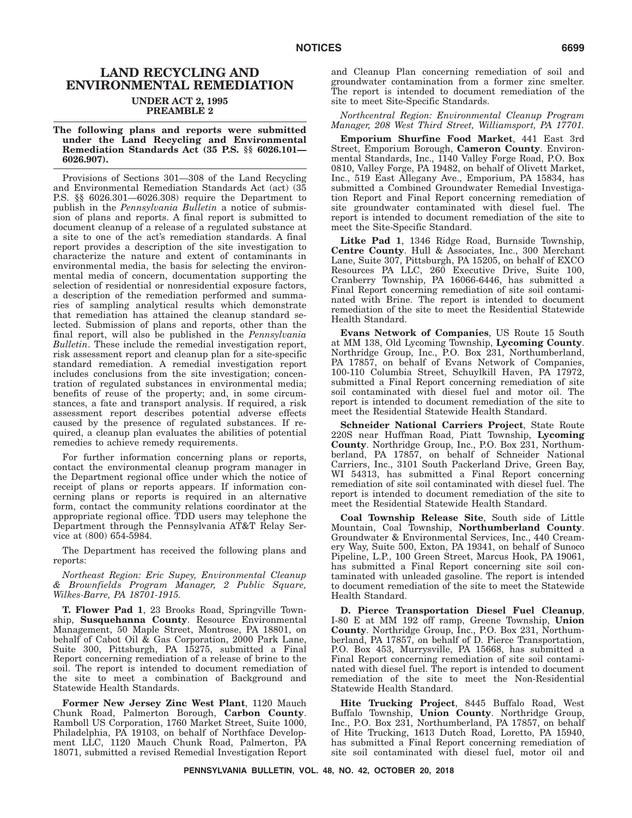# **LAND RECYCLING AND ENVIRONMENTAL REMEDIATION UNDER ACT 2, 1995**

**PREAMBLE 2**

#### **The following plans and reports were submitted under the Land Recycling and Environmental Remediation Standards Act (35 P.S. §§ 6026.101— 6026.907).**

Provisions of Sections 301—308 of the Land Recycling and Environmental Remediation Standards Act (act) (35 P.S. §§ 6026.301—6026.308) require the Department to publish in the *Pennsylvania Bulletin* a notice of submission of plans and reports. A final report is submitted to document cleanup of a release of a regulated substance at a site to one of the act's remediation standards. A final report provides a description of the site investigation to characterize the nature and extent of contaminants in environmental media, the basis for selecting the environmental media of concern, documentation supporting the selection of residential or nonresidential exposure factors, a description of the remediation performed and summaries of sampling analytical results which demonstrate that remediation has attained the cleanup standard selected. Submission of plans and reports, other than the final report, will also be published in the *Pennsylvania Bulletin*. These include the remedial investigation report, risk assessment report and cleanup plan for a site-specific standard remediation. A remedial investigation report includes conclusions from the site investigation; concentration of regulated substances in environmental media; benefits of reuse of the property; and, in some circumstances, a fate and transport analysis. If required, a risk assessment report describes potential adverse effects caused by the presence of regulated substances. If required, a cleanup plan evaluates the abilities of potential remedies to achieve remedy requirements.

For further information concerning plans or reports, contact the environmental cleanup program manager in the Department regional office under which the notice of receipt of plans or reports appears. If information concerning plans or reports is required in an alternative form, contact the community relations coordinator at the appropriate regional office. TDD users may telephone the Department through the Pennsylvania AT&T Relay Service at (800) 654-5984.

The Department has received the following plans and reports:

*Northeast Region: Eric Supey, Environmental Cleanup & Brownfields Program Manager, 2 Public Square, Wilkes-Barre, PA 18701-1915.*

**T. Flower Pad 1**, 23 Brooks Road, Springville Township, **Susquehanna County**. Resource Environmental Management, 50 Maple Street, Montrose, PA 18801, on behalf of Cabot Oil & Gas Corporation, 2000 Park Lane, Suite 300, Pittsburgh, PA 15275, submitted a Final Report concerning remediation of a release of brine to the soil. The report is intended to document remediation of the site to meet a combination of Background and Statewide Health Standards.

**Former New Jersey Zinc West Plant**, 1120 Mauch Chunk Road, Palmerton Borough, **Carbon County**. Ramboll US Corporation, 1760 Market Street, Suite 1000, Philadelphia, PA 19103, on behalf of Northface Development LLC, 1120 Mauch Chunk Road, Palmerton, PA 18071, submitted a revised Remedial Investigation Report and Cleanup Plan concerning remediation of soil and groundwater contamination from a former zinc smelter. The report is intended to document remediation of the site to meet Site-Specific Standards.

#### *Northcentral Region: Environmental Cleanup Program Manager, 208 West Third Street, Williamsport, PA 17701.*

**Emporium Shurfine Food Market**, 441 East 3rd Street, Emporium Borough, **Cameron County**. Environmental Standards, Inc., 1140 Valley Forge Road, P.O. Box 0810, Valley Forge, PA 19482, on behalf of Olivett Market, Inc., 519 East Allegany Ave., Emporium, PA 15834, has submitted a Combined Groundwater Remedial Investigation Report and Final Report concerning remediation of site groundwater contaminated with diesel fuel. The report is intended to document remediation of the site to meet the Site-Specific Standard.

**Litke Pad 1**, 1346 Ridge Road, Burnside Township, **Centre County**. Hull & Associates, Inc., 300 Merchant Lane, Suite 307, Pittsburgh, PA 15205, on behalf of EXCO Resources PA LLC, 260 Executive Drive, Suite 100, Cranberry Township, PA 16066-6446, has submitted a Final Report concerning remediation of site soil contaminated with Brine. The report is intended to document remediation of the site to meet the Residential Statewide Health Standard.

**Evans Network of Companies**, US Route 15 South at MM 138, Old Lycoming Township, **Lycoming County**. Northridge Group, Inc., P.O. Box 231, Northumberland, PA 17857, on behalf of Evans Network of Companies, 100-110 Columbia Street, Schuylkill Haven, PA 17972, submitted a Final Report concerning remediation of site soil contaminated with diesel fuel and motor oil. The report is intended to document remediation of the site to meet the Residential Statewide Health Standard.

**Schneider National Carriers Project**, State Route 220S near Huffman Road, Piatt Township, **Lycoming County**. Northridge Group, Inc., P.O. Box 231, Northumberland, PA 17857, on behalf of Schneider National Carriers, Inc., 3101 South Packerland Drive, Green Bay, WI 54313, has submitted a Final Report concerning remediation of site soil contaminated with diesel fuel. The report is intended to document remediation of the site to meet the Residential Statewide Health Standard.

**Coal Township Release Site**, South side of Little Mountain, Coal Township, **Northumberland County**. Groundwater & Environmental Services, Inc., 440 Creamery Way, Suite 500, Exton, PA 19341, on behalf of Sunoco Pipeline, L.P., 100 Green Street, Marcus Hook, PA 19061, has submitted a Final Report concerning site soil contaminated with unleaded gasoline. The report is intended to document remediation of the site to meet the Statewide Health Standard.

**D. Pierce Transportation Diesel Fuel Cleanup**, I-80 E at MM 192 off ramp, Greene Township, **Union County**. Northridge Group, Inc., P.O. Box 231, Northumberland, PA 17857, on behalf of D. Pierce Transportation, P.O. Box 453, Murrysville, PA 15668, has submitted a Final Report concerning remediation of site soil contaminated with diesel fuel. The report is intended to document remediation of the site to meet the Non-Residential Statewide Health Standard.

**Hite Trucking Project**, 8445 Buffalo Road, West Buffalo Township, **Union County**. Northridge Group, Inc., P.O. Box 231, Northumberland, PA 17857, on behalf of Hite Trucking, 1613 Dutch Road, Loretto, PA 15940, has submitted a Final Report concerning remediation of site soil contaminated with diesel fuel, motor oil and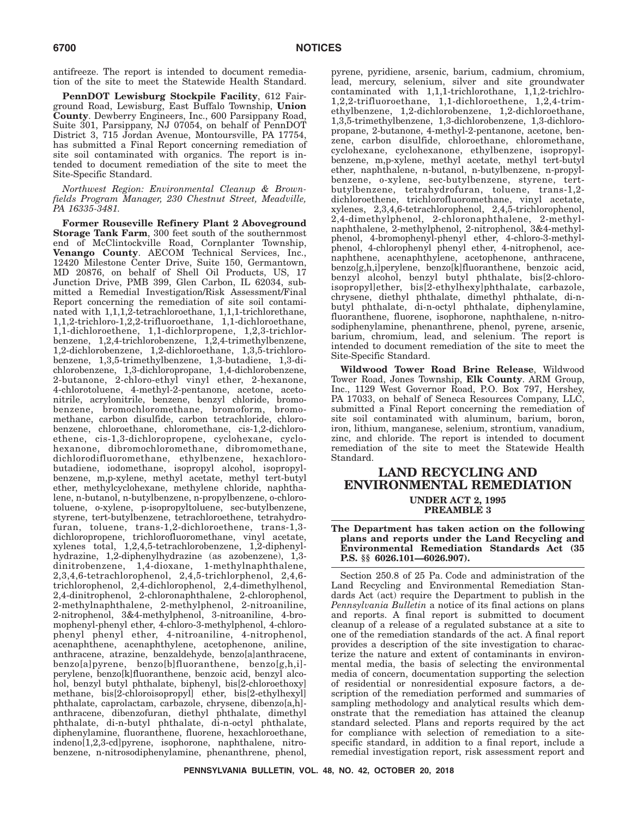antifreeze. The report is intended to document remediation of the site to meet the Statewide Health Standard.

**PennDOT Lewisburg Stockpile Facility**, 612 Fairground Road, Lewisburg, East Buffalo Township, **Union County**. Dewberry Engineers, Inc., 600 Parsippany Road, Suite 301, Parsippany, NJ 07054, on behalf of PennDOT District 3, 715 Jordan Avenue, Montoursville, PA 17754, has submitted a Final Report concerning remediation of site soil contaminated with organics. The report is intended to document remediation of the site to meet the Site-Specific Standard.

*Northwest Region: Environmental Cleanup & Brownfields Program Manager, 230 Chestnut Street, Meadville, PA 16335-3481.*

**Former Rouseville Refinery Plant 2 Aboveground Storage Tank Farm**, 300 feet south of the southernmost end of McClintockville Road, Cornplanter Township, **Venango County**. AECOM Technical Services, Inc., 12420 Milestone Center Drive, Suite 150, Germantown, MD 20876, on behalf of Shell Oil Products, US, 17 Junction Drive, PMB 399, Glen Carbon, IL 62034, submitted a Remedial Investigation/Risk Assessment/Final Report concerning the remediation of site soil contaminated with 1,1,1,2-tetrachloroethane, 1,1,1-trichlorethane, 1,1,2-trichloro-1,2,2-trifluoroethane, 1,1-dichloroethane, 1,1-dichloroethene, 1,1-dichlorpropene, 1,2,3-trichlorbenzene, 1,2,4-trichlorobenzene, 1,2,4-trimethylbenzene, 1,2-dichlorobenzene, 1,2-dichloroethane, 1,3,5-trichlorobenzene, 1,3,5-trimethylbenzene, 1,3-butadiene, 1,3-dichlorobenzene, 1,3-dichloropropane, 1,4-dichlorobenzene, 2-butanone, 2-chloro-ethyl vinyl ether, 2-hexanone, 4-chlorotoluene, 4-methyl-2-pentanone, acetone, acetonitrile, acrylonitrile, benzene, benzyl chloride, bromobenzene, bromochloromethane, bromoform, bromomethane, carbon disulfide, carbon tetrachloride, chlorobenzene, chloroethane, chloromethane, cis-1,2-dichloroethene, cis-1,3-dichloropropene, cyclohexane, cyclohexanone, dibromochloromethane, dibromomethane, dichlorodifluoromethane, ethylbenzene, hexachlorobutadiene, iodomethane, isopropyl alcohol, isopropylbenzene, m,p-xylene, methyl acetate, methyl tert-butyl ether, methylcyclohexane, methylene chloride, naphthalene, n-butanol, n-butylbenzene, n-propylbenzene, o-chlorotoluene, o-xylene, p-isopropyltoluene, sec-butylbenzene, styrene, tert-butylbenzene, tetrachloroethene, tetrahydrofuran, toluene, trans-1,2-dichloroethene, trans-1,3 dichloropropene, trichlorofluoromethane, vinyl acetate, xylenes total, 1,2,4,5-tetrachlorobenzene, 1,2-diphenylhydrazine, 1,2-diphenylhydrazine (as azobenzene), 1,3 dinitrobenzene, 1,4-dioxane, 1-methylnaphthalene, 2,3,4,6-tetrachlorophenol, 2,4,5-trichlorphenol, 2,4,6 trichlorophenol, 2,4-dichlorophenol, 2,4-dimethylhenol, 2,4-dinitrophenol, 2-chloronaphthalene, 2-chlorophenol, 2-methylnaphthalene, 2-methylphenol, 2-nitroaniline, 2-nitrophenol, 3&4-methylphenol, 3-nitroaniline, 4-bromophenyl-phenyl ether, 4-chloro-3-methylphenol, 4-chlorophenyl phenyl ether, 4-nitroaniline, 4-nitrophenol, acenaphthene, acenaphthylene, acetophenone, aniline, anthracene, atrazine, benzaldehyde, benzo[a]anthracene, benzo[a]pyrene, benzo[b]fluoranthene, benzo[g,h,i] perylene, benzo[k]fluoranthene, benzoic acid, benzyl alcohol, benzyl butyl phthalate, biphenyl, bis[2-chloroethoxy] methane, bis[2-chloroisopropyl] ether, bis[2-ethylhexyl] phthalate, caprolactam, carbazole, chrysene, dibenzo[a,h] anthracene, dibenzofuran, diethyl phthalate, dimethyl phthalate, di-n-butyl phthalate, di-n-octyl phthalate, diphenylamine, fluoranthene, fluorene, hexachloroethane, indeno[1,2,3-cd]pyrene, isophorone, naphthalene, nitrobenzene, n-nitrosodiphenylamine, phenanthrene, phenol,

pyrene, pyridiene, arsenic, barium, cadmium, chromium, lead, mercury, selenium, silver and site groundwater contaminated with 1,1,1-trichlorothane, 1,1,2-trichlro-1,2,2-trifluoroethane, 1,1-dichloroethene, 1,2,4-trimethylbenzene, 1,2-dichlorobenzene, 1,2-dichloroethane, 1,3,5-trimethylbenzene, 1,3-dichlorobenzene, 1,3-dichloropropane, 2-butanone, 4-methyl-2-pentanone, acetone, benzene, carbon disulfide, chloroethane, chloromethane, cyclohexane, cyclohexanone, ethylbenzene, isopropylbenzene, m,p-xylene, methyl acetate, methyl tert-butyl ether, naphthalene, n-butanol, n-butylbenzene, n-propylbenzene, o-xylene, sec-butylbenzene, styrene, tertbutylbenzene, tetrahydrofuran, toluene, trans-1,2 dichloroethene, trichlorofluoromethane, vinyl acetate, xylenes, 2,3,4,6-tetrachlorophenol, 2,4,5-trichlorophenol, 2,4-dimethylphenol, 2-chloronaphthalene, 2-methylnaphthalene, 2-methylphenol, 2-nitrophenol, 3&4-methylphenol, 4-bromophenyl-phenyl ether, 4-chloro-3-methylphenol, 4-chlorophenyl phenyl ether, 4-nitrophenol, acenaphthene, acenaphthylene, acetophenone, anthracene, benzo[g,h,i]perylene, benzo[k]fluoranthene, benzoic acid, benzyl alcohol, benzyl butyl phthalate, bis[2-chloroisopropyl]ether, bis[2-ethylhexy]phthalate, carbazole, chrysene, diethyl phthalate, dimethyl phthalate, di-nbutyl phthalate, di-n-octyl phthalate, diphenylamine, fluoranthene, fluorene, isophorone, naphthalene, n-nitrosodiphenylamine, phenanthrene, phenol, pyrene, arsenic, barium, chromium, lead, and selenium. The report is intended to document remediation of the site to meet the Site-Specific Standard.

**Wildwood Tower Road Brine Release**, Wildwood Tower Road, Jones Township, **Elk County**. ARM Group, Inc., 1129 West Governor Road, P.O. Box 797, Hershey, PA 17033, on behalf of Seneca Resources Company, LLC, submitted a Final Report concerning the remediation of site soil contaminated with aluminum, barium, boron, iron, lithium, manganese, selenium, strontium, vanadium, zinc, and chloride. The report is intended to document remediation of the site to meet the Statewide Health Standard.

## **LAND RECYCLING AND ENVIRONMENTAL REMEDIATION UNDER ACT 2, 1995 PREAMBLE 3**

**The Department has taken action on the following plans and reports under the Land Recycling and Environmental Remediation Standards Act (35 P.S. §§ 6026.101—6026.907).**

Section 250.8 of 25 Pa. Code and administration of the Land Recycling and Environmental Remediation Standards Act (act) require the Department to publish in the *Pennsylvania Bulletin* a notice of its final actions on plans and reports. A final report is submitted to document cleanup of a release of a regulated substance at a site to one of the remediation standards of the act. A final report provides a description of the site investigation to characterize the nature and extent of contaminants in environmental media, the basis of selecting the environmental media of concern, documentation supporting the selection of residential or nonresidential exposure factors, a description of the remediation performed and summaries of sampling methodology and analytical results which demonstrate that the remediation has attained the cleanup standard selected. Plans and reports required by the act for compliance with selection of remediation to a sitespecific standard, in addition to a final report, include a remedial investigation report, risk assessment report and

**PENNSYLVANIA BULLETIN, VOL. 48, NO. 42, OCTOBER 20, 2018**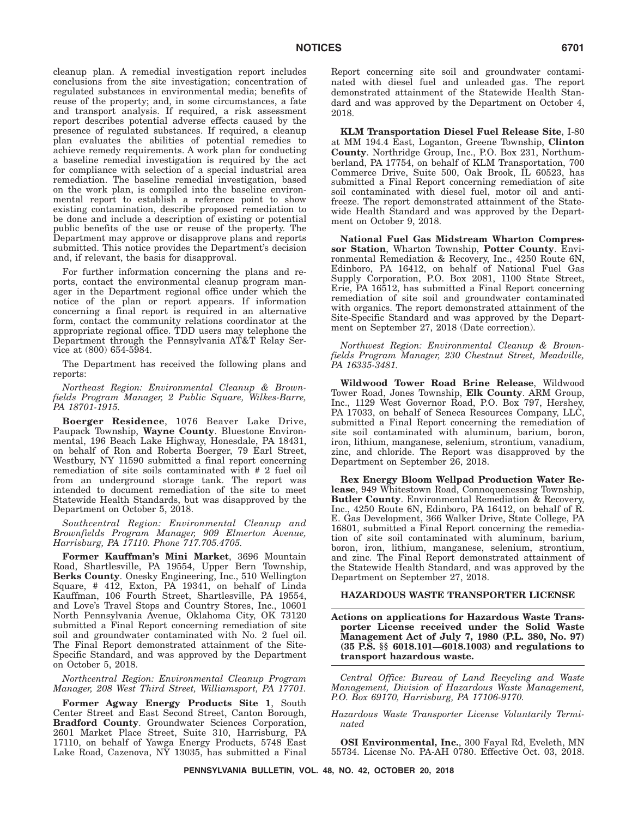cleanup plan. A remedial investigation report includes conclusions from the site investigation; concentration of regulated substances in environmental media; benefits of reuse of the property; and, in some circumstances, a fate and transport analysis. If required, a risk assessment report describes potential adverse effects caused by the presence of regulated substances. If required, a cleanup plan evaluates the abilities of potential remedies to achieve remedy requirements. A work plan for conducting a baseline remedial investigation is required by the act for compliance with selection of a special industrial area remediation. The baseline remedial investigation, based on the work plan, is compiled into the baseline environmental report to establish a reference point to show existing contamination, describe proposed remediation to be done and include a description of existing or potential public benefits of the use or reuse of the property. The Department may approve or disapprove plans and reports submitted. This notice provides the Department's decision and, if relevant, the basis for disapproval.

For further information concerning the plans and reports, contact the environmental cleanup program manager in the Department regional office under which the notice of the plan or report appears. If information concerning a final report is required in an alternative form, contact the community relations coordinator at the appropriate regional office. TDD users may telephone the Department through the Pennsylvania AT&T Relay Service at (800) 654-5984.

The Department has received the following plans and reports:

*Northeast Region: Environmental Cleanup & Brownfields Program Manager, 2 Public Square, Wilkes-Barre, PA 18701-1915.*

**Boerger Residence**, 1076 Beaver Lake Drive, Paupack Township, **Wayne County**. Bluestone Environmental, 196 Beach Lake Highway, Honesdale, PA 18431, on behalf of Ron and Roberta Boerger, 79 Earl Street, Westbury, NY 11590 submitted a final report concerning remediation of site soils contaminated with # 2 fuel oil from an underground storage tank. The report was intended to document remediation of the site to meet Statewide Health Standards, but was disapproved by the Department on October 5, 2018.

*Southcentral Region: Environmental Cleanup and Brownfields Program Manager, 909 Elmerton Avenue, Harrisburg, PA 17110. Phone 717.705.4705.*

**Former Kauffman's Mini Market**, 3696 Mountain Road, Shartlesville, PA 19554, Upper Bern Township, **Berks County**. Onesky Engineering, Inc., 510 Wellington Square, # 412, Exton, PA 19341, on behalf of Linda Kauffman, 106 Fourth Street, Shartlesville, PA 19554, and Love's Travel Stops and Country Stores, Inc., 10601 North Pennsylvania Avenue, Oklahoma City, OK 73120 submitted a Final Report concerning remediation of site soil and groundwater contaminated with No. 2 fuel oil. The Final Report demonstrated attainment of the Site-Specific Standard, and was approved by the Department on October 5, 2018.

*Northcentral Region: Environmental Cleanup Program Manager, 208 West Third Street, Williamsport, PA 17701.*

**Former Agway Energy Products Site 1**, South Center Street and East Second Street, Canton Borough, **Bradford County**. Groundwater Sciences Corporation, 2601 Market Place Street, Suite 310, Harrisburg, PA 17110, on behalf of Yawga Energy Products, 5748 East Lake Road, Cazenova, NY 13035, has submitted a Final Report concerning site soil and groundwater contaminated with diesel fuel and unleaded gas. The report demonstrated attainment of the Statewide Health Standard and was approved by the Department on October 4, 2018.

**KLM Transportation Diesel Fuel Release Site**, I-80 at MM 194.4 East, Loganton, Greene Township, **Clinton County**. Northridge Group, Inc., P.O. Box 231, Northumberland, PA 17754, on behalf of KLM Transportation, 700 Commerce Drive, Suite 500, Oak Brook, IL 60523, has submitted a Final Report concerning remediation of site soil contaminated with diesel fuel, motor oil and antifreeze. The report demonstrated attainment of the Statewide Health Standard and was approved by the Department on October 9, 2018.

**National Fuel Gas Midstream Wharton Compressor Station**, Wharton Township, **Potter County**. Environmental Remediation & Recovery, Inc., 4250 Route 6N, Edinboro, PA 16412, on behalf of National Fuel Gas Supply Corporation, P.O. Box 2081, 1100 State Street, Erie, PA 16512, has submitted a Final Report concerning remediation of site soil and groundwater contaminated with organics. The report demonstrated attainment of the Site-Specific Standard and was approved by the Department on September 27, 2018 (Date correction).

*Northwest Region: Environmental Cleanup & Brownfields Program Manager, 230 Chestnut Street, Meadville, PA 16335-3481.*

**Wildwood Tower Road Brine Release**, Wildwood Tower Road, Jones Township, **Elk County**. ARM Group, Inc., 1129 West Governor Road, P.O. Box 797, Hershey, PA 17033, on behalf of Seneca Resources Company, LLC, submitted a Final Report concerning the remediation of site soil contaminated with aluminum, barium, boron, iron, lithium, manganese, selenium, strontium, vanadium, zinc, and chloride. The Report was disapproved by the Department on September 26, 2018.

**Rex Energy Bloom Wellpad Production Water Release**, 949 Whitestown Road, Connoquenessing Township, **Butler County**. Environmental Remediation & Recovery, Inc., 4250 Route 6N, Edinboro, PA 16412, on behalf of R. E. Gas Development, 366 Walker Drive, State College, PA 16801, submitted a Final Report concerning the remediation of site soil contaminated with aluminum, barium, boron, iron, lithium, manganese, selenium, strontium, and zinc. The Final Report demonstrated attainment of the Statewide Health Standard, and was approved by the Department on September 27, 2018.

#### **HAZARDOUS WASTE TRANSPORTER LICENSE**

**Actions on applications for Hazardous Waste Transporter License received under the Solid Waste Management Act of July 7, 1980 (P.L. 380, No. 97) (35 P.S. §§ 6018.101—6018.1003) and regulations to transport hazardous waste.**

*Central Office: Bureau of Land Recycling and Waste Management, Division of Hazardous Waste Management, P.O. Box 69170, Harrisburg, PA 17106-9170.*

*Hazardous Waste Transporter License Voluntarily Terminated*

**OSI Environmental, Inc.**, 300 Fayal Rd, Eveleth, MN 55734. License No. PA-AH 0780. Effective Oct. 03, 2018.

**PENNSYLVANIA BULLETIN, VOL. 48, NO. 42, OCTOBER 20, 2018**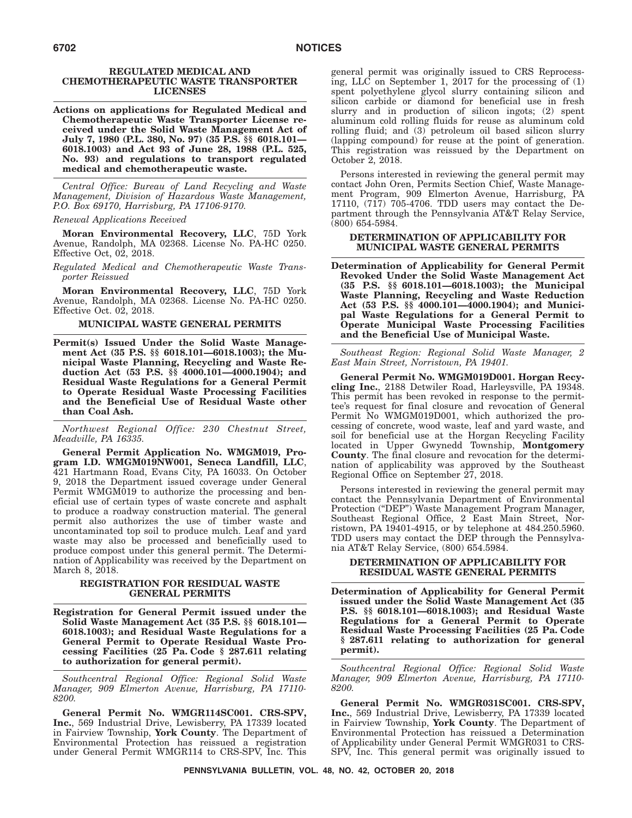#### **REGULATED MEDICAL AND CHEMOTHERAPEUTIC WASTE TRANSPORTER LICENSES**

**Actions on applications for Regulated Medical and Chemotherapeutic Waste Transporter License received under the Solid Waste Management Act of July 7, 1980 (P.L. 380, No. 97) (35 P.S. §§ 6018.101— 6018.1003) and Act 93 of June 28, 1988 (P.L. 525, No. 93) and regulations to transport regulated medical and chemotherapeutic waste.**

*Central Office: Bureau of Land Recycling and Waste Management, Division of Hazardous Waste Management, P.O. Box 69170, Harrisburg, PA 17106-9170.*

*Renewal Applications Received*

**Moran Environmental Recovery, LLC**, 75D York Avenue, Randolph, MA 02368. License No. PA-HC 0250. Effective Oct, 02, 2018.

*Regulated Medical and Chemotherapeutic Waste Transporter Reissued*

**Moran Environmental Recovery, LLC**, 75D York Avenue, Randolph, MA 02368. License No. PA-HC 0250. Effective Oct. 02, 2018.

### **MUNICIPAL WASTE GENERAL PERMITS**

**Permit(s) Issued Under the Solid Waste Management Act (35 P.S. §§ 6018.101—6018.1003); the Municipal Waste Planning, Recycling and Waste Reduction Act (53 P.S. §§ 4000.101—4000.1904); and Residual Waste Regulations for a General Permit to Operate Residual Waste Processing Facilities and the Beneficial Use of Residual Waste other than Coal Ash.**

*Northwest Regional Office: 230 Chestnut Street, Meadville, PA 16335.*

**General Permit Application No. WMGM019, Program I.D. WMGM019NW001, Seneca Landfill, LLC**, 421 Hartmann Road, Evans City, PA 16033. On October 9, 2018 the Department issued coverage under General Permit WMGM019 to authorize the processing and beneficial use of certain types of waste concrete and asphalt to produce a roadway construction material. The general permit also authorizes the use of timber waste and uncontaminated top soil to produce mulch. Leaf and yard waste may also be processed and beneficially used to produce compost under this general permit. The Determination of Applicability was received by the Department on March 8, 2018.

#### **REGISTRATION FOR RESIDUAL WASTE GENERAL PERMITS**

**Registration for General Permit issued under the Solid Waste Management Act (35 P.S. §§ 6018.101— 6018.1003); and Residual Waste Regulations for a General Permit to Operate Residual Waste Processing Facilities (25 Pa. Code § 287.611 relating to authorization for general permit).**

*Southcentral Regional Office: Regional Solid Waste Manager, 909 Elmerton Avenue, Harrisburg, PA 17110- 8200.*

**General Permit No. WMGR114SC001. CRS-SPV, Inc.**, 569 Industrial Drive, Lewisberry, PA 17339 located in Fairview Township, **York County**. The Department of Environmental Protection has reissued a registration under General Permit WMGR114 to CRS-SPV, Inc. This

general permit was originally issued to CRS Reprocessing, LLC on September 1, 2017 for the processing of (1) spent polyethylene glycol slurry containing silicon and silicon carbide or diamond for beneficial use in fresh slurry and in production of silicon ingots; (2) spent aluminum cold rolling fluids for reuse as aluminum cold rolling fluid; and (3) petroleum oil based silicon slurry (lapping compound) for reuse at the point of generation. This registration was reissued by the Department on October 2, 2018.

Persons interested in reviewing the general permit may contact John Oren, Permits Section Chief, Waste Management Program, 909 Elmerton Avenue, Harrisburg, PA 17110, (717) 705-4706. TDD users may contact the Department through the Pennsylvania AT&T Relay Service, (800) 654-5984.

#### **DETERMINATION OF APPLICABILITY FOR MUNICIPAL WASTE GENERAL PERMITS**

**Determination of Applicability for General Permit Revoked Under the Solid Waste Management Act (35 P.S. §§ 6018.101—6018.1003); the Municipal Waste Planning, Recycling and Waste Reduction Act (53 P.S. §§ 4000.101—4000.1904); and Municipal Waste Regulations for a General Permit to Operate Municipal Waste Processing Facilities and the Beneficial Use of Municipal Waste.**

*Southeast Region: Regional Solid Waste Manager, 2 East Main Street, Norristown, PA 19401.*

**General Permit No. WMGM019D001. Horgan Recycling Inc.**, 2188 Detwiler Road, Harleysville, PA 19348. This permit has been revoked in response to the permittee's request for final closure and revocation of General Permit No WMGM019D001, which authorized the processing of concrete, wood waste, leaf and yard waste, and soil for beneficial use at the Horgan Recycling Facility located in Upper Gwynedd Township, **Montgomery County**. The final closure and revocation for the determination of applicability was approved by the Southeast Regional Office on September 27, 2018.

Persons interested in reviewing the general permit may contact the Pennsylvania Department of Environmental Protection ("DEP") Waste Management Program Manager, Southeast Regional Office, 2 East Main Street, Norristown, PA 19401-4915, or by telephone at 484.250.5960. TDD users may contact the DEP through the Pennsylvania AT&T Relay Service, (800) 654.5984.

#### **DETERMINATION OF APPLICABILITY FOR RESIDUAL WASTE GENERAL PERMITS**

**Determination of Applicability for General Permit issued under the Solid Waste Management Act (35 P.S. §§ 6018.101—6018.1003); and Residual Waste Regulations for a General Permit to Operate Residual Waste Processing Facilities (25 Pa. Code § 287.611 relating to authorization for general permit).**

*Southcentral Regional Office: Regional Solid Waste Manager, 909 Elmerton Avenue, Harrisburg, PA 17110- 8200.*

**General Permit No. WMGR031SC001. CRS-SPV, Inc.**, 569 Industrial Drive, Lewisberry, PA 17339 located in Fairview Township, **York County**. The Department of Environmental Protection has reissued a Determination of Applicability under General Permit WMGR031 to CRS-SPV, Inc. This general permit was originally issued to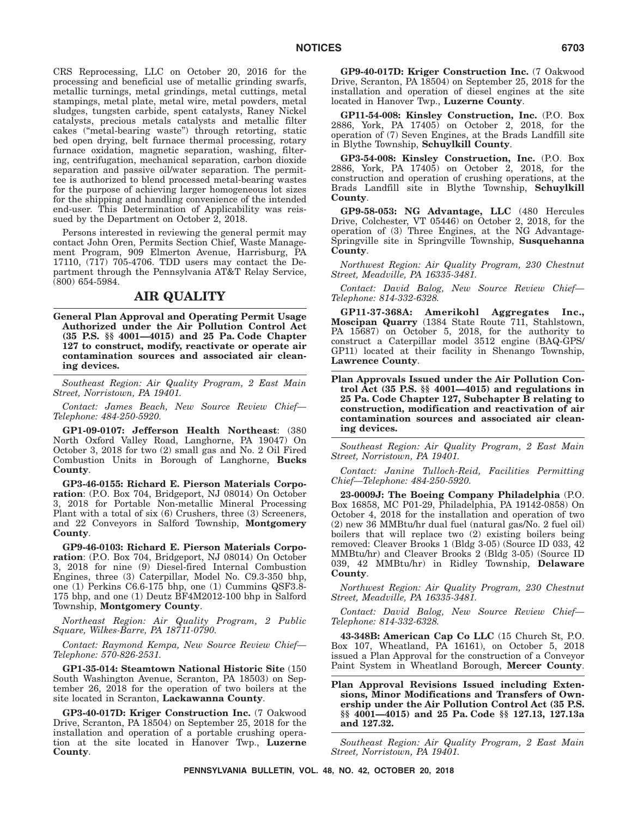CRS Reprocessing, LLC on October 20, 2016 for the processing and beneficial use of metallic grinding swarfs, metallic turnings, metal grindings, metal cuttings, metal stampings, metal plate, metal wire, metal powders, metal sludges, tungsten carbide, spent catalysts, Raney Nickel catalysts, precious metals catalysts and metallic filter cakes (''metal-bearing waste'') through retorting, static bed open drying, belt furnace thermal processing, rotary furnace oxidation, magnetic separation, washing, filtering, centrifugation, mechanical separation, carbon dioxide separation and passive oil/water separation. The permittee is authorized to blend processed metal-bearing wastes for the purpose of achieving larger homogeneous lot sizes for the shipping and handling convenience of the intended end-user. This Determination of Applicability was reissued by the Department on October 2, 2018.

Persons interested in reviewing the general permit may contact John Oren, Permits Section Chief, Waste Management Program, 909 Elmerton Avenue, Harrisburg, PA 17110, (717) 705-4706. TDD users may contact the Department through the Pennsylvania AT&T Relay Service, (800) 654-5984.

## **AIR QUALITY**

**General Plan Approval and Operating Permit Usage Authorized under the Air Pollution Control Act (35 P.S. §§ 4001—4015) and 25 Pa. Code Chapter 127 to construct, modify, reactivate or operate air contamination sources and associated air cleaning devices.**

*Southeast Region: Air Quality Program, 2 East Main Street, Norristown, PA 19401.*

*Contact: James Beach, New Source Review Chief— Telephone: 484-250-5920.*

**GP1-09-0107: Jefferson Health Northeast**: (380 North Oxford Valley Road, Langhorne, PA 19047) On October 3, 2018 for two (2) small gas and No. 2 Oil Fired Combustion Units in Borough of Langhorne, **Bucks County**.

**GP3-46-0155: Richard E. Pierson Materials Corporation**: (P.O. Box 704, Bridgeport, NJ 08014) On October 3, 2018 for Portable Non-metallic Mineral Processing Plant with a total of six (6) Crushers, three (3) Screeners, and 22 Conveyors in Salford Township, **Montgomery County**.

**GP9-46-0103: Richard E. Pierson Materials Corporation**: (P.O. Box 704, Bridgeport, NJ 08014) On October 3, 2018 for nine (9) Diesel-fired Internal Combustion Engines, three (3) Caterpillar, Model No. C9.3-350 bhp, one (1) Perkins C6.6-175 bhp, one (1) Cummins QSF3.8- 175 bhp, and one (1) Deutz BF4M2012-100 bhp in Salford Township, **Montgomery County**.

*Northeast Region: Air Quality Program, 2 Public Square, Wilkes-Barre, PA 18711-0790.*

*Contact: Raymond Kempa, New Source Review Chief— Telephone: 570-826-2531.*

**GP1-35-014: Steamtown National Historic Site** (150 South Washington Avenue, Scranton, PA 18503) on September 26, 2018 for the operation of two boilers at the site located in Scranton, **Lackawanna County**.

**GP3-40-017D: Kriger Construction Inc.** (7 Oakwood Drive, Scranton, PA 18504) on September 25, 2018 for the installation and operation of a portable crushing operation at the site located in Hanover Twp., **Luzerne County**.

**GP9-40-017D: Kriger Construction Inc.** (7 Oakwood Drive, Scranton, PA 18504) on September 25, 2018 for the installation and operation of diesel engines at the site located in Hanover Twp., **Luzerne County**.

**GP11-54-008: Kinsley Construction, Inc.** (P.O. Box 2886, York, PA 17405) on October 2, 2018, for the operation of (7) Seven Engines, at the Brads Landfill site in Blythe Township, **Schuylkill County**.

**GP3-54-008: Kinsley Construction, Inc.** (P.O. Box 2886, York, PA 17405) on October 2, 2018, for the construction and operation of crushing operations, at the Brads Landfill site in Blythe Township, **Schuylkill County**.

**GP9-58-053: NG Advantage, LLC** (480 Hercules Drive, Colchester, VT 05446) on October 2, 2018, for the operation of (3) Three Engines, at the NG Advantage-Springville site in Springville Township, **Susquehanna County**.

*Northwest Region: Air Quality Program, 230 Chestnut Street, Meadville, PA 16335-3481.*

*Contact: David Balog, New Source Review Chief— Telephone: 814-332-6328.*

**GP11-37-368A: Amerikohl Aggregates Inc., Moscipan Quarry** (1384 State Route 711, Stahlstown, PA 15687) on October 5, 2018, for the authority to construct a Caterpillar model 3512 engine (BAQ-GPS/ GP11) located at their facility in Shenango Township, **Lawrence County**.

**Plan Approvals Issued under the Air Pollution Control Act (35 P.S. §§ 4001—4015) and regulations in 25 Pa. Code Chapter 127, Subchapter B relating to construction, modification and reactivation of air contamination sources and associated air cleaning devices.**

*Southeast Region: Air Quality Program, 2 East Main Street, Norristown, PA 19401.*

*Contact: Janine Tulloch-Reid, Facilities Permitting Chief—Telephone: 484-250-5920.*

**23-0009J: The Boeing Company Philadelphia** (P.O. Box 16858, MC P01-29, Philadelphia, PA 19142-0858) On October 4, 2018 for the installation and operation of two (2) new 36 MMBtu/hr dual fuel (natural gas/No. 2 fuel oil) boilers that will replace two (2) existing boilers being removed: Cleaver Brooks 1 (Bldg 3-05) (Source ID 033, 42 MMBtu/hr) and Cleaver Brooks 2 (Bldg 3-05) (Source ID 039, 42 MMBtu/hr) in Ridley Township, **Delaware County**.

*Northwest Region: Air Quality Program, 230 Chestnut Street, Meadville, PA 16335-3481.*

*Contact: David Balog, New Source Review Chief— Telephone: 814-332-6328.*

**43-348B: American Cap Co LLC** (15 Church St, P.O. Box 107, Wheatland, PA 16161), on October 5, 2018 issued a Plan Approval for the construction of a Conveyor Paint System in Wheatland Borough, **Mercer County**.

**Plan Approval Revisions Issued including Extensions, Minor Modifications and Transfers of Ownership under the Air Pollution Control Act (35 P.S. §§ 4001—4015) and 25 Pa. Code §§ 127.13, 127.13a and 127.32.**

*Southeast Region: Air Quality Program, 2 East Main Street, Norristown, PA 19401.*

**PENNSYLVANIA BULLETIN, VOL. 48, NO. 42, OCTOBER 20, 2018**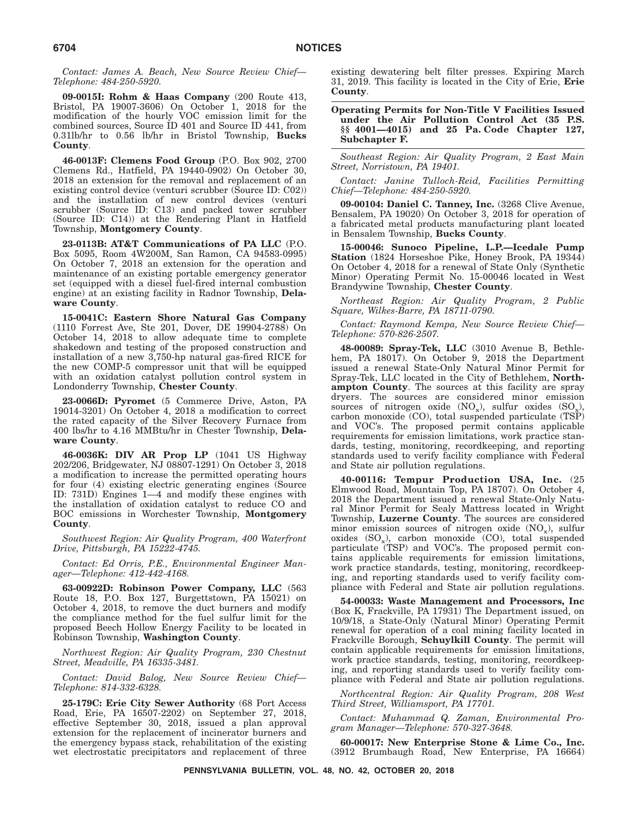*Contact: James A. Beach, New Source Review Chief— Telephone: 484-250-5920.*

**09-0015I: Rohm & Haas Company** (200 Route 413, Bristol, PA 19007-3606) On October 1, 2018 for the modification of the hourly VOC emission limit for the combined sources, Source ID 401 and Source ID 441, from 0.31lb/hr to 0.56 lb/hr in Bristol Township, **Bucks County**.

**46-0013F: Clemens Food Group** (P.O. Box 902, 2700 Clemens Rd., Hatfield, PA 19440-0902) On October 30, 2018 an extension for the removal and replacement of an existing control device (venturi scrubber (Source ID: C02)) and the installation of new control devices (venturi scrubber (Source ID: C13) and packed tower scrubber (Source ID: C14)) at the Rendering Plant in Hatfield Township, **Montgomery County**.

**23-0113B: AT&T Communications of PA LLC** (P.O. Box 5095, Room 4W200M, San Ramon, CA 94583-0995) On October 7, 2018 an extension for the operation and maintenance of an existing portable emergency generator set (equipped with a diesel fuel-fired internal combustion engine) at an existing facility in Radnor Township, **Delaware County**.

**15-0041C: Eastern Shore Natural Gas Company** (1110 Forrest Ave, Ste 201, Dover, DE 19904-2788) On October 14, 2018 to allow adequate time to complete shakedown and testing of the proposed construction and installation of a new 3,750-hp natural gas-fired RICE for the new COMP-5 compressor unit that will be equipped with an oxidation catalyst pollution control system in Londonderry Township, **Chester County**.

**23-0066D: Pyromet** (5 Commerce Drive, Aston, PA 19014-3201) On October 4, 2018 a modification to correct the rated capacity of the Silver Recovery Furnace from 400 lbs/hr to 4.16 MMBtu/hr in Chester Township, **Delaware County**.

**46-0036K: DIV AR Prop LP** (1041 US Highway 202/206, Bridgewater, NJ 08807-1291) On October 3, 2018 a modification to increase the permitted operating hours for four (4) existing electric generating engines (Source ID: 731D) Engines 1—4 and modify these engines with the installation of oxidation catalyst to reduce CO and BOC emissions in Worchester Township, **Montgomery County**.

*Southwest Region: Air Quality Program, 400 Waterfront Drive, Pittsburgh, PA 15222-4745.*

*Contact: Ed Orris, P.E., Environmental Engineer Manager—Telephone: 412-442-4168.*

**63-00922D: Robinson Power Company, LLC** (563 Route 18, P.O. Box 127, Burgettstown, PA 15021) on October 4, 2018, to remove the duct burners and modify the compliance method for the fuel sulfur limit for the proposed Beech Hollow Energy Facility to be located in Robinson Township, **Washington County**.

*Northwest Region: Air Quality Program, 230 Chestnut Street, Meadville, PA 16335-3481.*

*Contact: David Balog, New Source Review Chief— Telephone: 814-332-6328.*

**25-179C: Erie City Sewer Authority** (68 Port Access Road, Erie, PA 16507-2202) on September 27, 2018, effective September 30, 2018, issued a plan approval extension for the replacement of incinerator burners and the emergency bypass stack, rehabilitation of the existing wet electrostatic precipitators and replacement of three

existing dewatering belt filter presses. Expiring March 31, 2019. This facility is located in the City of Erie, **Erie County**.

#### **Operating Permits for Non-Title V Facilities Issued under the Air Pollution Control Act (35 P.S. §§ 4001—4015) and 25 Pa. Code Chapter 127, Subchapter F.**

*Southeast Region: Air Quality Program, 2 East Main Street, Norristown, PA 19401.*

*Contact: Janine Tulloch-Reid, Facilities Permitting Chief—Telephone: 484-250-5920.*

**09-00104: Daniel C. Tanney, Inc.** (3268 Clive Avenue, Bensalem, PA 19020) On October 3, 2018 for operation of a fabricated metal products manufacturing plant located in Bensalem Township, **Bucks County**.

**15-00046: Sunoco Pipeline, L.P.—Icedale Pump Station** (1824 Horseshoe Pike, Honey Brook, PA 19344) On October 4, 2018 for a renewal of State Only (Synthetic Minor) Operating Permit No. 15-00046 located in West Brandywine Township, **Chester County**.

*Northeast Region: Air Quality Program, 2 Public Square, Wilkes-Barre, PA 18711-0790.*

*Contact: Raymond Kempa, New Source Review Chief— Telephone: 570-826-2507.*

**48-00089: Spray-Tek, LLC** (3010 Avenue B, Bethlehem, PA 18017). On October 9, 2018 the Department issued a renewal State-Only Natural Minor Permit for Spray-Tek, LLC located in the City of Bethlehem, **Northampton County**. The sources at this facility are spray dryers. The sources are considered minor emission sources of nitrogen oxide  $(NO_x)$ , sulfur oxides  $(SO_x)$ , carbon monoxide (CO), total suspended particulate (TSP) and VOC's. The proposed permit contains applicable requirements for emission limitations, work practice standards, testing, monitoring, recordkeeping, and reporting standards used to verify facility compliance with Federal and State air pollution regulations.

**40-00116: Tempur Production USA, Inc.** (25 Elmwood Road, Mountain Top, PA 18707). On October 4, 2018 the Department issued a renewal State-Only Natural Minor Permit for Sealy Mattress located in Wright Township, **Luzerne County**. The sources are considered minor emission sources of nitrogen oxide  $(NO_x)$ , sulfur oxides  $(SO_x)$ , carbon monoxide  $(CO)$ , total suspended particulate (TSP) and VOC's. The proposed permit contains applicable requirements for emission limitations, work practice standards, testing, monitoring, recordkeeping, and reporting standards used to verify facility compliance with Federal and State air pollution regulations.

**54-00033: Waste Management and Processors, Inc** (Box K, Frackville, PA 17931) The Department issued, on 10/9/18, a State-Only (Natural Minor) Operating Permit renewal for operation of a coal mining facility located in Frackville Borough, **Schuylkill County**. The permit will contain applicable requirements for emission limitations, work practice standards, testing, monitoring, recordkeeping, and reporting standards used to verify facility compliance with Federal and State air pollution regulations.

*Northcentral Region: Air Quality Program, 208 West Third Street, Williamsport, PA 17701.*

*Contact: Muhammad Q. Zaman, Environmental Program Manager—Telephone: 570-327-3648.*

**60-00017: New Enterprise Stone & Lime Co., Inc.** (3912 Brumbaugh Road, New Enterprise, PA 16664)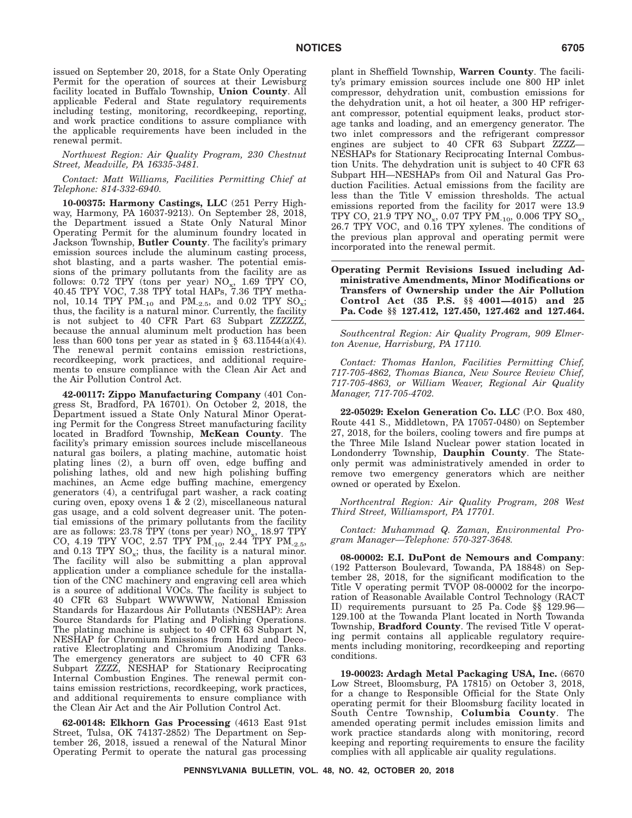issued on September 20, 2018, for a State Only Operating Permit for the operation of sources at their Lewisburg facility located in Buffalo Township, **Union County**. All applicable Federal and State regulatory requirements including testing, monitoring, recordkeeping, reporting, and work practice conditions to assure compliance with the applicable requirements have been included in the renewal permit.

*Northwest Region: Air Quality Program, 230 Chestnut Street, Meadville, PA 16335-3481.*

*Contact: Matt Williams, Facilities Permitting Chief at Telephone: 814-332-6940.*

**10-00375: Harmony Castings, LLC** (251 Perry Highway, Harmony, PA 16037-9213). On September 28, 2018, the Department issued a State Only Natural Minor Operating Permit for the aluminum foundry located in Jackson Township, **Butler County**. The facility's primary emission sources include the aluminum casting process, shot blasting, and a parts washer. The potential emissions of the primary pollutants from the facility are as follows:  $0.72$  TPY (tons per year)  $NO_x$ , 1.69 TPY CO, 40.45 TPY VOC, 7.38 TPY total HAPs, 7.36 TPY methanol, 10.14 TPY  $PM_{10}$  and  $PM_{2.5}$ , and 0.02 TPY  $SO_x$ ; thus, the facility is a natural minor. Currently, the facility is not subject to 40 CFR Part 63 Subpart ZZZZZZ, because the annual aluminum melt production has been less than 600 tons per year as stated in  $\S$  63.11544(a)(4). The renewal permit contains emission restrictions, recordkeeping, work practices, and additional requirements to ensure compliance with the Clean Air Act and the Air Pollution Control Act.

**42-00117: Zippo Manufacturing Company** (401 Congress St, Bradford, PA 16701). On October 2, 2018, the Department issued a State Only Natural Minor Operating Permit for the Congress Street manufacturing facility located in Bradford Township, **McKean County**. The facility's primary emission sources include miscellaneous natural gas boilers, a plating machine, automatic hoist plating lines (2), a burn off oven, edge buffing and polishing lathes, old and new high polishing buffing machines, an Acme edge buffing machine, emergency generators (4), a centrifugal part washer, a rack coating curing oven, epoxy ovens  $\bar{1} \& 2 (2)$ , miscellaneous natural gas usage, and a cold solvent degreaser unit. The potential emissions of the primary pollutants from the facility are as follows:  $23.78$  TPY (tons per year)  $NO_x$ ,  $18.97$  TPY CO, 4.19 TPY VOC, 2.57 TPY  $PM_{-10}$ , 2.44 TPY  $PM_{-2.5}$ , and 0.13 TPY  $SO_x$ ; thus, the facility is a natural minor. The facility will also be submitting a plan approval application under a compliance schedule for the installation of the CNC machinery and engraving cell area which is a source of additional VOCs. The facility is subject to 40 CFR 63 Subpart WWWWWW, National Emission Standards for Hazardous Air Pollutants (NESHAP): Area Source Standards for Plating and Polishing Operations. The plating machine is subject to 40 CFR 63 Subpart N, NESHAP for Chromium Emissions from Hard and Decorative Electroplating and Chromium Anodizing Tanks. The emergency generators are subject to 40 CFR 63 Subpart ZZZZ, NESHAP for Stationary Reciprocating Internal Combustion Engines. The renewal permit contains emission restrictions, recordkeeping, work practices, and additional requirements to ensure compliance with the Clean Air Act and the Air Pollution Control Act.

**62-00148: Elkhorn Gas Processing** (4613 East 91st Street, Tulsa, OK 74137-2852) The Department on September 26, 2018, issued a renewal of the Natural Minor Operating Permit to operate the natural gas processing plant in Sheffield Township, **Warren County**. The facility's primary emission sources include one 800 HP inlet compressor, dehydration unit, combustion emissions for the dehydration unit, a hot oil heater, a 300 HP refrigerant compressor, potential equipment leaks, product storage tanks and loading, and an emergency generator. The two inlet compressors and the refrigerant compressor engines are subject to 40 CFR 63 Subpart ZZZZ— NESHAPs for Stationary Reciprocating Internal Combustion Units. The dehydration unit is subject to 40 CFR 63 Subpart HH—NESHAPs from Oil and Natural Gas Production Facilities. Actual emissions from the facility are less than the Title V emission thresholds. The actual emissions reported from the facility for 2017 were 13.9 TPY CO, 21.9 TPY NO<sub>x</sub>, 0.07 TPY PM<sub>-10</sub>, 0.006 TPY SO<sub>x</sub>, 26.7 TPY VOC, and 0.16 TPY xylenes. The conditions of the previous plan approval and operating permit were incorporated into the renewal permit.

#### **Operating Permit Revisions Issued including Administrative Amendments, Minor Modifications or Transfers of Ownership under the Air Pollution Control Act (35 P.S. §§ 4001—4015) and 25 Pa. Code §§ 127.412, 127.450, 127.462 and 127.464.**

*Southcentral Region: Air Quality Program, 909 Elmerton Avenue, Harrisburg, PA 17110.*

*Contact: Thomas Hanlon, Facilities Permitting Chief, 717-705-4862, Thomas Bianca, New Source Review Chief, 717-705-4863, or William Weaver, Regional Air Quality Manager, 717-705-4702.*

**22-05029: Exelon Generation Co. LLC** (P.O. Box 480, Route 441 S., Middletown, PA 17057-0480) on September 27, 2018, for the boilers, cooling towers and fire pumps at the Three Mile Island Nuclear power station located in Londonderry Township, **Dauphin County**. The Stateonly permit was administratively amended in order to remove two emergency generators which are neither owned or operated by Exelon.

*Northcentral Region: Air Quality Program, 208 West Third Street, Williamsport, PA 17701.*

*Contact: Muhammad Q. Zaman, Environmental Program Manager—Telephone: 570-327-3648.*

**08-00002: E.I. DuPont de Nemours and Company**: (192 Patterson Boulevard, Towanda, PA 18848) on September 28, 2018, for the significant modification to the Title V operating permit TVOP 08-00002 for the incorporation of Reasonable Available Control Technology (RACT II) requirements pursuant to 25 Pa. Code §§ 129.96— 129.100 at the Towanda Plant located in North Towanda Township, **Bradford County**. The revised Title V operating permit contains all applicable regulatory requirements including monitoring, recordkeeping and reporting conditions.

**19-00023: Ardagh Metal Packaging USA, Inc.** (6670 Low Street, Bloomsburg, PA 17815) on October 3, 2018, for a change to Responsible Official for the State Only operating permit for their Bloomsburg facility located in South Centre Township, **Columbia County**. The amended operating permit includes emission limits and work practice standards along with monitoring, record keeping and reporting requirements to ensure the facility complies with all applicable air quality regulations.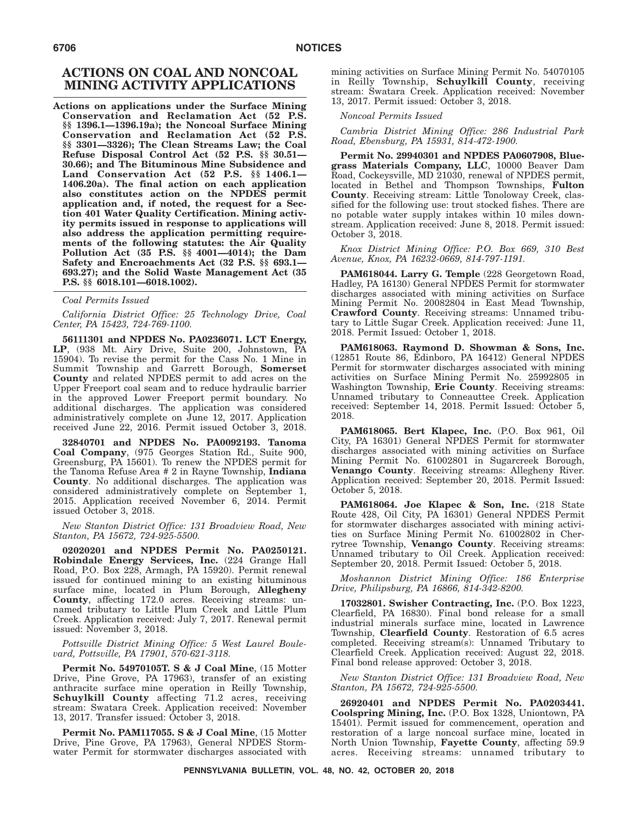# **ACTIONS ON COAL AND NONCOAL MINING ACTIVITY APPLICATIONS**

**Actions on applications under the Surface Mining Conservation and Reclamation Act (52 P.S. §§ 1396.1—1396.19a); the Noncoal Surface Mining Conservation and Reclamation Act (52 P.S. §§ 3301—3326); The Clean Streams Law; the Coal Refuse Disposal Control Act (52 P.S. §§ 30.51— 30.66); and The Bituminous Mine Subsidence and Land Conservation Act (52 P.S. §§ 1406.1— 1406.20a). The final action on each application also constitutes action on the NPDES permit application and, if noted, the request for a Section 401 Water Quality Certification. Mining activity permits issued in response to applications will also address the application permitting requirements of the following statutes: the Air Quality Pollution Act (35 P.S. §§ 4001—4014); the Dam Safety and Encroachments Act (32 P.S. §§ 693.1— 693.27); and the Solid Waste Management Act (35 P.S. §§ 6018.101—6018.1002).**

#### *Coal Permits Issued*

*California District Office: 25 Technology Drive, Coal Center, PA 15423, 724-769-1100.*

**56111301 and NPDES No. PA0236071. LCT Energy, LP**, (938 Mt. Airy Drive, Suite 200, Johnstown, PA 15904). To revise the permit for the Cass No. 1 Mine in Summit Township and Garrett Borough, **Somerset County** and related NPDES permit to add acres on the Upper Freeport coal seam and to reduce hydraulic barrier in the approved Lower Freeport permit boundary. No additional discharges. The application was considered administratively complete on June 12, 2017. Application received June 22, 2016. Permit issued October 3, 2018.

**32840701 and NPDES No. PA0092193. Tanoma Coal Company**, (975 Georges Station Rd., Suite 900, Greensburg, PA 15601). To renew the NPDES permit for the Tanoma Refuse Area # 2 in Rayne Township, **Indiana County**. No additional discharges. The application was considered administratively complete on September 1, 2015. Application received November 6, 2014. Permit issued October 3, 2018.

*New Stanton District Office: 131 Broadview Road, New Stanton, PA 15672, 724-925-5500.*

**02020201 and NPDES Permit No. PA0250121. Robindale Energy Services, Inc.** (224 Grange Hall Road, P.O. Box 228, Armagh, PA 15920). Permit renewal issued for continued mining to an existing bituminous surface mine, located in Plum Borough, **Allegheny County**, affecting 172.0 acres. Receiving streams: unnamed tributary to Little Plum Creek and Little Plum Creek. Application received: July 7, 2017. Renewal permit issued: November 3, 2018.

### *Pottsville District Mining Office: 5 West Laurel Boulevard, Pottsville, PA 17901, 570-621-3118.*

**Permit No. 54970105T.S&J Coal Mine**, (15 Motter Drive, Pine Grove, PA 17963), transfer of an existing anthracite surface mine operation in Reilly Township, **Schuylkill County** affecting 71.2 acres, receiving stream: Swatara Creek. Application received: November 13, 2017. Transfer issued: October 3, 2018.

**Permit No. PAM117055. S & J Coal Mine**, (15 Motter Drive, Pine Grove, PA 17963), General NPDES Stormwater Permit for stormwater discharges associated with mining activities on Surface Mining Permit No. 54070105 in Reilly Township, **Schuylkill County**, receiving stream: Swatara Creek. Application received: November 13, 2017. Permit issued: October 3, 2018.

#### *Noncoal Permits Issued*

*Cambria District Mining Office: 286 Industrial Park Road, Ebensburg, PA 15931, 814-472-1900.*

**Permit No. 29940301 and NPDES PA0607908, Bluegrass Materials Company, LLC**, 10000 Beaver Dam Road, Cockeysville, MD 21030, renewal of NPDES permit, located in Bethel and Thompson Townships, **Fulton County**. Receiving stream: Little Tonoloway Creek, classified for the following use: trout stocked fishes. There are no potable water supply intakes within 10 miles downstream. Application received: June 8, 2018. Permit issued: October 3, 2018.

*Knox District Mining Office: P.O. Box 669, 310 Best Avenue, Knox, PA 16232-0669, 814-797-1191.*

**PAM618044. Larry G. Temple** (228 Georgetown Road, Hadley, PA 16130) General NPDES Permit for stormwater discharges associated with mining activities on Surface Mining Permit No. 20082804 in East Mead Township, **Crawford County**. Receiving streams: Unnamed tributary to Little Sugar Creek. Application received: June 11, 2018. Permit Issued: October 1, 2018.

**PAM618063. Raymond D. Showman & Sons, Inc.** (12851 Route 86, Edinboro, PA 16412) General NPDES Permit for stormwater discharges associated with mining activities on Surface Mining Permit No. 25992805 in Washington Township, **Erie County**. Receiving streams: Unnamed tributary to Conneauttee Creek. Application received: September 14, 2018. Permit Issued: October 5, 2018.

**PAM618065. Bert Klapec, Inc.** (P.O. Box 961, Oil City, PA 16301) General NPDES Permit for stormwater discharges associated with mining activities on Surface Mining Permit No. 61002801 in Sugarcreek Borough, **Venango County**. Receiving streams: Allegheny River. Application received: September 20, 2018. Permit Issued: October 5, 2018.

**PAM618064. Joe Klapec & Son, Inc.** (218 State Route 428, Oil City, PA 16301) General NPDES Permit for stormwater discharges associated with mining activities on Surface Mining Permit No. 61002802 in Cherrytree Township, **Venango County**. Receiving streams: Unnamed tributary to Oil Creek. Application received: September 20, 2018. Permit Issued: October 5, 2018.

*Moshannon District Mining Office: 186 Enterprise Drive, Philipsburg, PA 16866, 814-342-8200.*

**17032801. Swisher Contracting, Inc.** (P.O. Box 1223, Clearfield, PA 16830). Final bond release for a small industrial minerals surface mine, located in Lawrence Township, **Clearfield County**. Restoration of 6.5 acres completed. Receiving stream(s): Unnamed Tributary to Clearfield Creek. Application received: August 22, 2018. Final bond release approved: October 3, 2018.

*New Stanton District Office: 131 Broadview Road, New Stanton, PA 15672, 724-925-5500.*

**26920401 and NPDES Permit No. PA0203441. Coolspring Mining, Inc.** (P.O. Box 1328, Uniontown, PA 15401). Permit issued for commencement, operation and restoration of a large noncoal surface mine, located in North Union Township, **Fayette County**, affecting 59.9 acres. Receiving streams: unnamed tributary to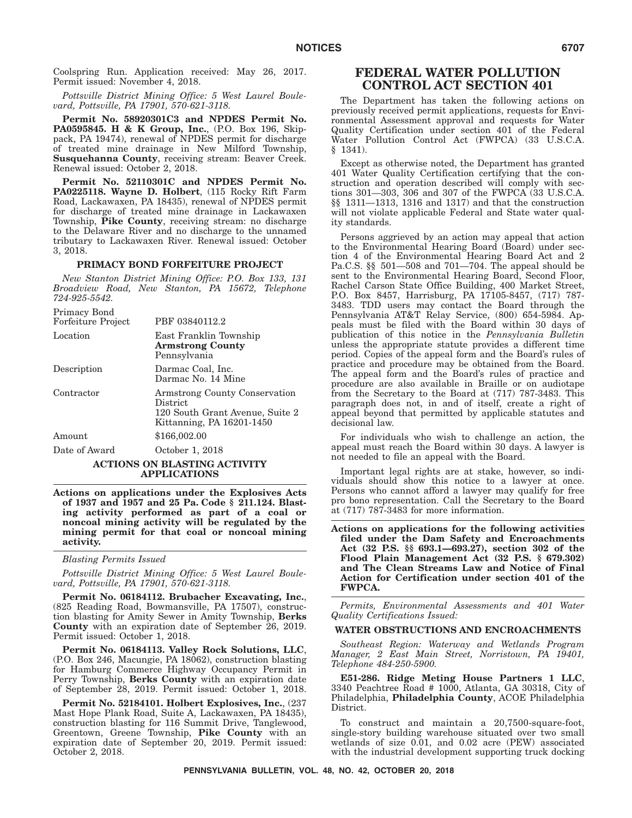Coolspring Run. Application received: May 26, 2017. Permit issued: November 4, 2018.

*Pottsville District Mining Office: 5 West Laurel Boulevard, Pottsville, PA 17901, 570-621-3118.*

**Permit No. 58920301C3 and NPDES Permit No. PA0595845.H&K Group, Inc.**, (P.O. Box 196, Skippack, PA 19474), renewal of NPDES permit for discharge of treated mine drainage in New Milford Township, **Susquehanna County**, receiving stream: Beaver Creek. Renewal issued: October 2, 2018.

**Permit No. 52110301C and NPDES Permit No. PA0225118. Wayne D. Holbert**, (115 Rocky Rift Farm Road, Lackawaxen, PA 18435), renewal of NPDES permit for discharge of treated mine drainage in Lackawaxen Township, **Pike County**, receiving stream: no discharge to the Delaware River and no discharge to the unnamed tributary to Lackawaxen River. Renewal issued: October 3, 2018.

#### **PRIMACY BOND FORFEITURE PROJECT**

*New Stanton District Mining Office: P.O. Box 133, 131 Broadview Road, New Stanton, PA 15672, Telephone 724-925-5542.*

| Primacy Bond<br>Forfeiture Project | PBF 03840112.2                                                                                            |
|------------------------------------|-----------------------------------------------------------------------------------------------------------|
| Location                           | East Franklin Township<br><b>Armstrong County</b><br>Pennsylvania                                         |
| Description                        | Darmac Coal, Inc.<br>Darmac No. 14 Mine                                                                   |
| Contractor                         | Armstrong County Conservation<br>District<br>120 South Grant Avenue, Suite 2<br>Kittanning, PA 16201-1450 |
| Amount                             | \$166,002.00                                                                                              |
| Date of Award                      | October 1, 2018                                                                                           |
|                                    |                                                                                                           |

#### **ACTIONS ON BLASTING ACTIVITY APPLICATIONS**

**Actions on applications under the Explosives Acts of 1937 and 1957 and 25 Pa. Code § 211.124. Blasting activity performed as part of a coal or noncoal mining activity will be regulated by the mining permit for that coal or noncoal mining activity.**

*Blasting Permits Issued*

*Pottsville District Mining Office: 5 West Laurel Boulevard, Pottsville, PA 17901, 570-621-3118.*

**Permit No. 06184112. Brubacher Excavating, Inc.**, (825 Reading Road, Bowmansville, PA 17507), construction blasting for Amity Sewer in Amity Township, **Berks County** with an expiration date of September 26, 2019. Permit issued: October 1, 2018.

**Permit No. 06184113. Valley Rock Solutions, LLC**, (P.O. Box 246, Macungie, PA 18062), construction blasting for Hamburg Commerce Highway Occupancy Permit in Perry Township, **Berks County** with an expiration date of September 28, 2019. Permit issued: October 1, 2018.

**Permit No. 52184101. Holbert Explosives, Inc.**, (237 Mast Hope Plank Road, Suite A, Lackawaxen, PA 18435), construction blasting for 116 Summit Drive, Tanglewood, Greentown, Greene Township, **Pike County** with an expiration date of September 20, 2019. Permit issued: October 2, 2018.

# **FEDERAL WATER POLLUTION CONTROL ACT SECTION 401**

The Department has taken the following actions on previously received permit applications, requests for Environmental Assessment approval and requests for Water Quality Certification under section 401 of the Federal Water Pollution Control Act (FWPCA) (33 U.S.C.A. § 1341).

Except as otherwise noted, the Department has granted 401 Water Quality Certification certifying that the construction and operation described will comply with sections 301—303, 306 and 307 of the FWPCA (33 U.S.C.A. §§ 1311—1313, 1316 and 1317) and that the construction will not violate applicable Federal and State water quality standards.

Persons aggrieved by an action may appeal that action to the Environmental Hearing Board (Board) under section 4 of the Environmental Hearing Board Act and 2 Pa.C.S. §§ 501—508 and 701—704. The appeal should be sent to the Environmental Hearing Board, Second Floor, Rachel Carson State Office Building, 400 Market Street, P.O. Box 8457, Harrisburg, PA 17105-8457, (717) 787- 3483. TDD users may contact the Board through the Pennsylvania AT&T Relay Service, (800) 654-5984. Appeals must be filed with the Board within 30 days of publication of this notice in the *Pennsylvania Bulletin* unless the appropriate statute provides a different time period. Copies of the appeal form and the Board's rules of practice and procedure may be obtained from the Board. The appeal form and the Board's rules of practice and procedure are also available in Braille or on audiotape from the Secretary to the Board at (717) 787-3483. This paragraph does not, in and of itself, create a right of appeal beyond that permitted by applicable statutes and decisional law.

For individuals who wish to challenge an action, the appeal must reach the Board within 30 days. A lawyer is not needed to file an appeal with the Board.

Important legal rights are at stake, however, so individuals should show this notice to a lawyer at once. Persons who cannot afford a lawyer may qualify for free pro bono representation. Call the Secretary to the Board at (717) 787-3483 for more information.

**Actions on applications for the following activities filed under the Dam Safety and Encroachments Act (32 P.S. §§ 693.1—693.27), section 302 of the Flood Plain Management Act (32 P.S. § 679.302) and The Clean Streams Law and Notice of Final Action for Certification under section 401 of the FWPCA.**

*Permits, Environmental Assessments and 401 Water Quality Certifications Issued:*

#### **WATER OBSTRUCTIONS AND ENCROACHMENTS**

*Southeast Region: Waterway and Wetlands Program Manager, 2 East Main Street, Norristown, PA 19401, Telephone 484-250-5900.*

**E51-286. Ridge Meting House Partners 1 LLC**, 3340 Peachtree Road # 1000, Atlanta, GA 30318, City of Philadelphia, **Philadelphia County**, ACOE Philadelphia District.

To construct and maintain a 20,7500-square-foot, single-story building warehouse situated over two small wetlands of size 0.01, and 0.02 acre (PEW) associated with the industrial development supporting truck docking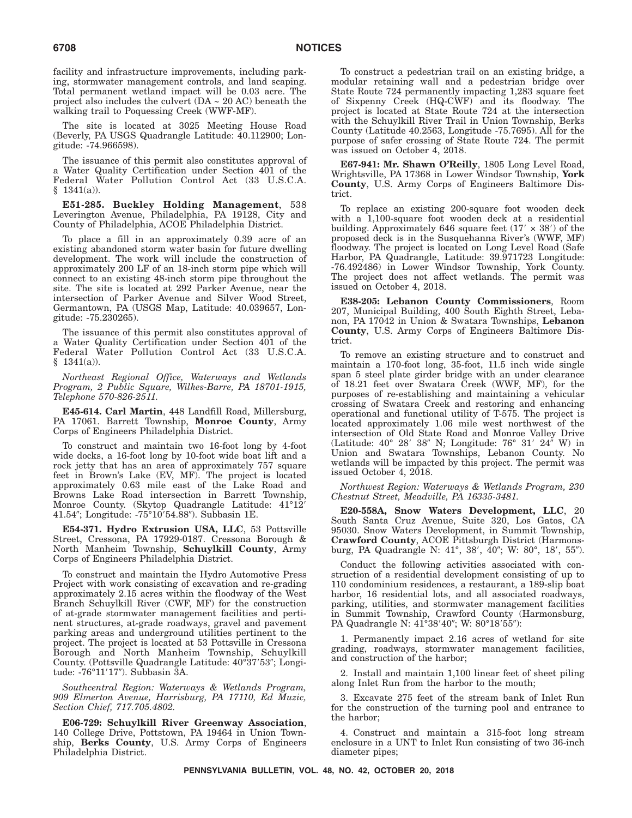facility and infrastructure improvements, including parking, stormwater management controls, and land scaping. Total permanent wetland impact will be 0.03 acre. The project also includes the culvert (DA ~ 20 AC) beneath the walking trail to Poquessing Creek (WWF-MF).

The site is located at 3025 Meeting House Road (Beverly, PA USGS Quadrangle Latitude: 40.112900; Longitude: -74.966598).

The issuance of this permit also constitutes approval of a Water Quality Certification under Section 401 of the Federal Water Pollution Control Act (33 U.S.C.A.  $$1341(a)$ ).

**E51-285. Buckley Holding Management**, 538 Leverington Avenue, Philadelphia, PA 19128, City and County of Philadelphia, ACOE Philadelphia District.

To place a fill in an approximately 0.39 acre of an existing abandoned storm water basin for future dwelling development. The work will include the construction of approximately 200 LF of an 18-inch storm pipe which will connect to an existing 48-inch storm pipe throughout the site. The site is located at 292 Parker Avenue, near the intersection of Parker Avenue and Silver Wood Street, Germantown, PA (USGS Map, Latitude: 40.039657, Longitude: -75.230265).

The issuance of this permit also constitutes approval of a Water Quality Certification under Section 401 of the Federal Water Pollution Control Act (33 U.S.C.A.  $$1341(a)$ ).

*Northeast Regional Office, Waterways and Wetlands Program, 2 Public Square, Wilkes-Barre, PA 18701-1915, Telephone 570-826-2511.*

**E45-614. Carl Martin**, 448 Landfill Road, Millersburg, PA 17061. Barrett Township, **Monroe County**, Army Corps of Engineers Philadelphia District.

To construct and maintain two 16-foot long by 4-foot wide docks, a 16-foot long by 10-foot wide boat lift and a rock jetty that has an area of approximately 757 square feet in Brown's Lake (EV, MF). The project is located approximately 0.63 mile east of the Lake Road and Browns Lake Road intersection in Barrett Township, Monroe County. (Skytop Quadrangle Latitude: 41°12- 41.54"; Longitude: -75°10'54.88"). Subbasin 1E.

**E54-371. Hydro Extrusion USA, LLC**, 53 Pottsville Street, Cressona, PA 17929-0187. Cressona Borough & North Manheim Township, **Schuylkill County**, Army Corps of Engineers Philadelphia District.

To construct and maintain the Hydro Automotive Press Project with work consisting of excavation and re-grading approximately 2.15 acres within the floodway of the West Branch Schuylkill River (CWF, MF) for the construction of at-grade stormwater management facilities and pertinent structures, at-grade roadways, gravel and pavement parking areas and underground utilities pertinent to the project. The project is located at 53 Pottsville in Cressona Borough and North Manheim Township, Schuylkill County. (Pottsville Quadrangle Latitude: 40°37'53"; Longitude: -76°11′17″). Subbasin 3A.

*Southcentral Region: Waterways & Wetlands Program, 909 Elmerton Avenue, Harrisburg, PA 17110, Ed Muzic, Section Chief, 717.705.4802.*

**E06-729: Schuylkill River Greenway Association**, 140 College Drive, Pottstown, PA 19464 in Union Township, **Berks County**, U.S. Army Corps of Engineers Philadelphia District.

To construct a pedestrian trail on an existing bridge, a modular retaining wall and a pedestrian bridge over State Route 724 permanently impacting 1,283 square feet of Sixpenny Creek (HQ-CWF) and its floodway. The project is located at State Route 724 at the intersection with the Schuylkill River Trail in Union Township, Berks County (Latitude 40.2563, Longitude -75.7695). All for the purpose of safer crossing of State Route 724. The permit was issued on October 4, 2018.

**E67-941: Mr. Shawn O'Reilly**, 1805 Long Level Road, Wrightsville, PA 17368 in Lower Windsor Township, **York County**, U.S. Army Corps of Engineers Baltimore District.

To replace an existing 200-square foot wooden deck with a 1,100-square foot wooden deck at a residential building. Approximately 646 square feet  $(17' \times 38')$  of the proposed deck is in the Susquehanna River's (WWF, MF) floodway. The project is located on Long Level Road (Safe Harbor, PA Quadrangle, Latitude: 39.971723 Longitude: -76.492486) in Lower Windsor Township, York County. The project does not affect wetlands. The permit was issued on October 4, 2018.

**E38-205: Lebanon County Commissioners**, Room 207, Municipal Building, 400 South Eighth Street, Lebanon, PA 17042 in Union & Swatara Townships, **Lebanon County**, U.S. Army Corps of Engineers Baltimore District.

To remove an existing structure and to construct and maintain a 170-foot long, 35-foot, 11.5 inch wide single span 5 steel plate girder bridge with an under clearance of 18.21 feet over Swatara Creek (WWF, MF), for the purposes of re-establishing and maintaining a vehicular crossing of Swatara Creek and restoring and enhancing operational and functional utility of T-575. The project is located approximately 1.06 mile west northwest of the intersection of Old State Road and Monroe Valley Drive (Latitude: 40° 28′ 38″ N; Longitude: 76° 31′ 24″ W) in Union and Swatara Townships, Lebanon County. No wetlands will be impacted by this project. The permit was issued October 4, 2018.

*Northwest Region: Waterways & Wetlands Program, 230 Chestnut Street, Meadville, PA 16335-3481.*

**E20-558A, Snow Waters Development, LLC**, 20 South Santa Cruz Avenue, Suite 320, Los Gatos, CA 95030. Snow Waters Development, in Summit Township, **Crawford County**, ACOE Pittsburgh District (Harmonsburg, PA Quadrangle N: 41°, 38′, 40″; W: 80°, 18′, 55″).

Conduct the following activities associated with construction of a residential development consisting of up to 110 condominium residences, a restaurant, a 189-slip boat harbor, 16 residential lots, and all associated roadways, parking, utilities, and stormwater management facilities in Summit Township, Crawford County (Harmonsburg, PA Quadrangle N: 41°38'40"; W: 80°18'55"):

1. Permanently impact 2.16 acres of wetland for site grading, roadways, stormwater management facilities, and construction of the harbor;

2. Install and maintain 1,100 linear feet of sheet piling along Inlet Run from the harbor to the mouth;

3. Excavate 275 feet of the stream bank of Inlet Run for the construction of the turning pool and entrance to the harbor;

4. Construct and maintain a 315-foot long stream enclosure in a UNT to Inlet Run consisting of two 36-inch diameter pipes;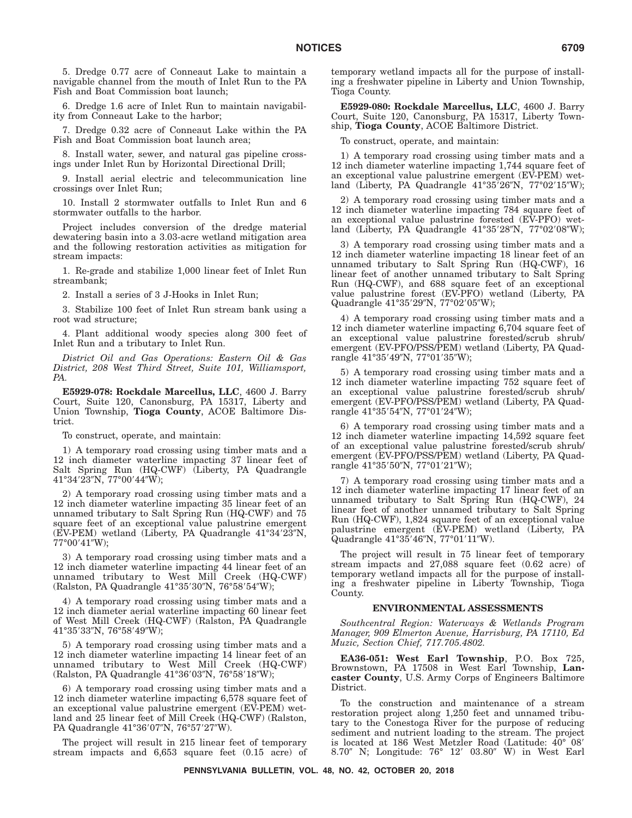5. Dredge 0.77 acre of Conneaut Lake to maintain a navigable channel from the mouth of Inlet Run to the PA Fish and Boat Commission boat launch;

6. Dredge 1.6 acre of Inlet Run to maintain navigability from Conneaut Lake to the harbor;

7. Dredge 0.32 acre of Conneaut Lake within the PA Fish and Boat Commission boat launch area;

8. Install water, sewer, and natural gas pipeline crossings under Inlet Run by Horizontal Directional Drill;

9. Install aerial electric and telecommunication line crossings over Inlet Run;

10. Install 2 stormwater outfalls to Inlet Run and 6 stormwater outfalls to the harbor.

Project includes conversion of the dredge material dewatering basin into a 3.03-acre wetland mitigation area and the following restoration activities as mitigation for stream impacts:

1. Re-grade and stabilize 1,000 linear feet of Inlet Run streambank;

2. Install a series of 3 J-Hooks in Inlet Run;

3. Stabilize 100 feet of Inlet Run stream bank using a root wad structure;

4. Plant additional woody species along 300 feet of Inlet Run and a tributary to Inlet Run.

*District Oil and Gas Operations: Eastern Oil & Gas District, 208 West Third Street, Suite 101, Williamsport, PA.*

**E5929-078: Rockdale Marcellus, LLC**, 4600 J. Barry Court, Suite 120, Canonsburg, PA 15317, Liberty and Union Township, **Tioga County**, ACOE Baltimore District.

To construct, operate, and maintain:

1) A temporary road crossing using timber mats and a 12 inch diameter waterline impacting 37 linear feet of Salt Spring Run (HQ-CWF) (Liberty, PA Quadrangle 41°34′23″N, 77°00′44″W);

2) A temporary road crossing using timber mats and a 12 inch diameter waterline impacting 35 linear feet of an unnamed tributary to Salt Spring Run (HQ-CWF) and 75 square feet of an exceptional value palustrine emergent (EV-PEM) wetland (Liberty, PA Quadrangle 41°34'23"N, 77°00′41″W);

3) A temporary road crossing using timber mats and a 12 inch diameter waterline impacting 44 linear feet of an unnamed tributary to West Mill Creek (HQ-CWF) (Ralston, PA Quadrangle 41°35′30″N, 76°58′54″W);

4) A temporary road crossing using timber mats and a 12 inch diameter aerial waterline impacting 60 linear feet of West Mill Creek (HQ-CWF) (Ralston, PA Quadrangle 41°35′33″N, 76°58′49″W);

5) A temporary road crossing using timber mats and a 12 inch diameter waterline impacting 14 linear feet of an unnamed tributary to West Mill Creek (HQ-CWF) (Ralston, PA Quadrangle 41°36'03"N, 76°58'18"W);

6) A temporary road crossing using timber mats and a 12 inch diameter waterline impacting 6,578 square feet of an exceptional value palustrine emergent (EV-PEM) wetland and 25 linear feet of Mill Creek (HQ-CWF) (Ralston, PA Quadrangle 41°36'07"N, 76°57'27"W).

The project will result in 215 linear feet of temporary stream impacts and 6,653 square feet (0.15 acre) of temporary wetland impacts all for the purpose of installing a freshwater pipeline in Liberty and Union Township, Tioga County.

**E5929-080: Rockdale Marcellus, LLC**, 4600 J. Barry Court, Suite 120, Canonsburg, PA 15317, Liberty Township, **Tioga County**, ACOE Baltimore District.

To construct, operate, and maintain:

1) A temporary road crossing using timber mats and a 12 inch diameter waterline impacting 1,744 square feet of an exceptional value palustrine emergent (EV-PEM) wetland (Liberty, PA Quadrangle 41°35'26"N, 77°02'15"W);

2) A temporary road crossing using timber mats and a 12 inch diameter waterline impacting 784 square feet of an exceptional value palustrine forested (EV-PFO) wetland (Liberty, PA Quadrangle 41°35'28"N, 77°02'08"W);

3) A temporary road crossing using timber mats and a 12 inch diameter waterline impacting 18 linear feet of an unnamed tributary to Salt Spring Run (HQ-CWF), 16 linear feet of another unnamed tributary to Salt Spring Run (HQ-CWF), and 688 square feet of an exceptional value palustrine forest (EV-PFO) wetland (Liberty, PA Quadrangle 41°35′29″N, 77°02′05″W);

4) A temporary road crossing using timber mats and a 12 inch diameter waterline impacting 6,704 square feet of an exceptional value palustrine forested/scrub shrub/ emergent (EV-PFO/PSS/PEM) wetland (Liberty, PA Quadrangle 41°35′49″N, 77°01′35″W);

5) A temporary road crossing using timber mats and a 12 inch diameter waterline impacting 752 square feet of an exceptional value palustrine forested/scrub shrub/ emergent (EV-PFO/PSS/PEM) wetland (Liberty, PA Quadrangle 41°35′54″N, 77°01′24″W);

6) A temporary road crossing using timber mats and a 12 inch diameter waterline impacting 14,592 square feet of an exceptional value palustrine forested/scrub shrub/ emergent (EV-PFO/PSS/PEM) wetland (Liberty, PA Quadrangle 41°35′50″N, 77°01′21″W);

7) A temporary road crossing using timber mats and a 12 inch diameter waterline impacting 17 linear feet of an unnamed tributary to Salt Spring Run (HQ-CWF), 24 linear feet of another unnamed tributary to Salt Spring Run (HQ-CWF), 1,824 square feet of an exceptional value palustrine emergent (EV-PEM) wetland (Liberty, PA Quadrangle 41°35'46"N, 77°01'11"W).

The project will result in 75 linear feet of temporary stream impacts and 27,088 square feet (0.62 acre) of temporary wetland impacts all for the purpose of installing a freshwater pipeline in Liberty Township, Tioga County.

### **ENVIRONMENTAL ASSESSMENTS**

*Southcentral Region: Waterways & Wetlands Program Manager, 909 Elmerton Avenue, Harrisburg, PA 17110, Ed Muzic, Section Chief, 717.705.4802.*

**EA36-051: West Earl Township**, P.O. Box 725, Brownstown, PA 17508 in West Earl Township, **Lancaster County**, U.S. Army Corps of Engineers Baltimore District.

To the construction and maintenance of a stream restoration project along 1,250 feet and unnamed tributary to the Conestoga River for the purpose of reducing sediment and nutrient loading to the stream. The project is located at 186 West Metzler Road (Latitude: 40° 08' 8.70" N; Longitude: 76° 12' 03.80" W) in West Earl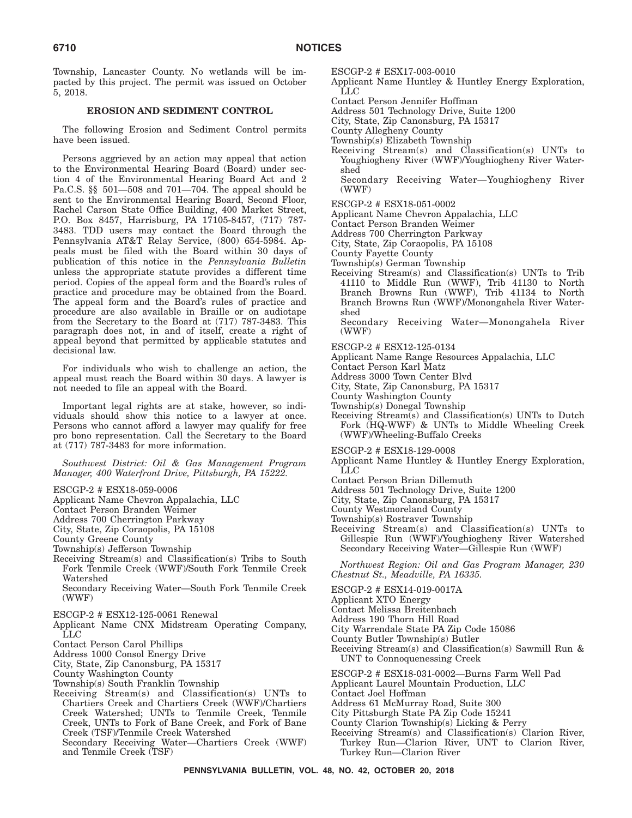Township, Lancaster County. No wetlands will be impacted by this project. The permit was issued on October 5, 2018.

#### **EROSION AND SEDIMENT CONTROL**

The following Erosion and Sediment Control permits have been issued.

Persons aggrieved by an action may appeal that action to the Environmental Hearing Board (Board) under section 4 of the Environmental Hearing Board Act and 2 Pa.C.S. §§ 501—508 and 701—704. The appeal should be sent to the Environmental Hearing Board, Second Floor, Rachel Carson State Office Building, 400 Market Street, P.O. Box 8457, Harrisburg, PA 17105-8457, (717) 787- 3483. TDD users may contact the Board through the Pennsylvania AT&T Relay Service, (800) 654-5984. Appeals must be filed with the Board within 30 days of publication of this notice in the *Pennsylvania Bulletin* unless the appropriate statute provides a different time period. Copies of the appeal form and the Board's rules of practice and procedure may be obtained from the Board. The appeal form and the Board's rules of practice and procedure are also available in Braille or on audiotape from the Secretary to the Board at (717) 787-3483. This paragraph does not, in and of itself, create a right of appeal beyond that permitted by applicable statutes and decisional law.

For individuals who wish to challenge an action, the appeal must reach the Board within 30 days. A lawyer is not needed to file an appeal with the Board.

Important legal rights are at stake, however, so individuals should show this notice to a lawyer at once. Persons who cannot afford a lawyer may qualify for free pro bono representation. Call the Secretary to the Board at (717) 787-3483 for more information.

*Southwest District: Oil & Gas Management Program Manager, 400 Waterfront Drive, Pittsburgh, PA 15222.*

- ESCGP-2 # ESX18-059-0006
- Applicant Name Chevron Appalachia, LLC
- Contact Person Branden Weimer
- Address 700 Cherrington Parkway

City, State, Zip Coraopolis, PA 15108

- County Greene County
- Township(s) Jefferson Township
- Receiving Stream(s) and Classification(s) Tribs to South Fork Tenmile Creek (WWF)/South Fork Tenmile Creek Watershed
	- Secondary Receiving Water—South Fork Tenmile Creek (WWF)
- ESCGP-2 # ESX12-125-0061 Renewal
- Applicant Name CNX Midstream Operating Company, LLC
- Contact Person Carol Phillips
- Address 1000 Consol Energy Drive
- City, State, Zip Canonsburg, PA 15317
- County Washington County
- Township(s) South Franklin Township
- Receiving Stream(s) and Classification(s) UNTs to Chartiers Creek and Chartiers Creek (WWF)/Chartiers Creek Watershed; UNTs to Tenmile Creek, Tenmile Creek, UNTs to Fork of Bane Creek, and Fork of Bane Creek (TSF)/Tenmile Creek Watershed
	- Secondary Receiving Water—Chartiers Creek (WWF) and Tenmile Creek (TSF)

ESCGP-2 # ESX17-003-0010

- Applicant Name Huntley & Huntley Energy Exploration, LLC
- Contact Person Jennifer Hoffman
- Address 501 Technology Drive, Suite 1200
- City, State, Zip Canonsburg, PA 15317
- County Allegheny County
- Township(s) Elizabeth Township Receiving Stream(s) and Classification(s) UNTs to
- Youghiogheny River (WWF)/Youghiogheny River Watershed
- Secondary Receiving Water—Youghiogheny River (WWF)
- ESCGP-2 # ESX18-051-0002
- Applicant Name Chevron Appalachia, LLC
- Contact Person Branden Weimer
- Address 700 Cherrington Parkway
- City, State, Zip Coraopolis, PA 15108
- County Fayette County
- Township(s) German Township
- Receiving Stream(s) and Classification(s) UNTs to Trib 41110 to Middle Run (WWF), Trib 41130 to North Branch Browns Run (WWF), Trib 41134 to North Branch Browns Run (WWF)/Monongahela River Watershed
	- Secondary Receiving Water—Monongahela River (WWF)
- ESCGP-2 # ESX12-125-0134
- Applicant Name Range Resources Appalachia, LLC
- Contact Person Karl Matz
- Address 3000 Town Center Blvd
- City, State, Zip Canonsburg, PA 15317
- County Washington County
- Township(s) Donegal Township
- Receiving Stream(s) and Classification(s) UNTs to Dutch Fork (HQ-WWF) & UNTs to Middle Wheeling Creek (WWF)/Wheeling-Buffalo Creeks

ESCGP-2 # ESX18-129-0008

- Applicant Name Huntley & Huntley Energy Exploration, LLC
- Contact Person Brian Dillemuth
- Address 501 Technology Drive, Suite 1200
- City, State, Zip Canonsburg, PA 15317
- County Westmoreland County
- Township(s) Rostraver Township
- Receiving Stream(s) and Classification(s) UNTs to Gillespie Run (WWF)/Youghiogheny River Watershed Secondary Receiving Water—Gillespie Run (WWF)

*Northwest Region: Oil and Gas Program Manager, 230 Chestnut St., Meadville, PA 16335.*

- ESCGP-2 # ESX14-019-0017A
- Applicant XTO Energy
- Contact Melissa Breitenbach
- Address 190 Thorn Hill Road
- City Warrendale State PA Zip Code 15086
- County Butler Township(s) Butler
- Receiving Stream(s) and Classification(s) Sawmill Run & UNT to Connoquenessing Creek
- ESCGP-2 # ESX18-031-0002—Burns Farm Well Pad
- Applicant Laurel Mountain Production, LLC
- Contact Joel Hoffman
- Address 61 McMurray Road, Suite 300
- City Pittsburgh State PA Zip Code 15241
- County Clarion Township(s) Licking & Perry
- Receiving Stream(s) and Classification(s) Clarion River, Turkey Run—Clarion River, UNT to Clarion River, Turkey Run—Clarion River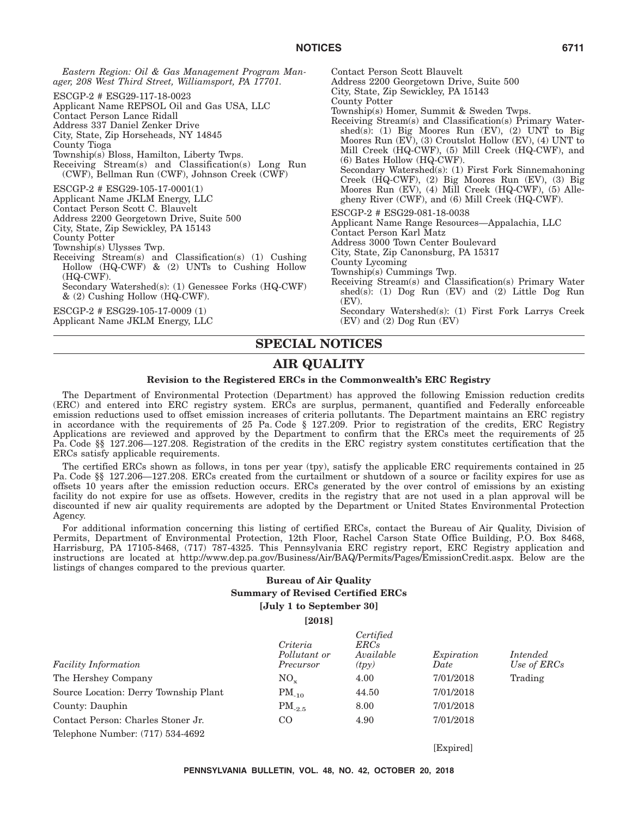*Eastern Region: Oil & Gas Management Program Manager, 208 West Third Street, Williamsport, PA 17701.* ESCGP-2 # ESG29-117-18-0023 Applicant Name REPSOL Oil and Gas USA, LLC Contact Person Lance Ridall Address 337 Daniel Zenker Drive City, State, Zip Horseheads, NY 14845 County Tioga Township(s) Bloss, Hamilton, Liberty Twps. Receiving Stream(s) and Classification(s) Long Run (CWF), Bellman Run (CWF), Johnson Creek (CWF) ESCGP-2 # ESG29-105-17-0001(1) Applicant Name JKLM Energy, LLC Contact Person Scott C. Blauvelt Address 2200 Georgetown Drive, Suite 500 City, State, Zip Sewickley, PA 15143 County Potter Township(s) Ulysses Twp. Receiving Stream(s) and Classification(s) (1) Cushing Hollow (HQ-CWF) & (2) UNTs to Cushing Hollow (HQ-CWF). Secondary Watershed(s): (1) Genessee Forks (HQ-CWF) & (2) Cushing Hollow (HQ-CWF). ESCGP-2 # ESG29-105-17-0009 (1) Contact Person Scott Blauvelt Address 2200 Georgetown Drive, Suite 500 City, State, Zip Sewickley, PA 15143 County Potter Township(s) Homer, Summit & Sweden Twps. Receiving Stream(s) and Classification(s) Primary Watershed(s): (1) Big Moores Run (EV), (2) UNT to Big Moores Run (EV), (3) Croutslot Hollow (EV), (4) UNT to Mill Creek (HQ-CWF), (5) Mill Creek (HQ-CWF), and (6) Bates Hollow (HQ-CWF). Secondary Watershed(s): (1) First Fork Sinnemahoning Creek (HQ-CWF), (2) Big Moores Run (EV), (3) Big Moores Run (EV), (4) Mill Creek (HQ-CWF), (5) Allegheny River (CWF), and (6) Mill Creek (HQ-CWF). ESCGP-2 # ESG29-081-18-0038 Applicant Name Range Resources—Appalachia, LLC Contact Person Karl Matz Address 3000 Town Center Boulevard City, State, Zip Canonsburg, PA 15317 County Lycoming Township(s) Cummings Twp. Receiving Stream(s) and Classification(s) Primary Water shed(s): (1)  $\text{Dog Run}$  (EV) and (2) Little  $\text{Dog Run}$ (EV).

Applicant Name JKLM Energy, LLC

Secondary Watershed(s): (1) First Fork Larrys Creek (EV) and (2) Dog Run (EV)

# **SPECIAL NOTICES**

# **AIR QUALITY**

#### **Revision to the Registered ERCs in the Commonwealth's ERC Registry**

The Department of Environmental Protection (Department) has approved the following Emission reduction credits (ERC) and entered into ERC registry system. ERCs are surplus, permanent, quantified and Federally enforceable emission reductions used to offset emission increases of criteria pollutants. The Department maintains an ERC registry in accordance with the requirements of 25 Pa. Code § 127.209. Prior to registration of the credits, ERC Registry Applications are reviewed and approved by the Department to confirm that the ERCs meet the requirements of 25 Pa. Code §§ 127.206—127.208. Registration of the credits in the ERC registry system constitutes certification that the ERCs satisfy applicable requirements.

The certified ERCs shown as follows, in tons per year (tpy), satisfy the applicable ERC requirements contained in 25 Pa. Code §§ 127.206—127.208. ERCs created from the curtailment or shutdown of a source or facility expires for use as offsets 10 years after the emission reduction occurs. ERCs generated by the over control of emissions by an existing facility do not expire for use as offsets. However, credits in the registry that are not used in a plan approval will be discounted if new air quality requirements are adopted by the Department or United States Environmental Protection Agency.

For additional information concerning this listing of certified ERCs, contact the Bureau of Air Quality, Division of Permits, Department of Environmental Protection, 12th Floor, Rachel Carson State Office Building, P.O. Box 8468, Harrisburg, PA 17105-8468, (717) 787-4325. This Pennsylvania ERC registry report, ERC Registry application and instructions are located at http://www.dep.pa.gov/Business/Air/BAQ/Permits/Pages/EmissionCredit.aspx. Below are the listings of changes compared to the previous quarter.

## **Bureau of Air Quality Summary of Revised Certified ERCs [July 1 to September 30]**

**[2018]**

| <b>Facility Information</b>           | Criteria<br>Pollutant or<br>Precursor | Certified<br>ERCs<br>Available<br>(tpy) | Expiration<br>Date | Intended<br>Use of ERCs |
|---------------------------------------|---------------------------------------|-----------------------------------------|--------------------|-------------------------|
| The Hershey Company                   | $NO_{\rm v}$                          | 4.00                                    | 7/01/2018          | Trading                 |
| Source Location: Derry Township Plant | $PM_{-10}$                            | 44.50                                   | 7/01/2018          |                         |
| County: Dauphin                       | $PM_{-2.5}$                           | 8.00                                    | 7/01/2018          |                         |
| Contact Person: Charles Stoner Jr.    | CO                                    | 4.90                                    | 7/01/2018          |                         |
| Telephone Number: (717) 534-4692      |                                       |                                         |                    |                         |

[Expired]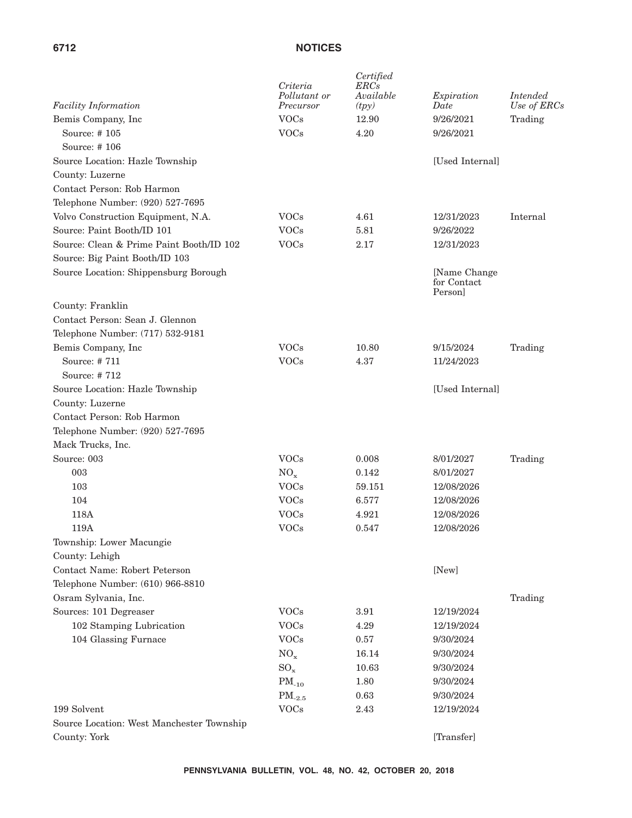| <b>Facility Information</b>               | Criteria<br>Pollutant or<br>Precursor | Certified<br>ERCs<br>Available<br>(tpy) | Expiration<br>Date                    | <i>Intended</i><br>Use of ERCs |
|-------------------------------------------|---------------------------------------|-----------------------------------------|---------------------------------------|--------------------------------|
| Bemis Company, Inc.                       | <b>VOCs</b>                           | 12.90                                   | 9/26/2021                             | Trading                        |
| Source: #105                              | <b>VOCs</b>                           | 4.20                                    | 9/26/2021                             |                                |
| Source: #106                              |                                       |                                         |                                       |                                |
| Source Location: Hazle Township           |                                       |                                         | [Used Internal]                       |                                |
| County: Luzerne                           |                                       |                                         |                                       |                                |
| Contact Person: Rob Harmon                |                                       |                                         |                                       |                                |
| Telephone Number: (920) 527-7695          |                                       |                                         |                                       |                                |
| Volvo Construction Equipment, N.A.        | <b>VOCs</b>                           | 4.61                                    | 12/31/2023                            | Internal                       |
| Source: Paint Booth/ID 101                | <b>VOCs</b>                           | 5.81                                    | 9/26/2022                             |                                |
| Source: Clean & Prime Paint Booth/ID 102  | <b>VOCs</b>                           | 2.17                                    | 12/31/2023                            |                                |
| Source: Big Paint Booth/ID 103            |                                       |                                         |                                       |                                |
| Source Location: Shippensburg Borough     |                                       |                                         | [Name Change<br>for Contact<br>Person |                                |
| County: Franklin                          |                                       |                                         |                                       |                                |
| Contact Person: Sean J. Glennon           |                                       |                                         |                                       |                                |
| Telephone Number: (717) 532-9181          |                                       |                                         |                                       |                                |
| Bemis Company, Inc.                       | <b>VOCs</b>                           | 10.80                                   | 9/15/2024                             | Trading                        |
| Source: #711                              | <b>VOCs</b>                           | 4.37                                    | 11/24/2023                            |                                |
| Source: #712                              |                                       |                                         |                                       |                                |
| Source Location: Hazle Township           |                                       |                                         | [Used Internal]                       |                                |
| County: Luzerne                           |                                       |                                         |                                       |                                |
| Contact Person: Rob Harmon                |                                       |                                         |                                       |                                |
| Telephone Number: (920) 527-7695          |                                       |                                         |                                       |                                |
| Mack Trucks, Inc.                         |                                       |                                         |                                       |                                |
| Source: 003                               | <b>VOCs</b>                           | 0.008                                   | 8/01/2027                             | Trading                        |
| 003                                       | $NO_{x}$                              | 0.142                                   | 8/01/2027                             |                                |
| 103                                       | <b>VOCs</b>                           | 59.151                                  | 12/08/2026                            |                                |
| 104                                       | <b>VOCs</b>                           | 6.577                                   | 12/08/2026                            |                                |
| 118A                                      | <b>VOCs</b>                           | 4.921                                   | 12/08/2026                            |                                |
| 119A                                      | <b>VOCs</b>                           | 0.547                                   | 12/08/2026                            |                                |
| Township: Lower Macungie                  |                                       |                                         |                                       |                                |
| County: Lehigh                            |                                       |                                         |                                       |                                |
| Contact Name: Robert Peterson             |                                       |                                         | [New]                                 |                                |
| Telephone Number: (610) 966-8810          |                                       |                                         |                                       |                                |
| Osram Sylvania, Inc.                      |                                       |                                         |                                       | Trading                        |
| Sources: 101 Degreaser                    | <b>VOCs</b>                           | $3.91\,$                                | 12/19/2024                            |                                |
| 102 Stamping Lubrication                  | <b>VOCs</b>                           | 4.29                                    | 12/19/2024                            |                                |
| 104 Glassing Furnace                      | <b>VOCs</b>                           | 0.57                                    | 9/30/2024                             |                                |
|                                           | $NO_x$                                | 16.14                                   | 9/30/2024                             |                                |
|                                           | $SO_x$                                | 10.63                                   | 9/30/2024                             |                                |
|                                           | $PM_{-10}$                            | 1.80                                    | 9/30/2024                             |                                |
|                                           | $PM_{-2.5}$                           | 0.63                                    | 9/30/2024                             |                                |
| 199 Solvent                               | <b>VOCs</b>                           | 2.43                                    | 12/19/2024                            |                                |
| Source Location: West Manchester Township |                                       |                                         |                                       |                                |
| County: York                              |                                       |                                         | [Transfer]                            |                                |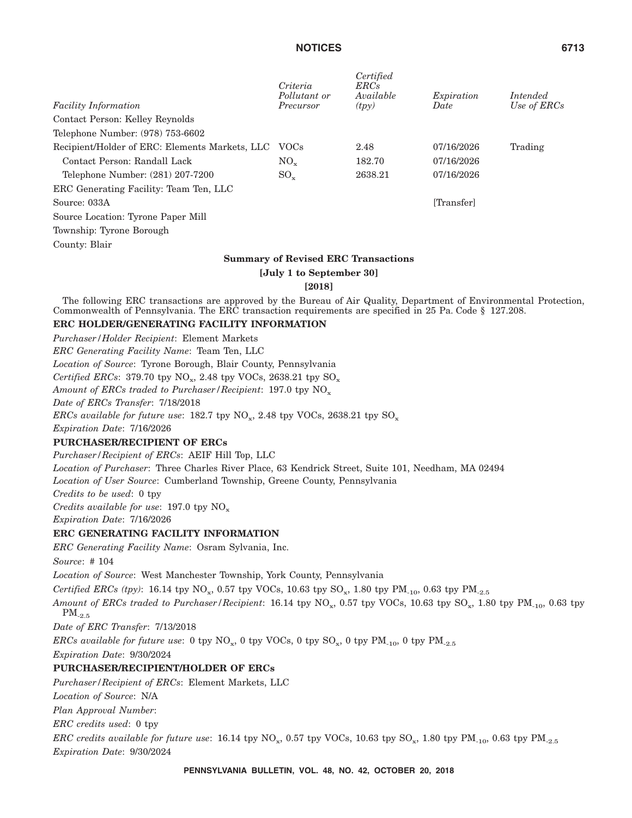|                                                | Criteria<br>Pollutant or | Certified<br>ERCs<br>Available             | Expiration | Intended    |
|------------------------------------------------|--------------------------|--------------------------------------------|------------|-------------|
| <b>Facility Information</b>                    | Precursor                | (tpy)                                      | Date       | Use of ERCs |
| Contact Person: Kelley Reynolds                |                          |                                            |            |             |
| Telephone Number: (978) 753-6602               |                          |                                            |            |             |
| Recipient/Holder of ERC: Elements Markets, LLC | <b>VOCs</b>              | 2.48                                       | 07/16/2026 | Trading     |
| Contact Person: Randall Lack                   | $NO_{\rm v}$             | 182.70                                     | 07/16/2026 |             |
| Telephone Number: (281) 207-7200               | $SO_{x}$                 | 2638.21                                    | 07/16/2026 |             |
| ERC Generating Facility: Team Ten, LLC         |                          |                                            |            |             |
| Source: 033A                                   |                          |                                            | [Transfer] |             |
| Source Location: Tyrone Paper Mill             |                          |                                            |            |             |
| Township: Tyrone Borough                       |                          |                                            |            |             |
| County: Blair                                  |                          |                                            |            |             |
|                                                |                          | <b>Summary of Revised ERC Transactions</b> |            |             |
|                                                | [July 1 to September 30] |                                            |            |             |
|                                                | [2018]                   |                                            |            |             |

The following ERC transactions are approved by the Bureau of Air Quality, Department of Environmental Protection, Commonwealth of Pennsylvania. The ERC transaction requirements are specified in 25 Pa. Code § 127.208.

### **ERC HOLDER/GENERATING FACILITY INFORMATION**

*Purchaser/Holder Recipient*: Element Markets *ERC Generating Facility Name*: Team Ten, LLC *Location of Source*: Tyrone Borough, Blair County, Pennsylvania *Certified ERCs*: 379.70 tpy  $NO_x$ , 2.48 tpy VOCs, 2638.21 tpy  $SO_x$ Amount of ERCs traded to Purchaser/Recipient: 197.0 tpy NO<sub>x</sub> *Date of ERCs Transfer*: 7/18/2018 *ERCs available for future use*:  $182.7$  tpy  $NO_x$ , 2.48 tpy VOCs, 2638.21 tpy  $SO_x$ *Expiration Date*: 7/16/2026 **PURCHASER/RECIPIENT OF ERCs** *Purchaser/Recipient of ERCs*: AEIF Hill Top, LLC *Location of Purchaser*: Three Charles River Place, 63 Kendrick Street, Suite 101, Needham, MA 02494 *Location of User Source*: Cumberland Township, Greene County, Pennsylvania *Credits to be used*: 0 tpy *Credits available for use*: 197.0 tpy NO<sub>x</sub> *Expiration Date*: 7/16/2026 **ERC GENERATING FACILITY INFORMATION** *ERC Generating Facility Name*: Osram Sylvania, Inc. *Source*: # 104 *Location of Source*: West Manchester Township, York County, Pennsylvania *Certified ERCs (tpy)*: 16.14 tpy NO<sub>x</sub>, 0.57 tpy VOCs, 10.63 tpy SO<sub>x</sub>, 1.80 tpy PM<sub>-10</sub>, 0.63 tpy PM<sub>-2.5</sub> *Amount of ERCs traded to Purchaser/Recipient*: 16.14 tpy NO<sub>x</sub>, 0.57 tpy VOCs, 10.63 tpy SO<sub>x</sub>, 1.80 tpy PM<sub>-10</sub>, 0.63 tpy  $PM_{-2.5}$ *Date of ERC Transfer*: 7/13/2018 *ERCs available for future use*: 0 tpy  $NO_x$ , 0 tpy  $VOCs$ , 0 tpy  $SO_x$ , 0 tpy  $PM_{-10}$ , 0 tpy  $PM_{-2.5}$ *Expiration Date*: 9/30/2024 **PURCHASER/RECIPIENT/HOLDER OF ERCs** *Purchaser/Recipient of ERCs*: Element Markets, LLC *Location of Source*: N/A *Plan Approval Number*: *ERC credits used*: 0 tpy *ERC credits available for future use*: 16.14 tpy NO<sub>x</sub>, 0.57 tpy VOCs, 10.63 tpy SO<sub>x</sub>, 1.80 tpy PM<sub>-10</sub>, 0.63 tpy PM<sub>-2.5</sub> *Expiration Date*: 9/30/2024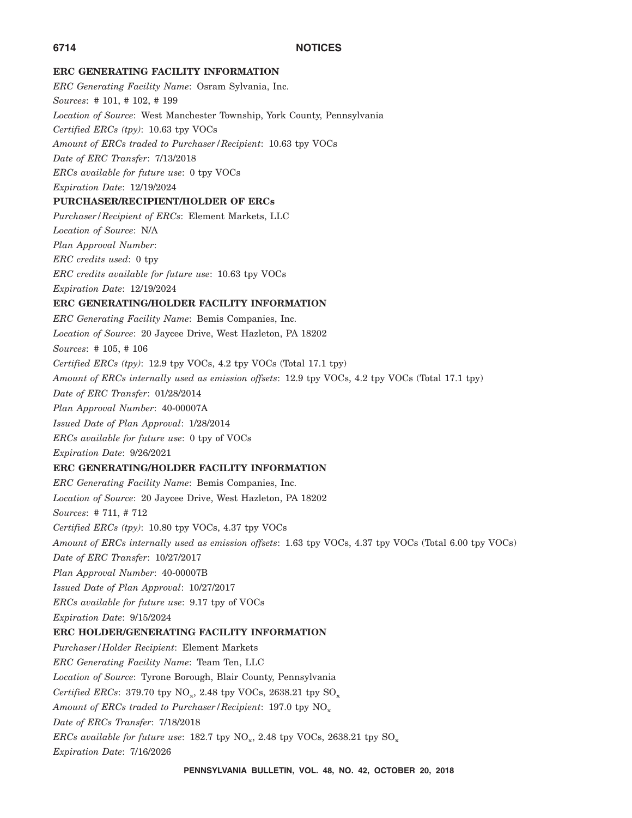### **ERC GENERATING FACILITY INFORMATION**

*ERC Generating Facility Name*: Osram Sylvania, Inc. *Sources*: # 101, # 102, # 199 *Location of Source*: West Manchester Township, York County, Pennsylvania *Certified ERCs (tpy)*: 10.63 tpy VOCs *Amount of ERCs traded to Purchaser/Recipient*: 10.63 tpy VOCs *Date of ERC Transfer*: 7/13/2018 *ERCs available for future use*: 0 tpy VOCs *Expiration Date*: 12/19/2024 **PURCHASER/RECIPIENT/HOLDER OF ERCs** *Purchaser/Recipient of ERCs*: Element Markets, LLC *Location of Source*: N/A *Plan Approval Number*: *ERC credits used*: 0 tpy *ERC credits available for future use*: 10.63 tpy VOCs *Expiration Date*: 12/19/2024 **ERC GENERATING/HOLDER FACILITY INFORMATION** *ERC Generating Facility Name*: Bemis Companies, Inc. *Location of Source*: 20 Jaycee Drive, West Hazleton, PA 18202 *Sources*: # 105, # 106 *Certified ERCs (tpy)*: 12.9 tpy VOCs, 4.2 tpy VOCs (Total 17.1 tpy) *Amount of ERCs internally used as emission offsets*: 12.9 tpy VOCs, 4.2 tpy VOCs (Total 17.1 tpy) *Date of ERC Transfer*: 01/28/2014 *Plan Approval Number*: 40-00007A *Issued Date of Plan Approval*: 1/28/2014 *ERCs available for future use*: 0 tpy of VOCs *Expiration Date*: 9/26/2021 **ERC GENERATING/HOLDER FACILITY INFORMATION** *ERC Generating Facility Name*: Bemis Companies, Inc. *Location of Source*: 20 Jaycee Drive, West Hazleton, PA 18202 *Sources*: # 711, # 712 *Certified ERCs (tpy)*: 10.80 tpy VOCs, 4.37 tpy VOCs *Amount of ERCs internally used as emission offsets*: 1.63 tpy VOCs, 4.37 tpy VOCs (Total 6.00 tpy VOCs) *Date of ERC Transfer*: 10/27/2017 *Plan Approval Number*: 40-00007B *Issued Date of Plan Approval*: 10/27/2017 *ERCs available for future use*: 9.17 tpy of VOCs *Expiration Date*: 9/15/2024 **ERC HOLDER/GENERATING FACILITY INFORMATION** *Purchaser/Holder Recipient*: Element Markets *ERC Generating Facility Name*: Team Ten, LLC *Location of Source*: Tyrone Borough, Blair County, Pennsylvania *Certified ERCs*: 379.70 tpy  $NO_x$ , 2.48 tpy VOCs, 2638.21 tpy  $SO_x$ Amount of ERCs traded to Purchaser/Recipient: 197.0 tpy NO<sub>x</sub> *Date of ERCs Transfer*: 7/18/2018 *ERCs available for future use*:  $182.7$  tpy  $NO_x$ ,  $2.48$  tpy  $VOCs$ ,  $2638.21$  tpy  $SO_x$ *Expiration Date*: 7/16/2026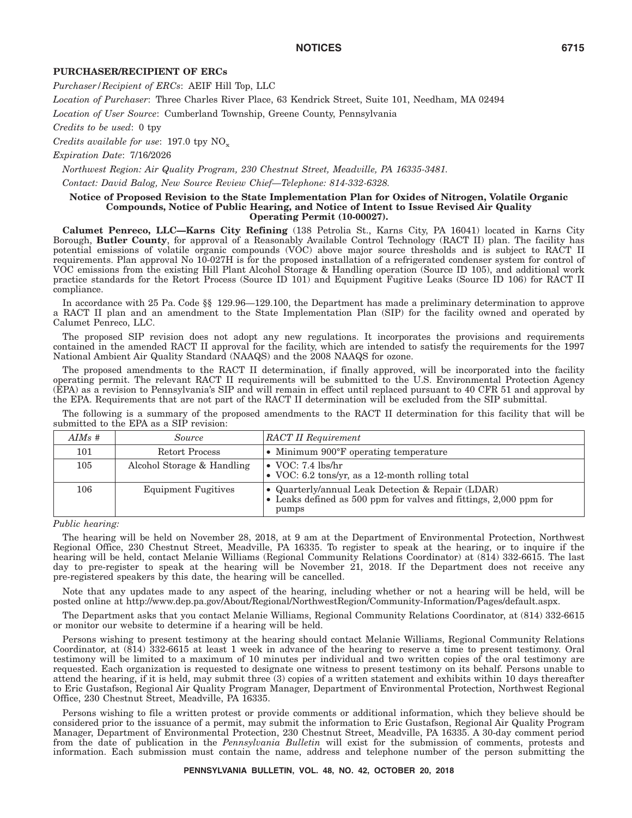#### **PURCHASER/RECIPIENT OF ERCs**

*Purchaser/Recipient of ERCs*: AEIF Hill Top, LLC

*Location of Purchaser*: Three Charles River Place, 63 Kendrick Street, Suite 101, Needham, MA 02494

*Location of User Source*: Cumberland Township, Greene County, Pennsylvania

*Credits to be used*: 0 tpy

*Credits available for use*: 197.0 tpy  $NO_x$ 

*Expiration Date*: 7/16/2026

*Northwest Region: Air Quality Program, 230 Chestnut Street, Meadville, PA 16335-3481.*

*Contact: David Balog, New Source Review Chief—Telephone: 814-332-6328.*

#### **Notice of Proposed Revision to the State Implementation Plan for Oxides of Nitrogen, Volatile Organic Compounds, Notice of Public Hearing, and Notice of Intent to Issue Revised Air Quality Operating Permit (10-00027).**

**Calumet Penreco, LLC—Karns City Refining** (138 Petrolia St., Karns City, PA 16041) located in Karns City Borough, **Butler County**, for approval of a Reasonably Available Control Technology (RACT II) plan. The facility has potential emissions of volatile organic compounds (VOC) above major source thresholds and is subject to RACT II requirements. Plan approval No 10-027H is for the proposed installation of a refrigerated condenser system for control of VOC emissions from the existing Hill Plant Alcohol Storage & Handling operation (Source ID 105), and additional work practice standards for the Retort Process (Source ID 101) and Equipment Fugitive Leaks (Source ID 106) for RACT II compliance.

In accordance with 25 Pa. Code §§ 129.96—129.100, the Department has made a preliminary determination to approve a RACT II plan and an amendment to the State Implementation Plan (SIP) for the facility owned and operated by Calumet Penreco, LLC.

The proposed SIP revision does not adopt any new regulations. It incorporates the provisions and requirements contained in the amended RACT II approval for the facility, which are intended to satisfy the requirements for the 1997 National Ambient Air Quality Standard (NAAQS) and the 2008 NAAQS for ozone.

The proposed amendments to the RACT II determination, if finally approved, will be incorporated into the facility operating permit. The relevant RACT II requirements will be submitted to the U.S. Environmental Protection Agency (EPA) as a revision to Pennsylvania's SIP and will remain in effect until replaced pursuant to 40 CFR 51 and approval by the EPA. Requirements that are not part of the RACT II determination will be excluded from the SIP submittal.

The following is a summary of the proposed amendments to the RACT II determination for this facility that will be submitted to the EPA as a SIP revision:

| $AIMs$ # | <i>Source</i>              | <b>RACT II Requirement</b>                                                                                                      |
|----------|----------------------------|---------------------------------------------------------------------------------------------------------------------------------|
| 101      | Retort Process             | • Minimum 900°F operating temperature                                                                                           |
| 105      | Alcohol Storage & Handling | $\bullet$ VOC: 7.4 lbs/hr<br>• VOC: 6.2 tons/yr, as a 12-month rolling total                                                    |
| 106      | <b>Equipment Fugitives</b> | • Quarterly/annual Leak Detection & Repair (LDAR)<br>• Leaks defined as 500 ppm for valves and fittings, 2,000 ppm for<br>pumps |

*Public hearing:*

The hearing will be held on November 28, 2018, at 9 am at the Department of Environmental Protection, Northwest Regional Office, 230 Chestnut Street, Meadville, PA 16335. To register to speak at the hearing, or to inquire if the hearing will be held, contact Melanie Williams (Regional Community Relations Coordinator) at (814) 332-6615. The last day to pre-register to speak at the hearing will be November 21, 2018. If the Department does not receive any pre-registered speakers by this date, the hearing will be cancelled.

Note that any updates made to any aspect of the hearing, including whether or not a hearing will be held, will be posted online at http://www.dep.pa.gov/About/Regional/NorthwestRegion/Community-Information/Pages/default.aspx.

The Department asks that you contact Melanie Williams, Regional Community Relations Coordinator, at (814) 332-6615 or monitor our website to determine if a hearing will be held.

Persons wishing to present testimony at the hearing should contact Melanie Williams, Regional Community Relations Coordinator, at (814) 332-6615 at least 1 week in advance of the hearing to reserve a time to present testimony. Oral testimony will be limited to a maximum of 10 minutes per individual and two written copies of the oral testimony are requested. Each organization is requested to designate one witness to present testimony on its behalf. Persons unable to attend the hearing, if it is held, may submit three (3) copies of a written statement and exhibits within 10 days thereafter to Eric Gustafson, Regional Air Quality Program Manager, Department of Environmental Protection, Northwest Regional Office, 230 Chestnut Street, Meadville, PA 16335.

Persons wishing to file a written protest or provide comments or additional information, which they believe should be considered prior to the issuance of a permit, may submit the information to Eric Gustafson, Regional Air Quality Program Manager, Department of Environmental Protection, 230 Chestnut Street, Meadville, PA 16335. A 30-day comment period from the date of publication in the *Pennsylvania Bulletin* will exist for the submission of comments, protests and information. Each submission must contain the name, address and telephone number of the person submitting the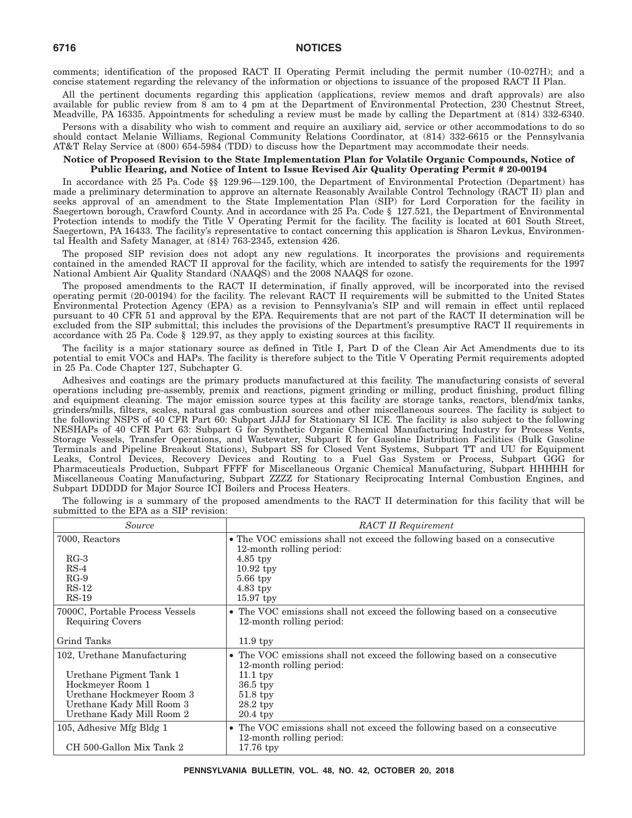comments; identification of the proposed RACT II Operating Permit including the permit number (10-027H); and a concise statement regarding the relevancy of the information or objections to issuance of the proposed RACT II Plan.

All the pertinent documents regarding this application (applications, review memos and draft approvals) are also available for public review from 8 am to 4 pm at the Department of Environmental Protection, 230 Chestnut Street, Meadville, PA 16335. Appointments for scheduling a review must be made by calling the Department at (814) 332-6340.

Persons with a disability who wish to comment and require an auxiliary aid, service or other accommodations to do so should contact Melanie Williams, Regional Community Relations Coordinator, at (814) 332-6615 or the Pennsylvania AT&T Relay Service at (800) 654-5984 (TDD) to discuss how the Department may accommodate their needs.

#### **Notice of Proposed Revision to the State Implementation Plan for Volatile Organic Compounds, Notice of Public Hearing, and Notice of Intent to Issue Revised Air Quality Operating Permit # 20-00194**

In accordance with 25 Pa. Code §§ 129.96—129.100, the Department of Environmental Protection (Department) has made a preliminary determination to approve an alternate Reasonably Available Control Technology (RACT II) plan and seeks approval of an amendment to the State Implementation Plan (SIP) for Lord Corporation for the facility in Saegertown borough, Crawford County. And in accordance with 25 Pa. Code § 127.521, the Department of Environmental Protection intends to modify the Title V Operating Permit for the facility. The facility is located at 601 South Street, Saegertown, PA 16433. The facility's representative to contact concerning this application is Sharon Levkus, Environmental Health and Safety Manager, at (814) 763-2345, extension 426.

The proposed SIP revision does not adopt any new regulations. It incorporates the provisions and requirements contained in the amended RACT II approval for the facility, which are intended to satisfy the requirements for the 1997 National Ambient Air Quality Standard (NAAQS) and the 2008 NAAQS for ozone.

The proposed amendments to the RACT II determination, if finally approved, will be incorporated into the revised operating permit (20-00194) for the facility. The relevant RACT II requirements will be submitted to the United States Environmental Protection Agency (EPA) as a revision to Pennsylvania's SIP and will remain in effect until replaced pursuant to 40 CFR 51 and approval by the EPA. Requirements that are not part of the RACT II determination will be excluded from the SIP submittal; this includes the provisions of the Department's presumptive RACT II requirements in accordance with 25 Pa. Code § 129.97, as they apply to existing sources at this facility.

The facility is a major stationary source as defined in Title I, Part D of the Clean Air Act Amendments due to its potential to emit VOCs and HAPs. The facility is therefore subject to the Title V Operating Permit requirements adopted in 25 Pa. Code Chapter 127, Subchapter G.

Adhesives and coatings are the primary products manufactured at this facility. The manufacturing consists of several operations including pre-assembly, premix and reactions, pigment grinding or milling, product finishing, product filling and equipment cleaning. The major emission source types at this facility are storage tanks, reactors, blend/mix tanks, grinders/mills, filters, scales, natural gas combustion sources and other miscellaneous sources. The facility is subject to the following NSPS of 40 CFR Part 60: Subpart JJJJ for Stationary SI ICE. The facility is also subject to the following NESHAPs of 40 CFR Part 63: Subpart G for Synthetic Organic Chemical Manufacturing Industry for Process Vents, Storage Vessels, Transfer Operations, and Wastewater, Subpart R for Gasoline Distribution Facilities (Bulk Gasoline Terminals and Pipeline Breakout Stations), Subpart SS for Closed Vent Systems, Subpart TT and UU for Equipment Leaks, Control Devices, Recovery Devices and Routing to a Fuel Gas System or Process, Subpart GGG for Pharmaceuticals Production, Subpart FFFF for Miscellaneous Organic Chemical Manufacturing, Subpart HHHHH for Miscellaneous Coating Manufacturing, Subpart ZZZZ for Stationary Reciprocating Internal Combustion Engines, and Subpart DDDDD for Major Source ICI Boilers and Process Heaters.

The following is a summary of the proposed amendments to the RACT II determination for this facility that will be submitted to the EPA as a SIP revision:

| Source                                                                                                                                                            | <b>RACT II Requirement</b>                                                                                                                                                |
|-------------------------------------------------------------------------------------------------------------------------------------------------------------------|---------------------------------------------------------------------------------------------------------------------------------------------------------------------------|
| 7000, Reactors                                                                                                                                                    | • The VOC emissions shall not exceed the following based on a consecutive                                                                                                 |
| $RG-3$<br>$RS-4$<br>$RG-9$<br>$RS-12$<br>$RS-19$                                                                                                                  | 12-month rolling period:<br>$4.85$ tpy<br>$10.92$ tpy<br>$5.66$ tpy<br>4.83 tpy<br>$15.97$ tpy                                                                            |
| 7000C, Portable Process Vessels<br><b>Requiring Covers</b>                                                                                                        | • The VOC emissions shall not exceed the following based on a consecutive<br>12-month rolling period:                                                                     |
| Grind Tanks                                                                                                                                                       | $11.9$ tpy                                                                                                                                                                |
| 102, Urethane Manufacturing<br>Urethane Pigment Tank 1<br>Hockmeyer Room 1<br>Urethane Hockmeyer Room 3<br>Urethane Kady Mill Room 3<br>Urethane Kady Mill Room 2 | • The VOC emissions shall not exceed the following based on a consecutive<br>12-month rolling period:<br>$11.1$ tpy<br>36.5 tpy<br>$51.8$ tpy<br>$28.2$ tpy<br>$20.4$ tpy |
| 105, Adhesive Mfg Bldg 1<br>CH 500-Gallon Mix Tank 2                                                                                                              | • The VOC emissions shall not exceed the following based on a consecutive<br>12-month rolling period:<br>$17.76$ tpy                                                      |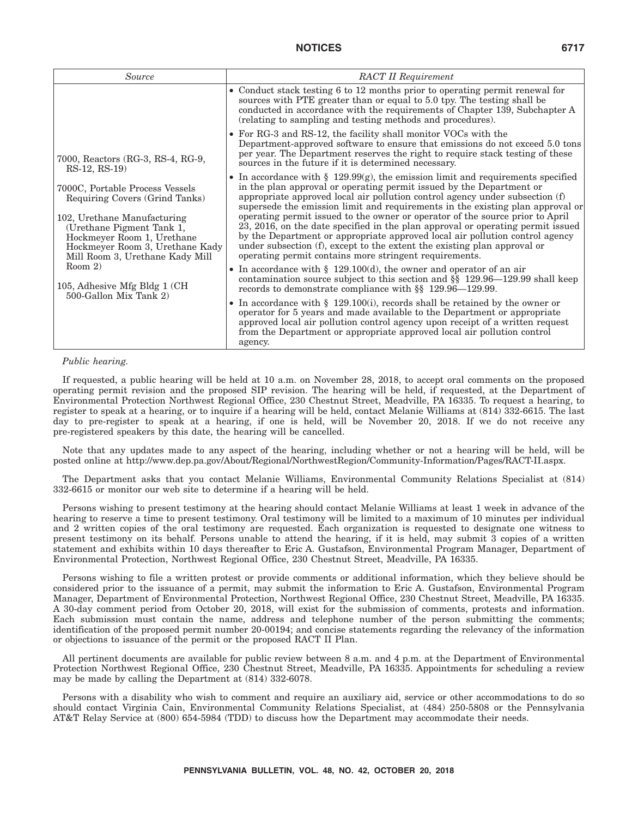| Source                                                                                                                                                                                                                                                                                                     | <b>RACT II Requirement</b>                                                                                                                                                                                                                                                                                                                                                                                                                                                                                                                                                                                                                                                                                                                                                                                                                                                                                                                                                                                                                                                                                     |
|------------------------------------------------------------------------------------------------------------------------------------------------------------------------------------------------------------------------------------------------------------------------------------------------------------|----------------------------------------------------------------------------------------------------------------------------------------------------------------------------------------------------------------------------------------------------------------------------------------------------------------------------------------------------------------------------------------------------------------------------------------------------------------------------------------------------------------------------------------------------------------------------------------------------------------------------------------------------------------------------------------------------------------------------------------------------------------------------------------------------------------------------------------------------------------------------------------------------------------------------------------------------------------------------------------------------------------------------------------------------------------------------------------------------------------|
|                                                                                                                                                                                                                                                                                                            | • Conduct stack testing 6 to 12 months prior to operating permit renewal for<br>sources with PTE greater than or equal to 5.0 tpy. The testing shall be<br>conducted in accordance with the requirements of Chapter 139, Subchapter A<br>(relating to sampling and testing methods and procedures).                                                                                                                                                                                                                                                                                                                                                                                                                                                                                                                                                                                                                                                                                                                                                                                                            |
| 7000, Reactors (RG-3, RS-4, RG-9,<br>$RS-12$ , $RS-19$                                                                                                                                                                                                                                                     | • For RG-3 and RS-12, the facility shall monitor VOCs with the<br>Department-approved software to ensure that emissions do not exceed 5.0 tons<br>per year. The Department reserves the right to require stack testing of these<br>sources in the future if it is determined necessary.                                                                                                                                                                                                                                                                                                                                                                                                                                                                                                                                                                                                                                                                                                                                                                                                                        |
| 7000C, Portable Process Vessels<br>Requiring Covers (Grind Tanks)<br>102, Urethane Manufacturing<br>(Urethane Pigment Tank 1,<br>Hockmeyer Room 1, Urethane<br>Hockmeyer Room 3, Urethane Kady<br>Mill Room 3, Urethane Kady Mill<br>Room $2$ )<br>105, Adhesive Mfg Bldg 1 (CH)<br>500-Gallon Mix Tank 2) | • In accordance with § 129.99 $(g)$ , the emission limit and requirements specified<br>in the plan approval or operating permit issued by the Department or<br>appropriate approved local air pollution control agency under subsection (f)<br>supersede the emission limit and requirements in the existing plan approval or<br>operating permit issued to the owner or operator of the source prior to April<br>23, 2016, on the date specified in the plan approval or operating permit issued<br>by the Department or appropriate approved local air pollution control agency<br>under subsection (f), except to the extent the existing plan approval or<br>operating permit contains more stringent requirements.<br>• In accordance with $\S$ 129.100(d), the owner and operator of an air<br>contamination source subject to this section and $\S$ 129.96–129.99 shall keep<br>records to demonstrate compliance with §§ 129.96—129.99.<br>• In accordance with $\S$ 129.100(i), records shall be retained by the owner or<br>operator for 5 years and made available to the Department or appropriate |
|                                                                                                                                                                                                                                                                                                            | approved local air pollution control agency upon receipt of a written request<br>from the Department or appropriate approved local air pollution control<br>agency.                                                                                                                                                                                                                                                                                                                                                                                                                                                                                                                                                                                                                                                                                                                                                                                                                                                                                                                                            |

#### *Public hearing.*

If requested, a public hearing will be held at 10 a.m. on November 28, 2018, to accept oral comments on the proposed operating permit revision and the proposed SIP revision. The hearing will be held, if requested, at the Department of Environmental Protection Northwest Regional Office, 230 Chestnut Street, Meadville, PA 16335. To request a hearing, to register to speak at a hearing, or to inquire if a hearing will be held, contact Melanie Williams at (814) 332-6615. The last day to pre-register to speak at a hearing, if one is held, will be November 20, 2018. If we do not receive any pre-registered speakers by this date, the hearing will be cancelled.

Note that any updates made to any aspect of the hearing, including whether or not a hearing will be held, will be posted online at http://www.dep.pa.gov/About/Regional/NorthwestRegion/Community-Information/Pages/RACT-II.aspx.

The Department asks that you contact Melanie Williams, Environmental Community Relations Specialist at (814) 332-6615 or monitor our web site to determine if a hearing will be held.

Persons wishing to present testimony at the hearing should contact Melanie Williams at least 1 week in advance of the hearing to reserve a time to present testimony. Oral testimony will be limited to a maximum of 10 minutes per individual and 2 written copies of the oral testimony are requested. Each organization is requested to designate one witness to present testimony on its behalf. Persons unable to attend the hearing, if it is held, may submit 3 copies of a written statement and exhibits within 10 days thereafter to Eric A. Gustafson, Environmental Program Manager, Department of Environmental Protection, Northwest Regional Office, 230 Chestnut Street, Meadville, PA 16335.

Persons wishing to file a written protest or provide comments or additional information, which they believe should be considered prior to the issuance of a permit, may submit the information to Eric A. Gustafson, Environmental Program Manager, Department of Environmental Protection, Northwest Regional Office, 230 Chestnut Street, Meadville, PA 16335. A 30-day comment period from October 20, 2018, will exist for the submission of comments, protests and information. Each submission must contain the name, address and telephone number of the person submitting the comments; identification of the proposed permit number 20-00194; and concise statements regarding the relevancy of the information or objections to issuance of the permit or the proposed RACT II Plan.

All pertinent documents are available for public review between 8 a.m. and 4 p.m. at the Department of Environmental Protection Northwest Regional Office, 230 Chestnut Street, Meadville, PA 16335. Appointments for scheduling a review may be made by calling the Department at (814) 332-6078.

Persons with a disability who wish to comment and require an auxiliary aid, service or other accommodations to do so should contact Virginia Cain, Environmental Community Relations Specialist, at (484) 250-5808 or the Pennsylvania AT&T Relay Service at (800) 654-5984 (TDD) to discuss how the Department may accommodate their needs.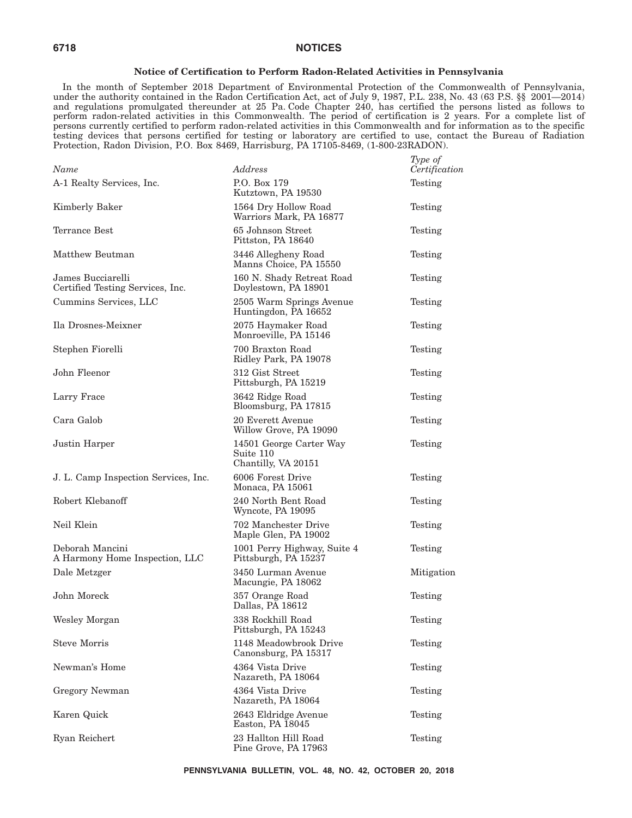#### **Notice of Certification to Perform Radon-Related Activities in Pennsylvania**

In the month of September 2018 Department of Environmental Protection of the Commonwealth of Pennsylvania, under the authority contained in the Radon Certification Act, act of July 9, 1987, P.L. 238, No. 43 (63 P.S. §§ 2001—2014) and regulations promulgated thereunder at 25 Pa. Code Chapter 240, has certified the persons listed as follows to perform radon-related activities in this Commonwealth. The period of certification is 2 years. For a complete list of persons currently certified to perform radon-related activities in this Commonwealth and for information as to the specific testing devices that persons certified for testing or laboratory are certified to use, contact the Bureau of Radiation Protection, Radon Division, P.O. Box 8469, Harrisburg, PA 17105-8469, (1-800-23RADON).

 $T_{\text{max}}$  of

| Name                                                  | Address                                                     | <i>Lype of</i><br>Certification |
|-------------------------------------------------------|-------------------------------------------------------------|---------------------------------|
| A-1 Realty Services, Inc.                             | P.O. Box 179<br>Kutztown, PA 19530                          | Testing                         |
| Kimberly Baker                                        | 1564 Dry Hollow Road<br>Warriors Mark, PA 16877             | Testing                         |
| Terrance Best                                         | 65 Johnson Street<br>Pittston, PA 18640                     | Testing                         |
| Matthew Beutman                                       | 3446 Allegheny Road<br>Manns Choice, PA 15550               | Testing                         |
| James Bucciarelli<br>Certified Testing Services, Inc. | 160 N. Shady Retreat Road<br>Doylestown, PA 18901           | Testing                         |
| Cummins Services, LLC                                 | 2505 Warm Springs Avenue<br>Huntingdon, PA 16652            | Testing                         |
| Ila Drosnes-Meixner                                   | 2075 Haymaker Road<br>Monroeville, PA 15146                 | Testing                         |
| Stephen Fiorelli                                      | 700 Braxton Road<br>Ridley Park, PA 19078                   | Testing                         |
| John Fleenor                                          | 312 Gist Street<br>Pittsburgh, PA 15219                     | Testing                         |
| Larry Frace                                           | 3642 Ridge Road<br>Bloomsburg, PA 17815                     | Testing                         |
| Cara Galob                                            | 20 Everett Avenue<br>Willow Grove, PA 19090                 | Testing                         |
| Justin Harper                                         | 14501 George Carter Way<br>Suite 110<br>Chantilly, VA 20151 | Testing                         |
| J. L. Camp Inspection Services, Inc.                  | 6006 Forest Drive<br>Monaca, PA 15061                       | Testing                         |
| Robert Klebanoff                                      | 240 North Bent Road<br>Wyncote, PA 19095                    | Testing                         |
| Neil Klein                                            | 702 Manchester Drive<br>Maple Glen, PA 19002                | Testing                         |
| Deborah Mancini<br>A Harmony Home Inspection, LLC     | 1001 Perry Highway, Suite 4<br>Pittsburgh, PA 15237         | Testing                         |
| Dale Metzger                                          | 3450 Lurman Avenue<br>Macungie, PA 18062                    | Mitigation                      |
| John Moreck                                           | 357 Orange Road<br>Dallas, PA 18612                         | Testing                         |
| Wesley Morgan                                         | 338 Rockhill Road<br>Pittsburgh, PA 15243                   | Testing                         |
| <b>Steve Morris</b>                                   | 1148 Meadowbrook Drive<br>Canonsburg, PA 15317              | Testing                         |
| Newman's Home                                         | 4364 Vista Drive<br>Nazareth, PA 18064                      | Testing                         |
| Gregory Newman                                        | 4364 Vista Drive<br>Nazareth, PA 18064                      | Testing                         |
| Karen Quick                                           | 2643 Eldridge Avenue<br>Easton, PA 18045                    | Testing                         |
| Ryan Reichert                                         | 23 Hallton Hill Road<br>Pine Grove, PA 17963                | Testing                         |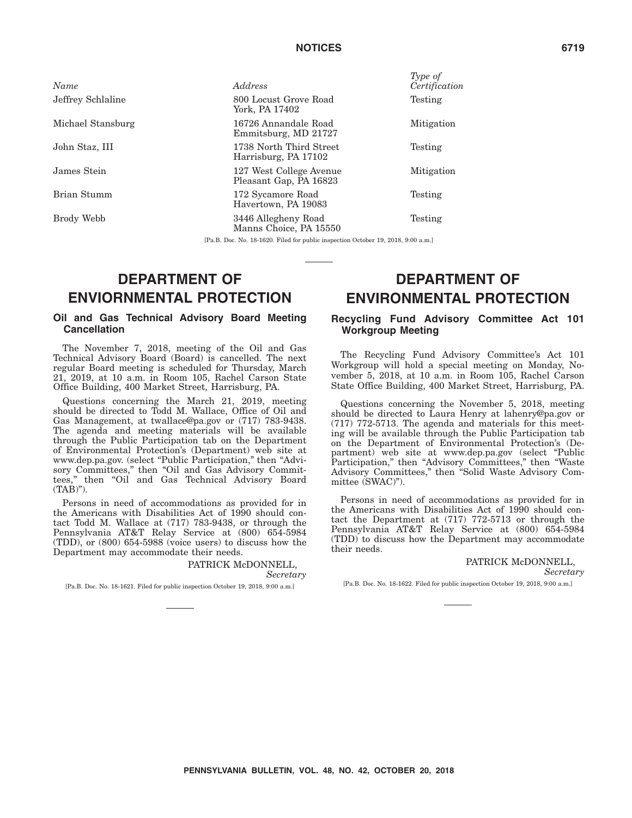*Name Address*

# Jeffrey Schlaline 800 Locust Grove Road York, PA 17402 Michael Stansburg 16726 Annandale Road

John Staz, III 1738 North Third Street

James Stein 127 West College Avenue Pleasant Gap, PA 16823

Havertown, PA 19083

Brody Webb 3446 Allegheny Road

Emmitsburg, MD 21727

Harrisburg, PA 17102

Brian Stumm 172 Sycamore Road

Manns Choice, PA 15550

*Type of Certification* Testing

Mitigation

Testing

Mitigation

Testing

Testing

[Pa.B. Doc. No. 18-1620. Filed for public inspection October 19, 2018, 9:00 a.m.]

# **DEPARTMENT OF ENVIORNMENTAL PROTECTION**

#### **Oil and Gas Technical Advisory Board Meeting Cancellation**

The November 7, 2018, meeting of the Oil and Gas Technical Advisory Board (Board) is cancelled. The next regular Board meeting is scheduled for Thursday, March 21, 2019, at 10 a.m. in Room 105, Rachel Carson State Office Building, 400 Market Street, Harrisburg, PA.

Questions concerning the March 21, 2019, meeting should be directed to Todd M. Wallace, Office of Oil and Gas Management, at twallace@pa.gov or (717) 783-9438. The agenda and meeting materials will be available through the Public Participation tab on the Department of Environmental Protection's (Department) web site at www.dep.pa.gov. (select "Public Participation," then "Advisory Committees," then "Oil and Gas Advisory Committees,'' then ''Oil and Gas Technical Advisory Board (TAB)'').

Persons in need of accommodations as provided for in the Americans with Disabilities Act of 1990 should contact Todd M. Wallace at (717) 783-9438, or through the Pennsylvania AT&T Relay Service at (800) 654-5984 (TDD), or (800) 654-5988 (voice users) to discuss how the Department may accommodate their needs.

#### PATRICK McDONNELL, *Secretary*

[Pa.B. Doc. No. 18-1621. Filed for public inspection October 19, 2018, 9:00 a.m.]

# **DEPARTMENT OF ENVIRONMENTAL PROTECTION**

### **Recycling Fund Advisory Committee Act 101 Workgroup Meeting**

The Recycling Fund Advisory Committee's Act 101 Workgroup will hold a special meeting on Monday, November 5, 2018, at 10 a.m. in Room 105, Rachel Carson State Office Building, 400 Market Street, Harrisburg, PA.

Questions concerning the November 5, 2018, meeting should be directed to Laura Henry at lahenry@pa.gov or (717) 772-5713. The agenda and materials for this meeting will be available through the Public Participation tab on the Department of Environmental Protection's (Department) web site at www.dep.pa.gov (select ''Public Participation,'' then ''Advisory Committees,'' then ''Waste Advisory Committees,'' then ''Solid Waste Advisory Committee (SWAC)'').

Persons in need of accommodations as provided for in the Americans with Disabilities Act of 1990 should contact the Department at (717) 772-5713 or through the Pennsylvania AT&T Relay Service at (800) 654-5984 (TDD) to discuss how the Department may accommodate their needs.

> PATRICK McDONNELL, *Secretary*

[Pa.B. Doc. No. 18-1622. Filed for public inspection October 19, 2018, 9:00 a.m.]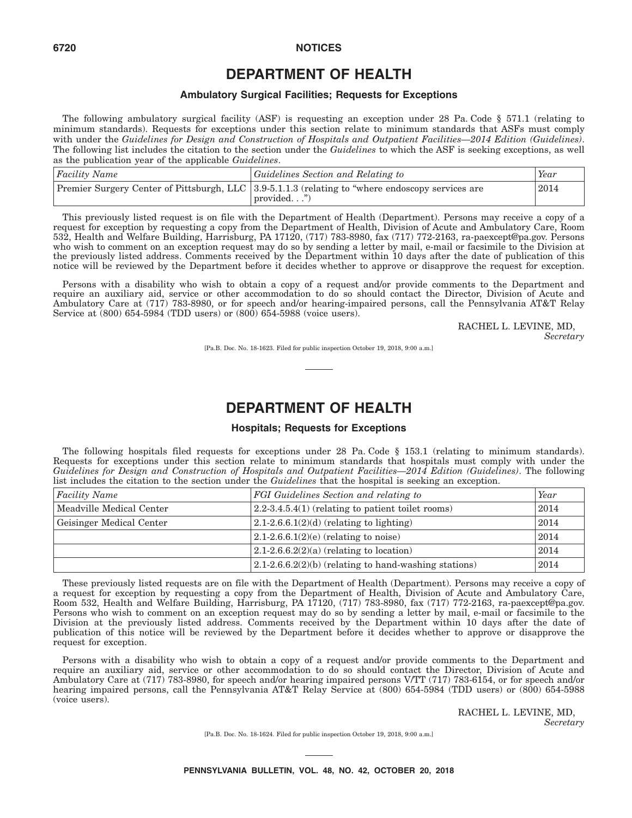# **DEPARTMENT OF HEALTH**

#### **Ambulatory Surgical Facilities; Requests for Exceptions**

The following ambulatory surgical facility (ASF) is requesting an exception under 28 Pa. Code § 571.1 (relating to minimum standards). Requests for exceptions under this section relate to minimum standards that ASFs must comply with under the *Guidelines for Design and Construction of Hospitals and Outpatient Facilities—2014 Edition (Guidelines)*. The following list includes the citation to the section under the *Guidelines* to which the ASF is seeking exceptions, as well as the publication year of the applicable *Guidelines*.

| $ Facility\ Name$ | <i><u><b>Guidelines Section and Relating to</b></u></i>                                                          | Year |
|-------------------|------------------------------------------------------------------------------------------------------------------|------|
|                   | Premier Surgery Center of Pittsburgh, LLC 3.9-5.1.1.3 (relating to "where endoscopy services are<br>$provided$ " | 2014 |

This previously listed request is on file with the Department of Health (Department). Persons may receive a copy of a request for exception by requesting a copy from the Department of Health, Division of Acute and Ambulatory Care, Room 532, Health and Welfare Building, Harrisburg, PA 17120, (717) 783-8980, fax (717) 772-2163, ra-paexcept@pa.gov. Persons who wish to comment on an exception request may do so by sending a letter by mail, e-mail or facsimile to the Division at the previously listed address. Comments received by the Department within 10 days after the date of publication of this notice will be reviewed by the Department before it decides whether to approve or disapprove the request for exception.

Persons with a disability who wish to obtain a copy of a request and/or provide comments to the Department and require an auxiliary aid, service or other accommodation to do so should contact the Director, Division of Acute and Ambulatory Care at (717) 783-8980, or for speech and/or hearing-impaired persons, call the Pennsylvania AT&T Relay Service at (800) 654-5984 (TDD users) or (800) 654-5988 (voice users).

> RACHEL L. LEVINE, MD, *Secretary*

[Pa.B. Doc. No. 18-1623. Filed for public inspection October 19, 2018, 9:00 a.m.]

# **DEPARTMENT OF HEALTH**

#### **Hospitals; Requests for Exceptions**

The following hospitals filed requests for exceptions under 28 Pa. Code § 153.1 (relating to minimum standards). Requests for exceptions under this section relate to minimum standards that hospitals must comply with under the *Guidelines for Design and Construction of Hospitals and Outpatient Facilities—2014 Edition (Guidelines)*. The following list includes the citation to the section under the *Guidelines* that the hospital is seeking an exception.

| <b>Facility Name</b>     | <b>FGI</b> Guidelines Section and relating to                | Year |
|--------------------------|--------------------------------------------------------------|------|
| Meadville Medical Center | $2.2\n-3.4\n-5.4(1)$ (relating to patient toilet rooms)      | 2014 |
| Geisinger Medical Center | $ 2.1-2.6.6.1(2)(d)$ (relating to lighting)                  |      |
|                          | $(2.1-2.6.6.1(2)(e)$ (relating to noise)                     | 2014 |
|                          | $(2.1-2.6.6.2(2)(a)$ (relating to location)                  | 2014 |
|                          | $(2.1\n-2.6\n-6.2(2)(b)$ (relating to hand-washing stations) | 2014 |

These previously listed requests are on file with the Department of Health (Department). Persons may receive a copy of a request for exception by requesting a copy from the Department of Health, Division of Acute and Ambulatory Care, Room 532, Health and Welfare Building, Harrisburg, PA 17120, (717) 783-8980, fax (717) 772-2163, ra-paexcept@pa.gov. Persons who wish to comment on an exception request may do so by sending a letter by mail, e-mail or facsimile to the Division at the previously listed address. Comments received by the Department within 10 days after the date of publication of this notice will be reviewed by the Department before it decides whether to approve or disapprove the request for exception.

Persons with a disability who wish to obtain a copy of a request and/or provide comments to the Department and require an auxiliary aid, service or other accommodation to do so should contact the Director, Division of Acute and Ambulatory Care at (717) 783-8980, for speech and/or hearing impaired persons V/TT (717) 783-6154, or for speech and/or hearing impaired persons, call the Pennsylvania AT&T Relay Service at (800) 654-5984 (TDD users) or (800) 654-5988 (voice users).

> RACHEL L. LEVINE, MD, *Secretary*

[Pa.B. Doc. No. 18-1624. Filed for public inspection October 19, 2018, 9:00 a.m.]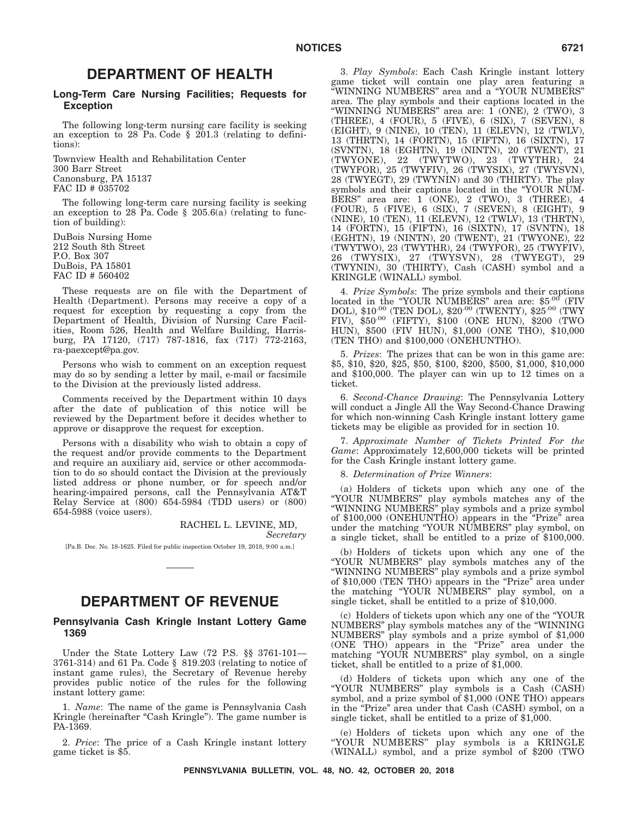### **DEPARTMENT OF HEALTH**

#### **Long-Term Care Nursing Facilities; Requests for Exception**

The following long-term nursing care facility is seeking an exception to 28 Pa. Code § 201.3 (relating to definitions):

Townview Health and Rehabilitation Center 300 Barr Street Canonsburg, PA 15137 FAC ID # 035702

The following long-term care nursing facility is seeking an exception to 28 Pa. Code § 205.6(a) (relating to function of building):

DuBois Nursing Home 212 South 8th Street P.O. Box 307 DuBois, PA 15801 FAC ID # 560402

These requests are on file with the Department of Health (Department). Persons may receive a copy of a request for exception by requesting a copy from the Department of Health, Division of Nursing Care Facilities, Room 526, Health and Welfare Building, Harrisburg, PA 17120, (717) 787-1816, fax (717) 772-2163, ra-paexcept@pa.gov.

Persons who wish to comment on an exception request may do so by sending a letter by mail, e-mail or facsimile to the Division at the previously listed address.

Comments received by the Department within 10 days after the date of publication of this notice will be reviewed by the Department before it decides whether to approve or disapprove the request for exception.

Persons with a disability who wish to obtain a copy of the request and/or provide comments to the Department and require an auxiliary aid, service or other accommodation to do so should contact the Division at the previously listed address or phone number, or for speech and/or hearing-impaired persons, call the Pennsylvania AT&T Relay Service at (800) 654-5984 (TDD users) or (800) 654-5988 (voice users).

> RACHEL L. LEVINE, MD, *Secretary*

[Pa.B. Doc. No. 18-1625. Filed for public inspection October 19, 2018, 9:00 a.m.]

### **DEPARTMENT OF REVENUE**

#### **Pennsylvania Cash Kringle Instant Lottery Game 1369**

Under the State Lottery Law (72 P.S. §§ 3761-101— 3761-314) and 61 Pa. Code § 819.203 (relating to notice of instant game rules), the Secretary of Revenue hereby provides public notice of the rules for the following instant lottery game:

1. *Name*: The name of the game is Pennsylvania Cash Kringle (hereinafter "Cash Kringle"). The game number is PA-1369.

2. *Price*: The price of a Cash Kringle instant lottery game ticket is \$5.

3. *Play Symbols*: Each Cash Kringle instant lottery game ticket will contain one play area featuring a ''WINNING NUMBERS'' area and a ''YOUR NUMBERS'' area. The play symbols and their captions located in the ''WINNING NUMBERS'' area are: 1 (ONE), 2 (TWO), 3 (THREE), 4 (FOUR), 5 (FIVE), 6 (SIX), 7 (SEVEN), 8 (EIGHT), 9 (NINE), 10 (TEN), 11 (ELEVN), 12 (TWLV), 13 (THRTN), 14 (FORTN), 15 (FIFTN), 16 (SIXTN), 17 (SVNTN), 18 (EGHTN), 19 (NINTN), 20 (TWENT), 21 (TWYONE), 22 (TWYTWO), 23 (TWYTHR), 24 (TWYFOR), 25 (TWYFIV), 26 (TWYSIX), 27 (TWYSVN), 28 (TWYEGT), 29 (TWYNIN) and 30 (THIRTY). The play symbols and their captions located in the ''YOUR NUM-BERS" area are:  $1$  (ONE), 2 (TWO), 3 (THREE), 4 (FOUR), 5 (FIVE), 6 (SIX), 7 (SEVEN), 8 (EIGHT), 9 (NINE), 10 (TEN), 11 (ELEVN), 12 (TWLV), 13 (THRTN), 14 (FORTN), 15 (FIFTN), 16 (SIXTN), 17 (SVNTN), 18 (EGHTN), 19 (NINTN), 20 (TWENT), 21 (TWYONE), 22 (TWYTWO), 23 (TWYTHR), 24 (TWYFOR), 25 (TWYFIV), 26 (TWYSIX), 27 (TWYSVN), 28 (TWYEGT), 29 (TWYNIN), 30 (THIRTY), Cash (CASH) symbol and a KRINGLE (WINALL) symbol.

4. *Prize Symbols*: The prize symbols and their captions located in the "YOUR NUMBERS" area are: \$5.00 (FIV DOL), \$10.00 (TEN DOL), \$20.00 (TWENTY), \$25.00 (TWY FIV), \$50.00 (FIFTY), \$100 (ONE HUN), \$200 (TWO HUN), \$500 (FIV HUN), \$1,000 (ONE THO), \$10,000 (TEN THO) and \$100,000 (ONEHUNTHO).

5. *Prizes*: The prizes that can be won in this game are: \$5, \$10, \$20, \$25, \$50, \$100, \$200, \$500, \$1,000, \$10,000 and \$100,000. The player can win up to 12 times on a ticket.

6. *Second-Chance Drawing*: The Pennsylvania Lottery will conduct a Jingle All the Way Second-Chance Drawing for which non-winning Cash Kringle instant lottery game tickets may be eligible as provided for in section 10.

7. *Approximate Number of Tickets Printed For the Game*: Approximately 12,600,000 tickets will be printed for the Cash Kringle instant lottery game.

8. *Determination of Prize Winners*:

(a) Holders of tickets upon which any one of the ''YOUR NUMBERS'' play symbols matches any of the ''WINNING NUMBERS'' play symbols and a prize symbol of \$100,000 (ONEHUNTHO) appears in the ''Prize'' area under the matching ''YOUR NUMBERS'' play symbol, on a single ticket, shall be entitled to a prize of \$100,000.

(b) Holders of tickets upon which any one of the ''YOUR NUMBERS'' play symbols matches any of the ''WINNING NUMBERS'' play symbols and a prize symbol of \$10,000 (TEN THO) appears in the "Prize" area under the matching ''YOUR NUMBERS'' play symbol, on a single ticket, shall be entitled to a prize of \$10,000.

(c) Holders of tickets upon which any one of the ''YOUR NUMBERS'' play symbols matches any of the ''WINNING NUMBERS'' play symbols and a prize symbol of \$1,000 (ONE THO) appears in the "Prize" area under the matching ''YOUR NUMBERS'' play symbol, on a single ticket, shall be entitled to a prize of \$1,000.

(d) Holders of tickets upon which any one of the ''YOUR NUMBERS'' play symbols is a Cash (CASH) symbol, and a prize symbol of \$1,000 (ONE THO) appears in the "Prize" area under that Cash (CASH) symbol, on a single ticket, shall be entitled to a prize of \$1,000.

(e) Holders of tickets upon which any one of the ''YOUR NUMBERS'' play symbols is a KRINGLE (WINALL) symbol, and a prize symbol of \$200 (TWO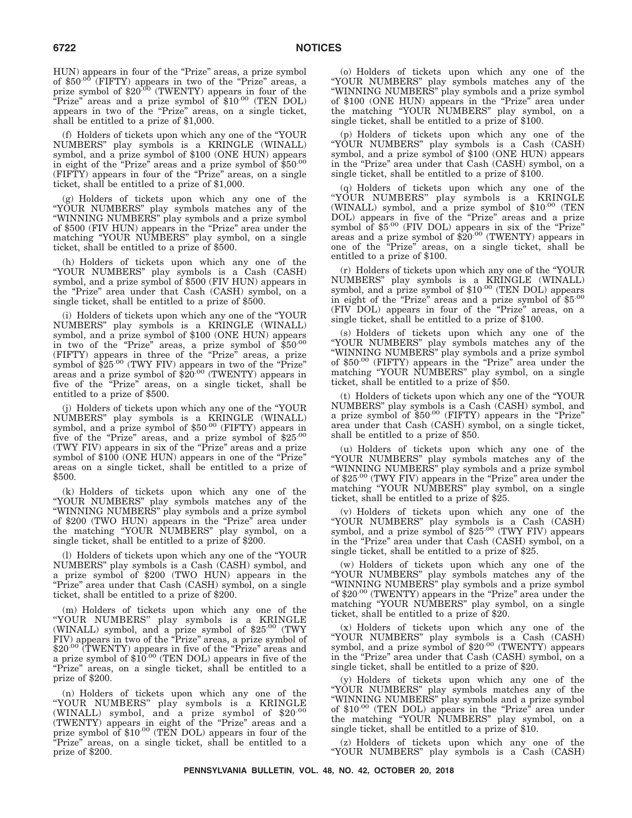HUN) appears in four of the "Prize" areas, a prize symbol<br>of \$50<sup>.00</sup> (FIFTY) appears in two of the "Prize" areas, a prize symbol of  $$20^{.00}$  (TWENTY) appears in four of the  $\overline{P}$ rize" areas and a prize symbol of \$10.00 (TEN DOL) appears in two of the "Prize" areas, on a single ticket, shall be entitled to a prize of \$1,000.

(f) Holders of tickets upon which any one of the ''YOUR NUMBERS'' play symbols is a KRINGLE (WINALL) symbol, and a prize symbol of \$100 (ONE HUN) appears in eight of the "Prize" areas and a prize symbol of  $$50^{00}$ (FIFTY) appears in four of the "Prize" areas, on a single ticket, shall be entitled to a prize of \$1,000.

(g) Holders of tickets upon which any one of the ''YOUR NUMBERS'' play symbols matches any of the ''WINNING NUMBERS'' play symbols and a prize symbol of \$500 (FIV HUN) appears in the "Prize" area under the matching ''YOUR NUMBERS'' play symbol, on a single ticket, shall be entitled to a prize of \$500.

(h) Holders of tickets upon which any one of the ''YOUR NUMBERS'' play symbols is a Cash (CASH) symbol, and a prize symbol of \$500 (FIV HUN) appears in the "Prize" area under that Cash (CASH) symbol, on a single ticket, shall be entitled to a prize of \$500.

(i) Holders of tickets upon which any one of the ''YOUR NUMBERS'' play symbols is a KRINGLE (WINALL) symbol, and a prize symbol of \$100 (ONE HUN) appears in two of the "Prize" areas, a prize symbol of \$50.00 (FIFTY) appears in three of the "Prize" areas, a prize symbol of  $$25^{.00}$  (TWY FIV) appears in two of the "Prize" areas and a prize symbol of  $$20^{.00}$  (TWENTY) appears in five of the "Prize" areas, on a single ticket, shall be entitled to a prize of \$500.

(j) Holders of tickets upon which any one of the ''YOUR NUMBERS'' play symbols is a KRINGLE (WINALL) symbol, and a prize symbol of \$50.00 (FIFTY) appears in five of the "Prize" areas, and a prize symbol of  $$25\cdot^{00}$ (TWY FIV) appears in six of the "Prize" areas and a prize symbol of \$100 (ONE HUN) appears in one of the "Prize" areas on a single ticket, shall be entitled to a prize of \$500.

(k) Holders of tickets upon which any one of the ''YOUR NUMBERS'' play symbols matches any of the ''WINNING NUMBERS'' play symbols and a prize symbol of \$200 (TWO HUN) appears in the "Prize" area under the matching "YOUR NUMBERS" play symbol, on a single ticket, shall be entitled to a prize of \$200.

(l) Holders of tickets upon which any one of the ''YOUR NUMBERS'' play symbols is a Cash (CASH) symbol, and a prize symbol of \$200 (TWO HUN) appears in the "Prize" area under that Cash (CASH) symbol, on a single ticket, shall be entitled to a prize of \$200.

(m) Holders of tickets upon which any one of the "YOUR NUMBERS" play symbols is a KRINGLE (WINALL) symbol, and a prize symbol of \$25.00 (TWY FIV) appears in two of the "Prize" areas, a prize symbol of \$20<sup>.00</sup> (TWENTY) appears in five of the "Prize" areas and a prize symbol of \$10.00 (TEN DOL) appears in five of the "Prize" areas, on a single ticket, shall be entitled to a prize of \$200.

(n) Holders of tickets upon which any one of the ''YOUR NUMBERS'' play symbols is a KRINGLE (WINALL) symbol, and a prize symbol of \$20.00 (TWENTY) appears in eight of the ''Prize'' areas and a prize symbol of \$10.00 (TEN DOL) appears in four of the ''Prize'' areas, on a single ticket, shall be entitled to a prize of \$200.

(o) Holders of tickets upon which any one of the ''YOUR NUMBERS'' play symbols matches any of the ''WINNING NUMBERS'' play symbols and a prize symbol of \$100 (ONE HUN) appears in the "Prize" area under the matching ''YOUR NUMBERS'' play symbol, on a single ticket, shall be entitled to a prize of \$100.

(p) Holders of tickets upon which any one of the ''YOUR NUMBERS'' play symbols is a Cash (CASH) symbol, and a prize symbol of \$100 (ONE HUN) appears in the "Prize" area under that Cash (CASH) symbol, on a single ticket, shall be entitled to a prize of \$100.

(q) Holders of tickets upon which any one of the ''YOUR NUMBERS'' play symbols is a KRINGLE (WINALL) symbol, and a prize symbol of  $$10^{.00}$  (TEN DOL) appears in five of the "Prize" areas and a prize symbol of \$5<sup>.00</sup> (FIV DOL) appears in six of the "Prize" areas and a prize symbol of  $$20^{.00}$  (TWENTY) appears in one of the ''Prize'' areas, on a single ticket, shall be entitled to a prize of \$100.

(r) Holders of tickets upon which any one of the ''YOUR NUMBERS" play symbols is a KRINGLE (WINALL)<br>symbol, and a prize symbol of \$10<sup>.00</sup> (TEN DOL) appears in eight of the "Prize" areas and a prize symbol of \$5.00 (FIV DOL) appears in four of the ''Prize'' areas, on a single ticket, shall be entitled to a prize of \$100.

(s) Holders of tickets upon which any one of the ''YOUR NUMBERS'' play symbols matches any of the ''WINNING NUMBERS'' play symbols and a prize symbol of  $$50^{.00}$  (FIFTY) appears in the "Prize" area under the matching ''YOUR NUMBERS'' play symbol, on a single ticket, shall be entitled to a prize of \$50.

(t) Holders of tickets upon which any one of the ''YOUR NUMBERS'' play symbols is a Cash (CASH) symbol, and a prize symbol of  $$50^{.00}$  (FIFTY) appears in the "Prize" area under that Cash (CASH) symbol, on a single ticket, shall be entitled to a prize of \$50.

(u) Holders of tickets upon which any one of the ''YOUR NUMBERS'' play symbols matches any of the ''WINNING NUMBERS'' play symbols and a prize symbol of \$25.00 (TWY FIV) appears in the "Prize" area under the matching "YOUR NUMBERS" play symbol, on a single ticket, shall be entitled to a prize of \$25.

(v) Holders of tickets upon which any one of the "YOUR NUMBERS" play symbols is a Cash (CASH)<br>symbol, and a prize symbol of \$25.00 (TWY FIV) appears in the "Prize" area under that Cash (CASH) symbol, on a single ticket, shall be entitled to a prize of \$25.

(w) Holders of tickets upon which any one of the ''YOUR NUMBERS'' play symbols matches any of the "WINNING NUMBERS" play symbols and a prize symbol<br>of \$20<sup>.00</sup> (TWENTY) appears in the "Prize" area under the matching "YOUR NUMBERS" play symbol, on a single ticket, shall be entitled to a prize of \$20.

(x) Holders of tickets upon which any one of the "YOUR NUMBERS" play symbols is a Cash (CASH)<br>symbol, and a prize symbol of \$20<sup>.00</sup> (TWENTY) appears in the "Prize" area under that Cash (CASH) symbol, on a single ticket, shall be entitled to a prize of \$20.

(y) Holders of tickets upon which any one of the ''YOUR NUMBERS'' play symbols matches any of the ''WINNING NUMBERS'' play symbols and a prize symbol of \$10.00 (TEN DOL) appears in the "Prize" area under the matching ''YOUR NUMBERS'' play symbol, on a single ticket, shall be entitled to a prize of \$10.

(z) Holders of tickets upon which any one of the ''YOUR NUMBERS'' play symbols is a Cash (CASH)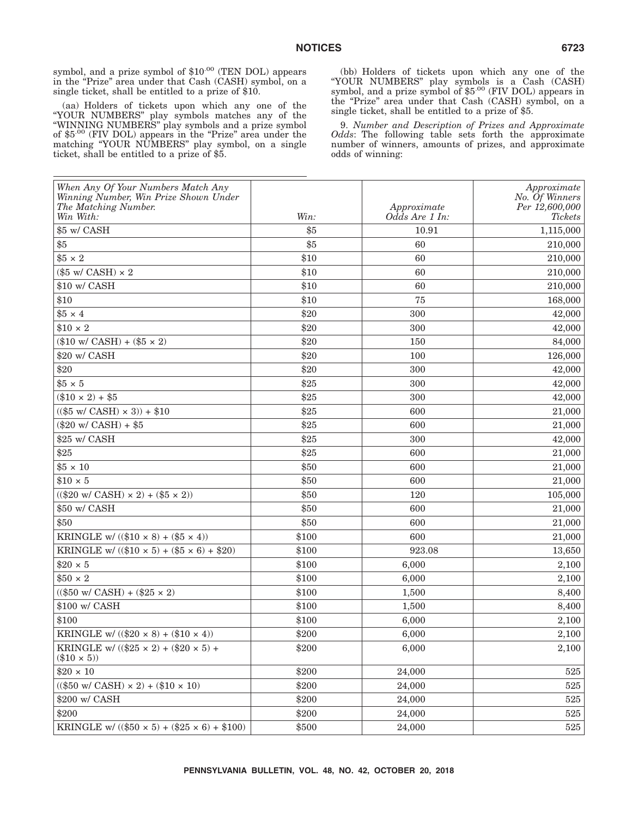symbol, and a prize symbol of \$10<sup>.00</sup> (TEN DOL) appears in the "Prize" area under that Cash (CASH) symbol, on a single ticket, shall be entitled to a prize of \$10.

(aa) Holders of tickets upon which any one of the ''YOUR NUMBERS'' play symbols matches any of the ''WINNING NUMBERS'' play symbols and a prize symbol of \$5.00 (FIV DOL) appears in the "Prize" area under the matching ''YOUR NUMBERS'' play symbol, on a single ticket, shall be entitled to a prize of \$5.

(bb) Holders of tickets upon which any one of the "YOUR NUMBERS" play symbols is a Cash (CASH)<br>symbol, and a prize symbol of \$5<sup>.00</sup> (FIV DOL) appears in the "Prize" area under that Cash (CASH) symbol, on a single ticket, shall be entitled to a prize of \$5.

9. *Number and Description of Prizes and Approximate Odds*: The following table sets forth the approximate number of winners, amounts of prizes, and approximate odds of winning:

| When Any Of Your Numbers Match Any<br>Winning Number, Win Prize Shown Under<br>The Matching Number.<br>Win With: | Win:  | Approximate<br>Odds Are 1 In: | Approximate<br>No. Of Winners<br>Per 12,600,000<br>Tickets |
|------------------------------------------------------------------------------------------------------------------|-------|-------------------------------|------------------------------------------------------------|
| \$5 w/ CASH                                                                                                      | \$5   | 10.91                         | 1,115,000                                                  |
| \$5                                                                                                              | \$5   | 60                            | 210,000                                                    |
| $$5 \times 2$                                                                                                    | \$10  | 60                            | 210,000                                                    |
| $(\$5 \text{ w/CASH}) \times 2$                                                                                  | \$10  | 60                            | 210,000                                                    |
| \$10 w/ CASH                                                                                                     | \$10  | 60                            | 210,000                                                    |
| \$10                                                                                                             | \$10  | 75                            | 168,000                                                    |
| $$5 \times 4$                                                                                                    | \$20  | 300                           | 42,000                                                     |
| $$10 \times 2$                                                                                                   | \$20  | 300                           | 42,000                                                     |
| $(\$10 \text{ w/CASH}) + (\$5 \times 2)$                                                                         | \$20  | 150                           | 84,000                                                     |
| \$20 w/ CASH                                                                                                     | \$20  | 100                           | 126,000                                                    |
| \$20                                                                                                             | \$20  | 300                           | 42,000                                                     |
| $$5 \times 5$                                                                                                    | \$25  | 300                           | 42,000                                                     |
| $(\$10 \times 2) + \$5$                                                                                          | \$25  | 300                           | 42,000                                                     |
| $((\$5 \text{ w/CASH}) \times 3)) + \$10$                                                                        | \$25  | 600                           | 21,000                                                     |
| $(\$20 \text{ w/CASH}) + \$5$                                                                                    | \$25  | 600                           | 21,000                                                     |
| \$25 w/ CASH                                                                                                     | \$25  | 300                           | 42,000                                                     |
| \$25                                                                                                             | \$25  | 600                           | 21,000                                                     |
| $$5 \times 10$                                                                                                   | \$50  | 600                           | 21,000                                                     |
| $$10 \times 5$                                                                                                   | \$50  | 600                           | 21,000                                                     |
| $((\$20 \text{ w/CASH}) \times 2) + (\$5 \times 2))$                                                             | \$50  | 120                           | 105,000                                                    |
| \$50 w/ CASH                                                                                                     | \$50  | 600                           | 21,000                                                     |
| \$50                                                                                                             | \$50  | 600                           | 21,000                                                     |
| KRINGLE w/ $((\$10 \times 8) + (\$5 \times 4))$                                                                  | \$100 | 600                           | 21,000                                                     |
| KRINGLE w/ $((\$10 \times 5) + (\$5 \times 6) + \$20)$                                                           | \$100 | 923.08                        | 13,650                                                     |
| $$20 \times 5$                                                                                                   | \$100 | 6,000                         | 2,100                                                      |
| $$50 \times 2$                                                                                                   | \$100 | 6,000                         | 2,100                                                      |
| $(($50 w/CASH) + ($25 \times 2)$                                                                                 | \$100 | 1,500                         | 8,400                                                      |
| \$100 w/ CASH                                                                                                    | \$100 | 1,500                         | 8,400                                                      |
| \$100                                                                                                            | \$100 | 6,000                         | 2,100                                                      |
| KRINGLE w/ $((\$20 \times 8) + (\$10 \times 4))$                                                                 | \$200 | 6,000                         | 2,100                                                      |
| KRINGLE w/ $((\$25 \times 2) + (\$20 \times 5) +$<br>$(\$10 \times 5)$                                           | \$200 | 6,000                         | 2,100                                                      |
| $$20 \times 10$                                                                                                  | \$200 | 24,000                        | 525                                                        |
| $(($50 w/CASH) \times 2) + ($10 \times 10)$                                                                      | \$200 | 24,000                        | $525\,$                                                    |
| \$200 w/ CASH                                                                                                    | \$200 | 24,000                        | $525\,$                                                    |
| \$200                                                                                                            | \$200 | 24,000                        | 525                                                        |
| KRINGLE w/ $((\$50 \times 5) + (\$25 \times 6) + \$100)$                                                         | \$500 | 24,000                        | 525                                                        |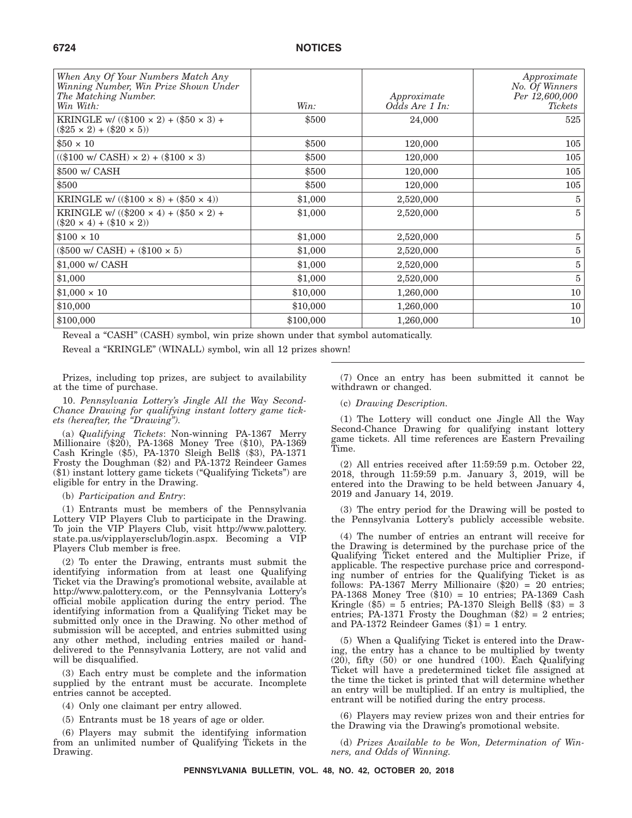| When Any Of Your Numbers Match Any<br>Winning Number, Win Prize Shown Under<br>The Matching Number.<br>Win With: | Win:      | Approximate<br>Odds Are 1 In: | Approximate<br>No. Of Winners<br>Per 12,600,000<br><i>Tickets</i> |
|------------------------------------------------------------------------------------------------------------------|-----------|-------------------------------|-------------------------------------------------------------------|
| KRINGLE w/ $((\$100 \times 2) + (\$50 \times 3) +$<br>$(\$25 \times 2) + ($20 \times 5)$                         | \$500     | 24,000                        | 525                                                               |
| $$50 \times 10$                                                                                                  | \$500     | 120,000                       | 105                                                               |
| $(($100 w/CASH) \times 2) + ($100 \times 3)$                                                                     | \$500     | 120,000                       | 105                                                               |
| \$500 w/ CASH                                                                                                    | \$500     | 120,000                       | 105                                                               |
| \$500                                                                                                            | \$500     | 120,000                       | 105                                                               |
| KRINGLE w/ $((\$100 \times 8) + (\$50 \times 4))$                                                                | \$1,000   | 2,520,000                     | 5                                                                 |
| KRINGLE w/ $((\$200 \times 4) + (\$50 \times 2) +$<br>$(\$20 \times 4) + ($10 \times 2)$                         | \$1,000   | 2,520,000                     | 5                                                                 |
| $$100 \times 10$                                                                                                 | \$1,000   | 2,520,000                     | 5                                                                 |
| $(\$500 \text{ w/CASH}) + (\$100 \times 5)$                                                                      | \$1,000   | 2,520,000                     | 5                                                                 |
| $$1,000 \text{ w}$ CASH                                                                                          | \$1,000   | 2,520,000                     | 5                                                                 |
| \$1,000                                                                                                          | \$1,000   | 2,520,000                     | 5                                                                 |
| $$1,000 \times 10$                                                                                               | \$10,000  | 1,260,000                     | 10                                                                |
| \$10,000                                                                                                         | \$10,000  | 1,260,000                     | 10                                                                |
| \$100,000                                                                                                        | \$100,000 | 1,260,000                     | 10 <sup>°</sup>                                                   |

Reveal a "CASH" (CASH) symbol, win prize shown under that symbol automatically.

Reveal a "KRINGLE" (WINALL) symbol, win all 12 prizes shown!

Prizes, including top prizes, are subject to availability at the time of purchase.

10. *Pennsylvania Lottery's Jingle All the Way Second-Chance Drawing for qualifying instant lottery game tickets (hereafter, the ''Drawing'').*

(a) *Qualifying Tickets*: Non-winning PA-1367 Merry Millionaire (\$20), PA-1368 Money Tree (\$10), PA-1369 Cash Kringle (\$5), PA-1370 Sleigh Bell\$ (\$3), PA-1371 Frosty the Doughman (\$2) and PA-1372 Reindeer Games (\$1) instant lottery game tickets (''Qualifying Tickets'') are eligible for entry in the Drawing.

#### (b) *Participation and Entry*:

(1) Entrants must be members of the Pennsylvania Lottery VIP Players Club to participate in the Drawing. To join the VIP Players Club, visit http://www.palottery. state.pa.us/vipplayersclub/login.aspx. Becoming a VIP Players Club member is free.

(2) To enter the Drawing, entrants must submit the identifying information from at least one Qualifying Ticket via the Drawing's promotional website, available at http://www.palottery.com, or the Pennsylvania Lottery's official mobile application during the entry period. The identifying information from a Qualifying Ticket may be submitted only once in the Drawing. No other method of submission will be accepted, and entries submitted using any other method, including entries mailed or handdelivered to the Pennsylvania Lottery, are not valid and will be disqualified.

(3) Each entry must be complete and the information supplied by the entrant must be accurate. Incomplete entries cannot be accepted.

- (4) Only one claimant per entry allowed.
- (5) Entrants must be 18 years of age or older.

(6) Players may submit the identifying information from an unlimited number of Qualifying Tickets in the Drawing.

(7) Once an entry has been submitted it cannot be withdrawn or changed.

#### (c) *Drawing Description.*

(1) The Lottery will conduct one Jingle All the Way Second-Chance Drawing for qualifying instant lottery game tickets. All time references are Eastern Prevailing Time.

(2) All entries received after 11:59:59 p.m. October 22, 2018, through 11:59:59 p.m. January 3, 2019, will be entered into the Drawing to be held between January 4, 2019 and January 14, 2019.

(3) The entry period for the Drawing will be posted to the Pennsylvania Lottery's publicly accessible website.

(4) The number of entries an entrant will receive for the Drawing is determined by the purchase price of the Qualifying Ticket entered and the Multiplier Prize, if applicable. The respective purchase price and corresponding number of entries for the Qualifying Ticket is as follows: PA-1367 Merry Millionaire (\$20) = 20 entries; PA-1368 Money Tree (\$10) = 10 entries; PA-1369 Cash Kringle  $(\$5) = 5$  entries; PA-1370 Sleigh Bell $%$   $(\$3) = 3$ entries; PA-1371 Frosty the Doughman (\$2) = 2 entries; and PA-1372 Reindeer Games  $(\$1) = 1$  entry.

(5) When a Qualifying Ticket is entered into the Drawing, the entry has a chance to be multiplied by twenty (20), fifty (50) or one hundred (100). Each Qualifying Ticket will have a predetermined ticket file assigned at the time the ticket is printed that will determine whether an entry will be multiplied. If an entry is multiplied, the entrant will be notified during the entry process.

(6) Players may review prizes won and their entries for the Drawing via the Drawing's promotional website.

(d) *Prizes Available to be Won, Determination of Winners, and Odds of Winning.*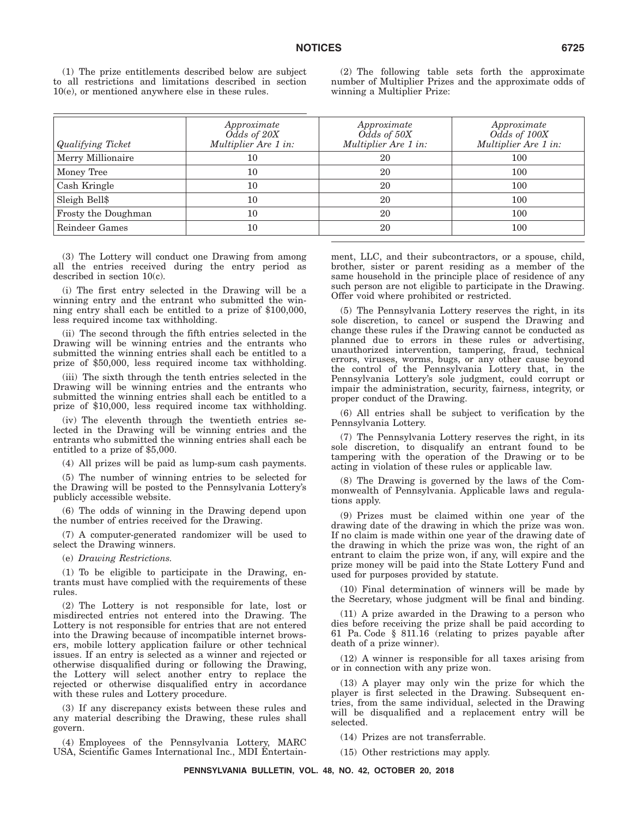(1) The prize entitlements described below are subject to all restrictions and limitations described in section 10(e), or mentioned anywhere else in these rules.

(2) The following table sets forth the approximate number of Multiplier Prizes and the approximate odds of winning a Multiplier Prize:

| Qualifying Ticket   | Approximate<br>Odds of 20X<br>Multiplier Are 1 in: | Approximate<br>Odds of 50X<br>Multiplier Are 1 in: | Approximate<br>Odds of 100X<br>Multiplier Are 1 in: |
|---------------------|----------------------------------------------------|----------------------------------------------------|-----------------------------------------------------|
| Merry Millionaire   | 10                                                 | 20                                                 | 100                                                 |
| Money Tree          | 10                                                 | 20                                                 | 100                                                 |
| Cash Kringle        | 10                                                 | 20                                                 | 100                                                 |
| Sleigh Bell\$       | 10                                                 | 20                                                 | 100                                                 |
| Frosty the Doughman | 10                                                 | 20                                                 | 100                                                 |
| Reindeer Games      | 10                                                 | 20                                                 | 100                                                 |

(3) The Lottery will conduct one Drawing from among all the entries received during the entry period as described in section 10(c).

(i) The first entry selected in the Drawing will be a winning entry and the entrant who submitted the winning entry shall each be entitled to a prize of \$100,000, less required income tax withholding.

(ii) The second through the fifth entries selected in the Drawing will be winning entries and the entrants who submitted the winning entries shall each be entitled to a prize of \$50,000, less required income tax withholding.

(iii) The sixth through the tenth entries selected in the Drawing will be winning entries and the entrants who submitted the winning entries shall each be entitled to a prize of \$10,000, less required income tax withholding.

(iv) The eleventh through the twentieth entries selected in the Drawing will be winning entries and the entrants who submitted the winning entries shall each be entitled to a prize of \$5,000.

(4) All prizes will be paid as lump-sum cash payments.

(5) The number of winning entries to be selected for the Drawing will be posted to the Pennsylvania Lottery's publicly accessible website.

(6) The odds of winning in the Drawing depend upon the number of entries received for the Drawing.

(7) A computer-generated randomizer will be used to select the Drawing winners.

(e) *Drawing Restrictions.*

(1) To be eligible to participate in the Drawing, entrants must have complied with the requirements of these rules.

(2) The Lottery is not responsible for late, lost or misdirected entries not entered into the Drawing. The Lottery is not responsible for entries that are not entered into the Drawing because of incompatible internet browsers, mobile lottery application failure or other technical issues. If an entry is selected as a winner and rejected or otherwise disqualified during or following the Drawing, the Lottery will select another entry to replace the rejected or otherwise disqualified entry in accordance with these rules and Lottery procedure.

(3) If any discrepancy exists between these rules and any material describing the Drawing, these rules shall govern.

(4) Employees of the Pennsylvania Lottery, MARC USA, Scientific Games International Inc., MDI Entertainment, LLC, and their subcontractors, or a spouse, child, brother, sister or parent residing as a member of the same household in the principle place of residence of any such person are not eligible to participate in the Drawing. Offer void where prohibited or restricted.

(5) The Pennsylvania Lottery reserves the right, in its sole discretion, to cancel or suspend the Drawing and change these rules if the Drawing cannot be conducted as planned due to errors in these rules or advertising, unauthorized intervention, tampering, fraud, technical errors, viruses, worms, bugs, or any other cause beyond the control of the Pennsylvania Lottery that, in the Pennsylvania Lottery's sole judgment, could corrupt or impair the administration, security, fairness, integrity, or proper conduct of the Drawing.

(6) All entries shall be subject to verification by the Pennsylvania Lottery.

(7) The Pennsylvania Lottery reserves the right, in its sole discretion, to disqualify an entrant found to be tampering with the operation of the Drawing or to be acting in violation of these rules or applicable law.

(8) The Drawing is governed by the laws of the Commonwealth of Pennsylvania. Applicable laws and regulations apply.

(9) Prizes must be claimed within one year of the drawing date of the drawing in which the prize was won. If no claim is made within one year of the drawing date of the drawing in which the prize was won, the right of an entrant to claim the prize won, if any, will expire and the prize money will be paid into the State Lottery Fund and used for purposes provided by statute.

(10) Final determination of winners will be made by the Secretary, whose judgment will be final and binding.

(11) A prize awarded in the Drawing to a person who dies before receiving the prize shall be paid according to 61 Pa. Code § 811.16 (relating to prizes payable after death of a prize winner).

(12) A winner is responsible for all taxes arising from or in connection with any prize won.

(13) A player may only win the prize for which the player is first selected in the Drawing. Subsequent entries, from the same individual, selected in the Drawing will be disqualified and a replacement entry will be selected.

(14) Prizes are not transferrable.

(15) Other restrictions may apply.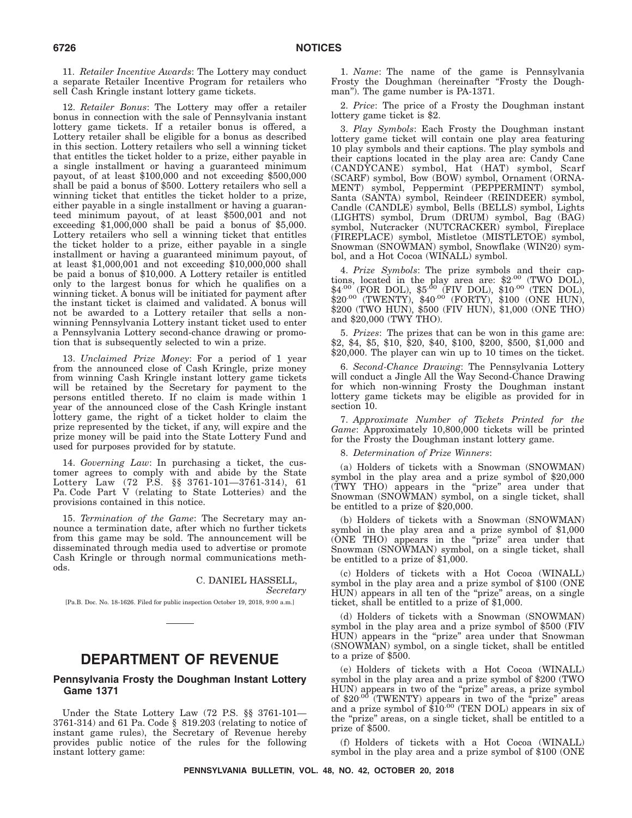11. *Retailer Incentive Awards*: The Lottery may conduct a separate Retailer Incentive Program for retailers who sell Cash Kringle instant lottery game tickets.

12. *Retailer Bonus*: The Lottery may offer a retailer bonus in connection with the sale of Pennsylvania instant lottery game tickets. If a retailer bonus is offered, a Lottery retailer shall be eligible for a bonus as described in this section. Lottery retailers who sell a winning ticket that entitles the ticket holder to a prize, either payable in a single installment or having a guaranteed minimum payout, of at least \$100,000 and not exceeding \$500,000 shall be paid a bonus of \$500. Lottery retailers who sell a winning ticket that entitles the ticket holder to a prize, either payable in a single installment or having a guaranteed minimum payout, of at least \$500,001 and not exceeding \$1,000,000 shall be paid a bonus of \$5,000. Lottery retailers who sell a winning ticket that entitles the ticket holder to a prize, either payable in a single installment or having a guaranteed minimum payout, of at least \$1,000,001 and not exceeding \$10,000,000 shall be paid a bonus of \$10,000. A Lottery retailer is entitled only to the largest bonus for which he qualifies on a winning ticket. A bonus will be initiated for payment after the instant ticket is claimed and validated. A bonus will not be awarded to a Lottery retailer that sells a nonwinning Pennsylvania Lottery instant ticket used to enter a Pennsylvania Lottery second-chance drawing or promotion that is subsequently selected to win a prize.

13. *Unclaimed Prize Money*: For a period of 1 year from the announced close of Cash Kringle, prize money from winning Cash Kringle instant lottery game tickets will be retained by the Secretary for payment to the persons entitled thereto. If no claim is made within 1 year of the announced close of the Cash Kringle instant lottery game, the right of a ticket holder to claim the prize represented by the ticket, if any, will expire and the prize money will be paid into the State Lottery Fund and used for purposes provided for by statute.

14. *Governing Law*: In purchasing a ticket, the customer agrees to comply with and abide by the State Lottery Law (72 P.S. §§ 3761-101—3761-314), 61 Pa. Code Part V (relating to State Lotteries) and the provisions contained in this notice.

15. *Termination of the Game*: The Secretary may announce a termination date, after which no further tickets from this game may be sold. The announcement will be disseminated through media used to advertise or promote Cash Kringle or through normal communications methods.

> C. DANIEL HASSELL, *Secretary*

[Pa.B. Doc. No. 18-1626. Filed for public inspection October 19, 2018, 9:00 a.m.]

# **DEPARTMENT OF REVENUE**

#### **Pennsylvania Frosty the Doughman Instant Lottery Game 1371**

Under the State Lottery Law (72 P.S. §§ 3761-101— 3761-314) and 61 Pa. Code § 819.203 (relating to notice of instant game rules), the Secretary of Revenue hereby provides public notice of the rules for the following instant lottery game:

1. *Name*: The name of the game is Pennsylvania Frosty the Doughman (hereinafter "Frosty the Doughman"). The game number is PA-1371.

2. *Price*: The price of a Frosty the Doughman instant lottery game ticket is \$2.

3. *Play Symbols*: Each Frosty the Doughman instant lottery game ticket will contain one play area featuring 10 play symbols and their captions. The play symbols and their captions located in the play area are: Candy Cane (CANDYCANE) symbol, Hat (HAT) symbol, Scarf (SCARF) symbol, Bow (BOW) symbol, Ornament (ORNA-MENT) symbol, Peppermint (PEPPERMINT) symbol, Santa (SANTA) symbol, Reindeer (REINDEER) symbol, Candle (CANDLE) symbol, Bells (BELLS) symbol, Lights (LIGHTS) symbol, Drum (DRUM) symbol, Bag (BAG) symbol, Nutcracker (NUTCRACKER) symbol, Fireplace (FIREPLACE) symbol, Mistletoe (MISTLETOE) symbol, Snowman (SNOWMAN) symbol, Snowflake (WIN20) symbol, and a Hot Cocoa (WINALL) symbol.

4. *Prize Symbols*: The prize symbols and their captions, located in the play area are:  $$2^{.00}$  (TWO DOL),  $$4^{.00}$  (FOR DOL), \$5<sup>.00</sup> (FIV DOL), \$10<sup>.00</sup> (TEN DOL),  $$20^{.00}$  (TWENTY),  $$40^{.00}$  (FORTY),  $$100$  (ONE HUN), \$200 (TWO HUN), \$500 (FIV HUN), \$1,000 (ONE THO) and \$20,000 (TWY THO).

5. *Prizes*: The prizes that can be won in this game are: \$2, \$4, \$5, \$10, \$20, \$40, \$100, \$200, \$500, \$1,000 and \$20,000. The player can win up to 10 times on the ticket.

6. *Second-Chance Drawing*: The Pennsylvania Lottery will conduct a Jingle All the Way Second-Chance Drawing for which non-winning Frosty the Doughman instant lottery game tickets may be eligible as provided for in section 10.

7. *Approximate Number of Tickets Printed for the Game*: Approximately 10,800,000 tickets will be printed for the Frosty the Doughman instant lottery game.

8. *Determination of Prize Winners*:

(a) Holders of tickets with a Snowman (SNOWMAN) symbol in the play area and a prize symbol of \$20,000 (TWY THO) appears in the ''prize'' area under that Snowman (SNOWMAN) symbol, on a single ticket, shall be entitled to a prize of \$20,000.

(b) Holders of tickets with a Snowman (SNOWMAN) symbol in the play area and a prize symbol of \$1,000 (ONE THO) appears in the ''prize'' area under that Snowman (SNOWMAN) symbol, on a single ticket, shall be entitled to a prize of \$1,000.

(c) Holders of tickets with a Hot Cocoa (WINALL) symbol in the play area and a prize symbol of \$100 (ONE HUN) appears in all ten of the "prize" areas, on a single ticket, shall be entitled to a prize of \$1,000.

(d) Holders of tickets with a Snowman (SNOWMAN) symbol in the play area and a prize symbol of \$500 (FIV HUN) appears in the "prize" area under that Snowman (SNOWMAN) symbol, on a single ticket, shall be entitled to a prize of \$500.

(e) Holders of tickets with a Hot Cocoa (WINALL) symbol in the play area and a prize symbol of \$200 (TWO HUN) appears in two of the "prize" areas, a prize symbol of  $$20^{.00}$  (TWENTY) appears in two of the "prize" areas and a prize symbol of \$10.00 (TEN DOL) appears in six of the ''prize'' areas, on a single ticket, shall be entitled to a prize of \$500.

(f) Holders of tickets with a Hot Cocoa (WINALL) symbol in the play area and a prize symbol of \$100 (ONE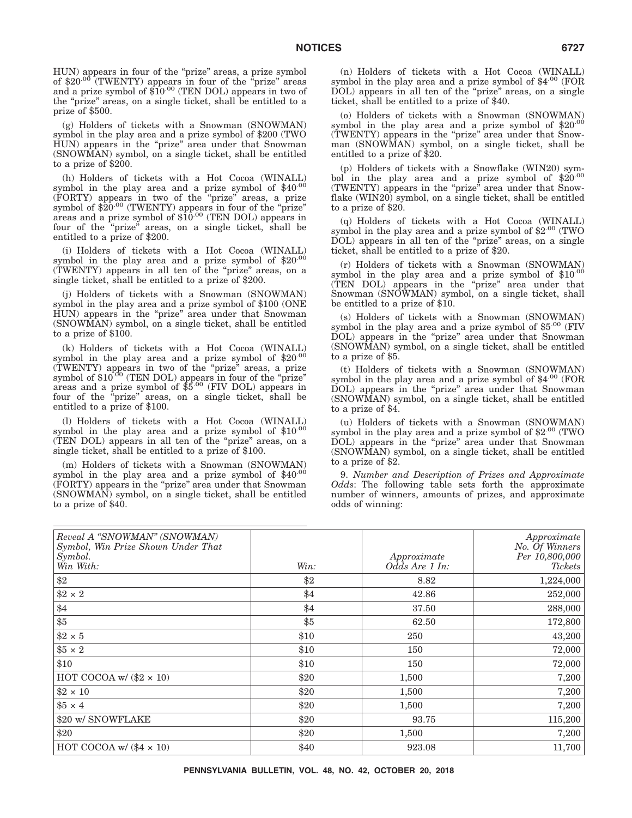HUN) appears in four of the "prize" areas, a prize symbol<br>of \$20<sup>.00</sup> (TWENTY) appears in four of the "prize" areas and a prize symbol of \$10.00 (TEN DOL) appears in two of the "prize" areas, on a single ticket, shall be entitled to a prize of \$500.

(g) Holders of tickets with a Snowman (SNOWMAN) symbol in the play area and a prize symbol of \$200 (TWO HUN) appears in the "prize" area under that Snowman (SNOWMAN) symbol, on a single ticket, shall be entitled to a prize of \$200.

(h) Holders of tickets with a Hot Cocoa (WINALL) symbol in the play area and a prize symbol of  $$40^{.00}$ (FORTY) appears in two of the ''prize'' areas, a prize symbol of \$20.00 (TWENTY) appears in four of the "prize" areas and a prize symbol of  $$10^{00}$  (TEN DOL) appears in four of the ''prize'' areas, on a single ticket, shall be entitled to a prize of \$200.

(i) Holders of tickets with a Hot Cocoa (WINALL) symbol in the play area and a prize symbol of \$20.00 (TWENTY) appears in all ten of the ''prize'' areas, on a single ticket, shall be entitled to a prize of \$200.

(j) Holders of tickets with a Snowman (SNOWMAN) symbol in the play area and a prize symbol of \$100 (ONE HUN) appears in the "prize" area under that Snowman (SNOWMAN) symbol, on a single ticket, shall be entitled to a prize of \$100.

(k) Holders of tickets with a Hot Cocoa (WINALL) symbol in the play area and a prize symbol of \$20.00 (TWENTY) appears in two of the "prize" areas, a prize<br>symbol of \$10<sup>.00</sup> (TEN DOL) appears in four of the "prize" areas and a prize symbol of \$5.00 (FIV DOL) appears in four of the "prize" areas, on a single ticket, shall be entitled to a prize of \$100.

(l) Holders of tickets with a Hot Cocoa (WINALL) symbol in the play area and a prize symbol of  $$10^{-00}$ (TEN DOL) appears in all ten of the ''prize'' areas, on a single ticket, shall be entitled to a prize of \$100.

(m) Holders of tickets with a Snowman (SNOWMAN) symbol in the play area and a prize symbol of \$40.00 (FORTY) appears in the ''prize'' area under that Snowman (SNOWMAN) symbol, on a single ticket, shall be entitled to a prize of \$40.

(n) Holders of tickets with a Hot Cocoa (WINALL) symbol in the play area and a prize symbol of  $$4^{.00}$  (FOR DOL) appears in all ten of the ''prize'' areas, on a single ticket, shall be entitled to a prize of \$40.

(o) Holders of tickets with a Snowman (SNOWMAN) symbol in the play area and a prize symbol of  $$20^{00}$ (TWENTY) appears in the "prize" area under that Snowman (SNOWMAN) symbol, on a single ticket, shall be entitled to a prize of \$20.

(p) Holders of tickets with a Snowflake (WIN20) symbol in the play area and a prize symbol of  $$20^{.00}$ (TWENTY) appears in the "prize" area under that Snowflake (WIN20) symbol, on a single ticket, shall be entitled to a prize of \$20.

(q) Holders of tickets with a Hot Cocoa (WINALL) symbol in the play area and a prize symbol of  $$2^{.00}$  (TWO DOL) appears in all ten of the "prize" areas, on a single ticket, shall be entitled to a prize of \$20.

(r) Holders of tickets with a Snowman (SNOWMAN) symbol in the play area and a prize symbol of \$10.00 (TEN DOL) appears in the "prize" area under that Snowman (SNOWMAN) symbol, on a single ticket, shall be entitled to a prize of \$10.

(s) Holders of tickets with a Snowman (SNOWMAN) symbol in the play area and a prize symbol of  $$5^{.00}$  (FIV DOL) appears in the "prize" area under that Snowman (SNOWMAN) symbol, on a single ticket, shall be entitled to a prize of \$5.

(t) Holders of tickets with a Snowman (SNOWMAN) symbol in the play area and a prize symbol of \$4.00 (FOR DOL) appears in the "prize" area under that Snowman (SNOWMAN) symbol, on a single ticket, shall be entitled to a prize of \$4.

(u) Holders of tickets with a Snowman (SNOWMAN) symbol in the play area and a prize symbol of \$2.00 (TWO DOL) appears in the "prize" area under that Snowman (SNOWMAN) symbol, on a single ticket, shall be entitled to a prize of \$2.

9. *Number and Description of Prizes and Approximate Odds*: The following table sets forth the approximate number of winners, amounts of prizes, and approximate odds of winning:

| Reveal A "SNOWMAN" (SNOWMAN)<br>Symbol, Win Prize Shown Under That<br>$\mathcal{S}$ <i>symbol.</i><br>Win With: | Win: | Approximate<br>Odds Are 1 In: | Approximate<br>No. Of Winners<br>Per 10,800,000<br>Tickets |
|-----------------------------------------------------------------------------------------------------------------|------|-------------------------------|------------------------------------------------------------|
| $\$2$                                                                                                           | \$2  | 8.82                          | 1,224,000                                                  |
| $\$2 \times 2$                                                                                                  | \$4  | 42.86                         | 252,000                                                    |
| \$4                                                                                                             | \$4  | 37.50                         | 288,000                                                    |
| $\$5$                                                                                                           | \$5  | 62.50                         | 172,800                                                    |
| $\$2 \times 5$                                                                                                  | \$10 | 250                           | 43,200                                                     |
| $\$5 \times 2$                                                                                                  | \$10 | 150                           | 72,000                                                     |
| \$10                                                                                                            | \$10 | 150                           | 72,000                                                     |
| HOT COCOA w/ $(\$2 \times 10)$                                                                                  | \$20 | 1,500                         | 7,200                                                      |
| $$2 \times 10$                                                                                                  | \$20 | 1,500                         | 7,200                                                      |
| $$5 \times 4$                                                                                                   | \$20 | 1,500                         | 7,200                                                      |
| \$20 w/ SNOWFLAKE                                                                                               | \$20 | 93.75                         | 115,200                                                    |
| \$20                                                                                                            | \$20 | 1,500                         | 7,200                                                      |
| $HOT COCOA w/(44 \times 10)$                                                                                    | \$40 | 923.08                        | 11,700                                                     |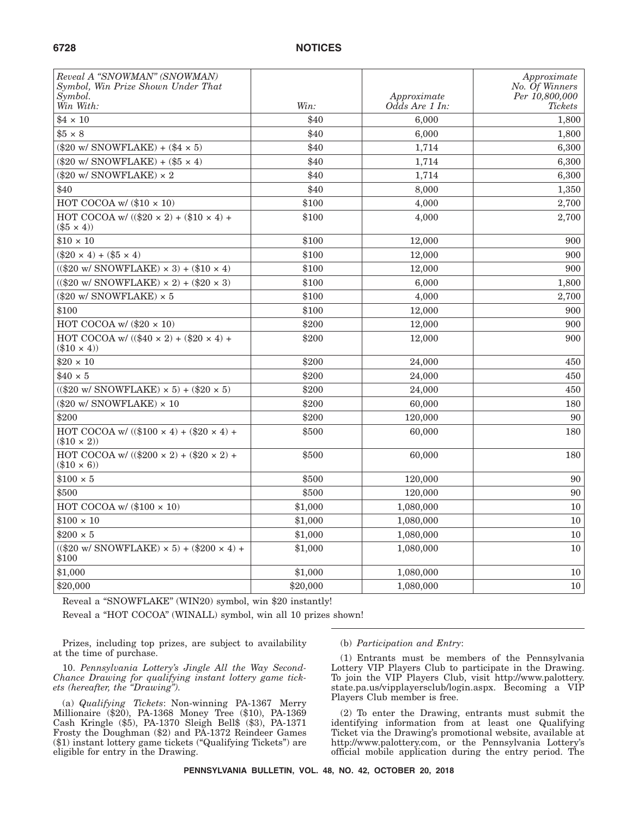| Reveal A "SNOWMAN" (SNOWMAN)<br>Symbol, Win Prize Shown Under That<br>Symbol. |          | Approximate    | Approximate<br>No. Of Winners<br>Per 10,800,000 |
|-------------------------------------------------------------------------------|----------|----------------|-------------------------------------------------|
| Win With:                                                                     | Win:     | Odds Are 1 In: | <b>Tickets</b>                                  |
| $$4 \times 10$                                                                | \$40     | 6,000          | 1,800                                           |
| $$5 \times 8$                                                                 | \$40     | 6,000          | 1,800                                           |
| $(\$20$ w/ SNOWFLAKE) + $(\$4 \times 5)$                                      | \$40     | 1,714          | 6,300                                           |
| $(\$20$ w/ SNOWFLAKE) + $(\$5 \times 4)$                                      | \$40     | 1,714          | 6,300                                           |
| (\$20 w/ SNOWFLAKE) $\times$ 2                                                | \$40     | 1,714          | $6{,}300$                                       |
| \$40                                                                          | \$40     | 8,000          | 1,350                                           |
| HOT COCOA w/ $(\$10 \times 10)$                                               | \$100    | 4,000          | 2,700                                           |
| HOT COCOA w/ $((\$20 \times 2) + (\$10 \times 4) +$<br>$(\$5 \times 4)$       | \$100    | 4,000          | 2,700                                           |
| $$10 \times 10$                                                               | \$100    | 12,000         | 900                                             |
| $(\$20 \times 4) + ($5 \times 4)$                                             | \$100    | 12,000         | 900                                             |
| $((\$20 \text{ w}/ \text{SNOWFLAKE}) \times 3) + (\$10 \times 4)$             | \$100    | 12,000         | 900                                             |
| $((\$20 \text{ w}/ \text{SNOWFLAKE}) \times 2) + (\$20 \times 3)$             | \$100    | 6,000          | 1,800                                           |
| $(\$20 w / SNOWFLAKE) \times 5$                                               | \$100    | 4,000          | 2,700                                           |
| \$100                                                                         | \$100    | 12,000         | 900                                             |
| HOT COCOA w/ $(\$20 \times 10)$                                               | \$200    | 12,000         | 900                                             |
| HOT COCOA w/ $((\$40 \times 2) + (\$20 \times 4) +$<br>$(\$10 \times 4)$      | \$200    | 12,000         | 900                                             |
| $$20 \times 10$                                                               | \$200    | 24,000         | 450                                             |
| $$40 \times 5$                                                                | \$200    | 24,000         | 450                                             |
| $((\$20 \text{ w/SNOWLEDAKE}) \times 5) + (\$20 \times 5)$                    | \$200    | 24,000         | 450                                             |
| $(\$20$ w/ SNOWFLAKE) $\times$ 10                                             | \$200    | 60,000         | 180                                             |
| \$200                                                                         | \$200    | 120,000        | 90                                              |
| HOT COCOA w/ $((\$100 \times 4) + (\$20 \times 4) +$<br>$(\$10 \times 2)$     | \$500    | 60,000         | 180                                             |
| HOT COCOA w/ $((\$200 \times 2) + (\$20 \times 2) +$<br>$(\$10 \times 6)$     | \$500    | 60,000         | 180                                             |
| $$100 \times 5$                                                               | \$500    | 120,000        | 90                                              |
| \$500                                                                         | \$500    | 120,000        | 90                                              |
| HOT COCOA w/ $(\$100 \times 10)$                                              | \$1,000  | 1,080,000      | 10                                              |
| $$100 \times 10$                                                              | \$1,000  | 1,080,000      | 10                                              |
| $$200 \times 5$                                                               | \$1,000  | 1,080,000      | 10                                              |
| $((\$20 \text{ w/SNOWLEDE} \times 5) + (\$200 \times 4) +$<br>\$100           | \$1,000  | 1,080,000      | 10                                              |
| \$1,000                                                                       | \$1,000  | 1,080,000      | 10                                              |
| \$20,000                                                                      | \$20,000 | 1,080,000      | 10                                              |

Reveal a "SNOWFLAKE" (WIN20) symbol, win \$20 instantly!

Reveal a "HOT COCOA" (WINALL) symbol, win all 10 prizes shown!

Prizes, including top prizes, are subject to availability at the time of purchase.

10. *Pennsylvania Lottery's Jingle All the Way Second-Chance Drawing for qualifying instant lottery game tickets (hereafter, the ''Drawing'').*

(a) *Qualifying Tickets*: Non-winning PA-1367 Merry Millionaire (\$20), PA-1368 Money Tree (\$10), PA-1369 Cash Kringle (\$5), PA-1370 Sleigh Bell\$ (\$3), PA-1371 Frosty the Doughman (\$2) and PA-1372 Reindeer Games (\$1) instant lottery game tickets (''Qualifying Tickets'') are eligible for entry in the Drawing.

(b) *Participation and Entry*:

(1) Entrants must be members of the Pennsylvania Lottery VIP Players Club to participate in the Drawing. To join the VIP Players Club, visit http://www.palottery. state.pa.us/vipplayersclub/login.aspx. Becoming a VIP Players Club member is free.

(2) To enter the Drawing, entrants must submit the identifying information from at least one Qualifying Ticket via the Drawing's promotional website, available at http://www.palottery.com, or the Pennsylvania Lottery's official mobile application during the entry period. The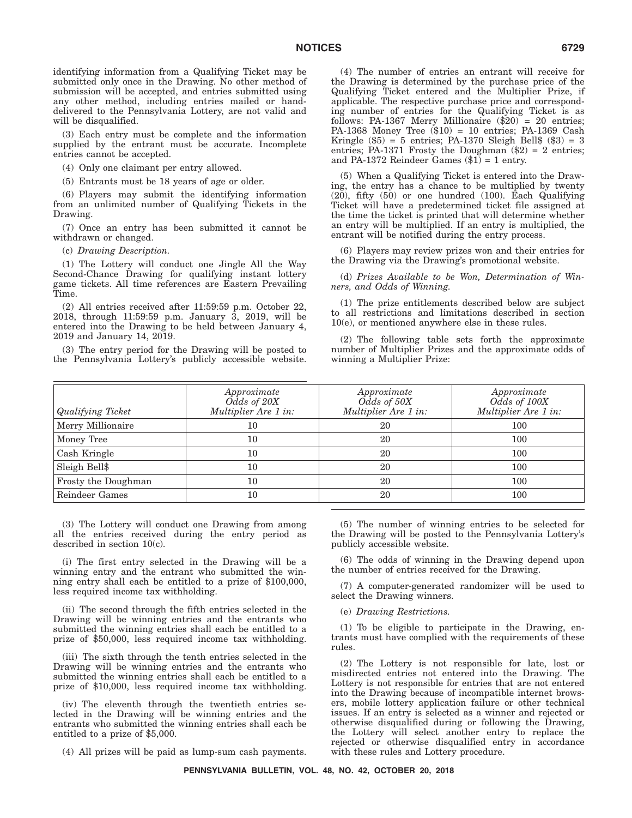identifying information from a Qualifying Ticket may be submitted only once in the Drawing. No other method of submission will be accepted, and entries submitted using any other method, including entries mailed or handdelivered to the Pennsylvania Lottery, are not valid and will be disqualified.

(3) Each entry must be complete and the information supplied by the entrant must be accurate. Incomplete entries cannot be accepted.

(4) Only one claimant per entry allowed.

(5) Entrants must be 18 years of age or older.

(6) Players may submit the identifying information from an unlimited number of Qualifying Tickets in the Drawing.

(7) Once an entry has been submitted it cannot be withdrawn or changed.

(c) *Drawing Description.*

(1) The Lottery will conduct one Jingle All the Way Second-Chance Drawing for qualifying instant lottery game tickets. All time references are Eastern Prevailing Time.

(2) All entries received after 11:59:59 p.m. October 22, 2018, through 11:59:59 p.m. January 3, 2019, will be entered into the Drawing to be held between January 4, 2019 and January 14, 2019.

(3) The entry period for the Drawing will be posted to the Pennsylvania Lottery's publicly accessible website.

(4) The number of entries an entrant will receive for the Drawing is determined by the purchase price of the Qualifying Ticket entered and the Multiplier Prize, if applicable. The respective purchase price and corresponding number of entries for the Qualifying Ticket is as follows: PA-1367 Merry Millionaire (\$20) = 20 entries; PA-1368 Money Tree (\$10) = 10 entries; PA-1369 Cash Kringle (\$5) = 5 entries; PA-1370 Sleigh Bell\$ (\$3) = 3 entries; PA-1371 Frosty the Doughman  $(\$2) = 2$  entries; and PA-1372 Reindeer Games  $(\$1) = 1$  entry.

(5) When a Qualifying Ticket is entered into the Drawing, the entry has a chance to be multiplied by twenty (20), fifty (50) or one hundred (100). Each Qualifying Ticket will have a predetermined ticket file assigned at the time the ticket is printed that will determine whether an entry will be multiplied. If an entry is multiplied, the entrant will be notified during the entry process.

(6) Players may review prizes won and their entries for the Drawing via the Drawing's promotional website.

(d) *Prizes Available to be Won, Determination of Winners, and Odds of Winning.*

(1) The prize entitlements described below are subject to all restrictions and limitations described in section 10(e), or mentioned anywhere else in these rules.

(2) The following table sets forth the approximate number of Multiplier Prizes and the approximate odds of winning a Multiplier Prize:

| <b>Qualifying Ticket</b> | Approximate<br>$O\bar{d}ds$ of $20X$<br>Multiplier Are 1 in: | Approximate<br>$Odds \text{ of } 50X$<br>Multiplier Are 1 in: | Approximate<br>Odds of 100X<br>Multiplier Are 1 in: |
|--------------------------|--------------------------------------------------------------|---------------------------------------------------------------|-----------------------------------------------------|
| Merry Millionaire        | 10                                                           | 20                                                            | 100                                                 |
| Money Tree               | 10                                                           | 20                                                            | 100                                                 |
| Cash Kringle             | 10                                                           | 20                                                            | 100                                                 |
| Sleigh Bell\$            | 10                                                           | 20                                                            | 100                                                 |
| Frosty the Doughman      | 10                                                           | 20                                                            | 100                                                 |
| Reindeer Games           | 10                                                           | 20                                                            | 100                                                 |

(3) The Lottery will conduct one Drawing from among all the entries received during the entry period as described in section 10(c).

(i) The first entry selected in the Drawing will be a winning entry and the entrant who submitted the winning entry shall each be entitled to a prize of \$100,000, less required income tax withholding.

(ii) The second through the fifth entries selected in the Drawing will be winning entries and the entrants who submitted the winning entries shall each be entitled to a prize of \$50,000, less required income tax withholding.

(iii) The sixth through the tenth entries selected in the Drawing will be winning entries and the entrants who submitted the winning entries shall each be entitled to a prize of \$10,000, less required income tax withholding.

(iv) The eleventh through the twentieth entries selected in the Drawing will be winning entries and the entrants who submitted the winning entries shall each be entitled to a prize of \$5,000.

(4) All prizes will be paid as lump-sum cash payments.

(5) The number of winning entries to be selected for the Drawing will be posted to the Pennsylvania Lottery's publicly accessible website.

(6) The odds of winning in the Drawing depend upon the number of entries received for the Drawing.

(7) A computer-generated randomizer will be used to select the Drawing winners.

(e) *Drawing Restrictions.*

(1) To be eligible to participate in the Drawing, entrants must have complied with the requirements of these rules.

(2) The Lottery is not responsible for late, lost or misdirected entries not entered into the Drawing. The Lottery is not responsible for entries that are not entered into the Drawing because of incompatible internet browsers, mobile lottery application failure or other technical issues. If an entry is selected as a winner and rejected or otherwise disqualified during or following the Drawing, the Lottery will select another entry to replace the rejected or otherwise disqualified entry in accordance with these rules and Lottery procedure.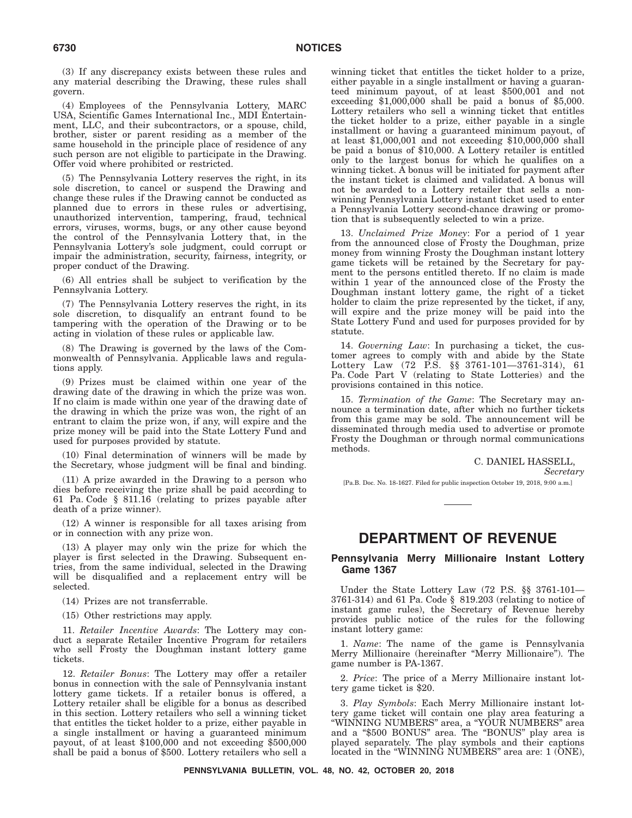(3) If any discrepancy exists between these rules and any material describing the Drawing, these rules shall govern.

(4) Employees of the Pennsylvania Lottery, MARC USA, Scientific Games International Inc., MDI Entertainment, LLC, and their subcontractors, or a spouse, child, brother, sister or parent residing as a member of the same household in the principle place of residence of any such person are not eligible to participate in the Drawing. Offer void where prohibited or restricted.

(5) The Pennsylvania Lottery reserves the right, in its sole discretion, to cancel or suspend the Drawing and change these rules if the Drawing cannot be conducted as planned due to errors in these rules or advertising, unauthorized intervention, tampering, fraud, technical errors, viruses, worms, bugs, or any other cause beyond the control of the Pennsylvania Lottery that, in the Pennsylvania Lottery's sole judgment, could corrupt or impair the administration, security, fairness, integrity, or proper conduct of the Drawing.

(6) All entries shall be subject to verification by the Pennsylvania Lottery.

(7) The Pennsylvania Lottery reserves the right, in its sole discretion, to disqualify an entrant found to be tampering with the operation of the Drawing or to be acting in violation of these rules or applicable law.

(8) The Drawing is governed by the laws of the Commonwealth of Pennsylvania. Applicable laws and regulations apply.

(9) Prizes must be claimed within one year of the drawing date of the drawing in which the prize was won. If no claim is made within one year of the drawing date of the drawing in which the prize was won, the right of an entrant to claim the prize won, if any, will expire and the prize money will be paid into the State Lottery Fund and used for purposes provided by statute.

(10) Final determination of winners will be made by the Secretary, whose judgment will be final and binding.

(11) A prize awarded in the Drawing to a person who dies before receiving the prize shall be paid according to 61 Pa. Code § 811.16 (relating to prizes payable after death of a prize winner).

(12) A winner is responsible for all taxes arising from or in connection with any prize won.

(13) A player may only win the prize for which the player is first selected in the Drawing. Subsequent entries, from the same individual, selected in the Drawing will be disqualified and a replacement entry will be selected.

(14) Prizes are not transferrable.

(15) Other restrictions may apply.

11. *Retailer Incentive Awards*: The Lottery may conduct a separate Retailer Incentive Program for retailers who sell Frosty the Doughman instant lottery game tickets.

12. *Retailer Bonus*: The Lottery may offer a retailer bonus in connection with the sale of Pennsylvania instant lottery game tickets. If a retailer bonus is offered, a Lottery retailer shall be eligible for a bonus as described in this section. Lottery retailers who sell a winning ticket that entitles the ticket holder to a prize, either payable in a single installment or having a guaranteed minimum payout, of at least \$100,000 and not exceeding \$500,000 shall be paid a bonus of \$500. Lottery retailers who sell a

winning ticket that entitles the ticket holder to a prize, either payable in a single installment or having a guaranteed minimum payout, of at least \$500,001 and not exceeding  $$1,000,000$  shall be paid a bonus of  $$5,000$ . Lottery retailers who sell a winning ticket that entitles the ticket holder to a prize, either payable in a single installment or having a guaranteed minimum payout, of at least \$1,000,001 and not exceeding \$10,000,000 shall be paid a bonus of \$10,000. A Lottery retailer is entitled only to the largest bonus for which he qualifies on a winning ticket. A bonus will be initiated for payment after the instant ticket is claimed and validated. A bonus will not be awarded to a Lottery retailer that sells a nonwinning Pennsylvania Lottery instant ticket used to enter a Pennsylvania Lottery second-chance drawing or promotion that is subsequently selected to win a prize.

13. *Unclaimed Prize Money*: For a period of 1 year from the announced close of Frosty the Doughman, prize money from winning Frosty the Doughman instant lottery game tickets will be retained by the Secretary for payment to the persons entitled thereto. If no claim is made within 1 year of the announced close of the Frosty the Doughman instant lottery game, the right of a ticket holder to claim the prize represented by the ticket, if any, will expire and the prize money will be paid into the State Lottery Fund and used for purposes provided for by statute.

14. *Governing Law*: In purchasing a ticket, the customer agrees to comply with and abide by the State Lottery Law (72 P.S. §§ 3761-101—3761-314), 61 Pa. Code Part V (relating to State Lotteries) and the provisions contained in this notice.

15. *Termination of the Game*: The Secretary may announce a termination date, after which no further tickets from this game may be sold. The announcement will be disseminated through media used to advertise or promote Frosty the Doughman or through normal communications methods.

> C. DANIEL HASSELL, *Secretary*

[Pa.B. Doc. No. 18-1627. Filed for public inspection October 19, 2018, 9:00 a.m.]

# **DEPARTMENT OF REVENUE**

#### **Pennsylvania Merry Millionaire Instant Lottery Game 1367**

Under the State Lottery Law (72 P.S. §§ 3761-101— 3761-314) and 61 Pa. Code § 819.203 (relating to notice of instant game rules), the Secretary of Revenue hereby provides public notice of the rules for the following instant lottery game:

1. *Name*: The name of the game is Pennsylvania Merry Millionaire (hereinafter ''Merry Millionaire''). The game number is PA-1367.

2. *Price*: The price of a Merry Millionaire instant lottery game ticket is \$20.

3. *Play Symbols*: Each Merry Millionaire instant lottery game ticket will contain one play area featuring a ''WINNING NUMBERS'' area, a ''YOUR NUMBERS'' area and a ''\$500 BONUS'' area. The ''BONUS'' play area is played separately. The play symbols and their captions located in the "WINNING NUMBERS" area are: 1 (ONE),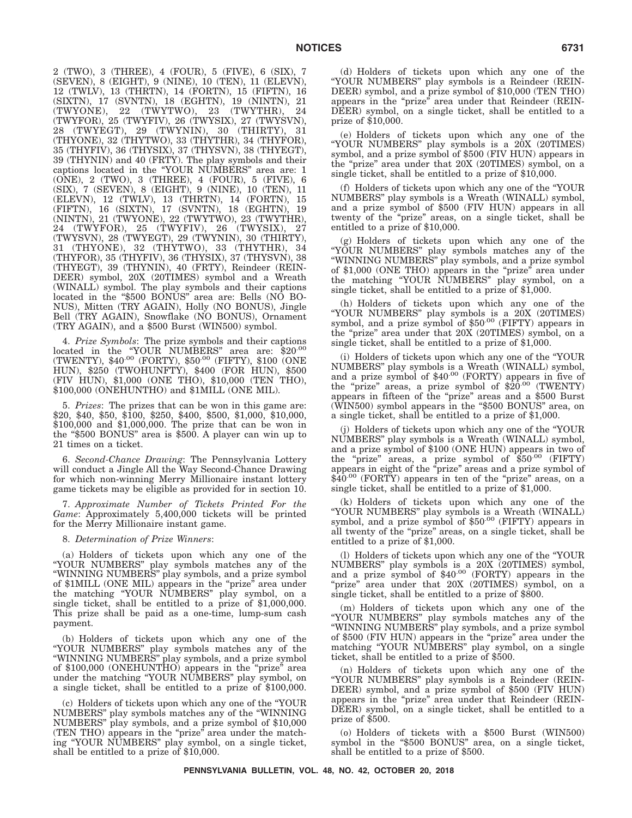2 (TWO), 3 (THREE), 4 (FOUR), 5 (FIVE), 6 (SIX), 7 (SEVEN), 8 (EIGHT), 9 (NINE), 10 (TEN), 11 (ELEVN), 12 (TWLV), 13 (THRTN), 14 (FORTN), 15 (FIFTN), 16 (SIXTN), 17 (SVNTN), 18 (EGHTN), 19 (NINTN), 21 (TWYONE), 22 (TWYTWO), 23 (TWYTHR), 24 (TWYFOR), 25 (TWYFIV), 26 (TWYSIX), 27 (TWYSVN), 28 (TWYEGT), 29 (TWYNIN), 30 (THIRTY), 31 (THYONE), 32 (THYTWO), 33 (THYTHR), 34 (THYFOR), 35 (THYFIV), 36 (THYSIX), 37 (THYSVN), 38 (THYEGT), 39 (THYNIN) and 40 (FRTY). The play symbols and their captions located in the ''YOUR NUMBERS'' area are: 1 (ONE), 2 (TWO), 3 (THREE), 4 (FOUR), 5 (FIVE), 6 (SIX), 7 (SEVEN), 8 (EIGHT), 9 (NINE), 10 (TEN), 11 (ELEVN), 12 (TWLV), 13 (THRTN), 14 (FORTN), 15 (FIFTN), 16 (SIXTN), 17 (SVNTN), 18 (EGHTN), 19 (NINTN), 21 (TWYONE), 22 (TWYTWO), 23 (TWYTHR), 24 (TWYFOR), 25 (TWYFIV), 26 (TWYSIX), 27 (TWYSVN), 28 (TWYEGT), 29 (TWYNIN), 30 (THIRTY), 31 (THYONE), 32 (THYTWO), 33 (THYTHR), 34 (THYFOR), 35 (THYFIV), 36 (THYSIX), 37 (THYSVN), 38 (THYEGT), 39 (THYNIN), 40 (FRTY), Reindeer (REIN-DEER) symbol, 20X (20TIMES) symbol and a Wreath (WINALL) symbol. The play symbols and their captions located in the "\$500 BONUS" area are: Bells (NO BO-NUS), Mitten (TRY AGAIN), Holly (NO BONUS), Jingle Bell (TRY AGAIN), Snowflake (NO BONUS), Ornament (TRY AGAIN), and a \$500 Burst (WIN500) symbol.

4. *Prize Symbols*: The prize symbols and their captions located in the "YOUR NUMBERS" area are: \$20.00 (TWENTY), \$40.00 (FORTY), \$50.00 (FIFTY), \$100 (ONE HUN), \$250 (TWOHUNFTY), \$400 (FOR HUN), \$500 (FIV HUN), \$1,000 (ONE THO), \$10,000 (TEN THO), \$100,000 (ONEHUNTHO) and \$1MILL (ONE MIL).

5. *Prizes*: The prizes that can be won in this game are: \$20, \$40, \$50, \$100, \$250, \$400, \$500, \$1,000, \$10,000, \$100,000 and \$1,000,000. The prize that can be won in the "\$500 BONUS" area is \$500. A player can win up to 21 times on a ticket.

6. *Second-Chance Drawing*: The Pennsylvania Lottery will conduct a Jingle All the Way Second-Chance Drawing for which non-winning Merry Millionaire instant lottery game tickets may be eligible as provided for in section 10.

7. *Approximate Number of Tickets Printed For the Game*: Approximately 5,400,000 tickets will be printed for the Merry Millionaire instant game.

#### 8. *Determination of Prize Winners*:

(a) Holders of tickets upon which any one of the ''YOUR NUMBERS'' play symbols matches any of the ''WINNING NUMBERS'' play symbols, and a prize symbol of \$1MILL (ONE MIL) appears in the "prize" area under the matching ''YOUR NUMBERS'' play symbol, on a single ticket, shall be entitled to a prize of \$1,000,000. This prize shall be paid as a one-time, lump-sum cash payment.

(b) Holders of tickets upon which any one of the ''YOUR NUMBERS'' play symbols matches any of the ''WINNING NUMBERS'' play symbols, and a prize symbol of \$100,000 (ONEHUNTHO) appears in the ''prize'' area under the matching ''YOUR NUMBERS'' play symbol, on a single ticket, shall be entitled to a prize of \$100,000.

(c) Holders of tickets upon which any one of the ''YOUR NUMBERS'' play symbols matches any of the ''WINNING NUMBERS'' play symbols, and a prize symbol of \$10,000 (TEN THO) appears in the ''prize'' area under the matching ''YOUR NUMBERS'' play symbol, on a single ticket, shall be entitled to a prize of \$10,000.

(d) Holders of tickets upon which any one of the ''YOUR NUMBERS'' play symbols is a Reindeer (REIN-DEER) symbol, and a prize symbol of \$10,000 (TEN THO) appears in the "prize" area under that Reindeer (REIN-DEER) symbol, on a single ticket, shall be entitled to a prize of \$10,000.

(e) Holders of tickets upon which any one of the ''YOUR NUMBERS'' play symbols is a 20X (20TIMES) symbol, and a prize symbol of \$500 (FIV HUN) appears in the "prize" area under that 20X (20TIMES) symbol, on a single ticket, shall be entitled to a prize of \$10,000.

(f) Holders of tickets upon which any one of the ''YOUR NUMBERS'' play symbols is a Wreath (WINALL) symbol, and a prize symbol of \$500 (FIV HUN) appears in all twenty of the "prize" areas, on a single ticket, shall be entitled to a prize of \$10,000.

(g) Holders of tickets upon which any one of the ''YOUR NUMBERS'' play symbols matches any of the ''WINNING NUMBERS'' play symbols, and a prize symbol of \$1,000 (ONE THO) appears in the "prize" area under the matching ''YOUR NUMBERS'' play symbol, on a single ticket, shall be entitled to a prize of \$1,000.

(h) Holders of tickets upon which any one of the "YOUR NUMBERS" play symbols is a 20X (20TIMES)<br>symbol, and a prize symbol of \$50<sup>.00</sup> (FIFTY) appears in the "prize" area under that 20X (20TIMES) symbol, on a single ticket, shall be entitled to a prize of \$1,000.

(i) Holders of tickets upon which any one of the ''YOUR NUMBERS'' play symbols is a Wreath (WINALL) symbol, and a prize symbol of \$40.00 (FORTY) appears in five of the "prize" areas, a prize symbol of  $$20^{.00}$  (TWENTY) appears in fifteen of the ''prize'' areas and a \$500 Burst (WIN500) symbol appears in the ''\$500 BONUS'' area, on a single ticket, shall be entitled to a prize of \$1,000.

(j) Holders of tickets upon which any one of the ''YOUR NUMBERS'' play symbols is a Wreath (WINALL) symbol, and a prize symbol of \$100 (ONE HUN) appears in two of the "prize" areas, a prize symbol of \$50.00 (FIFTY) appears in eight of the ''prize'' areas and a prize symbol of  $$40^{.00}$  (FORTY) appears in ten of the "prize" areas, on a single ticket, shall be entitled to a prize of \$1,000.

(k) Holders of tickets upon which any one of the ''YOUR NUMBERS'' play symbols is a Wreath (WINALL) symbol, and a prize symbol of \$50.00 (FIFTY) appears in all twenty of the ''prize'' areas, on a single ticket, shall be entitled to a prize of \$1,000.

(l) Holders of tickets upon which any one of the ''YOUR NUMBERS" play symbols is a 20X (20TIMES) symbol,<br>and a prize symbol of \$40<sup>.00</sup> (FORTY) appears in the "prize" area under that 20X (20TIMES) symbol, on a single ticket, shall be entitled to a prize of \$800.

(m) Holders of tickets upon which any one of the ''YOUR NUMBERS'' play symbols matches any of the ''WINNING NUMBERS'' play symbols, and a prize symbol of \$500 (FIV HUN) appears in the "prize" area under the matching ''YOUR NUMBERS'' play symbol, on a single ticket, shall be entitled to a prize of \$500.

(n) Holders of tickets upon which any one of the ''YOUR NUMBERS'' play symbols is a Reindeer (REIN-DEER) symbol, and a prize symbol of \$500 (FIV HUN) appears in the "prize" area under that Reindeer (REIN-DEER) symbol, on a single ticket, shall be entitled to a prize of \$500.

(o) Holders of tickets with a \$500 Burst (WIN500) symbol in the ''\$500 BONUS'' area, on a single ticket, shall be entitled to a prize of \$500.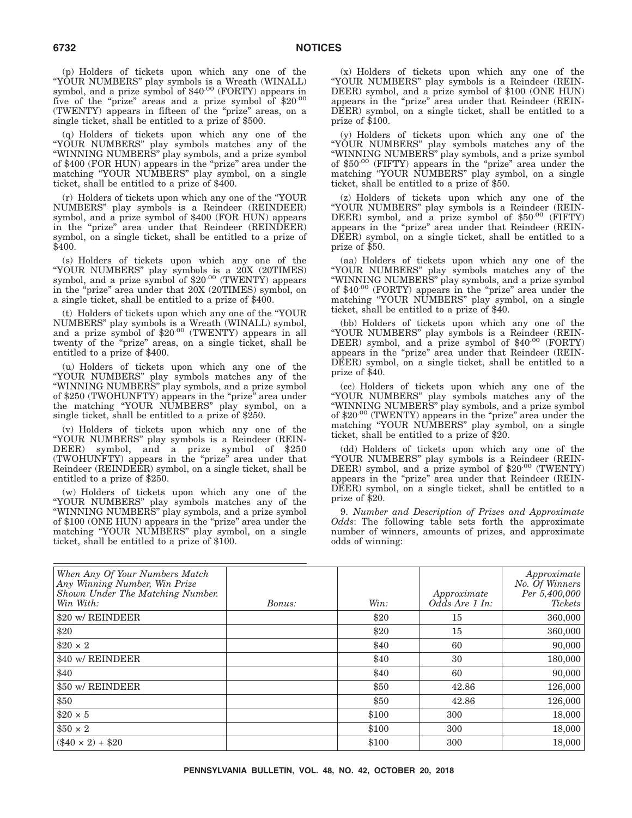(p) Holders of tickets upon which any one of the "YOUR NUMBERS" play symbols is a Wreath (WINALL)<br>symbol, and a prize symbol of \$40<sup>.00</sup> (FORTY) appears in five of the "prize" areas and a prize symbol of \$20.00 (TWENTY) appears in fifteen of the ''prize'' areas, on a single ticket, shall be entitled to a prize of \$500.

(q) Holders of tickets upon which any one of the ''YOUR NUMBERS'' play symbols matches any of the ''WINNING NUMBERS'' play symbols, and a prize symbol of \$400 (FOR HUN) appears in the "prize" area under the matching ''YOUR NUMBERS'' play symbol, on a single ticket, shall be entitled to a prize of \$400.

(r) Holders of tickets upon which any one of the ''YOUR NUMBERS'' play symbols is a Reindeer (REINDEER) symbol, and a prize symbol of \$400 (FOR HUN) appears in the "prize" area under that Reindeer (REINDEER) symbol, on a single ticket, shall be entitled to a prize of \$400.

(s) Holders of tickets upon which any one of the ''YOUR NUMBERS'' play symbols is a 20X (20TIMES) symbol, and a prize symbol of \$20.00 (TWENTY) appears in the "prize" area under that 20X (20TIMES) symbol, on a single ticket, shall be entitled to a prize of \$400.

(t) Holders of tickets upon which any one of the ''YOUR NUMBERS'' play symbols is a Wreath (WINALL) symbol, and a prize symbol of \$20.00 (TWENTY) appears in all twenty of the "prize" areas, on a single ticket, shall be entitled to a prize of \$400.

(u) Holders of tickets upon which any one of the ''YOUR NUMBERS'' play symbols matches any of the ''WINNING NUMBERS'' play symbols, and a prize symbol of \$250 (TWOHUNFTY) appears in the "prize" area under the matching ''YOUR NUMBERS'' play symbol, on a single ticket, shall be entitled to a prize of \$250.

(v) Holders of tickets upon which any one of the ''YOUR NUMBERS'' play symbols is a Reindeer (REIN-DEER) symbol, and a prize symbol of \$250 (TWOHUNFTY) appears in the ''prize'' area under that Reindeer (REINDEER) symbol, on a single ticket, shall be entitled to a prize of \$250.

(w) Holders of tickets upon which any one of the ''YOUR NUMBERS'' play symbols matches any of the ''WINNING NUMBERS'' play symbols, and a prize symbol of \$100 (ONE HUN) appears in the "prize" area under the matching "YOUR NUMBERS" play symbol, on a single ticket, shall be entitled to a prize of \$100.

(x) Holders of tickets upon which any one of the ''YOUR NUMBERS'' play symbols is a Reindeer (REIN-DEER) symbol, and a prize symbol of \$100 (ONE HUN) appears in the "prize" area under that Reindeer (REIN-DEER) symbol, on a single ticket, shall be entitled to a prize of \$100.

(y) Holders of tickets upon which any one of the ''YOUR NUMBERS'' play symbols matches any of the ''WINNING NUMBERS'' play symbols, and a prize symbol of  $$50^{.00}$  (FIFTY) appears in the "prize" area under the matching ''YOUR NUMBERS'' play symbol, on a single ticket, shall be entitled to a prize of \$50.

(z) Holders of tickets upon which any one of the ''YOUR NUMBERS'' play symbols is a Reindeer (REIN-DEER) symbol, and a prize symbol of \$50.00 (FIFTY) appears in the ''prize'' area under that Reindeer (REIN-DEER) symbol, on a single ticket, shall be entitled to a prize of \$50.

(aa) Holders of tickets upon which any one of the ''YOUR NUMBERS'' play symbols matches any of the ''WINNING NUMBERS'' play symbols, and a prize symbol of \$40.00 (FORTY) appears in the "prize" area under the matching ''YOUR NUMBERS'' play symbol, on a single ticket, shall be entitled to a prize of \$40.

(bb) Holders of tickets upon which any one of the "YOUR NUMBERS" play symbols is a Reindeer (REIN-<br>DEER) symbol, and a prize symbol of \$40<sup>.00</sup> (FORTY) appears in the ''prize'' area under that Reindeer (REIN-DEER) symbol, on a single ticket, shall be entitled to a prize of \$40.

(cc) Holders of tickets upon which any one of the ''YOUR NUMBERS'' play symbols matches any of the ''WINNING NUMBERS'' play symbols, and a prize symbol of \$20 $\cdot$ <sup>00</sup> (TWENTY) appears in the "prize" area under the matching ''YOUR NUMBERS'' play symbol, on a single ticket, shall be entitled to a prize of \$20.

(dd) Holders of tickets upon which any one of the ''YOUR NUMBERS'' play symbols is a Reindeer (REIN-DEER) symbol, and a prize symbol of \$20.00 (TWENTY) appears in the ''prize'' area under that Reindeer (REIN-DEER) symbol, on a single ticket, shall be entitled to a prize of \$20.

9. *Number and Description of Prizes and Approximate Odds*: The following table sets forth the approximate number of winners, amounts of prizes, and approximate odds of winning:

| When Any Of Your Numbers Match<br>Any Winning Number, Win Prize<br>Shown Under The Matching Number.<br>Win With: | <i>Bonus:</i> | Win:  | Approximate<br>$Od\bar{d}s$ Are 1 In: | Approximate<br>No. Of Winners<br>Per 5,400,000<br>Tickets |
|------------------------------------------------------------------------------------------------------------------|---------------|-------|---------------------------------------|-----------------------------------------------------------|
| \$20 w/ REINDEER                                                                                                 |               | \$20  | 15                                    | 360,000                                                   |
| \$20                                                                                                             |               | \$20  | 15                                    | 360,000                                                   |
| $$20 \times 2$                                                                                                   |               | \$40  | 60                                    | 90,000                                                    |
| \$40 w/ REINDEER                                                                                                 |               | \$40  | 30                                    | 180,000                                                   |
| \$40                                                                                                             |               | \$40  | 60                                    | 90,000                                                    |
| \$50 w/ REINDEER                                                                                                 |               | \$50  | 42.86                                 | 126,000                                                   |
| \$50                                                                                                             |               | \$50  | 42.86                                 | 126,000                                                   |
| $$20 \times 5$                                                                                                   |               | \$100 | 300                                   | 18,000                                                    |
| $$50 \times 2$                                                                                                   |               | \$100 | 300                                   | 18,000                                                    |
| $(40 \times 2) + 20$                                                                                             |               | \$100 | 300                                   | 18,000                                                    |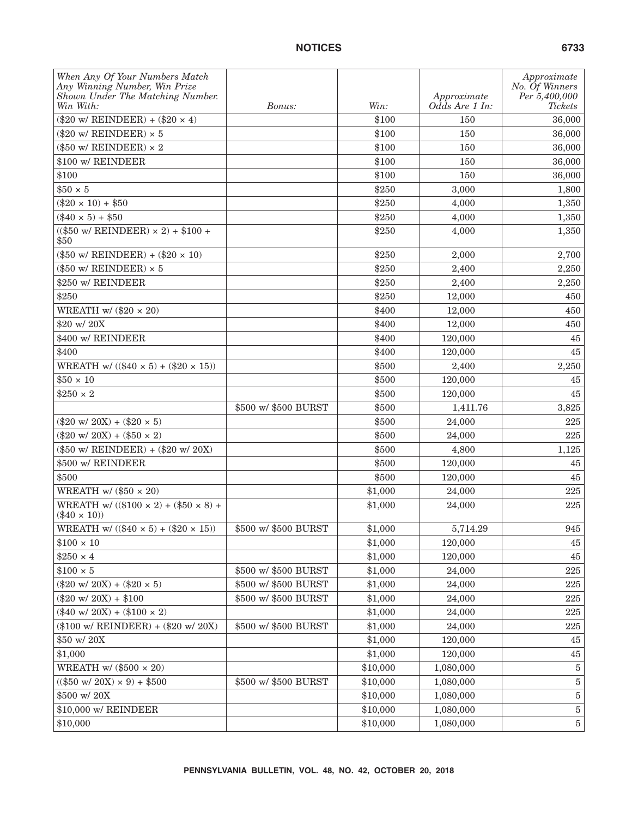| When Any Of Your Numbers Match<br>Any Winning Number, Win Prize<br>Shown Under The Matching Number.<br>Win With: | <i>Bonus:</i>        | Win:     | Approximate<br>Odds Are 1 In: | Approximate<br>No. Of Winners<br>Per 5,400,000<br>Tickets |
|------------------------------------------------------------------------------------------------------------------|----------------------|----------|-------------------------------|-----------------------------------------------------------|
| $(\$20 w / REINDER) + (\$20 x 4)$                                                                                |                      | \$100    | 150                           | 36,000                                                    |
| (\$20 w/ REINDEER) $\times$ 5                                                                                    |                      | \$100    | 150                           | 36,000                                                    |
| (\$50 w/ REINDEER) $\times$ 2                                                                                    |                      | \$100    | 150                           | 36,000                                                    |
| \$100 w/ REINDEER                                                                                                |                      | \$100    | 150                           | 36,000                                                    |
| \$100                                                                                                            |                      | \$100    | 150                           | 36,000                                                    |
| $$50 \times 5$                                                                                                   |                      | \$250    | 3,000                         | 1,800                                                     |
| $(\$20 \times 10) + \$50$                                                                                        |                      | \$250    | 4,000                         | 1,350                                                     |
| $(\$40 \times 5) + \$50$                                                                                         |                      | \$250    | 4,000                         | 1,350                                                     |
| $(($50 w/REINDER) \times 2) + $100 +$<br>\$50                                                                    |                      | \$250    | 4,000                         | 1,350                                                     |
| $(\$50$ w/ REINDEER) + $(\$20 \times 10)$                                                                        |                      | \$250    | 2,000                         | 2,700                                                     |
| (\$50 w/ REINDEER) $\times$ 5                                                                                    |                      | \$250    | 2,400                         | 2,250                                                     |
| \$250 w/ REINDEER                                                                                                |                      | \$250    | 2.400                         | 2,250                                                     |
| \$250                                                                                                            |                      | \$250    | 12,000                        | 450                                                       |
| WREATH w/ $(\$20 \times 20)$                                                                                     |                      | \$400    | 12,000                        | 450                                                       |
| \$20 w/20X                                                                                                       |                      | \$400    | 12,000                        | 450                                                       |
| \$400 w/ REINDEER                                                                                                |                      | \$400    | 120,000                       | 45                                                        |
| \$400                                                                                                            |                      | \$400    | 120,000                       | 45                                                        |
| WREATH w/ $(($40 \times 5) + ($20 \times 15))$                                                                   |                      | \$500    | 2,400                         | 2,250                                                     |
| $$50 \times 10$                                                                                                  |                      | \$500    | 120,000                       | 45                                                        |
| $$250 \times 2$                                                                                                  |                      | \$500    | 120,000                       | 45                                                        |
|                                                                                                                  | \$500 w/ \$500 BURST | \$500    | 1,411.76                      | 3,825                                                     |
| $(\$20 \text{ w}/ 20 \text{X}) + ($20 \times 5)$                                                                 |                      | \$500    | 24,000                        | 225                                                       |
| $(\$20 \text{ w}/ 20 \text{X}) + ($50 \times 2)$                                                                 |                      | \$500    | 24,000                        | 225                                                       |
| $(\$50$ w/ REINDEER) + $(\$20$ w/ $20X)$                                                                         |                      | \$500    | 4,800                         | 1,125                                                     |
| \$500 w/ REINDEER                                                                                                |                      | \$500    | 120,000                       | 45                                                        |
| \$500                                                                                                            |                      | \$500    | 120,000                       | 45                                                        |
| WREATH w/ $(\$50 \times 20)$                                                                                     |                      | \$1,000  | 24,000                        | 225                                                       |
| WREATH w/ $((\$100 \times 2) + (\$50 \times 8) +$<br>$(\$40 \times 10)$                                          |                      | \$1,000  | 24,000                        | 225                                                       |
| WREATH w/ $((\$40 \times 5) + (\$20 \times 15))$                                                                 | \$500 w/ \$500 BURST | \$1,000  | 5,714.29                      | 945                                                       |
| $$100 \times 10$                                                                                                 |                      | \$1,000  | 120,000                       | 45                                                        |
| $$250 \times 4$                                                                                                  |                      | \$1,000  | 120,000                       | 45                                                        |
| $$100 \times 5$                                                                                                  | \$500 w/ \$500 BURST | \$1,000  | 24,000                        | 225                                                       |
| $(\$20 \text{ w}/ 20 \text{X}) + ($20 \times 5)$                                                                 | \$500 w/ \$500 BURST | \$1,000  | 24,000                        | $225\,$                                                   |
| $(\$20 \text{ w}/ 20 \text{X}) + \$100$                                                                          | \$500 w/ \$500 BURST | \$1,000  | 24,000                        | 225                                                       |
| $(\$40 \text{ w}/ 20X) + ($100 \times 2)$                                                                        |                      | \$1,000  | 24,000                        | 225                                                       |
| $(\$100 \text{ w/}$ REINDEER) + $(\$20 \text{ w/} 20X)$                                                          | \$500 w/ \$500 BURST | \$1,000  | 24,000                        | $225\,$                                                   |
| \$50 w/20X                                                                                                       |                      | \$1,000  | 120,000                       | 45                                                        |
| \$1,000                                                                                                          |                      | \$1,000  | 120,000                       | $45\,$                                                    |
| WREATH w/ $(\$500 \times 20)$                                                                                    |                      | \$10,000 | 1,080,000                     | $\bf 5$                                                   |
| $(($50 w/ 20X) \times 9) + $500$                                                                                 | \$500 w/ \$500 BURST | \$10,000 | 1,080,000                     | $\bf 5$                                                   |
| \$500 w/20X                                                                                                      |                      | \$10,000 | 1,080,000                     | $\bf 5$                                                   |
| \$10,000 w/ REINDEER                                                                                             |                      | \$10,000 | 1,080,000                     | $\bf 5$                                                   |
| \$10,000                                                                                                         |                      | \$10,000 | 1,080,000                     | $\bf 5$                                                   |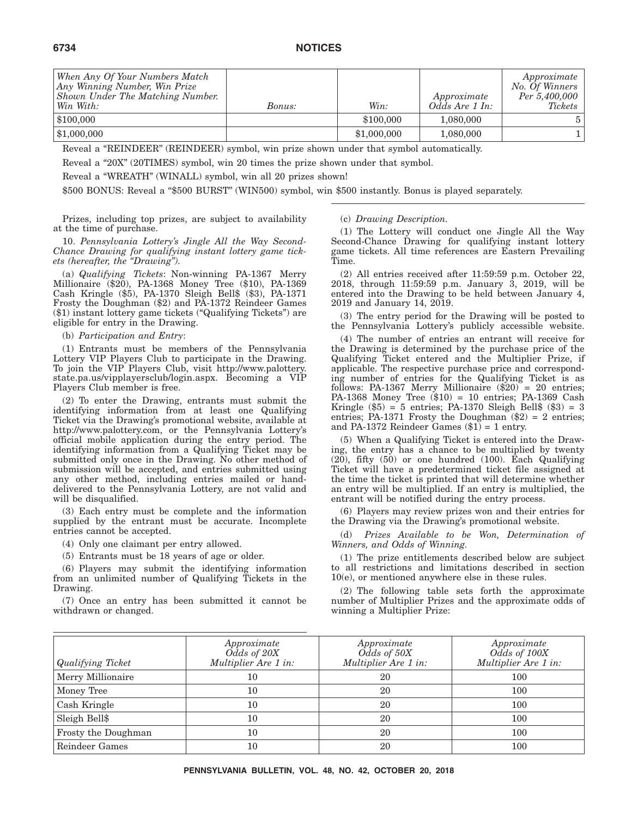| When Any Of Your Numbers Match<br>Any Winning Number, Win Prize<br>Shown Under The Matching Number.<br>Win With: | Bonus: | Win:        | Approximate<br>Odds Are 1 In: | Approximate<br>No. Of Winners<br>Per 5,400,000<br><i>Tickets</i> |
|------------------------------------------------------------------------------------------------------------------|--------|-------------|-------------------------------|------------------------------------------------------------------|
| \$100,000                                                                                                        |        | \$100,000   | 1,080,000                     |                                                                  |
| \$1,000,000                                                                                                      |        | \$1,000,000 | 1,080,000                     |                                                                  |

Reveal a "REINDEER" (REINDEER) symbol, win prize shown under that symbol automatically.

Reveal a "20X" (20TIMES) symbol, win 20 times the prize shown under that symbol.

Reveal a ''WREATH'' (WINALL) symbol, win all 20 prizes shown!

\$500 BONUS: Reveal a "\$500 BURST" (WIN500) symbol, win \$500 instantly. Bonus is played separately.

Prizes, including top prizes, are subject to availability at the time of purchase.

10. *Pennsylvania Lottery's Jingle All the Way Second-Chance Drawing for qualifying instant lottery game tickets (hereafter, the ''Drawing'').*

(a) *Qualifying Tickets*: Non-winning PA-1367 Merry Millionaire (\$20), PA-1368 Money Tree (\$10), PA-1369 Cash Kringle (\$5), PA-1370 Sleigh Bell\$ (\$3), PA-1371 Frosty the Doughman (\$2) and PA-1372 Reindeer Games (\$1) instant lottery game tickets (''Qualifying Tickets'') are eligible for entry in the Drawing.

(b) *Participation and Entry*:

(1) Entrants must be members of the Pennsylvania Lottery VIP Players Club to participate in the Drawing. To join the VIP Players Club, visit http://www.palottery. state.pa.us/vipplayersclub/login.aspx. Becoming a VIP Players Club member is free.

(2) To enter the Drawing, entrants must submit the identifying information from at least one Qualifying Ticket via the Drawing's promotional website, available at http://www.palottery.com, or the Pennsylvania Lottery's official mobile application during the entry period. The identifying information from a Qualifying Ticket may be submitted only once in the Drawing. No other method of submission will be accepted, and entries submitted using any other method, including entries mailed or handdelivered to the Pennsylvania Lottery, are not valid and will be disqualified.

(3) Each entry must be complete and the information supplied by the entrant must be accurate. Incomplete entries cannot be accepted.

(4) Only one claimant per entry allowed.

(5) Entrants must be 18 years of age or older.

(6) Players may submit the identifying information from an unlimited number of Qualifying Tickets in the Drawing.

(7) Once an entry has been submitted it cannot be withdrawn or changed.

#### (c) *Drawing Description.*

(1) The Lottery will conduct one Jingle All the Way Second-Chance Drawing for qualifying instant lottery game tickets. All time references are Eastern Prevailing Time.

(2) All entries received after 11:59:59 p.m. October 22, 2018, through 11:59:59 p.m. January 3, 2019, will be entered into the Drawing to be held between January 4, 2019 and January 14, 2019.

(3) The entry period for the Drawing will be posted to the Pennsylvania Lottery's publicly accessible website.

(4) The number of entries an entrant will receive for the Drawing is determined by the purchase price of the Qualifying Ticket entered and the Multiplier Prize, if applicable. The respective purchase price and corresponding number of entries for the Qualifying Ticket is as follows: PA-1367 Merry Millionaire (\$20) = 20 entries; PA-1368 Money Tree (\$10) = 10 entries; PA-1369 Cash Kringle  $(\$5) = 5$  entries; PA-1370 Sleigh Bell $$(\$3) = 3$ entries; PA-1371 Frosty the Doughman (\$2) = 2 entries; and PA-1372 Reindeer Games  $(\$1) = 1$  entry.

(5) When a Qualifying Ticket is entered into the Drawing, the entry has a chance to be multiplied by twenty (20), fifty (50) or one hundred (100). Each Qualifying Ticket will have a predetermined ticket file assigned at the time the ticket is printed that will determine whether an entry will be multiplied. If an entry is multiplied, the entrant will be notified during the entry process.

(6) Players may review prizes won and their entries for the Drawing via the Drawing's promotional website.

(d) *Prizes Available to be Won, Determination of Winners, and Odds of Winning.*

(1) The prize entitlements described below are subject to all restrictions and limitations described in section 10(e), or mentioned anywhere else in these rules.

(2) The following table sets forth the approximate number of Multiplier Prizes and the approximate odds of winning a Multiplier Prize:

| Qualifying Ticket   | Approximate<br>Odds of 20X<br>Multiplier Are 1 in: | Approximate<br>Odds of 50X<br>Multiplier Are 1 in: | Approximate<br>Odds of 100X<br>Multiplier Are 1 in: |
|---------------------|----------------------------------------------------|----------------------------------------------------|-----------------------------------------------------|
| Merry Millionaire   | 10                                                 | 20                                                 | 100                                                 |
| Money Tree          | 10                                                 | 20                                                 | 100                                                 |
| Cash Kringle        | 10                                                 | 20                                                 | 100                                                 |
| Sleigh Bell\$       | 10                                                 | 20                                                 | 100                                                 |
| Frosty the Doughman | 10                                                 | 20                                                 | 100                                                 |
| Reindeer Games      | 10                                                 | 20                                                 | 100                                                 |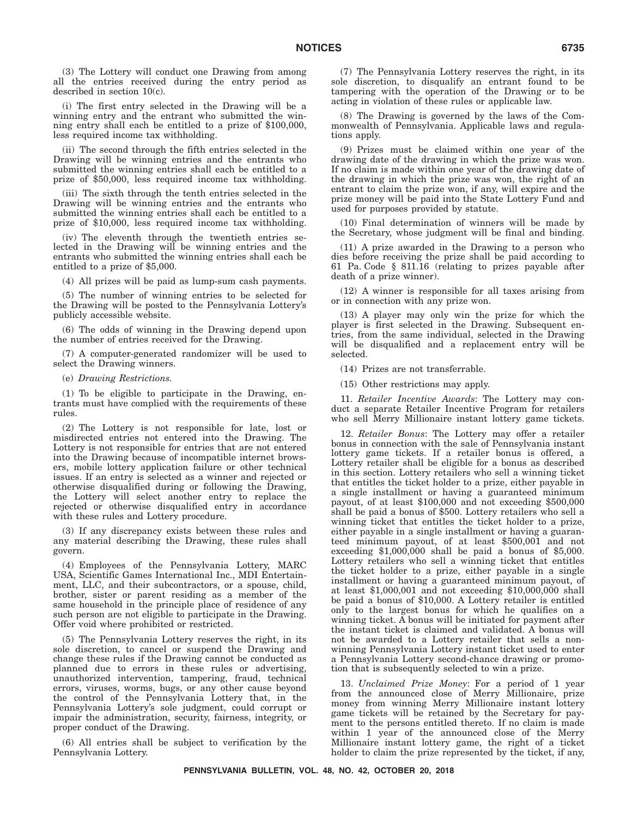(3) The Lottery will conduct one Drawing from among all the entries received during the entry period as described in section 10(c).

(i) The first entry selected in the Drawing will be a winning entry and the entrant who submitted the winning entry shall each be entitled to a prize of \$100,000, less required income tax withholding.

(ii) The second through the fifth entries selected in the Drawing will be winning entries and the entrants who submitted the winning entries shall each be entitled to a prize of \$50,000, less required income tax withholding.

(iii) The sixth through the tenth entries selected in the Drawing will be winning entries and the entrants who submitted the winning entries shall each be entitled to a prize of \$10,000, less required income tax withholding.

(iv) The eleventh through the twentieth entries selected in the Drawing will be winning entries and the entrants who submitted the winning entries shall each be entitled to a prize of \$5,000.

(4) All prizes will be paid as lump-sum cash payments.

(5) The number of winning entries to be selected for the Drawing will be posted to the Pennsylvania Lottery's publicly accessible website.

(6) The odds of winning in the Drawing depend upon the number of entries received for the Drawing.

(7) A computer-generated randomizer will be used to select the Drawing winners.

(e) *Drawing Restrictions.*

(1) To be eligible to participate in the Drawing, entrants must have complied with the requirements of these rules.

(2) The Lottery is not responsible for late, lost or misdirected entries not entered into the Drawing. The Lottery is not responsible for entries that are not entered into the Drawing because of incompatible internet browsers, mobile lottery application failure or other technical issues. If an entry is selected as a winner and rejected or otherwise disqualified during or following the Drawing, the Lottery will select another entry to replace the rejected or otherwise disqualified entry in accordance with these rules and Lottery procedure.

(3) If any discrepancy exists between these rules and any material describing the Drawing, these rules shall govern.

(4) Employees of the Pennsylvania Lottery, MARC USA, Scientific Games International Inc., MDI Entertainment, LLC, and their subcontractors, or a spouse, child, brother, sister or parent residing as a member of the same household in the principle place of residence of any such person are not eligible to participate in the Drawing. Offer void where prohibited or restricted.

(5) The Pennsylvania Lottery reserves the right, in its sole discretion, to cancel or suspend the Drawing and change these rules if the Drawing cannot be conducted as planned due to errors in these rules or advertising, unauthorized intervention, tampering, fraud, technical errors, viruses, worms, bugs, or any other cause beyond the control of the Pennsylvania Lottery that, in the Pennsylvania Lottery's sole judgment, could corrupt or impair the administration, security, fairness, integrity, or proper conduct of the Drawing.

(6) All entries shall be subject to verification by the Pennsylvania Lottery.

(7) The Pennsylvania Lottery reserves the right, in its sole discretion, to disqualify an entrant found to be tampering with the operation of the Drawing or to be acting in violation of these rules or applicable law.

(8) The Drawing is governed by the laws of the Commonwealth of Pennsylvania. Applicable laws and regulations apply.

(9) Prizes must be claimed within one year of the drawing date of the drawing in which the prize was won. If no claim is made within one year of the drawing date of the drawing in which the prize was won, the right of an entrant to claim the prize won, if any, will expire and the prize money will be paid into the State Lottery Fund and used for purposes provided by statute.

(10) Final determination of winners will be made by the Secretary, whose judgment will be final and binding.

(11) A prize awarded in the Drawing to a person who dies before receiving the prize shall be paid according to 61 Pa. Code § 811.16 (relating to prizes payable after death of a prize winner).

(12) A winner is responsible for all taxes arising from or in connection with any prize won.

(13) A player may only win the prize for which the player is first selected in the Drawing. Subsequent entries, from the same individual, selected in the Drawing will be disqualified and a replacement entry will be selected.

(14) Prizes are not transferrable.

(15) Other restrictions may apply.

11. *Retailer Incentive Awards*: The Lottery may conduct a separate Retailer Incentive Program for retailers who sell Merry Millionaire instant lottery game tickets.

12. *Retailer Bonus*: The Lottery may offer a retailer bonus in connection with the sale of Pennsylvania instant lottery game tickets. If a retailer bonus is offered, a Lottery retailer shall be eligible for a bonus as described in this section. Lottery retailers who sell a winning ticket that entitles the ticket holder to a prize, either payable in a single installment or having a guaranteed minimum payout, of at least \$100,000 and not exceeding \$500,000 shall be paid a bonus of \$500. Lottery retailers who sell a winning ticket that entitles the ticket holder to a prize, either payable in a single installment or having a guaranteed minimum payout, of at least \$500,001 and not exceeding \$1,000,000 shall be paid a bonus of \$5,000. Lottery retailers who sell a winning ticket that entitles the ticket holder to a prize, either payable in a single installment or having a guaranteed minimum payout, of at least \$1,000,001 and not exceeding \$10,000,000 shall be paid a bonus of \$10,000. A Lottery retailer is entitled only to the largest bonus for which he qualifies on a winning ticket. A bonus will be initiated for payment after the instant ticket is claimed and validated. A bonus will not be awarded to a Lottery retailer that sells a nonwinning Pennsylvania Lottery instant ticket used to enter a Pennsylvania Lottery second-chance drawing or promotion that is subsequently selected to win a prize.

13. *Unclaimed Prize Money*: For a period of 1 year from the announced close of Merry Millionaire, prize money from winning Merry Millionaire instant lottery game tickets will be retained by the Secretary for payment to the persons entitled thereto. If no claim is made within 1 year of the announced close of the Merry Millionaire instant lottery game, the right of a ticket holder to claim the prize represented by the ticket, if any,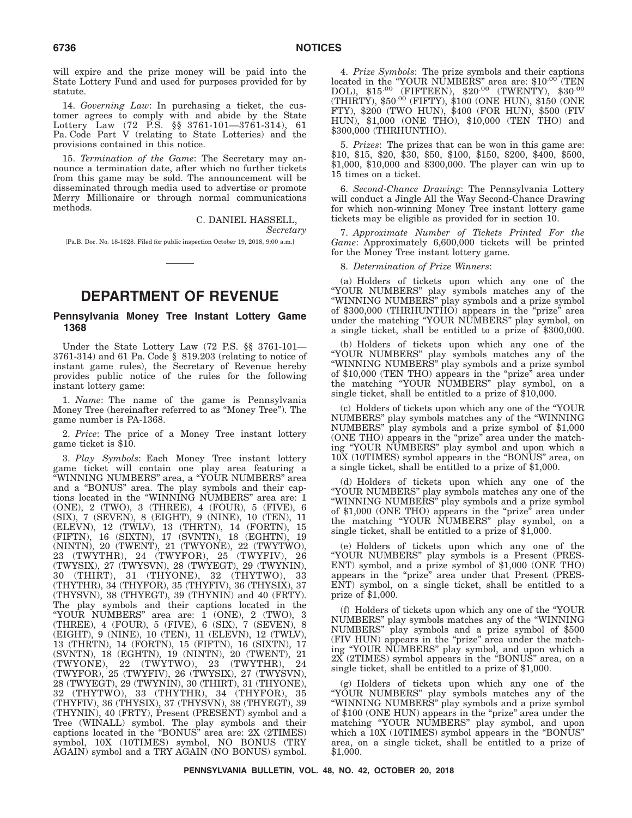will expire and the prize money will be paid into the State Lottery Fund and used for purposes provided for by statute.

14. *Governing Law*: In purchasing a ticket, the customer agrees to comply with and abide by the State Lottery Law (72 P.S. §§ 3761-101—3761-314), 61 Pa. Code Part V (relating to State Lotteries) and the provisions contained in this notice.

15. *Termination of the Game*: The Secretary may announce a termination date, after which no further tickets from this game may be sold. The announcement will be disseminated through media used to advertise or promote Merry Millionaire or through normal communications methods.

> C. DANIEL HASSELL, *Secretary*

[Pa.B. Doc. No. 18-1628. Filed for public inspection October 19, 2018, 9:00 a.m.]

# **DEPARTMENT OF REVENUE**

#### **Pennsylvania Money Tree Instant Lottery Game 1368**

Under the State Lottery Law (72 P.S. §§ 3761-101— 3761-314) and 61 Pa. Code § 819.203 (relating to notice of instant game rules), the Secretary of Revenue hereby provides public notice of the rules for the following instant lottery game:

1. *Name*: The name of the game is Pennsylvania Money Tree (hereinafter referred to as ''Money Tree''). The game number is PA-1368.

2. *Price*: The price of a Money Tree instant lottery game ticket is \$10.

3. *Play Symbols*: Each Money Tree instant lottery game ticket will contain one play area featuring a ''WINNING NUMBERS'' area, a ''YOUR NUMBERS'' area and a ''BONUS'' area. The play symbols and their captions located in the ''WINNING NUMBERS'' area are: 1 (ONE), 2 (TWO), 3 (THREE), 4 (FOUR), 5 (FIVE), 6 (SIX), 7 (SEVEN), 8 (EIGHT), 9 (NINE), 10 (TEN), 11 (ELEVN), 12 (TWLV), 13 (THRTN), 14 (FORTN), 15 (FIFTN), 16 (SIXTN), 17 (SVNTN), 18 (EGHTN), 19 (NINTN), 20 (TWENT), 21 (TWYONE), 22 (TWYTWO), 23 (TWYTHR), 24 (TWYFOR), 25 (TWYFIV), 26 (TWYSIX), 27 (TWYSVN), 28 (TWYEGT), 29 (TWYNIN), 30 (THIRT), 31 (THYONE), 32 (THYTWO), 33 (THYTHR), 34 (THYFOR), 35 (THYFIV), 36 (THYSIX), 37 (THYSVN), 38 (THYEGT), 39 (THYNIN) and 40 (FRTY). The play symbols and their captions located in the ''YOUR NUMBERS'' area are: 1 (ONE), 2 (TWO), 3 (THREE), 4 (FOUR), 5 (FIVE), 6 (SIX), 7 (SEVEN), 8 (EIGHT), 9 (NINE), 10 (TEN), 11 (ELEVN), 12 (TWLV), 13 (THRTN), 14 (FORTN), 15 (FIFTN), 16 (SIXTN), 17 (SVNTN), 18 (EGHTN), 19 (NINTN), 20 (TWENT), 21 (TWYONE), 22 (TWYTWO), 23 (TWYTHR), 24 (TWYFOR), 25 (TWYFIV), 26 (TWYSIX), 27 (TWYSVN), 28 (TWYEGT), 29 (TWYNIN), 30 (THIRT), 31 (THYONE), 32 (THYTWO), 33 (THYTHR), 34 (THYFOR), 35 (THYFIV), 36 (THYSIX), 37 (THYSVN), 38 (THYEGT), 39 (THYNIN), 40 (FRTY), Present (PRESENT) symbol and a Tree (WINALL) symbol. The play symbols and their captions located in the ''BONUS'' area are: 2X (2TIMES) symbol, 10X (10TIMES) symbol, NO BONUS (TRY AGAIN) symbol and a TRY AGAIN (NO BONUS) symbol.

4. *Prize Symbols*: The prize symbols and their captions located in the "YOUR NUMBERS" area are: \$10.00 (TEN DOL), \$15.00 (FIFTEEN), \$20.00 (TWENTY), \$30.00 (THIRTY), \$50.00 (FIFTY), \$100 (ONE HUN), \$150 (ONE FTY), \$200 (TWO HUN), \$400 (FOR HUN), \$500 (FIV HUN), \$1,000 (ONE THO), \$10,000 (TEN THO) and \$300,000 (THRHUNTHO).

5. *Prizes*: The prizes that can be won in this game are: \$10, \$15, \$20, \$30, \$50, \$100, \$150, \$200, \$400, \$500, \$1,000, \$10,000 and \$300,000. The player can win up to 15 times on a ticket.

6. *Second-Chance Drawing*: The Pennsylvania Lottery will conduct a Jingle All the Way Second-Chance Drawing for which non-winning Money Tree instant lottery game tickets may be eligible as provided for in section 10.

7. *Approximate Number of Tickets Printed For the Game*: Approximately 6,600,000 tickets will be printed for the Money Tree instant lottery game.

8. *Determination of Prize Winners*:

(a) Holders of tickets upon which any one of the ''YOUR NUMBERS'' play symbols matches any of the ''WINNING NUMBERS'' play symbols and a prize symbol of \$300,000 (THRHUNTHO) appears in the "prize" area under the matching "YOUR NUMBERS" play symbol, on a single ticket, shall be entitled to a prize of \$300,000.

(b) Holders of tickets upon which any one of the ''YOUR NUMBERS'' play symbols matches any of the ''WINNING NUMBERS'' play symbols and a prize symbol of \$10,000 (TEN THO) appears in the ''prize'' area under the matching ''YOUR NUMBERS'' play symbol, on a single ticket, shall be entitled to a prize of \$10,000.

(c) Holders of tickets upon which any one of the ''YOUR NUMBERS'' play symbols matches any of the ''WINNING NUMBERS'' play symbols and a prize symbol of \$1,000 (ONE THO) appears in the "prize" area under the matching ''YOUR NUMBERS'' play symbol and upon which a 10X (10TIMES) symbol appears in the ''BONUS'' area, on a single ticket, shall be entitled to a prize of \$1,000.

(d) Holders of tickets upon which any one of the ''YOUR NUMBERS'' play symbols matches any one of the ''WINNING NUMBERS'' play symbols and a prize symbol of \$1,000 (ONE THO) appears in the ''prize'' area under the matching ''YOUR NUMBERS'' play symbol, on a single ticket, shall be entitled to a prize of \$1,000.

(e) Holders of tickets upon which any one of the ''YOUR NUMBERS'' play symbols is a Present (PRES-ENT) symbol, and a prize symbol of \$1,000 (ONE THO) appears in the "prize" area under that Present (PRES-ENT) symbol, on a single ticket, shall be entitled to a prize of \$1,000.

(f) Holders of tickets upon which any one of the ''YOUR NUMBERS'' play symbols matches any of the ''WINNING NUMBERS'' play symbols and a prize symbol of \$500 (FIV HUN) appears in the "prize" area under the matching "YOUR NUMBERS" play symbol, and upon which a 2X (2TIMES) symbol appears in the ''BONUS'' area, on a single ticket, shall be entitled to a prize of \$1,000.

(g) Holders of tickets upon which any one of the ''YOUR NUMBERS'' play symbols matches any of the ''WINNING NUMBERS'' play symbols and a prize symbol of \$100 (ONE HUN) appears in the "prize" area under the matching "YOUR NUMBERS" play symbol, and upon which a  $10X$  (10TIMES) symbol appears in the "BONUS" area, on a single ticket, shall be entitled to a prize of \$1,000.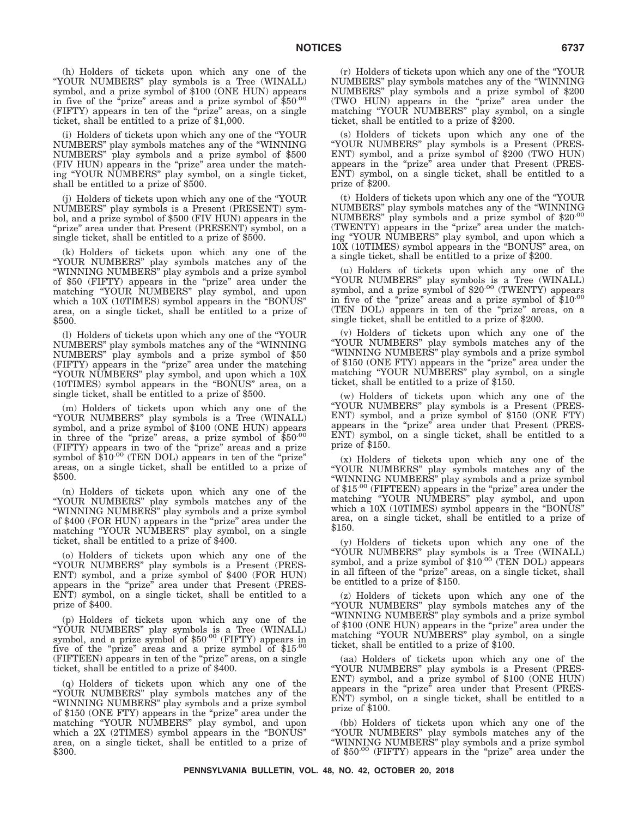(h) Holders of tickets upon which any one of the ''YOUR NUMBERS'' play symbols is a Tree (WINALL) symbol, and a prize symbol of \$100 (ONE HUN) appears in five of the "prize" areas and a prize symbol of  $$50^{00}$ (FIFTY) appears in ten of the ''prize'' areas, on a single ticket, shall be entitled to a prize of \$1,000.

(i) Holders of tickets upon which any one of the ''YOUR NUMBERS'' play symbols matches any of the ''WINNING NUMBERS'' play symbols and a prize symbol of \$500 (FIV HUN) appears in the "prize" area under the matching ''YOUR NUMBERS'' play symbol, on a single ticket, shall be entitled to a prize of \$500.

(j) Holders of tickets upon which any one of the ''YOUR NUMBERS'' play symbols is a Present (PRESENT) symbol, and a prize symbol of \$500 (FIV HUN) appears in the "prize" area under that Present (PRESENT) symbol, on a single ticket, shall be entitled to a prize of \$500.

(k) Holders of tickets upon which any one of the ''YOUR NUMBERS'' play symbols matches any of the ''WINNING NUMBERS'' play symbols and a prize symbol of \$50 (FIFTY) appears in the "prize" area under the matching "YOUR NUMBERS" play symbol, and upon which a  $10X$  (10TIMES) symbol appears in the "BONUS" area, on a single ticket, shall be entitled to a prize of \$500.

(l) Holders of tickets upon which any one of the ''YOUR NUMBERS'' play symbols matches any of the ''WINNING NUMBERS'' play symbols and a prize symbol of \$50 (FIFTY) appears in the ''prize'' area under the matching ''YOUR NUMBERS'' play symbol, and upon which a 10X (10TIMES) symbol appears in the ''BONUS'' area, on a single ticket, shall be entitled to a prize of \$500.

(m) Holders of tickets upon which any one of the ''YOUR NUMBERS'' play symbols is a Tree (WINALL) symbol, and a prize symbol of \$100 (ONE HUN) appears in three of the "prize" areas, a prize symbol of  $$50^{00}$ (FIFTY) appears in two of the "prize" areas and a prize symbol of \$10.00 (TEN DOL) appears in ten of the "prize" areas, on a single ticket, shall be entitled to a prize of \$500.

(n) Holders of tickets upon which any one of the ''YOUR NUMBERS'' play symbols matches any of the ''WINNING NUMBERS'' play symbols and a prize symbol of \$400 (FOR HUN) appears in the "prize" area under the matching "YOUR NUMBERS" play symbol, on a single ticket, shall be entitled to a prize of \$400.

(o) Holders of tickets upon which any one of the ''YOUR NUMBERS'' play symbols is a Present (PRES-ENT) symbol, and a prize symbol of \$400 (FOR HUN) appears in the "prize" area under that Present (PRES-ENT) symbol, on a single ticket, shall be entitled to a prize of \$400.

(p) Holders of tickets upon which any one of the "YOUR NUMBERS" play symbols is a Tree (WINALL)<br>symbol, and a prize symbol of \$50<sup>.00</sup> (FIFTY) appears in five of the "prize" areas and a prize symbol of \$15.00 (FIFTEEN) appears in ten of the ''prize'' areas, on a single ticket, shall be entitled to a prize of \$400.

(q) Holders of tickets upon which any one of the ''YOUR NUMBERS'' play symbols matches any of the ''WINNING NUMBERS'' play symbols and a prize symbol of \$150 (ONE FTY) appears in the "prize" area under the matching "YOUR NUMBERS" play symbol, and upon which a 2X (2TIMES) symbol appears in the "BONUS" area, on a single ticket, shall be entitled to a prize of \$300.

(r) Holders of tickets upon which any one of the ''YOUR NUMBERS'' play symbols matches any of the ''WINNING NUMBERS'' play symbols and a prize symbol of \$200 (TWO HUN) appears in the ''prize'' area under the matching "YOUR NUMBERS" play symbol, on a single ticket, shall be entitled to a prize of \$200.

(s) Holders of tickets upon which any one of the ''YOUR NUMBERS'' play symbols is a Present (PRES-ENT) symbol, and a prize symbol of \$200 (TWO HUN) appears in the "prize" area under that Present (PRES-ENT) symbol, on a single ticket, shall be entitled to a prize of \$200.

(t) Holders of tickets upon which any one of the ''YOUR NUMBERS'' play symbols matches any of the ''WINNING NUMBERS'' play symbols and a prize symbol of \$20.00 (TWENTY) appears in the "prize" area under the matching ''YOUR NUMBERS'' play symbol, and upon which a 10X (10TIMES) symbol appears in the ''BONUS'' area, on a single ticket, shall be entitled to a prize of \$200.

(u) Holders of tickets upon which any one of the "YOUR NUMBERS" play symbols is a Tree (WINALL)<br>symbol, and a prize symbol of \$20<sup>.00</sup> (TWENTY) appears in five of the ''prize'' areas and a prize symbol of \$10.00 (TEN DOL) appears in ten of the ''prize'' areas, on a single ticket, shall be entitled to a prize of \$200.

(v) Holders of tickets upon which any one of the ''YOUR NUMBERS'' play symbols matches any of the ''WINNING NUMBERS'' play symbols and a prize symbol of \$150 (ONE FTY) appears in the "prize" area under the matching ''YOUR NUMBERS'' play symbol, on a single ticket, shall be entitled to a prize of \$150.

(w) Holders of tickets upon which any one of the ''YOUR NUMBERS'' play symbols is a Present (PRES-ENT) symbol, and a prize symbol of \$150 (ONE FTY) appears in the "prize" area under that Present (PRES-ENT) symbol, on a single ticket, shall be entitled to a prize of \$150.

(x) Holders of tickets upon which any one of the ''YOUR NUMBERS'' play symbols matches any of the ''WINNING NUMBERS'' play symbols and a prize symbol of \$15.00 (FIFTEEN) appears in the "prize" area under the matching "YOUR NUMBERS" play symbol, and upon which a  $10X$  (10TIMES) symbol appears in the "BONUS" area, on a single ticket, shall be entitled to a prize of \$150.

(y) Holders of tickets upon which any one of the "YOUR NUMBERS" play symbols is a Tree (WINALL) symbol, and a prize symbol of \$10.00 (TEN DOL) appears in all fifteen of the "prize" areas, on a single ticket, shall be entitled to a prize of \$150.

(z) Holders of tickets upon which any one of the ''YOUR NUMBERS'' play symbols matches any of the ''WINNING NUMBERS'' play symbols and a prize symbol of \$100 (ONE HUN) appears in the "prize" area under the matching "YOUR NUMBERS" play symbol, on a single ticket, shall be entitled to a prize of \$100.

(aa) Holders of tickets upon which any one of the ''YOUR NUMBERS'' play symbols is a Present (PRES-ENT) symbol, and a prize symbol of \$100 (ONE HUN) appears in the "prize" area under that Present (PRES-ENT) symbol, on a single ticket, shall be entitled to a prize of \$100.

(bb) Holders of tickets upon which any one of the ''YOUR NUMBERS'' play symbols matches any of the ''WINNING NUMBERS'' play symbols and a prize symbol of  $$50^{.00}$  (FIFTY) appears in the "prize" area under the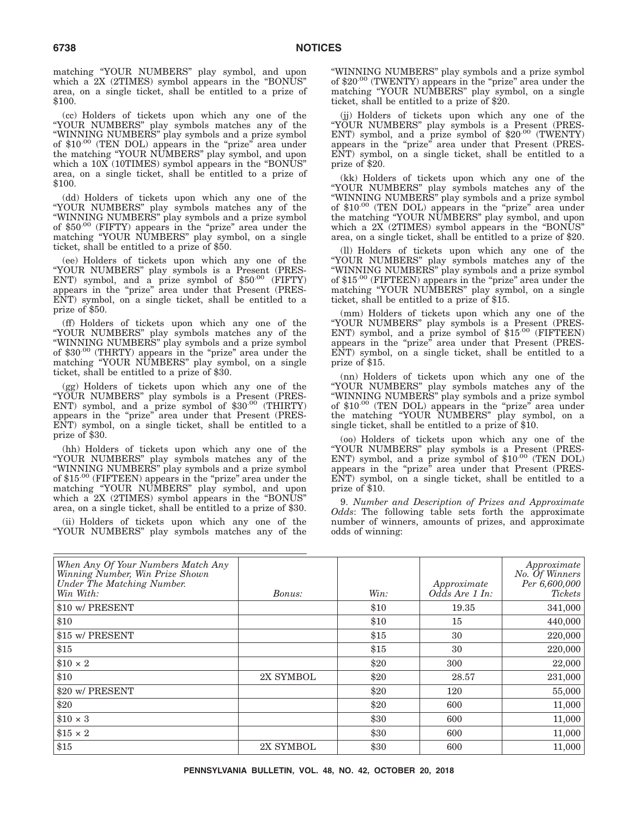matching ''YOUR NUMBERS'' play symbol, and upon which a 2X (2TIMES) symbol appears in the ''BONUS'' area, on a single ticket, shall be entitled to a prize of \$100.

(cc) Holders of tickets upon which any one of the ''YOUR NUMBERS'' play symbols matches any of the "WINNING NUMBERS" play symbols and a prize symbol of \$10.00 (TEN DOL) appears in the "prize" area under the matching ''YOUR NUMBERS'' play symbol, and upon which a  $10X$  (10TIMES) symbol appears in the "BONUS" area, on a single ticket, shall be entitled to a prize of \$100.

(dd) Holders of tickets upon which any one of the ''YOUR NUMBERS'' play symbols matches any of the ''WINNING NUMBERS'' play symbols and a prize symbol of \$50.00 (FIFTY) appears in the "prize" area under the matching "YOUR NUMBERS" play symbol, on a single ticket, shall be entitled to a prize of \$50.

(ee) Holders of tickets upon which any one of the ''YOUR NUMBERS'' play symbols is a Present (PRES-ENT) symbol, and a prize symbol of \$50.00 (FIFTY) appears in the "prize" area under that Present (PRES-ENT) symbol, on a single ticket, shall be entitled to a prize of \$50.

(ff) Holders of tickets upon which any one of the ''YOUR NUMBERS'' play symbols matches any of the ''WINNING NUMBERS'' play symbols and a prize symbol of \$30.00 (THRTY) appears in the "prize" area under the matching "YOUR NUMBERS" play symbol, on a single ticket, shall be entitled to a prize of \$30.

(gg) Holders of tickets upon which any one of the ''YOUR NUMBERS'' play symbols is a Present (PRES-ENT) symbol, and a prize symbol of \$30.00 (THIRTY) appears in the "prize" area under that Present (PRES-ENT) symbol, on a single ticket, shall be entitled to a prize of \$30.

(hh) Holders of tickets upon which any one of the ''YOUR NUMBERS'' play symbols matches any of the ''WINNING NUMBERS'' play symbols and a prize symbol of \$15.00 (FIFTEEN) appears in the "prize" area under the matching "YOUR NUMBERS" play symbol, and upon which a 2X (2TIMES) symbol appears in the "BONUS" area, on a single ticket, shall be entitled to a prize of \$30.

(ii) Holders of tickets upon which any one of the ''YOUR NUMBERS'' play symbols matches any of the

''WINNING NUMBERS'' play symbols and a prize symbol of \$20.00 (TWENTY) appears in the "prize" area under the matching ''YOUR NUMBERS'' play symbol, on a single ticket, shall be entitled to a prize of \$20.

(jj) Holders of tickets upon which any one of the ''YOUR NUMBERS'' play symbols is a Present (PRES-ENT) symbol, and a prize symbol of \$20.00 (TWENTY) appears in the "prize" area under that Present (PRES-ENT) symbol, on a single ticket, shall be entitled to a prize of \$20.

(kk) Holders of tickets upon which any one of the ''YOUR NUMBERS'' play symbols matches any of the ''WINNING NUMBERS'' play symbols and a prize symbol of  $$10^{.00}$  (TEN DOL) appears in the "prize" area under the matching ''YOUR NUMBERS'' play symbol, and upon which a 2X (2TIMES) symbol appears in the ''BONUS'' area, on a single ticket, shall be entitled to a prize of \$20.

(ll) Holders of tickets upon which any one of the ''YOUR NUMBERS'' play symbols matches any of the ''WINNING NUMBERS'' play symbols and a prize symbol of \$15.00 (FIFTEEN) appears in the "prize" area under the matching ''YOUR NUMBERS'' play symbol, on a single ticket, shall be entitled to a prize of \$15.

(mm) Holders of tickets upon which any one of the ''YOUR NUMBERS'' play symbols is a Present (PRES-ENT) symbol, and a prize symbol of \$15.00 (FIFTEEN) appears in the "prize" area under that Present (PRES-ENT) symbol, on a single ticket, shall be entitled to a prize of \$15.

(nn) Holders of tickets upon which any one of the ''YOUR NUMBERS'' play symbols matches any of the ''WINNING NUMBERS'' play symbols and a prize symbol of \$10<sup>.00</sup> (TEN DOL) appears in the "prize" area under the matching ''YOUR NUMBERS'' play symbol, on a single ticket, shall be entitled to a prize of \$10.

(oo) Holders of tickets upon which any one of the ''YOUR NUMBERS'' play symbols is a Present (PRES-ENT) symbol, and a prize symbol of  $$10^{.00}$  (TEN DOL) appears in the "prize" area under that Present (PRES-ENT) symbol, on a single ticket, shall be entitled to a prize of \$10.

9. *Number and Description of Prizes and Approximate Odds*: The following table sets forth the approximate number of winners, amounts of prizes, and approximate odds of winning:

| When Any Of Your Numbers Match Any<br>Winning Number, Win Prize Shown<br>Under The Matching Number.<br>Win With: | Bonus:    | Win: | Approximate<br>Odds Are 1 In: | Approximate<br>No. Of Winners<br>Per 6,600,000<br>Tickets |
|------------------------------------------------------------------------------------------------------------------|-----------|------|-------------------------------|-----------------------------------------------------------|
| \$10 w/ PRESENT                                                                                                  |           | \$10 | 19.35                         | 341,000                                                   |
| \$10                                                                                                             |           | \$10 | 15                            | 440,000                                                   |
| \$15 w/ PRESENT                                                                                                  |           | \$15 | 30                            | 220,000                                                   |
| \$15                                                                                                             |           | \$15 | 30                            | 220,000                                                   |
| $\$10\times2$                                                                                                    |           | \$20 | 300                           | 22,000                                                    |
| \$10                                                                                                             | 2X SYMBOL | \$20 | 28.57                         | 231,000                                                   |
| \$20 w/ PRESENT                                                                                                  |           | \$20 | 120                           | 55,000                                                    |
| \$20                                                                                                             |           | \$20 | 600                           | 11,000                                                    |
| $\$10 \times 3$                                                                                                  |           | \$30 | 600                           | 11,000                                                    |
| $$15 \times 2$                                                                                                   |           | \$30 | 600                           | 11,000                                                    |
| \$15                                                                                                             | 2X SYMBOL | \$30 | 600                           | 11,000                                                    |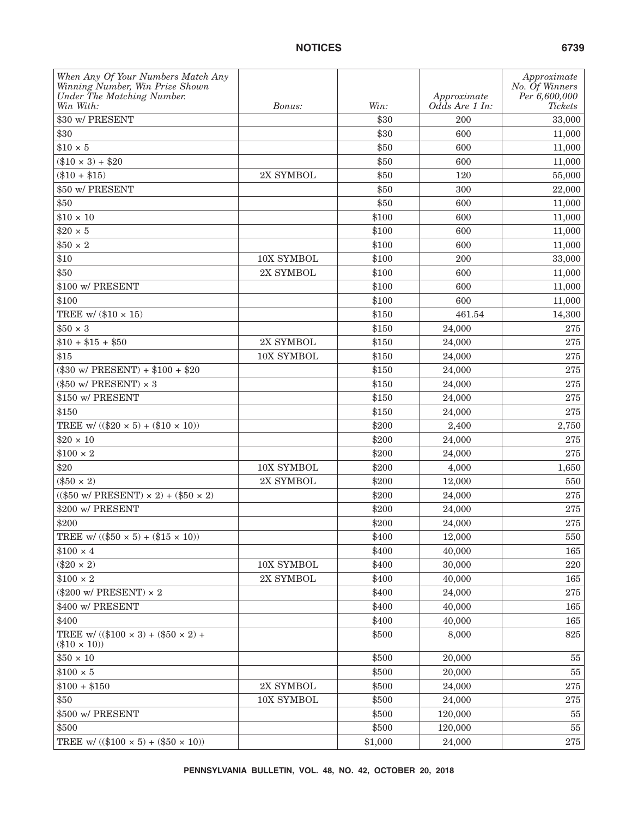| When Any Of Your Numbers Match Any                                    |            |         |                | Approximate                     |
|-----------------------------------------------------------------------|------------|---------|----------------|---------------------------------|
| Winning Number, Win Prize Shown<br>Under The Matching Number.         |            |         | Approximate    | No. Of Winners<br>Per 6,600,000 |
| Win With:                                                             | Bonus:     | Win:    | Odds Are 1 In: | <b>Tickets</b>                  |
| \$30 w/ PRESENT                                                       |            | \$30    | 200            | 33,000                          |
| \$30                                                                  |            | \$30    | 600            | 11,000                          |
| $$10 \times 5$                                                        |            | \$50    | 600            | 11,000                          |
| $(\$10 \times 3) + \$20$                                              |            | \$50    | 600            | 11,000                          |
| $(\$10 + \$15)$                                                       | 2X SYMBOL  | \$50    | 120            | 55,000                          |
| \$50 w/ PRESENT                                                       |            | \$50    | 300            | 22,000                          |
| \$50                                                                  |            | \$50    | 600            | 11,000                          |
| $$10 \times 10$                                                       |            | \$100   | 600            | 11,000                          |
| $$20 \times 5$                                                        |            | \$100   | 600            | 11,000                          |
| $$50 \times 2$                                                        |            | \$100   | 600            | 11,000                          |
| \$10                                                                  | 10X SYMBOL | \$100   | 200            | 33,000                          |
| \$50                                                                  | 2X SYMBOL  | \$100   | 600            | 11,000                          |
| \$100 w/ PRESENT                                                      |            | \$100   | 600            | 11,000                          |
| \$100                                                                 |            | \$100   | 600            | 11,000                          |
| TREE w/ $(\$10 \times 15)$                                            |            | \$150   | 461.54         | 14,300                          |
| $$50 \times 3$                                                        |            | \$150   | 24,000         | 275                             |
| $$10 + $15 + $50$                                                     | 2X SYMBOL  | \$150   | 24,000         | $275\,$                         |
| \$15                                                                  | 10X SYMBOL | \$150   | 24,000         | 275                             |
| $(\$30 \text{ w}/ \text{PRESENT}) + \$100 + \$20$                     |            | \$150   | 24,000         | 275                             |
| $(\$50$ w/ PRESENT) $\times$ 3                                        |            | \$150   | 24,000         | 275                             |
| \$150 w/ PRESENT                                                      |            | \$150   | 24,000         | $275\,$                         |
| \$150                                                                 |            | \$150   | 24,000         | 275                             |
| TREE w/ $((\$20 \times 5) + (\$10 \times 10))$                        |            | \$200   | 2,400          | 2,750                           |
| $$20 \times 10$                                                       |            | \$200   | 24,000         | 275                             |
| $$100 \times 2$$                                                      |            | \$200   | 24,000         | $275\,$                         |
| \$20                                                                  | 10X SYMBOL | \$200   | 4,000          | 1,650                           |
| $(\$50 \times 2)$                                                     | 2X SYMBOL  | \$200   | 12,000         | 550                             |
| $(($50 w/ PRESENT) \times 2) + ($50 \times 2)$                        |            | \$200   | 24,000         | 275                             |
| \$200 w/ PRESENT                                                      |            | \$200   | 24,000         | 275                             |
| \$200                                                                 |            | \$200   | 24,000         | 275                             |
| TREE w/ $(($50 \times 5) + ($15 \times 10))$                          |            | \$400   | 12,000         | 550                             |
| $$100 \times 4$                                                       |            | \$400   | 40,000         | 165                             |
| $(\$20 \times 2)$                                                     | 10X SYMBOL | \$400   | 30,000         | 220                             |
| $$100 \times 2$$                                                      | 2X SYMBOL  | \$400   | 40,000         | 165                             |
| $(\$200 \text{ w/ PRESENT}) \times 2$                                 |            | \$400   | 24,000         | 275                             |
| \$400 w/ PRESENT                                                      |            | \$400   | 40,000         | 165                             |
| \$400                                                                 |            | \$400   | 40,000         | 165                             |
| TREE w/ $((\$100 \times 3) + (\$50 \times 2) +$<br>$(\$10 \times 10)$ |            | \$500   | 8,000          | 825                             |
| $$50 \times 10$                                                       |            | \$500   | 20,000         | 55                              |
| $$100 \times 5$                                                       |            | \$500   | 20,000         | $55\,$                          |
| $$100 + $150$                                                         | 2X SYMBOL  | \$500   | 24,000         | $\bf 275$                       |
| \$50                                                                  | 10X SYMBOL | \$500   | 24,000         | $275\,$                         |
| \$500 w/ PRESENT                                                      |            | \$500   | 120,000        | 55                              |
| \$500                                                                 |            | \$500   | 120,000        | 55                              |
| TREE w/ $((\$100 \times 5) + (\$50 \times 10))$                       |            | \$1,000 | 24,000         | 275                             |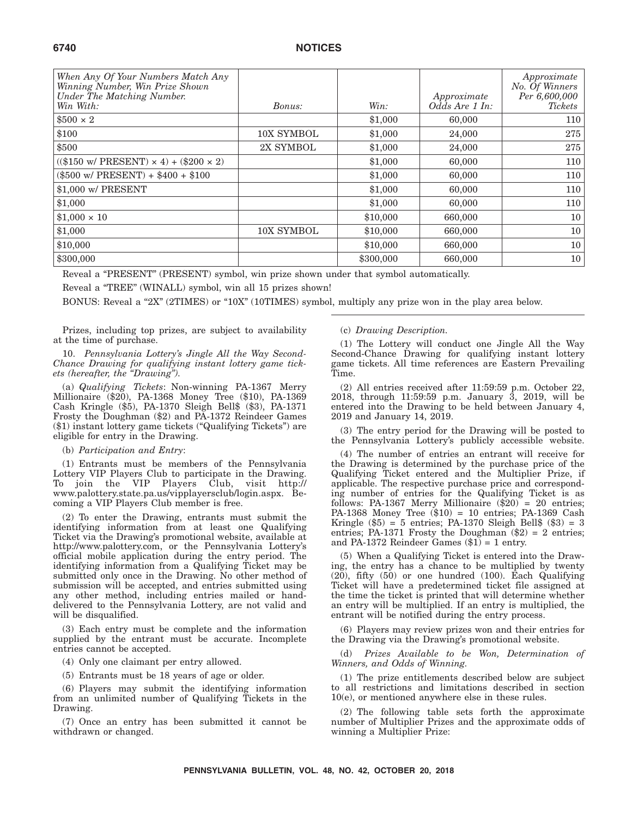| When Any Of Your Numbers Match Any<br>Winning Number, Win Prize Shown |            |           |                               | Approximate<br>No. Of Winners |
|-----------------------------------------------------------------------|------------|-----------|-------------------------------|-------------------------------|
| Under The Matching Number.<br>Win With:                               | Bonus:     | Win:      | Approximate<br>Odds Are 1 In: | Per 6,600,000<br>Tickets      |
| $$500 \times 2$                                                       |            | \$1,000   | 60,000                        | 110                           |
| \$100                                                                 | 10X SYMBOL | \$1,000   | 24,000                        | 275                           |
| \$500                                                                 | 2X SYMBOL  | \$1,000   | 24,000                        | 275                           |
| $((\$150 \text{ w/ PRESENT}) \times 4) + (\$200 \times 2)$            |            | \$1,000   | 60,000                        | 110                           |
| $(\$500 \text{ w/ PRESENT}) + \$400 + \$100$                          |            | \$1,000   | 60,000                        | 110                           |
| \$1,000 w/ PRESENT                                                    |            | \$1,000   | 60,000                        | 110                           |
| \$1,000                                                               |            | \$1,000   | 60,000                        | 110                           |
| $$1,000 \times 10$                                                    |            | \$10,000  | 660,000                       | 10 <sup>1</sup>               |
| \$1,000                                                               | 10X SYMBOL | \$10,000  | 660,000                       | 10 <sup>1</sup>               |
| \$10,000                                                              |            | \$10,000  | 660,000                       | 10 <sup>1</sup>               |
| \$300,000                                                             |            | \$300,000 | 660,000                       | 10                            |

Reveal a "PRESENT" (PRESENT) symbol, win prize shown under that symbol automatically.

Reveal a "TREE" (WINALL) symbol, win all 15 prizes shown!

BONUS: Reveal a "2X" (2TIMES) or "10X" (10TIMES) symbol, multiply any prize won in the play area below.

Prizes, including top prizes, are subject to availability at the time of purchase.

10. *Pennsylvania Lottery's Jingle All the Way Second-Chance Drawing for qualifying instant lottery game tickets (hereafter, the ''Drawing'').*

(a) *Qualifying Tickets*: Non-winning PA-1367 Merry Millionaire (\$20), PA-1368 Money Tree (\$10), PA-1369 Cash Kringle (\$5), PA-1370 Sleigh Bell\$ (\$3), PA-1371 Frosty the Doughman (\$2) and PA-1372 Reindeer Games (\$1) instant lottery game tickets (''Qualifying Tickets'') are eligible for entry in the Drawing.

#### (b) *Participation and Entry*:

(1) Entrants must be members of the Pennsylvania Lottery VIP Players Club to participate in the Drawing. To join the VIP Players Club, visit http:// www.palottery.state.pa.us/vipplayersclub/login.aspx. Becoming a VIP Players Club member is free.

(2) To enter the Drawing, entrants must submit the identifying information from at least one Qualifying Ticket via the Drawing's promotional website, available at http://www.palottery.com, or the Pennsylvania Lottery's official mobile application during the entry period. The identifying information from a Qualifying Ticket may be submitted only once in the Drawing. No other method of submission will be accepted, and entries submitted using any other method, including entries mailed or handdelivered to the Pennsylvania Lottery, are not valid and will be disqualified.

(3) Each entry must be complete and the information supplied by the entrant must be accurate. Incomplete entries cannot be accepted.

(4) Only one claimant per entry allowed.

(5) Entrants must be 18 years of age or older.

(6) Players may submit the identifying information from an unlimited number of Qualifying Tickets in the Drawing.

(7) Once an entry has been submitted it cannot be withdrawn or changed.

#### (c) *Drawing Description.*

(1) The Lottery will conduct one Jingle All the Way Second-Chance Drawing for qualifying instant lottery game tickets. All time references are Eastern Prevailing Time.

(2) All entries received after 11:59:59 p.m. October 22, 2018, through 11:59:59 p.m. January 3, 2019, will be entered into the Drawing to be held between January 4, 2019 and January 14, 2019.

(3) The entry period for the Drawing will be posted to the Pennsylvania Lottery's publicly accessible website.

(4) The number of entries an entrant will receive for the Drawing is determined by the purchase price of the Qualifying Ticket entered and the Multiplier Prize, if applicable. The respective purchase price and corresponding number of entries for the Qualifying Ticket is as follows: PA-1367 Merry Millionaire (\$20) = 20 entries; PA-1368 Money Tree (\$10) = 10 entries; PA-1369 Cash Kringle  $(\$5) = 5$  entries; PA-1370 Sleigh Bell $%$   $(\$3) = 3$ entries; PA-1371 Frosty the Doughman  $(\$2) = 2$  entries; and PA-1372 Reindeer Games  $(\$1) = 1$  entry.

(5) When a Qualifying Ticket is entered into the Drawing, the entry has a chance to be multiplied by twenty (20), fifty (50) or one hundred (100). Each Qualifying Ticket will have a predetermined ticket file assigned at the time the ticket is printed that will determine whether an entry will be multiplied. If an entry is multiplied, the entrant will be notified during the entry process.

(6) Players may review prizes won and their entries for the Drawing via the Drawing's promotional website.

(d) *Prizes Available to be Won, Determination of Winners, and Odds of Winning.*

(1) The prize entitlements described below are subject to all restrictions and limitations described in section 10(e), or mentioned anywhere else in these rules.

(2) The following table sets forth the approximate number of Multiplier Prizes and the approximate odds of winning a Multiplier Prize: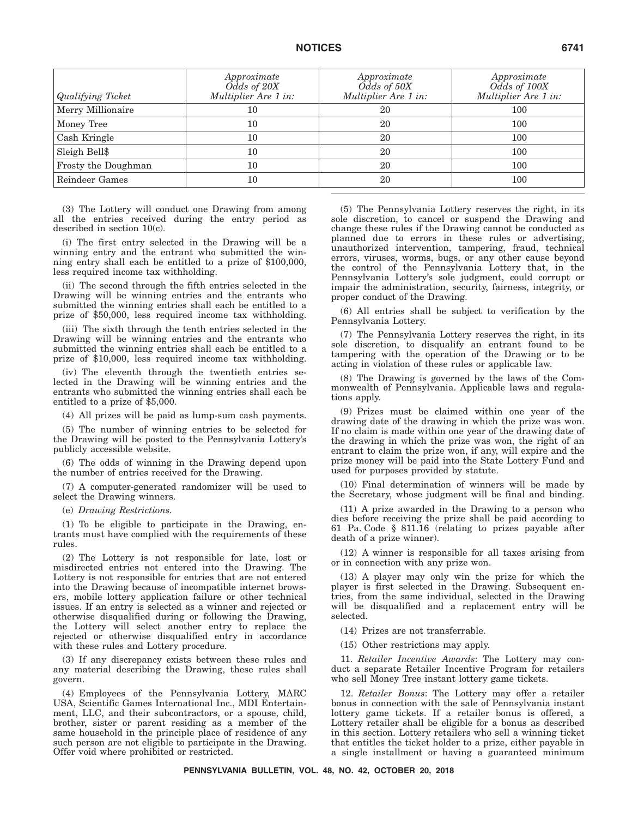| Qualifying Ticket   | Approximate<br>Odds of 20X<br>Multiplier Are 1 in: | Approximate<br>Odds of 50X<br>Multiplier Are 1 in: | Approximate<br>Odds of 100X<br>Multiplier Are 1 in: |
|---------------------|----------------------------------------------------|----------------------------------------------------|-----------------------------------------------------|
| Merry Millionaire   | 10                                                 | 20                                                 | 100                                                 |
| Money Tree          | 10                                                 | 20                                                 | 100                                                 |
| Cash Kringle        | 10                                                 | 20                                                 | 100                                                 |
| Sleigh Bell\$       | 10                                                 | 20                                                 | 100                                                 |
| Frosty the Doughman | 10                                                 | 20                                                 | 100                                                 |
| Reindeer Games      | 10                                                 | 20                                                 | 100                                                 |

(3) The Lottery will conduct one Drawing from among all the entries received during the entry period as described in section 10(c).

(i) The first entry selected in the Drawing will be a winning entry and the entrant who submitted the winning entry shall each be entitled to a prize of \$100,000, less required income tax withholding.

(ii) The second through the fifth entries selected in the Drawing will be winning entries and the entrants who submitted the winning entries shall each be entitled to a prize of \$50,000, less required income tax withholding.

(iii) The sixth through the tenth entries selected in the Drawing will be winning entries and the entrants who submitted the winning entries shall each be entitled to a prize of \$10,000, less required income tax withholding.

(iv) The eleventh through the twentieth entries selected in the Drawing will be winning entries and the entrants who submitted the winning entries shall each be entitled to a prize of \$5,000.

(4) All prizes will be paid as lump-sum cash payments.

(5) The number of winning entries to be selected for the Drawing will be posted to the Pennsylvania Lottery's publicly accessible website.

(6) The odds of winning in the Drawing depend upon the number of entries received for the Drawing.

(7) A computer-generated randomizer will be used to select the Drawing winners.

(e) *Drawing Restrictions.*

(1) To be eligible to participate in the Drawing, entrants must have complied with the requirements of these rules.

(2) The Lottery is not responsible for late, lost or misdirected entries not entered into the Drawing. The Lottery is not responsible for entries that are not entered into the Drawing because of incompatible internet browsers, mobile lottery application failure or other technical issues. If an entry is selected as a winner and rejected or otherwise disqualified during or following the Drawing, the Lottery will select another entry to replace the rejected or otherwise disqualified entry in accordance with these rules and Lottery procedure.

(3) If any discrepancy exists between these rules and any material describing the Drawing, these rules shall govern.

(4) Employees of the Pennsylvania Lottery, MARC USA, Scientific Games International Inc., MDI Entertainment, LLC, and their subcontractors, or a spouse, child, brother, sister or parent residing as a member of the same household in the principle place of residence of any such person are not eligible to participate in the Drawing. Offer void where prohibited or restricted.

(5) The Pennsylvania Lottery reserves the right, in its sole discretion, to cancel or suspend the Drawing and change these rules if the Drawing cannot be conducted as planned due to errors in these rules or advertising, unauthorized intervention, tampering, fraud, technical errors, viruses, worms, bugs, or any other cause beyond the control of the Pennsylvania Lottery that, in the Pennsylvania Lottery's sole judgment, could corrupt or impair the administration, security, fairness, integrity, or proper conduct of the Drawing.

(6) All entries shall be subject to verification by the Pennsylvania Lottery.

(7) The Pennsylvania Lottery reserves the right, in its sole discretion, to disqualify an entrant found to be tampering with the operation of the Drawing or to be acting in violation of these rules or applicable law.

(8) The Drawing is governed by the laws of the Commonwealth of Pennsylvania. Applicable laws and regulations apply.

(9) Prizes must be claimed within one year of the drawing date of the drawing in which the prize was won. If no claim is made within one year of the drawing date of the drawing in which the prize was won, the right of an entrant to claim the prize won, if any, will expire and the prize money will be paid into the State Lottery Fund and used for purposes provided by statute.

(10) Final determination of winners will be made by the Secretary, whose judgment will be final and binding.

(11) A prize awarded in the Drawing to a person who dies before receiving the prize shall be paid according to 61 Pa. Code § 811.16 (relating to prizes payable after death of a prize winner).

(12) A winner is responsible for all taxes arising from or in connection with any prize won.

(13) A player may only win the prize for which the player is first selected in the Drawing. Subsequent entries, from the same individual, selected in the Drawing will be disqualified and a replacement entry will be selected.

(14) Prizes are not transferrable.

(15) Other restrictions may apply.

11. *Retailer Incentive Awards*: The Lottery may conduct a separate Retailer Incentive Program for retailers who sell Money Tree instant lottery game tickets.

12. *Retailer Bonus*: The Lottery may offer a retailer bonus in connection with the sale of Pennsylvania instant lottery game tickets. If a retailer bonus is offered, a Lottery retailer shall be eligible for a bonus as described in this section. Lottery retailers who sell a winning ticket that entitles the ticket holder to a prize, either payable in a single installment or having a guaranteed minimum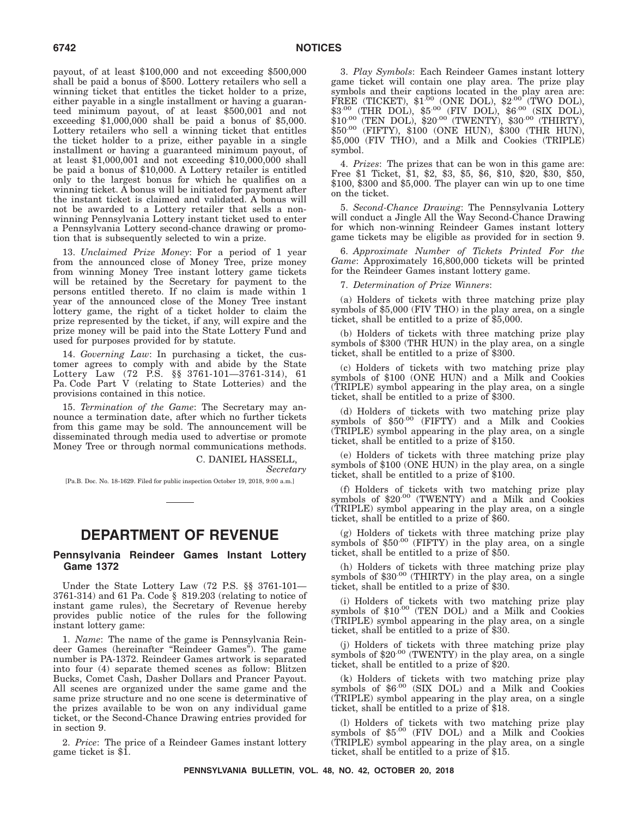payout, of at least \$100,000 and not exceeding \$500,000 shall be paid a bonus of \$500. Lottery retailers who sell a winning ticket that entitles the ticket holder to a prize, either payable in a single installment or having a guaranteed minimum payout, of at least \$500,001 and not exceeding  $$1,000,000$  shall be paid a bonus of  $$5,000$ . Lottery retailers who sell a winning ticket that entitles the ticket holder to a prize, either payable in a single installment or having a guaranteed minimum payout, of at least \$1,000,001 and not exceeding \$10,000,000 shall be paid a bonus of \$10,000. A Lottery retailer is entitled only to the largest bonus for which he qualifies on a winning ticket. A bonus will be initiated for payment after the instant ticket is claimed and validated. A bonus will not be awarded to a Lottery retailer that sells a nonwinning Pennsylvania Lottery instant ticket used to enter a Pennsylvania Lottery second-chance drawing or promotion that is subsequently selected to win a prize.

13. *Unclaimed Prize Money*: For a period of 1 year from the announced close of Money Tree, prize money from winning Money Tree instant lottery game tickets will be retained by the Secretary for payment to the persons entitled thereto. If no claim is made within 1 year of the announced close of the Money Tree instant lottery game, the right of a ticket holder to claim the prize represented by the ticket, if any, will expire and the prize money will be paid into the State Lottery Fund and used for purposes provided for by statute.

14. *Governing Law*: In purchasing a ticket, the customer agrees to comply with and abide by the State Lottery Law (72 P.S. §§ 3761-101—3761-314), 61 Pa. Code Part V (relating to State Lotteries) and the provisions contained in this notice.

15. *Termination of the Game*: The Secretary may announce a termination date, after which no further tickets from this game may be sold. The announcement will be disseminated through media used to advertise or promote Money Tree or through normal communications methods.

> C. DANIEL HASSELL, *Secretary*

[Pa.B. Doc. No. 18-1629. Filed for public inspection October 19, 2018, 9:00 a.m.]

## **DEPARTMENT OF REVENUE**

#### **Pennsylvania Reindeer Games Instant Lottery Game 1372**

Under the State Lottery Law (72 P.S. §§ 3761-101— 3761-314) and 61 Pa. Code § 819.203 (relating to notice of instant game rules), the Secretary of Revenue hereby provides public notice of the rules for the following instant lottery game:

1. *Name*: The name of the game is Pennsylvania Reindeer Games (hereinafter ''Reindeer Games''). The game number is PA-1372. Reindeer Games artwork is separated into four (4) separate themed scenes as follow: Blitzen Bucks, Comet Cash, Dasher Dollars and Prancer Payout. All scenes are organized under the same game and the same prize structure and no one scene is determinative of the prizes available to be won on any individual game ticket, or the Second-Chance Drawing entries provided for in section 9.

2. *Price*: The price of a Reindeer Games instant lottery game ticket is \$1.

3. *Play Symbols*: Each Reindeer Games instant lottery game ticket will contain one play area. The prize play symbols and their captions located in the play area are: FREE (TICKET),  $$1^{.00}$  (ONE DOL),  $$2^{.00}$  (TWO DOL),  $$3^{.00}$  (THR DOL),  $$5^{.00}$  (FIV DOL),  $$6^{.00}$  (SIX DOL),  $$10^{.00}$  (TEN DOL),  $$20^{.00}$  (TWENTY),  $$30^{.00}$  (THIRTY), \$50.00 (FIFTY), \$100 (ONE HUN), \$300 (THR HUN), \$5,000 (FIV THO), and a Milk and Cookies (TRIPLE) symbol.

4. *Prizes*: The prizes that can be won in this game are: Free \$1 Ticket, \$1, \$2, \$3, \$5, \$6, \$10, \$20, \$30, \$50, \$100, \$300 and \$5,000. The player can win up to one time on the ticket.

5. *Second-Chance Drawing*: The Pennsylvania Lottery will conduct a Jingle All the Way Second-Chance Drawing for which non-winning Reindeer Games instant lottery game tickets may be eligible as provided for in section 9.

6. *Approximate Number of Tickets Printed For the Game*: Approximately 16,800,000 tickets will be printed for the Reindeer Games instant lottery game.

7. *Determination of Prize Winners*:

(a) Holders of tickets with three matching prize play symbols of \$5,000 (FIV THO) in the play area, on a single ticket, shall be entitled to a prize of \$5,000.

(b) Holders of tickets with three matching prize play symbols of \$300 (THR HUN) in the play area, on a single ticket, shall be entitled to a prize of \$300.

(c) Holders of tickets with two matching prize play symbols of \$100 (ONE HUN) and a Milk and Cookies (TRIPLE) symbol appearing in the play area, on a single ticket, shall be entitled to a prize of \$300.

(d) Holders of tickets with two matching prize play symbols of \$50.00 (FIFTY) and a Milk and Cookies (TRIPLE) symbol appearing in the play area, on a single ticket, shall be entitled to a prize of \$150.

(e) Holders of tickets with three matching prize play symbols of \$100 (ONE HUN) in the play area, on a single ticket, shall be entitled to a prize of \$100.

(f) Holders of tickets with two matching prize play symbols of  $$20^{.00}$  (TWENTY) and a Milk and Cookies (TRIPLE) symbol appearing in the play area, on a single ticket, shall be entitled to a prize of \$60.

(g) Holders of tickets with three matching prize play symbols of  $$50^{00}$  (FIFTY) in the play area, on a single ticket, shall be entitled to a prize of \$50.

(h) Holders of tickets with three matching prize play symbols of  $$30^{00}$  (THIRTY) in the play area, on a single ticket, shall be entitled to a prize of \$30.

(i) Holders of tickets with two matching prize play symbols of \$10<sup>.00</sup> (TEN DOL) and a Milk and Cookies (TRIPLE) symbol appearing in the play area, on a single ticket, shall be entitled to a prize of \$30.

(j) Holders of tickets with three matching prize play symbols of  $$20^{00}$  (TWENTY) in the play area, on a single ticket, shall be entitled to a prize of \$20.

 $(k)$  Holders of tickets with two matching prize play symbols of  $60^{\circ}$  (SIX DOL) and a Milk and Cookies (TRIPLE) symbol appearing in the play area, on a single ticket, shall be entitled to a prize of \$18.

(l) Holders of tickets with two matching prize play symbols of \$5.00 (FIV DOL) and a Milk and Cookies (TRIPLE) symbol appearing in the play area, on a single ticket, shall be entitled to a prize of \$15.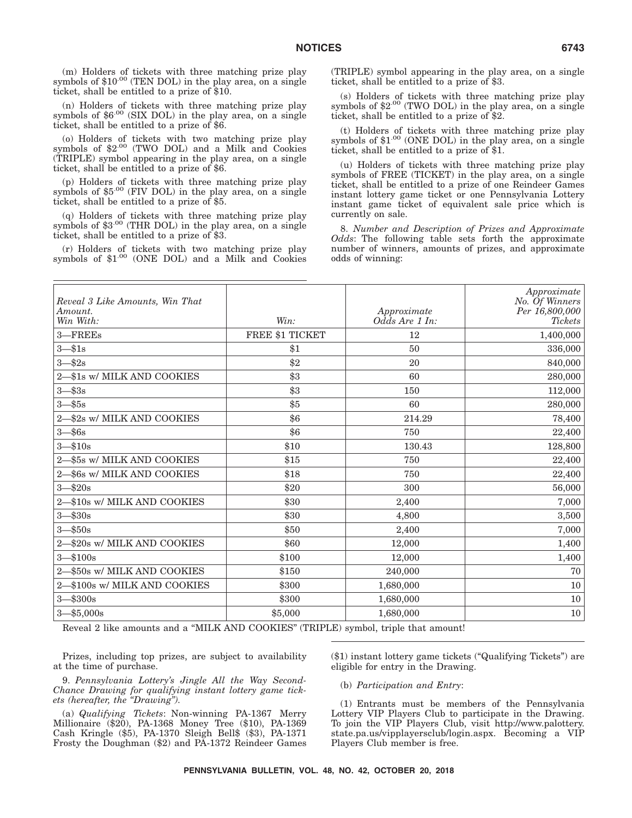(n) Holders of tickets with three matching prize play symbols of \$6.00 (SIX DOL) in the play area, on a single ticket, shall be entitled to a prize of \$6.

(o) Holders of tickets with two matching prize play symbols of \$2.00 (TWO DOL) and a Milk and Cookies (TRIPLE) symbol appearing in the play area, on a single ticket, shall be entitled to a prize of \$6.

(p) Holders of tickets with three matching prize play symbols of \$5.00 (FIV DOL) in the play area, on a single ticket, shall be entitled to a prize of \$5.

(q) Holders of tickets with three matching prize play symbols of  $$3^{.00}$  (THR DOL) in the play area, on a single ticket, shall be entitled to a prize of \$3.

(r) Holders of tickets with two matching prize play symbols of \$1.00 (ONE DOL) and a Milk and Cookies

(TRIPLE) symbol appearing in the play area, on a single ticket, shall be entitled to a prize of \$3.

(s) Holders of tickets with three matching prize play symbols of  $2^{00}$  (TWO DOL) in the play area, on a single ticket, shall be entitled to a prize of \$2.

(t) Holders of tickets with three matching prize play symbols of  $$1^{.00}$  (ONE DOL) in the play area, on a single ticket, shall be entitled to a prize of \$1.

(u) Holders of tickets with three matching prize play symbols of FREE (TICKET) in the play area, on a single ticket, shall be entitled to a prize of one Reindeer Games instant lottery game ticket or one Pennsylvania Lottery instant game ticket of equivalent sale price which is currently on sale.

8. *Number and Description of Prizes and Approximate Odds*: The following table sets forth the approximate number of winners, amounts of prizes, and approximate odds of winning:

| Reveal 3 Like Amounts, Win That<br>Amount.<br>Win With: | Win:            | Approximate<br>$Od\bar{d}s$ Are 1 In: | Approximate<br>No. Of Winners<br>Per 16,800,000<br><b>Tickets</b> |
|---------------------------------------------------------|-----------------|---------------------------------------|-------------------------------------------------------------------|
| 3-FREEs                                                 | FREE \$1 TICKET | 12                                    | 1,400,000                                                         |
| $3 - $1s$                                               | \$1             | 50                                    | 336,000                                                           |
| $3 - $2s$                                               | $\$2$           | 20                                    | 840,000                                                           |
| 2-\$1s w/ MILK AND COOKIES                              | \$3             | 60                                    | 280,000                                                           |
| $3 - $3s$                                               | \$3             | 150                                   | 112,000                                                           |
| $3 - $5s$                                               | \$5             | 60                                    | 280,000                                                           |
| 2-\$2s w/ MILK AND COOKIES                              | \$6             | 214.29                                | 78,400                                                            |
| $3 - $6s$                                               | \$6             | 750                                   | 22,400                                                            |
| $3 - $10s$                                              | \$10            | 130.43                                | 128,800                                                           |
| 2-\$5s w/ MILK AND COOKIES                              | \$15            | 750                                   | 22,400                                                            |
| 2-\$6s w/ MILK AND COOKIES                              | \$18            | 750                                   | 22,400                                                            |
| $3 - $20s$                                              | \$20            | 300                                   | 56,000                                                            |
| 2-\$10s w/ MILK AND COOKIES                             | \$30            | 2,400                                 | 7,000                                                             |
| $3 - $30s$                                              | \$30            | 4,800                                 | 3,500                                                             |
| $3 - $50s$                                              | \$50            | 2,400                                 | 7,000                                                             |
| 2-\$20s w/ MILK AND COOKIES                             | \$60            | 12,000                                | 1,400                                                             |
| $3 - $100s$                                             | \$100           | 12,000                                | 1,400                                                             |
| 2-\$50s w/ MILK AND COOKIES                             | \$150           | 240,000                               | 70                                                                |
| 2-\$100s w/ MILK AND COOKIES                            | \$300           | 1,680,000                             | 10                                                                |
| $3 - $300s$                                             | \$300           | 1,680,000                             | 10                                                                |
| $3 - $5,000s$                                           | \$5,000         | 1,680,000                             | 10                                                                |

Reveal 2 like amounts and a ''MILK AND COOKIES'' (TRIPLE) symbol, triple that amount!

Prizes, including top prizes, are subject to availability at the time of purchase.

9. *Pennsylvania Lottery's Jingle All the Way Second-Chance Drawing for qualifying instant lottery game tickets (hereafter, the ''Drawing'').*

(a) *Qualifying Tickets*: Non-winning PA-1367 Merry Millionaire (\$20), PA-1368 Money Tree (\$10), PA-1369 Cash Kringle (\$5), PA-1370 Sleigh Bell\$ (\$3), PA-1371 Frosty the Doughman (\$2) and PA-1372 Reindeer Games (\$1) instant lottery game tickets (''Qualifying Tickets'') are eligible for entry in the Drawing.

(b) *Participation and Entry*:

(1) Entrants must be members of the Pennsylvania Lottery VIP Players Club to participate in the Drawing. To join the VIP Players Club, visit http://www.palottery. state.pa.us/vipplayersclub/login.aspx. Becoming a VIP Players Club member is free.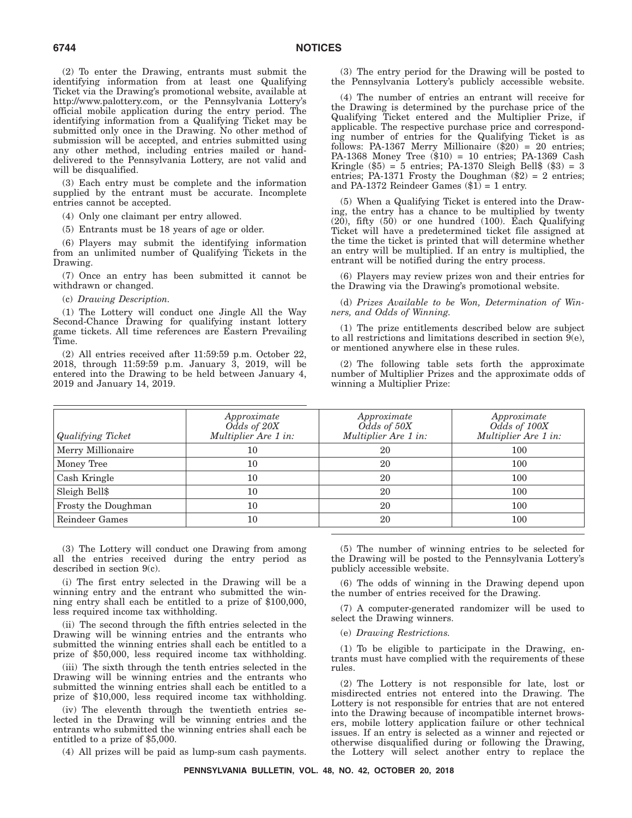(2) To enter the Drawing, entrants must submit the identifying information from at least one Qualifying Ticket via the Drawing's promotional website, available at http://www.palottery.com, or the Pennsylvania Lottery's official mobile application during the entry period. The identifying information from a Qualifying Ticket may be submitted only once in the Drawing. No other method of submission will be accepted, and entries submitted using any other method, including entries mailed or handdelivered to the Pennsylvania Lottery, are not valid and will be disqualified.

(3) Each entry must be complete and the information supplied by the entrant must be accurate. Incomplete entries cannot be accepted.

(4) Only one claimant per entry allowed.

(5) Entrants must be 18 years of age or older.

(6) Players may submit the identifying information from an unlimited number of Qualifying Tickets in the Drawing.

(7) Once an entry has been submitted it cannot be withdrawn or changed.

(c) *Drawing Description.*

(1) The Lottery will conduct one Jingle All the Way Second-Chance Drawing for qualifying instant lottery game tickets. All time references are Eastern Prevailing Time.

(2) All entries received after 11:59:59 p.m. October 22, 2018, through 11:59:59 p.m. January 3, 2019, will be entered into the Drawing to be held between January 4, 2019 and January 14, 2019.

(3) The entry period for the Drawing will be posted to the Pennsylvania Lottery's publicly accessible website.

(4) The number of entries an entrant will receive for the Drawing is determined by the purchase price of the Qualifying Ticket entered and the Multiplier Prize, if applicable. The respective purchase price and corresponding number of entries for the Qualifying Ticket is as follows: PA-1367 Merry Millionaire  $(\$20)$  = 20 entries; PA-1368 Money Tree (\$10) = 10 entries; PA-1369 Cash Kringle  $(\$5) = 5$  entries; PA-1370 Sleigh Bell $$(\$3) = 3$ entries; PA-1371 Frosty the Doughman  $(\$2) = 2$  entries; and PA-1372 Reindeer Games  $(\$1) = 1$  entry.

(5) When a Qualifying Ticket is entered into the Drawing, the entry has a chance to be multiplied by twenty (20), fifty (50) or one hundred (100). Each Qualifying Ticket will have a predetermined ticket file assigned at the time the ticket is printed that will determine whether an entry will be multiplied. If an entry is multiplied, the entrant will be notified during the entry process.

(6) Players may review prizes won and their entries for the Drawing via the Drawing's promotional website.

(d) *Prizes Available to be Won, Determination of Winners, and Odds of Winning.*

(1) The prize entitlements described below are subject to all restrictions and limitations described in section 9(e), or mentioned anywhere else in these rules.

(2) The following table sets forth the approximate number of Multiplier Prizes and the approximate odds of winning a Multiplier Prize:

| <b>Qualifying Ticket</b> | Approximate<br>Odds of 20X<br>Multiplier Are 1 in: | Approximate<br>Odds of 50X<br>Multiplier Are 1 in: | Approximate<br>Odds of 100X<br>Multiplier Are 1 in: |
|--------------------------|----------------------------------------------------|----------------------------------------------------|-----------------------------------------------------|
| Merry Millionaire        | 10                                                 | 20                                                 | 100                                                 |
| Money Tree               | 10                                                 | 20                                                 | 100                                                 |
| Cash Kringle             | 10                                                 | 20                                                 | 100                                                 |
| Sleigh Bell\$            | 10                                                 | 20                                                 | 100                                                 |
| Frosty the Doughman      | 10                                                 | 20                                                 | 100                                                 |
| Reindeer Games           | 10                                                 | 20                                                 | 100                                                 |

(3) The Lottery will conduct one Drawing from among all the entries received during the entry period as described in section 9(c).

(i) The first entry selected in the Drawing will be a winning entry and the entrant who submitted the winning entry shall each be entitled to a prize of \$100,000, less required income tax withholding.

(ii) The second through the fifth entries selected in the Drawing will be winning entries and the entrants who submitted the winning entries shall each be entitled to a prize of \$50,000, less required income tax withholding.

(iii) The sixth through the tenth entries selected in the Drawing will be winning entries and the entrants who submitted the winning entries shall each be entitled to a prize of \$10,000, less required income tax withholding.

(iv) The eleventh through the twentieth entries selected in the Drawing will be winning entries and the entrants who submitted the winning entries shall each be entitled to a prize of \$5,000.

(4) All prizes will be paid as lump-sum cash payments.

(5) The number of winning entries to be selected for the Drawing will be posted to the Pennsylvania Lottery's publicly accessible website.

(6) The odds of winning in the Drawing depend upon the number of entries received for the Drawing.

(7) A computer-generated randomizer will be used to select the Drawing winners.

(e) *Drawing Restrictions.*

(1) To be eligible to participate in the Drawing, entrants must have complied with the requirements of these rules.

(2) The Lottery is not responsible for late, lost or misdirected entries not entered into the Drawing. The Lottery is not responsible for entries that are not entered into the Drawing because of incompatible internet browsers, mobile lottery application failure or other technical issues. If an entry is selected as a winner and rejected or otherwise disqualified during or following the Drawing, the Lottery will select another entry to replace the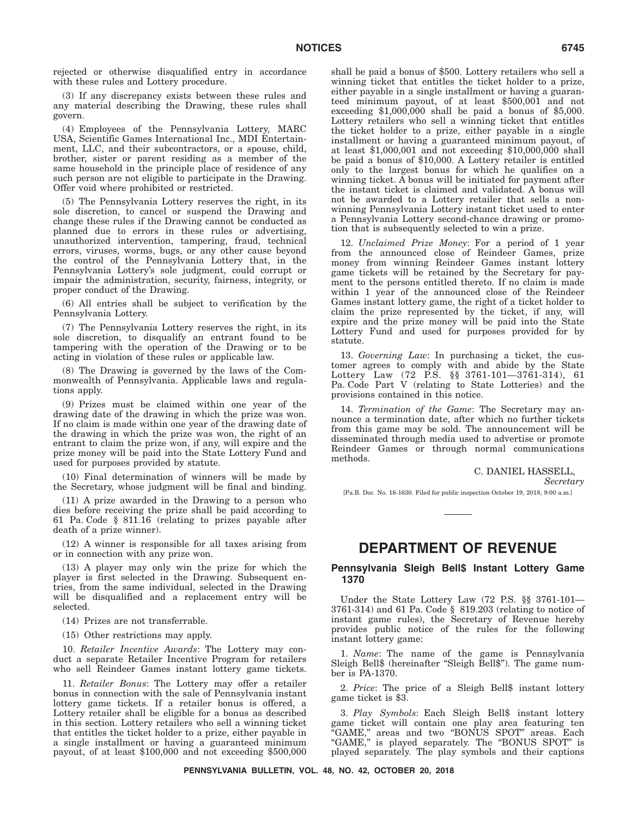rejected or otherwise disqualified entry in accordance with these rules and Lottery procedure.

(3) If any discrepancy exists between these rules and any material describing the Drawing, these rules shall govern.

(4) Employees of the Pennsylvania Lottery, MARC USA, Scientific Games International Inc., MDI Entertainment, LLC, and their subcontractors, or a spouse, child, brother, sister or parent residing as a member of the same household in the principle place of residence of any such person are not eligible to participate in the Drawing. Offer void where prohibited or restricted.

(5) The Pennsylvania Lottery reserves the right, in its sole discretion, to cancel or suspend the Drawing and change these rules if the Drawing cannot be conducted as planned due to errors in these rules or advertising, unauthorized intervention, tampering, fraud, technical errors, viruses, worms, bugs, or any other cause beyond the control of the Pennsylvania Lottery that, in the Pennsylvania Lottery's sole judgment, could corrupt or impair the administration, security, fairness, integrity, or proper conduct of the Drawing.

(6) All entries shall be subject to verification by the Pennsylvania Lottery.

(7) The Pennsylvania Lottery reserves the right, in its sole discretion, to disqualify an entrant found to be tampering with the operation of the Drawing or to be acting in violation of these rules or applicable law.

(8) The Drawing is governed by the laws of the Commonwealth of Pennsylvania. Applicable laws and regulations apply.

(9) Prizes must be claimed within one year of the drawing date of the drawing in which the prize was won. If no claim is made within one year of the drawing date of the drawing in which the prize was won, the right of an entrant to claim the prize won, if any, will expire and the prize money will be paid into the State Lottery Fund and used for purposes provided by statute.

(10) Final determination of winners will be made by the Secretary, whose judgment will be final and binding.

(11) A prize awarded in the Drawing to a person who dies before receiving the prize shall be paid according to 61 Pa. Code § 811.16 (relating to prizes payable after death of a prize winner).

(12) A winner is responsible for all taxes arising from or in connection with any prize won.

(13) A player may only win the prize for which the player is first selected in the Drawing. Subsequent entries, from the same individual, selected in the Drawing will be disqualified and a replacement entry will be selected.

(14) Prizes are not transferrable.

(15) Other restrictions may apply.

10. *Retailer Incentive Awards*: The Lottery may conduct a separate Retailer Incentive Program for retailers who sell Reindeer Games instant lottery game tickets.

11. *Retailer Bonus*: The Lottery may offer a retailer bonus in connection with the sale of Pennsylvania instant lottery game tickets. If a retailer bonus is offered, a Lottery retailer shall be eligible for a bonus as described in this section. Lottery retailers who sell a winning ticket that entitles the ticket holder to a prize, either payable in a single installment or having a guaranteed minimum payout, of at least \$100,000 and not exceeding \$500,000

shall be paid a bonus of \$500. Lottery retailers who sell a winning ticket that entitles the ticket holder to a prize, either payable in a single installment or having a guaranteed minimum payout, of at least \$500,001 and not exceeding \$1,000,000 shall be paid a bonus of \$5,000. Lottery retailers who sell a winning ticket that entitles the ticket holder to a prize, either payable in a single installment or having a guaranteed minimum payout, of at least \$1,000,001 and not exceeding \$10,000,000 shall be paid a bonus of \$10,000. A Lottery retailer is entitled only to the largest bonus for which he qualifies on a winning ticket. A bonus will be initiated for payment after the instant ticket is claimed and validated. A bonus will not be awarded to a Lottery retailer that sells a nonwinning Pennsylvania Lottery instant ticket used to enter a Pennsylvania Lottery second-chance drawing or promotion that is subsequently selected to win a prize.

12. *Unclaimed Prize Money*: For a period of 1 year from the announced close of Reindeer Games, prize money from winning Reindeer Games instant lottery game tickets will be retained by the Secretary for payment to the persons entitled thereto. If no claim is made within 1 year of the announced close of the Reindeer Games instant lottery game, the right of a ticket holder to claim the prize represented by the ticket, if any, will expire and the prize money will be paid into the State Lottery Fund and used for purposes provided for by statute.

13. *Governing Law*: In purchasing a ticket, the customer agrees to comply with and abide by the State Lottery Law (72 P.S. §§ 3761-101—3761-314), 61 Pa. Code Part V (relating to State Lotteries) and the provisions contained in this notice.

14. *Termination of the Game*: The Secretary may announce a termination date, after which no further tickets from this game may be sold. The announcement will be disseminated through media used to advertise or promote Reindeer Games or through normal communications methods.

C. DANIEL HASSELL,

*Secretary*

[Pa.B. Doc. No. 18-1630. Filed for public inspection October 19, 2018, 9:00 a.m.]

### **DEPARTMENT OF REVENUE**

#### **Pennsylvania Sleigh Bell\$ Instant Lottery Game 1370**

Under the State Lottery Law (72 P.S. §§ 3761-101— 3761-314) and 61 Pa. Code § 819.203 (relating to notice of instant game rules), the Secretary of Revenue hereby provides public notice of the rules for the following instant lottery game:

1. *Name*: The name of the game is Pennsylvania Sleigh Bell\$ (hereinafter "Sleigh Bell\$"). The game number is PA-1370.

2. *Price*: The price of a Sleigh Bell\$ instant lottery game ticket is \$3.

3. *Play Symbols*: Each Sleigh Bell\$ instant lottery game ticket will contain one play area featuring ten "GAME," areas and two "BONUS SPOT" areas. Each ''GAME,'' is played separately. The ''BONUS SPOT'' is played separately. The play symbols and their captions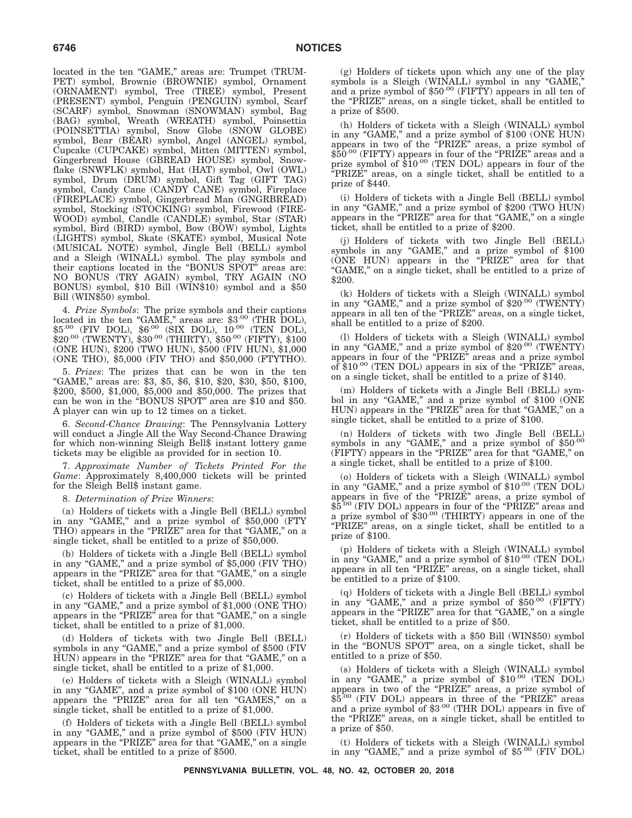located in the ten "GAME," areas are: Trumpet (TRUM-PET) symbol, Brownie (BROWNIE) symbol, Ornament (ORNAMENT) symbol, Tree (TREE) symbol, Present (PRESENT) symbol, Penguin (PENGUIN) symbol, Scarf (SCARF) symbol, Snowman (SNOWMAN) symbol, Bag (BAG) symbol, Wreath (WREATH) symbol, Poinsettia (POINSETTIA) symbol, Snow Globe (SNOW GLOBE) symbol, Bear (BEAR) symbol, Angel (ANGEL) symbol, Cupcake (CUPCAKE) symbol, Mitten (MITTEN) symbol, Gingerbread House (GBREAD HOUSE) symbol, Snowflake (SNWFLK) symbol, Hat (HAT) symbol, Owl (OWL) symbol, Drum (DRUM) symbol, Gift Tag (GIFT TAG) symbol, Candy Cane (CANDY CANE) symbol, Fireplace (FIREPLACE) symbol, Gingerbread Man (GNGRBREAD) symbol, Stocking (STOCKING) symbol, Firewood (FIRE-WOOD) symbol, Candle (CANDLE) symbol, Star (STAR) symbol, Bird (BIRD) symbol, Bow (BOW) symbol, Lights (LIGHTS) symbol, Skate (SKATE) symbol, Musical Note (MUSICAL NOTE) symbol, Jingle Bell (BELL) symbol and a Sleigh (WINALL) symbol. The play symbols and their captions located in the ''BONUS SPOT'' areas are: NO BONUS (TRY AGAIN) symbol, TRY AGAIN (NO BONUS) symbol, \$10 Bill (WIN\$10) symbol and a \$50 Bill (WIN\$50) symbol.

4. *Prize Symbols*: The prize symbols and their captions located in the ten "GAME," areas are: \$3<sup>.00</sup> (THR DOL),  $$5^{.00}$  (FIV DOL),  $$6^{.00}$  (SIX DOL),  $10^{.00}$  (TEN DOL),  $$20^{.00}$  (TWENTY),  $$30^{.00}$  (THIRTY),  $$50^{.00}$  (FIFTY),  $$100$ (ONE HUN), \$200 (TWO HUN), \$500 (FIV HUN), \$1,000 (ONE THO), \$5,000 (FIV THO) and \$50,000 (FTYTHO).

5. *Prizes*: The prizes that can be won in the ten ''GAME,'' areas are: \$3, \$5, \$6, \$10, \$20, \$30, \$50, \$100, \$200, \$500, \$1,000, \$5,000 and \$50,000. The prizes that can be won in the ''BONUS SPOT'' area are \$10 and \$50. A player can win up to 12 times on a ticket.

6. *Second-Chance Drawing*: The Pennsylvania Lottery will conduct a Jingle All the Way Second-Chance Drawing for which non-winning Sleigh Bell\$ instant lottery game tickets may be eligible as provided for in section 10.

7. *Approximate Number of Tickets Printed For the Game*: Approximately 8,400,000 tickets will be printed for the Sleigh Bell\$ instant game.

8. *Determination of Prize Winners*:

(a) Holders of tickets with a Jingle Bell (BELL) symbol in any "GAME," and a prize symbol of \$50,000 (FTY THO) appears in the "PRIZE" area for that "GAME," on a single ticket, shall be entitled to a prize of \$50,000.

(b) Holders of tickets with a Jingle Bell (BELL) symbol in any ''GAME,'' and a prize symbol of \$5,000 (FIV THO) appears in the "PRIZE" area for that "GAME," on a single ticket, shall be entitled to a prize of \$5,000.

(c) Holders of tickets with a Jingle Bell (BELL) symbol in any ''GAME,'' and a prize symbol of \$1,000 (ONE THO) appears in the "PRIZE" area for that "GAME," on a single ticket, shall be entitled to a prize of \$1,000.

(d) Holders of tickets with two Jingle Bell (BELL) symbols in any ''GAME,'' and a prize symbol of \$500 (FIV HUN) appears in the "PRIZE" area for that "GAME," on a single ticket, shall be entitled to a prize of \$1,000.

(e) Holders of tickets with a Sleigh (WINALL) symbol in any "GAME", and a prize symbol of \$100 (ONE HUN) appears the "PRIZE" area for all ten "GAMES," on a single ticket, shall be entitled to a prize of \$1,000.

(f) Holders of tickets with a Jingle Bell (BELL) symbol in any ''GAME,'' and a prize symbol of \$500 (FIV HUN) appears in the "PRIZE" area for that "GAME," on a single ticket, shall be entitled to a prize of \$500.

(g) Holders of tickets upon which any one of the play symbols is a Sleigh (WINALL) symbol in any "GAME,"<br>and a prize symbol of \$50<sup>.00</sup> (FIFTY) appears in all ten of the "PRIZE" areas, on a single ticket, shall be entitled to a prize of \$500.

(h) Holders of tickets with a Sleigh (WINALL) symbol in any "GAME," and a prize symbol of \$100 (ONE HUN) appears in two of the "PRIZE" areas, a prize symbol of  $$50^{.00}$  (FIFTY) appears in four of the "PRIZE" areas and a prize symbol of \$10.00 (TEN DOL) appears in four of the ''PRIZE'' areas, on a single ticket, shall be entitled to a prize of \$440.

(i) Holders of tickets with a Jingle Bell (BELL) symbol in any ''GAME,'' and a prize symbol of \$200 (TWO HUN) appears in the "PRIZE" area for that "GAME," on a single ticket, shall be entitled to a prize of \$200.

(j) Holders of tickets with two Jingle Bell (BELL) symbols in any "GAME," and a prize symbol of \$100 (ONE HUN) appears in the ''PRIZE'' area for that "GAME," on a single ticket, shall be entitled to a prize of \$200.

(k) Holders of tickets with a Sleigh (WINALL) symbol in any "GAME," and a prize symbol of \$20.00 (TWENTY) appears in all ten of the ''PRIZE'' areas, on a single ticket, shall be entitled to a prize of \$200.

(l) Holders of tickets with a Sleigh (WINALL) symbol in any "GAME," and a prize symbol of  $$20^{.00}$  (TWENTY) appears in four of the "PRIZE" areas and a prize symbol of \$10.00 (TEN DOL) appears in six of the "PRIZE" areas, on a single ticket, shall be entitled to a prize of \$140.

(m) Holders of tickets with a Jingle Bell (BELL) symbol in any "GAME," and a prize symbol of \$100 (ONE HUN) appears in the "PRIZE" area for that "GAME," on a single ticket, shall be entitled to a prize of \$100.

(n) Holders of tickets with two Jingle Bell (BELL) symbols in any "GAME," and a prize symbol of  $$50^{00}$ (FIFTY) appears in the "PRIZE" area for that "GAME," on a single ticket, shall be entitled to a prize of \$100.

(o) Holders of tickets with a Sleigh (WINALL) symbol in any "GAME," and a prize symbol of \$10.00 (TEN DOL) appears in five of the "PRIZE" areas, a prize symbol of<br>\$5<sup>.00</sup> (FIV DOL) appears in four of the "PRIZE" areas and a prize symbol of  $$30^{.00}$  (THIRTY) appears in one of the ''PRIZE'' areas, on a single ticket, shall be entitled to a prize of \$100.

(p) Holders of tickets with a Sleigh (WINALL) symbol in any "GAME," and a prize symbol of  $$10^{.00}$  (TEN DOL) appears in all ten "PRIZE" areas, on a single ticket, shall be entitled to a prize of \$100.

(q) Holders of tickets with a Jingle Bell (BELL) symbol in any "GAME," and a prize symbol of  $$50^{.00}$  (FIFTY) appears in the "PRIZE" area for that "GAME," on a single ticket, shall be entitled to a prize of \$50.

(r) Holders of tickets with a \$50 Bill (WIN\$50) symbol in the ''BONUS SPOT'' area, on a single ticket, shall be entitled to a prize of \$50.

(s) Holders of tickets with a Sleigh (WINALL) symbol in any "GAME," a prize symbol of  $$10^{.00}$  (TEN DOL) appears in two of the "PRIZE" areas, a prize symbol of  $$5^{.00}$  (FIV DOL) appears in three of the "PRIZE" areas and a prize symbol of \$3.00 (THR DOL) appears in five of the "PRIZE" areas, on a single ticket, shall be entitled to a prize of \$50.

(t) Holders of tickets with a Sleigh (WINALL) symbol in any "GAME," and a prize symbol of  $$5^{.00}$  (FIV DOL)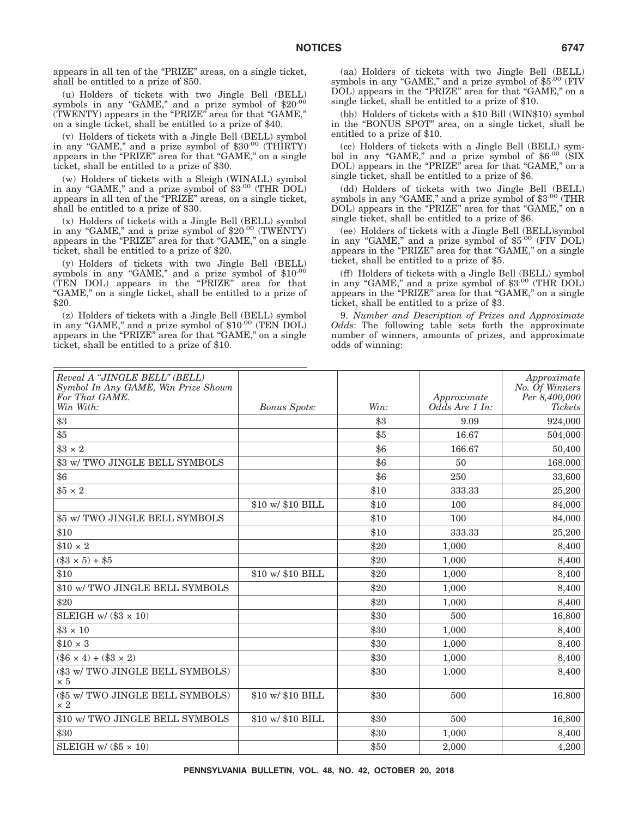appears in all ten of the "PRIZE" areas, on a single ticket, shall be entitled to a prize of \$50.

(u) Holders of tickets with two Jingle Bell (BELL) symbols in any "GAME," and a prize symbol of \$20<sup>.00</sup> (TWENTY) appears in the "PRIZE" area for that "GAME," on a single ticket, shall be entitled to a prize of \$40.

(v) Holders of tickets with a Jingle Bell (BELL) symbol in any "GAME," and a prize symbol of \$30.00 (THIRTY) appears in the "PRIZE" area for that "GAME," on a single ticket, shall be entitled to a prize of \$30.

(w) Holders of tickets with a Sleigh (WINALL) symbol in any "GAME," and a prize symbol of \$3.00 (THR DOL) appears in all ten of the ''PRIZE'' areas, on a single ticket, shall be entitled to a prize of \$30.

(x) Holders of tickets with a Jingle Bell (BELL) symbol in any "GAME," and a prize symbol of \$20.00 (TWENTY) appears in the "PRIZE" area for that "GAME," on a single ticket, shall be entitled to a prize of \$20.

(y) Holders of tickets with two Jingle Bell (BELL) symbols in any "GAME," and a prize symbol of \$10.00 (TEN DOL) appears in the "PRIZE" area for that ''GAME,'' on a single ticket, shall be entitled to a prize of \$20.

(z) Holders of tickets with a Jingle Bell (BELL) symbol in any "GAME," and a prize symbol of \$10.00 (TEN DOL) appears in the "PRIZE" area for that "GAME," on a single ticket, shall be entitled to a prize of \$10.

(aa) Holders of tickets with two Jingle Bell (BELL) symbols in any "GAME," and a prize symbol of  $$5^{.00}$  (FIV DOL) appears in the "PRIZE" area for that "GAME," on a single ticket, shall be entitled to a prize of \$10.

(bb) Holders of tickets with a \$10 Bill (WIN\$10) symbol in the ''BONUS SPOT'' area, on a single ticket, shall be entitled to a prize of \$10.

(cc) Holders of tickets with a Jingle Bell (BELL) symbol in any "GAME," and a prize symbol of  $$6^{.00}$  (SIX DOL) appears in the "PRIZE" area for that "GAME," on a single ticket, shall be entitled to a prize of \$6.

(dd) Holders of tickets with two Jingle Bell (BELL) symbols in any "GAME," and a prize symbol of  $$3^{.00}$  (THR DOL) appears in the "PRIZE" area for that "GAME," on a single ticket, shall be entitled to a prize of \$6.

(ee) Holders of tickets with a Jingle Bell (BELL)symbol in any "GAME," and a prize symbol of \$5.00 (FIV DOL) appears in the "PRIZE" area for that "GAME," on a single ticket, shall be entitled to a prize of \$5.

(ff) Holders of tickets with a Jingle Bell (BELL) symbol in any "GAME," and a prize symbol of \$3.00 (THR DOL) appears in the "PRIZE" area for that "GAME," on a single ticket, shall be entitled to a prize of \$3.

9. *Number and Description of Prizes and Approximate Odds*: The following table sets forth the approximate number of winners, amounts of prizes, and approximate odds of winning:

| Reveal A "JINGLE BELL" (BELL)<br>Symbol In Any GAME, Win Prize Shown<br>For That GAME. |                     |      | Approximate    | Approximate<br>No. Of Winners<br>Per 8,400,000 |
|----------------------------------------------------------------------------------------|---------------------|------|----------------|------------------------------------------------|
| Win With:                                                                              | <b>Bonus Spots:</b> | Win: | Odds Are 1 In: | <b>Tickets</b>                                 |
| \$3                                                                                    |                     | \$3  | 9.09           | 924,000                                        |
| \$5                                                                                    |                     | \$5  | 16.67          | 504,000                                        |
| $$3 \times 2$                                                                          |                     | \$6  | 166.67         | 50,400                                         |
| \$3 w/ TWO JINGLE BELL SYMBOLS                                                         |                     | \$6  | 50             | 168,000                                        |
| \$6                                                                                    |                     | \$6  | 250            | 33,600                                         |
| $$5 \times 2$                                                                          |                     | \$10 | 333.33         | 25,200                                         |
|                                                                                        | \$10 w/ \$10 BILL   | \$10 | 100            | 84,000                                         |
| \$5 w/ TWO JINGLE BELL SYMBOLS                                                         |                     | \$10 | 100            | 84,000                                         |
| \$10                                                                                   |                     | \$10 | 333.33         | 25,200                                         |
| $$10 \times 2$                                                                         |                     | \$20 | 1,000          | 8,400                                          |
| $(\$3 \times 5) + \$5$                                                                 |                     | \$20 | 1,000          | 8,400                                          |
| \$10                                                                                   | \$10 w/ \$10 BILL   | \$20 | 1,000          | 8,400                                          |
| \$10 w/ TWO JINGLE BELL SYMBOLS                                                        |                     | \$20 | 1,000          | 8,400                                          |
| \$20                                                                                   |                     | \$20 | 1,000          | 8,400                                          |
| SLEIGH w/ $(\$3 \times 10)$                                                            |                     | \$30 | 500            | 16,800                                         |
| $$3 \times 10$                                                                         |                     | \$30 | 1,000          | 8,400                                          |
| $$10 \times 3$                                                                         |                     | \$30 | 1,000          | 8,400                                          |
| $(\$6 \times 4) + \$3 \times 2)$                                                       |                     | \$30 | 1,000          | 8,400                                          |
| (\$3 w/ TWO JINGLE BELL SYMBOLS)<br>$\times 5$                                         |                     | \$30 | 1,000          | 8,400                                          |
| (\$5 w/ TWO JINGLE BELL SYMBOLS)<br>$\times 2$                                         | \$10 w/ \$10 BILL   | \$30 | 500            | 16,800                                         |
| \$10 w/ TWO JINGLE BELL SYMBOLS                                                        | \$10 w/ \$10 BILL   | \$30 | 500            | 16,800                                         |
| \$30                                                                                   |                     | \$30 | 1,000          | 8,400                                          |
| SLEIGH w/ $(\$5 \times 10)$                                                            |                     | \$50 | 2,000          | 4,200                                          |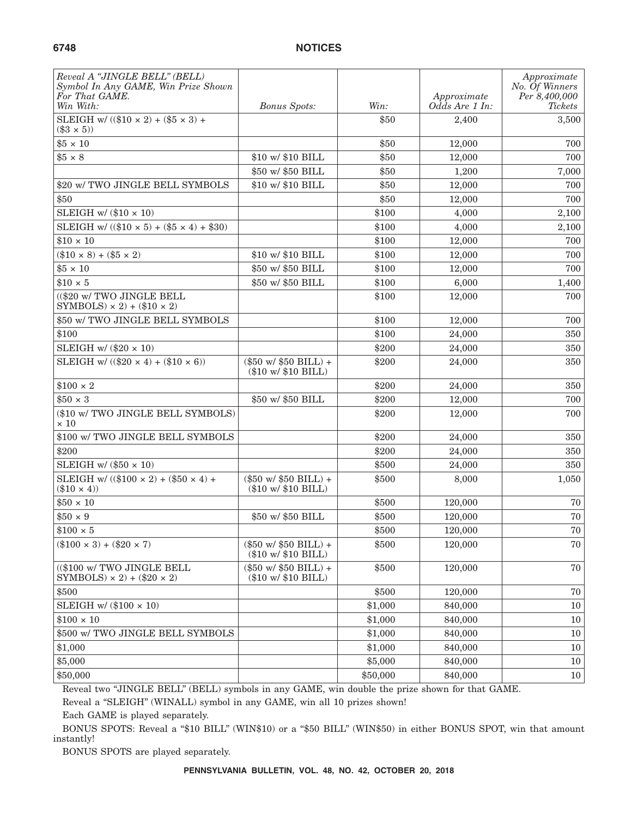| Reveal A "JINGLE BELL" (BELL)<br>Symbol In Any GAME, Win Prize Shown<br>For That GAME.<br>Win With: | <b>Bonus Spots:</b>                                                         | Win:     | Approximate<br>Odds Are 1 In: | Approximate<br>No. Of Winners<br>Per 8,400,000<br>Tickets |
|-----------------------------------------------------------------------------------------------------|-----------------------------------------------------------------------------|----------|-------------------------------|-----------------------------------------------------------|
| SLEIGH w/ $((\$10 \times 2) + (\$5 \times 3) +$<br>$(\$3 \times 5)$                                 |                                                                             | \$50     | 2,400                         | 3,500                                                     |
| $$5 \times 10$                                                                                      |                                                                             | \$50     | 12,000                        | 700                                                       |
| $$5 \times 8$                                                                                       | \$10 w/ \$10 BILL                                                           | \$50     | 12,000                        | 700                                                       |
|                                                                                                     | \$50 w/ \$50 BILL                                                           | \$50     | 1,200                         | 7,000                                                     |
| \$20 w/ TWO JINGLE BELL SYMBOLS                                                                     | \$10 w/ \$10 BILL                                                           | \$50     | 12,000                        | 700                                                       |
| \$50                                                                                                |                                                                             | \$50     | 12,000                        | 700                                                       |
| SLEIGH w/ $(\$10 \times 10)$                                                                        |                                                                             | \$100    | 4,000                         | 2,100                                                     |
| SLEIGH w/ $((\$10 \times 5) + (\$5 \times 4) + \$30)$                                               |                                                                             | \$100    | 4,000                         | 2,100                                                     |
| $$10 \times 10$                                                                                     |                                                                             | \$100    | 12,000                        | 700                                                       |
| $(\$10 \times 8) + ($5 \times 2)$                                                                   | \$10 w/ \$10 BILL                                                           | \$100    | 12,000                        | 700                                                       |
| $$5 \times 10$                                                                                      | \$50 w/ \$50 BILL                                                           | \$100    | 12,000                        | 700                                                       |
| $$10 \times 5$                                                                                      | \$50 w/ \$50 BILL                                                           | \$100    | 6,000                         | 1,400                                                     |
| ((\$20 w/ TWO JINGLE BELL<br>SYMBOLS) $\times$ 2) + (\$10 $\times$ 2)                               |                                                                             | \$100    | 12,000                        | 700                                                       |
| \$50 w/ TWO JINGLE BELL SYMBOLS                                                                     |                                                                             | \$100    | 12,000                        | 700                                                       |
| \$100                                                                                               |                                                                             | \$100    | 24,000                        | 350                                                       |
| SLEIGH w/ $(\$20 \times 10)$                                                                        |                                                                             | \$200    | 24,000                        | 350                                                       |
| SLEIGH w/ $((\$20 \times 4) + (\$10 \times 6))$                                                     | $(\$50 w$ / $\$50 BILL$ ) +<br>$(\$10 \text{ w}$ / $\$10 \text{ BILL}$      | \$200    | 24,000                        | 350                                                       |
| $$100 \times 2$                                                                                     |                                                                             | \$200    | 24,000                        | 350                                                       |
| $$50 \times 3$                                                                                      | \$50 w/ \$50 BILL                                                           | \$200    | 12,000                        | 700                                                       |
| (\$10 w/ TWO JINGLE BELL SYMBOLS)<br>$\times 10$                                                    |                                                                             | \$200    | 12,000                        | 700                                                       |
| \$100 w/ TWO JINGLE BELL SYMBOLS                                                                    |                                                                             | \$200    | 24,000                        | 350                                                       |
| \$200                                                                                               |                                                                             | \$200    | 24,000                        | 350                                                       |
| SLEIGH w/ $(\$50 \times 10)$                                                                        |                                                                             | \$500    | 24,000                        | 350                                                       |
| SLEIGH w/ $((\$100 \times 2) + (\$50 \times 4) +$<br>$(\$10 \times 4)$                              | $(\$50 \text{ w}$ / $\$50 \text{ BILL}$ +<br>$(\$10 \le 10 \times 10$ BILL) | \$500    | 8,000                         | 1,050                                                     |
| $$50 \times 10$                                                                                     |                                                                             | \$500    | 120,000                       | 70                                                        |
| $$50 \times 9$                                                                                      | \$50 w/ \$50 BILL                                                           | \$500    | 120,000                       | 70                                                        |
| $$100 \times 5$                                                                                     |                                                                             | \$500    | 120,000                       | 70                                                        |
| $(\$100 \times 3) + ($20 \times 7)$                                                                 | $(\$50 w$ / $\$50 BILL$ ) +<br>(\$10 w/ \$10 BILL)                          | \$500    | 120,000                       | $70\,$                                                    |
| ((\$100 w/ TWO JINGLE BELL<br>SYMBOLS) $\times$ 2) + (\$20 $\times$ 2)                              | $(\$50 w/ \$50 BILL) +$<br>(\$10 w/ \$10 BILL)                              | \$500    | 120,000                       | 70                                                        |
| \$500                                                                                               |                                                                             | \$500    | 120,000                       | 70                                                        |
| SLEIGH w/ $(\$100 \times 10)$                                                                       |                                                                             | \$1,000  | 840,000                       | 10                                                        |
| $$100 \times 10$                                                                                    |                                                                             | \$1,000  | 840,000                       | 10                                                        |
| \$500 w/ TWO JINGLE BELL SYMBOLS                                                                    |                                                                             | \$1,000  | 840,000                       | 10                                                        |
| \$1,000                                                                                             |                                                                             | \$1,000  | 840,000                       | $10\,$                                                    |
| \$5,000                                                                                             |                                                                             | \$5,000  | 840,000                       | 10                                                        |
| \$50,000                                                                                            |                                                                             | \$50,000 | 840,000                       | 10                                                        |

Reveal two "JINGLE BELL" (BELL) symbols in any GAME, win double the prize shown for that GAME.

Reveal a "SLEIGH" (WINALL) symbol in any GAME, win all 10 prizes shown!

Each GAME is played separately.

BONUS SPOTS: Reveal a "\$10 BILL" (WIN\$10) or a "\$50 BILL" (WIN\$50) in either BONUS SPOT, win that amount instantly!

BONUS SPOTS are played separately.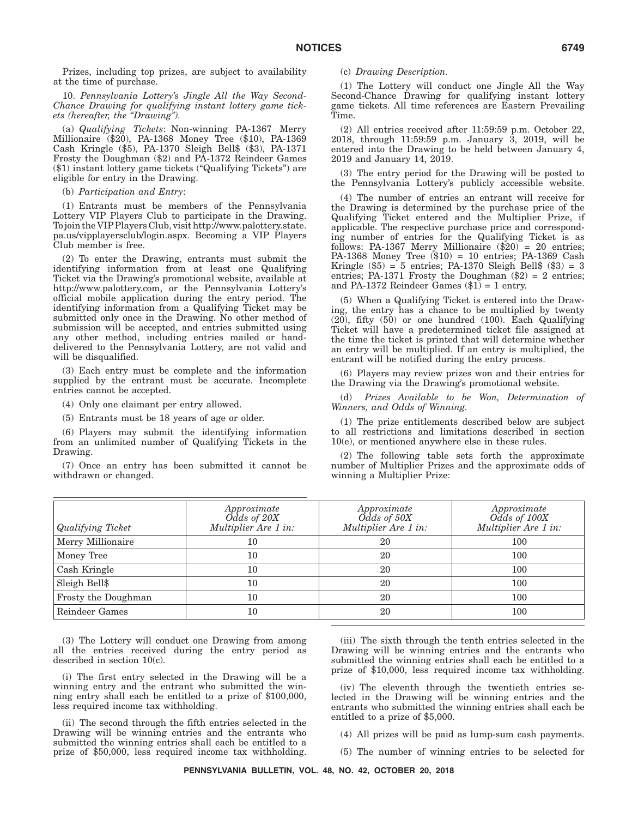Prizes, including top prizes, are subject to availability at the time of purchase.

10. *Pennsylvania Lottery's Jingle All the Way Second-Chance Drawing for qualifying instant lottery game tickets (hereafter, the ''Drawing'').*

(a) *Qualifying Tickets*: Non-winning PA-1367 Merry Millionaire (\$20), PA-1368 Money Tree (\$10), PA-1369 Cash Kringle (\$5), PA-1370 Sleigh Bell\$ (\$3), PA-1371 Frosty the Doughman (\$2) and PA-1372 Reindeer Games (\$1) instant lottery game tickets (''Qualifying Tickets'') are eligible for entry in the Drawing.

(b) *Participation and Entry*:

(1) Entrants must be members of the Pennsylvania Lottery VIP Players Club to participate in the Drawing. To join the VIPPlayers Club, visit http://www.palottery.state. pa.us/vipplayersclub/login.aspx. Becoming a VIP Players Club member is free.

(2) To enter the Drawing, entrants must submit the identifying information from at least one Qualifying Ticket via the Drawing's promotional website, available at http://www.palottery.com, or the Pennsylvania Lottery's official mobile application during the entry period. The identifying information from a Qualifying Ticket may be submitted only once in the Drawing. No other method of submission will be accepted, and entries submitted using any other method, including entries mailed or handdelivered to the Pennsylvania Lottery, are not valid and will be disqualified.

(3) Each entry must be complete and the information supplied by the entrant must be accurate. Incomplete entries cannot be accepted.

- (4) Only one claimant per entry allowed.
- (5) Entrants must be 18 years of age or older.

(6) Players may submit the identifying information from an unlimited number of Qualifying Tickets in the Drawing.

(7) Once an entry has been submitted it cannot be withdrawn or changed.

(c) *Drawing Description.*

(1) The Lottery will conduct one Jingle All the Way Second-Chance Drawing for qualifying instant lottery game tickets. All time references are Eastern Prevailing Time.

(2) All entries received after 11:59:59 p.m. October 22, 2018, through 11:59:59 p.m. January 3, 2019, will be entered into the Drawing to be held between January 4, 2019 and January 14, 2019.

(3) The entry period for the Drawing will be posted to the Pennsylvania Lottery's publicly accessible website.

(4) The number of entries an entrant will receive for the Drawing is determined by the purchase price of the Qualifying Ticket entered and the Multiplier Prize, if applicable. The respective purchase price and corresponding number of entries for the Qualifying Ticket is as follows: PA-1367 Merry Millionaire  $(\$20) = 20$  entries; PA-1368 Money Tree  $(\$10) = 10$  entries; PA-1369 Cash Kringle  $(\$5) = 5$  entries; PA-1370 Sleigh Bell $%$  ( $\$3) = 3$ entries; PA-1371 Frosty the Doughman  $(\$2) = 2$  entries; and PA-1372 Reindeer Games  $(\$1) = 1$  entry.

(5) When a Qualifying Ticket is entered into the Drawing, the entry has a chance to be multiplied by twenty (20), fifty (50) or one hundred (100). Each Qualifying Ticket will have a predetermined ticket file assigned at the time the ticket is printed that will determine whether an entry will be multiplied. If an entry is multiplied, the entrant will be notified during the entry process.

(6) Players may review prizes won and their entries for the Drawing via the Drawing's promotional website.

(d) *Prizes Available to be Won, Determination of Winners, and Odds of Winning.*

(1) The prize entitlements described below are subject to all restrictions and limitations described in section 10(e), or mentioned anywhere else in these rules.

(2) The following table sets forth the approximate number of Multiplier Prizes and the approximate odds of winning a Multiplier Prize:

| <b>Qualifying Ticket</b> | Approximate<br>$O\bar{d}ds$ of $20X$<br>Multiplier Are 1 in: | Approximate<br>$Odds \text{ of } 50X$<br>Multiplier Are 1 in: | Approximate<br>Odds of 100X<br>Multiplier Are 1 in: |
|--------------------------|--------------------------------------------------------------|---------------------------------------------------------------|-----------------------------------------------------|
| Merry Millionaire        | 10                                                           | 20                                                            | 100                                                 |
| Money Tree               | 10                                                           | 20                                                            | 100                                                 |
| Cash Kringle             | 10                                                           | 20                                                            | 100                                                 |
| Sleigh Bell\$            | 10                                                           | 20                                                            | 100                                                 |
| Frosty the Doughman      | 10                                                           | 20                                                            | 100                                                 |
| Reindeer Games           | 10                                                           | 20                                                            | 100                                                 |

(3) The Lottery will conduct one Drawing from among all the entries received during the entry period as described in section 10(c).

(i) The first entry selected in the Drawing will be a winning entry and the entrant who submitted the winning entry shall each be entitled to a prize of \$100,000, less required income tax withholding.

(ii) The second through the fifth entries selected in the Drawing will be winning entries and the entrants who submitted the winning entries shall each be entitled to a prize of \$50,000, less required income tax withholding.

(iii) The sixth through the tenth entries selected in the Drawing will be winning entries and the entrants who submitted the winning entries shall each be entitled to a prize of \$10,000, less required income tax withholding.

(iv) The eleventh through the twentieth entries selected in the Drawing will be winning entries and the entrants who submitted the winning entries shall each be entitled to a prize of \$5,000.

(4) All prizes will be paid as lump-sum cash payments.

(5) The number of winning entries to be selected for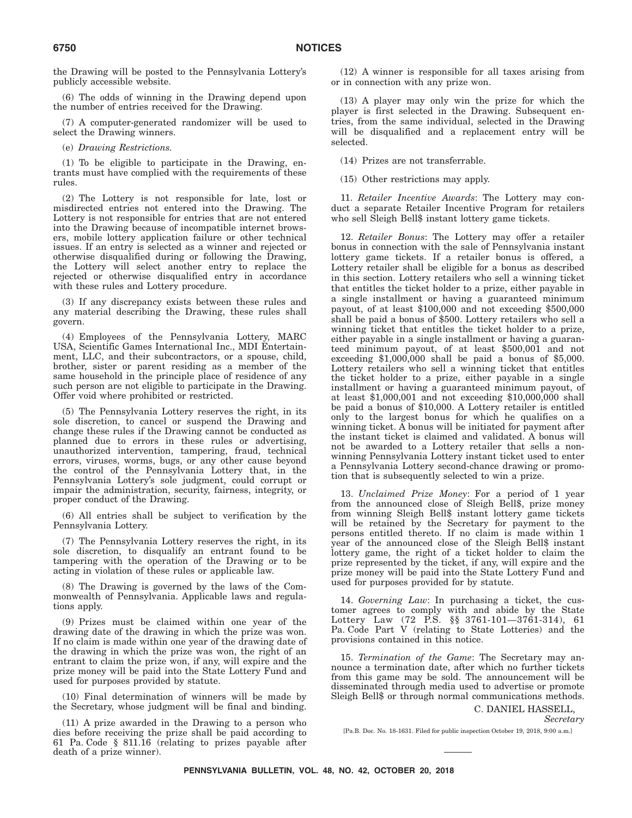the Drawing will be posted to the Pennsylvania Lottery's publicly accessible website.

(6) The odds of winning in the Drawing depend upon the number of entries received for the Drawing.

(7) A computer-generated randomizer will be used to select the Drawing winners.

(e) *Drawing Restrictions.*

(1) To be eligible to participate in the Drawing, entrants must have complied with the requirements of these rules.

(2) The Lottery is not responsible for late, lost or misdirected entries not entered into the Drawing. The Lottery is not responsible for entries that are not entered into the Drawing because of incompatible internet browsers, mobile lottery application failure or other technical issues. If an entry is selected as a winner and rejected or otherwise disqualified during or following the Drawing, the Lottery will select another entry to replace the rejected or otherwise disqualified entry in accordance with these rules and Lottery procedure.

(3) If any discrepancy exists between these rules and any material describing the Drawing, these rules shall govern.

(4) Employees of the Pennsylvania Lottery, MARC USA, Scientific Games International Inc., MDI Entertainment, LLC, and their subcontractors, or a spouse, child, brother, sister or parent residing as a member of the same household in the principle place of residence of any such person are not eligible to participate in the Drawing. Offer void where prohibited or restricted.

(5) The Pennsylvania Lottery reserves the right, in its sole discretion, to cancel or suspend the Drawing and change these rules if the Drawing cannot be conducted as planned due to errors in these rules or advertising, unauthorized intervention, tampering, fraud, technical errors, viruses, worms, bugs, or any other cause beyond the control of the Pennsylvania Lottery that, in the Pennsylvania Lottery's sole judgment, could corrupt or impair the administration, security, fairness, integrity, or proper conduct of the Drawing.

(6) All entries shall be subject to verification by the Pennsylvania Lottery.

(7) The Pennsylvania Lottery reserves the right, in its sole discretion, to disqualify an entrant found to be tampering with the operation of the Drawing or to be acting in violation of these rules or applicable law.

(8) The Drawing is governed by the laws of the Commonwealth of Pennsylvania. Applicable laws and regulations apply.

(9) Prizes must be claimed within one year of the drawing date of the drawing in which the prize was won. If no claim is made within one year of the drawing date of the drawing in which the prize was won, the right of an entrant to claim the prize won, if any, will expire and the prize money will be paid into the State Lottery Fund and used for purposes provided by statute.

(10) Final determination of winners will be made by the Secretary, whose judgment will be final and binding.

(11) A prize awarded in the Drawing to a person who dies before receiving the prize shall be paid according to 61 Pa. Code § 811.16 (relating to prizes payable after death of a prize winner).

(12) A winner is responsible for all taxes arising from or in connection with any prize won.

(13) A player may only win the prize for which the player is first selected in the Drawing. Subsequent entries, from the same individual, selected in the Drawing will be disqualified and a replacement entry will be selected.

(14) Prizes are not transferrable.

(15) Other restrictions may apply.

11. *Retailer Incentive Awards*: The Lottery may conduct a separate Retailer Incentive Program for retailers who sell Sleigh Bell\$ instant lottery game tickets.

12. *Retailer Bonus*: The Lottery may offer a retailer bonus in connection with the sale of Pennsylvania instant lottery game tickets. If a retailer bonus is offered, a Lottery retailer shall be eligible for a bonus as described in this section. Lottery retailers who sell a winning ticket that entitles the ticket holder to a prize, either payable in a single installment or having a guaranteed minimum payout, of at least \$100,000 and not exceeding \$500,000 shall be paid a bonus of \$500. Lottery retailers who sell a winning ticket that entitles the ticket holder to a prize, either payable in a single installment or having a guaranteed minimum payout, of at least \$500,001 and not exceeding \$1,000,000 shall be paid a bonus of \$5,000. Lottery retailers who sell a winning ticket that entitles the ticket holder to a prize, either payable in a single installment or having a guaranteed minimum payout, of at least \$1,000,001 and not exceeding \$10,000,000 shall be paid a bonus of \$10,000. A Lottery retailer is entitled only to the largest bonus for which he qualifies on a winning ticket. A bonus will be initiated for payment after the instant ticket is claimed and validated. A bonus will not be awarded to a Lottery retailer that sells a nonwinning Pennsylvania Lottery instant ticket used to enter a Pennsylvania Lottery second-chance drawing or promotion that is subsequently selected to win a prize.

13. *Unclaimed Prize Money*: For a period of 1 year from the announced close of Sleigh Bell\$, prize money from winning Sleigh Bell\$ instant lottery game tickets will be retained by the Secretary for payment to the persons entitled thereto. If no claim is made within 1 year of the announced close of the Sleigh Bell\$ instant lottery game, the right of a ticket holder to claim the prize represented by the ticket, if any, will expire and the prize money will be paid into the State Lottery Fund and used for purposes provided for by statute.

14. *Governing Law*: In purchasing a ticket, the customer agrees to comply with and abide by the State Lottery Law (72 P.S. §§ 3761-101—3761-314), 61 Pa. Code Part V (relating to State Lotteries) and the provisions contained in this notice.

15. *Termination of the Game*: The Secretary may announce a termination date, after which no further tickets from this game may be sold. The announcement will be disseminated through media used to advertise or promote Sleigh Bell\$ or through normal communications methods.

C. DANIEL HASSELL,

[Pa.B. Doc. No. 18-1631. Filed for public inspection October 19, 2018, 9:00 a.m.]

*Secretary*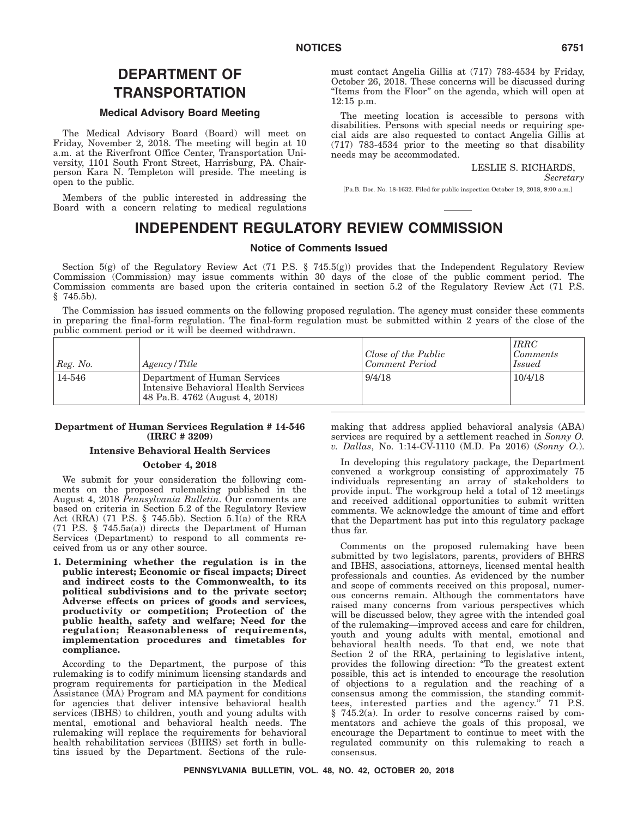# **DEPARTMENT OF TRANSPORTATION**

## **Medical Advisory Board Meeting**

The Medical Advisory Board (Board) will meet on Friday, November 2, 2018. The meeting will begin at 10 a.m. at the Riverfront Office Center, Transportation University, 1101 South Front Street, Harrisburg, PA. Chairperson Kara N. Templeton will preside. The meeting is open to the public.

Members of the public interested in addressing the Board with a concern relating to medical regulations

must contact Angelia Gillis at (717) 783-4534 by Friday, October 26, 2018. These concerns will be discussed during ''Items from the Floor'' on the agenda, which will open at 12:15 p.m.

The meeting location is accessible to persons with disabilities. Persons with special needs or requiring special aids are also requested to contact Angelia Gillis at (717) 783-4534 prior to the meeting so that disability needs may be accommodated.

### LESLIE S. RICHARDS,

*Secretary*

[Pa.B. Doc. No. 18-1632. Filed for public inspection October 19, 2018, 9:00 a.m.]

# **INDEPENDENT REGULATORY REVIEW COMMISSION**

# **Notice of Comments Issued**

Section 5(g) of the Regulatory Review Act (71 P.S. § 745.5(g)) provides that the Independent Regulatory Review Commission (Commission) may issue comments within 30 days of the close of the public comment period. The Commission comments are based upon the criteria contained in section 5.2 of the Regulatory Review Act (71 P.S. § 745.5b).

The Commission has issued comments on the following proposed regulation. The agency must consider these comments in preparing the final-form regulation. The final-form regulation must be submitted within 2 years of the close of the public comment period or it will be deemed withdrawn.

| Reg. No. | Agency/Title                                                                                           | Close of the Public<br>Comment Period | <i>IRRC</i><br><i>Comments</i><br><i>Issued</i> |
|----------|--------------------------------------------------------------------------------------------------------|---------------------------------------|-------------------------------------------------|
| 14-546   | Department of Human Services<br>Intensive Behavioral Health Services<br>48 Pa.B. 4762 (August 4, 2018) | 9/4/18                                | 10/4/18                                         |

### **Department of Human Services Regulation # 14-546 (IRRC # 3209)**

# **Intensive Behavioral Health Services**

# **October 4, 2018**

We submit for your consideration the following comments on the proposed rulemaking published in the August 4, 2018 *Pennsylvania Bulletin*. Our comments are based on criteria in Section 5.2 of the Regulatory Review Act (RRA) (71 P.S.  $\S$  745.5b). Section 5.1(a) of the RRA (71 P.S. § 745.5a(a)) directs the Department of Human Services (Department) to respond to all comments received from us or any other source.

**1. Determining whether the regulation is in the public interest; Economic or fiscal impacts; Direct and indirect costs to the Commonwealth, to its political subdivisions and to the private sector; Adverse effects on prices of goods and services, productivity or competition; Protection of the public health, safety and welfare; Need for the regulation; Reasonableness of requirements, implementation procedures and timetables for compliance.**

According to the Department, the purpose of this rulemaking is to codify minimum licensing standards and program requirements for participation in the Medical Assistance (MA) Program and MA payment for conditions for agencies that deliver intensive behavioral health services (IBHS) to children, youth and young adults with mental, emotional and behavioral health needs. The rulemaking will replace the requirements for behavioral health rehabilitation services (BHRS) set forth in bulletins issued by the Department. Sections of the rulemaking that address applied behavioral analysis (ABA) services are required by a settlement reached in *Sonny O. v. Dallas*, No. 1:14-CV-1110 (M.D. Pa 2016) (*Sonny O.*).

In developing this regulatory package, the Department convened a workgroup consisting of approximately 75 individuals representing an array of stakeholders to provide input. The workgroup held a total of 12 meetings and received additional opportunities to submit written comments. We acknowledge the amount of time and effort that the Department has put into this regulatory package thus far.

Comments on the proposed rulemaking have been submitted by two legislators, parents, providers of BHRS and IBHS, associations, attorneys, licensed mental health professionals and counties. As evidenced by the number and scope of comments received on this proposal, numerous concerns remain. Although the commentators have raised many concerns from various perspectives which will be discussed below, they agree with the intended goal of the rulemaking—improved access and care for children, youth and young adults with mental, emotional and behavioral health needs. To that end, we note that Section 2 of the RRA, pertaining to legislative intent, provides the following direction: ''To the greatest extent possible, this act is intended to encourage the resolution of objections to a regulation and the reaching of a consensus among the commission, the standing committees, interested parties and the agency.'' 71 P.S. § 745.2(a). In order to resolve concerns raised by commentators and achieve the goals of this proposal, we encourage the Department to continue to meet with the regulated community on this rulemaking to reach a consensus.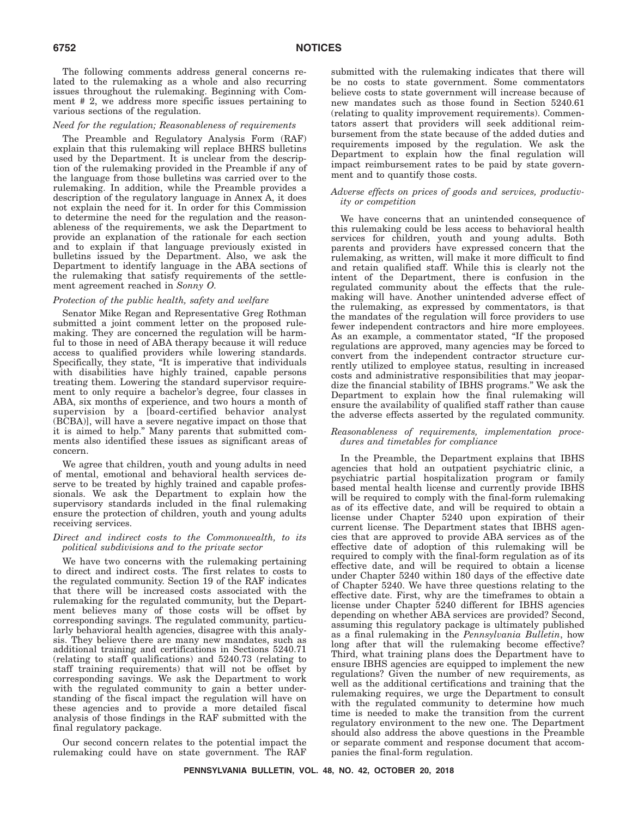The following comments address general concerns related to the rulemaking as a whole and also recurring issues throughout the rulemaking. Beginning with Comment # 2, we address more specific issues pertaining to various sections of the regulation.

### *Need for the regulation; Reasonableness of requirements*

The Preamble and Regulatory Analysis Form (RAF) explain that this rulemaking will replace BHRS bulletins used by the Department. It is unclear from the description of the rulemaking provided in the Preamble if any of the language from those bulletins was carried over to the rulemaking. In addition, while the Preamble provides a description of the regulatory language in Annex A, it does not explain the need for it. In order for this Commission to determine the need for the regulation and the reasonableness of the requirements, we ask the Department to provide an explanation of the rationale for each section and to explain if that language previously existed in bulletins issued by the Department. Also, we ask the Department to identify language in the ABA sections of the rulemaking that satisfy requirements of the settlement agreement reached in *Sonny O.*

### *Protection of the public health, safety and welfare*

Senator Mike Regan and Representative Greg Rothman submitted a joint comment letter on the proposed rulemaking. They are concerned the regulation will be harmful to those in need of ABA therapy because it will reduce access to qualified providers while lowering standards. Specifically, they state, "It is imperative that individuals with disabilities have highly trained, capable persons treating them. Lowering the standard supervisor requirement to only require a bachelor's degree, four classes in ABA, six months of experience, and two hours a month of supervision by a [board-certified behavior analyst (BCBA)], will have a severe negative impact on those that it is aimed to help.'' Many parents that submitted comments also identified these issues as significant areas of concern.

We agree that children, youth and young adults in need of mental, emotional and behavioral health services deserve to be treated by highly trained and capable professionals. We ask the Department to explain how the supervisory standards included in the final rulemaking ensure the protection of children, youth and young adults receiving services.

#### *Direct and indirect costs to the Commonwealth, to its political subdivisions and to the private sector*

We have two concerns with the rulemaking pertaining to direct and indirect costs. The first relates to costs to the regulated community. Section 19 of the RAF indicates that there will be increased costs associated with the rulemaking for the regulated community, but the Department believes many of those costs will be offset by corresponding savings. The regulated community, particularly behavioral health agencies, disagree with this analysis. They believe there are many new mandates, such as additional training and certifications in Sections 5240.71 (relating to staff qualifications) and 5240.73 (relating to staff training requirements) that will not be offset by corresponding savings. We ask the Department to work with the regulated community to gain a better understanding of the fiscal impact the regulation will have on these agencies and to provide a more detailed fiscal analysis of those findings in the RAF submitted with the final regulatory package.

Our second concern relates to the potential impact the rulemaking could have on state government. The RAF submitted with the rulemaking indicates that there will be no costs to state government. Some commentators believe costs to state government will increase because of new mandates such as those found in Section 5240.61 (relating to quality improvement requirements). Commentators assert that providers will seek additional reimbursement from the state because of the added duties and requirements imposed by the regulation. We ask the Department to explain how the final regulation will impact reimbursement rates to be paid by state government and to quantify those costs.

### *Adverse effects on prices of goods and services, productivity or competition*

We have concerns that an unintended consequence of this rulemaking could be less access to behavioral health services for children, youth and young adults. Both parents and providers have expressed concern that the rulemaking, as written, will make it more difficult to find and retain qualified staff. While this is clearly not the intent of the Department, there is confusion in the regulated community about the effects that the rulemaking will have. Another unintended adverse effect of the rulemaking, as expressed by commentators, is that the mandates of the regulation will force providers to use fewer independent contractors and hire more employees. As an example, a commentator stated, ''If the proposed regulations are approved, many agencies may be forced to convert from the independent contractor structure currently utilized to employee status, resulting in increased costs and administrative responsibilities that may jeopardize the financial stability of IBHS programs.'' We ask the Department to explain how the final rulemaking will ensure the availability of qualified staff rather than cause the adverse effects asserted by the regulated community.

### *Reasonableness of requirements, implementation procedures and timetables for compliance*

In the Preamble, the Department explains that IBHS agencies that hold an outpatient psychiatric clinic, a psychiatric partial hospitalization program or family based mental health license and currently provide IBHS will be required to comply with the final-form rulemaking as of its effective date, and will be required to obtain a license under Chapter 5240 upon expiration of their current license. The Department states that IBHS agencies that are approved to provide ABA services as of the effective date of adoption of this rulemaking will be required to comply with the final-form regulation as of its effective date, and will be required to obtain a license under Chapter 5240 within 180 days of the effective date of Chapter 5240. We have three questions relating to the effective date. First, why are the timeframes to obtain a license under Chapter 5240 different for IBHS agencies depending on whether ABA services are provided? Second, assuming this regulatory package is ultimately published as a final rulemaking in the *Pennsylvania Bulletin*, how long after that will the rulemaking become effective? Third, what training plans does the Department have to ensure IBHS agencies are equipped to implement the new regulations? Given the number of new requirements, as well as the additional certifications and training that the rulemaking requires, we urge the Department to consult with the regulated community to determine how much time is needed to make the transition from the current regulatory environment to the new one. The Department should also address the above questions in the Preamble or separate comment and response document that accompanies the final-form regulation.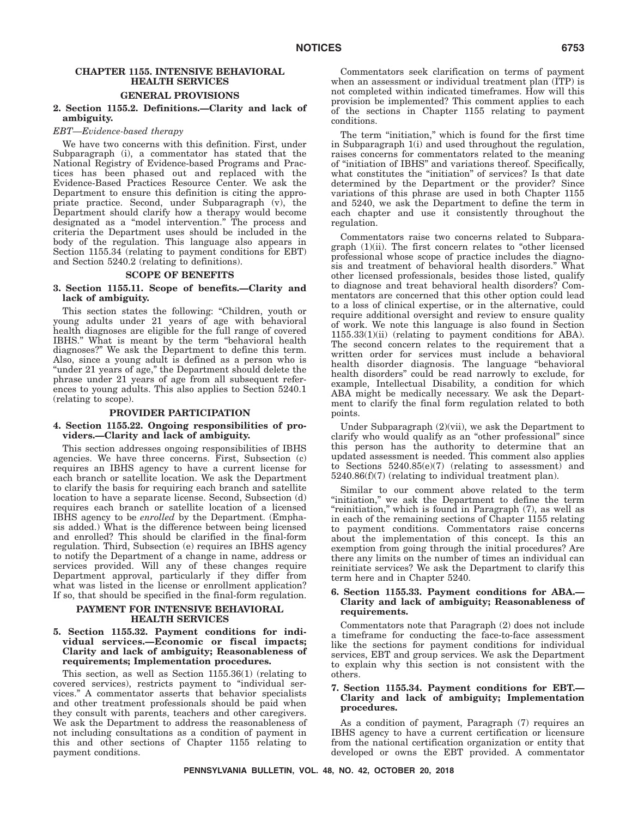# **CHAPTER 1155. INTENSIVE BEHAVIORAL HEALTH SERVICES**

## **GENERAL PROVISIONS**

### **2. Section 1155.2. Definitions.—Clarity and lack of ambiguity.**

#### *EBT—Evidence-based therapy*

We have two concerns with this definition. First, under Subparagraph (i), a commentator has stated that the National Registry of Evidence-based Programs and Practices has been phased out and replaced with the Evidence-Based Practices Resource Center. We ask the Department to ensure this definition is citing the appropriate practice. Second, under Subparagraph (v), the Department should clarify how a therapy would become designated as a ''model intervention.'' The process and criteria the Department uses should be included in the body of the regulation. This language also appears in Section 1155.34 (relating to payment conditions for EBT) and Section 5240.2 (relating to definitions).

#### **SCOPE OF BENEFITS**

### **3. Section 1155.11. Scope of benefits.—Clarity and lack of ambiguity.**

This section states the following: ''Children, youth or young adults under 21 years of age with behavioral health diagnoses are eligible for the full range of covered IBHS.'' What is meant by the term ''behavioral health diagnoses?'' We ask the Department to define this term. Also, since a young adult is defined as a person who is "under 21 years of age," the Department should delete the phrase under 21 years of age from all subsequent references to young adults. This also applies to Section 5240.1 (relating to scope).

#### **PROVIDER PARTICIPATION**

### **4. Section 1155.22. Ongoing responsibilities of providers.—Clarity and lack of ambiguity.**

This section addresses ongoing responsibilities of IBHS agencies. We have three concerns. First, Subsection (c) requires an IBHS agency to have a current license for each branch or satellite location. We ask the Department to clarify the basis for requiring each branch and satellite location to have a separate license. Second, Subsection (d) requires each branch or satellite location of a licensed IBHS agency to be *enrolled* by the Department. (Emphasis added.) What is the difference between being licensed and enrolled? This should be clarified in the final-form regulation. Third, Subsection (e) requires an IBHS agency to notify the Department of a change in name, address or services provided. Will any of these changes require Department approval, particularly if they differ from what was listed in the license or enrollment application? If so, that should be specified in the final-form regulation.

### **PAYMENT FOR INTENSIVE BEHAVIORAL HEALTH SERVICES**

### **5. Section 1155.32. Payment conditions for individual services.—Economic or fiscal impacts; Clarity and lack of ambiguity; Reasonableness of requirements; Implementation procedures.**

This section, as well as Section 1155.36(1) (relating to covered services), restricts payment to ''individual services.'' A commentator asserts that behavior specialists and other treatment professionals should be paid when they consult with parents, teachers and other caregivers. We ask the Department to address the reasonableness of not including consultations as a condition of payment in this and other sections of Chapter 1155 relating to payment conditions.

Commentators seek clarification on terms of payment when an assessment or individual treatment plan (ITP) is not completed within indicated timeframes. How will this provision be implemented? This comment applies to each of the sections in Chapter 1155 relating to payment conditions.

The term "initiation," which is found for the first time in Subparagraph 1(i) and used throughout the regulation, raises concerns for commentators related to the meaning of ''initiation of IBHS'' and variations thereof. Specifically, what constitutes the ''initiation'' of services? Is that date determined by the Department or the provider? Since variations of this phrase are used in both Chapter 1155 and 5240, we ask the Department to define the term in each chapter and use it consistently throughout the regulation.

Commentators raise two concerns related to Subparagraph (1)(ii). The first concern relates to ''other licensed professional whose scope of practice includes the diagnosis and treatment of behavioral health disorders.'' What other licensed professionals, besides those listed, qualify to diagnose and treat behavioral health disorders? Commentators are concerned that this other option could lead to a loss of clinical expertise, or in the alternative, could require additional oversight and review to ensure quality of work. We note this language is also found in Section 1155.33(1)(ii) (relating to payment conditions for ABA). The second concern relates to the requirement that a written order for services must include a behavioral health disorder diagnosis. The language ''behavioral health disorders'' could be read narrowly to exclude, for example, Intellectual Disability, a condition for which ABA might be medically necessary. We ask the Department to clarify the final form regulation related to both points.

Under Subparagraph (2)(vii), we ask the Department to clarify who would qualify as an ''other professional'' since this person has the authority to determine that an updated assessment is needed. This comment also applies to Sections 5240.85(e)(7) (relating to assessment) and 5240.86(f)(7) (relating to individual treatment plan).

Similar to our comment above related to the term "initiation," we ask the Department to define the term "reinitiation," which is found in Paragraph  $(7)$ , as well as in each of the remaining sections of Chapter 1155 relating to payment conditions. Commentators raise concerns about the implementation of this concept. Is this an exemption from going through the initial procedures? Are there any limits on the number of times an individual can reinitiate services? We ask the Department to clarify this term here and in Chapter 5240.

### **6. Section 1155.33. Payment conditions for ABA.— Clarity and lack of ambiguity; Reasonableness of requirements.**

Commentators note that Paragraph (2) does not include a timeframe for conducting the face-to-face assessment like the sections for payment conditions for individual services, EBT and group services. We ask the Department to explain why this section is not consistent with the others.

### **7. Section 1155.34. Payment conditions for EBT.— Clarity and lack of ambiguity; Implementation procedures.**

As a condition of payment, Paragraph (7) requires an IBHS agency to have a current certification or licensure from the national certification organization or entity that developed or owns the EBT provided. A commentator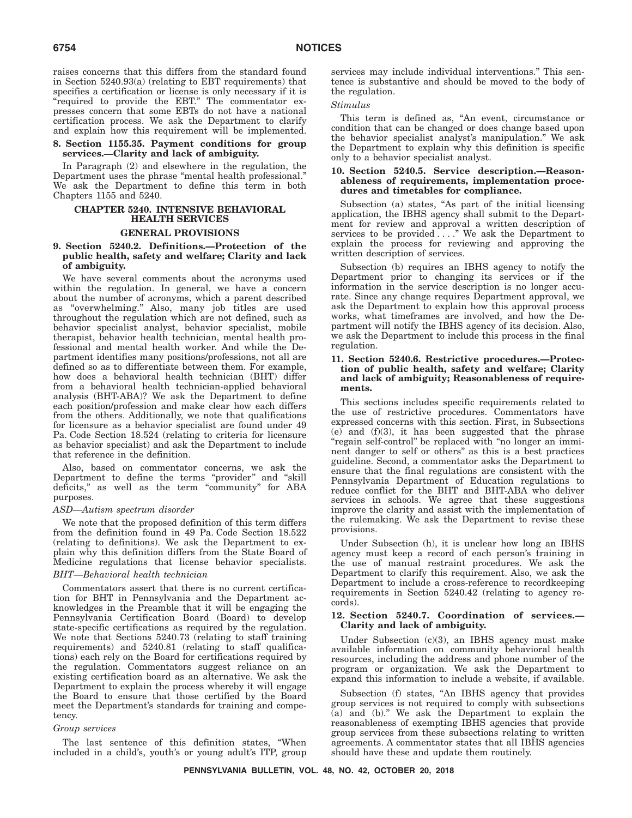raises concerns that this differs from the standard found in Section 5240.93(a) (relating to EBT requirements) that specifies a certification or license is only necessary if it is "required to provide the EBT." The commentator expresses concern that some EBTs do not have a national certification process. We ask the Department to clarify and explain how this requirement will be implemented.

### **8. Section 1155.35. Payment conditions for group services.—Clarity and lack of ambiguity.**

In Paragraph (2) and elsewhere in the regulation, the Department uses the phrase "mental health professional." We ask the Department to define this term in both Chapters 1155 and 5240.

#### **CHAPTER 5240. INTENSIVE BEHAVIORAL HEALTH SERVICES**

### **GENERAL PROVISIONS**

### **9. Section 5240.2. Definitions.—Protection of the public health, safety and welfare; Clarity and lack of ambiguity.**

We have several comments about the acronyms used within the regulation. In general, we have a concern about the number of acronyms, which a parent described as ''overwhelming.'' Also, many job titles are used throughout the regulation which are not defined, such as behavior specialist analyst, behavior specialist, mobile therapist, behavior health technician, mental health professional and mental health worker. And while the Department identifies many positions/professions, not all are defined so as to differentiate between them. For example, how does a behavioral health technician (BHT) differ from a behavioral health technician-applied behavioral analysis (BHT-ABA)? We ask the Department to define each position/profession and make clear how each differs from the others. Additionally, we note that qualifications for licensure as a behavior specialist are found under 49 Pa. Code Section 18.524 (relating to criteria for licensure as behavior specialist) and ask the Department to include that reference in the definition.

Also, based on commentator concerns, we ask the Department to define the terms ''provider'' and ''skill deficits,'' as well as the term ''community'' for ABA purposes.

### *ASD—Autism spectrum disorder*

We note that the proposed definition of this term differs from the definition found in 49 Pa. Code Section 18.522 (relating to definitions). We ask the Department to explain why this definition differs from the State Board of Medicine regulations that license behavior specialists. *BHT—Behavioral health technician*

Commentators assert that there is no current certification for BHT in Pennsylvania and the Department acknowledges in the Preamble that it will be engaging the Pennsylvania Certification Board (Board) to develop state-specific certifications as required by the regulation. We note that Sections 5240.73 (relating to staff training requirements) and 5240.81 (relating to staff qualifications) each rely on the Board for certifications required by the regulation. Commentators suggest reliance on an existing certification board as an alternative. We ask the Department to explain the process whereby it will engage the Board to ensure that those certified by the Board meet the Department's standards for training and competency.

### *Group services*

The last sentence of this definition states, ''When included in a child's, youth's or young adult's ITP, group

services may include individual interventions.'' This sentence is substantive and should be moved to the body of the regulation.

### *Stimulus*

This term is defined as, "An event, circumstance or condition that can be changed or does change based upon the behavior specialist analyst's manipulation.'' We ask the Department to explain why this definition is specific only to a behavior specialist analyst.

### **10. Section 5240.5. Service description.—Reasonableness of requirements, implementation procedures and timetables for compliance.**

Subsection (a) states, "As part of the initial licensing application, the IBHS agency shall submit to the Department for review and approval a written description of services to be provided ...." We ask the Department to explain the process for reviewing and approving the written description of services.

Subsection (b) requires an IBHS agency to notify the Department prior to changing its services or if the information in the service description is no longer accurate. Since any change requires Department approval, we ask the Department to explain how this approval process works, what timeframes are involved, and how the Department will notify the IBHS agency of its decision. Also, we ask the Department to include this process in the final regulation.

### **11. Section 5240.6. Restrictive procedures.—Protection of public health, safety and welfare; Clarity and lack of ambiguity; Reasonableness of requirements.**

This sections includes specific requirements related to the use of restrictive procedures. Commentators have expressed concerns with this section. First, in Subsections  $(e)$  and  $(f)(3)$ , it has been suggested that the phrase "regain self-control" be replaced with "no longer an imminent danger to self or others'' as this is a best practices guideline. Second, a commentator asks the Department to ensure that the final regulations are consistent with the Pennsylvania Department of Education regulations to reduce conflict for the BHT and BHT-ABA who deliver services in schools. We agree that these suggestions improve the clarity and assist with the implementation of the rulemaking. We ask the Department to revise these provisions.

Under Subsection (h), it is unclear how long an IBHS agency must keep a record of each person's training in the use of manual restraint procedures. We ask the Department to clarify this requirement. Also, we ask the Department to include a cross-reference to recordkeeping requirements in Section 5240.42 (relating to agency records).

### **12. Section 5240.7. Coordination of services.— Clarity and lack of ambiguity.**

Under Subsection (c)(3), an IBHS agency must make available information on community behavioral health resources, including the address and phone number of the program or organization. We ask the Department to expand this information to include a website, if available.

Subsection (f) states, "An IBHS agency that provides group services is not required to comply with subsections (a) and (b).'' We ask the Department to explain the reasonableness of exempting IBHS agencies that provide group services from these subsections relating to written agreements. A commentator states that all IBHS agencies should have these and update them routinely.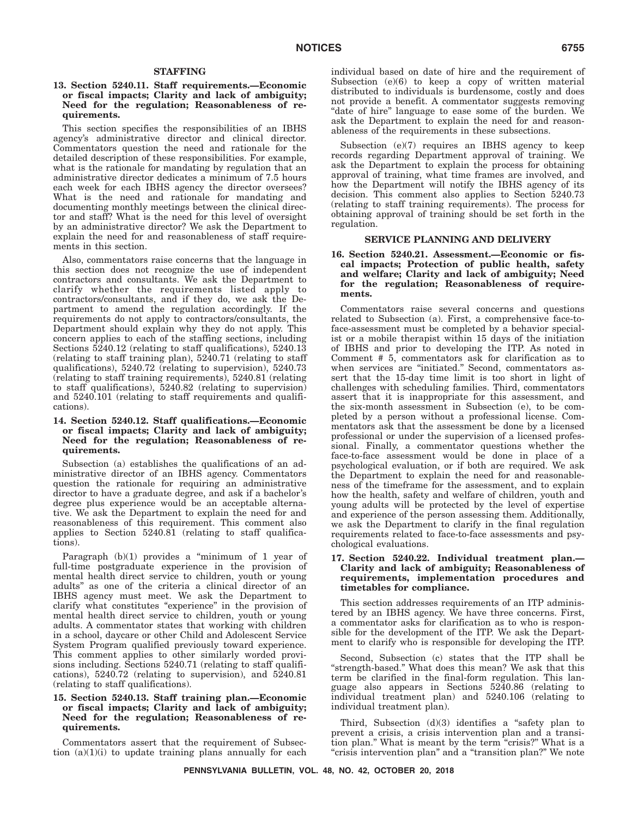#### **STAFFING**

### **13. Section 5240.11. Staff requirements.—Economic or fiscal impacts; Clarity and lack of ambiguity; Need for the regulation; Reasonableness of requirements.**

This section specifies the responsibilities of an IBHS agency's administrative director and clinical director. Commentators question the need and rationale for the detailed description of these responsibilities. For example, what is the rationale for mandating by regulation that an administrative director dedicates a minimum of 7.5 hours each week for each IBHS agency the director oversees? What is the need and rationale for mandating and documenting monthly meetings between the clinical director and staff? What is the need for this level of oversight by an administrative director? We ask the Department to explain the need for and reasonableness of staff requirements in this section.

Also, commentators raise concerns that the language in this section does not recognize the use of independent contractors and consultants. We ask the Department to clarify whether the requirements listed apply to contractors/consultants, and if they do, we ask the Department to amend the regulation accordingly. If the requirements do not apply to contractors/consultants, the Department should explain why they do not apply. This concern applies to each of the staffing sections, including Sections 5240.12 (relating to staff qualifications), 5240.13 (relating to staff training plan), 5240.71 (relating to staff qualifications), 5240.72 (relating to supervision), 5240.73 (relating to staff training requirements), 5240.81 (relating to staff qualifications), 5240.82 (relating to supervision) and 5240.101 (relating to staff requirements and qualifications).

### **14. Section 5240.12. Staff qualifications.—Economic or fiscal impacts; Clarity and lack of ambiguity; Need for the regulation; Reasonableness of requirements.**

Subsection (a) establishes the qualifications of an administrative director of an IBHS agency. Commentators question the rationale for requiring an administrative director to have a graduate degree, and ask if a bachelor's degree plus experience would be an acceptable alternative. We ask the Department to explain the need for and reasonableness of this requirement. This comment also applies to Section 5240.81 (relating to staff qualifications).

Paragraph (b)(1) provides a "minimum of 1 year of full-time postgraduate experience in the provision of mental health direct service to children, youth or young adults'' as one of the criteria a clinical director of an IBHS agency must meet. We ask the Department to clarify what constitutes "experience" in the provision of mental health direct service to children, youth or young adults. A commentator states that working with children in a school, daycare or other Child and Adolescent Service System Program qualified previously toward experience. This comment applies to other similarly worded provisions including. Sections 5240.71 (relating to staff qualifications), 5240.72 (relating to supervision), and 5240.81 (relating to staff qualifications).

### **15. Section 5240.13. Staff training plan.—Economic or fiscal impacts; Clarity and lack of ambiguity; Need for the regulation; Reasonableness of requirements.**

Commentators assert that the requirement of Subsection  $(a)(1)(i)$  to update training plans annually for each

individual based on date of hire and the requirement of Subsection (e)(6) to keep a copy of written material distributed to individuals is burdensome, costly and does not provide a benefit. A commentator suggests removing ''date of hire'' language to ease some of the burden. We ask the Department to explain the need for and reasonableness of the requirements in these subsections.

Subsection (e)(7) requires an IBHS agency to keep records regarding Department approval of training. We ask the Department to explain the process for obtaining approval of training, what time frames are involved, and how the Department will notify the IBHS agency of its decision. This comment also applies to Section 5240.73 (relating to staff training requirements). The process for obtaining approval of training should be set forth in the regulation.

### **SERVICE PLANNING AND DELIVERY**

### **16. Section 5240.21. Assessment.—Economic or fiscal impacts; Protection of public health, safety and welfare; Clarity and lack of ambiguity; Need for the regulation; Reasonableness of requirements.**

Commentators raise several concerns and questions related to Subsection (a). First, a comprehensive face-toface-assessment must be completed by a behavior specialist or a mobile therapist within 15 days of the initiation of IBHS and prior to developing the ITP. As noted in Comment # 5, commentators ask for clarification as to when services are "initiated." Second, commentators assert that the 15-day time limit is too short in light of challenges with scheduling families. Third, commentators assert that it is inappropriate for this assessment, and the six-month assessment in Subsection (e), to be completed by a person without a professional license. Commentators ask that the assessment be done by a licensed professional or under the supervision of a licensed professional. Finally, a commentator questions whether the face-to-face assessment would be done in place of a psychological evaluation, or if both are required. We ask the Department to explain the need for and reasonableness of the timeframe for the assessment, and to explain how the health, safety and welfare of children, youth and young adults will be protected by the level of expertise and experience of the person assessing them. Additionally, we ask the Department to clarify in the final regulation requirements related to face-to-face assessments and psychological evaluations.

### **17. Section 5240.22. Individual treatment plan.— Clarity and lack of ambiguity; Reasonableness of requirements, implementation procedures and timetables for compliance.**

This section addresses requirements of an ITP administered by an IBHS agency. We have three concerns. First, a commentator asks for clarification as to who is responsible for the development of the ITP. We ask the Department to clarify who is responsible for developing the ITP.

Second, Subsection (c) states that the ITP shall be "strength-based." What does this mean? We ask that this term be clarified in the final-form regulation. This language also appears in Sections 5240.86 (relating to individual treatment plan) and 5240.106 (relating to individual treatment plan).

Third, Subsection (d)(3) identifies a "safety plan to prevent a crisis, a crisis intervention plan and a transition plan." What is meant by the term "crisis?" What is a ''crisis intervention plan'' and a ''transition plan?'' We note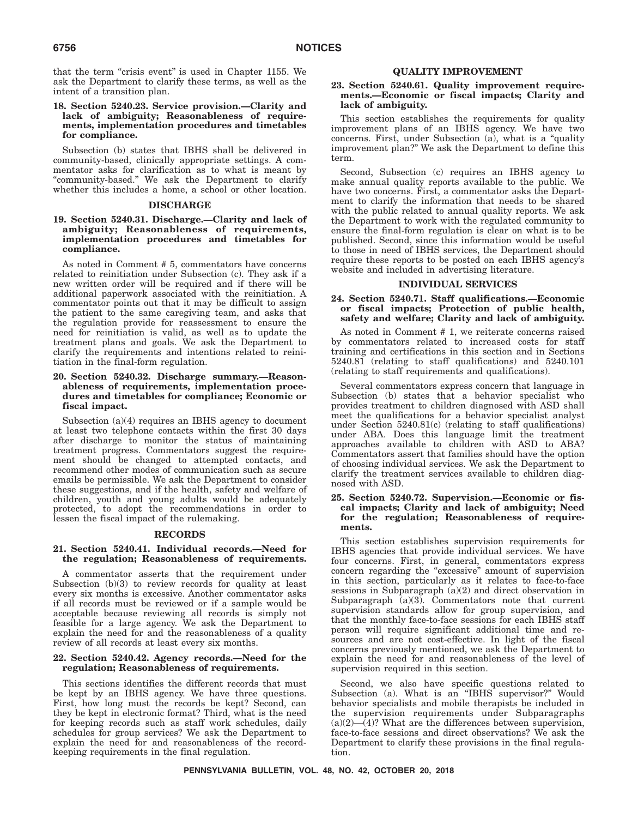that the term "crisis event" is used in Chapter 1155. We ask the Department to clarify these terms, as well as the intent of a transition plan.

### **18. Section 5240.23. Service provision.—Clarity and lack of ambiguity; Reasonableness of requirements, implementation procedures and timetables for compliance.**

Subsection (b) states that IBHS shall be delivered in community-based, clinically appropriate settings. A commentator asks for clarification as to what is meant by ''community-based.'' We ask the Department to clarify whether this includes a home, a school or other location.

### **DISCHARGE**

### **19. Section 5240.31. Discharge.—Clarity and lack of ambiguity; Reasonableness of requirements, implementation procedures and timetables for compliance.**

As noted in Comment # 5, commentators have concerns related to reinitiation under Subsection (c). They ask if a new written order will be required and if there will be additional paperwork associated with the reinitiation. A commentator points out that it may be difficult to assign the patient to the same caregiving team, and asks that the regulation provide for reassessment to ensure the need for reinitiation is valid, as well as to update the treatment plans and goals. We ask the Department to clarify the requirements and intentions related to reinitiation in the final-form regulation.

### **20. Section 5240.32. Discharge summary.—Reasonableness of requirements, implementation procedures and timetables for compliance; Economic or fiscal impact.**

Subsection (a)(4) requires an IBHS agency to document at least two telephone contacts within the first 30 days after discharge to monitor the status of maintaining treatment progress. Commentators suggest the requirement should be changed to attempted contacts, and recommend other modes of communication such as secure emails be permissible. We ask the Department to consider these suggestions, and if the health, safety and welfare of children, youth and young adults would be adequately protected, to adopt the recommendations in order to lessen the fiscal impact of the rulemaking.

### **RECORDS**

### **21. Section 5240.41. Individual records.—Need for the regulation; Reasonableness of requirements.**

A commentator asserts that the requirement under Subsection (b)(3) to review records for quality at least every six months is excessive. Another commentator asks if all records must be reviewed or if a sample would be acceptable because reviewing all records is simply not feasible for a large agency. We ask the Department to explain the need for and the reasonableness of a quality review of all records at least every six months.

### **22. Section 5240.42. Agency records.—Need for the regulation; Reasonableness of requirements.**

This sections identifies the different records that must be kept by an IBHS agency. We have three questions. First, how long must the records be kept? Second, can they be kept in electronic format? Third, what is the need for keeping records such as staff work schedules, daily schedules for group services? We ask the Department to explain the need for and reasonableness of the recordkeeping requirements in the final regulation.

### **QUALITY IMPROVEMENT**

### **23. Section 5240.61. Quality improvement requirements.—Economic or fiscal impacts; Clarity and lack of ambiguity.**

This section establishes the requirements for quality improvement plans of an IBHS agency. We have two concerns. First, under Subsection (a), what is a ''quality improvement plan?'' We ask the Department to define this term.

Second, Subsection (c) requires an IBHS agency to make annual quality reports available to the public. We have two concerns. First, a commentator asks the Department to clarify the information that needs to be shared with the public related to annual quality reports. We ask the Department to work with the regulated community to ensure the final-form regulation is clear on what is to be published. Second, since this information would be useful to those in need of IBHS services, the Department should require these reports to be posted on each IBHS agency's website and included in advertising literature.

### **INDIVIDUAL SERVICES**

### **24. Section 5240.71. Staff qualifications.—Economic or fiscal impacts; Protection of public health, safety and welfare; Clarity and lack of ambiguity.**

As noted in Comment # 1, we reiterate concerns raised by commentators related to increased costs for staff training and certifications in this section and in Sections 5240.81 (relating to staff qualifications) and 5240.101 (relating to staff requirements and qualifications).

Several commentators express concern that language in Subsection (b) states that a behavior specialist who provides treatment to children diagnosed with ASD shall meet the qualifications for a behavior specialist analyst under Section 5240.81(c) (relating to staff qualifications) under ABA. Does this language limit the treatment approaches available to children with ASD to ABA? Commentators assert that families should have the option of choosing individual services. We ask the Department to clarify the treatment services available to children diagnosed with ASD.

### **25. Section 5240.72. Supervision.—Economic or fiscal impacts; Clarity and lack of ambiguity; Need for the regulation; Reasonableness of requirements.**

This section establishes supervision requirements for IBHS agencies that provide individual services. We have four concerns. First, in general, commentators express concern regarding the ''excessive'' amount of supervision in this section, particularly as it relates to face-to-face sessions in Subparagraph (a)(2) and direct observation in Subparagraph  $(a)(3)$ . Commentators note that current supervision standards allow for group supervision, and that the monthly face-to-face sessions for each IBHS staff person will require significant additional time and resources and are not cost-effective. In light of the fiscal concerns previously mentioned, we ask the Department to explain the need for and reasonableness of the level of supervision required in this section.

Second, we also have specific questions related to Subsection (a). What is an ''IBHS supervisor?'' Would behavior specialists and mobile therapists be included in the supervision requirements under Subparagraphs  $(a)(2)$ — $(4)$ ? What are the differences between supervision, face-to-face sessions and direct observations? We ask the Department to clarify these provisions in the final regulation.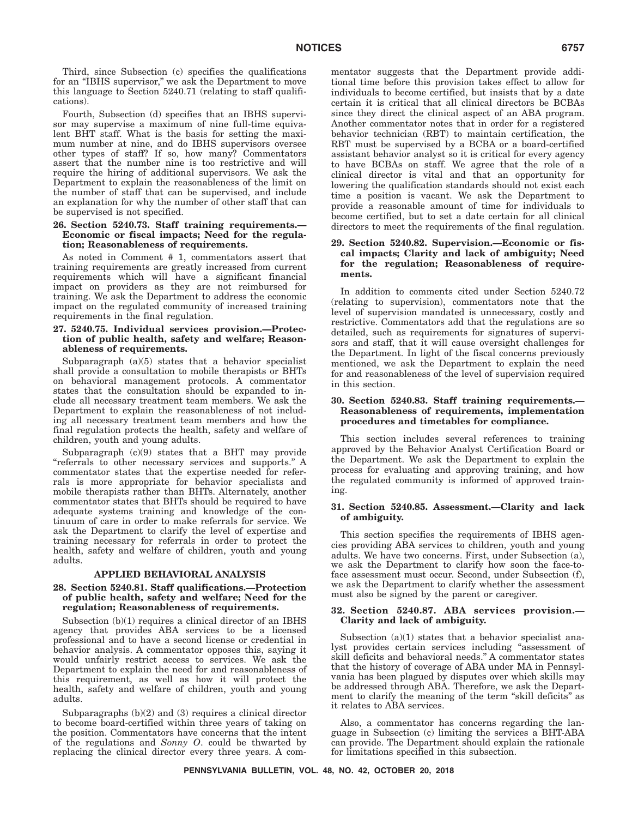Third, since Subsection (c) specifies the qualifications for an ''IBHS supervisor,'' we ask the Department to move this language to Section 5240.71 (relating to staff qualifications).

Fourth, Subsection (d) specifies that an IBHS supervisor may supervise a maximum of nine full-time equivalent BHT staff. What is the basis for setting the maximum number at nine, and do IBHS supervisors oversee other types of staff? If so, how many? Commentators assert that the number nine is too restrictive and will require the hiring of additional supervisors. We ask the Department to explain the reasonableness of the limit on the number of staff that can be supervised, and include an explanation for why the number of other staff that can be supervised is not specified.

### **26. Section 5240.73. Staff training requirements.— Economic or fiscal impacts; Need for the regulation; Reasonableness of requirements.**

As noted in Comment # 1, commentators assert that training requirements are greatly increased from current requirements which will have a significant financial impact on providers as they are not reimbursed for training. We ask the Department to address the economic impact on the regulated community of increased training requirements in the final regulation.

### **27. 5240.75. Individual services provision.—Protection of public health, safety and welfare; Reasonableness of requirements.**

Subparagraph (a)(5) states that a behavior specialist shall provide a consultation to mobile therapists or BHTs on behavioral management protocols. A commentator states that the consultation should be expanded to include all necessary treatment team members. We ask the Department to explain the reasonableness of not including all necessary treatment team members and how the final regulation protects the health, safety and welfare of children, youth and young adults.

Subparagraph (c)(9) states that a BHT may provide "referrals to other necessary services and supports." A commentator states that the expertise needed for referrals is more appropriate for behavior specialists and mobile therapists rather than BHTs. Alternately, another commentator states that BHTs should be required to have adequate systems training and knowledge of the continuum of care in order to make referrals for service. We ask the Department to clarify the level of expertise and training necessary for referrals in order to protect the health, safety and welfare of children, youth and young adults.

### **APPLIED BEHAVIORAL ANALYSIS**

### **28. Section 5240.81. Staff qualifications.—Protection of public health, safety and welfare; Need for the regulation; Reasonableness of requirements.**

Subsection (b)(1) requires a clinical director of an IBHS agency that provides ABA services to be a licensed professional and to have a second license or credential in behavior analysis. A commentator opposes this, saying it would unfairly restrict access to services. We ask the Department to explain the need for and reasonableness of this requirement, as well as how it will protect the health, safety and welfare of children, youth and young adults.

Subparagraphs (b)(2) and (3) requires a clinical director to become board-certified within three years of taking on the position. Commentators have concerns that the intent of the regulations and *Sonny O*. could be thwarted by replacing the clinical director every three years. A commentator suggests that the Department provide additional time before this provision takes effect to allow for individuals to become certified, but insists that by a date certain it is critical that all clinical directors be BCBAs since they direct the clinical aspect of an ABA program. Another commentator notes that in order for a registered behavior technician (RBT) to maintain certification, the RBT must be supervised by a BCBA or a board-certified assistant behavior analyst so it is critical for every agency to have BCBAs on staff. We agree that the role of a clinical director is vital and that an opportunity for lowering the qualification standards should not exist each time a position is vacant. We ask the Department to provide a reasonable amount of time for individuals to become certified, but to set a date certain for all clinical directors to meet the requirements of the final regulation.

### **29. Section 5240.82. Supervision.—Economic or fiscal impacts; Clarity and lack of ambiguity; Need for the regulation; Reasonableness of requirements.**

In addition to comments cited under Section 5240.72 (relating to supervision), commentators note that the level of supervision mandated is unnecessary, costly and restrictive. Commentators add that the regulations are so detailed, such as requirements for signatures of supervisors and staff, that it will cause oversight challenges for the Department. In light of the fiscal concerns previously mentioned, we ask the Department to explain the need for and reasonableness of the level of supervision required in this section.

### **30. Section 5240.83. Staff training requirements.— Reasonableness of requirements, implementation procedures and timetables for compliance.**

This section includes several references to training approved by the Behavior Analyst Certification Board or the Department. We ask the Department to explain the process for evaluating and approving training, and how the regulated community is informed of approved training.

### **31. Section 5240.85. Assessment.—Clarity and lack of ambiguity.**

This section specifies the requirements of IBHS agencies providing ABA services to children, youth and young adults. We have two concerns. First, under Subsection (a), we ask the Department to clarify how soon the face-toface assessment must occur. Second, under Subsection (f), we ask the Department to clarify whether the assessment must also be signed by the parent or caregiver.

### **32. Section 5240.87. ABA services provision.— Clarity and lack of ambiguity.**

Subsection (a)(1) states that a behavior specialist analyst provides certain services including ''assessment of skill deficits and behavioral needs.'' A commentator states that the history of coverage of ABA under MA in Pennsylvania has been plagued by disputes over which skills may be addressed through ABA. Therefore, we ask the Department to clarify the meaning of the term "skill deficits" as it relates to ABA services.

Also, a commentator has concerns regarding the language in Subsection (c) limiting the services a BHT-ABA can provide. The Department should explain the rationale for limitations specified in this subsection.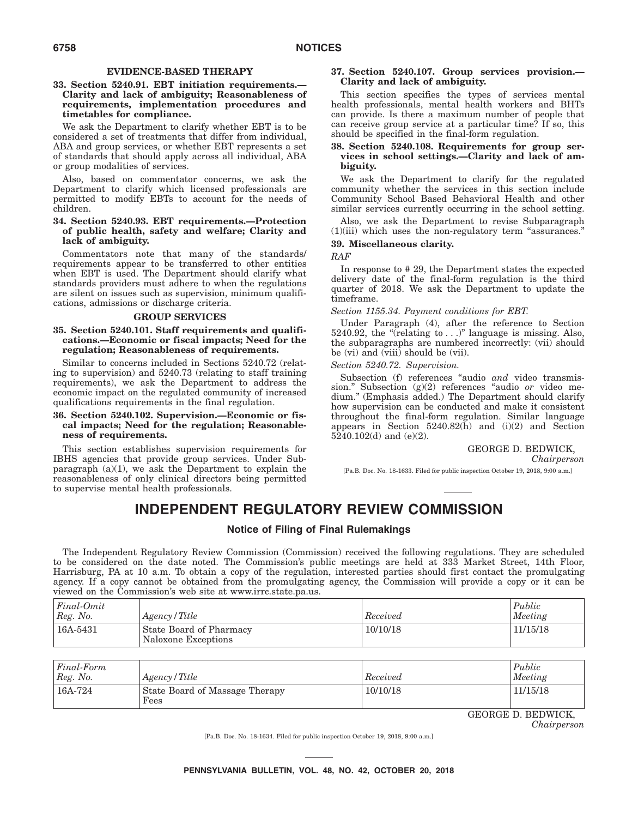### **EVIDENCE-BASED THERAPY**

### **33. Section 5240.91. EBT initiation requirements.— Clarity and lack of ambiguity; Reasonableness of requirements, implementation procedures and timetables for compliance.**

We ask the Department to clarify whether EBT is to be considered a set of treatments that differ from individual, ABA and group services, or whether EBT represents a set of standards that should apply across all individual, ABA or group modalities of services.

Also, based on commentator concerns, we ask the Department to clarify which licensed professionals are permitted to modify EBTs to account for the needs of children.

### **34. Section 5240.93. EBT requirements.—Protection of public health, safety and welfare; Clarity and lack of ambiguity.**

Commentators note that many of the standards/ requirements appear to be transferred to other entities when EBT is used. The Department should clarify what standards providers must adhere to when the regulations are silent on issues such as supervision, minimum qualifications, admissions or discharge criteria.

### **GROUP SERVICES**

### **35. Section 5240.101. Staff requirements and qualifications.—Economic or fiscal impacts; Need for the regulation; Reasonableness of requirements.**

Similar to concerns included in Sections 5240.72 (relating to supervision) and 5240.73 (relating to staff training requirements), we ask the Department to address the economic impact on the regulated community of increased qualifications requirements in the final regulation.

### **36. Section 5240.102. Supervision.—Economic or fiscal impacts; Need for the regulation; Reasonableness of requirements.**

This section establishes supervision requirements for IBHS agencies that provide group services. Under Subparagraph  $(a)(1)$ , we ask the Department to explain the reasonableness of only clinical directors being permitted to supervise mental health professionals.

### **37. Section 5240.107. Group services provision.— Clarity and lack of ambiguity.**

This section specifies the types of services mental health professionals, mental health workers and BHTs can provide. Is there a maximum number of people that can receive group service at a particular time? If so, this should be specified in the final-form regulation.

### **38. Section 5240.108. Requirements for group services in school settings.—Clarity and lack of ambiguity.**

We ask the Department to clarify for the regulated community whether the services in this section include Community School Based Behavioral Health and other similar services currently occurring in the school setting.

Also, we ask the Department to revise Subparagraph  $(1)(iii)$  which uses the non-regulatory term "assurances."

### **39. Miscellaneous clarity.**

*RAF*

In response to # 29, the Department states the expected delivery date of the final-form regulation is the third quarter of 2018. We ask the Department to update the timeframe.

*Section 1155.34. Payment conditions for EBT.*

Under Paragraph (4), after the reference to Section 5240.92, the "(relating to  $\ldots$ )" language is missing. Also, the subparagraphs are numbered incorrectly: (vii) should be (vi) and (viii) should be (vii).

*Section 5240.72. Supervision.*

Subsection (f) references "audio and video transmission.'' Subsection (g)(2) references ''audio *or* video medium.'' (Emphasis added.) The Department should clarify how supervision can be conducted and make it consistent throughout the final-form regulation. Similar language appears in Section 5240.82(h) and (i)(2) and Section  $5240.102(d)$  and (e)(2).

# GEORGE D. BEDWICK,

*Chairperson*

[Pa.B. Doc. No. 18-1633. Filed for public inspection October 19, 2018, 9:00 a.m.]

# **INDEPENDENT REGULATORY REVIEW COMMISSION**

### **Notice of Filing of Final Rulemakings**

The Independent Regulatory Review Commission (Commission) received the following regulations. They are scheduled to be considered on the date noted. The Commission's public meetings are held at 333 Market Street, 14th Floor, Harrisburg, PA at 10 a.m. To obtain a copy of the regulation, interested parties should first contact the promulgating agency. If a copy cannot be obtained from the promulgating agency, the Commission will provide a copy or it can be viewed on the Commission's web site at www.irrc.state.pa.us.

| Final-Omit<br>Reg. No. | Agency/Title                                   | Received | Public<br>Meeting |
|------------------------|------------------------------------------------|----------|-------------------|
| 16A-5431               | State Board of Pharmacy<br>Naloxone Exceptions | 10/10/18 | 11/15/18          |

| Final-Form<br>Reg. No. | Agency/Title                           | Received | Public<br>Meeting |
|------------------------|----------------------------------------|----------|-------------------|
| 16A-724                | State Board of Massage Therapy<br>Fees | 10/10/18 | 11/15/18          |

GEORGE D. BEDWICK,

*Chairperson*

[Pa.B. Doc. No. 18-1634. Filed for public inspection October 19, 2018, 9:00 a.m.]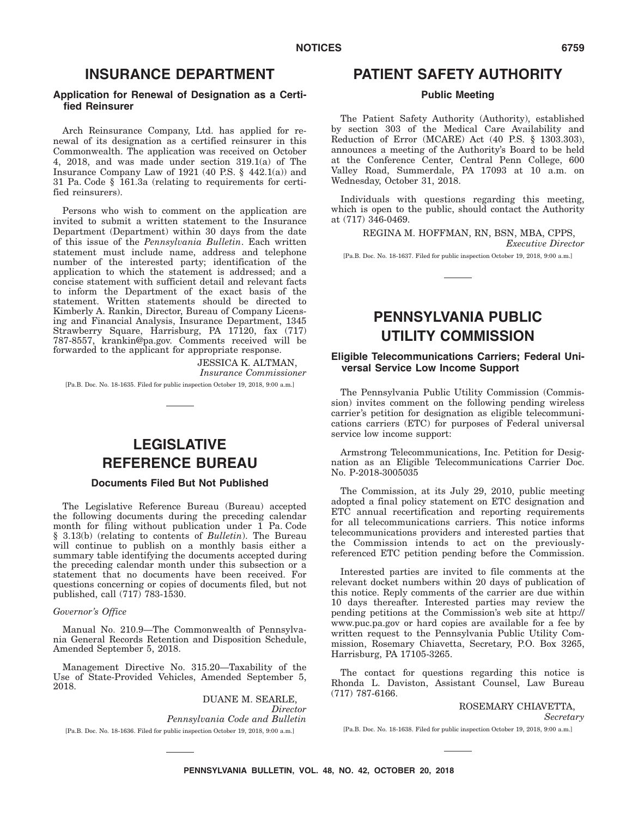# **INSURANCE DEPARTMENT**

### **Application for Renewal of Designation as a Certified Reinsurer**

Arch Reinsurance Company, Ltd. has applied for renewal of its designation as a certified reinsurer in this Commonwealth. The application was received on October 4, 2018, and was made under section 319.1(a) of The Insurance Company Law of 1921 (40 P.S.  $\S$  442.1(a)) and 31 Pa. Code § 161.3a (relating to requirements for certified reinsurers).

Persons who wish to comment on the application are invited to submit a written statement to the Insurance Department (Department) within 30 days from the date of this issue of the *Pennsylvania Bulletin*. Each written statement must include name, address and telephone number of the interested party; identification of the application to which the statement is addressed; and a concise statement with sufficient detail and relevant facts to inform the Department of the exact basis of the statement. Written statements should be directed to Kimberly A. Rankin, Director, Bureau of Company Licensing and Financial Analysis, Insurance Department, 1345 Strawberry Square, Harrisburg, PA 17120, fax (717) 787-8557, krankin@pa.gov. Comments received will be forwarded to the applicant for appropriate response.

> JESSICA K. ALTMAN, *Insurance Commissioner*

[Pa.B. Doc. No. 18-1635. Filed for public inspection October 19, 2018, 9:00 a.m.]

# **LEGISLATIVE REFERENCE BUREAU**

# **Documents Filed But Not Published**

The Legislative Reference Bureau (Bureau) accepted the following documents during the preceding calendar month for filing without publication under 1 Pa. Code § 3.13(b) (relating to contents of *Bulletin*). The Bureau will continue to publish on a monthly basis either a summary table identifying the documents accepted during the preceding calendar month under this subsection or a statement that no documents have been received. For questions concerning or copies of documents filed, but not published, call (717) 783-1530.

#### *Governor's Office*

Manual No. 210.9—The Commonwealth of Pennsylvania General Records Retention and Disposition Schedule, Amended September 5, 2018.

Management Directive No. 315.20—Taxability of the Use of State-Provided Vehicles, Amended September 5, 2018.

DUANE M. SEARLE, *Director Pennsylvania Code and Bulletin* [Pa.B. Doc. No. 18-1636. Filed for public inspection October 19, 2018, 9:00 a.m.]

# **PATIENT SAFETY AUTHORITY**

### **Public Meeting**

The Patient Safety Authority (Authority), established by section 303 of the Medical Care Availability and Reduction of Error (MCARE) Act (40 P.S. § 1303.303), announces a meeting of the Authority's Board to be held at the Conference Center, Central Penn College, 600 Valley Road, Summerdale, PA 17093 at 10 a.m. on Wednesday, October 31, 2018.

Individuals with questions regarding this meeting, which is open to the public, should contact the Authority at (717) 346-0469.

> REGINA M. HOFFMAN, RN, BSN, MBA, CPPS, *Executive Director*

[Pa.B. Doc. No. 18-1637. Filed for public inspection October 19, 2018, 9:00 a.m.]

# **PENNSYLVANIA PUBLIC UTILITY COMMISSION**

# **Eligible Telecommunications Carriers; Federal Universal Service Low Income Support**

The Pennsylvania Public Utility Commission (Commission) invites comment on the following pending wireless carrier's petition for designation as eligible telecommunications carriers (ETC) for purposes of Federal universal service low income support:

Armstrong Telecommunications, Inc. Petition for Designation as an Eligible Telecommunications Carrier Doc. No. P-2018-3005035

The Commission, at its July 29, 2010, public meeting adopted a final policy statement on ETC designation and ETC annual recertification and reporting requirements for all telecommunications carriers. This notice informs telecommunications providers and interested parties that the Commission intends to act on the previouslyreferenced ETC petition pending before the Commission.

Interested parties are invited to file comments at the relevant docket numbers within 20 days of publication of this notice. Reply comments of the carrier are due within 10 days thereafter. Interested parties may review the pending petitions at the Commission's web site at http:// www.puc.pa.gov or hard copies are available for a fee by written request to the Pennsylvania Public Utility Commission, Rosemary Chiavetta, Secretary, P.O. Box 3265, Harrisburg, PA 17105-3265.

The contact for questions regarding this notice is Rhonda L. Daviston, Assistant Counsel, Law Bureau (717) 787-6166.

ROSEMARY CHIAVETTA,

*Secretary*

[Pa.B. Doc. No. 18-1638. Filed for public inspection October 19, 2018, 9:00 a.m.]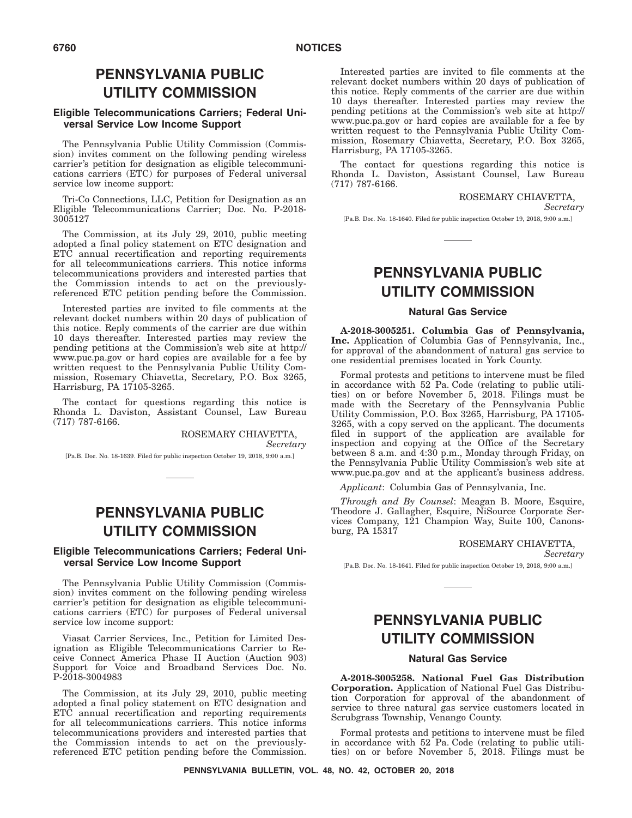# **PENNSYLVANIA PUBLIC UTILITY COMMISSION**

# **Eligible Telecommunications Carriers; Federal Universal Service Low Income Support**

The Pennsylvania Public Utility Commission (Commission) invites comment on the following pending wireless carrier's petition for designation as eligible telecommunications carriers (ETC) for purposes of Federal universal service low income support:

Tri-Co Connections, LLC, Petition for Designation as an Eligible Telecommunications Carrier; Doc. No. P-2018- 3005127

The Commission, at its July 29, 2010, public meeting adopted a final policy statement on ETC designation and ETC annual recertification and reporting requirements for all telecommunications carriers. This notice informs telecommunications providers and interested parties that the Commission intends to act on the previouslyreferenced ETC petition pending before the Commission.

Interested parties are invited to file comments at the relevant docket numbers within 20 days of publication of this notice. Reply comments of the carrier are due within 10 days thereafter. Interested parties may review the pending petitions at the Commission's web site at http:// www.puc.pa.gov or hard copies are available for a fee by written request to the Pennsylvania Public Utility Commission, Rosemary Chiavetta, Secretary, P.O. Box 3265, Harrisburg, PA 17105-3265.

The contact for questions regarding this notice is Rhonda L. Daviston, Assistant Counsel, Law Bureau (717) 787-6166.

> ROSEMARY CHIAVETTA, *Secretary*

[Pa.B. Doc. No. 18-1639. Filed for public inspection October 19, 2018, 9:00 a.m.]

# **PENNSYLVANIA PUBLIC UTILITY COMMISSION**

# **Eligible Telecommunications Carriers; Federal Universal Service Low Income Support**

The Pennsylvania Public Utility Commission (Commission) invites comment on the following pending wireless carrier's petition for designation as eligible telecommunications carriers (ETC) for purposes of Federal universal service low income support:

Viasat Carrier Services, Inc., Petition for Limited Designation as Eligible Telecommunications Carrier to Receive Connect America Phase II Auction (Auction 903) Support for Voice and Broadband Services Doc. No. P-2018-3004983

The Commission, at its July 29, 2010, public meeting adopted a final policy statement on ETC designation and ETC annual recertification and reporting requirements for all telecommunications carriers. This notice informs telecommunications providers and interested parties that the Commission intends to act on the previouslyreferenced ETC petition pending before the Commission.

Interested parties are invited to file comments at the relevant docket numbers within 20 days of publication of this notice. Reply comments of the carrier are due within 10 days thereafter. Interested parties may review the pending petitions at the Commission's web site at http:// www.puc.pa.gov or hard copies are available for a fee by written request to the Pennsylvania Public Utility Commission, Rosemary Chiavetta, Secretary, P.O. Box 3265, Harrisburg, PA 17105-3265.

The contact for questions regarding this notice is Rhonda L. Daviston, Assistant Counsel, Law Bureau (717) 787-6166.

ROSEMARY CHIAVETTA,

*Secretary*

[Pa.B. Doc. No. 18-1640. Filed for public inspection October 19, 2018, 9:00 a.m.]

# **PENNSYLVANIA PUBLIC UTILITY COMMISSION**

### **Natural Gas Service**

**A-2018-3005251. Columbia Gas of Pennsylvania, Inc.** Application of Columbia Gas of Pennsylvania, Inc., for approval of the abandonment of natural gas service to one residential premises located in York County.

Formal protests and petitions to intervene must be filed in accordance with 52 Pa. Code (relating to public utilities) on or before November 5, 2018. Filings must be made with the Secretary of the Pennsylvania Public Utility Commission, P.O. Box 3265, Harrisburg, PA 17105- 3265, with a copy served on the applicant. The documents filed in support of the application are available for inspection and copying at the Office of the Secretary between 8 a.m. and 4:30 p.m., Monday through Friday, on the Pennsylvania Public Utility Commission's web site at www.puc.pa.gov and at the applicant's business address.

*Applicant*: Columbia Gas of Pennsylvania, Inc.

*Through and By Counsel*: Meagan B. Moore, Esquire, Theodore J. Gallagher, Esquire, NiSource Corporate Services Company, 121 Champion Way, Suite 100, Canonsburg, PA 15317

#### ROSEMARY CHIAVETTA,

*Secretary*

[Pa.B. Doc. No. 18-1641. Filed for public inspection October 19, 2018, 9:00 a.m.]

# **PENNSYLVANIA PUBLIC UTILITY COMMISSION**

# **Natural Gas Service**

**A-2018-3005258. National Fuel Gas Distribution Corporation.** Application of National Fuel Gas Distribution Corporation for approval of the abandonment of service to three natural gas service customers located in Scrubgrass Township, Venango County.

Formal protests and petitions to intervene must be filed in accordance with 52 Pa. Code (relating to public utilities) on or before November 5, 2018. Filings must be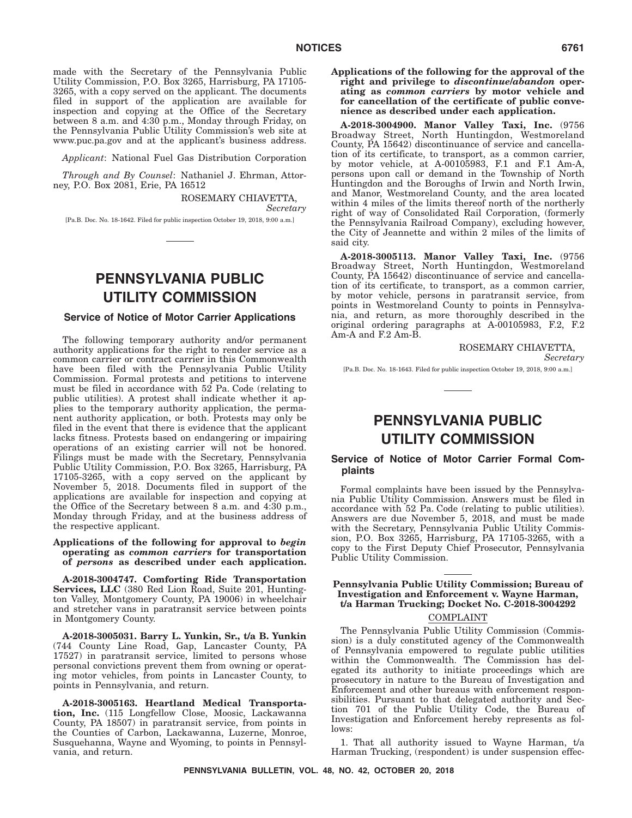made with the Secretary of the Pennsylvania Public Utility Commission, P.O. Box 3265, Harrisburg, PA 17105- 3265, with a copy served on the applicant. The documents filed in support of the application are available for inspection and copying at the Office of the Secretary between 8 a.m. and 4:30 p.m., Monday through Friday, on the Pennsylvania Public Utility Commission's web site at www.puc.pa.gov and at the applicant's business address.

*Applicant*: National Fuel Gas Distribution Corporation

*Through and By Counsel*: Nathaniel J. Ehrman, Attorney, P.O. Box 2081, Erie, PA 16512

> ROSEMARY CHIAVETTA, *Secretary*

[Pa.B. Doc. No. 18-1642. Filed for public inspection October 19, 2018, 9:00 a.m.]

# **PENNSYLVANIA PUBLIC UTILITY COMMISSION**

### **Service of Notice of Motor Carrier Applications**

The following temporary authority and/or permanent authority applications for the right to render service as a common carrier or contract carrier in this Commonwealth have been filed with the Pennsylvania Public Utility Commission. Formal protests and petitions to intervene must be filed in accordance with 52 Pa. Code (relating to public utilities). A protest shall indicate whether it applies to the temporary authority application, the permanent authority application, or both. Protests may only be filed in the event that there is evidence that the applicant lacks fitness. Protests based on endangering or impairing operations of an existing carrier will not be honored. Filings must be made with the Secretary, Pennsylvania Public Utility Commission, P.O. Box 3265, Harrisburg, PA 17105-3265, with a copy served on the applicant by November 5, 2018. Documents filed in support of the applications are available for inspection and copying at the Office of the Secretary between 8 a.m. and 4:30 p.m., Monday through Friday, and at the business address of the respective applicant.

### **Applications of the following for approval to** *begin* **operating as** *common carriers* **for transportation of** *persons* **as described under each application.**

**A-2018-3004747. Comforting Ride Transportation Services, LLC** (380 Red Lion Road, Suite 201, Huntington Valley, Montgomery County, PA 19006) in wheelchair and stretcher vans in paratransit service between points in Montgomery County.

**A-2018-3005031. Barry L. Yunkin, Sr., t/a B. Yunkin** (744 County Line Road, Gap, Lancaster County, PA 17527) in paratransit service, limited to persons whose personal convictions prevent them from owning or operating motor vehicles, from points in Lancaster County, to points in Pennsylvania, and return.

**A-2018-3005163. Heartland Medical Transportation, Inc.** (115 Longfellow Close, Moosic, Lackawanna County, PA 18507) in paratransit service, from points in the Counties of Carbon, Lackawanna, Luzerne, Monroe, Susquehanna, Wayne and Wyoming, to points in Pennsylvania, and return.

**Applications of the following for the approval of the right and privilege to** *discontinue/abandon* **operating as** *common carriers* **by motor vehicle and for cancellation of the certificate of public convenience as described under each application.**

**A-2018-3004900. Manor Valley Taxi, Inc.** (9756 Broadway Street, North Huntingdon, Westmoreland County, PA 15642) discontinuance of service and cancellation of its certificate, to transport, as a common carrier, by motor vehicle, at A-00105983, F.1 and F.1 Am-A, persons upon call or demand in the Township of North Huntingdon and the Boroughs of Irwin and North Irwin, and Manor, Westmoreland County, and the area located within 4 miles of the limits thereof north of the northerly right of way of Consolidated Rail Corporation, (formerly the Pennsylvania Railroad Company), excluding however, the City of Jeannette and within 2 miles of the limits of said city.

**A-2018-3005113. Manor Valley Taxi, Inc.** (9756 Broadway Street, North Huntingdon, Westmoreland County, PA 15642) discontinuance of service and cancellation of its certificate, to transport, as a common carrier, by motor vehicle, persons in paratransit service, from points in Westmoreland County to points in Pennsylvania, and return, as more thoroughly described in the original ordering paragraphs at A-00105983, F.2, F.2 Am-A and F.2 Am-B.

ROSEMARY CHIAVETTA,

*Secretary*

[Pa.B. Doc. No. 18-1643. Filed for public inspection October 19, 2018, 9:00 a.m.]

# **PENNSYLVANIA PUBLIC UTILITY COMMISSION**

## **Service of Notice of Motor Carrier Formal Complaints**

Formal complaints have been issued by the Pennsylvania Public Utility Commission. Answers must be filed in accordance with 52 Pa. Code (relating to public utilities). Answers are due November 5, 2018, and must be made with the Secretary, Pennsylvania Public Utility Commission, P.O. Box 3265, Harrisburg, PA 17105-3265, with a copy to the First Deputy Chief Prosecutor, Pennsylvania Public Utility Commission.

### **Pennsylvania Public Utility Commission; Bureau of Investigation and Enforcement v. Wayne Harman, t/a Harman Trucking; Docket No. C-2018-3004292** COMPLAINT

The Pennsylvania Public Utility Commission (Commission) is a duly constituted agency of the Commonwealth of Pennsylvania empowered to regulate public utilities within the Commonwealth. The Commission has delegated its authority to initiate proceedings which are prosecutory in nature to the Bureau of Investigation and Enforcement and other bureaus with enforcement responsibilities. Pursuant to that delegated authority and Section 701 of the Public Utility Code, the Bureau of Investigation and Enforcement hereby represents as follows:

1. That all authority issued to Wayne Harman, t/a Harman Trucking, (respondent) is under suspension effec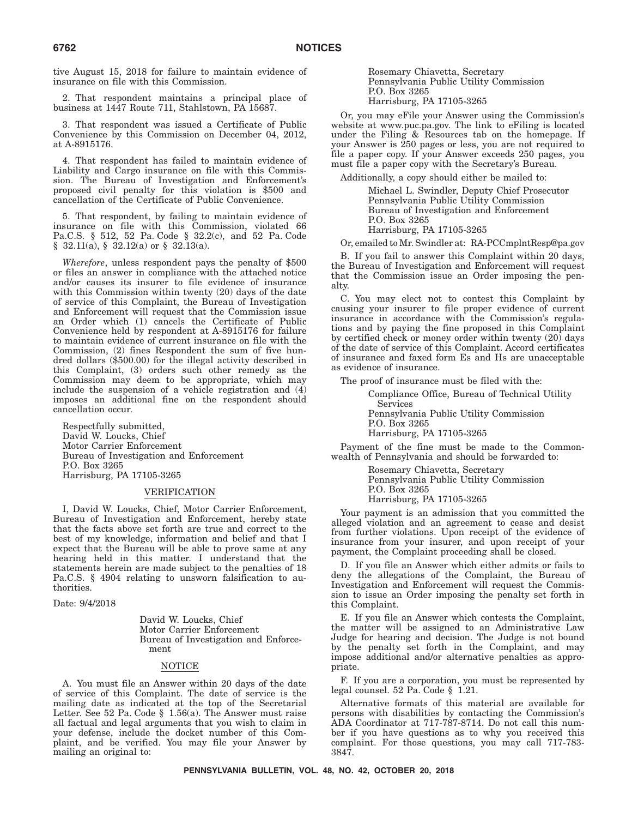tive August 15, 2018 for failure to maintain evidence of insurance on file with this Commission.

2. That respondent maintains a principal place of business at 1447 Route 711, Stahlstown, PA 15687.

3. That respondent was issued a Certificate of Public Convenience by this Commission on December 04, 2012, at A-8915176.

4. That respondent has failed to maintain evidence of Liability and Cargo insurance on file with this Commission. The Bureau of Investigation and Enforcement's proposed civil penalty for this violation is \$500 and cancellation of the Certificate of Public Convenience.

5. That respondent, by failing to maintain evidence of insurance on file with this Commission, violated 66 Pa.C.S. § 512, 52 Pa. Code § 32.2(c), and 52 Pa. Code § 32.11(a), § 32.12(a) or § 32.13(a).

*Wherefore*, unless respondent pays the penalty of \$500 or files an answer in compliance with the attached notice and/or causes its insurer to file evidence of insurance with this Commission within twenty (20) days of the date of service of this Complaint, the Bureau of Investigation and Enforcement will request that the Commission issue an Order which (1) cancels the Certificate of Public Convenience held by respondent at A-8915176 for failure to maintain evidence of current insurance on file with the Commission, (2) fines Respondent the sum of five hundred dollars (\$500.00) for the illegal activity described in this Complaint, (3) orders such other remedy as the Commission may deem to be appropriate, which may include the suspension of a vehicle registration and (4) imposes an additional fine on the respondent should cancellation occur.

Respectfully submitted, David W. Loucks, Chief Motor Carrier Enforcement Bureau of Investigation and Enforcement P.O. Box 3265 Harrisburg, PA 17105-3265

### VERIFICATION

I, David W. Loucks, Chief, Motor Carrier Enforcement, Bureau of Investigation and Enforcement, hereby state that the facts above set forth are true and correct to the best of my knowledge, information and belief and that I expect that the Bureau will be able to prove same at any hearing held in this matter. I understand that the statements herein are made subject to the penalties of 18 Pa.C.S. § 4904 relating to unsworn falsification to authorities.

Date: 9/4/2018

David W. Loucks, Chief Motor Carrier Enforcement Bureau of Investigation and Enforcement

## NOTICE

A. You must file an Answer within 20 days of the date of service of this Complaint. The date of service is the mailing date as indicated at the top of the Secretarial Letter. See 52 Pa. Code § 1.56(a). The Answer must raise all factual and legal arguments that you wish to claim in your defense, include the docket number of this Complaint, and be verified. You may file your Answer by mailing an original to:

Rosemary Chiavetta, Secretary Pennsylvania Public Utility Commission P.O. Box 3265 Harrisburg, PA 17105-3265

Or, you may eFile your Answer using the Commission's website at www.puc.pa.gov. The link to eFiling is located under the Filing & Resources tab on the homepage. If your Answer is 250 pages or less, you are not required to file a paper copy. If your Answer exceeds 250 pages, you must file a paper copy with the Secretary's Bureau.

Additionally, a copy should either be mailed to:

Michael L. Swindler, Deputy Chief Prosecutor Pennsylvania Public Utility Commission Bureau of Investigation and Enforcement P.O. Box 3265 Harrisburg, PA 17105-3265

Or, emailed to Mr. Swindler at: RA-PCCmplntResp@pa.gov

B. If you fail to answer this Complaint within 20 days, the Bureau of Investigation and Enforcement will request that the Commission issue an Order imposing the penalty.

C. You may elect not to contest this Complaint by causing your insurer to file proper evidence of current insurance in accordance with the Commission's regulations and by paying the fine proposed in this Complaint by certified check or money order within twenty (20) days of the date of service of this Complaint. Accord certificates of insurance and faxed form Es and Hs are unacceptable as evidence of insurance.

The proof of insurance must be filed with the:

Compliance Office, Bureau of Technical Utility Services Pennsylvania Public Utility Commission P.O. Box 3265 Harrisburg, PA 17105-3265

Payment of the fine must be made to the Commonwealth of Pennsylvania and should be forwarded to:

> Rosemary Chiavetta, Secretary Pennsylvania Public Utility Commission P.O. Box 3265 Harrisburg, PA 17105-3265

Your payment is an admission that you committed the alleged violation and an agreement to cease and desist from further violations. Upon receipt of the evidence of insurance from your insurer, and upon receipt of your payment, the Complaint proceeding shall be closed.

D. If you file an Answer which either admits or fails to deny the allegations of the Complaint, the Bureau of Investigation and Enforcement will request the Commission to issue an Order imposing the penalty set forth in this Complaint.

E. If you file an Answer which contests the Complaint, the matter will be assigned to an Administrative Law Judge for hearing and decision. The Judge is not bound by the penalty set forth in the Complaint, and may impose additional and/or alternative penalties as appropriate.

F. If you are a corporation, you must be represented by legal counsel. 52 Pa. Code § 1.21.

Alternative formats of this material are available for persons with disabilities by contacting the Commission's ADA Coordinator at 717-787-8714. Do not call this number if you have questions as to why you received this complaint. For those questions, you may call 717-783- 3847.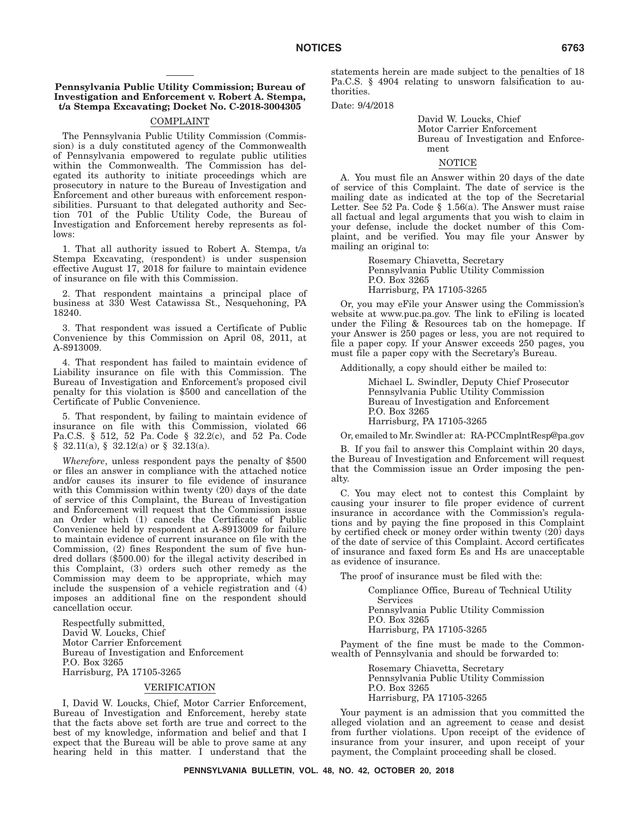### **Pennsylvania Public Utility Commission; Bureau of Investigation and Enforcement v. Robert A. Stempa, t/a Stempa Excavating; Docket No. C-2018-3004305**

### COMPLAINT

The Pennsylvania Public Utility Commission (Commission) is a duly constituted agency of the Commonwealth of Pennsylvania empowered to regulate public utilities within the Commonwealth. The Commission has delegated its authority to initiate proceedings which are prosecutory in nature to the Bureau of Investigation and Enforcement and other bureaus with enforcement responsibilities. Pursuant to that delegated authority and Section 701 of the Public Utility Code, the Bureau of Investigation and Enforcement hereby represents as follows:

1. That all authority issued to Robert A. Stempa, t/a Stempa Excavating, (respondent) is under suspension effective August 17, 2018 for failure to maintain evidence of insurance on file with this Commission.

2. That respondent maintains a principal place of business at 330 West Catawissa St., Nesquehoning, PA 18240.

3. That respondent was issued a Certificate of Public Convenience by this Commission on April 08, 2011, at A-8913009.

4. That respondent has failed to maintain evidence of Liability insurance on file with this Commission. The Bureau of Investigation and Enforcement's proposed civil penalty for this violation is \$500 and cancellation of the Certificate of Public Convenience.

5. That respondent, by failing to maintain evidence of insurance on file with this Commission, violated 66 Pa.C.S. § 512, 52 Pa. Code § 32.2(c), and 52 Pa. Code  $§$  32.11(a),  $§$  32.12(a) or  $§$  32.13(a).

*Wherefore*, unless respondent pays the penalty of \$500 or files an answer in compliance with the attached notice and/or causes its insurer to file evidence of insurance with this Commission within twenty (20) days of the date of service of this Complaint, the Bureau of Investigation and Enforcement will request that the Commission issue an Order which (1) cancels the Certificate of Public Convenience held by respondent at A-8913009 for failure to maintain evidence of current insurance on file with the Commission, (2) fines Respondent the sum of five hundred dollars (\$500.00) for the illegal activity described in this Complaint, (3) orders such other remedy as the Commission may deem to be appropriate, which may include the suspension of a vehicle registration and (4) imposes an additional fine on the respondent should cancellation occur.

Respectfully submitted, David W. Loucks, Chief Motor Carrier Enforcement Bureau of Investigation and Enforcement P.O. Box 3265 Harrisburg, PA 17105-3265

### VERIFICATION

I, David W. Loucks, Chief, Motor Carrier Enforcement, Bureau of Investigation and Enforcement, hereby state that the facts above set forth are true and correct to the best of my knowledge, information and belief and that I expect that the Bureau will be able to prove same at any hearing held in this matter. I understand that the

statements herein are made subject to the penalties of 18 Pa.C.S. § 4904 relating to unsworn falsification to authorities.

Date: 9/4/2018

David W. Loucks, Chief Motor Carrier Enforcement Bureau of Investigation and Enforcement

### NOTICE

A. You must file an Answer within 20 days of the date of service of this Complaint. The date of service is the mailing date as indicated at the top of the Secretarial Letter. See 52 Pa. Code  $\S$  1.56(a). The Answer must raise all factual and legal arguments that you wish to claim in your defense, include the docket number of this Complaint, and be verified. You may file your Answer by mailing an original to:

> Rosemary Chiavetta, Secretary Pennsylvania Public Utility Commission P.O. Box 3265 Harrisburg, PA 17105-3265

Or, you may eFile your Answer using the Commission's website at www.puc.pa.gov. The link to eFiling is located under the Filing & Resources tab on the homepage. If your Answer is 250 pages or less, you are not required to file a paper copy. If your Answer exceeds 250 pages, you must file a paper copy with the Secretary's Bureau.

Additionally, a copy should either be mailed to:

Michael L. Swindler, Deputy Chief Prosecutor Pennsylvania Public Utility Commission Bureau of Investigation and Enforcement P.O. Box 3265 Harrisburg, PA 17105-3265

Or, emailed to Mr. Swindler at: RA-PCCmplntResp@pa.gov

B. If you fail to answer this Complaint within 20 days, the Bureau of Investigation and Enforcement will request that the Commission issue an Order imposing the penalty.

C. You may elect not to contest this Complaint by causing your insurer to file proper evidence of current insurance in accordance with the Commission's regulations and by paying the fine proposed in this Complaint by certified check or money order within twenty (20) days of the date of service of this Complaint. Accord certificates of insurance and faxed form Es and Hs are unacceptable as evidence of insurance.

The proof of insurance must be filed with the:

Compliance Office, Bureau of Technical Utility Services Pennsylvania Public Utility Commission P.O. Box 3265 Harrisburg, PA 17105-3265

Payment of the fine must be made to the Commonwealth of Pennsylvania and should be forwarded to:

> Rosemary Chiavetta, Secretary Pennsylvania Public Utility Commission P.O. Box 3265 Harrisburg, PA 17105-3265

Your payment is an admission that you committed the alleged violation and an agreement to cease and desist from further violations. Upon receipt of the evidence of insurance from your insurer, and upon receipt of your payment, the Complaint proceeding shall be closed.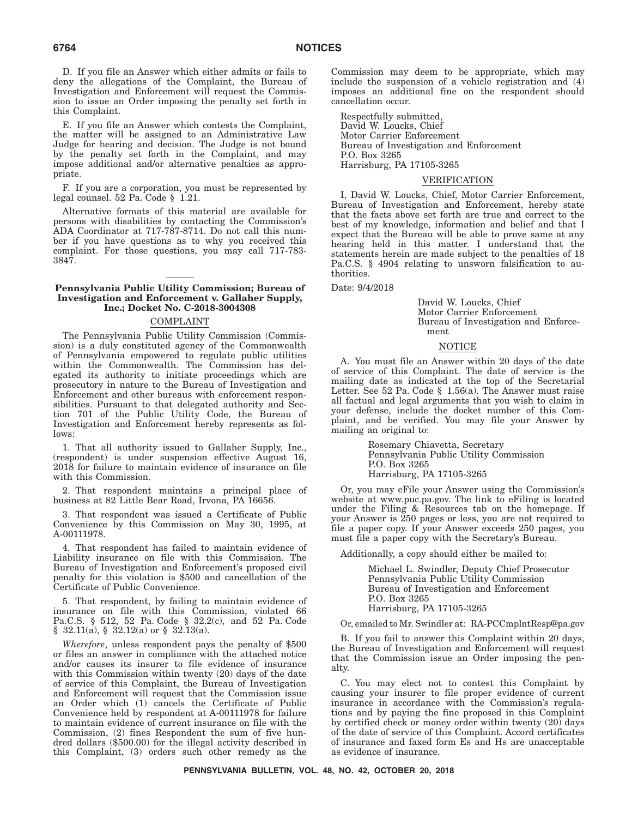D. If you file an Answer which either admits or fails to deny the allegations of the Complaint, the Bureau of Investigation and Enforcement will request the Commission to issue an Order imposing the penalty set forth in this Complaint.

E. If you file an Answer which contests the Complaint, the matter will be assigned to an Administrative Law Judge for hearing and decision. The Judge is not bound by the penalty set forth in the Complaint, and may impose additional and/or alternative penalties as appropriate.

F. If you are a corporation, you must be represented by legal counsel. 52 Pa. Code § 1.21.

Alternative formats of this material are available for persons with disabilities by contacting the Commission's ADA Coordinator at 717-787-8714. Do not call this number if you have questions as to why you received this complaint. For those questions, you may call 717-783- 3847.

### **Pennsylvania Public Utility Commission; Bureau of Investigation and Enforcement v. Gallaher Supply, Inc.; Docket No. C-2018-3004308**

### COMPLAINT

The Pennsylvania Public Utility Commission (Commission) is a duly constituted agency of the Commonwealth of Pennsylvania empowered to regulate public utilities within the Commonwealth. The Commission has delegated its authority to initiate proceedings which are prosecutory in nature to the Bureau of Investigation and Enforcement and other bureaus with enforcement responsibilities. Pursuant to that delegated authority and Section 701 of the Public Utility Code, the Bureau of Investigation and Enforcement hereby represents as follows:

1. That all authority issued to Gallaher Supply, Inc., (respondent) is under suspension effective August 16, 2018 for failure to maintain evidence of insurance on file with this Commission.

2. That respondent maintains a principal place of business at 82 Little Bear Road, Irvona, PA 16656.

3. That respondent was issued a Certificate of Public Convenience by this Commission on May 30, 1995, at A-00111978.

4. That respondent has failed to maintain evidence of Liability insurance on file with this Commission. The Bureau of Investigation and Enforcement's proposed civil penalty for this violation is \$500 and cancellation of the Certificate of Public Convenience.

5. That respondent, by failing to maintain evidence of insurance on file with this Commission, violated 66 Pa.C.S. § 512, 52 Pa. Code § 32.2(c), and 52 Pa. Code § 32.11(a), § 32.12(a) or § 32.13(a).

*Wherefore*, unless respondent pays the penalty of \$500 or files an answer in compliance with the attached notice and/or causes its insurer to file evidence of insurance with this Commission within twenty (20) days of the date of service of this Complaint, the Bureau of Investigation and Enforcement will request that the Commission issue an Order which (1) cancels the Certificate of Public Convenience held by respondent at A-00111978 for failure to maintain evidence of current insurance on file with the Commission, (2) fines Respondent the sum of five hundred dollars (\$500.00) for the illegal activity described in this Complaint, (3) orders such other remedy as the

Commission may deem to be appropriate, which may include the suspension of a vehicle registration and (4) imposes an additional fine on the respondent should cancellation occur.

Respectfully submitted, David W. Loucks, Chief Motor Carrier Enforcement Bureau of Investigation and Enforcement P.O. Box 3265 Harrisburg, PA 17105-3265

### VERIFICATION

I, David W. Loucks, Chief, Motor Carrier Enforcement, Bureau of Investigation and Enforcement, hereby state that the facts above set forth are true and correct to the best of my knowledge, information and belief and that I expect that the Bureau will be able to prove same at any hearing held in this matter. I understand that the statements herein are made subject to the penalties of 18 Pa.C.S. § 4904 relating to unsworn falsification to authorities.

Date: 9/4/2018

David W. Loucks, Chief Motor Carrier Enforcement Bureau of Investigation and Enforcement

### NOTICE

A. You must file an Answer within 20 days of the date of service of this Complaint. The date of service is the mailing date as indicated at the top of the Secretarial Letter. See 52 Pa. Code § 1.56(a). The Answer must raise all factual and legal arguments that you wish to claim in your defense, include the docket number of this Complaint, and be verified. You may file your Answer by mailing an original to:

> Rosemary Chiavetta, Secretary Pennsylvania Public Utility Commission P.O. Box 3265 Harrisburg, PA 17105-3265

Or, you may eFile your Answer using the Commission's website at www.puc.pa.gov. The link to eFiling is located under the Filing & Resources tab on the homepage. If your Answer is 250 pages or less, you are not required to file a paper copy. If your Answer exceeds 250 pages, you must file a paper copy with the Secretary's Bureau.

Additionally, a copy should either be mailed to:

Michael L. Swindler, Deputy Chief Prosecutor Pennsylvania Public Utility Commission Bureau of Investigation and Enforcement P.O. Box 3265 Harrisburg, PA 17105-3265

Or, emailed to Mr. Swindler at: RA-PCCmplntResp@pa.gov

B. If you fail to answer this Complaint within 20 days, the Bureau of Investigation and Enforcement will request that the Commission issue an Order imposing the penalty.

C. You may elect not to contest this Complaint by causing your insurer to file proper evidence of current insurance in accordance with the Commission's regulations and by paying the fine proposed in this Complaint by certified check or money order within twenty (20) days of the date of service of this Complaint. Accord certificates of insurance and faxed form Es and Hs are unacceptable as evidence of insurance.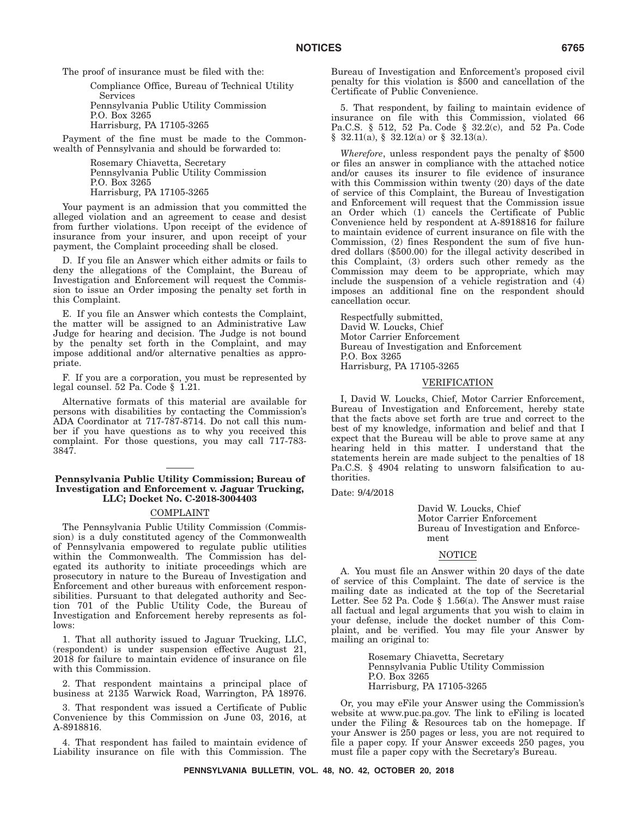The proof of insurance must be filed with the:

Compliance Office, Bureau of Technical Utility Services Pennsylvania Public Utility Commission P.O. Box 3265 Harrisburg, PA 17105-3265

Payment of the fine must be made to the Commonwealth of Pennsylvania and should be forwarded to:

> Rosemary Chiavetta, Secretary Pennsylvania Public Utility Commission P.O. Box 3265 Harrisburg, PA 17105-3265

Your payment is an admission that you committed the alleged violation and an agreement to cease and desist from further violations. Upon receipt of the evidence of insurance from your insurer, and upon receipt of your payment, the Complaint proceeding shall be closed.

D. If you file an Answer which either admits or fails to deny the allegations of the Complaint, the Bureau of Investigation and Enforcement will request the Commission to issue an Order imposing the penalty set forth in this Complaint.

E. If you file an Answer which contests the Complaint, the matter will be assigned to an Administrative Law Judge for hearing and decision. The Judge is not bound by the penalty set forth in the Complaint, and may impose additional and/or alternative penalties as appropriate.

F. If you are a corporation, you must be represented by legal counsel. 52 Pa. Code § 1.21.

Alternative formats of this material are available for persons with disabilities by contacting the Commission's ADA Coordinator at 717-787-8714. Do not call this number if you have questions as to why you received this complaint. For those questions, you may call 717-783- 3847.

### **Pennsylvania Public Utility Commission; Bureau of Investigation and Enforcement v. Jaguar Trucking, LLC; Docket No. C-2018-3004403**

### COMPLAINT

The Pennsylvania Public Utility Commission (Commission) is a duly constituted agency of the Commonwealth of Pennsylvania empowered to regulate public utilities within the Commonwealth. The Commission has delegated its authority to initiate proceedings which are prosecutory in nature to the Bureau of Investigation and Enforcement and other bureaus with enforcement responsibilities. Pursuant to that delegated authority and Section 701 of the Public Utility Code, the Bureau of Investigation and Enforcement hereby represents as follows:

1. That all authority issued to Jaguar Trucking, LLC, (respondent) is under suspension effective August 21, 2018 for failure to maintain evidence of insurance on file with this Commission.

2. That respondent maintains a principal place of business at 2135 Warwick Road, Warrington, PA 18976.

3. That respondent was issued a Certificate of Public Convenience by this Commission on June 03, 2016, at A-8918816.

4. That respondent has failed to maintain evidence of Liability insurance on file with this Commission. The

Bureau of Investigation and Enforcement's proposed civil penalty for this violation is \$500 and cancellation of the Certificate of Public Convenience.

5. That respondent, by failing to maintain evidence of insurance on file with this Commission, violated 66 Pa.C.S. § 512, 52 Pa. Code § 32.2(c), and 52 Pa. Code  $§$  32.11(a),  $§$  32.12(a) or  $§$  32.13(a).

*Wherefore*, unless respondent pays the penalty of \$500 or files an answer in compliance with the attached notice and/or causes its insurer to file evidence of insurance with this Commission within twenty (20) days of the date of service of this Complaint, the Bureau of Investigation and Enforcement will request that the Commission issue an Order which (1) cancels the Certificate of Public Convenience held by respondent at A-8918816 for failure to maintain evidence of current insurance on file with the Commission, (2) fines Respondent the sum of five hundred dollars (\$500.00) for the illegal activity described in this Complaint, (3) orders such other remedy as the Commission may deem to be appropriate, which may include the suspension of a vehicle registration and  $(4)$ imposes an additional fine on the respondent should cancellation occur.

Respectfully submitted, David W. Loucks, Chief Motor Carrier Enforcement Bureau of Investigation and Enforcement P.O. Box 3265 Harrisburg, PA 17105-3265

### VERIFICATION

I, David W. Loucks, Chief, Motor Carrier Enforcement, Bureau of Investigation and Enforcement, hereby state that the facts above set forth are true and correct to the best of my knowledge, information and belief and that I expect that the Bureau will be able to prove same at any hearing held in this matter. I understand that the statements herein are made subject to the penalties of 18 Pa.C.S. § 4904 relating to unsworn falsification to authorities.

Date: 9/4/2018

David W. Loucks, Chief Motor Carrier Enforcement Bureau of Investigation and Enforcement

## NOTICE

A. You must file an Answer within 20 days of the date of service of this Complaint. The date of service is the mailing date as indicated at the top of the Secretarial Letter. See 52 Pa. Code § 1.56(a). The Answer must raise all factual and legal arguments that you wish to claim in your defense, include the docket number of this Complaint, and be verified. You may file your Answer by mailing an original to:

> Rosemary Chiavetta, Secretary Pennsylvania Public Utility Commission P.O. Box 3265 Harrisburg, PA 17105-3265

Or, you may eFile your Answer using the Commission's website at www.puc.pa.gov. The link to eFiling is located under the Filing & Resources tab on the homepage. If your Answer is 250 pages or less, you are not required to file a paper copy. If your Answer exceeds 250 pages, you must file a paper copy with the Secretary's Bureau.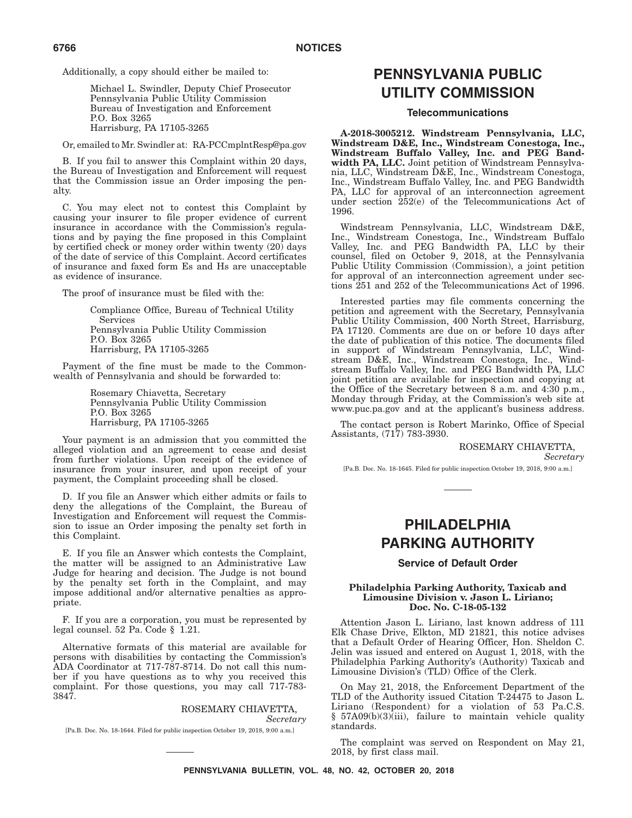Additionally, a copy should either be mailed to:

Michael L. Swindler, Deputy Chief Prosecutor Pennsylvania Public Utility Commission Bureau of Investigation and Enforcement P.O. Box 3265 Harrisburg, PA 17105-3265

Or, emailed to Mr. Swindler at: RA-PCCmplntResp@pa.gov

B. If you fail to answer this Complaint within 20 days, the Bureau of Investigation and Enforcement will request that the Commission issue an Order imposing the penalty.

C. You may elect not to contest this Complaint by causing your insurer to file proper evidence of current insurance in accordance with the Commission's regulations and by paying the fine proposed in this Complaint by certified check or money order within twenty (20) days of the date of service of this Complaint. Accord certificates of insurance and faxed form Es and Hs are unacceptable as evidence of insurance.

The proof of insurance must be filed with the:

Compliance Office, Bureau of Technical Utility Services Pennsylvania Public Utility Commission P.O. Box 3265 Harrisburg, PA 17105-3265

Payment of the fine must be made to the Commonwealth of Pennsylvania and should be forwarded to:

> Rosemary Chiavetta, Secretary Pennsylvania Public Utility Commission P.O. Box 3265 Harrisburg, PA 17105-3265

Your payment is an admission that you committed the alleged violation and an agreement to cease and desist from further violations. Upon receipt of the evidence of insurance from your insurer, and upon receipt of your payment, the Complaint proceeding shall be closed.

D. If you file an Answer which either admits or fails to deny the allegations of the Complaint, the Bureau of Investigation and Enforcement will request the Commission to issue an Order imposing the penalty set forth in this Complaint.

E. If you file an Answer which contests the Complaint, the matter will be assigned to an Administrative Law Judge for hearing and decision. The Judge is not bound by the penalty set forth in the Complaint, and may impose additional and/or alternative penalties as appropriate.

F. If you are a corporation, you must be represented by legal counsel. 52 Pa. Code § 1.21.

Alternative formats of this material are available for persons with disabilities by contacting the Commission's ADA Coordinator at 717-787-8714. Do not call this number if you have questions as to why you received this complaint. For those questions, you may call 717-783- 3847.

### ROSEMARY CHIAVETTA, *Secretary*

[Pa.B. Doc. No. 18-1644. Filed for public inspection October 19, 2018, 9:00 a.m.]

# **PENNSYLVANIA PUBLIC UTILITY COMMISSION**

### **Telecommunications**

**A-2018-3005212. Windstream Pennsylvania, LLC, Windstream D&E, Inc., Windstream Conestoga, Inc., Windstream Buffalo Valley, Inc. and PEG Bandwidth PA, LLC.** Joint petition of Windstream Pennsylvania, LLC, Windstream D&E, Inc., Windstream Conestoga, Inc., Windstream Buffalo Valley, Inc. and PEG Bandwidth PA, LLC for approval of an interconnection agreement under section 252(e) of the Telecommunications Act of 1996.

Windstream Pennsylvania, LLC, Windstream D&E, Inc., Windstream Conestoga, Inc., Windstream Buffalo Valley, Inc. and PEG Bandwidth PA, LLC by their counsel, filed on October 9, 2018, at the Pennsylvania Public Utility Commission (Commission), a joint petition for approval of an interconnection agreement under sections 251 and 252 of the Telecommunications Act of 1996.

Interested parties may file comments concerning the petition and agreement with the Secretary, Pennsylvania Public Utility Commission, 400 North Street, Harrisburg, PA 17120. Comments are due on or before 10 days after the date of publication of this notice. The documents filed in support of Windstream Pennsylvania, LLC, Windstream D&E, Inc., Windstream Conestoga, Inc., Windstream Buffalo Valley, Inc. and PEG Bandwidth PA, LLC joint petition are available for inspection and copying at the Office of the Secretary between 8 a.m. and 4:30 p.m., Monday through Friday, at the Commission's web site at www.puc.pa.gov and at the applicant's business address.

The contact person is Robert Marinko, Office of Special Assistants, (717) 783-3930.

ROSEMARY CHIAVETTA,

*Secretary*

[Pa.B. Doc. No. 18-1645. Filed for public inspection October 19, 2018, 9:00 a.m.]

# **PHILADELPHIA PARKING AUTHORITY**

### **Service of Default Order**

#### **Philadelphia Parking Authority, Taxicab and Limousine Division v. Jason L. Liriano; Doc. No. C-18-05-132**

Attention Jason L. Liriano, last known address of 111 Elk Chase Drive, Elkton, MD 21821, this notice advises that a Default Order of Hearing Officer, Hon. Sheldon C. Jelin was issued and entered on August 1, 2018, with the Philadelphia Parking Authority's (Authority) Taxicab and Limousine Division's (TLD) Office of the Clerk.

On May 21, 2018, the Enforcement Department of the TLD of the Authority issued Citation T-24475 to Jason L. Liriano (Respondent) for a violation of 53 Pa.C.S. § 57A09(b)(3)(iii), failure to maintain vehicle quality standards.

The complaint was served on Respondent on May 21, 2018, by first class mail.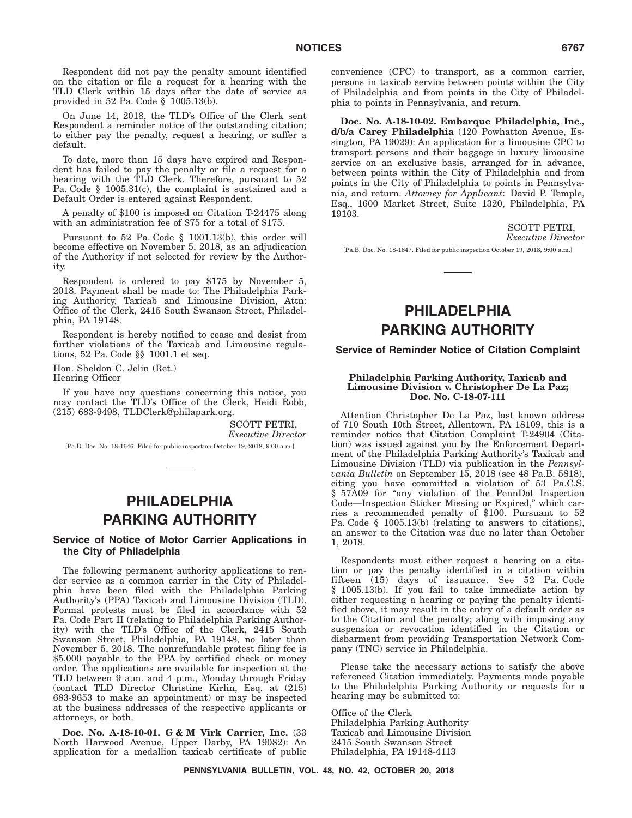Respondent did not pay the penalty amount identified on the citation or file a request for a hearing with the TLD Clerk within 15 days after the date of service as provided in 52 Pa. Code § 1005.13(b).

On June 14, 2018, the TLD's Office of the Clerk sent Respondent a reminder notice of the outstanding citation; to either pay the penalty, request a hearing, or suffer a default.

To date, more than 15 days have expired and Respondent has failed to pay the penalty or file a request for a hearing with the TLD Clerk. Therefore, pursuant to 52 Pa. Code § 1005.31(c), the complaint is sustained and a Default Order is entered against Respondent.

A penalty of \$100 is imposed on Citation T-24475 along with an administration fee of \$75 for a total of \$175.

Pursuant to 52 Pa. Code § 1001.13(b), this order will become effective on November 5, 2018, as an adjudication of the Authority if not selected for review by the Authority.

Respondent is ordered to pay \$175 by November 5, 2018. Payment shall be made to: The Philadelphia Parking Authority, Taxicab and Limousine Division, Attn: Office of the Clerk, 2415 South Swanson Street, Philadelphia, PA 19148.

Respondent is hereby notified to cease and desist from further violations of the Taxicab and Limousine regulations, 52 Pa. Code §§ 1001.1 et seq.

Hon. Sheldon C. Jelin (Ret.) Hearing Officer

If you have any questions concerning this notice, you may contact the TLD's Office of the Clerk, Heidi Robb, (215) 683-9498, TLDClerk@philapark.org.

> SCOTT PETRI, *Executive Director*

[Pa.B. Doc. No. 18-1646. Filed for public inspection October 19, 2018, 9:00 a.m.]

# **PHILADELPHIA PARKING AUTHORITY**

### **Service of Notice of Motor Carrier Applications in the City of Philadelphia**

The following permanent authority applications to render service as a common carrier in the City of Philadelphia have been filed with the Philadelphia Parking Authority's (PPA) Taxicab and Limousine Division (TLD). Formal protests must be filed in accordance with 52 Pa. Code Part II (relating to Philadelphia Parking Authority) with the TLD's Office of the Clerk, 2415 South Swanson Street, Philadelphia, PA 19148, no later than November 5, 2018. The nonrefundable protest filing fee is \$5,000 payable to the PPA by certified check or money order. The applications are available for inspection at the TLD between 9 a.m. and 4 p.m., Monday through Friday (contact TLD Director Christine Kirlin, Esq. at (215) 683-9653 to make an appointment) or may be inspected at the business addresses of the respective applicants or attorneys, or both.

**Doc. No. A-18-10-01. G & M Virk Carrier, Inc.** (33 North Harwood Avenue, Upper Darby, PA 19082): An application for a medallion taxicab certificate of public convenience (CPC) to transport, as a common carrier, persons in taxicab service between points within the City of Philadelphia and from points in the City of Philadelphia to points in Pennsylvania, and return.

**Doc. No. A-18-10-02. Embarque Philadelphia, Inc., d/b/a Carey Philadelphia** (120 Powhatton Avenue, Essington, PA 19029): An application for a limousine CPC to transport persons and their baggage in luxury limousine service on an exclusive basis, arranged for in advance, between points within the City of Philadelphia and from points in the City of Philadelphia to points in Pennsylvania, and return. *Attorney for Applicant*: David P. Temple, Esq., 1600 Market Street, Suite 1320, Philadelphia, PA 19103.

SCOTT PETRI,

*Executive Director*

[Pa.B. Doc. No. 18-1647. Filed for public inspection October 19, 2018, 9:00 a.m.]

# **PHILADELPHIA PARKING AUTHORITY**

### **Service of Reminder Notice of Citation Complaint**

### **Philadelphia Parking Authority, Taxicab and Limousine Division v. Christopher De La Paz; Doc. No. C-18-07-111**

Attention Christopher De La Paz, last known address of 710 South 10th Street, Allentown, PA 18109, this is a reminder notice that Citation Complaint T-24904 (Citation) was issued against you by the Enforcement Department of the Philadelphia Parking Authority's Taxicab and Limousine Division (TLD) via publication in the *Pennsylvania Bulletin* on September 15, 2018 (see 48 Pa.B. 5818), citing you have committed a violation of 53 Pa.C.S. § 57A09 for ''any violation of the PennDot Inspection Code—Inspection Sticker Missing or Expired,'' which carries a recommended penalty of \$100. Pursuant to 52 Pa. Code § 1005.13(b) (relating to answers to citations), an answer to the Citation was due no later than October 1, 2018.

Respondents must either request a hearing on a citation or pay the penalty identified in a citation within fifteen (15) days of issuance. See 52 Pa. Code § 1005.13(b). If you fail to take immediate action by either requesting a hearing or paying the penalty identified above, it may result in the entry of a default order as to the Citation and the penalty; along with imposing any suspension or revocation identified in the Citation or disbarment from providing Transportation Network Company (TNC) service in Philadelphia.

Please take the necessary actions to satisfy the above referenced Citation immediately. Payments made payable to the Philadelphia Parking Authority or requests for a hearing may be submitted to:

Office of the Clerk Philadelphia Parking Authority Taxicab and Limousine Division 2415 South Swanson Street Philadelphia, PA 19148-4113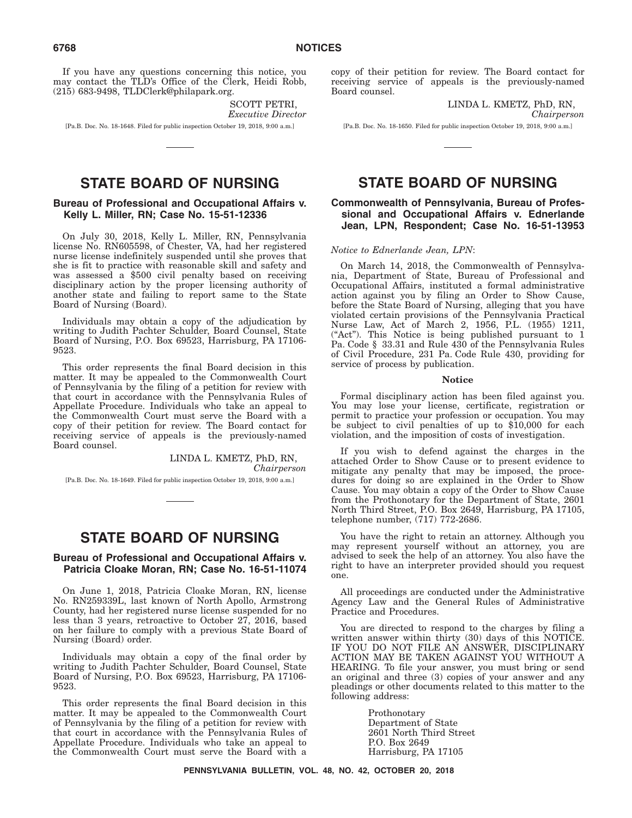If you have any questions concerning this notice, you may contact the TLD's Office of the Clerk, Heidi Robb, (215) 683-9498, TLDClerk@philapark.org.

> SCOTT PETRI, *Executive Director*

[Pa.B. Doc. No. 18-1648. Filed for public inspection October 19, 2018, 9:00 a.m.]

# **STATE BOARD OF NURSING**

### **Bureau of Professional and Occupational Affairs v. Kelly L. Miller, RN; Case No. 15-51-12336**

On July 30, 2018, Kelly L. Miller, RN, Pennsylvania license No. RN605598, of Chester, VA, had her registered nurse license indefinitely suspended until she proves that she is fit to practice with reasonable skill and safety and was assessed a \$500 civil penalty based on receiving disciplinary action by the proper licensing authority of another state and failing to report same to the State Board of Nursing (Board).

Individuals may obtain a copy of the adjudication by writing to Judith Pachter Schulder, Board Counsel, State Board of Nursing, P.O. Box 69523, Harrisburg, PA 17106- 9523.

This order represents the final Board decision in this matter. It may be appealed to the Commonwealth Court of Pennsylvania by the filing of a petition for review with that court in accordance with the Pennsylvania Rules of Appellate Procedure. Individuals who take an appeal to the Commonwealth Court must serve the Board with a copy of their petition for review. The Board contact for receiving service of appeals is the previously-named Board counsel.

> LINDA L. KMETZ, PhD, RN, *Chairperson*

[Pa.B. Doc. No. 18-1649. Filed for public inspection October 19, 2018, 9:00 a.m.]

# **STATE BOARD OF NURSING**

### **Bureau of Professional and Occupational Affairs v. Patricia Cloake Moran, RN; Case No. 16-51-11074**

On June 1, 2018, Patricia Cloake Moran, RN, license No. RN259339L, last known of North Apollo, Armstrong County, had her registered nurse license suspended for no less than 3 years, retroactive to October 27, 2016, based on her failure to comply with a previous State Board of Nursing (Board) order.

Individuals may obtain a copy of the final order by writing to Judith Pachter Schulder, Board Counsel, State Board of Nursing, P.O. Box 69523, Harrisburg, PA 17106- 9523.

This order represents the final Board decision in this matter. It may be appealed to the Commonwealth Court of Pennsylvania by the filing of a petition for review with that court in accordance with the Pennsylvania Rules of Appellate Procedure. Individuals who take an appeal to the Commonwealth Court must serve the Board with a

copy of their petition for review. The Board contact for receiving service of appeals is the previously-named Board counsel.

> LINDA L. KMETZ, PhD, RN, *Chairperson*

[Pa.B. Doc. No. 18-1650. Filed for public inspection October 19, 2018, 9:00 a.m.]

# **STATE BOARD OF NURSING**

### **Commonwealth of Pennsylvania, Bureau of Professional and Occupational Affairs v. Ednerlande Jean, LPN, Respondent; Case No. 16-51-13953**

#### *Notice to Ednerlande Jean, LPN*:

On March 14, 2018, the Commonwealth of Pennsylvania, Department of State, Bureau of Professional and Occupational Affairs, instituted a formal administrative action against you by filing an Order to Show Cause, before the State Board of Nursing, alleging that you have violated certain provisions of the Pennsylvania Practical Nurse Law, Act of March 2, 1956, P.L. (1955) 1211, ("Act"). This Notice is being published pursuant to 1 Pa. Code § 33.31 and Rule 430 of the Pennsylvania Rules of Civil Procedure, 231 Pa. Code Rule 430, providing for service of process by publication.

#### **Notice**

Formal disciplinary action has been filed against you. You may lose your license, certificate, registration or permit to practice your profession or occupation. You may be subject to civil penalties of up to \$10,000 for each violation, and the imposition of costs of investigation.

If you wish to defend against the charges in the attached Order to Show Cause or to present evidence to mitigate any penalty that may be imposed, the procedures for doing so are explained in the Order to Show Cause. You may obtain a copy of the Order to Show Cause from the Prothonotary for the Department of State, 2601 North Third Street, P.O. Box 2649, Harrisburg, PA 17105, telephone number, (717) 772-2686.

You have the right to retain an attorney. Although you may represent yourself without an attorney, you are advised to seek the help of an attorney. You also have the right to have an interpreter provided should you request one.

All proceedings are conducted under the Administrative Agency Law and the General Rules of Administrative Practice and Procedures.

You are directed to respond to the charges by filing a written answer within thirty (30) days of this NOTICE. IF YOU DO NOT FILE AN ANSWER, DISCIPLINARY ACTION MAY BE TAKEN AGAINST YOU WITHOUT A HEARING. To file your answer, you must bring or send an original and three (3) copies of your answer and any pleadings or other documents related to this matter to the following address:

> Prothonotary Department of State 2601 North Third Street P.O. Box 2649 Harrisburg, PA 17105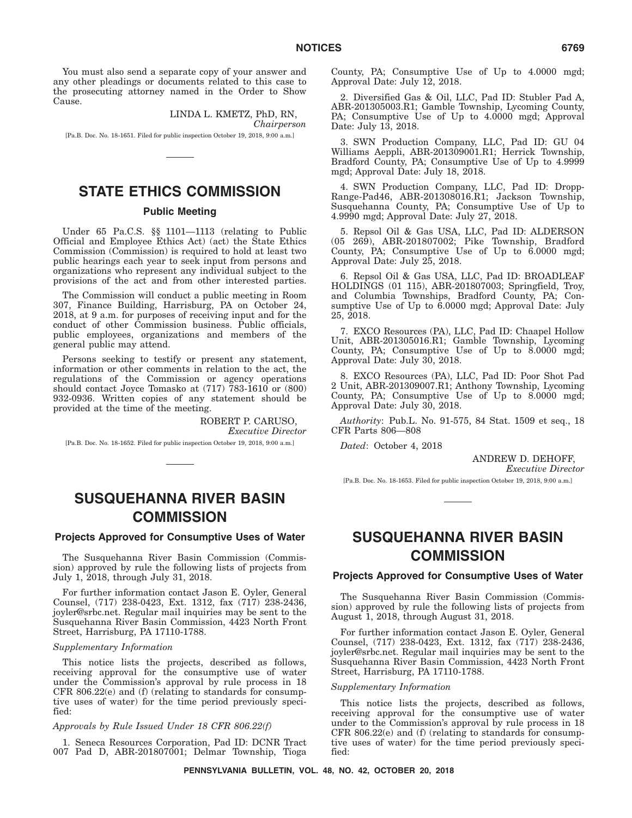You must also send a separate copy of your answer and any other pleadings or documents related to this case to the prosecuting attorney named in the Order to Show Cause.

> LINDA L. KMETZ, PhD, RN, *Chairperson*

[Pa.B. Doc. No. 18-1651. Filed for public inspection October 19, 2018, 9:00 a.m.]

# **STATE ETHICS COMMISSION**

### **Public Meeting**

Under 65 Pa.C.S. §§ 1101—1113 (relating to Public Official and Employee Ethics Act) (act) the State Ethics Commission (Commission) is required to hold at least two public hearings each year to seek input from persons and organizations who represent any individual subject to the provisions of the act and from other interested parties.

The Commission will conduct a public meeting in Room 307, Finance Building, Harrisburg, PA on October 24, 2018, at 9 a.m. for purposes of receiving input and for the conduct of other Commission business. Public officials, public employees, organizations and members of the general public may attend.

Persons seeking to testify or present any statement, information or other comments in relation to the act, the regulations of the Commission or agency operations should contact Joyce Tomasko at  $(717)$  783-1610 or  $(800)$ 932-0936. Written copies of any statement should be provided at the time of the meeting.

> ROBERT P. CARUSO, *Executive Director*

[Pa.B. Doc. No. 18-1652. Filed for public inspection October 19, 2018, 9:00 a.m.]

# **SUSQUEHANNA RIVER BASIN COMMISSION**

### **Projects Approved for Consumptive Uses of Water**

The Susquehanna River Basin Commission (Commission) approved by rule the following lists of projects from July 1, 2018, through July 31, 2018.

For further information contact Jason E. Oyler, General Counsel, (717) 238-0423, Ext. 1312, fax (717) 238-2436, joyler@srbc.net. Regular mail inquiries may be sent to the Susquehanna River Basin Commission, 4423 North Front Street, Harrisburg, PA 17110-1788.

### *Supplementary Information*

This notice lists the projects, described as follows, receiving approval for the consumptive use of water under the Commission's approval by rule process in 18 CFR 806.22(e) and (f) (relating to standards for consumptive uses of water) for the time period previously specified:

### *Approvals by Rule Issued Under 18 CFR 806.22(f)*

1. Seneca Resources Corporation, Pad ID: DCNR Tract 007 Pad D, ABR-201807001; Delmar Township, Tioga

County, PA; Consumptive Use of Up to 4.0000 mgd; Approval Date: July 12, 2018.

2. Diversified Gas & Oil, LLC, Pad ID: Stubler Pad A, ABR-201305003.R1; Gamble Township, Lycoming County, PA; Consumptive Use of Up to 4.0000 mgd; Approval Date: July 13, 2018.

3. SWN Production Company, LLC, Pad ID: GU 04 Williams Aeppli, ABR-201309001.R1; Herrick Township, Bradford County, PA; Consumptive Use of Up to 4.9999 mgd; Approval Date: July 18, 2018.

4. SWN Production Company, LLC, Pad ID: Dropp-Range-Pad46, ABR-201308016.R1; Jackson Township, Susquehanna County, PA; Consumptive Use of Up to 4.9990 mgd; Approval Date: July 27, 2018.

5. Repsol Oil & Gas USA, LLC, Pad ID: ALDERSON (05 269), ABR-201807002; Pike Township, Bradford County, PA; Consumptive Use of Up to 6.0000 mgd; Approval Date: July 25, 2018.

6. Repsol Oil & Gas USA, LLC, Pad ID: BROADLEAF HOLDINGS (01 115), ABR-201807003; Springfield, Troy, and Columbia Townships, Bradford County, PA; Consumptive Use of Up to 6.0000 mgd; Approval Date: July 25, 2018.

7. EXCO Resources (PA), LLC, Pad ID: Chaapel Hollow Unit, ABR-201305016.R1; Gamble Township, Lycoming County, PA; Consumptive Use of Up to 8.0000 mgd; Approval Date: July 30, 2018.

8. EXCO Resources (PA), LLC, Pad ID: Poor Shot Pad 2 Unit, ABR-201309007.R1; Anthony Township, Lycoming County, PA; Consumptive Use of Up to 8.0000 mgd; Approval Date: July 30, 2018.

*Authority*: Pub.L. No. 91-575, 84 Stat. 1509 et seq., 18 CFR Parts 806—808

*Dated*: October 4, 2018

ANDREW D. DEHOFF, *Executive Director*

[Pa.B. Doc. No. 18-1653. Filed for public inspection October 19, 2018, 9:00 a.m.]

# **SUSQUEHANNA RIVER BASIN COMMISSION**

### **Projects Approved for Consumptive Uses of Water**

The Susquehanna River Basin Commission (Commission) approved by rule the following lists of projects from August 1, 2018, through August 31, 2018.

For further information contact Jason E. Oyler, General Counsel, (717) 238-0423, Ext. 1312, fax (717) 238-2436, joyler@srbc.net. Regular mail inquiries may be sent to the Susquehanna River Basin Commission, 4423 North Front Street, Harrisburg, PA 17110-1788.

### *Supplementary Information*

This notice lists the projects, described as follows, receiving approval for the consumptive use of water under to the Commission's approval by rule process in 18 CFR 806.22(e) and (f) (relating to standards for consumptive uses of water) for the time period previously specified: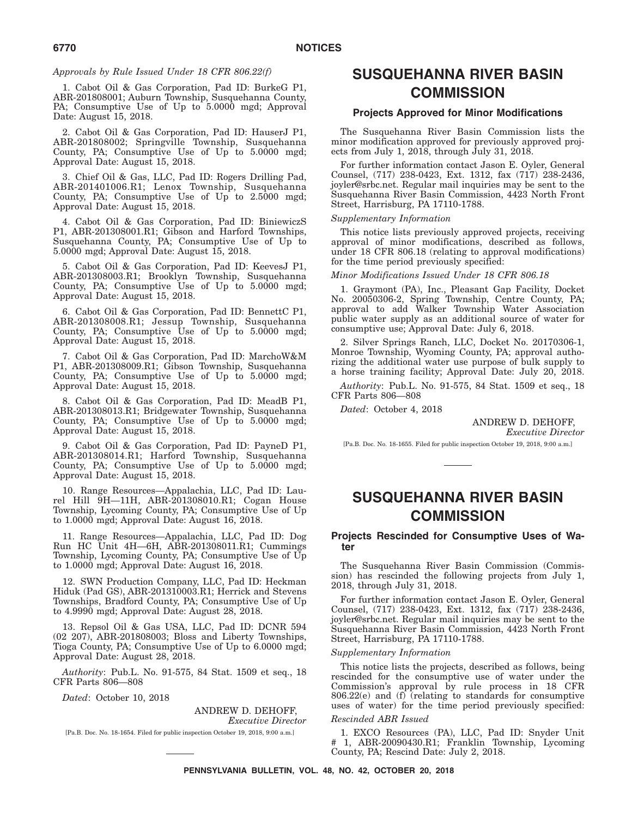### *Approvals by Rule Issued Under 18 CFR 806.22(f)*

1. Cabot Oil & Gas Corporation, Pad ID: BurkeG P1, ABR-201808001; Auburn Township, Susquehanna County, PA; Consumptive Use of Up to 5.0000 mgd; Approval Date: August 15, 2018.

2. Cabot Oil & Gas Corporation, Pad ID: HauserJ P1, ABR-201808002; Springville Township, Susquehanna County, PA; Consumptive Use of Up to 5.0000 mgd; Approval Date: August 15, 2018.

3. Chief Oil & Gas, LLC, Pad ID: Rogers Drilling Pad, ABR-201401006.R1; Lenox Township, Susquehanna County, PA; Consumptive Use of Up to 2.5000 mgd; Approval Date: August 15, 2018.

4. Cabot Oil & Gas Corporation, Pad ID: BiniewiczS P1, ABR-201308001.R1; Gibson and Harford Townships, Susquehanna County, PA; Consumptive Use of Up to 5.0000 mgd; Approval Date: August 15, 2018.

5. Cabot Oil & Gas Corporation, Pad ID: KeevesJ P1, ABR-201308003.R1; Brooklyn Township, Susquehanna County, PA; Consumptive Use of Up to 5.0000 mgd; Approval Date: August 15, 2018.

6. Cabot Oil & Gas Corporation, Pad ID: BennettC P1, ABR-201308008.R1; Jessup Township, Susquehanna County, PA; Consumptive Use of Up to 5.0000 mgd; Approval Date: August 15, 2018.

7. Cabot Oil & Gas Corporation, Pad ID: MarchoW&M P1, ABR-201308009.R1; Gibson Township, Susquehanna County, PA; Consumptive Use of Up to 5.0000 mgd; Approval Date: August 15, 2018.

8. Cabot Oil & Gas Corporation, Pad ID: MeadB P1, ABR-201308013.R1; Bridgewater Township, Susquehanna County, PA; Consumptive Use of Up to 5.0000 mgd; Approval Date: August 15, 2018.

9. Cabot Oil & Gas Corporation, Pad ID: PayneD P1, ABR-201308014.R1; Harford Township, Susquehanna County, PA; Consumptive Use of Up to 5.0000 mgd; Approval Date: August 15, 2018.

10. Range Resources—Appalachia, LLC, Pad ID: Laurel Hill 9H—11H, ABR-201308010.R1; Cogan House Township, Lycoming County, PA; Consumptive Use of Up to 1.0000 mgd; Approval Date: August 16, 2018.

11. Range Resources—Appalachia, LLC, Pad ID: Dog Run HC Unit 4H—6H, ABR-201308011.R1; Cummings Township, Lycoming County, PA; Consumptive Use of Up to 1.0000 mgd; Approval Date: August 16, 2018.

12. SWN Production Company, LLC, Pad ID: Heckman Hiduk (Pad GS), ABR-201310003.R1; Herrick and Stevens Townships, Bradford County, PA; Consumptive Use of Up to 4.9990 mgd; Approval Date: August 28, 2018.

13. Repsol Oil & Gas USA, LLC, Pad ID: DCNR 594 (02 207), ABR-201808003; Bloss and Liberty Townships, Tioga County, PA; Consumptive Use of Up to 6.0000 mgd; Approval Date: August 28, 2018.

*Authority*: Pub.L. No. 91-575, 84 Stat. 1509 et seq., 18 CFR Parts 806—808

*Dated*: October 10, 2018

ANDREW D. DEHOFF, *Executive Director*

[Pa.B. Doc. No. 18-1654. Filed for public inspection October 19, 2018, 9:00 a.m.]

# **SUSQUEHANNA RIVER BASIN COMMISSION**

## **Projects Approved for Minor Modifications**

The Susquehanna River Basin Commission lists the minor modification approved for previously approved projects from July 1, 2018, through July 31, 2018.

For further information contact Jason E. Oyler, General Counsel, (717) 238-0423, Ext. 1312, fax (717) 238-2436, joyler@srbc.net. Regular mail inquiries may be sent to the Susquehanna River Basin Commission, 4423 North Front Street, Harrisburg, PA 17110-1788.

#### *Supplementary Information*

This notice lists previously approved projects, receiving approval of minor modifications, described as follows, under 18 CFR 806.18 (relating to approval modifications) for the time period previously specified:

#### *Minor Modifications Issued Under 18 CFR 806.18*

1. Graymont (PA), Inc., Pleasant Gap Facility, Docket No. 20050306-2, Spring Township, Centre County, PA; approval to add Walker Township Water Association public water supply as an additional source of water for consumptive use; Approval Date: July 6, 2018.

2. Silver Springs Ranch, LLC, Docket No. 20170306-1, Monroe Township, Wyoming County, PA; approval authorizing the additional water use purpose of bulk supply to a horse training facility; Approval Date: July 20, 2018.

*Authority*: Pub.L. No. 91-575, 84 Stat. 1509 et seq., 18 CFR Parts 806—808

*Dated*: October 4, 2018

ANDREW D. DEHOFF, *Executive Director*

[Pa.B. Doc. No. 18-1655. Filed for public inspection October 19, 2018, 9:00 a.m.]

# **SUSQUEHANNA RIVER BASIN COMMISSION**

## **Projects Rescinded for Consumptive Uses of Water**

The Susquehanna River Basin Commission (Commission) has rescinded the following projects from July 1, 2018, through July 31, 2018.

For further information contact Jason E. Oyler, General Counsel, (717) 238-0423, Ext. 1312, fax (717) 238-2436, joyler@srbc.net. Regular mail inquiries may be sent to the Susquehanna River Basin Commission, 4423 North Front Street, Harrisburg, PA 17110-1788.

#### *Supplementary Information*

This notice lists the projects, described as follows, being rescinded for the consumptive use of water under the Commission's approval by rule process in 18 CFR 806.22(e) and (f) (relating to standards for consumptive uses of water) for the time period previously specified:

### *Rescinded ABR Issued*

1. EXCO Resources (PA), LLC, Pad ID: Snyder Unit # 1, ABR-20090430.R1; Franklin Township, Lycoming County, PA; Rescind Date: July 2, 2018.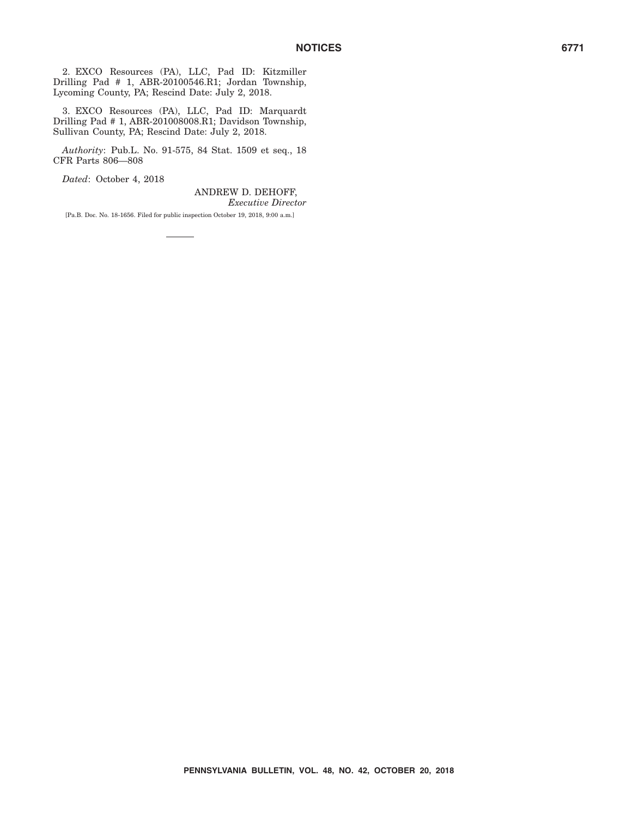2. EXCO Resources (PA), LLC, Pad ID: Kitzmiller Drilling Pad # 1, ABR-20100546.R1; Jordan Township, Lycoming County, PA; Rescind Date: July 2, 2018.

3. EXCO Resources (PA), LLC, Pad ID: Marquardt Drilling Pad # 1, ABR-201008008.R1; Davidson Township, Sullivan County, PA; Rescind Date: July 2, 2018.

*Authority*: Pub.L. No. 91-575, 84 Stat. 1509 et seq., 18 CFR Parts 806—808

*Dated*: October 4, 2018

ANDREW D. DEHOFF, *Executive Director*

[Pa.B. Doc. No. 18-1656. Filed for public inspection October 19, 2018, 9:00 a.m.]